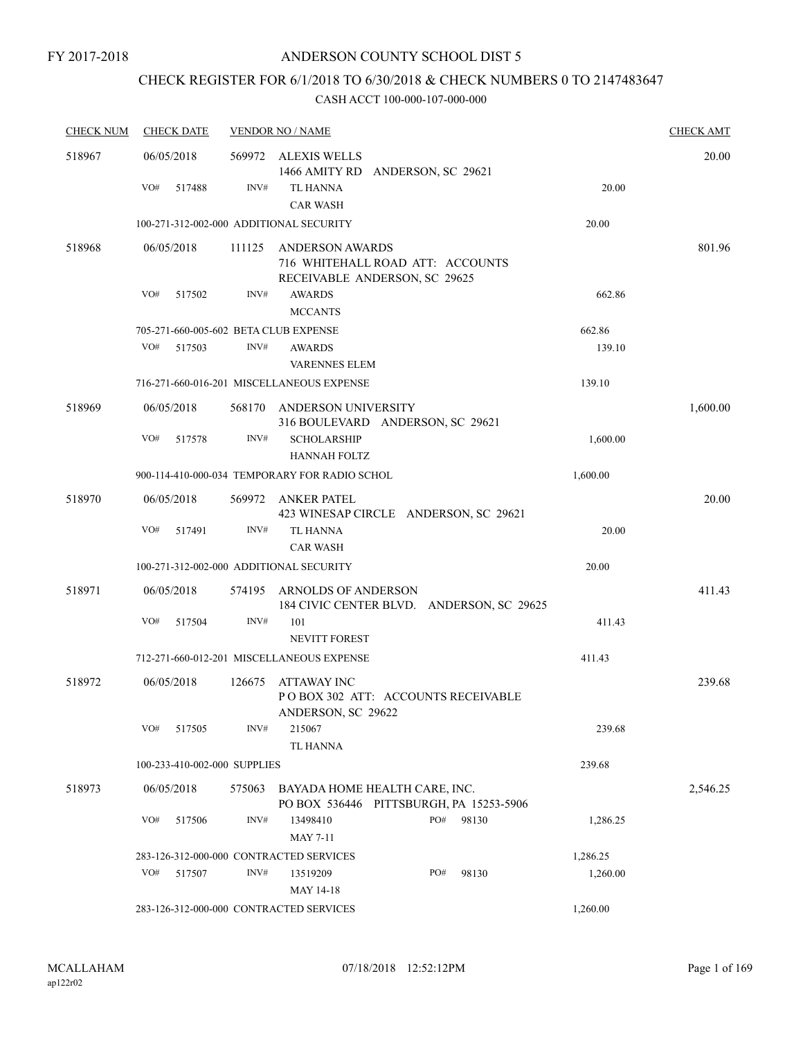# CHECK REGISTER FOR 6/1/2018 TO 6/30/2018 & CHECK NUMBERS 0 TO 2147483647

| <b>CHECK NUM</b> | <b>CHECK DATE</b>                       |        | <b>VENDOR NO / NAME</b>                                                  |          | <b>CHECK AMT</b> |
|------------------|-----------------------------------------|--------|--------------------------------------------------------------------------|----------|------------------|
| 518967           | 06/05/2018                              | 569972 | ALEXIS WELLS<br>1466 AMITY RD ANDERSON, SC 29621                         |          | 20.00            |
|                  | VO#<br>517488                           | INV#   | TL HANNA<br><b>CAR WASH</b>                                              | 20.00    |                  |
|                  | 100-271-312-002-000 ADDITIONAL SECURITY |        |                                                                          | 20.00    |                  |
| 518968           | 06/05/2018                              | 111125 | <b>ANDERSON AWARDS</b>                                                   |          | 801.96           |
|                  |                                         |        | 716 WHITEHALL ROAD ATT: ACCOUNTS<br>RECEIVABLE ANDERSON, SC 29625        |          |                  |
|                  | VO#<br>517502                           | INV#   | <b>AWARDS</b><br><b>MCCANTS</b>                                          | 662.86   |                  |
|                  | 705-271-660-005-602 BETA CLUB EXPENSE   |        |                                                                          | 662.86   |                  |
|                  | VO#<br>517503                           | INV#   | <b>AWARDS</b><br><b>VARENNES ELEM</b>                                    | 139.10   |                  |
|                  |                                         |        | 716-271-660-016-201 MISCELLANEOUS EXPENSE                                | 139.10   |                  |
| 518969           | 06/05/2018                              | 568170 | ANDERSON UNIVERSITY<br>316 BOULEVARD ANDERSON, SC 29621                  |          | 1,600.00         |
|                  | VO#<br>517578                           | INV#   | <b>SCHOLARSHIP</b><br><b>HANNAH FOLTZ</b>                                | 1,600.00 |                  |
|                  |                                         |        | 900-114-410-000-034 TEMPORARY FOR RADIO SCHOL                            | 1,600.00 |                  |
| 518970           | 06/05/2018                              |        | 569972 ANKER PATEL<br>423 WINESAP CIRCLE ANDERSON, SC 29621              |          | 20.00            |
|                  | VO#<br>517491                           | INV#   | TL HANNA<br><b>CAR WASH</b>                                              | 20.00    |                  |
|                  | 100-271-312-002-000 ADDITIONAL SECURITY |        |                                                                          | 20.00    |                  |
| 518971           | 06/05/2018                              | 574195 | ARNOLDS OF ANDERSON<br>184 CIVIC CENTER BLVD. ANDERSON, SC 29625         |          | 411.43           |
|                  | VO#<br>517504                           | INV#   | 101<br><b>NEVITT FOREST</b>                                              | 411.43   |                  |
|                  |                                         |        | 712-271-660-012-201 MISCELLANEOUS EXPENSE                                | 411.43   |                  |
| 518972           | 06/05/2018                              | 126675 | ATTAWAY INC                                                              |          | 239.68           |
|                  |                                         |        | PO BOX 302 ATT: ACCOUNTS RECEIVABLE<br>ANDERSON, SC 29622                |          |                  |
|                  | VO#<br>517505                           | INV#   | 215067<br>TL HANNA                                                       | 239.68   |                  |
|                  | 100-233-410-002-000 SUPPLIES            |        |                                                                          | 239.68   |                  |
| 518973           | 06/05/2018                              | 575063 | BAYADA HOME HEALTH CARE, INC.<br>PO BOX 536446 PITTSBURGH, PA 15253-5906 |          | 2,546.25         |
|                  | VO#<br>517506                           | INV#   | PO#<br>98130<br>13498410<br>MAY 7-11                                     | 1,286.25 |                  |
|                  | 283-126-312-000-000 CONTRACTED SERVICES |        |                                                                          | 1,286.25 |                  |
|                  | VO#<br>517507                           | INV#   | PO#<br>13519209<br>98130<br>MAY 14-18                                    | 1,260.00 |                  |
|                  | 283-126-312-000-000 CONTRACTED SERVICES |        |                                                                          | 1,260.00 |                  |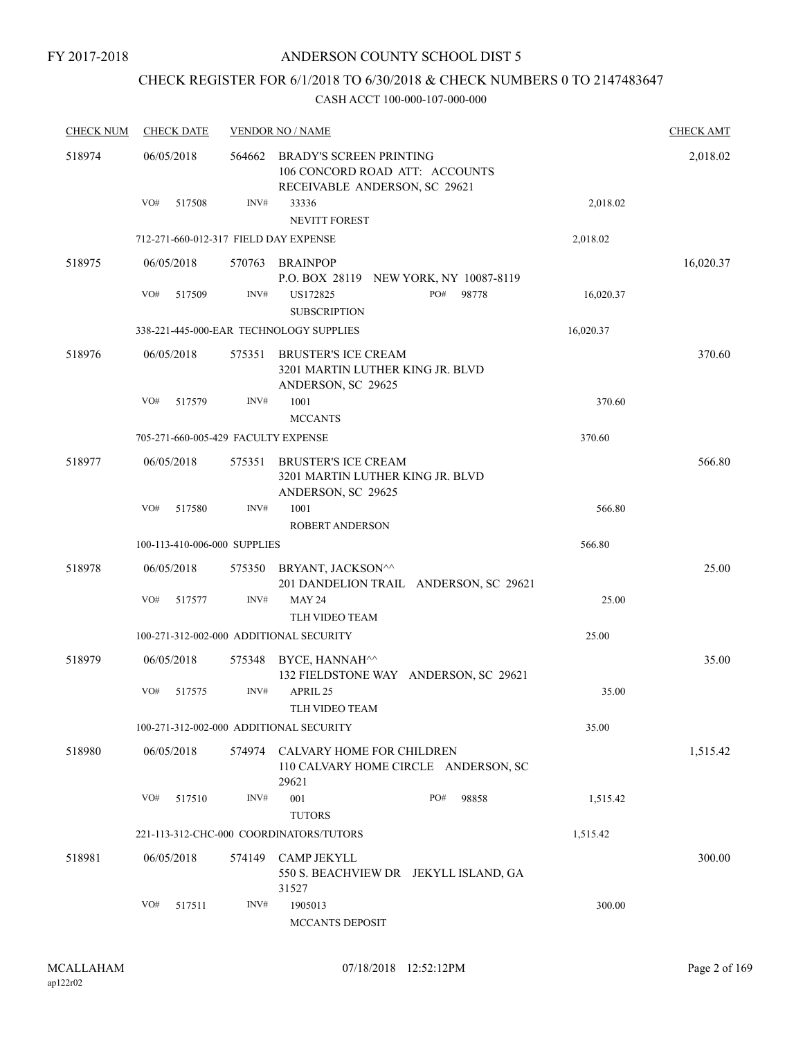FY 2017-2018

## ANDERSON COUNTY SCHOOL DIST 5

# CHECK REGISTER FOR 6/1/2018 TO 6/30/2018 & CHECK NUMBERS 0 TO 2147483647

| <b>CHECK NUM</b> | <b>CHECK DATE</b>                       |        | <b>VENDOR NO / NAME</b>                                                                           |       |           | <b>CHECK AMT</b> |
|------------------|-----------------------------------------|--------|---------------------------------------------------------------------------------------------------|-------|-----------|------------------|
| 518974           | 06/05/2018                              | 564662 | <b>BRADY'S SCREEN PRINTING</b><br>106 CONCORD ROAD ATT: ACCOUNTS<br>RECEIVABLE ANDERSON, SC 29621 |       |           | 2,018.02         |
|                  | VO#<br>517508                           | INV#   | 33336<br><b>NEVITT FOREST</b>                                                                     |       | 2,018.02  |                  |
|                  | 712-271-660-012-317 FIELD DAY EXPENSE   |        |                                                                                                   |       | 2,018.02  |                  |
| 518975           | 06/05/2018                              | 570763 | <b>BRAINPOP</b><br>P.O. BOX 28119 NEW YORK, NY 10087-8119                                         |       |           | 16,020.37        |
|                  | VO#<br>517509                           | INV#   | PO#<br>US172825<br><b>SUBSCRIPTION</b>                                                            | 98778 | 16,020.37 |                  |
|                  |                                         |        | 338-221-445-000-EAR TECHNOLOGY SUPPLIES                                                           |       | 16,020.37 |                  |
| 518976           | 06/05/2018                              | 575351 | <b>BRUSTER'S ICE CREAM</b><br>3201 MARTIN LUTHER KING JR. BLVD<br>ANDERSON, SC 29625              |       |           | 370.60           |
|                  | VO#<br>517579                           | INV#   | 1001<br><b>MCCANTS</b>                                                                            |       | 370.60    |                  |
|                  | 705-271-660-005-429 FACULTY EXPENSE     |        |                                                                                                   |       | 370.60    |                  |
| 518977           | 06/05/2018                              | 575351 | <b>BRUSTER'S ICE CREAM</b><br>3201 MARTIN LUTHER KING JR. BLVD<br>ANDERSON, SC 29625              |       |           | 566.80           |
|                  | VO#<br>517580                           | INV#   | 1001<br>ROBERT ANDERSON                                                                           |       | 566.80    |                  |
|                  | 100-113-410-006-000 SUPPLIES            |        |                                                                                                   |       | 566.80    |                  |
| 518978           | 06/05/2018                              | 575350 | BRYANT, JACKSON^^<br>201 DANDELION TRAIL ANDERSON, SC 29621                                       |       |           | 25.00            |
|                  | VO#<br>517577                           | INV#   | <b>MAY 24</b><br>TLH VIDEO TEAM                                                                   |       | 25.00     |                  |
|                  | 100-271-312-002-000 ADDITIONAL SECURITY |        |                                                                                                   |       | 25.00     |                  |
| 518979           | 06/05/2018                              | 575348 | BYCE, HANNAH^^<br>132 FIELDSTONE WAY ANDERSON, SC 29621                                           |       |           | 35.00            |
|                  | VO#<br>517575                           | INV#   | APRIL 25<br><b>TLH VIDEO TEAM</b>                                                                 |       | 35.00     |                  |
|                  | 100-271-312-002-000 ADDITIONAL SECURITY |        |                                                                                                   |       | 35.00     |                  |
| 518980           | 06/05/2018                              | 574974 | <b>CALVARY HOME FOR CHILDREN</b><br>110 CALVARY HOME CIRCLE ANDERSON, SC<br>29621                 |       |           | 1,515.42         |
|                  | VO#<br>517510                           | INV#   | 001<br>PO#<br><b>TUTORS</b>                                                                       | 98858 | 1,515.42  |                  |
|                  |                                         |        | 221-113-312-CHC-000 COORDINATORS/TUTORS                                                           |       | 1,515.42  |                  |
| 518981           | 06/05/2018                              | 574149 | <b>CAMP JEKYLL</b><br>550 S. BEACHVIEW DR JEKYLL ISLAND, GA<br>31527                              |       |           | 300.00           |
|                  | VO#<br>517511                           | INV#   | 1905013<br><b>MCCANTS DEPOSIT</b>                                                                 |       | 300.00    |                  |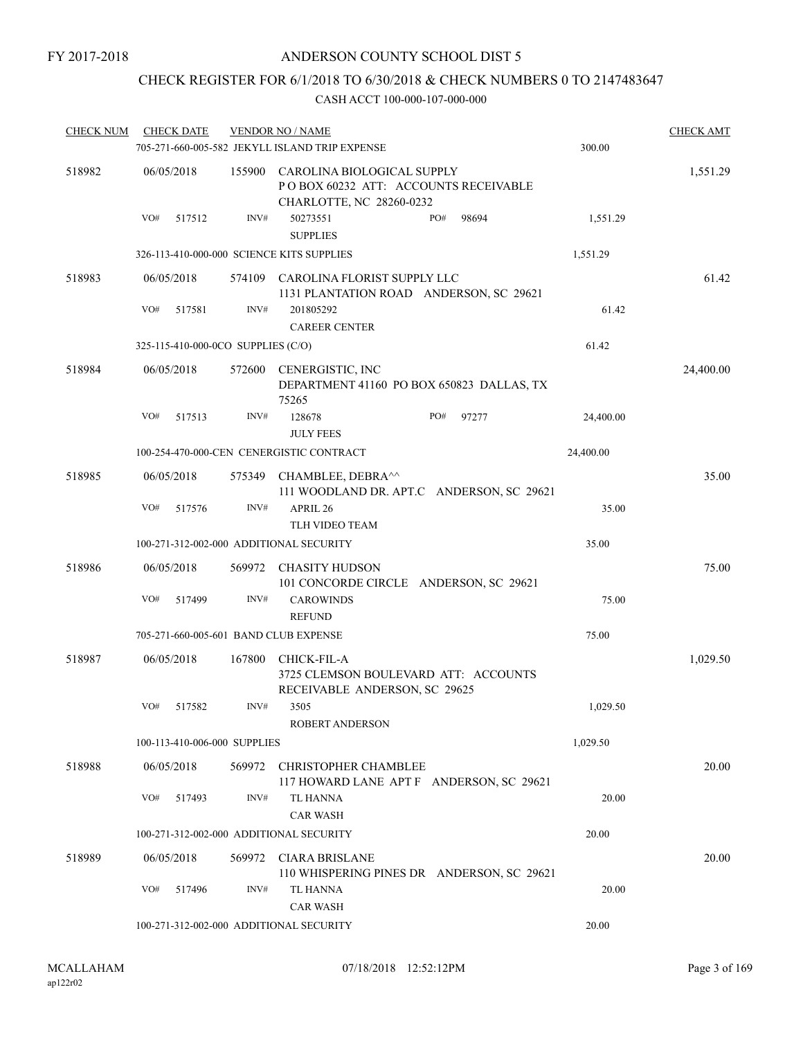## CHECK REGISTER FOR 6/1/2018 TO 6/30/2018 & CHECK NUMBERS 0 TO 2147483647

| <b>CHECK NUM</b> |     | <b>CHECK DATE</b>                  |        | <b>VENDOR NO / NAME</b>                                                                        |     |       |           | <b>CHECK AMT</b> |
|------------------|-----|------------------------------------|--------|------------------------------------------------------------------------------------------------|-----|-------|-----------|------------------|
|                  |     |                                    |        | 705-271-660-005-582 JEKYLL ISLAND TRIP EXPENSE                                                 |     |       | 300.00    |                  |
| 518982           |     | 06/05/2018                         | 155900 | CAROLINA BIOLOGICAL SUPPLY<br>POBOX 60232 ATT: ACCOUNTS RECEIVABLE<br>CHARLOTTE, NC 28260-0232 |     |       |           | 1,551.29         |
|                  | VO# | 517512                             | INV#   | 50273551<br><b>SUPPLIES</b>                                                                    | PO# | 98694 | 1,551.29  |                  |
|                  |     |                                    |        | 326-113-410-000-000 SCIENCE KITS SUPPLIES                                                      |     |       | 1,551.29  |                  |
| 518983           |     | 06/05/2018                         |        | 574109 CAROLINA FLORIST SUPPLY LLC<br>1131 PLANTATION ROAD ANDERSON, SC 29621                  |     |       |           | 61.42            |
|                  | VO# | 517581                             | INV#   | 201805292<br><b>CAREER CENTER</b>                                                              |     |       | 61.42     |                  |
|                  |     | 325-115-410-000-0CO SUPPLIES (C/O) |        |                                                                                                |     |       | 61.42     |                  |
| 518984           |     | 06/05/2018                         | 572600 | CENERGISTIC, INC<br>DEPARTMENT 41160 PO BOX 650823 DALLAS, TX<br>75265                         |     |       |           | 24,400.00        |
|                  | VO# | 517513                             | INV#   | 128678<br><b>JULY FEES</b>                                                                     | PO# | 97277 | 24,400.00 |                  |
|                  |     |                                    |        | 100-254-470-000-CEN CENERGISTIC CONTRACT                                                       |     |       | 24,400.00 |                  |
| 518985           |     | 06/05/2018                         | 575349 | CHAMBLEE, DEBRA^^<br>111 WOODLAND DR. APT.C ANDERSON, SC 29621                                 |     |       |           | 35.00            |
|                  | VO# | 517576                             | INV#   | APRIL 26<br>TLH VIDEO TEAM                                                                     |     |       | 35.00     |                  |
|                  |     |                                    |        | 100-271-312-002-000 ADDITIONAL SECURITY                                                        |     |       | 35.00     |                  |
| 518986           |     | 06/05/2018                         | 569972 | CHASITY HUDSON<br>101 CONCORDE CIRCLE ANDERSON, SC 29621                                       |     |       |           | 75.00            |
|                  | VO# | 517499                             | INV#   | <b>CAROWINDS</b><br><b>REFUND</b>                                                              |     |       | 75.00     |                  |
|                  |     |                                    |        | 705-271-660-005-601 BAND CLUB EXPENSE                                                          |     |       | 75.00     |                  |
| 518987           |     | 06/05/2018                         | 167800 | CHICK-FIL-A<br>3725 CLEMSON BOULEVARD ATT: ACCOUNTS<br>RECEIVABLE ANDERSON, SC 29625           |     |       |           | 1,029.50         |
|                  | VO# | 517582                             | INV#   | 3505<br>ROBERT ANDERSON                                                                        |     |       | 1,029.50  |                  |
|                  |     | 100-113-410-006-000 SUPPLIES       |        |                                                                                                |     |       | 1,029.50  |                  |
| 518988           |     | 06/05/2018                         | 569972 | CHRISTOPHER CHAMBLEE<br>117 HOWARD LANE APT F ANDERSON, SC 29621                               |     |       |           | 20.00            |
|                  | VO# | 517493                             | INV#   | TL HANNA<br><b>CAR WASH</b>                                                                    |     |       | 20.00     |                  |
|                  |     |                                    |        | 100-271-312-002-000 ADDITIONAL SECURITY                                                        |     |       | 20.00     |                  |
| 518989           |     | 06/05/2018                         | 569972 | CIARA BRISLANE<br>110 WHISPERING PINES DR ANDERSON, SC 29621                                   |     |       |           | 20.00            |
|                  | VO# | 517496                             | INV#   | TL HANNA<br><b>CAR WASH</b>                                                                    |     |       | 20.00     |                  |
|                  |     |                                    |        | 100-271-312-002-000 ADDITIONAL SECURITY                                                        |     |       | 20.00     |                  |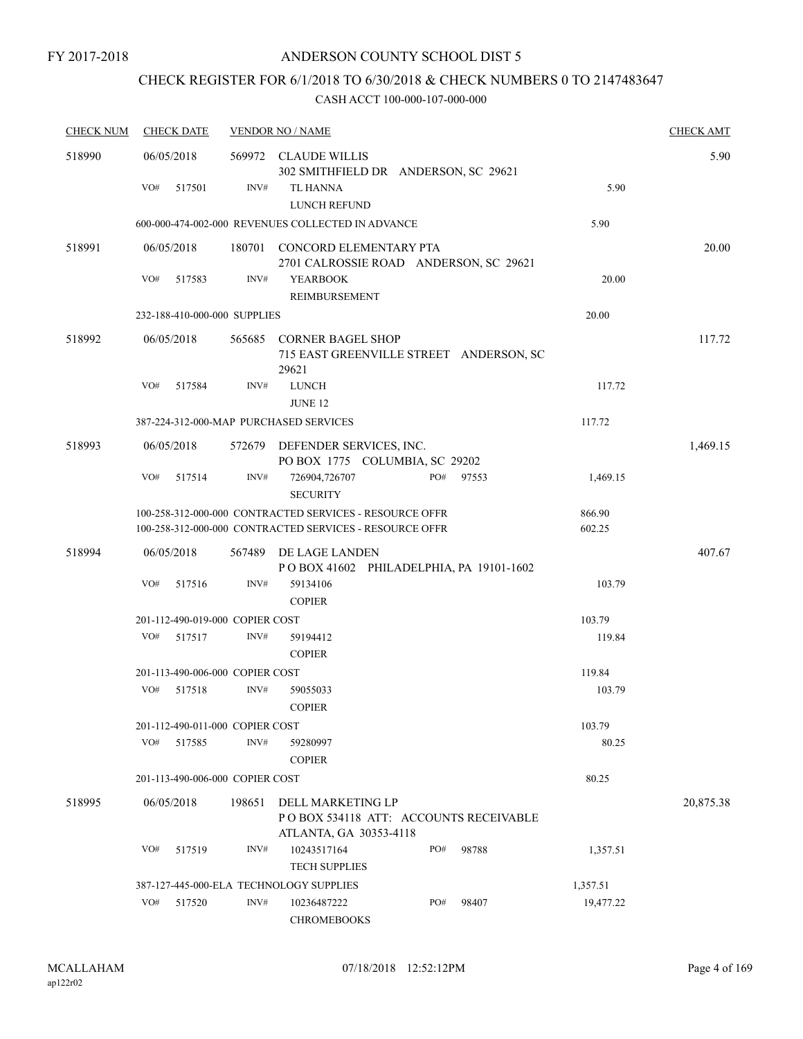# CHECK REGISTER FOR 6/1/2018 TO 6/30/2018 & CHECK NUMBERS 0 TO 2147483647

| <b>CHECK NUM</b> | <b>CHECK DATE</b> |                                 |        | <b>VENDOR NO / NAME</b>                                                                                            |     |       |                  | <b>CHECK AMT</b> |
|------------------|-------------------|---------------------------------|--------|--------------------------------------------------------------------------------------------------------------------|-----|-------|------------------|------------------|
| 518990           | 06/05/2018        |                                 |        | 569972 CLAUDE WILLIS<br>302 SMITHFIELD DR ANDERSON, SC 29621                                                       |     |       |                  | 5.90             |
|                  | VO#               | 517501                          | INV#   | TL HANNA<br>LUNCH REFUND                                                                                           |     |       | 5.90             |                  |
|                  |                   |                                 |        | 600-000-474-002-000 REVENUES COLLECTED IN ADVANCE                                                                  |     |       | 5.90             |                  |
| 518991           | 06/05/2018        |                                 |        | 180701 CONCORD ELEMENTARY PTA<br>2701 CALROSSIE ROAD ANDERSON, SC 29621                                            |     |       |                  | 20.00            |
|                  | VO#               | 517583                          | INV#   | <b>YEARBOOK</b><br>REIMBURSEMENT                                                                                   |     |       | 20.00            |                  |
|                  |                   | 232-188-410-000-000 SUPPLIES    |        |                                                                                                                    |     |       | 20.00            |                  |
| 518992           | 06/05/2018        |                                 |        | 565685 CORNER BAGEL SHOP<br>715 EAST GREENVILLE STREET ANDERSON, SC<br>29621                                       |     |       |                  | 117.72           |
|                  | VO#               | 517584                          | INV#   | <b>LUNCH</b><br><b>JUNE 12</b>                                                                                     |     |       | 117.72           |                  |
|                  |                   |                                 |        | 387-224-312-000-MAP PURCHASED SERVICES                                                                             |     |       | 117.72           |                  |
| 518993           | 06/05/2018        |                                 | 572679 | DEFENDER SERVICES, INC.<br>PO BOX 1775 COLUMBIA, SC 29202                                                          |     |       |                  | 1,469.15         |
|                  | VO#               | 517514                          | INV#   | 726904,726707<br><b>SECURITY</b>                                                                                   | PO# | 97553 | 1,469.15         |                  |
|                  |                   |                                 |        | 100-258-312-000-000 CONTRACTED SERVICES - RESOURCE OFFR<br>100-258-312-000-000 CONTRACTED SERVICES - RESOURCE OFFR |     |       | 866.90<br>602.25 |                  |
| 518994           | 06/05/2018        |                                 | 567489 | DE LAGE LANDEN<br>POBOX 41602 PHILADELPHIA, PA 19101-1602                                                          |     |       |                  | 407.67           |
|                  | VO#               | 517516                          | INV#   | 59134106<br><b>COPIER</b>                                                                                          |     |       | 103.79           |                  |
|                  |                   | 201-112-490-019-000 COPIER COST |        |                                                                                                                    |     |       | 103.79           |                  |
|                  | VO#               | 517517                          | INV#   | 59194412<br><b>COPIER</b>                                                                                          |     |       | 119.84           |                  |
|                  |                   | 201-113-490-006-000 COPIER COST |        |                                                                                                                    |     |       | 119.84           |                  |
|                  | VO#               | 517518                          | INV#   | 59055033<br><b>COPIER</b>                                                                                          |     |       | 103.79           |                  |
|                  |                   | 201-112-490-011-000 COPIER COST |        |                                                                                                                    |     |       | 103.79           |                  |
|                  | VO#               | 517585                          | INV#   | 59280997<br><b>COPIER</b>                                                                                          |     |       | 80.25            |                  |
|                  |                   | 201-113-490-006-000 COPIER COST |        |                                                                                                                    |     |       | 80.25            |                  |
| 518995           | 06/05/2018        |                                 | 198651 | DELL MARKETING LP<br>PO BOX 534118 ATT: ACCOUNTS RECEIVABLE<br>ATLANTA, GA 30353-4118                              |     |       |                  | 20,875.38        |
|                  | VO#               | 517519                          | INV#   | 10243517164<br><b>TECH SUPPLIES</b>                                                                                | PO# | 98788 | 1,357.51         |                  |
|                  |                   |                                 |        | 387-127-445-000-ELA TECHNOLOGY SUPPLIES                                                                            |     |       | 1,357.51         |                  |
|                  | VO#               | 517520                          | INV#   | 10236487222<br><b>CHROMEBOOKS</b>                                                                                  | PO# | 98407 | 19,477.22        |                  |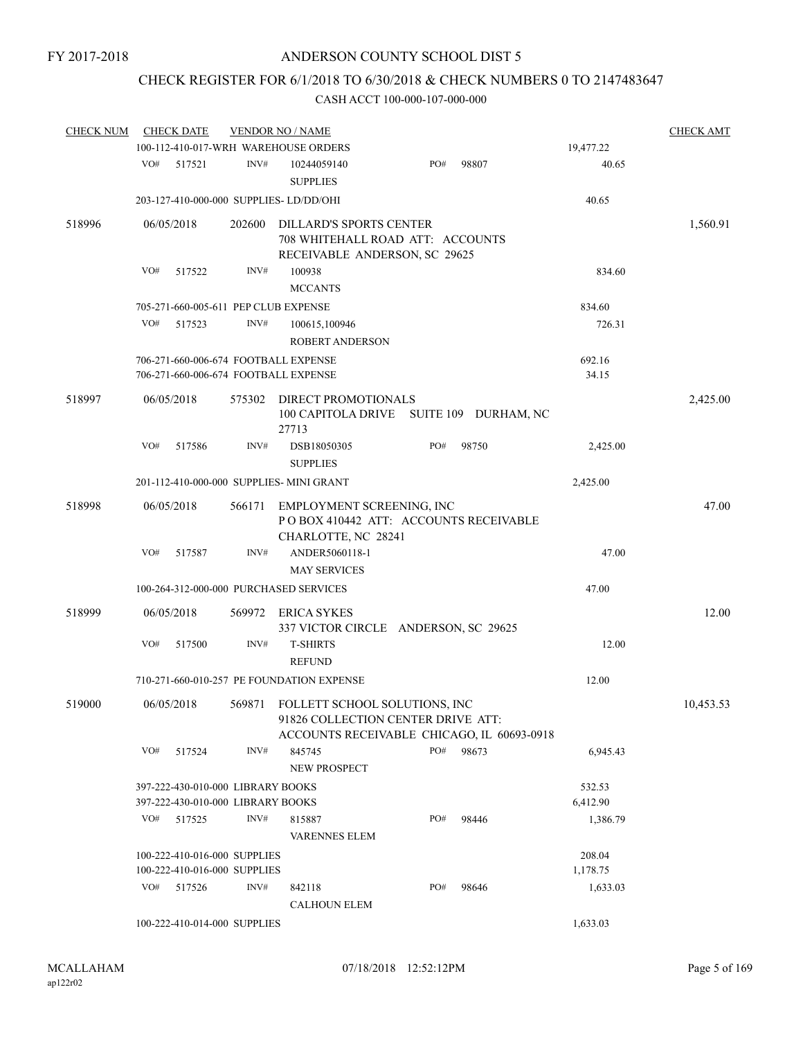# CHECK REGISTER FOR 6/1/2018 TO 6/30/2018 & CHECK NUMBERS 0 TO 2147483647

| <b>CHECK NUM</b> |     | <b>CHECK DATE</b> |                                           | <b>VENDOR NO / NAME</b>                                             |     |                      |           | <b>CHECK AMT</b> |
|------------------|-----|-------------------|-------------------------------------------|---------------------------------------------------------------------|-----|----------------------|-----------|------------------|
|                  |     |                   |                                           | 100-112-410-017-WRH WAREHOUSE ORDERS                                |     |                      | 19,477.22 |                  |
|                  | VO# | 517521            | INV#                                      | 10244059140<br><b>SUPPLIES</b>                                      | PO# | 98807                | 40.65     |                  |
|                  |     |                   |                                           | 203-127-410-000-000 SUPPLIES- LD/DD/OHI                             |     |                      | 40.65     |                  |
| 518996           |     | 06/05/2018        | 202600                                    | <b>DILLARD'S SPORTS CENTER</b>                                      |     |                      |           | 1,560.91         |
|                  |     |                   |                                           | 708 WHITEHALL ROAD ATT: ACCOUNTS<br>RECEIVABLE ANDERSON, SC 29625   |     |                      |           |                  |
|                  | VO# | 517522            | INV#                                      | 100938<br><b>MCCANTS</b>                                            |     |                      | 834.60    |                  |
|                  |     |                   |                                           | 705-271-660-005-611 PEP CLUB EXPENSE                                |     |                      | 834.60    |                  |
|                  | VO# | 517523            | INV#                                      | 100615,100946<br><b>ROBERT ANDERSON</b>                             |     | 726.31               |           |                  |
|                  |     |                   |                                           | 706-271-660-006-674 FOOTBALL EXPENSE                                |     |                      | 692.16    |                  |
|                  |     |                   |                                           | 706-271-660-006-674 FOOTBALL EXPENSE                                |     |                      | 34.15     |                  |
|                  |     |                   |                                           |                                                                     |     |                      |           |                  |
| 518997           |     | 06/05/2018        | 575302                                    | DIRECT PROMOTIONALS<br>100 CAPITOLA DRIVE<br>27713                  |     | SUITE 109 DURHAM, NC |           | 2,425.00         |
|                  | VO# | 517586            | INV#                                      | DSB18050305                                                         | PO# | 98750                | 2,425.00  |                  |
|                  |     |                   |                                           | <b>SUPPLIES</b>                                                     |     |                      |           |                  |
|                  |     |                   |                                           | 201-112-410-000-000 SUPPLIES- MINI GRANT                            |     |                      | 2,425.00  |                  |
| 518998           |     | 06/05/2018        | 566171                                    | EMPLOYMENT SCREENING, INC<br>PO BOX 410442 ATT: ACCOUNTS RECEIVABLE |     |                      |           | 47.00            |
|                  | VO# | 517587            | INV#                                      | CHARLOTTE, NC 28241<br>ANDER5060118-1<br><b>MAY SERVICES</b>        |     |                      | 47.00     |                  |
|                  |     |                   |                                           | 100-264-312-000-000 PURCHASED SERVICES                              |     |                      | 47.00     |                  |
| 518999           |     | 06/05/2018        | 569972                                    | ERICA SYKES                                                         |     |                      |           | 12.00            |
|                  | VO# | 517500            | INV#                                      | 337 VICTOR CIRCLE ANDERSON, SC 29625<br><b>T-SHIRTS</b>             |     |                      | 12.00     |                  |
|                  |     |                   |                                           | <b>REFUND</b>                                                       |     |                      |           |                  |
|                  |     |                   |                                           | 710-271-660-010-257 PE FOUNDATION EXPENSE                           |     |                      | 12.00     |                  |
| 519000           |     | 06/05/2018        | 569871                                    | FOLLETT SCHOOL SOLUTIONS, INC<br>91826 COLLECTION CENTER DRIVE ATT: |     |                      |           | 10,453.53        |
|                  |     |                   |                                           | ACCOUNTS RECEIVABLE CHICAGO, IL 60693-0918                          |     |                      |           |                  |
|                  | VO# | 517524            | INV#                                      | 845745<br>NEW PROSPECT                                              | PO# | 98673                | 6,945.43  |                  |
|                  |     |                   |                                           |                                                                     |     |                      |           |                  |
|                  |     |                   | 397-222-430-010-000 LIBRARY BOOKS         |                                                                     |     |                      | 532.53    |                  |
|                  | VO# | 517525            | 397-222-430-010-000 LIBRARY BOOKS<br>INV# | 815887                                                              | PO# | 98446                | 6,412.90  |                  |
|                  |     |                   |                                           | <b>VARENNES ELEM</b>                                                |     |                      | 1,386.79  |                  |
|                  |     |                   | 100-222-410-016-000 SUPPLIES              |                                                                     |     |                      | 208.04    |                  |
|                  |     |                   | 100-222-410-016-000 SUPPLIES              |                                                                     |     |                      | 1,178.75  |                  |
|                  | VO# | 517526            | INV#                                      | 842118                                                              | PO# | 98646                | 1,633.03  |                  |
|                  |     |                   |                                           | <b>CALHOUN ELEM</b>                                                 |     |                      |           |                  |
|                  |     |                   | 100-222-410-014-000 SUPPLIES              |                                                                     |     |                      | 1,633.03  |                  |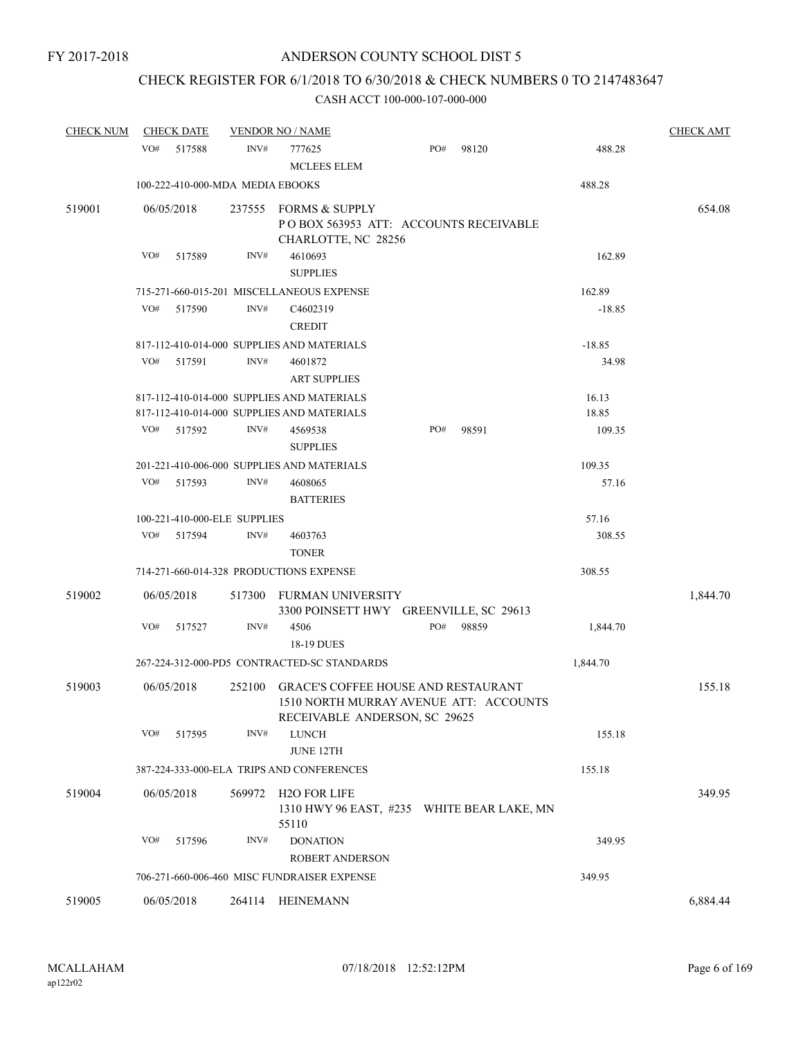# CHECK REGISTER FOR 6/1/2018 TO 6/30/2018 & CHECK NUMBERS 0 TO 2147483647

| <b>CHECK NUM</b> |            | <b>CHECK DATE</b>                |        | <b>VENDOR NO / NAME</b>                                                                                               |     |  |       |          | <b>CHECK AMT</b> |
|------------------|------------|----------------------------------|--------|-----------------------------------------------------------------------------------------------------------------------|-----|--|-------|----------|------------------|
|                  | VO#        | 517588                           | INV#   | 777625<br><b>MCLEES ELEM</b>                                                                                          | PO# |  | 98120 | 488.28   |                  |
|                  |            | 100-222-410-000-MDA MEDIA EBOOKS |        |                                                                                                                       |     |  |       | 488.28   |                  |
| 519001           | 06/05/2018 |                                  | 237555 | <b>FORMS &amp; SUPPLY</b><br>PO BOX 563953 ATT: ACCOUNTS RECEIVABLE<br>CHARLOTTE, NC 28256                            |     |  |       |          | 654.08           |
|                  | VO#        | 517589                           | INV#   | 4610693<br><b>SUPPLIES</b>                                                                                            |     |  |       | 162.89   |                  |
|                  |            |                                  |        | 715-271-660-015-201 MISCELLANEOUS EXPENSE                                                                             |     |  |       | 162.89   |                  |
|                  | VO#        | 517590                           | INV#   | C4602319<br><b>CREDIT</b>                                                                                             |     |  |       | $-18.85$ |                  |
|                  |            |                                  |        | 817-112-410-014-000 SUPPLIES AND MATERIALS                                                                            |     |  |       | $-18.85$ |                  |
|                  | VO#        | 517591                           | INV#   | 4601872<br><b>ART SUPPLIES</b>                                                                                        |     |  |       | 34.98    |                  |
|                  |            |                                  |        | 817-112-410-014-000 SUPPLIES AND MATERIALS                                                                            |     |  |       | 16.13    |                  |
|                  |            |                                  |        | 817-112-410-014-000 SUPPLIES AND MATERIALS                                                                            |     |  |       | 18.85    |                  |
|                  | VO#        | 517592                           | INV#   | 4569538<br><b>SUPPLIES</b>                                                                                            | PO# |  | 98591 | 109.35   |                  |
|                  |            |                                  |        | 201-221-410-006-000 SUPPLIES AND MATERIALS                                                                            |     |  |       | 109.35   |                  |
|                  | VO#        | 517593                           | INV#   | 4608065<br><b>BATTERIES</b>                                                                                           |     |  |       | 57.16    |                  |
|                  |            | 100-221-410-000-ELE SUPPLIES     |        |                                                                                                                       |     |  |       | 57.16    |                  |
|                  | VO#        | 517594                           | INV#   | 4603763<br><b>TONER</b>                                                                                               |     |  |       | 308.55   |                  |
|                  |            |                                  |        | 714-271-660-014-328 PRODUCTIONS EXPENSE                                                                               |     |  |       | 308.55   |                  |
| 519002           | 06/05/2018 |                                  | 517300 | FURMAN UNIVERSITY<br>3300 POINSETT HWY GREENVILLE, SC 29613                                                           |     |  |       |          | 1,844.70         |
|                  | VO#        | 517527                           | INV#   | 4506<br>18-19 DUES                                                                                                    | PO# |  | 98859 | 1,844.70 |                  |
|                  |            |                                  |        | 267-224-312-000-PD5 CONTRACTED-SC STANDARDS                                                                           |     |  |       | 1,844.70 |                  |
| 519003           | 06/05/2018 |                                  | 252100 | <b>GRACE'S COFFEE HOUSE AND RESTAURANT</b><br>1510 NORTH MURRAY AVENUE ATT: ACCOUNTS<br>RECEIVABLE ANDERSON, SC 29625 |     |  |       |          | 155.18           |
|                  | VO#        | 517595                           | INV#   | <b>LUNCH</b><br>JUNE 12TH                                                                                             |     |  |       | 155.18   |                  |
|                  |            |                                  |        | 387-224-333-000-ELA TRIPS AND CONFERENCES                                                                             |     |  |       | 155.18   |                  |
| 519004           | 06/05/2018 |                                  | 569972 | H2O FOR LIFE                                                                                                          |     |  |       |          | 349.95           |
|                  |            |                                  |        | 1310 HWY 96 EAST, #235 WHITE BEAR LAKE, MN<br>55110                                                                   |     |  |       |          |                  |
|                  | VO#        | 517596                           | INV#   | <b>DONATION</b><br>ROBERT ANDERSON                                                                                    |     |  |       | 349.95   |                  |
|                  |            |                                  |        | 706-271-660-006-460 MISC FUNDRAISER EXPENSE                                                                           |     |  |       | 349.95   |                  |
| 519005           | 06/05/2018 |                                  |        | 264114 HEINEMANN                                                                                                      |     |  |       |          | 6,884.44         |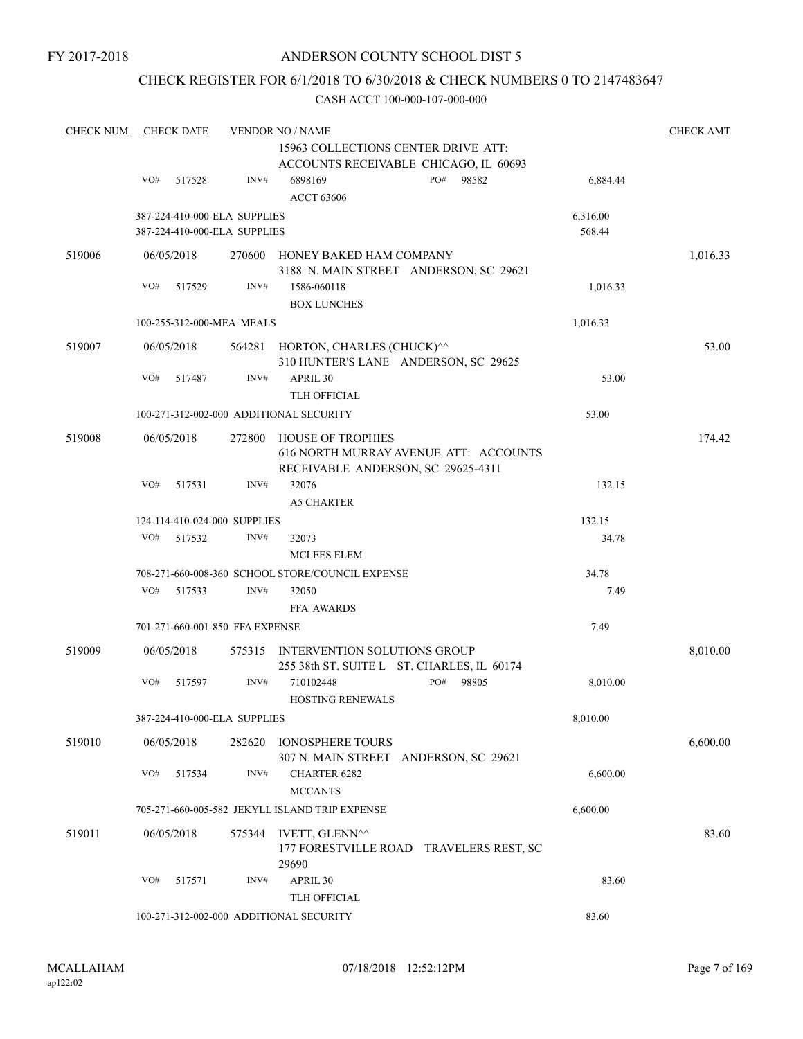## CHECK REGISTER FOR 6/1/2018 TO 6/30/2018 & CHECK NUMBERS 0 TO 2147483647

| <b>CHECK NUM</b> | <b>CHECK DATE</b> |        |                                 | <b>VENDOR NO / NAME</b>                                                      |     |       |          | <b>CHECK AMT</b> |
|------------------|-------------------|--------|---------------------------------|------------------------------------------------------------------------------|-----|-------|----------|------------------|
|                  |                   |        |                                 | 15963 COLLECTIONS CENTER DRIVE ATT:<br>ACCOUNTS RECEIVABLE CHICAGO, IL 60693 |     |       |          |                  |
|                  | VO#               | 517528 | INV#                            | 6898169                                                                      | PO# | 98582 | 6,884.44 |                  |
|                  |                   |        |                                 | <b>ACCT 63606</b>                                                            |     |       |          |                  |
|                  |                   |        | 387-224-410-000-ELA SUPPLIES    |                                                                              |     |       | 6,316.00 |                  |
|                  |                   |        | 387-224-410-000-ELA SUPPLIES    |                                                                              |     |       | 568.44   |                  |
| 519006           | 06/05/2018        |        | 270600                          | HONEY BAKED HAM COMPANY                                                      |     |       |          | 1,016.33         |
|                  |                   |        |                                 | 3188 N. MAIN STREET ANDERSON, SC 29621                                       |     |       |          |                  |
|                  | VO#               | 517529 | INV#                            | 1586-060118                                                                  |     |       | 1,016.33 |                  |
|                  |                   |        |                                 | <b>BOX LUNCHES</b>                                                           |     |       |          |                  |
|                  |                   |        | 100-255-312-000-MEA MEALS       |                                                                              |     |       | 1,016.33 |                  |
| 519007           | 06/05/2018        |        |                                 | 564281 HORTON, CHARLES (CHUCK)^^<br>310 HUNTER'S LANE ANDERSON, SC 29625     |     |       |          | 53.00            |
|                  | VO#               | 517487 | INV#                            | APRIL 30                                                                     |     |       | 53.00    |                  |
|                  |                   |        |                                 | TLH OFFICIAL                                                                 |     |       |          |                  |
|                  |                   |        |                                 | 100-271-312-002-000 ADDITIONAL SECURITY                                      |     |       | 53.00    |                  |
| 519008           | 06/05/2018        |        | 272800                          | <b>HOUSE OF TROPHIES</b>                                                     |     |       |          | 174.42           |
|                  |                   |        |                                 | 616 NORTH MURRAY AVENUE ATT: ACCOUNTS                                        |     |       |          |                  |
|                  |                   |        |                                 | RECEIVABLE ANDERSON, SC 29625-4311                                           |     |       |          |                  |
|                  | VO#               | 517531 | INV#                            | 32076                                                                        |     |       | 132.15   |                  |
|                  |                   |        |                                 | <b>A5 CHARTER</b>                                                            |     |       |          |                  |
|                  |                   |        | 124-114-410-024-000 SUPPLIES    |                                                                              |     |       | 132.15   |                  |
|                  | VO#               | 517532 | INV#                            | 32073                                                                        |     |       | 34.78    |                  |
|                  |                   |        |                                 | <b>MCLEES ELEM</b><br>708-271-660-008-360 SCHOOL STORE/COUNCIL EXPENSE       |     |       | 34.78    |                  |
|                  | VO#               | 517533 | INV#                            | 32050                                                                        |     |       | 7.49     |                  |
|                  |                   |        |                                 | <b>FFA AWARDS</b>                                                            |     |       |          |                  |
|                  |                   |        | 701-271-660-001-850 FFA EXPENSE |                                                                              |     |       | 7.49     |                  |
|                  |                   |        |                                 |                                                                              |     |       |          |                  |
| 519009           | 06/05/2018        |        | 575315                          | INTERVENTION SOLUTIONS GROUP<br>255 38th ST. SUITE L ST. CHARLES, IL 60174   |     |       |          | 8,010.00         |
|                  | VO#               | 517597 | INV#                            | 710102448                                                                    | PO# | 98805 | 8,010.00 |                  |
|                  |                   |        |                                 | <b>HOSTING RENEWALS</b>                                                      |     |       |          |                  |
|                  |                   |        | 387-224-410-000-ELA SUPPLIES    |                                                                              |     |       | 8,010.00 |                  |
| 519010           | 06/05/2018        |        | 282620                          | <b>IONOSPHERE TOURS</b>                                                      |     |       |          | 6,600.00         |
|                  |                   |        |                                 | 307 N. MAIN STREET ANDERSON, SC 29621                                        |     |       |          |                  |
|                  | VO#               | 517534 | INV#                            | <b>CHARTER 6282</b>                                                          |     |       | 6,600.00 |                  |
|                  |                   |        |                                 | <b>MCCANTS</b>                                                               |     |       |          |                  |
|                  |                   |        |                                 | 705-271-660-005-582 JEKYLL ISLAND TRIP EXPENSE                               |     |       | 6,600.00 |                  |
| 519011           | 06/05/2018        |        | 575344                          | IVETT, GLENN^^                                                               |     |       |          | 83.60            |
|                  |                   |        |                                 | 177 FORESTVILLE ROAD TRAVELERS REST, SC<br>29690                             |     |       |          |                  |
|                  | VO#               | 517571 | INV#                            | APRIL 30                                                                     |     |       | 83.60    |                  |
|                  |                   |        |                                 | TLH OFFICIAL                                                                 |     |       |          |                  |
|                  |                   |        |                                 | 100-271-312-002-000 ADDITIONAL SECURITY                                      |     |       | 83.60    |                  |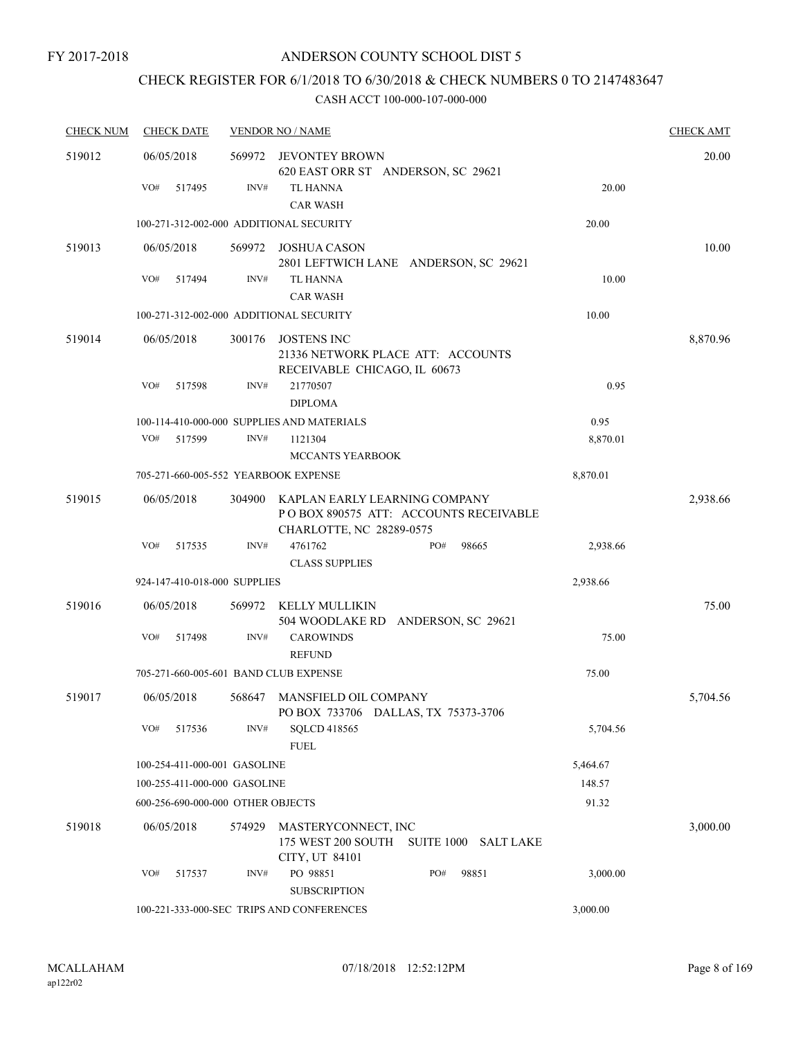# CHECK REGISTER FOR 6/1/2018 TO 6/30/2018 & CHECK NUMBERS 0 TO 2147483647

| <b>CHECK NUM</b> | <b>CHECK DATE</b>                       |        | <b>VENDOR NO / NAME</b>                                                                             |          | <b>CHECK AMT</b> |
|------------------|-----------------------------------------|--------|-----------------------------------------------------------------------------------------------------|----------|------------------|
| 519012           | 06/05/2018                              | 569972 | JEVONTEY BROWN<br>620 EAST ORR ST ANDERSON, SC 29621                                                |          | 20.00            |
|                  | VO#<br>517495                           | INV#   | TL HANNA<br><b>CAR WASH</b>                                                                         | 20.00    |                  |
|                  | 100-271-312-002-000 ADDITIONAL SECURITY |        |                                                                                                     | 20.00    |                  |
| 519013           | 06/05/2018                              | 569972 | JOSHUA CASON<br>2801 LEFTWICH LANE ANDERSON, SC 29621                                               |          | 10.00            |
|                  | VO#<br>517494                           | INV#   | <b>TL HANNA</b><br><b>CAR WASH</b>                                                                  | 10.00    |                  |
|                  | 100-271-312-002-000 ADDITIONAL SECURITY |        |                                                                                                     | 10.00    |                  |
| 519014           | 06/05/2018                              | 300176 | JOSTENS INC<br>21336 NETWORK PLACE ATT: ACCOUNTS<br>RECEIVABLE CHICAGO, IL 60673                    |          | 8,870.96         |
|                  | VO#<br>517598                           | INV#   | 21770507<br><b>DIPLOMA</b>                                                                          | 0.95     |                  |
|                  |                                         |        | 100-114-410-000-000 SUPPLIES AND MATERIALS                                                          | 0.95     |                  |
|                  | VO#<br>517599                           | INV#   | 1121304                                                                                             | 8,870.01 |                  |
|                  |                                         |        | MCCANTS YEARBOOK                                                                                    |          |                  |
|                  | 705-271-660-005-552 YEARBOOK EXPENSE    |        |                                                                                                     | 8,870.01 |                  |
| 519015           | 06/05/2018                              | 304900 | KAPLAN EARLY LEARNING COMPANY<br>PO BOX 890575 ATT: ACCOUNTS RECEIVABLE<br>CHARLOTTE, NC 28289-0575 |          | 2,938.66         |
|                  | VO#<br>517535                           | INV#   | 4761762<br>PO#<br>98665<br><b>CLASS SUPPLIES</b>                                                    | 2,938.66 |                  |
|                  | 924-147-410-018-000 SUPPLIES            |        |                                                                                                     | 2,938.66 |                  |
| 519016           | 06/05/2018                              | 569972 | KELLY MULLIKIN<br>504 WOODLAKE RD ANDERSON, SC 29621                                                |          | 75.00            |
|                  | VO#<br>517498                           | INV#   | <b>CAROWINDS</b><br><b>REFUND</b>                                                                   | 75.00    |                  |
|                  | 705-271-660-005-601 BAND CLUB EXPENSE   |        |                                                                                                     | 75.00    |                  |
| 519017           | 06/05/2018                              |        | 568647 MANSFIELD OIL COMPANY<br>PO BOX 733706 DALLAS, TX 75373-3706                                 |          | 5,704.56         |
|                  | VO#<br>517536                           | INV#   | <b>SOLCD 418565</b><br><b>FUEL</b>                                                                  | 5,704.56 |                  |
|                  | 100-254-411-000-001 GASOLINE            |        |                                                                                                     | 5,464.67 |                  |
|                  | 100-255-411-000-000 GASOLINE            |        |                                                                                                     | 148.57   |                  |
|                  | 600-256-690-000-000 OTHER OBJECTS       |        |                                                                                                     | 91.32    |                  |
| 519018           | 06/05/2018                              | 574929 | MASTERYCONNECT, INC<br>175 WEST 200 SOUTH<br>SUITE 1000 SALT LAKE                                   |          | 3,000.00         |
|                  | VO#<br>517537                           | INV#   | CITY, UT 84101<br>PO 98851<br>PO#<br>98851<br><b>SUBSCRIPTION</b>                                   | 3,000.00 |                  |
|                  |                                         |        | 100-221-333-000-SEC TRIPS AND CONFERENCES                                                           | 3,000.00 |                  |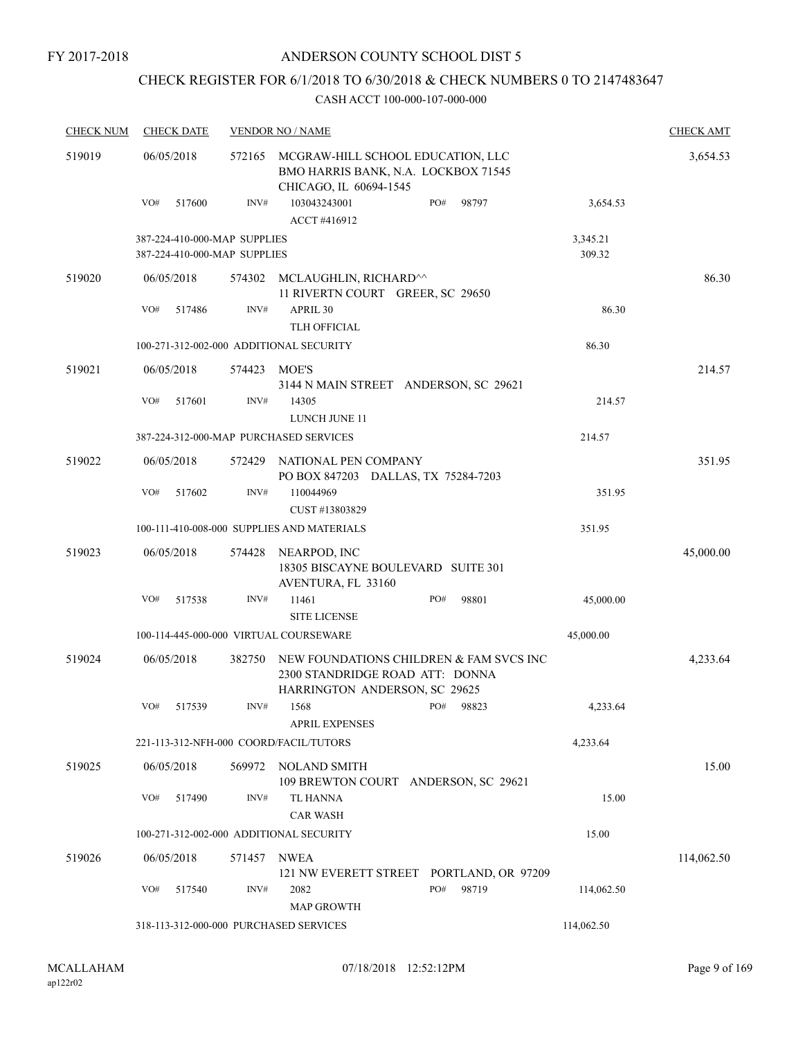# CHECK REGISTER FOR 6/1/2018 TO 6/30/2018 & CHECK NUMBERS 0 TO 2147483647

| <b>CHECK NUM</b> | <b>CHECK DATE</b>                                            |                | <b>VENDOR NO / NAME</b>                                                                                     |              |                    | <b>CHECK AMT</b> |
|------------------|--------------------------------------------------------------|----------------|-------------------------------------------------------------------------------------------------------------|--------------|--------------------|------------------|
| 519019           | 06/05/2018                                                   | 572165         | MCGRAW-HILL SCHOOL EDUCATION, LLC<br>BMO HARRIS BANK, N.A. LOCKBOX 71545<br>CHICAGO, IL 60694-1545          |              |                    | 3,654.53         |
|                  | VO#<br>517600                                                | INV#           | 103043243001<br>ACCT #416912                                                                                | PO#<br>98797 | 3,654.53           |                  |
|                  | 387-224-410-000-MAP SUPPLIES<br>387-224-410-000-MAP SUPPLIES |                |                                                                                                             |              | 3,345.21<br>309.32 |                  |
| 519020           | 06/05/2018                                                   | 574302         | MCLAUGHLIN, RICHARD^^<br>11 RIVERTN COURT GREER, SC 29650                                                   |              |                    | 86.30            |
|                  | VO#<br>517486                                                | $\text{INV}\#$ | APRIL 30<br>TLH OFFICIAL                                                                                    |              | 86.30              |                  |
|                  | 100-271-312-002-000 ADDITIONAL SECURITY                      |                |                                                                                                             |              | 86.30              |                  |
| 519021           | 06/05/2018                                                   | 574423         | MOE'S<br>3144 N MAIN STREET ANDERSON, SC 29621                                                              |              |                    | 214.57           |
|                  | VO#<br>517601                                                | INV#           | 14305<br>LUNCH JUNE 11                                                                                      |              | 214.57             |                  |
|                  | 387-224-312-000-MAP PURCHASED SERVICES                       |                |                                                                                                             |              | 214.57             |                  |
| 519022           | 06/05/2018                                                   | 572429         | NATIONAL PEN COMPANY<br>PO BOX 847203 DALLAS, TX 75284-7203                                                 |              |                    | 351.95           |
|                  | VO#<br>517602                                                | INV#           | 110044969<br>CUST #13803829                                                                                 |              | 351.95             |                  |
|                  |                                                              |                | 100-111-410-008-000 SUPPLIES AND MATERIALS                                                                  |              | 351.95             |                  |
| 519023           | 06/05/2018                                                   | 574428         | NEARPOD, INC<br>18305 BISCAYNE BOULEVARD SUITE 301<br>AVENTURA, FL 33160                                    |              |                    | 45,000.00        |
|                  | VO#<br>517538                                                | INV#           | 11461<br><b>SITE LICENSE</b>                                                                                | PO#<br>98801 | 45,000.00          |                  |
|                  | 100-114-445-000-000 VIRTUAL COURSEWARE                       |                |                                                                                                             |              | 45,000.00          |                  |
| 519024           | 06/05/2018                                                   | 382750         | NEW FOUNDATIONS CHILDREN & FAM SVCS INC<br>2300 STANDRIDGE ROAD ATT: DONNA<br>HARRINGTON ANDERSON, SC 29625 |              |                    | 4,233.64         |
|                  | VO#<br>517539                                                | INV#           | 1568<br><b>APRIL EXPENSES</b>                                                                               | PO#<br>98823 | 4.233.64           |                  |
|                  | 221-113-312-NFH-000 COORD/FACIL/TUTORS                       |                |                                                                                                             |              | 4,233.64           |                  |
| 519025           | 06/05/2018                                                   | 569972         | NOLAND SMITH<br>109 BREWTON COURT ANDERSON, SC 29621                                                        |              |                    | 15.00            |
|                  | VO#<br>517490                                                | INV#           | TL HANNA<br><b>CAR WASH</b>                                                                                 |              | 15.00              |                  |
|                  | 100-271-312-002-000 ADDITIONAL SECURITY                      |                |                                                                                                             |              | 15.00              |                  |
| 519026           | 06/05/2018                                                   | 571457         | NWEA<br>121 NW EVERETT STREET PORTLAND, OR 97209                                                            |              |                    | 114,062.50       |
|                  | VO#<br>517540                                                | INV#           | 2082<br><b>MAP GROWTH</b>                                                                                   | PO#<br>98719 | 114,062.50         |                  |
|                  | 318-113-312-000-000 PURCHASED SERVICES                       |                |                                                                                                             |              | 114,062.50         |                  |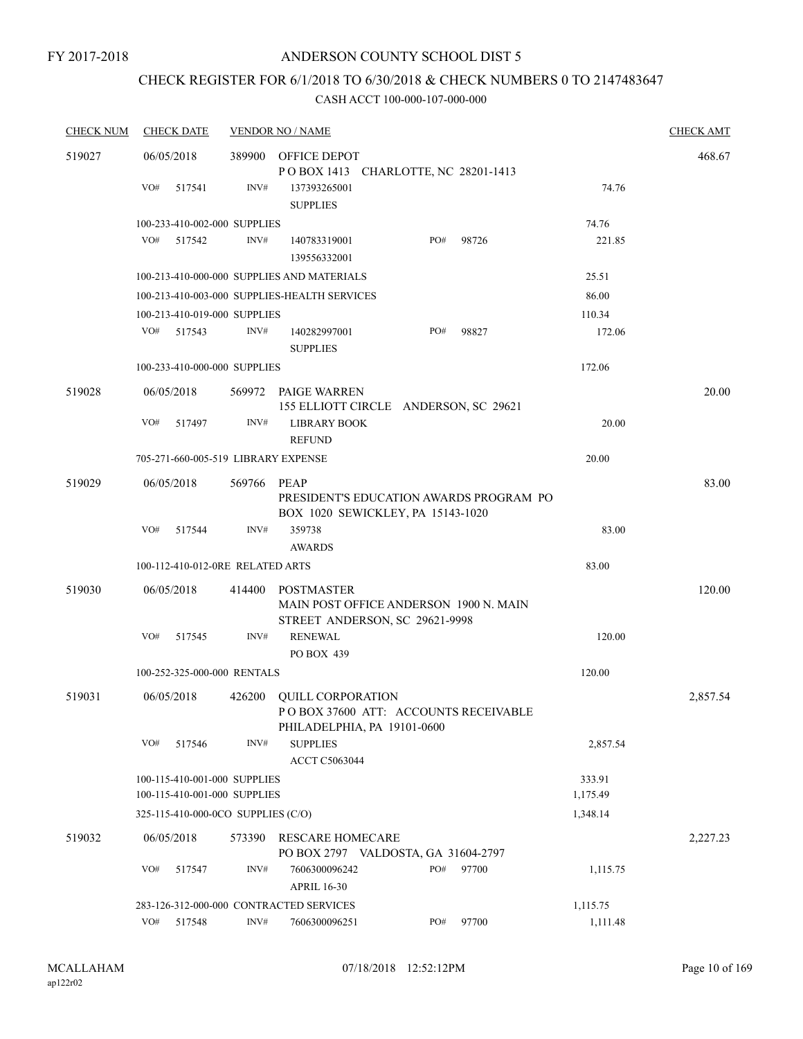# CHECK REGISTER FOR 6/1/2018 TO 6/30/2018 & CHECK NUMBERS 0 TO 2147483647

| <b>CHECK NUM</b> | <b>CHECK DATE</b> |                                                              | <b>VENDOR NO / NAME</b>                                                                         |     |       |                    | <b>CHECK AMT</b> |
|------------------|-------------------|--------------------------------------------------------------|-------------------------------------------------------------------------------------------------|-----|-------|--------------------|------------------|
| 519027           | 06/05/2018        | 389900                                                       | OFFICE DEPOT                                                                                    |     |       |                    | 468.67           |
|                  |                   |                                                              | POBOX 1413 CHARLOTTE, NC 28201-1413                                                             |     |       |                    |                  |
|                  | VO#<br>517541     | INV#                                                         | 137393265001<br><b>SUPPLIES</b>                                                                 |     |       | 74.76              |                  |
|                  |                   | 100-233-410-002-000 SUPPLIES                                 |                                                                                                 |     |       | 74.76              |                  |
|                  | VO#<br>517542     | INV#                                                         | 140783319001<br>139556332001                                                                    | PO# | 98726 | 221.85             |                  |
|                  |                   |                                                              | 100-213-410-000-000 SUPPLIES AND MATERIALS                                                      |     |       | 25.51              |                  |
|                  |                   |                                                              | 100-213-410-003-000 SUPPLIES-HEALTH SERVICES                                                    |     |       | 86.00              |                  |
|                  |                   | 100-213-410-019-000 SUPPLIES                                 |                                                                                                 |     |       | 110.34             |                  |
|                  | VO#<br>517543     | INV#                                                         | 140282997001<br><b>SUPPLIES</b>                                                                 | PO# | 98827 | 172.06             |                  |
|                  |                   | 100-233-410-000-000 SUPPLIES                                 |                                                                                                 |     |       | 172.06             |                  |
| 519028           | 06/05/2018        |                                                              | 569972 PAIGE WARREN<br>155 ELLIOTT CIRCLE ANDERSON, SC 29621                                    |     |       |                    | 20.00            |
|                  | VO#<br>517497     | INV#                                                         | <b>LIBRARY BOOK</b><br><b>REFUND</b>                                                            |     |       | 20.00              |                  |
|                  |                   | 705-271-660-005-519 LIBRARY EXPENSE                          |                                                                                                 |     |       | 20.00              |                  |
| 519029           | 06/05/2018        | 569766                                                       | PEAP<br>PRESIDENT'S EDUCATION AWARDS PROGRAM PO<br>BOX 1020 SEWICKLEY, PA 15143-1020            |     |       |                    | 83.00            |
|                  | VO#<br>517544     | INV#                                                         | 359738<br><b>AWARDS</b>                                                                         |     |       | 83.00              |                  |
|                  |                   | 100-112-410-012-0RE RELATED ARTS                             |                                                                                                 |     |       | 83.00              |                  |
| 519030           | 06/05/2018        | 414400                                                       | <b>POSTMASTER</b>                                                                               |     |       |                    | 120.00           |
|                  |                   |                                                              | MAIN POST OFFICE ANDERSON 1900 N. MAIN<br>STREET ANDERSON, SC 29621-9998                        |     |       |                    |                  |
|                  | VO#<br>517545     | INV#                                                         | <b>RENEWAL</b><br>PO BOX 439                                                                    |     |       | 120.00             |                  |
|                  |                   | 100-252-325-000-000 RENTALS                                  |                                                                                                 |     |       | 120.00             |                  |
| 519031           | 06/05/2018        |                                                              | 426200 QUILL CORPORATION<br>POBOX 37600 ATT: ACCOUNTS RECEIVABLE<br>PHILADELPHIA, PA 19101-0600 |     |       |                    | 2,857.54         |
|                  | VO#<br>517546     | INV#                                                         | <b>SUPPLIES</b><br>ACCT C5063044                                                                |     |       | 2,857.54           |                  |
|                  |                   | 100-115-410-001-000 SUPPLIES<br>100-115-410-001-000 SUPPLIES |                                                                                                 |     |       | 333.91<br>1,175.49 |                  |
|                  |                   | 325-115-410-000-0CO SUPPLIES (C/O)                           |                                                                                                 |     |       | 1,348.14           |                  |
| 519032           | 06/05/2018        | 573390                                                       | <b>RESCARE HOMECARE</b><br>PO BOX 2797 VALDOSTA, GA 31604-2797                                  |     |       |                    | 2,227.23         |
|                  | VO#<br>517547     | INV#                                                         | 7606300096242<br><b>APRIL 16-30</b>                                                             | PO# | 97700 | 1,115.75           |                  |
|                  |                   |                                                              | 283-126-312-000-000 CONTRACTED SERVICES                                                         |     |       | 1,115.75           |                  |
|                  | VO#<br>517548     | INV#                                                         | 7606300096251                                                                                   | PO# | 97700 | 1,111.48           |                  |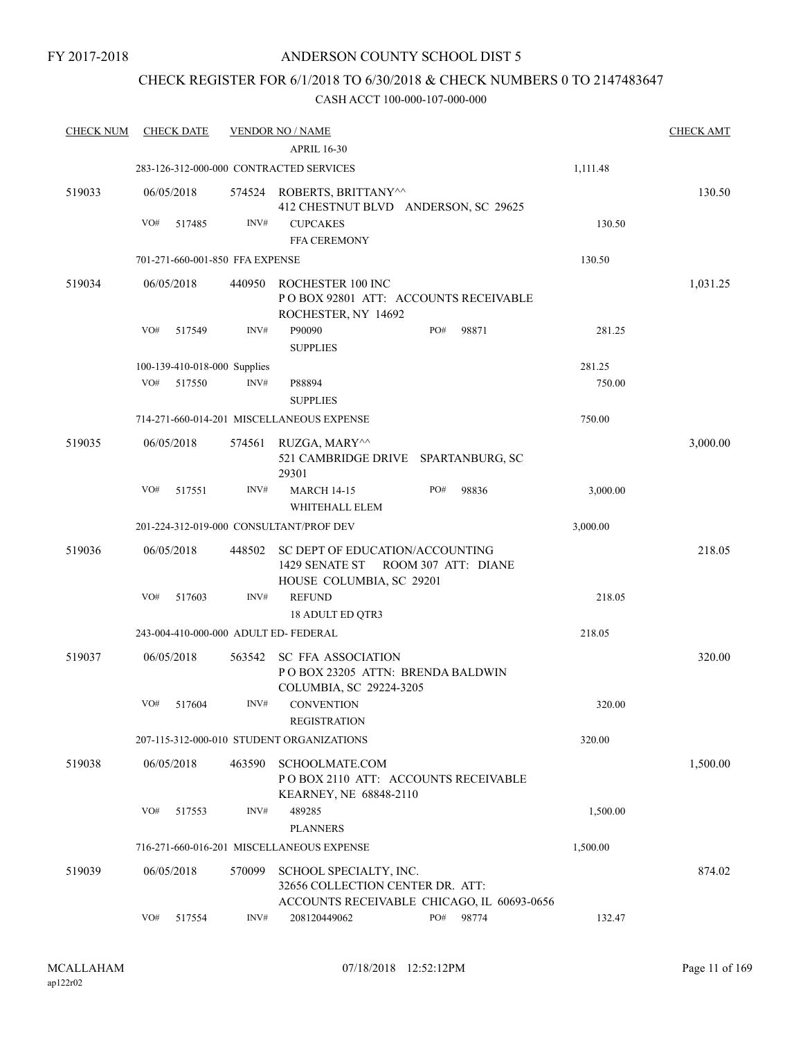## CHECK REGISTER FOR 6/1/2018 TO 6/30/2018 & CHECK NUMBERS 0 TO 2147483647

| <b>CHECK NUM</b> | <b>CHECK DATE</b>                       |        | <b>VENDOR NO / NAME</b>                                                           |                                            |          | <b>CHECK AMT</b> |
|------------------|-----------------------------------------|--------|-----------------------------------------------------------------------------------|--------------------------------------------|----------|------------------|
|                  |                                         |        | <b>APRIL 16-30</b>                                                                |                                            |          |                  |
|                  | 283-126-312-000-000 CONTRACTED SERVICES |        |                                                                                   |                                            | 1,111.48 |                  |
| 519033           | 06/05/2018                              |        | 574524 ROBERTS, BRITTANY^^<br>412 CHESTNUT BLVD ANDERSON, SC 29625                |                                            |          | 130.50           |
|                  | VO#<br>517485                           | INV#   | <b>CUPCAKES</b>                                                                   |                                            | 130.50   |                  |
|                  |                                         |        | <b>FFA CEREMONY</b>                                                               |                                            |          |                  |
|                  | 701-271-660-001-850 FFA EXPENSE         |        |                                                                                   |                                            | 130.50   |                  |
| 519034           | 06/05/2018                              | 440950 | ROCHESTER 100 INC<br>PO BOX 92801 ATT: ACCOUNTS RECEIVABLE<br>ROCHESTER, NY 14692 |                                            |          | 1,031.25         |
|                  | VO#<br>517549                           | INV#   | P90090<br><b>SUPPLIES</b>                                                         | PO#<br>98871                               | 281.25   |                  |
|                  | 100-139-410-018-000 Supplies            |        |                                                                                   |                                            | 281.25   |                  |
|                  | VO#<br>517550                           | INV#   | P88894<br><b>SUPPLIES</b>                                                         |                                            | 750.00   |                  |
|                  |                                         |        | 714-271-660-014-201 MISCELLANEOUS EXPENSE                                         |                                            | 750.00   |                  |
| 519035           | 06/05/2018                              | 574561 | RUZGA, MARY^^<br>521 CAMBRIDGE DRIVE SPARTANBURG, SC<br>29301                     |                                            |          | 3,000.00         |
|                  | VO#<br>517551                           | INV#   | <b>MARCH 14-15</b><br>WHITEHALL ELEM                                              | PO#<br>98836                               | 3,000.00 |                  |
|                  | 201-224-312-019-000 CONSULTANT/PROF DEV |        |                                                                                   |                                            | 3,000.00 |                  |
| 519036           | 06/05/2018                              | 448502 | SC DEPT OF EDUCATION/ACCOUNTING                                                   |                                            |          | 218.05           |
|                  |                                         |        | 1429 SENATE ST ROOM 307 ATT: DIANE<br>HOUSE COLUMBIA, SC 29201                    |                                            |          |                  |
|                  | VO#<br>517603                           | INV#   | <b>REFUND</b><br><b>18 ADULT ED QTR3</b>                                          |                                            | 218.05   |                  |
|                  | 243-004-410-000-000 ADULT ED- FEDERAL   |        |                                                                                   |                                            | 218.05   |                  |
| 519037           | 06/05/2018                              | 563542 | SC FFA ASSOCIATION<br>POBOX 23205 ATTN: BRENDA BALDWIN<br>COLUMBIA, SC 29224-3205 |                                            |          | 320.00           |
|                  | VO#<br>517604                           | INV#   | <b>CONVENTION</b><br><b>REGISTRATION</b>                                          |                                            | 320.00   |                  |
|                  |                                         |        | 207-115-312-000-010 STUDENT ORGANIZATIONS                                         |                                            | 320.00   |                  |
| 519038           | 06/05/2018                              | 463590 | SCHOOLMATE.COM<br>POBOX 2110 ATT: ACCOUNTS RECEIVABLE                             |                                            |          | 1,500.00         |
|                  | VO#<br>517553                           | INV#   | KEARNEY, NE 68848-2110<br>489285<br><b>PLANNERS</b>                               |                                            | 1,500.00 |                  |
|                  |                                         |        | 716-271-660-016-201 MISCELLANEOUS EXPENSE                                         |                                            | 1,500.00 |                  |
| 519039           | 06/05/2018                              | 570099 | SCHOOL SPECIALTY, INC.<br>32656 COLLECTION CENTER DR. ATT:                        |                                            |          | 874.02           |
|                  |                                         |        |                                                                                   | ACCOUNTS RECEIVABLE CHICAGO, IL 60693-0656 |          |                  |
|                  | VO#<br>517554                           | INV#   | 208120449062                                                                      | PO#<br>98774                               | 132.47   |                  |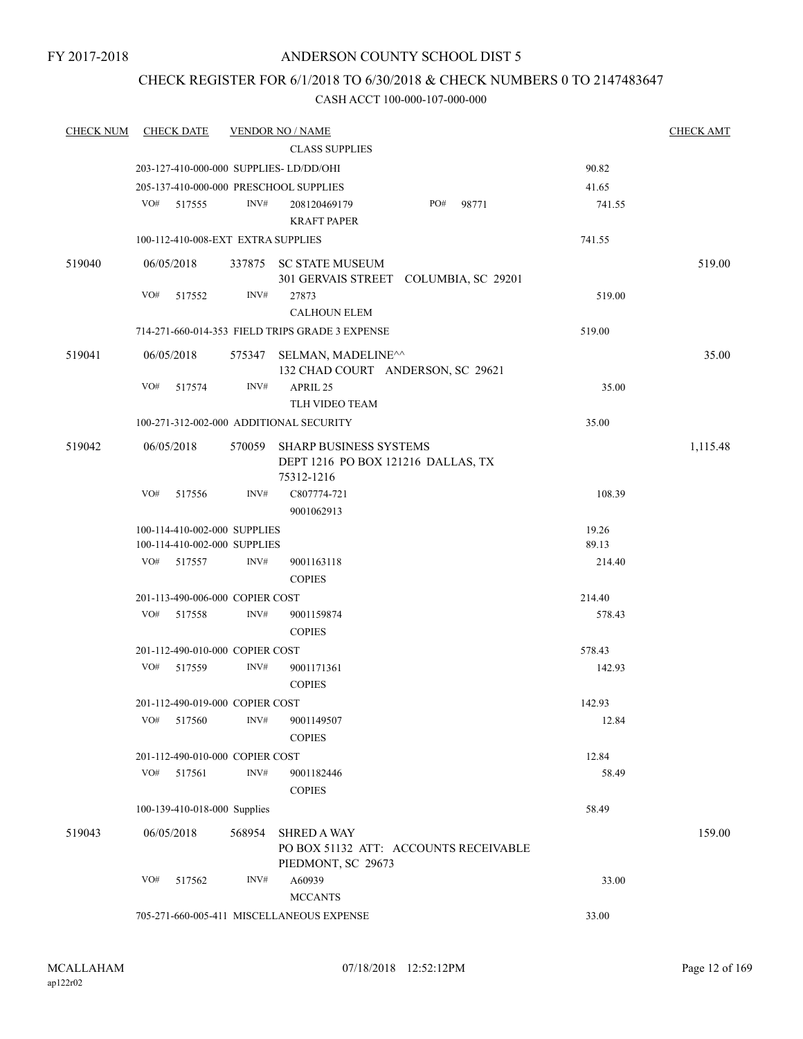## CHECK REGISTER FOR 6/1/2018 TO 6/30/2018 & CHECK NUMBERS 0 TO 2147483647

| <b>CHECK NUM</b> | <b>CHECK DATE</b>                       |        | <b>VENDOR NO / NAME</b>                                                                     |        | <b>CHECK AMT</b> |
|------------------|-----------------------------------------|--------|---------------------------------------------------------------------------------------------|--------|------------------|
|                  |                                         |        | <b>CLASS SUPPLIES</b>                                                                       |        |                  |
|                  | 203-127-410-000-000 SUPPLIES- LD/DD/OHI |        |                                                                                             | 90.82  |                  |
|                  | 205-137-410-000-000 PRESCHOOL SUPPLIES  |        |                                                                                             | 41.65  |                  |
|                  | VO#<br>517555                           | INV#   | PO#<br>98771<br>208120469179<br><b>KRAFT PAPER</b>                                          | 741.55 |                  |
|                  | 100-112-410-008-EXT EXTRA SUPPLIES      |        |                                                                                             | 741.55 |                  |
| 519040           | 06/05/2018                              |        | 337875 SC STATE MUSEUM<br>301 GERVAIS STREET COLUMBIA, SC 29201                             |        | 519.00           |
|                  | VO#<br>517552                           | INV#   | 27873<br><b>CALHOUN ELEM</b>                                                                | 519.00 |                  |
|                  |                                         |        | 714-271-660-014-353 FIELD TRIPS GRADE 3 EXPENSE                                             | 519.00 |                  |
|                  |                                         |        |                                                                                             |        |                  |
| 519041           | 06/05/2018                              |        | 575347 SELMAN, MADELINE <sup><math>\wedge</math></sup><br>132 CHAD COURT ANDERSON, SC 29621 |        | 35.00            |
|                  | VO#<br>517574                           | INV#   | APRIL 25<br>TLH VIDEO TEAM                                                                  | 35.00  |                  |
|                  | 100-271-312-002-000 ADDITIONAL SECURITY |        |                                                                                             | 35.00  |                  |
| 519042           | 06/05/2018                              |        | 570059 SHARP BUSINESS SYSTEMS<br>DEPT 1216 PO BOX 121216 DALLAS, TX<br>75312-1216           |        | 1,115.48         |
|                  | VO#<br>517556                           | INV#   | C807774-721<br>9001062913                                                                   | 108.39 |                  |
|                  | 100-114-410-002-000 SUPPLIES            |        |                                                                                             | 19.26  |                  |
|                  | 100-114-410-002-000 SUPPLIES            |        |                                                                                             | 89.13  |                  |
|                  | VO#<br>517557                           | INV#   | 9001163118<br><b>COPIES</b>                                                                 | 214.40 |                  |
|                  | 201-113-490-006-000 COPIER COST         |        |                                                                                             | 214.40 |                  |
|                  | VO#<br>517558                           | INV#   | 9001159874<br><b>COPIES</b>                                                                 | 578.43 |                  |
|                  | 201-112-490-010-000 COPIER COST         |        |                                                                                             | 578.43 |                  |
|                  | VO#<br>517559                           | INV#   | 9001171361<br><b>COPIES</b>                                                                 | 142.93 |                  |
|                  | 201-112-490-019-000 COPIER COST         |        |                                                                                             | 142.93 |                  |
|                  | VO#<br>517560                           | INV#   | 9001149507<br><b>COPIES</b>                                                                 | 12.84  |                  |
|                  | 201-112-490-010-000 COPIER COST         |        |                                                                                             | 12.84  |                  |
|                  | VO#<br>517561                           | INV#   | 9001182446<br><b>COPIES</b>                                                                 | 58.49  |                  |
|                  | 100-139-410-018-000 Supplies            |        |                                                                                             | 58.49  |                  |
| 519043           | 06/05/2018                              | 568954 | <b>SHRED A WAY</b><br>PO BOX 51132 ATT: ACCOUNTS RECEIVABLE<br>PIEDMONT, SC 29673           |        | 159.00           |
|                  | VO#<br>517562                           | INV#   | A60939<br><b>MCCANTS</b>                                                                    | 33.00  |                  |
|                  |                                         |        | 705-271-660-005-411 MISCELLANEOUS EXPENSE                                                   | 33.00  |                  |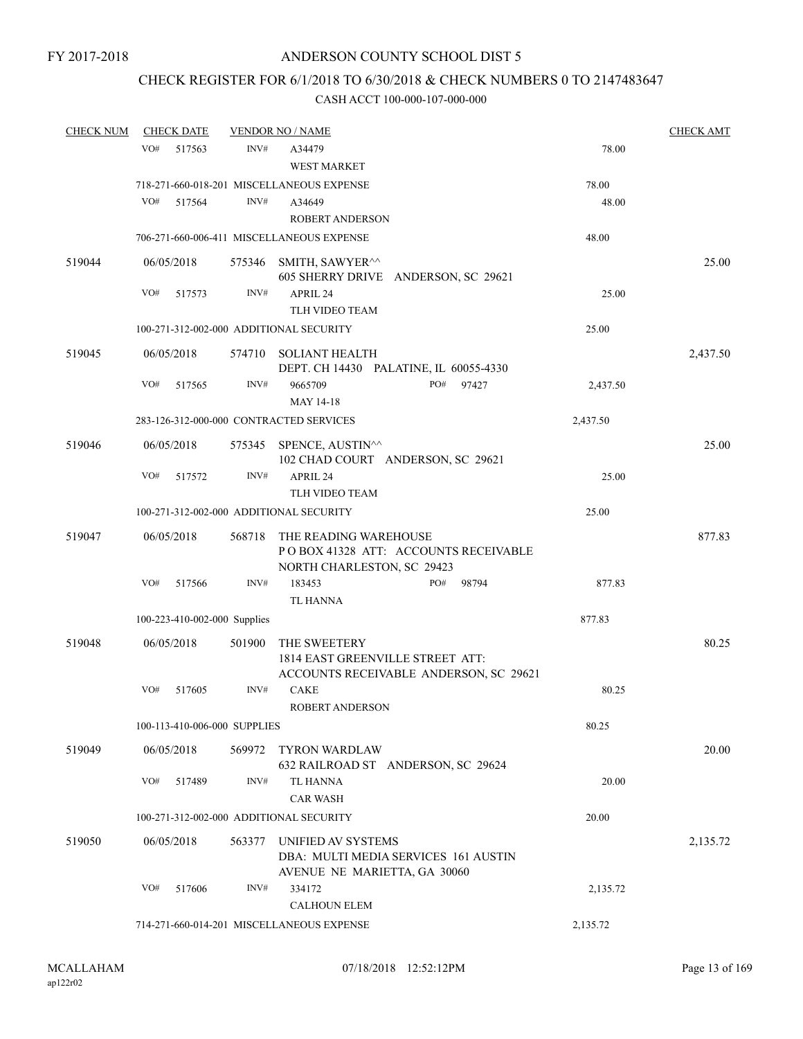# CHECK REGISTER FOR 6/1/2018 TO 6/30/2018 & CHECK NUMBERS 0 TO 2147483647

| <b>CHECK NUM</b> | <b>CHECK DATE</b>                       |        | <b>VENDOR NO / NAME</b>                                                                     |          | <b>CHECK AMT</b> |
|------------------|-----------------------------------------|--------|---------------------------------------------------------------------------------------------|----------|------------------|
|                  | VO#<br>517563                           | INV#   | A34479<br>WEST MARKET                                                                       | 78.00    |                  |
|                  |                                         |        | 718-271-660-018-201 MISCELLANEOUS EXPENSE                                                   | 78.00    |                  |
|                  | VO#<br>517564                           | INV#   | A34649                                                                                      | 48.00    |                  |
|                  |                                         |        | <b>ROBERT ANDERSON</b>                                                                      |          |                  |
|                  |                                         |        | 706-271-660-006-411 MISCELLANEOUS EXPENSE                                                   | 48.00    |                  |
| 519044           | 06/05/2018                              | 575346 | SMITH, SAWYER <sup>^^</sup><br>605 SHERRY DRIVE ANDERSON, SC 29621                          |          | 25.00            |
|                  | VO#<br>517573                           | INV#   | APRIL 24<br><b>TLH VIDEO TEAM</b>                                                           | 25.00    |                  |
|                  | 100-271-312-002-000 ADDITIONAL SECURITY |        |                                                                                             | 25.00    |                  |
| 519045           | 06/05/2018                              | 574710 | <b>SOLIANT HEALTH</b>                                                                       |          | 2,437.50         |
|                  | VO#<br>517565                           | INV#   | DEPT. CH 14430 PALATINE, IL 60055-4330<br>PO#<br>9665709<br>97427<br>MAY 14-18              | 2,437.50 |                  |
|                  | 283-126-312-000-000 CONTRACTED SERVICES |        |                                                                                             | 2,437.50 |                  |
| 519046           | 06/05/2018                              |        | 575345 SPENCE, AUSTIN <sup>^^</sup><br>102 CHAD COURT ANDERSON, SC 29621                    |          | 25.00            |
|                  | VO#<br>517572                           | INV#   | APRIL 24<br>TLH VIDEO TEAM                                                                  | 25.00    |                  |
|                  | 100-271-312-002-000 ADDITIONAL SECURITY |        |                                                                                             | 25.00    |                  |
| 519047           | 06/05/2018                              | 568718 | THE READING WAREHOUSE<br>POBOX 41328 ATT: ACCOUNTS RECEIVABLE<br>NORTH CHARLESTON, SC 29423 |          | 877.83           |
|                  | VO#<br>517566                           | INV#   | 183453<br>PO#<br>98794<br>TL HANNA                                                          | 877.83   |                  |
|                  | 100-223-410-002-000 Supplies            |        |                                                                                             | 877.83   |                  |
| 519048           | 06/05/2018                              | 501900 | THE SWEETERY<br>1814 EAST GREENVILLE STREET ATT:<br>ACCOUNTS RECEIVABLE ANDERSON, SC 29621  |          | 80.25            |
|                  | VO#<br>517605                           | INV#   | <b>CAKE</b><br>ROBERT ANDERSON                                                              | 80.25    |                  |
|                  | 100-113-410-006-000 SUPPLIES            |        |                                                                                             | 80.25    |                  |
| 519049           | 06/05/2018                              | 569972 | <b>TYRON WARDLAW</b><br>632 RAILROAD ST ANDERSON, SC 29624                                  |          | 20.00            |
|                  | VO#<br>517489                           | INV#   | <b>TL HANNA</b><br><b>CAR WASH</b>                                                          | 20.00    |                  |
|                  | 100-271-312-002-000 ADDITIONAL SECURITY |        |                                                                                             | 20.00    |                  |
| 519050           | 06/05/2018                              | 563377 | UNIFIED AV SYSTEMS<br>DBA: MULTI MEDIA SERVICES 161 AUSTIN<br>AVENUE NE MARIETTA, GA 30060  |          | 2,135.72         |
|                  | VO#<br>517606                           | INV#   | 334172<br><b>CALHOUN ELEM</b>                                                               | 2,135.72 |                  |
|                  |                                         |        | 714-271-660-014-201 MISCELLANEOUS EXPENSE                                                   | 2,135.72 |                  |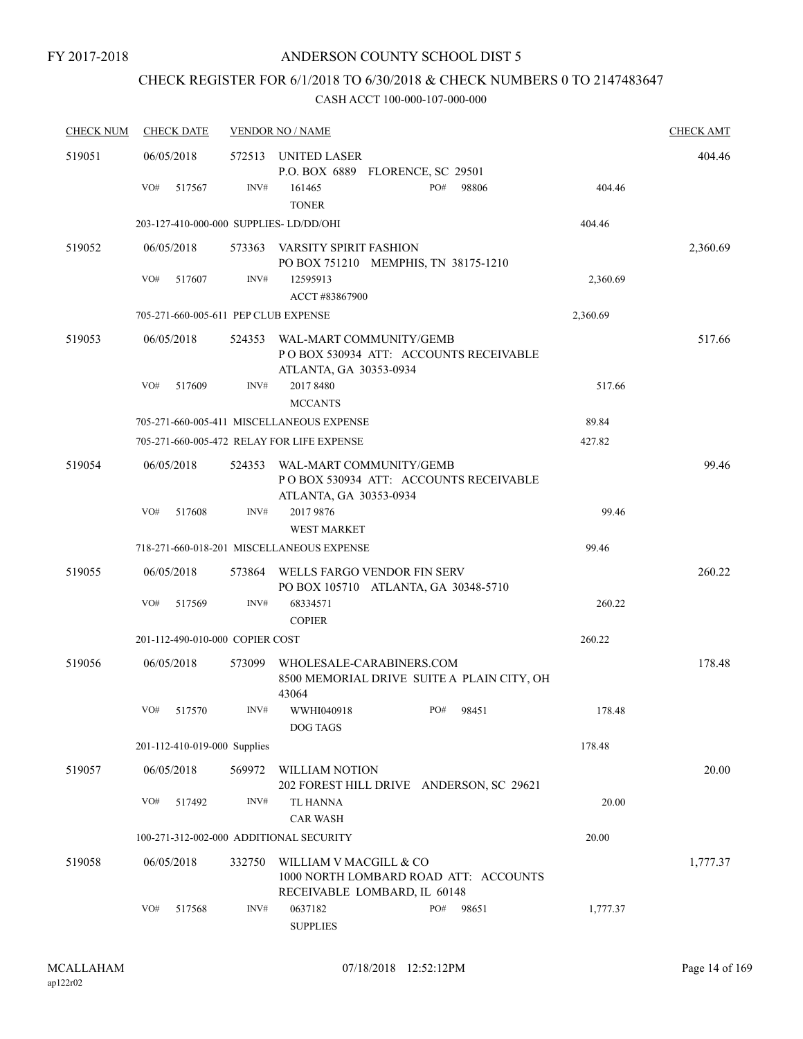# CHECK REGISTER FOR 6/1/2018 TO 6/30/2018 & CHECK NUMBERS 0 TO 2147483647

| <b>CHECK NUM</b> | <b>CHECK DATE</b>                      |        | <b>VENDOR NO / NAME</b>                                |                                            |          | <b>CHECK AMT</b> |
|------------------|----------------------------------------|--------|--------------------------------------------------------|--------------------------------------------|----------|------------------|
| 519051           | 06/05/2018                             | 572513 | UNITED LASER                                           | P.O. BOX 6889 FLORENCE, SC 29501           |          | 404.46           |
|                  | VO#<br>517567                          | INV#   | 161465<br><b>TONER</b>                                 | PO#<br>98806                               | 404.46   |                  |
|                  | 203-127-410-000-000 SUPPLIES-LD/DD/OHI |        |                                                        |                                            | 404.46   |                  |
| 519052           | 06/05/2018                             | 573363 | VARSITY SPIRIT FASHION                                 | PO BOX 751210 MEMPHIS, TN 38175-1210       |          | 2,360.69         |
|                  | VO#<br>517607                          | INV#   | 12595913<br>ACCT #83867900                             |                                            | 2,360.69 |                  |
|                  | 705-271-660-005-611 PEP CLUB EXPENSE   |        |                                                        |                                            | 2,360.69 |                  |
| 519053           | 06/05/2018                             | 524353 | WAL-MART COMMUNITY/GEMB<br>ATLANTA, GA 30353-0934      | PO BOX 530934 ATT: ACCOUNTS RECEIVABLE     |          | 517.66           |
|                  | VO#<br>517609                          | INV#   | 2017 8480<br><b>MCCANTS</b>                            |                                            | 517.66   |                  |
|                  |                                        |        | 705-271-660-005-411 MISCELLANEOUS EXPENSE              |                                            | 89.84    |                  |
|                  |                                        |        | 705-271-660-005-472 RELAY FOR LIFE EXPENSE             |                                            | 427.82   |                  |
| 519054           | 06/05/2018                             | 524353 | WAL-MART COMMUNITY/GEMB<br>ATLANTA, GA 30353-0934      | PO BOX 530934 ATT: ACCOUNTS RECEIVABLE     |          | 99.46            |
|                  | VO#<br>517608                          | INV#   | 2017 9876<br><b>WEST MARKET</b>                        |                                            | 99.46    |                  |
|                  |                                        |        | 718-271-660-018-201 MISCELLANEOUS EXPENSE              |                                            | 99.46    |                  |
| 519055           | 06/05/2018                             | 573864 | WELLS FARGO VENDOR FIN SERV                            | PO BOX 105710 ATLANTA, GA 30348-5710       |          | 260.22           |
|                  | VO#<br>517569                          | INV#   | 68334571<br><b>COPIER</b>                              |                                            | 260.22   |                  |
|                  | 201-112-490-010-000 COPIER COST        |        |                                                        |                                            | 260.22   |                  |
| 519056           | 06/05/2018                             | 573099 | WHOLESALE-CARABINERS.COM<br>43064                      | 8500 MEMORIAL DRIVE SUITE A PLAIN CITY, OH |          | 178.48           |
|                  | VO#<br>517570                          | INV#   | WWHI040918<br>DOG TAGS                                 | PO#<br>98451                               | 178.48   |                  |
|                  | 201-112-410-019-000 Supplies           |        |                                                        |                                            | 178.48   |                  |
| 519057           | 06/05/2018                             | 569972 | WILLIAM NOTION                                         | 202 FOREST HILL DRIVE ANDERSON, SC 29621   |          | 20.00            |
|                  | VO#<br>517492                          | INV#   | <b>TL HANNA</b><br><b>CAR WASH</b>                     |                                            | 20.00    |                  |
|                  |                                        |        | 100-271-312-002-000 ADDITIONAL SECURITY                |                                            | 20.00    |                  |
| 519058           | 06/05/2018                             | 332750 | WILLIAM V MACGILL & CO<br>RECEIVABLE LOMBARD, IL 60148 | 1000 NORTH LOMBARD ROAD ATT: ACCOUNTS      |          | 1,777.37         |
|                  | VO#<br>517568                          | INV#   | 0637182<br><b>SUPPLIES</b>                             | PO#<br>98651                               | 1,777.37 |                  |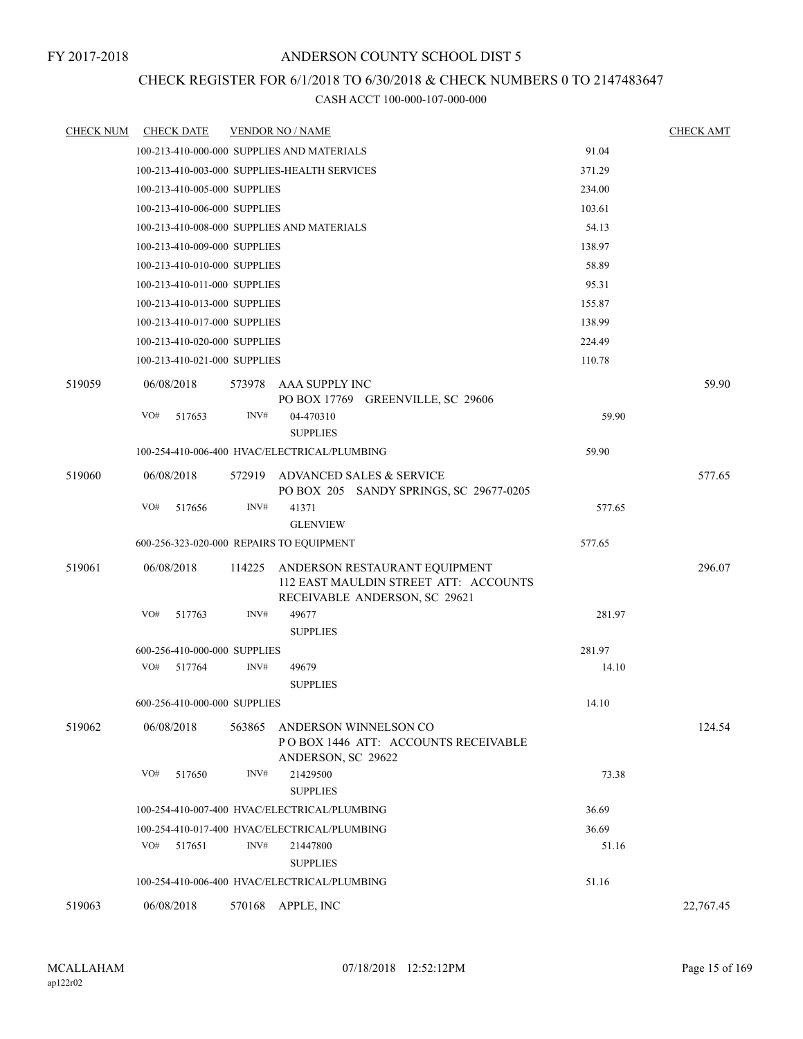## CHECK REGISTER FOR 6/1/2018 TO 6/30/2018 & CHECK NUMBERS 0 TO 2147483647

| <b>CHECK NUM</b> | <b>CHECK DATE</b>                        |        | <b>VENDOR NO / NAME</b>                                                                                 |        | <b>CHECK AMT</b> |
|------------------|------------------------------------------|--------|---------------------------------------------------------------------------------------------------------|--------|------------------|
|                  |                                          |        | 100-213-410-000-000 SUPPLIES AND MATERIALS                                                              | 91.04  |                  |
|                  |                                          |        | 100-213-410-003-000 SUPPLIES-HEALTH SERVICES                                                            | 371.29 |                  |
|                  | 100-213-410-005-000 SUPPLIES             |        |                                                                                                         | 234.00 |                  |
|                  | 100-213-410-006-000 SUPPLIES             |        |                                                                                                         | 103.61 |                  |
|                  |                                          |        | 100-213-410-008-000 SUPPLIES AND MATERIALS                                                              | 54.13  |                  |
|                  | 100-213-410-009-000 SUPPLIES             |        |                                                                                                         | 138.97 |                  |
|                  | 100-213-410-010-000 SUPPLIES             |        |                                                                                                         | 58.89  |                  |
|                  | 100-213-410-011-000 SUPPLIES             |        |                                                                                                         | 95.31  |                  |
|                  | 100-213-410-013-000 SUPPLIES             |        |                                                                                                         | 155.87 |                  |
|                  | 100-213-410-017-000 SUPPLIES             |        |                                                                                                         | 138.99 |                  |
|                  | 100-213-410-020-000 SUPPLIES             |        |                                                                                                         | 224.49 |                  |
|                  | 100-213-410-021-000 SUPPLIES             |        |                                                                                                         | 110.78 |                  |
| 519059           | 06/08/2018                               |        | 573978 AAA SUPPLY INC<br>PO BOX 17769 GREENVILLE, SC 29606                                              |        | 59.90            |
|                  | VO#<br>517653                            | INV#   | 04-470310<br><b>SUPPLIES</b>                                                                            | 59.90  |                  |
|                  |                                          |        | 100-254-410-006-400 HVAC/ELECTRICAL/PLUMBING                                                            | 59.90  |                  |
| 519060           | 06/08/2018                               |        | 572919 ADVANCED SALES & SERVICE<br>PO BOX 205 SANDY SPRINGS, SC 29677-0205                              |        | 577.65           |
|                  | VO#<br>517656                            | INV#   | 41371                                                                                                   | 577.65 |                  |
|                  |                                          |        | <b>GLENVIEW</b>                                                                                         |        |                  |
|                  | 600-256-323-020-000 REPAIRS TO EQUIPMENT |        |                                                                                                         | 577.65 |                  |
| 519061           | 06/08/2018                               | 114225 | ANDERSON RESTAURANT EQUIPMENT<br>112 EAST MAULDIN STREET ATT: ACCOUNTS<br>RECEIVABLE ANDERSON, SC 29621 |        | 296.07           |
|                  | VO#<br>517763                            | INV#   | 49677                                                                                                   | 281.97 |                  |
|                  |                                          |        | <b>SUPPLIES</b>                                                                                         |        |                  |
|                  | 600-256-410-000-000 SUPPLIES             |        |                                                                                                         | 281.97 |                  |
|                  | VO#<br>517764                            | INV#   | 49679<br><b>SUPPLIES</b>                                                                                | 14.10  |                  |
|                  | 600-256-410-000-000 SUPPLIES             |        |                                                                                                         | 14.10  |                  |
| 519062           | 06/08/2018                               | 563865 | ANDERSON WINNELSON CO<br>POBOX 1446 ATT: ACCOUNTS RECEIVABLE<br>ANDERSON, SC 29622                      |        | 124.54           |
|                  | VO#<br>517650                            | INV#   | 21429500<br><b>SUPPLIES</b>                                                                             | 73.38  |                  |
|                  |                                          |        | 100-254-410-007-400 HVAC/ELECTRICAL/PLUMBING                                                            | 36.69  |                  |
|                  |                                          |        | 100-254-410-017-400 HVAC/ELECTRICAL/PLUMBING                                                            | 36.69  |                  |
|                  | VO#<br>517651                            | INV#   | 21447800<br><b>SUPPLIES</b>                                                                             | 51.16  |                  |
|                  |                                          |        | 100-254-410-006-400 HVAC/ELECTRICAL/PLUMBING                                                            | 51.16  |                  |
| 519063           | 06/08/2018                               |        | 570168 APPLE, INC                                                                                       |        | 22,767.45        |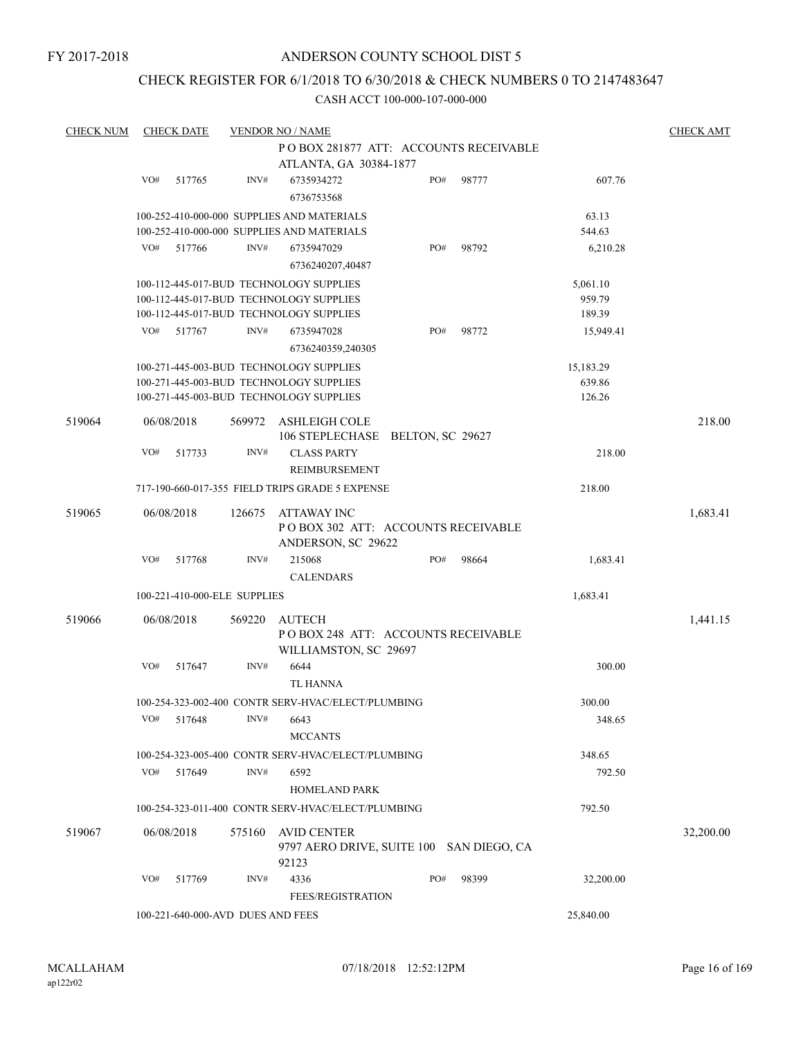FY 2017-2018

## ANDERSON COUNTY SCHOOL DIST 5

## CHECK REGISTER FOR 6/1/2018 TO 6/30/2018 & CHECK NUMBERS 0 TO 2147483647

| <b>CHECK NUM</b> |                                        | <b>CHECK DATE</b> |                                   | <b>VENDOR NO / NAME</b>                                                                  |  |           |       |                 | <b>CHECK AMT</b> |  |
|------------------|----------------------------------------|-------------------|-----------------------------------|------------------------------------------------------------------------------------------|--|-----------|-------|-----------------|------------------|--|
|                  | PO BOX 281877 ATT: ACCOUNTS RECEIVABLE |                   |                                   |                                                                                          |  |           |       |                 |                  |  |
|                  | ATLANTA, GA 30384-1877                 |                   |                                   |                                                                                          |  |           |       |                 |                  |  |
|                  | VO#                                    | 517765            | INV#                              | 6735934272                                                                               |  | PO#       | 98777 | 607.76          |                  |  |
|                  |                                        |                   |                                   | 6736753568                                                                               |  |           |       |                 |                  |  |
|                  |                                        |                   |                                   |                                                                                          |  |           |       |                 |                  |  |
|                  |                                        |                   |                                   | 100-252-410-000-000 SUPPLIES AND MATERIALS<br>100-252-410-000-000 SUPPLIES AND MATERIALS |  |           |       | 63.13<br>544.63 |                  |  |
|                  |                                        |                   |                                   |                                                                                          |  |           |       |                 |                  |  |
|                  | VO#                                    | 517766            | INV#                              | 6735947029                                                                               |  | PO#       | 98792 | 6,210.28        |                  |  |
|                  |                                        |                   |                                   | 6736240207,40487                                                                         |  |           |       |                 |                  |  |
|                  |                                        |                   |                                   | 100-112-445-017-BUD TECHNOLOGY SUPPLIES                                                  |  |           |       | 5,061.10        |                  |  |
|                  |                                        |                   |                                   | 100-112-445-017-BUD TECHNOLOGY SUPPLIES                                                  |  |           |       | 959.79          |                  |  |
|                  |                                        |                   |                                   | 100-112-445-017-BUD TECHNOLOGY SUPPLIES                                                  |  |           |       | 189.39          |                  |  |
|                  | VO#                                    | 517767            | INV#                              | 6735947028                                                                               |  | PO#       | 98772 | 15,949.41       |                  |  |
|                  |                                        |                   |                                   | 6736240359,240305                                                                        |  |           |       |                 |                  |  |
|                  |                                        |                   |                                   | 100-271-445-003-BUD TECHNOLOGY SUPPLIES                                                  |  |           |       | 15,183.29       |                  |  |
|                  |                                        |                   |                                   | 100-271-445-003-BUD TECHNOLOGY SUPPLIES                                                  |  |           |       | 639.86          |                  |  |
|                  |                                        |                   |                                   | 100-271-445-003-BUD TECHNOLOGY SUPPLIES                                                  |  |           |       | 126.26          |                  |  |
|                  |                                        |                   |                                   |                                                                                          |  |           |       |                 |                  |  |
| 519064           |                                        | 06/08/2018        | 569972                            | <b>ASHLEIGH COLE</b><br>106 STEPLECHASE BELTON, SC 29627                                 |  |           |       |                 | 218.00           |  |
|                  | VO#                                    |                   | $\text{INV}\#$                    | <b>CLASS PARTY</b>                                                                       |  |           |       |                 |                  |  |
|                  |                                        | 517733            |                                   |                                                                                          |  |           |       | 218.00          |                  |  |
|                  |                                        |                   |                                   | <b>REIMBURSEMENT</b>                                                                     |  |           |       |                 |                  |  |
|                  |                                        |                   |                                   | 717-190-660-017-355 FIELD TRIPS GRADE 5 EXPENSE                                          |  |           |       | 218.00          |                  |  |
| 519065           |                                        | 06/08/2018        | 126675                            | ATTAWAY INC                                                                              |  |           |       |                 | 1,683.41         |  |
|                  |                                        |                   |                                   | POBOX 302 ATT: ACCOUNTS RECEIVABLE                                                       |  |           |       |                 |                  |  |
|                  |                                        |                   |                                   | ANDERSON, SC 29622                                                                       |  |           |       |                 |                  |  |
|                  | VO#                                    | 517768            | INV#                              | 215068                                                                                   |  | PO#       | 98664 | 1,683.41        |                  |  |
|                  |                                        |                   |                                   | <b>CALENDARS</b>                                                                         |  |           |       |                 |                  |  |
|                  |                                        |                   | 100-221-410-000-ELE SUPPLIES      |                                                                                          |  |           |       | 1,683.41        |                  |  |
|                  |                                        |                   |                                   |                                                                                          |  |           |       |                 |                  |  |
| 519066           |                                        | 06/08/2018        | 569220                            | AUTECH                                                                                   |  |           |       |                 | 1,441.15         |  |
|                  |                                        |                   |                                   | POBOX 248 ATT: ACCOUNTS RECEIVABLE                                                       |  |           |       |                 |                  |  |
|                  |                                        |                   |                                   | WILLIAMSTON, SC 29697                                                                    |  |           |       |                 |                  |  |
|                  | VO#                                    | 517647            | INV#                              | 6644                                                                                     |  |           |       | 300.00          |                  |  |
|                  |                                        |                   |                                   | TL HANNA                                                                                 |  |           |       |                 |                  |  |
|                  |                                        |                   |                                   | 100-254-323-002-400 CONTR SERV-HVAC/ELECT/PLUMBING                                       |  |           |       | 300.00          |                  |  |
|                  | VO#                                    | 517648            | INV#                              | 6643                                                                                     |  |           |       | 348.65          |                  |  |
|                  |                                        |                   |                                   | <b>MCCANTS</b>                                                                           |  |           |       |                 |                  |  |
|                  |                                        |                   |                                   | 100-254-323-005-400 CONTR SERV-HVAC/ELECT/PLUMBING                                       |  |           |       | 348.65          |                  |  |
|                  | VO#                                    | 517649            | INV#                              | 6592                                                                                     |  |           |       | 792.50          |                  |  |
|                  |                                        |                   |                                   | <b>HOMELAND PARK</b>                                                                     |  |           |       |                 |                  |  |
|                  |                                        |                   |                                   |                                                                                          |  |           |       |                 |                  |  |
|                  |                                        |                   |                                   | 100-254-323-011-400 CONTR SERV-HVAC/ELECT/PLUMBING                                       |  |           |       | 792.50          |                  |  |
| 519067           |                                        | 06/08/2018        | 575160                            | <b>AVID CENTER</b>                                                                       |  |           |       |                 | 32,200.00        |  |
|                  |                                        |                   |                                   | 9797 AERO DRIVE, SUITE 100 SAN DIEGO, CA                                                 |  |           |       |                 |                  |  |
|                  |                                        |                   |                                   | 92123                                                                                    |  |           |       |                 |                  |  |
|                  | VO#                                    | 517769            | INV#                              | 4336                                                                                     |  | PO#       | 98399 | 32,200.00       |                  |  |
|                  |                                        |                   |                                   | <b>FEES/REGISTRATION</b>                                                                 |  |           |       |                 |                  |  |
|                  |                                        |                   | 100-221-640-000-AVD DUES AND FEES |                                                                                          |  | 25,840.00 |       |                 |                  |  |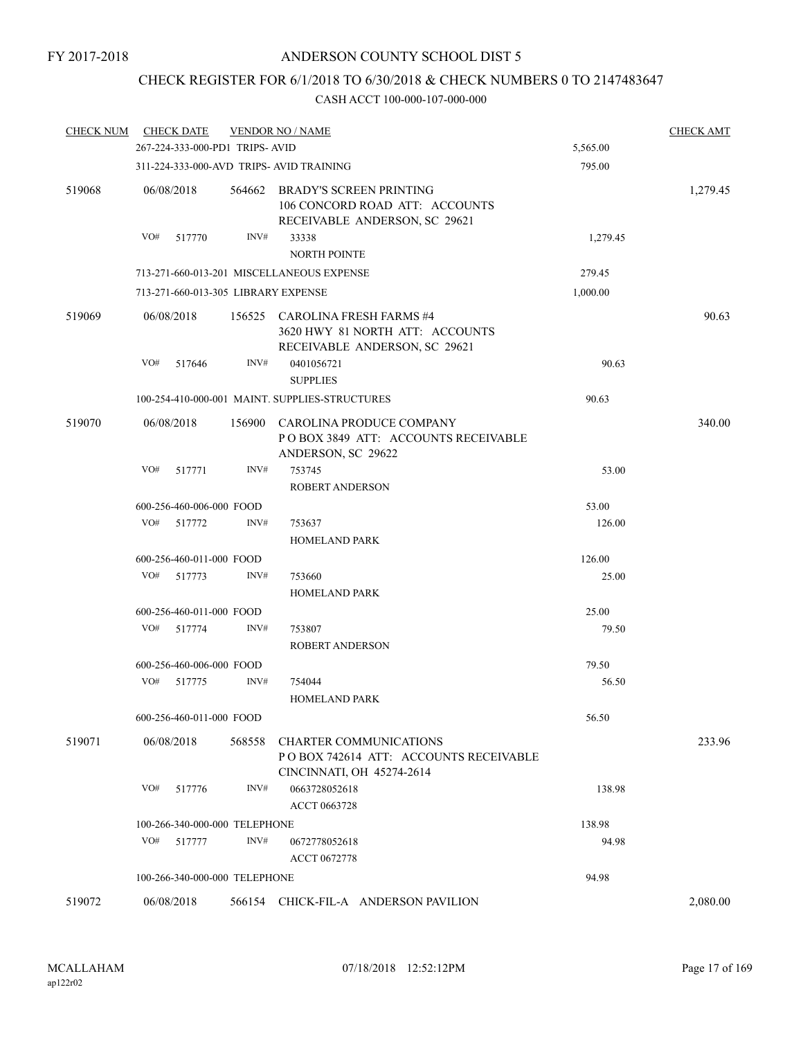# CHECK REGISTER FOR 6/1/2018 TO 6/30/2018 & CHECK NUMBERS 0 TO 2147483647

| <b>CHECK NUM</b> |     | <b>CHECK DATE</b>        |                                 | <b>VENDOR NO / NAME</b>                                                                             |          | <b>CHECK AMT</b> |
|------------------|-----|--------------------------|---------------------------------|-----------------------------------------------------------------------------------------------------|----------|------------------|
|                  |     |                          | 267-224-333-000-PD1 TRIPS- AVID | 5,565.00                                                                                            |          |                  |
|                  |     |                          |                                 | 311-224-333-000-AVD TRIPS- AVID TRAINING                                                            | 795.00   |                  |
| 519068           |     | 06/08/2018               | 564662                          | <b>BRADY'S SCREEN PRINTING</b><br>106 CONCORD ROAD ATT: ACCOUNTS<br>RECEIVABLE ANDERSON, SC 29621   |          | 1,279.45         |
|                  | VO# | 517770                   | INV#                            | 33338<br><b>NORTH POINTE</b>                                                                        | 1,279.45 |                  |
|                  |     |                          |                                 | 713-271-660-013-201 MISCELLANEOUS EXPENSE                                                           | 279.45   |                  |
|                  |     |                          |                                 | 713-271-660-013-305 LIBRARY EXPENSE                                                                 | 1,000.00 |                  |
| 519069           |     | 06/08/2018               |                                 | 156525 CAROLINA FRESH FARMS #4<br>3620 HWY 81 NORTH ATT: ACCOUNTS<br>RECEIVABLE ANDERSON, SC 29621  |          | 90.63            |
|                  | VO# | 517646                   | INV#                            | 0401056721<br><b>SUPPLIES</b>                                                                       | 90.63    |                  |
|                  |     |                          |                                 | 100-254-410-000-001 MAINT. SUPPLIES-STRUCTURES                                                      | 90.63    |                  |
| 519070           |     | 06/08/2018               | 156900                          | CAROLINA PRODUCE COMPANY<br>POBOX 3849 ATT: ACCOUNTS RECEIVABLE<br>ANDERSON, SC 29622               |          | 340.00           |
|                  | VO# | 517771                   | INV#                            | 753745<br>ROBERT ANDERSON                                                                           | 53.00    |                  |
|                  |     | 600-256-460-006-000 FOOD |                                 |                                                                                                     | 53.00    |                  |
|                  |     | VO# 517772               | INV#                            | 753637                                                                                              | 126.00   |                  |
|                  |     |                          |                                 | <b>HOMELAND PARK</b>                                                                                |          |                  |
|                  |     | 600-256-460-011-000 FOOD |                                 |                                                                                                     | 126.00   |                  |
|                  | VO# | 517773                   | INV#                            | 753660                                                                                              | 25.00    |                  |
|                  |     |                          |                                 | <b>HOMELAND PARK</b>                                                                                |          |                  |
|                  |     | 600-256-460-011-000 FOOD |                                 |                                                                                                     | 25.00    |                  |
|                  | VO# | 517774                   | INV#                            | 753807<br><b>ROBERT ANDERSON</b>                                                                    | 79.50    |                  |
|                  |     | 600-256-460-006-000 FOOD |                                 |                                                                                                     | 79.50    |                  |
|                  | VO# | 517775                   | INV#                            | 754044<br><b>HOMELAND PARK</b>                                                                      | 56.50    |                  |
|                  |     | 600-256-460-011-000 FOOD |                                 |                                                                                                     | 56.50    |                  |
| 519071           |     | 06/08/2018               | 568558                          | <b>CHARTER COMMUNICATIONS</b><br>POBOX 742614 ATT: ACCOUNTS RECEIVABLE<br>CINCINNATI, OH 45274-2614 |          | 233.96           |
|                  | VO# | 517776                   | INV#                            | 0663728052618<br><b>ACCT 0663728</b>                                                                | 138.98   |                  |
|                  |     |                          | 100-266-340-000-000 TELEPHONE   |                                                                                                     | 138.98   |                  |
|                  | VO# | 517777                   | INV#                            | 0672778052618<br><b>ACCT 0672778</b>                                                                | 94.98    |                  |
|                  |     |                          | 100-266-340-000-000 TELEPHONE   |                                                                                                     | 94.98    |                  |
| 519072           |     | 06/08/2018               |                                 | 566154 CHICK-FIL-A ANDERSON PAVILION                                                                |          | 2,080.00         |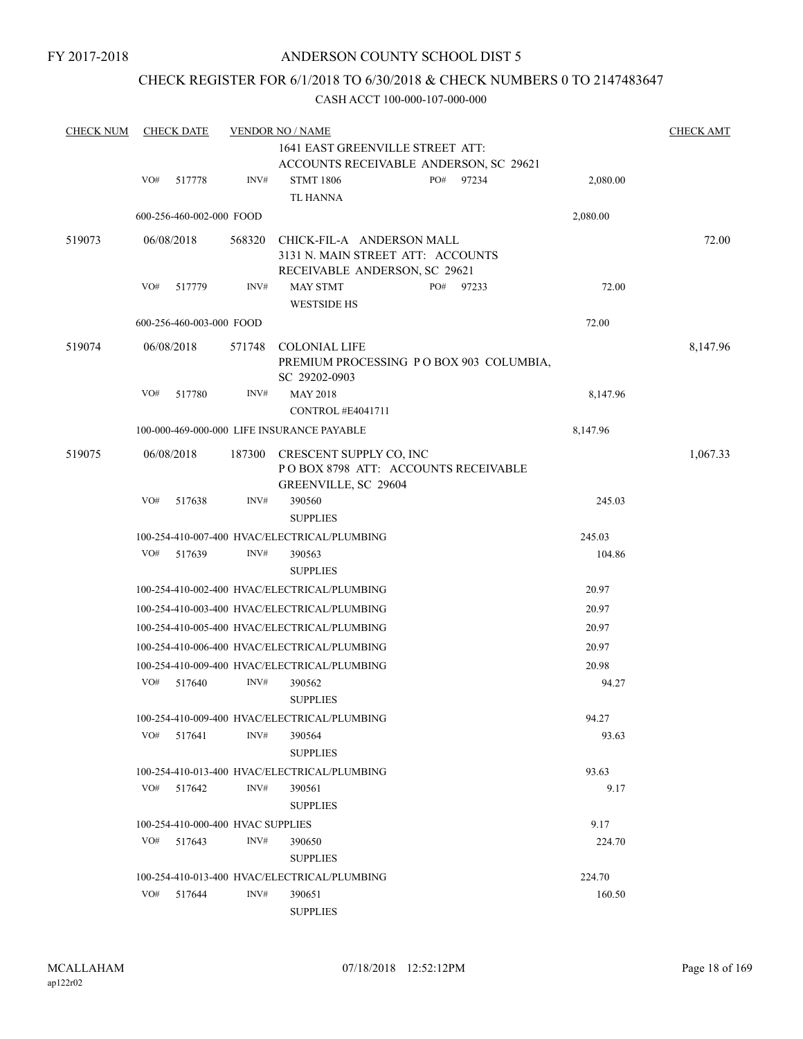FY 2017-2018

## ANDERSON COUNTY SCHOOL DIST 5

## CHECK REGISTER FOR 6/1/2018 TO 6/30/2018 & CHECK NUMBERS 0 TO 2147483647

| <b>CHECK NUM</b> |     | <b>CHECK DATE</b>                           |        | <b>VENDOR NO / NAME</b>                                                          |     |       |                | <b>CHECK AMT</b> |
|------------------|-----|---------------------------------------------|--------|----------------------------------------------------------------------------------|-----|-------|----------------|------------------|
|                  |     |                                             |        | 1641 EAST GREENVILLE STREET ATT:                                                 |     |       |                |                  |
|                  |     |                                             |        | ACCOUNTS RECEIVABLE ANDERSON, SC 29621                                           |     |       |                |                  |
|                  | VO# | 517778                                      | INV#   | <b>STMT 1806</b>                                                                 | PO# | 97234 | 2,080.00       |                  |
|                  |     |                                             |        | TL HANNA                                                                         |     |       |                |                  |
|                  |     | 600-256-460-002-000 FOOD                    |        |                                                                                  |     |       | 2,080.00       |                  |
| 519073           |     | 06/08/2018                                  | 568320 | CHICK-FIL-A ANDERSON MALL                                                        |     |       |                | 72.00            |
|                  |     |                                             |        | 3131 N. MAIN STREET ATT: ACCOUNTS                                                |     |       |                |                  |
|                  |     |                                             |        | RECEIVABLE ANDERSON, SC 29621                                                    |     |       |                |                  |
|                  | VO# | 517779                                      | INV#   | <b>MAY STMT</b>                                                                  | PO# | 97233 | 72.00          |                  |
|                  |     |                                             |        | <b>WESTSIDE HS</b>                                                               |     |       |                |                  |
|                  |     | 600-256-460-003-000 FOOD                    |        |                                                                                  |     |       | 72.00          |                  |
| 519074           |     | 06/08/2018                                  | 571748 | <b>COLONIAL LIFE</b><br>PREMIUM PROCESSING PO BOX 903 COLUMBIA,<br>SC 29202-0903 |     |       |                | 8,147.96         |
|                  | VO# | 517780                                      | INV#   | <b>MAY 2018</b><br>CONTROL #E4041711                                             |     |       | 8,147.96       |                  |
|                  |     |                                             |        | 100-000-469-000-000 LIFE INSURANCE PAYABLE                                       |     |       | 8,147.96       |                  |
| 519075           |     | 06/08/2018                                  |        |                                                                                  |     |       |                |                  |
|                  |     |                                             | 187300 | CRESCENT SUPPLY CO, INC<br>POBOX 8798 ATT: ACCOUNTS RECEIVABLE                   |     |       |                | 1,067.33         |
|                  |     |                                             |        | GREENVILLE, SC 29604                                                             |     |       |                |                  |
|                  | VO# | 517638                                      | INV#   | 390560                                                                           |     |       | 245.03         |                  |
|                  |     |                                             |        | <b>SUPPLIES</b>                                                                  |     |       |                |                  |
|                  |     |                                             |        | 100-254-410-007-400 HVAC/ELECTRICAL/PLUMBING                                     |     |       | 245.03         |                  |
|                  | VO# | 517639                                      | INV#   | 390563                                                                           |     |       | 104.86         |                  |
|                  |     |                                             |        | <b>SUPPLIES</b>                                                                  |     |       |                |                  |
|                  |     |                                             |        | 100-254-410-002-400 HVAC/ELECTRICAL/PLUMBING                                     |     |       | 20.97          |                  |
|                  |     |                                             |        | 100-254-410-003-400 HVAC/ELECTRICAL/PLUMBING                                     |     |       | 20.97          |                  |
|                  |     |                                             |        | 100-254-410-005-400 HVAC/ELECTRICAL/PLUMBING                                     |     |       | 20.97          |                  |
|                  |     |                                             |        | 100-254-410-006-400 HVAC/ELECTRICAL/PLUMBING                                     |     |       | 20.97          |                  |
|                  |     |                                             |        | 100-254-410-009-400 HVAC/ELECTRICAL/PLUMBING                                     |     |       | 20.98          |                  |
|                  | VO# | 517640                                      | INV#   | 390562                                                                           |     |       | 94.27          |                  |
|                  |     |                                             |        | <b>SUPPLIES</b>                                                                  |     |       |                |                  |
|                  |     |                                             |        | 100-254-410-009-400 HVAC/ELECTRICAL/PLUMBING                                     |     |       | 94.27          |                  |
|                  | VO# | 517641                                      | INV#   | 390564                                                                           |     |       | 93.63          |                  |
|                  |     |                                             |        | <b>SUPPLIES</b>                                                                  |     |       |                |                  |
|                  |     |                                             |        | 100-254-410-013-400 HVAC/ELECTRICAL/PLUMBING                                     |     |       | 93.63          |                  |
|                  | VO# | 517642                                      | INV#   | 390561<br><b>SUPPLIES</b>                                                        |     |       | 9.17           |                  |
|                  |     |                                             |        |                                                                                  |     |       |                |                  |
|                  | VO# | 100-254-410-000-400 HVAC SUPPLIES<br>517643 | INV#   | 390650                                                                           |     |       | 9.17<br>224.70 |                  |
|                  |     |                                             |        | <b>SUPPLIES</b>                                                                  |     |       |                |                  |
|                  |     |                                             |        | 100-254-410-013-400 HVAC/ELECTRICAL/PLUMBING                                     |     |       | 224.70         |                  |
|                  | VO# | 517644                                      | INV#   | 390651                                                                           |     |       | 160.50         |                  |
|                  |     |                                             |        | <b>SUPPLIES</b>                                                                  |     |       |                |                  |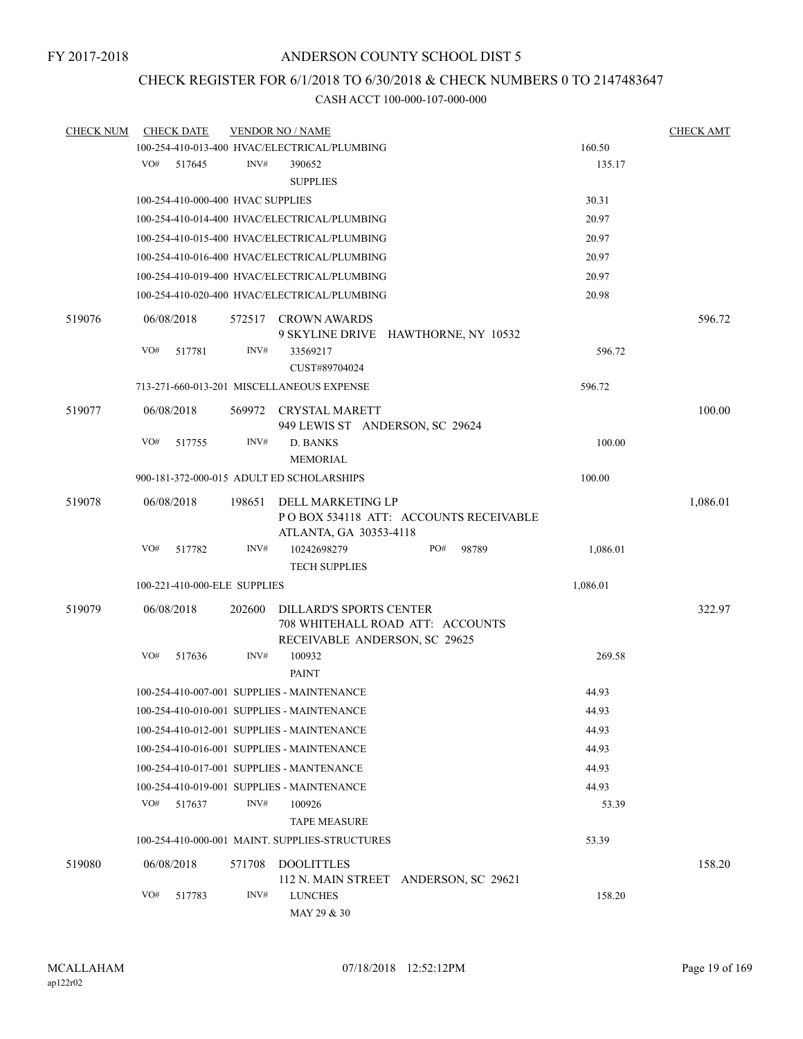# CHECK REGISTER FOR 6/1/2018 TO 6/30/2018 & CHECK NUMBERS 0 TO 2147483647

| <b>CHECK NUM</b> | <b>CHECK DATE</b>                 |        | <b>VENDOR NO / NAME</b>                                                                             |          | <b>CHECK AMT</b> |
|------------------|-----------------------------------|--------|-----------------------------------------------------------------------------------------------------|----------|------------------|
|                  |                                   |        | 100-254-410-013-400 HVAC/ELECTRICAL/PLUMBING                                                        | 160.50   |                  |
|                  | VO#<br>517645                     | INV#   | 390652                                                                                              | 135.17   |                  |
|                  |                                   |        | <b>SUPPLIES</b>                                                                                     |          |                  |
|                  | 100-254-410-000-400 HVAC SUPPLIES |        |                                                                                                     | 30.31    |                  |
|                  |                                   |        | 100-254-410-014-400 HVAC/ELECTRICAL/PLUMBING                                                        | 20.97    |                  |
|                  |                                   |        | 100-254-410-015-400 HVAC/ELECTRICAL/PLUMBING                                                        | 20.97    |                  |
|                  |                                   |        | 100-254-410-016-400 HVAC/ELECTRICAL/PLUMBING                                                        | 20.97    |                  |
|                  |                                   |        | 100-254-410-019-400 HVAC/ELECTRICAL/PLUMBING                                                        | 20.97    |                  |
|                  |                                   |        | 100-254-410-020-400 HVAC/ELECTRICAL/PLUMBING                                                        | 20.98    |                  |
| 519076           | 06/08/2018                        |        | 572517 CROWN AWARDS<br>9 SKYLINE DRIVE HAWTHORNE, NY 10532                                          |          | 596.72           |
|                  | VO#<br>517781                     | INV#   | 33569217<br>CUST#89704024                                                                           | 596.72   |                  |
|                  |                                   |        | 713-271-660-013-201 MISCELLANEOUS EXPENSE                                                           | 596.72   |                  |
| 519077           | 06/08/2018                        |        | 569972 CRYSTAL MARETT<br>949 LEWIS ST ANDERSON, SC 29624                                            |          | 100.00           |
|                  | VO#<br>517755                     | INV#   | <b>D. BANKS</b><br><b>MEMORIAL</b>                                                                  | 100.00   |                  |
|                  |                                   |        | 900-181-372-000-015 ADULT ED SCHOLARSHIPS                                                           | 100.00   |                  |
| 519078           | 06/08/2018                        | 198651 | DELL MARKETING LP<br>PO BOX 534118 ATT: ACCOUNTS RECEIVABLE<br>ATLANTA, GA 30353-4118               |          | 1,086.01         |
|                  | VO#<br>517782                     | INV#   | 10242698279<br>PO#<br>98789<br><b>TECH SUPPLIES</b>                                                 | 1,086.01 |                  |
|                  | 100-221-410-000-ELE SUPPLIES      |        |                                                                                                     | 1,086.01 |                  |
| 519079           | 06/08/2018                        | 202600 | <b>DILLARD'S SPORTS CENTER</b><br>708 WHITEHALL ROAD ATT: ACCOUNTS<br>RECEIVABLE ANDERSON, SC 29625 |          | 322.97           |
|                  | VO#<br>517636                     | INV#   | 100932<br><b>PAINT</b>                                                                              | 269.58   |                  |
|                  |                                   |        | 100-254-410-007-001 SUPPLIES - MAINTENANCE                                                          | 44.93    |                  |
|                  |                                   |        | 100-254-410-010-001 SUPPLIES - MAINTENANCE                                                          | 44.93    |                  |
|                  |                                   |        | 100-254-410-012-001 SUPPLIES - MAINTENANCE                                                          | 44.93    |                  |
|                  |                                   |        | 100-254-410-016-001 SUPPLIES - MAINTENANCE                                                          | 44.93    |                  |
|                  |                                   |        | 100-254-410-017-001 SUPPLIES - MANTENANCE                                                           | 44.93    |                  |
|                  |                                   |        | 100-254-410-019-001 SUPPLIES - MAINTENANCE                                                          | 44.93    |                  |
|                  | VO#<br>517637                     | INV#   | 100926                                                                                              | 53.39    |                  |
|                  |                                   |        | <b>TAPE MEASURE</b>                                                                                 |          |                  |
|                  |                                   |        | 100-254-410-000-001 MAINT. SUPPLIES-STRUCTURES                                                      | 53.39    |                  |
| 519080           | 06/08/2018                        | 571708 | DOOLITTLES<br>112 N. MAIN STREET ANDERSON, SC 29621                                                 |          | 158.20           |
|                  | VO#<br>517783                     | INV#   | <b>LUNCHES</b><br>MAY 29 & 30                                                                       | 158.20   |                  |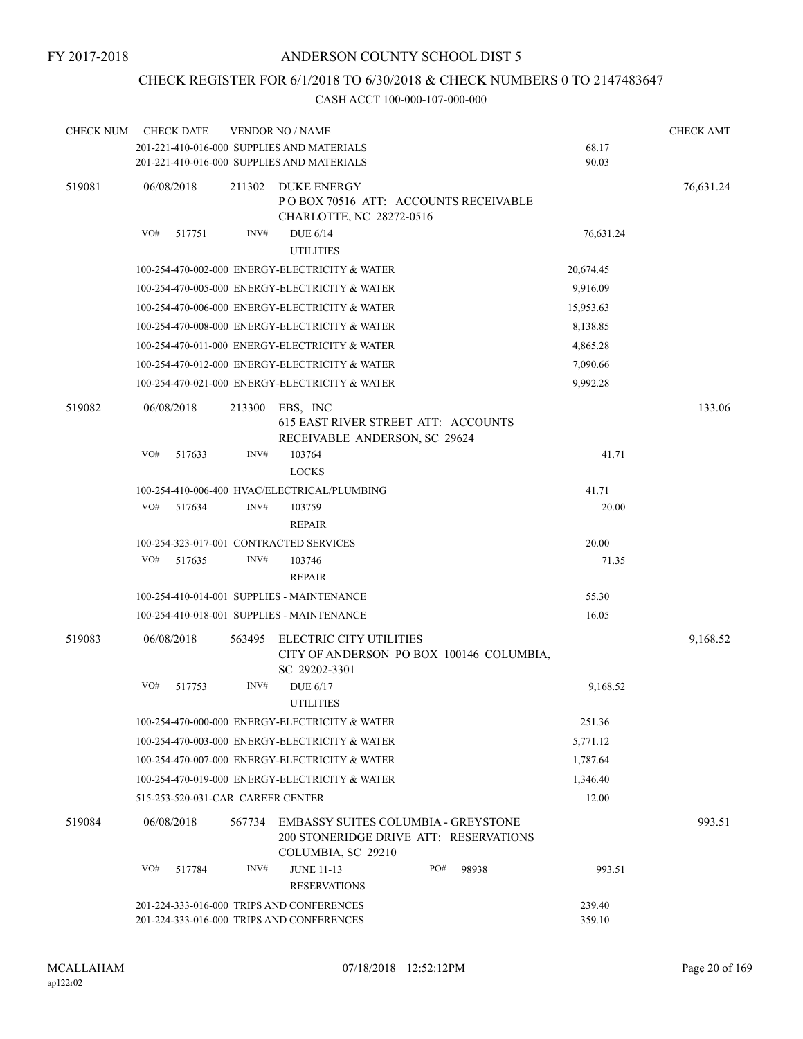## CHECK REGISTER FOR 6/1/2018 TO 6/30/2018 & CHECK NUMBERS 0 TO 2147483647

| <b>CHECK NUM</b> | <b>CHECK DATE</b>                         |        | <b>VENDOR NO / NAME</b>                                                                             |     |       |           | <b>CHECK AMT</b> |
|------------------|-------------------------------------------|--------|-----------------------------------------------------------------------------------------------------|-----|-------|-----------|------------------|
|                  |                                           |        | 201-221-410-016-000 SUPPLIES AND MATERIALS                                                          |     |       | 68.17     |                  |
|                  |                                           |        | 201-221-410-016-000 SUPPLIES AND MATERIALS                                                          |     |       | 90.03     |                  |
| 519081           | 06/08/2018                                | 211302 | <b>DUKE ENERGY</b><br>POBOX 70516 ATT: ACCOUNTS RECEIVABLE<br>CHARLOTTE, NC 28272-0516              |     |       |           | 76,631.24        |
|                  | VO#<br>517751                             | INV#   | <b>DUE 6/14</b><br><b>UTILITIES</b>                                                                 |     |       | 76,631.24 |                  |
|                  |                                           |        | 100-254-470-002-000 ENERGY-ELECTRICITY & WATER                                                      |     |       | 20,674.45 |                  |
|                  |                                           |        | 100-254-470-005-000 ENERGY-ELECTRICITY & WATER                                                      |     |       | 9,916.09  |                  |
|                  |                                           |        | 100-254-470-006-000 ENERGY-ELECTRICITY & WATER                                                      |     |       | 15,953.63 |                  |
|                  |                                           |        | 100-254-470-008-000 ENERGY-ELECTRICITY & WATER                                                      |     |       | 8,138.85  |                  |
|                  |                                           |        | 100-254-470-011-000 ENERGY-ELECTRICITY & WATER                                                      |     |       | 4,865.28  |                  |
|                  |                                           |        | 100-254-470-012-000 ENERGY-ELECTRICITY & WATER                                                      |     |       | 7,090.66  |                  |
|                  |                                           |        | 100-254-470-021-000 ENERGY-ELECTRICITY & WATER                                                      |     |       | 9,992.28  |                  |
| 519082           | 06/08/2018                                | 213300 | EBS, INC<br>615 EAST RIVER STREET ATT: ACCOUNTS<br>RECEIVABLE ANDERSON, SC 29624                    |     |       |           | 133.06           |
|                  | VO#<br>517633                             | INV#   | 103764<br><b>LOCKS</b>                                                                              |     |       | 41.71     |                  |
|                  |                                           |        | 100-254-410-006-400 HVAC/ELECTRICAL/PLUMBING                                                        |     |       | 41.71     |                  |
|                  | VO#<br>517634                             | INV#   | 103759                                                                                              |     |       | 20.00     |                  |
|                  |                                           |        | <b>REPAIR</b>                                                                                       |     |       |           |                  |
|                  | 100-254-323-017-001 CONTRACTED SERVICES   |        |                                                                                                     |     |       | 20.00     |                  |
|                  | VO#<br>517635                             | INV#   | 103746<br><b>REPAIR</b>                                                                             |     |       | 71.35     |                  |
|                  |                                           |        | 100-254-410-014-001 SUPPLIES - MAINTENANCE                                                          |     |       | 55.30     |                  |
|                  |                                           |        | 100-254-410-018-001 SUPPLIES - MAINTENANCE                                                          |     |       | 16.05     |                  |
| 519083           | 06/08/2018                                | 563495 | ELECTRIC CITY UTILITIES<br>CITY OF ANDERSON PO BOX 100146 COLUMBIA,<br>SC 29202-3301                |     |       |           | 9,168.52         |
|                  | VO#<br>517753                             | INV#   | <b>DUE 6/17</b><br><b>UTILITIES</b>                                                                 |     |       | 9,168.52  |                  |
|                  |                                           |        | 100-254-470-000-000 ENERGY-ELECTRICITY & WATER                                                      |     |       | 251.36    |                  |
|                  |                                           |        | 100-254-470-003-000 ENERGY-ELECTRICITY & WATER                                                      |     |       | 5,771.12  |                  |
|                  |                                           |        | 100-254-470-007-000 ENERGY-ELECTRICITY & WATER                                                      |     |       | 1,787.64  |                  |
|                  |                                           |        | 100-254-470-019-000 ENERGY-ELECTRICITY & WATER                                                      |     |       | 1,346.40  |                  |
|                  | 515-253-520-031-CAR CAREER CENTER         |        |                                                                                                     |     |       | 12.00     |                  |
| 519084           | 06/08/2018                                | 567734 | EMBASSY SUITES COLUMBIA - GREYSTONE<br>200 STONERIDGE DRIVE ATT: RESERVATIONS<br>COLUMBIA, SC 29210 |     |       |           | 993.51           |
|                  | VO#<br>517784                             | INV#   | <b>JUNE 11-13</b><br><b>RESERVATIONS</b>                                                            | PO# | 98938 | 993.51    |                  |
|                  |                                           |        | 201-224-333-016-000 TRIPS AND CONFERENCES                                                           |     |       | 239.40    |                  |
|                  | 201-224-333-016-000 TRIPS AND CONFERENCES |        | 359.10                                                                                              |     |       |           |                  |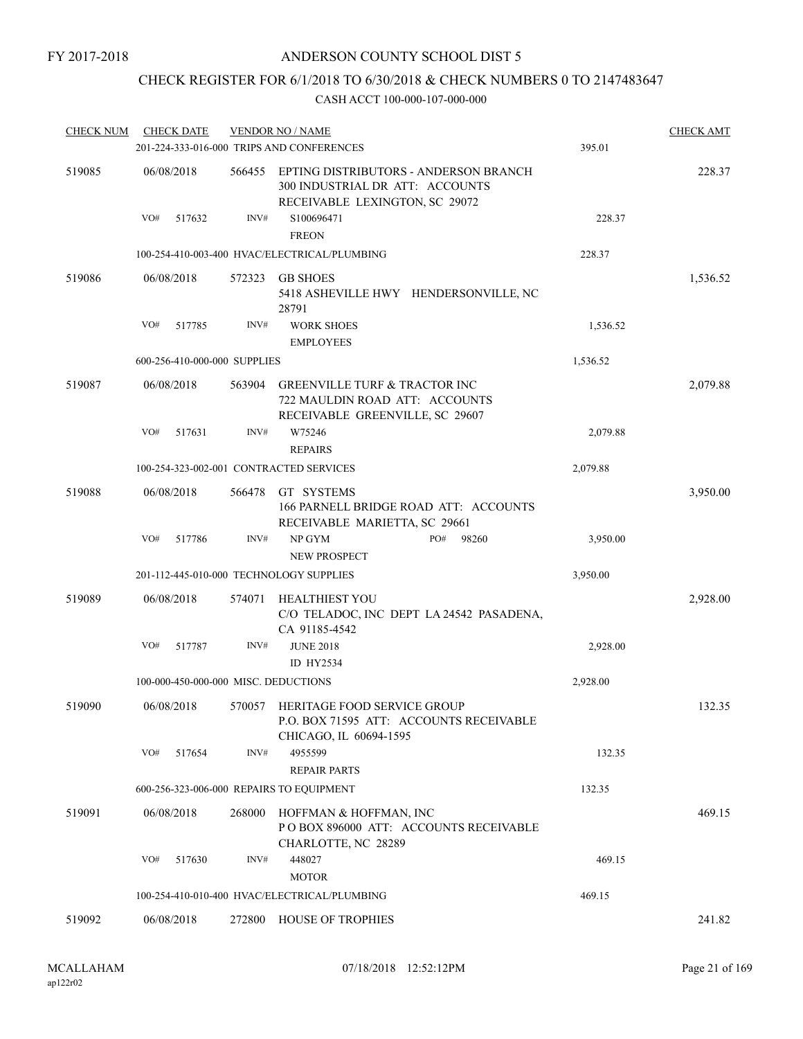## CHECK REGISTER FOR 6/1/2018 TO 6/30/2018 & CHECK NUMBERS 0 TO 2147483647

| <b>CHECK DATE</b> |            |                                                                                                               | 395.01                                                                                                                                                                                                                                                                                                                                                                                                                                                                                                                                                            | <b>CHECK AMT</b>                                                                                                                                  |
|-------------------|------------|---------------------------------------------------------------------------------------------------------------|-------------------------------------------------------------------------------------------------------------------------------------------------------------------------------------------------------------------------------------------------------------------------------------------------------------------------------------------------------------------------------------------------------------------------------------------------------------------------------------------------------------------------------------------------------------------|---------------------------------------------------------------------------------------------------------------------------------------------------|
| 06/08/2018        | 566455     | EPTING DISTRIBUTORS - ANDERSON BRANCH<br>300 INDUSTRIAL DR ATT: ACCOUNTS<br>RECEIVABLE LEXINGTON, SC 29072    |                                                                                                                                                                                                                                                                                                                                                                                                                                                                                                                                                                   | 228.37                                                                                                                                            |
| VO#<br>517632     | INV#       | S100696471<br><b>FREON</b>                                                                                    | 228.37                                                                                                                                                                                                                                                                                                                                                                                                                                                                                                                                                            |                                                                                                                                                   |
|                   |            |                                                                                                               | 228.37                                                                                                                                                                                                                                                                                                                                                                                                                                                                                                                                                            |                                                                                                                                                   |
| 06/08/2018        | 572323     | <b>GB SHOES</b><br>28791                                                                                      |                                                                                                                                                                                                                                                                                                                                                                                                                                                                                                                                                                   | 1,536.52                                                                                                                                          |
| VO#<br>517785     | INV#       | <b>WORK SHOES</b>                                                                                             | 1,536.52                                                                                                                                                                                                                                                                                                                                                                                                                                                                                                                                                          |                                                                                                                                                   |
|                   |            | <b>EMPLOYEES</b>                                                                                              |                                                                                                                                                                                                                                                                                                                                                                                                                                                                                                                                                                   |                                                                                                                                                   |
|                   |            |                                                                                                               |                                                                                                                                                                                                                                                                                                                                                                                                                                                                                                                                                                   |                                                                                                                                                   |
| 06/08/2018        | 563904     | <b>GREENVILLE TURF &amp; TRACTOR INC</b><br>722 MAULDIN ROAD ATT: ACCOUNTS<br>RECEIVABLE GREENVILLE, SC 29607 |                                                                                                                                                                                                                                                                                                                                                                                                                                                                                                                                                                   | 2,079.88                                                                                                                                          |
| VO#<br>517631     | INV#       | W75246                                                                                                        | 2,079.88                                                                                                                                                                                                                                                                                                                                                                                                                                                                                                                                                          |                                                                                                                                                   |
|                   |            | <b>REPAIRS</b>                                                                                                |                                                                                                                                                                                                                                                                                                                                                                                                                                                                                                                                                                   |                                                                                                                                                   |
|                   |            |                                                                                                               | 2,079.88                                                                                                                                                                                                                                                                                                                                                                                                                                                                                                                                                          |                                                                                                                                                   |
| 06/08/2018        | 566478     | GT SYSTEMS<br>166 PARNELL BRIDGE ROAD ATT: ACCOUNTS                                                           |                                                                                                                                                                                                                                                                                                                                                                                                                                                                                                                                                                   | 3,950.00                                                                                                                                          |
| VO#<br>517786     | INV#       | NP GYM<br>PO#<br>98260<br><b>NEW PROSPECT</b>                                                                 | 3,950.00                                                                                                                                                                                                                                                                                                                                                                                                                                                                                                                                                          |                                                                                                                                                   |
|                   |            |                                                                                                               | 3,950.00                                                                                                                                                                                                                                                                                                                                                                                                                                                                                                                                                          |                                                                                                                                                   |
| 06/08/2018        | 574071     | <b>HEALTHIEST YOU</b>                                                                                         |                                                                                                                                                                                                                                                                                                                                                                                                                                                                                                                                                                   | 2,928.00                                                                                                                                          |
| VO#<br>517787     | INV#       | <b>JUNE 2018</b><br>ID HY2534                                                                                 | 2,928.00                                                                                                                                                                                                                                                                                                                                                                                                                                                                                                                                                          |                                                                                                                                                   |
|                   |            |                                                                                                               | 2,928.00                                                                                                                                                                                                                                                                                                                                                                                                                                                                                                                                                          |                                                                                                                                                   |
| 06/08/2018        |            | P.O. BOX 71595 ATT: ACCOUNTS RECEIVABLE                                                                       |                                                                                                                                                                                                                                                                                                                                                                                                                                                                                                                                                                   | 132.35                                                                                                                                            |
| VO#<br>517654     | INV#       | 4955599                                                                                                       | 132.35                                                                                                                                                                                                                                                                                                                                                                                                                                                                                                                                                            |                                                                                                                                                   |
|                   |            |                                                                                                               |                                                                                                                                                                                                                                                                                                                                                                                                                                                                                                                                                                   |                                                                                                                                                   |
|                   |            |                                                                                                               |                                                                                                                                                                                                                                                                                                                                                                                                                                                                                                                                                                   |                                                                                                                                                   |
|                   |            | CHARLOTTE, NC 28289                                                                                           |                                                                                                                                                                                                                                                                                                                                                                                                                                                                                                                                                                   | 469.15                                                                                                                                            |
| VO#<br>517630     | INV#       | 448027                                                                                                        | 469.15                                                                                                                                                                                                                                                                                                                                                                                                                                                                                                                                                            |                                                                                                                                                   |
|                   |            |                                                                                                               | 469.15                                                                                                                                                                                                                                                                                                                                                                                                                                                                                                                                                            |                                                                                                                                                   |
| 06/08/2018        | 272800     | <b>HOUSE OF TROPHIES</b>                                                                                      |                                                                                                                                                                                                                                                                                                                                                                                                                                                                                                                                                                   | 241.82                                                                                                                                            |
|                   | 06/08/2018 | 268000                                                                                                        | <b>VENDOR NO / NAME</b><br>201-224-333-016-000 TRIPS AND CONFERENCES<br>100-254-410-003-400 HVAC/ELECTRICAL/PLUMBING<br>600-256-410-000-000 SUPPLIES<br>100-254-323-002-001 CONTRACTED SERVICES<br>RECEIVABLE MARIETTA, SC 29661<br>201-112-445-010-000 TECHNOLOGY SUPPLIES<br>CA 91185-4542<br>100-000-450-000-000 MISC. DEDUCTIONS<br>570057 HERITAGE FOOD SERVICE GROUP<br>CHICAGO, IL 60694-1595<br><b>REPAIR PARTS</b><br>600-256-323-006-000 REPAIRS TO EQUIPMENT<br>HOFFMAN & HOFFMAN, INC<br><b>MOTOR</b><br>100-254-410-010-400 HVAC/ELECTRICAL/PLUMBING | 5418 ASHEVILLE HWY HENDERSONVILLE, NC<br>1,536.52<br>C/O TELADOC, INC DEPT LA 24542 PASADENA,<br>132.35<br>PO BOX 896000 ATT: ACCOUNTS RECEIVABLE |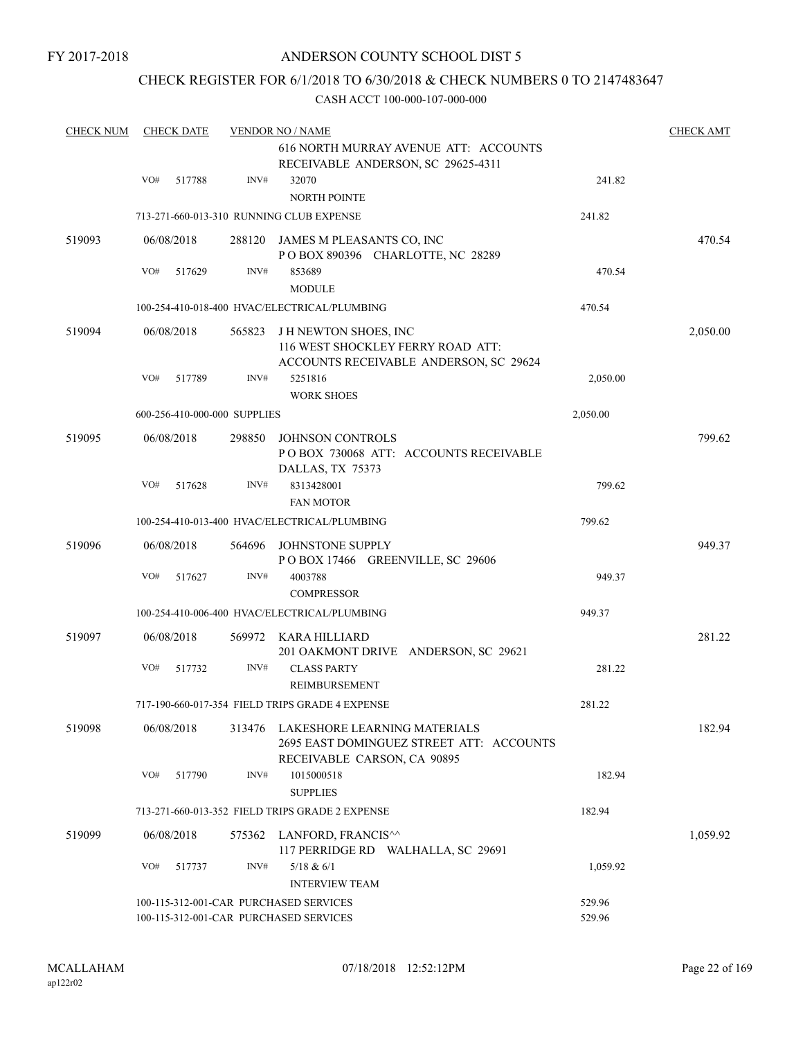FY 2017-2018

## ANDERSON COUNTY SCHOOL DIST 5

## CHECK REGISTER FOR 6/1/2018 TO 6/30/2018 & CHECK NUMBERS 0 TO 2147483647

| <b>CHECK NUM</b> |     | <b>CHECK DATE</b> |                              | <b>VENDOR NO / NAME</b><br>616 NORTH MURRAY AVENUE ATT: ACCOUNTS                                           |                  | <b>CHECK AMT</b> |
|------------------|-----|-------------------|------------------------------|------------------------------------------------------------------------------------------------------------|------------------|------------------|
|                  | VO# | 517788            | INV#                         | RECEIVABLE ANDERSON, SC 29625-4311<br>32070                                                                | 241.82           |                  |
|                  |     |                   |                              | <b>NORTH POINTE</b><br>713-271-660-013-310 RUNNING CLUB EXPENSE                                            | 241.82           |                  |
| 519093           |     | 06/08/2018        | 288120                       | JAMES M PLEASANTS CO, INC                                                                                  |                  | 470.54           |
|                  |     |                   |                              | POBOX 890396 CHARLOTTE, NC 28289                                                                           |                  |                  |
|                  | VO# | 517629            | INV#                         | 853689<br><b>MODULE</b>                                                                                    | 470.54           |                  |
|                  |     |                   |                              | 100-254-410-018-400 HVAC/ELECTRICAL/PLUMBING                                                               | 470.54           |                  |
| 519094           |     | 06/08/2018        | 565823                       | <b>JH NEWTON SHOES, INC</b><br>116 WEST SHOCKLEY FERRY ROAD ATT:<br>ACCOUNTS RECEIVABLE ANDERSON, SC 29624 |                  | 2,050.00         |
|                  | VO# | 517789            | INV#                         | 5251816                                                                                                    | 2,050.00         |                  |
|                  |     |                   |                              | <b>WORK SHOES</b>                                                                                          |                  |                  |
|                  |     |                   | 600-256-410-000-000 SUPPLIES |                                                                                                            | 2,050.00         |                  |
| 519095           |     | 06/08/2018        | 298850                       | <b>JOHNSON CONTROLS</b><br>POBOX 730068 ATT: ACCOUNTS RECEIVABLE<br>DALLAS, TX 75373                       |                  | 799.62           |
|                  | VO# | 517628            | INV#                         | 8313428001<br><b>FAN MOTOR</b>                                                                             | 799.62           |                  |
|                  |     |                   |                              | 100-254-410-013-400 HVAC/ELECTRICAL/PLUMBING                                                               | 799.62           |                  |
| 519096           |     | 06/08/2018        | 564696                       | <b>JOHNSTONE SUPPLY</b><br>POBOX 17466 GREENVILLE, SC 29606                                                |                  | 949.37           |
|                  | VO# | 517627            | INV#                         | 4003788<br><b>COMPRESSOR</b>                                                                               | 949.37           |                  |
|                  |     |                   |                              | 100-254-410-006-400 HVAC/ELECTRICAL/PLUMBING                                                               | 949.37           |                  |
| 519097           |     | 06/08/2018        | 569972                       | KARA HILLIARD<br>201 OAKMONT DRIVE ANDERSON, SC 29621                                                      |                  | 281.22           |
|                  | VO# | 517732            | INV#                         | <b>CLASS PARTY</b><br>REIMBURSEMENT                                                                        | 281.22           |                  |
|                  |     |                   |                              | 717-190-660-017-354 FIELD TRIPS GRADE 4 EXPENSE                                                            | 281.22           |                  |
| 519098           |     | 06/08/2018        | 313476                       | LAKESHORE LEARNING MATERIALS<br>2695 EAST DOMINGUEZ STREET ATT: ACCOUNTS<br>RECEIVABLE CARSON, CA 90895    |                  | 182.94           |
|                  | VO# | 517790            | INV#                         | 1015000518<br><b>SUPPLIES</b>                                                                              | 182.94           |                  |
|                  |     |                   |                              | 713-271-660-013-352 FIELD TRIPS GRADE 2 EXPENSE                                                            | 182.94           |                  |
| 519099           |     | 06/08/2018        | 575362                       | LANFORD, FRANCIS^^<br>117 PERRIDGE RD WALHALLA, SC 29691                                                   |                  | 1,059.92         |
|                  | VO# | 517737            | INV#                         | 5/18 & 6/1<br><b>INTERVIEW TEAM</b>                                                                        | 1,059.92         |                  |
|                  |     |                   |                              | 100-115-312-001-CAR PURCHASED SERVICES<br>100-115-312-001-CAR PURCHASED SERVICES                           | 529.96<br>529.96 |                  |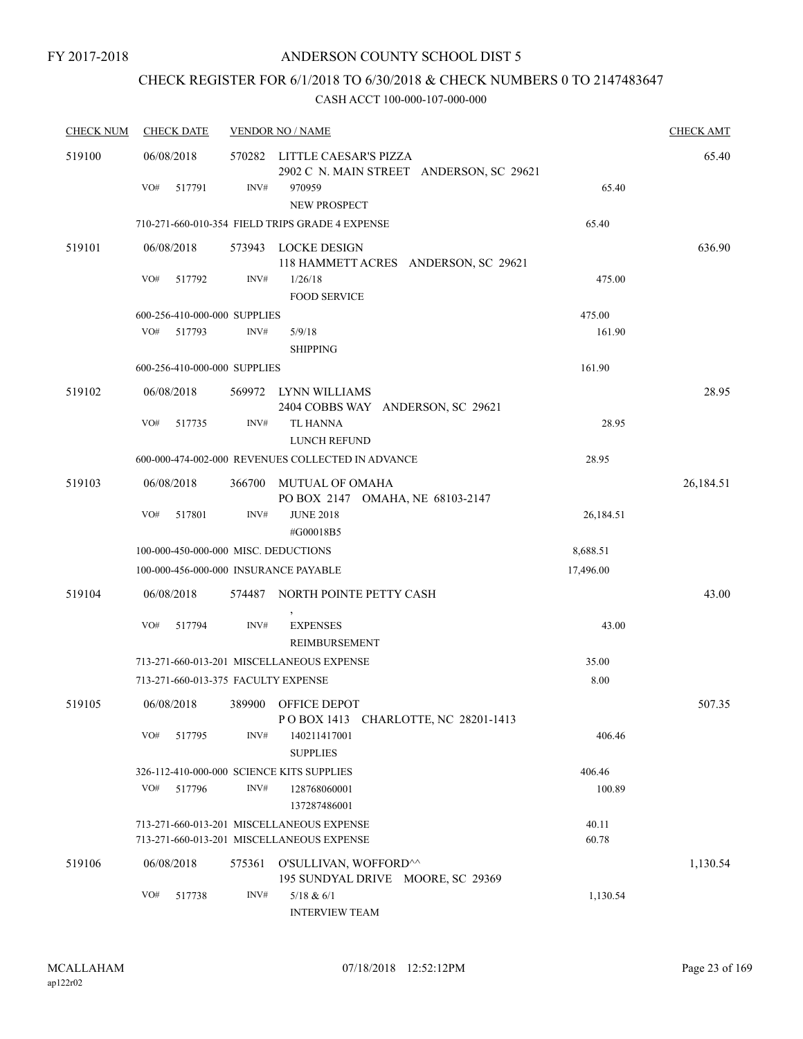#### FY 2017-2018

## ANDERSON COUNTY SCHOOL DIST 5

# CHECK REGISTER FOR 6/1/2018 TO 6/30/2018 & CHECK NUMBERS 0 TO 2147483647

| <b>CHECK NUM</b> | <b>CHECK DATE</b>                         |                | <b>VENDOR NO / NAME</b>                                                                |                | <b>CHECK AMT</b> |
|------------------|-------------------------------------------|----------------|----------------------------------------------------------------------------------------|----------------|------------------|
| 519100           | 06/08/2018                                |                | 570282 LITTLE CAESAR'S PIZZA<br>2902 C N. MAIN STREET ANDERSON, SC 29621               |                | 65.40            |
|                  | VO#<br>517791                             | INV#           | 970959<br><b>NEW PROSPECT</b>                                                          | 65.40          |                  |
|                  |                                           |                | 710-271-660-010-354 FIELD TRIPS GRADE 4 EXPENSE                                        | 65.40          |                  |
| 519101           | 06/08/2018                                |                | 573943 LOCKE DESIGN<br>118 HAMMETT ACRES ANDERSON, SC 29621                            |                | 636.90           |
|                  | VO#<br>517792                             | INV#           | 1/26/18<br><b>FOOD SERVICE</b>                                                         | 475.00         |                  |
|                  | 600-256-410-000-000 SUPPLIES              |                |                                                                                        | 475.00         |                  |
|                  | VO#<br>517793                             | INV#           | 5/9/18<br><b>SHIPPING</b>                                                              | 161.90         |                  |
|                  | 600-256-410-000-000 SUPPLIES              |                |                                                                                        | 161.90         |                  |
| 519102           | 06/08/2018                                |                | 569972 LYNN WILLIAMS<br>2404 COBBS WAY ANDERSON, SC 29621                              |                | 28.95            |
|                  | VO#<br>517735                             | INV#           | TL HANNA<br>LUNCH REFUND                                                               | 28.95          |                  |
|                  |                                           |                | 600-000-474-002-000 REVENUES COLLECTED IN ADVANCE                                      | 28.95          |                  |
| 519103           | 06/08/2018                                |                | 366700 MUTUAL OF OMAHA<br>PO BOX 2147 OMAHA, NE 68103-2147                             |                | 26,184.51        |
|                  | VO#<br>517801                             | INV#           | <b>JUNE 2018</b><br>#G00018B5                                                          | 26,184.51      |                  |
|                  | 100-000-450-000-000 MISC. DEDUCTIONS      |                |                                                                                        | 8,688.51       |                  |
|                  | 100-000-456-000-000 INSURANCE PAYABLE     |                |                                                                                        | 17,496.00      |                  |
| 519104           | 06/08/2018                                |                | 574487 NORTH POINTE PETTY CASH                                                         |                | 43.00            |
|                  | VO#<br>517794                             | INV#           | <b>EXPENSES</b><br><b>REIMBURSEMENT</b>                                                | 43.00          |                  |
|                  |                                           |                | 713-271-660-013-201 MISCELLANEOUS EXPENSE                                              | 35.00          |                  |
|                  | 713-271-660-013-375 FACULTY EXPENSE       |                |                                                                                        | 8.00           |                  |
| 519105           | 06/08/2018                                |                | 389900 OFFICE DEPOT<br>POBOX 1413 CHARLOTTE, NC 28201-1413                             |                | 507.35           |
|                  | VO#<br>517795                             | INV#           | 140211417001<br><b>SUPPLIES</b>                                                        | 406.46         |                  |
|                  | 326-112-410-000-000 SCIENCE KITS SUPPLIES |                |                                                                                        | 406.46         |                  |
|                  | VO#<br>517796                             | INV#           | 128768060001<br>137287486001                                                           | 100.89         |                  |
|                  |                                           |                | 713-271-660-013-201 MISCELLANEOUS EXPENSE<br>713-271-660-013-201 MISCELLANEOUS EXPENSE | 40.11<br>60.78 |                  |
| 519106           | 06/08/2018                                | 575361         | O'SULLIVAN, WOFFORD^^<br>195 SUNDYAL DRIVE MOORE, SC 29369                             |                | 1,130.54         |
|                  | VO#<br>517738                             | $\text{INV}\#$ | $5/18$ & $6/1$<br><b>INTERVIEW TEAM</b>                                                | 1,130.54       |                  |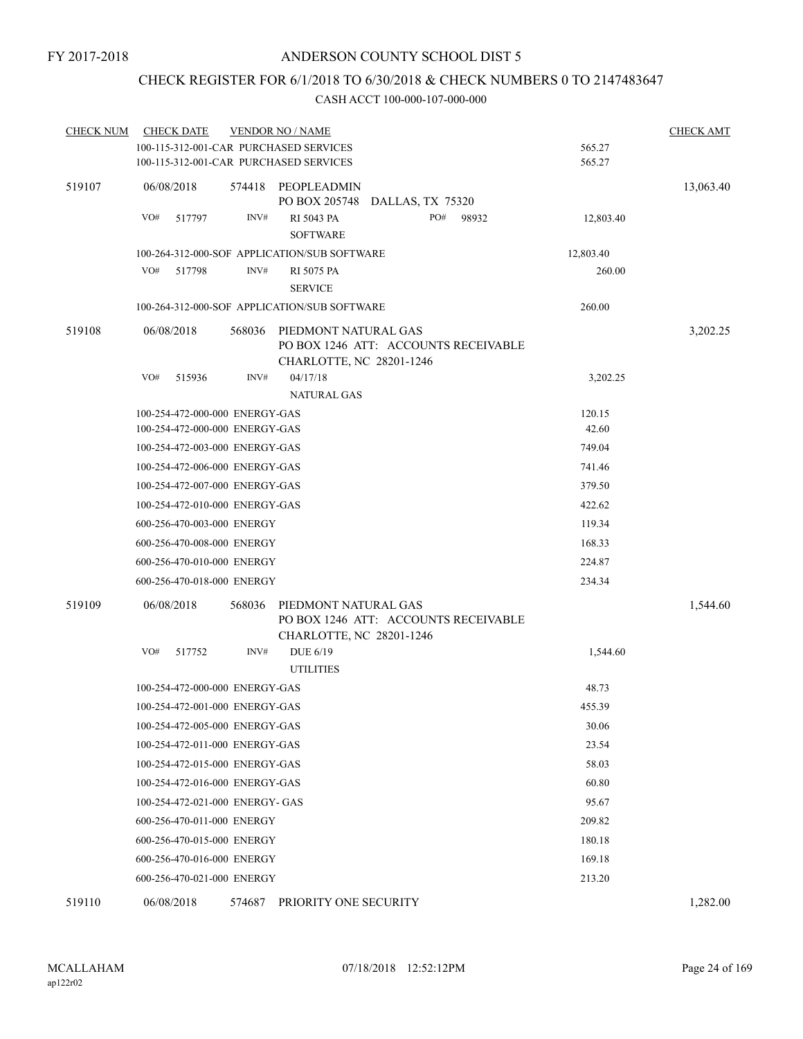## CHECK REGISTER FOR 6/1/2018 TO 6/30/2018 & CHECK NUMBERS 0 TO 2147483647

| <b>CHECK NUM</b> | <b>CHECK DATE</b>                      |        | <b>VENDOR NO / NAME</b>                                                                  |           | <b>CHECK AMT</b> |
|------------------|----------------------------------------|--------|------------------------------------------------------------------------------------------|-----------|------------------|
|                  | 100-115-312-001-CAR PURCHASED SERVICES |        |                                                                                          | 565.27    |                  |
|                  | 100-115-312-001-CAR PURCHASED SERVICES |        |                                                                                          | 565.27    |                  |
| 519107           | 06/08/2018                             | 574418 | PEOPLEADMIN<br>PO BOX 205748 DALLAS, TX 75320                                            |           | 13,063.40        |
|                  | VO#<br>517797                          | INV#   | RI 5043 PA<br>PO#<br>98932<br><b>SOFTWARE</b>                                            | 12,803.40 |                  |
|                  |                                        |        | 100-264-312-000-SOF APPLICATION/SUB SOFTWARE                                             | 12,803.40 |                  |
|                  | VO#<br>517798                          | INV#   | <b>RI 5075 PA</b>                                                                        | 260.00    |                  |
|                  |                                        |        | <b>SERVICE</b>                                                                           |           |                  |
|                  |                                        |        | 100-264-312-000-SOF APPLICATION/SUB SOFTWARE                                             | 260.00    |                  |
| 519108           | 06/08/2018                             | 568036 | PIEDMONT NATURAL GAS                                                                     |           | 3,202.25         |
|                  |                                        |        | PO BOX 1246 ATT: ACCOUNTS RECEIVABLE<br>CHARLOTTE, NC 28201-1246                         |           |                  |
|                  | VO#<br>515936                          | INV#   | 04/17/18<br><b>NATURAL GAS</b>                                                           | 3,202.25  |                  |
|                  | 100-254-472-000-000 ENERGY-GAS         |        |                                                                                          | 120.15    |                  |
|                  | 100-254-472-000-000 ENERGY-GAS         |        |                                                                                          | 42.60     |                  |
|                  | 100-254-472-003-000 ENERGY-GAS         |        |                                                                                          | 749.04    |                  |
|                  | 100-254-472-006-000 ENERGY-GAS         |        |                                                                                          | 741.46    |                  |
|                  | 100-254-472-007-000 ENERGY-GAS         |        |                                                                                          | 379.50    |                  |
|                  | 100-254-472-010-000 ENERGY-GAS         |        |                                                                                          | 422.62    |                  |
|                  | 600-256-470-003-000 ENERGY             |        |                                                                                          | 119.34    |                  |
|                  | 600-256-470-008-000 ENERGY             |        |                                                                                          | 168.33    |                  |
|                  | 600-256-470-010-000 ENERGY             |        |                                                                                          | 224.87    |                  |
|                  | 600-256-470-018-000 ENERGY             |        |                                                                                          | 234.34    |                  |
|                  |                                        |        |                                                                                          |           |                  |
| 519109           | 06/08/2018                             | 568036 | PIEDMONT NATURAL GAS<br>PO BOX 1246 ATT: ACCOUNTS RECEIVABLE<br>CHARLOTTE, NC 28201-1246 |           | 1,544.60         |
|                  | VO#<br>517752                          | INV#   | DUE 6/19                                                                                 | 1,544.60  |                  |
|                  |                                        |        | <b>UTILITIES</b>                                                                         |           |                  |
|                  | 100-254-472-000-000 ENERGY-GAS         |        |                                                                                          | 48.73     |                  |
|                  | 100-254-472-001-000 ENERGY-GAS         |        |                                                                                          | 455.39    |                  |
|                  | 100-254-472-005-000 ENERGY-GAS         |        |                                                                                          | 30.06     |                  |
|                  | 100-254-472-011-000 ENERGY-GAS         |        |                                                                                          | 23.54     |                  |
|                  | 100-254-472-015-000 ENERGY-GAS         |        |                                                                                          | 58.03     |                  |
|                  | 100-254-472-016-000 ENERGY-GAS         |        |                                                                                          | 60.80     |                  |
|                  | 100-254-472-021-000 ENERGY- GAS        |        |                                                                                          | 95.67     |                  |
|                  | 600-256-470-011-000 ENERGY             |        |                                                                                          | 209.82    |                  |
|                  | 600-256-470-015-000 ENERGY             |        |                                                                                          | 180.18    |                  |
|                  | 600-256-470-016-000 ENERGY             |        |                                                                                          | 169.18    |                  |
|                  | 600-256-470-021-000 ENERGY             |        |                                                                                          | 213.20    |                  |
| 519110           | 06/08/2018                             | 574687 | PRIORITY ONE SECURITY                                                                    |           | 1,282.00         |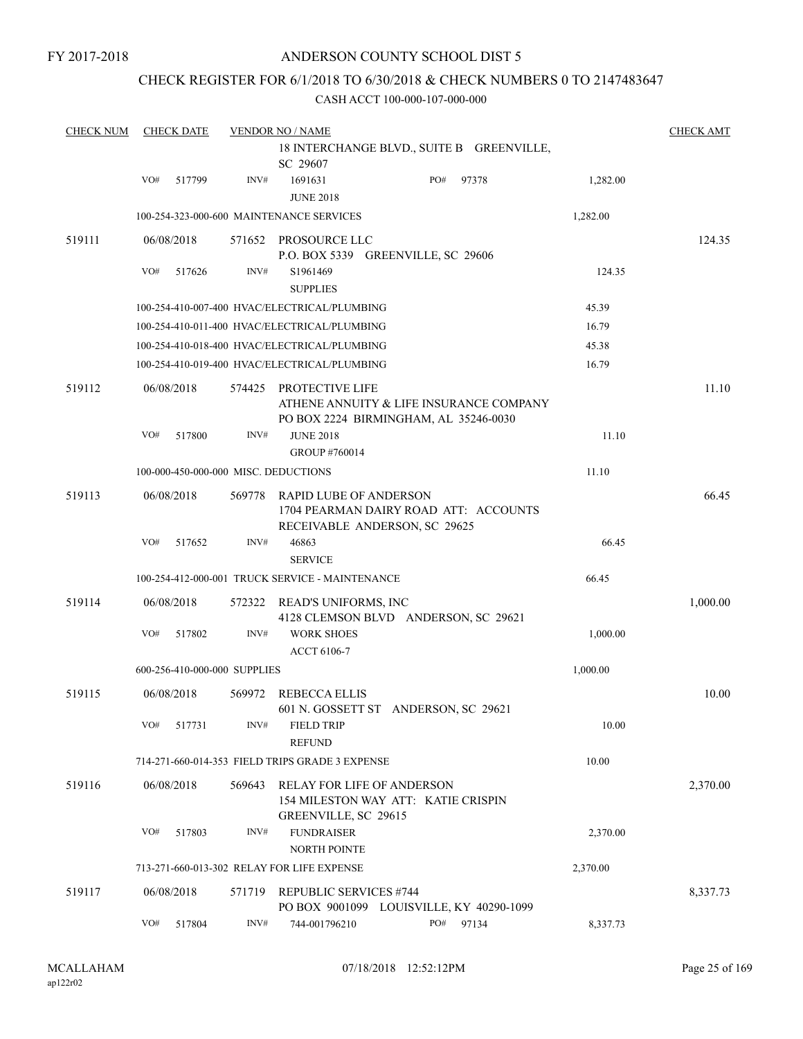## CHECK REGISTER FOR 6/1/2018 TO 6/30/2018 & CHECK NUMBERS 0 TO 2147483647

| <b>CHECK NUM</b> |     | <b>CHECK DATE</b> |                              | <b>VENDOR NO / NAME</b>                                   |                                                                                  |          | <b>CHECK AMT</b> |
|------------------|-----|-------------------|------------------------------|-----------------------------------------------------------|----------------------------------------------------------------------------------|----------|------------------|
|                  |     |                   |                              | SC 29607                                                  | 18 INTERCHANGE BLVD., SUITE B GREENVILLE,                                        |          |                  |
|                  | VO# | 517799            | INV#                         | 1691631<br><b>JUNE 2018</b>                               | PO#<br>97378                                                                     | 1,282.00 |                  |
|                  |     |                   |                              | 100-254-323-000-600 MAINTENANCE SERVICES                  |                                                                                  | 1,282.00 |                  |
| 519111           |     | 06/08/2018        | 571652                       | PROSOURCE LLC                                             | P.O. BOX 5339 GREENVILLE, SC 29606                                               |          | 124.35           |
|                  | VO# | 517626            | INV#                         | S1961469<br><b>SUPPLIES</b>                               |                                                                                  | 124.35   |                  |
|                  |     |                   |                              | 100-254-410-007-400 HVAC/ELECTRICAL/PLUMBING              |                                                                                  | 45.39    |                  |
|                  |     |                   |                              | 100-254-410-011-400 HVAC/ELECTRICAL/PLUMBING              |                                                                                  | 16.79    |                  |
|                  |     |                   |                              | 100-254-410-018-400 HVAC/ELECTRICAL/PLUMBING              |                                                                                  | 45.38    |                  |
|                  |     |                   |                              | 100-254-410-019-400 HVAC/ELECTRICAL/PLUMBING              |                                                                                  | 16.79    |                  |
| 519112           |     | 06/08/2018        | 574425                       | PROTECTIVE LIFE                                           | ATHENE ANNUITY & LIFE INSURANCE COMPANY<br>PO BOX 2224 BIRMINGHAM, AL 35246-0030 |          | 11.10            |
|                  | VO# | 517800            | INV#                         | <b>JUNE 2018</b><br>GROUP #760014                         |                                                                                  | 11.10    |                  |
|                  |     |                   |                              | 100-000-450-000-000 MISC. DEDUCTIONS                      |                                                                                  | 11.10    |                  |
| 519113           |     | 06/08/2018        | 569778                       | <b>RAPID LUBE OF ANDERSON</b>                             | 1704 PEARMAN DAIRY ROAD ATT: ACCOUNTS<br>RECEIVABLE ANDERSON, SC 29625           |          | 66.45            |
|                  | VO# | 517652            | INV#                         | 46863<br><b>SERVICE</b>                                   |                                                                                  | 66.45    |                  |
|                  |     |                   |                              | 100-254-412-000-001 TRUCK SERVICE - MAINTENANCE           |                                                                                  | 66.45    |                  |
| 519114           |     | 06/08/2018        | 572322                       | READ'S UNIFORMS, INC                                      | 4128 CLEMSON BLVD ANDERSON, SC 29621                                             |          | 1,000.00         |
|                  | VO# | 517802            | INV#                         | <b>WORK SHOES</b><br>ACCT 6106-7                          |                                                                                  | 1,000.00 |                  |
|                  |     |                   | 600-256-410-000-000 SUPPLIES |                                                           |                                                                                  | 1,000.00 |                  |
| 519115           |     | 06/08/2018        | 569972                       | <b>REBECCA ELLIS</b>                                      | 601 N. GOSSETT ST ANDERSON, SC 29621                                             |          | 10.00            |
|                  | VO# | 517731            | INV#                         | <b>FIELD TRIP</b><br><b>REFUND</b>                        |                                                                                  | 10.00    |                  |
|                  |     |                   |                              | 714-271-660-014-353 FIELD TRIPS GRADE 3 EXPENSE           |                                                                                  | 10.00    |                  |
| 519116           |     | 06/08/2018        | 569643                       | <b>RELAY FOR LIFE OF ANDERSON</b><br>GREENVILLE, SC 29615 | 154 MILESTON WAY ATT: KATIE CRISPIN                                              |          | 2,370.00         |
|                  | VO# | 517803            | INV#                         | <b>FUNDRAISER</b><br><b>NORTH POINTE</b>                  |                                                                                  | 2,370.00 |                  |
|                  |     |                   |                              | 713-271-660-013-302 RELAY FOR LIFE EXPENSE                |                                                                                  | 2,370.00 |                  |
| 519117           |     | 06/08/2018        | 571719                       | <b>REPUBLIC SERVICES #744</b>                             | PO BOX 9001099 LOUISVILLE, KY 40290-1099                                         |          | 8,337.73         |
|                  | VO# | 517804            | INV#                         | 744-001796210                                             | PO#<br>97134                                                                     | 8,337.73 |                  |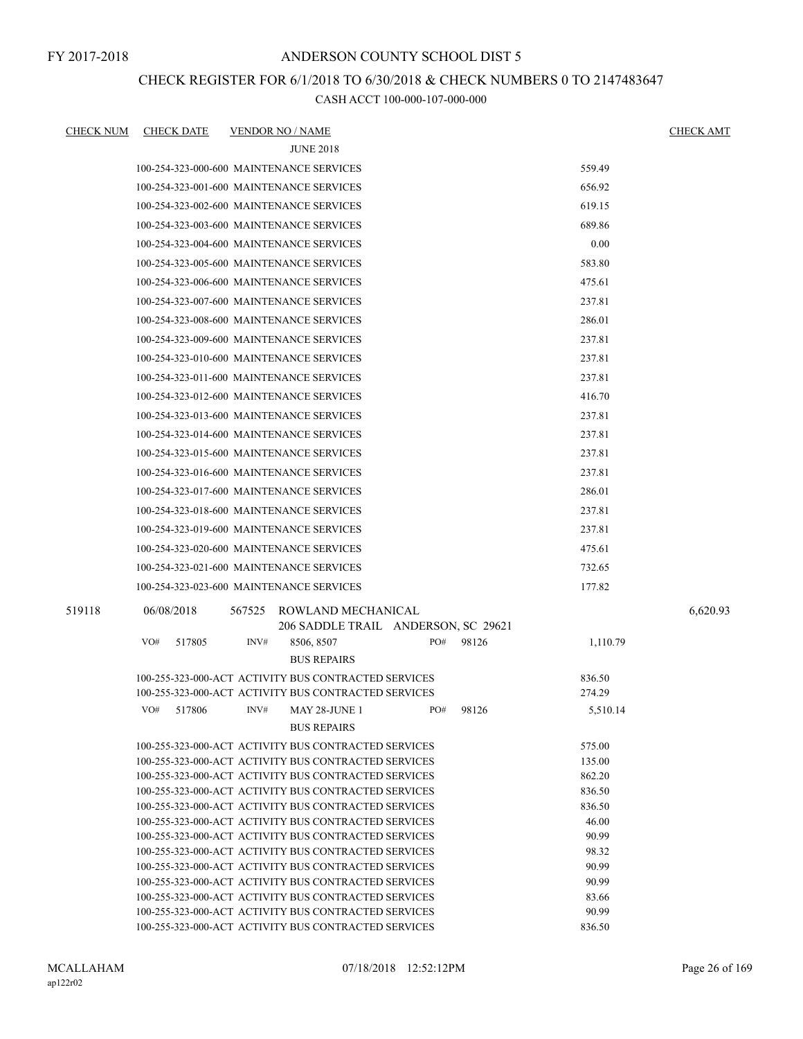## CHECK REGISTER FOR 6/1/2018 TO 6/30/2018 & CHECK NUMBERS 0 TO 2147483647

| <u>CHECK NUM</u> | <b>CHECK DATE</b> | <b>VENDOR NO / NAME</b>                                                                                      |                   | <b>CHECK AMT</b> |
|------------------|-------------------|--------------------------------------------------------------------------------------------------------------|-------------------|------------------|
|                  |                   | <b>JUNE 2018</b>                                                                                             |                   |                  |
|                  |                   | 100-254-323-000-600 MAINTENANCE SERVICES                                                                     | 559.49            |                  |
|                  |                   | 100-254-323-001-600 MAINTENANCE SERVICES                                                                     | 656.92            |                  |
|                  |                   | 100-254-323-002-600 MAINTENANCE SERVICES                                                                     | 619.15            |                  |
|                  |                   | 100-254-323-003-600 MAINTENANCE SERVICES                                                                     | 689.86            |                  |
|                  |                   | 100-254-323-004-600 MAINTENANCE SERVICES                                                                     | 0.00              |                  |
|                  |                   | 100-254-323-005-600 MAINTENANCE SERVICES                                                                     | 583.80            |                  |
|                  |                   | 100-254-323-006-600 MAINTENANCE SERVICES                                                                     | 475.61            |                  |
|                  |                   |                                                                                                              |                   |                  |
|                  |                   | 100-254-323-007-600 MAINTENANCE SERVICES                                                                     | 237.81            |                  |
|                  |                   | 100-254-323-008-600 MAINTENANCE SERVICES                                                                     | 286.01            |                  |
|                  |                   | 100-254-323-009-600 MAINTENANCE SERVICES                                                                     | 237.81            |                  |
|                  |                   | 100-254-323-010-600 MAINTENANCE SERVICES                                                                     | 237.81            |                  |
|                  |                   | 100-254-323-011-600 MAINTENANCE SERVICES                                                                     | 237.81            |                  |
|                  |                   | 100-254-323-012-600 MAINTENANCE SERVICES                                                                     | 416.70            |                  |
|                  |                   | 100-254-323-013-600 MAINTENANCE SERVICES                                                                     | 237.81            |                  |
|                  |                   | 100-254-323-014-600 MAINTENANCE SERVICES                                                                     | 237.81            |                  |
|                  |                   | 100-254-323-015-600 MAINTENANCE SERVICES                                                                     | 237.81            |                  |
|                  |                   | 100-254-323-016-600 MAINTENANCE SERVICES                                                                     | 237.81            |                  |
|                  |                   | 100-254-323-017-600 MAINTENANCE SERVICES                                                                     | 286.01            |                  |
|                  |                   | 100-254-323-018-600 MAINTENANCE SERVICES                                                                     | 237.81            |                  |
|                  |                   | 100-254-323-019-600 MAINTENANCE SERVICES                                                                     | 237.81            |                  |
|                  |                   | 100-254-323-020-600 MAINTENANCE SERVICES                                                                     | 475.61            |                  |
|                  |                   | 100-254-323-021-600 MAINTENANCE SERVICES                                                                     | 732.65            |                  |
|                  |                   |                                                                                                              |                   |                  |
|                  |                   | 100-254-323-023-600 MAINTENANCE SERVICES                                                                     | 177.82            |                  |
| 519118           | 06/08/2018        | 567525<br>ROWLAND MECHANICAL                                                                                 |                   | 6,620.93         |
|                  | VO#               | 206 SADDLE TRAIL ANDERSON, SC 29621<br>INV#<br>8506, 8507<br>PO#                                             | 98126             |                  |
|                  | 517805            | <b>BUS REPAIRS</b>                                                                                           | 1,110.79          |                  |
|                  |                   | 100-255-323-000-ACT ACTIVITY BUS CONTRACTED SERVICES                                                         | 836.50            |                  |
|                  |                   | 100-255-323-000-ACT ACTIVITY BUS CONTRACTED SERVICES                                                         | 274.29            |                  |
|                  | VO#<br>517806     | INV#<br>MAY 28-JUNE 1<br>PO#                                                                                 | 98126<br>5,510.14 |                  |
|                  |                   | <b>BUS REPAIRS</b>                                                                                           |                   |                  |
|                  |                   | 100-255-323-000-ACT ACTIVITY BUS CONTRACTED SERVICES                                                         | 575.00            |                  |
|                  |                   | 100-255-323-000-ACT ACTIVITY BUS CONTRACTED SERVICES                                                         | 135.00            |                  |
|                  |                   | 100-255-323-000-ACT ACTIVITY BUS CONTRACTED SERVICES                                                         | 862.20            |                  |
|                  |                   | 100-255-323-000-ACT ACTIVITY BUS CONTRACTED SERVICES                                                         | 836.50            |                  |
|                  |                   | 100-255-323-000-ACT ACTIVITY BUS CONTRACTED SERVICES<br>100-255-323-000-ACT ACTIVITY BUS CONTRACTED SERVICES | 836.50<br>46.00   |                  |
|                  |                   | 100-255-323-000-ACT ACTIVITY BUS CONTRACTED SERVICES                                                         | 90.99             |                  |
|                  |                   | 100-255-323-000-ACT ACTIVITY BUS CONTRACTED SERVICES                                                         | 98.32             |                  |
|                  |                   | 100-255-323-000-ACT ACTIVITY BUS CONTRACTED SERVICES                                                         | 90.99             |                  |
|                  |                   | 100-255-323-000-ACT ACTIVITY BUS CONTRACTED SERVICES                                                         | 90.99             |                  |
|                  |                   | 100-255-323-000-ACT ACTIVITY BUS CONTRACTED SERVICES                                                         | 83.66             |                  |
|                  |                   | 100-255-323-000-ACT ACTIVITY BUS CONTRACTED SERVICES<br>100-255-323-000-ACT ACTIVITY BUS CONTRACTED SERVICES | 90.99<br>836.50   |                  |
|                  |                   |                                                                                                              |                   |                  |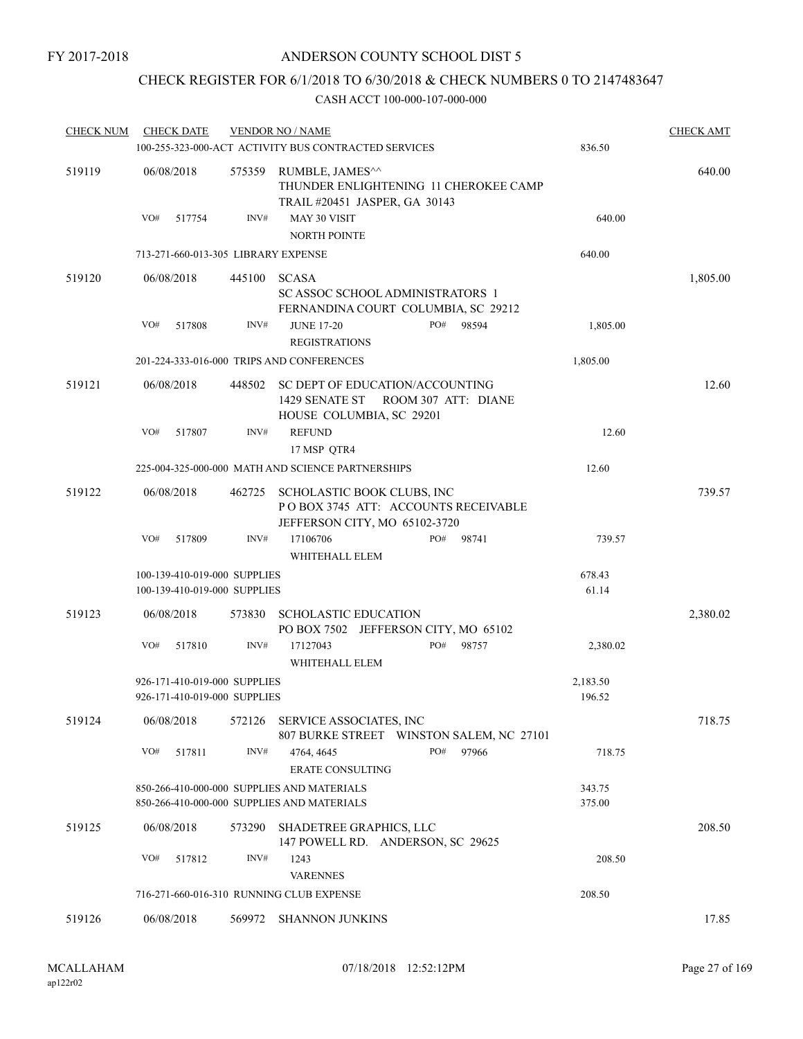## CHECK REGISTER FOR 6/1/2018 TO 6/30/2018 & CHECK NUMBERS 0 TO 2147483647

| <b>CHECK NUM</b> |            | <b>CHECK DATE</b>                                            |        | <b>VENDOR NO / NAME</b>                                                                            |     |                     |                    | <b>CHECK AMT</b> |
|------------------|------------|--------------------------------------------------------------|--------|----------------------------------------------------------------------------------------------------|-----|---------------------|--------------------|------------------|
|                  |            |                                                              |        | 100-255-323-000-ACT ACTIVITY BUS CONTRACTED SERVICES                                               |     |                     | 836.50             |                  |
| 519119           | 06/08/2018 |                                                              | 575359 | RUMBLE, JAMES^^<br>THUNDER ENLIGHTENING 11 CHEROKEE CAMP<br>TRAIL #20451 JASPER, GA 30143          |     | 640.00              |                    |                  |
|                  | VO#        | 517754                                                       | INV#   | MAY 30 VISIT<br><b>NORTH POINTE</b>                                                                |     |                     | 640.00             |                  |
|                  |            |                                                              |        | 713-271-660-013-305 LIBRARY EXPENSE                                                                |     |                     | 640.00             |                  |
| 519120           | 06/08/2018 |                                                              | 445100 | <b>SCASA</b><br>SC ASSOC SCHOOL ADMINISTRATORS 1<br>FERNANDINA COURT COLUMBIA, SC 29212            |     |                     |                    | 1,805.00         |
|                  | VO#        | 517808                                                       | INV#   | <b>JUNE 17-20</b><br><b>REGISTRATIONS</b>                                                          | PO# | 98594               | 1,805.00           |                  |
|                  |            |                                                              |        | 201-224-333-016-000 TRIPS AND CONFERENCES                                                          |     |                     | 1,805.00           |                  |
| 519121           | 06/08/2018 |                                                              | 448502 | SC DEPT OF EDUCATION/ACCOUNTING<br>1429 SENATE ST<br>HOUSE COLUMBIA, SC 29201                      |     | ROOM 307 ATT: DIANE |                    | 12.60            |
|                  | VO#        | 517807                                                       | INV#   | <b>REFUND</b><br>17 MSP QTR4                                                                       |     |                     | 12.60              |                  |
|                  |            |                                                              |        | 225-004-325-000-000 MATH AND SCIENCE PARTNERSHIPS                                                  |     |                     | 12.60              |                  |
| 519122           | 06/08/2018 |                                                              | 462725 | SCHOLASTIC BOOK CLUBS, INC<br>POBOX 3745 ATT: ACCOUNTS RECEIVABLE<br>JEFFERSON CITY, MO 65102-3720 |     |                     |                    | 739.57           |
|                  | VO#        | 517809                                                       | INV#   | 17106706<br>WHITEHALL ELEM                                                                         | PO# | 98741               | 739.57             |                  |
|                  |            | 100-139-410-019-000 SUPPLIES<br>100-139-410-019-000 SUPPLIES |        |                                                                                                    |     |                     | 678.43<br>61.14    |                  |
| 519123           | 06/08/2018 |                                                              | 573830 | <b>SCHOLASTIC EDUCATION</b><br>PO BOX 7502 JEFFERSON CITY, MO 65102                                |     |                     |                    | 2,380.02         |
|                  | VO#        | 517810                                                       | INV#   | 17127043<br>WHITEHALL ELEM                                                                         | PO# | 98757               | 2,380.02           |                  |
|                  |            | 926-171-410-019-000 SUPPLIES<br>926-171-410-019-000 SUPPLIES |        |                                                                                                    |     |                     | 2,183.50<br>196.52 |                  |
| 519124           | 06/08/2018 |                                                              | 572126 | SERVICE ASSOCIATES, INC<br>807 BURKE STREET WINSTON SALEM, NC 27101                                |     |                     |                    | 718.75           |
|                  | VO#        | 517811                                                       | INV#   | 4764, 4645<br>ERATE CONSULTING                                                                     | PO# | 97966               | 718.75             |                  |
|                  |            |                                                              |        | 850-266-410-000-000 SUPPLIES AND MATERIALS<br>850-266-410-000-000 SUPPLIES AND MATERIALS           |     |                     | 343.75<br>375.00   |                  |
| 519125           | 06/08/2018 |                                                              | 573290 | <b>SHADETREE GRAPHICS, LLC</b><br>147 POWELL RD. ANDERSON, SC 29625                                |     |                     |                    | 208.50           |
|                  | VO#        | 517812                                                       | INV#   | 1243<br><b>VARENNES</b>                                                                            |     |                     | 208.50             |                  |
|                  |            |                                                              |        | 716-271-660-016-310 RUNNING CLUB EXPENSE                                                           |     |                     | 208.50             |                  |
| 519126           | 06/08/2018 |                                                              | 569972 | <b>SHANNON JUNKINS</b>                                                                             |     |                     |                    | 17.85            |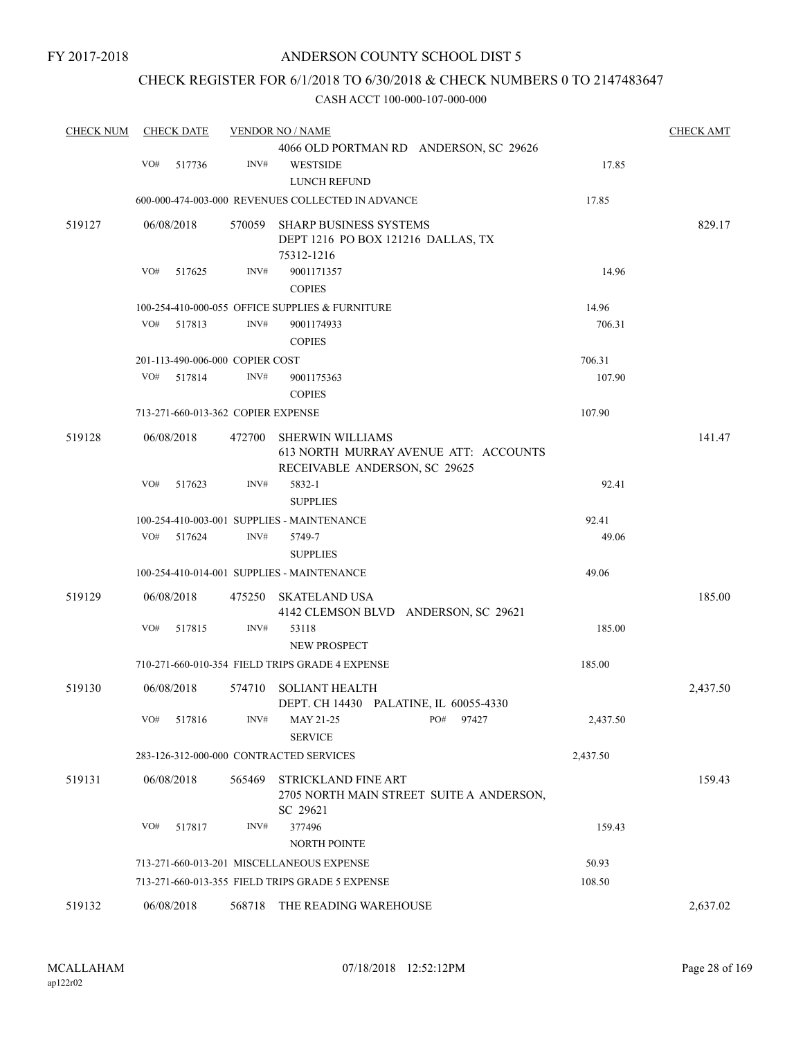## CHECK REGISTER FOR 6/1/2018 TO 6/30/2018 & CHECK NUMBERS 0 TO 2147483647

| <b>CHECK NUM</b> |     | <b>CHECK DATE</b>                  |        | <b>VENDOR NO / NAME</b>                                          |          | <b>CHECK AMT</b> |
|------------------|-----|------------------------------------|--------|------------------------------------------------------------------|----------|------------------|
|                  |     |                                    |        | 4066 OLD PORTMAN RD ANDERSON, SC 29626                           |          |                  |
|                  | VO# | 517736                             | INV#   | <b>WESTSIDE</b>                                                  | 17.85    |                  |
|                  |     |                                    |        | LUNCH REFUND                                                     |          |                  |
|                  |     |                                    |        | 600-000-474-003-000 REVENUES COLLECTED IN ADVANCE                | 17.85    |                  |
| 519127           |     | 06/08/2018                         | 570059 | <b>SHARP BUSINESS SYSTEMS</b>                                    |          | 829.17           |
|                  |     |                                    |        | DEPT 1216 PO BOX 121216 DALLAS, TX                               |          |                  |
|                  |     |                                    |        | 75312-1216                                                       |          |                  |
|                  | VO# | 517625                             | INV#   | 9001171357                                                       | 14.96    |                  |
|                  |     |                                    |        | <b>COPIES</b>                                                    |          |                  |
|                  | VO# |                                    |        | 100-254-410-000-055 OFFICE SUPPLIES & FURNITURE                  | 14.96    |                  |
|                  |     | 517813                             | INV#   | 9001174933<br><b>COPIES</b>                                      | 706.31   |                  |
|                  |     | 201-113-490-006-000 COPIER COST    |        |                                                                  | 706.31   |                  |
|                  | VO# | 517814                             | INV#   | 9001175363                                                       | 107.90   |                  |
|                  |     |                                    |        | <b>COPIES</b>                                                    |          |                  |
|                  |     | 713-271-660-013-362 COPIER EXPENSE |        |                                                                  | 107.90   |                  |
|                  |     |                                    |        |                                                                  |          |                  |
| 519128           |     | 06/08/2018                         | 472700 | <b>SHERWIN WILLIAMS</b><br>613 NORTH MURRAY AVENUE ATT: ACCOUNTS |          | 141.47           |
|                  |     |                                    |        | RECEIVABLE ANDERSON, SC 29625                                    |          |                  |
|                  | VO# | 517623                             | INV#   | 5832-1                                                           | 92.41    |                  |
|                  |     |                                    |        | <b>SUPPLIES</b>                                                  |          |                  |
|                  |     |                                    |        | 100-254-410-003-001 SUPPLIES - MAINTENANCE                       | 92.41    |                  |
|                  | VO# | 517624                             | INV#   | 5749-7                                                           | 49.06    |                  |
|                  |     |                                    |        | <b>SUPPLIES</b>                                                  |          |                  |
|                  |     |                                    |        | 100-254-410-014-001 SUPPLIES - MAINTENANCE                       | 49.06    |                  |
| 519129           |     | 06/08/2018                         | 475250 | <b>SKATELAND USA</b>                                             |          | 185.00           |
|                  |     |                                    |        | 4142 CLEMSON BLVD ANDERSON, SC 29621                             |          |                  |
|                  | VO# | 517815                             | INV#   | 53118                                                            | 185.00   |                  |
|                  |     |                                    |        | <b>NEW PROSPECT</b>                                              |          |                  |
|                  |     |                                    |        | 710-271-660-010-354 FIELD TRIPS GRADE 4 EXPENSE                  | 185.00   |                  |
| 519130           |     | 06/08/2018                         | 574710 | <b>SOLIANT HEALTH</b>                                            |          | 2,437.50         |
|                  |     |                                    |        | DEPT. CH 14430 PALATINE, IL 60055-4330                           |          |                  |
|                  | VO# | 517816                             | INV#   | PO#<br>MAY 21-25<br>97427                                        | 2,437.50 |                  |
|                  |     |                                    |        | <b>SERVICE</b>                                                   |          |                  |
|                  |     |                                    |        | 283-126-312-000-000 CONTRACTED SERVICES                          | 2,437.50 |                  |
| 519131           |     | 06/08/2018                         | 565469 | <b>STRICKLAND FINE ART</b>                                       |          | 159.43           |
|                  |     |                                    |        | 2705 NORTH MAIN STREET SUITE A ANDERSON,                         |          |                  |
|                  | VO# | 517817                             | INV#   | SC 29621<br>377496                                               | 159.43   |                  |
|                  |     |                                    |        | <b>NORTH POINTE</b>                                              |          |                  |
|                  |     |                                    |        | 713-271-660-013-201 MISCELLANEOUS EXPENSE                        | 50.93    |                  |
|                  |     |                                    |        | 713-271-660-013-355 FIELD TRIPS GRADE 5 EXPENSE                  | 108.50   |                  |
|                  |     |                                    |        |                                                                  |          |                  |
| 519132           |     | 06/08/2018                         | 568718 | THE READING WAREHOUSE                                            |          | 2,637.02         |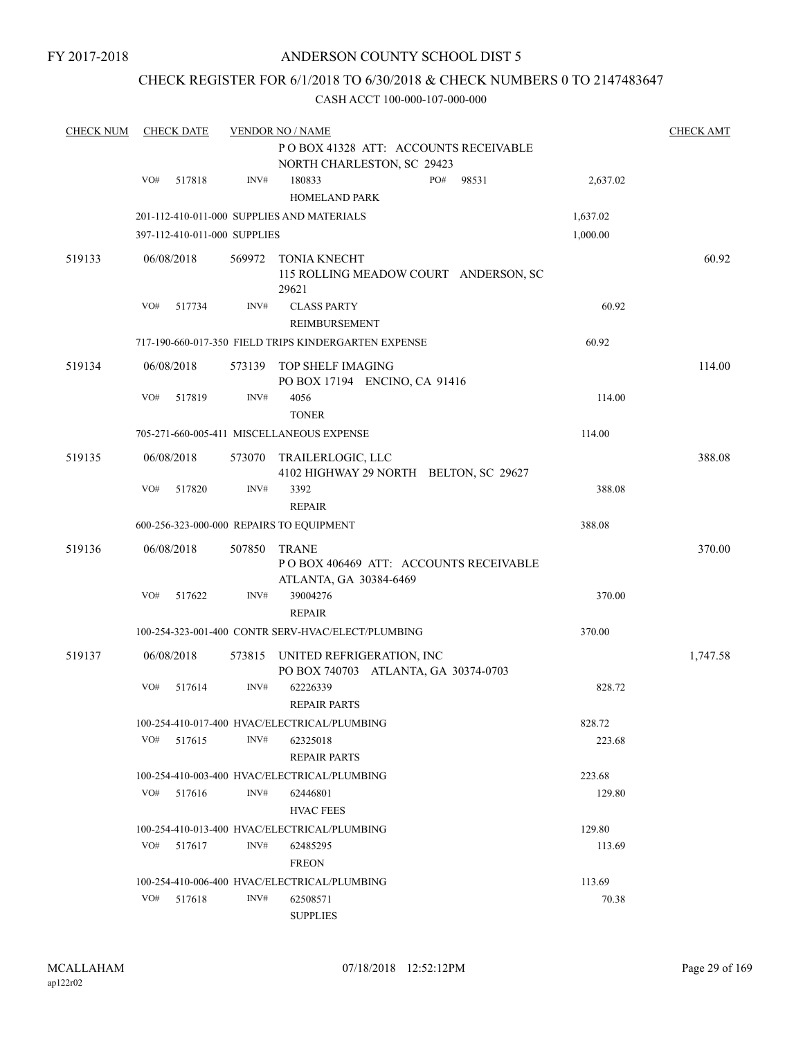FY 2017-2018

## ANDERSON COUNTY SCHOOL DIST 5

## CHECK REGISTER FOR 6/1/2018 TO 6/30/2018 & CHECK NUMBERS 0 TO 2147483647

| <b>CHECK NUM</b> |     | <b>CHECK DATE</b>            |        | <b>VENDOR NO / NAME</b>                              |                                                                    |       |          | <b>CHECK AMT</b> |
|------------------|-----|------------------------------|--------|------------------------------------------------------|--------------------------------------------------------------------|-------|----------|------------------|
|                  |     |                              |        |                                                      | POBOX 41328 ATT: ACCOUNTS RECEIVABLE<br>NORTH CHARLESTON, SC 29423 |       |          |                  |
|                  | VO# | 517818                       | INV#   | 180833<br><b>HOMELAND PARK</b>                       | PO#                                                                | 98531 | 2,637.02 |                  |
|                  |     |                              |        | 201-112-410-011-000 SUPPLIES AND MATERIALS           |                                                                    |       | 1,637.02 |                  |
|                  |     | 397-112-410-011-000 SUPPLIES |        |                                                      |                                                                    |       | 1,000.00 |                  |
| 519133           |     | 06/08/2018                   | 569972 | TONIA KNECHT<br>29621                                | 115 ROLLING MEADOW COURT ANDERSON, SC                              |       |          | 60.92            |
|                  | VO# | 517734                       | INV#   | <b>CLASS PARTY</b>                                   |                                                                    |       | 60.92    |                  |
|                  |     |                              |        | <b>REIMBURSEMENT</b>                                 |                                                                    |       |          |                  |
|                  |     |                              |        | 717-190-660-017-350 FIELD TRIPS KINDERGARTEN EXPENSE |                                                                    |       | 60.92    |                  |
| 519134           |     | 06/08/2018                   |        | 573139 TOP SHELF IMAGING                             | PO BOX 17194 ENCINO, CA 91416                                      |       |          | 114.00           |
|                  | VO# | 517819                       | INV#   | 4056<br><b>TONER</b>                                 |                                                                    |       | 114.00   |                  |
|                  |     |                              |        | 705-271-660-005-411 MISCELLANEOUS EXPENSE            |                                                                    |       | 114.00   |                  |
| 519135           |     | 06/08/2018                   |        | 573070 TRAILERLOGIC, LLC                             | 4102 HIGHWAY 29 NORTH BELTON, SC 29627                             |       |          | 388.08           |
|                  | VO# | 517820                       | INV#   | 3392<br><b>REPAIR</b>                                |                                                                    |       | 388.08   |                  |
|                  |     |                              |        | 600-256-323-000-000 REPAIRS TO EQUIPMENT             |                                                                    |       | 388.08   |                  |
| 519136           |     | 06/08/2018                   | 507850 | <b>TRANE</b><br>ATLANTA, GA 30384-6469               | POBOX 406469 ATT: ACCOUNTS RECEIVABLE                              |       |          | 370.00           |
|                  | VO# | 517622                       | INV#   | 39004276<br><b>REPAIR</b>                            |                                                                    |       | 370.00   |                  |
|                  |     |                              |        | 100-254-323-001-400 CONTR SERV-HVAC/ELECT/PLUMBING   |                                                                    |       | 370.00   |                  |
| 519137           |     | 06/08/2018                   |        | 573815 UNITED REFRIGERATION, INC                     | PO BOX 740703 ATLANTA, GA 30374-0703                               |       |          | 1,747.58         |
|                  | VO# | 517614                       | INV#   | 62226339<br><b>REPAIR PARTS</b>                      |                                                                    |       | 828.72   |                  |
|                  |     |                              |        | 100-254-410-017-400 HVAC/ELECTRICAL/PLUMBING         |                                                                    |       | 828.72   |                  |
|                  | VO# | 517615                       | INV#   | 62325018<br><b>REPAIR PARTS</b>                      |                                                                    |       | 223.68   |                  |
|                  |     |                              |        | 100-254-410-003-400 HVAC/ELECTRICAL/PLUMBING         |                                                                    |       | 223.68   |                  |
|                  | VO# | 517616                       | INV#   | 62446801<br><b>HVAC FEES</b>                         |                                                                    |       | 129.80   |                  |
|                  |     |                              |        | 100-254-410-013-400 HVAC/ELECTRICAL/PLUMBING         |                                                                    |       | 129.80   |                  |
|                  | VO# | 517617                       | INV#   | 62485295<br><b>FREON</b>                             |                                                                    |       | 113.69   |                  |
|                  |     |                              |        | 100-254-410-006-400 HVAC/ELECTRICAL/PLUMBING         |                                                                    |       | 113.69   |                  |
|                  | VO# | 517618                       | INV#   | 62508571<br><b>SUPPLIES</b>                          |                                                                    |       | 70.38    |                  |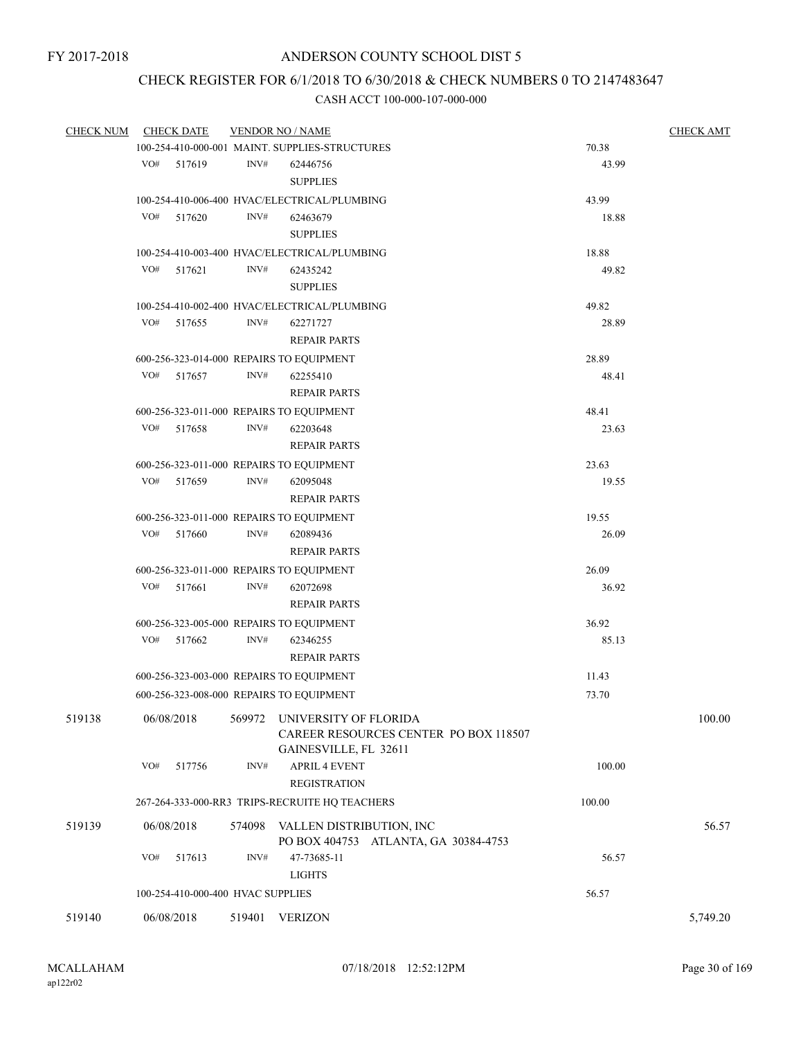## CHECK REGISTER FOR 6/1/2018 TO 6/30/2018 & CHECK NUMBERS 0 TO 2147483647

| <b>CHECK NUM</b> |     | <b>CHECK DATE</b>                 |        | <b>VENDOR NO / NAME</b>                                               |        | <b>CHECK AMT</b> |
|------------------|-----|-----------------------------------|--------|-----------------------------------------------------------------------|--------|------------------|
|                  |     |                                   |        | 100-254-410-000-001 MAINT. SUPPLIES-STRUCTURES                        | 70.38  |                  |
|                  |     | VO# 517619                        | INV#   | 62446756                                                              | 43.99  |                  |
|                  |     |                                   |        | <b>SUPPLIES</b>                                                       |        |                  |
|                  |     |                                   |        | 100-254-410-006-400 HVAC/ELECTRICAL/PLUMBING                          | 43.99  |                  |
|                  | VO# | 517620                            | INV#   | 62463679                                                              | 18.88  |                  |
|                  |     |                                   |        | <b>SUPPLIES</b>                                                       |        |                  |
|                  |     |                                   |        | 100-254-410-003-400 HVAC/ELECTRICAL/PLUMBING                          | 18.88  |                  |
|                  | VO# | 517621                            | INV#   | 62435242                                                              | 49.82  |                  |
|                  |     |                                   |        | <b>SUPPLIES</b>                                                       |        |                  |
|                  |     |                                   |        | 100-254-410-002-400 HVAC/ELECTRICAL/PLUMBING                          | 49.82  |                  |
|                  | VO# | 517655                            | INV#   | 62271727                                                              | 28.89  |                  |
|                  |     |                                   |        | <b>REPAIR PARTS</b>                                                   |        |                  |
|                  |     |                                   |        | 600-256-323-014-000 REPAIRS TO EQUIPMENT                              | 28.89  |                  |
|                  |     | VO# 517657                        | INV#   | 62255410                                                              | 48.41  |                  |
|                  |     |                                   |        | <b>REPAIR PARTS</b>                                                   |        |                  |
|                  |     |                                   |        | 600-256-323-011-000 REPAIRS TO EQUIPMENT                              | 48.41  |                  |
|                  | VO# | 517658                            | INV#   | 62203648                                                              | 23.63  |                  |
|                  |     |                                   |        | <b>REPAIR PARTS</b>                                                   |        |                  |
|                  |     |                                   |        |                                                                       | 23.63  |                  |
|                  | VO# |                                   | INV#   | 600-256-323-011-000 REPAIRS TO EQUIPMENT                              |        |                  |
|                  |     | 517659                            |        | 62095048<br><b>REPAIR PARTS</b>                                       | 19.55  |                  |
|                  |     |                                   |        |                                                                       |        |                  |
|                  |     |                                   |        | 600-256-323-011-000 REPAIRS TO EQUIPMENT                              | 19.55  |                  |
|                  | VO# | 517660                            | INV#   | 62089436                                                              | 26.09  |                  |
|                  |     |                                   |        | <b>REPAIR PARTS</b>                                                   |        |                  |
|                  |     |                                   |        | 600-256-323-011-000 REPAIRS TO EQUIPMENT                              | 26.09  |                  |
|                  | VO# | 517661                            | INV#   | 62072698                                                              | 36.92  |                  |
|                  |     |                                   |        | <b>REPAIR PARTS</b>                                                   |        |                  |
|                  |     |                                   |        | 600-256-323-005-000 REPAIRS TO EQUIPMENT                              | 36.92  |                  |
|                  | VO# | 517662                            | INV#   | 62346255                                                              | 85.13  |                  |
|                  |     |                                   |        | <b>REPAIR PARTS</b>                                                   |        |                  |
|                  |     |                                   |        | 600-256-323-003-000 REPAIRS TO EQUIPMENT                              | 11.43  |                  |
|                  |     |                                   |        | 600-256-323-008-000 REPAIRS TO EQUIPMENT                              | 73.70  |                  |
| 519138           |     | 06/08/2018                        | 569972 | UNIVERSITY OF FLORIDA<br><b>CAREER RESOURCES CENTER PO BOX 118507</b> |        | 100.00           |
|                  | VO# | 517756                            | INV#   | GAINESVILLE, FL 32611<br><b>APRIL 4 EVENT</b><br><b>REGISTRATION</b>  | 100.00 |                  |
|                  |     |                                   |        |                                                                       |        |                  |
|                  |     |                                   |        | 267-264-333-000-RR3 TRIPS-RECRUITE HQ TEACHERS                        | 100.00 |                  |
| 519139           |     | 06/08/2018                        | 574098 | VALLEN DISTRIBUTION, INC<br>PO BOX 404753 ATLANTA, GA 30384-4753      |        | 56.57            |
|                  | VO# | 517613                            | INV#   | 47-73685-11<br><b>LIGHTS</b>                                          | 56.57  |                  |
|                  |     | 100-254-410-000-400 HVAC SUPPLIES |        |                                                                       | 56.57  |                  |
| 519140           |     | 06/08/2018                        | 519401 | <b>VERIZON</b>                                                        |        | 5,749.20         |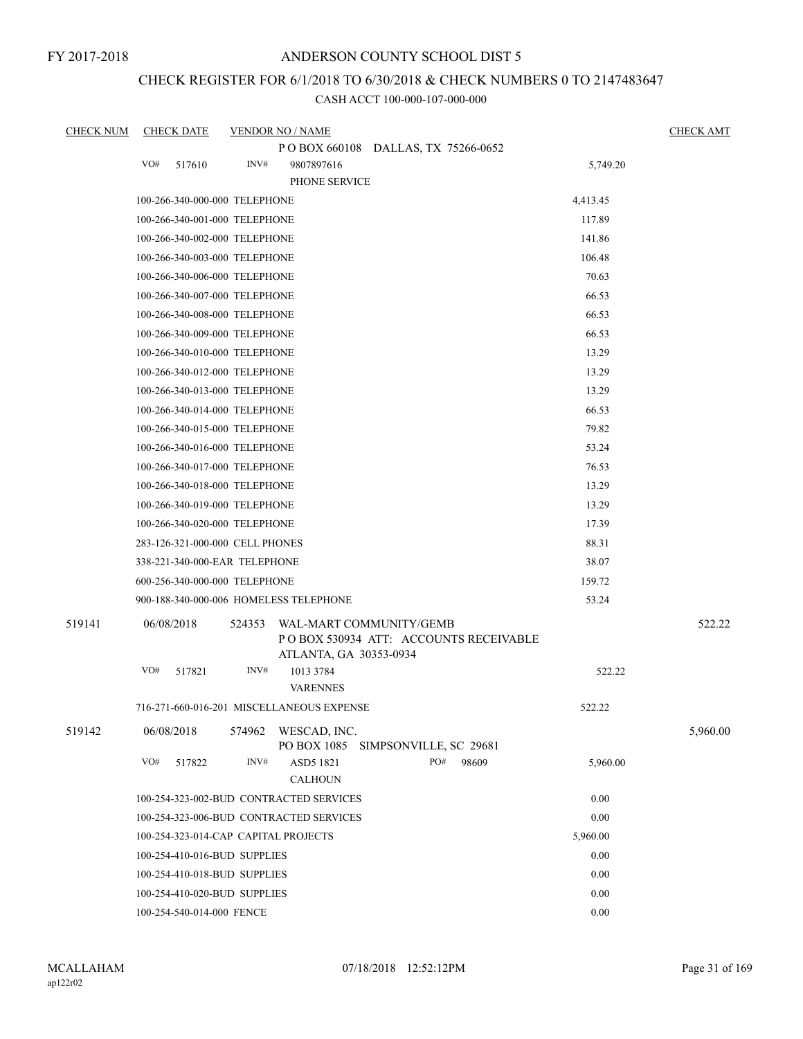FY 2017-2018

## ANDERSON COUNTY SCHOOL DIST 5

# CHECK REGISTER FOR 6/1/2018 TO 6/30/2018 & CHECK NUMBERS 0 TO 2147483647

| <b>CHECK NUM</b> |     | <b>CHECK DATE</b>               |        | <b>VENDOR NO / NAME</b>                           |                                        |          | <b>CHECK AMT</b> |
|------------------|-----|---------------------------------|--------|---------------------------------------------------|----------------------------------------|----------|------------------|
|                  |     |                                 |        | POBOX 660108 DALLAS, TX 75266-0652                |                                        |          |                  |
|                  | VO# | 517610                          | INV#   | 9807897616                                        |                                        | 5,749.20 |                  |
|                  |     |                                 |        | PHONE SERVICE                                     |                                        |          |                  |
|                  |     | 100-266-340-000-000 TELEPHONE   |        |                                                   |                                        | 4,413.45 |                  |
|                  |     | 100-266-340-001-000 TELEPHONE   |        |                                                   |                                        | 117.89   |                  |
|                  |     | 100-266-340-002-000 TELEPHONE   |        |                                                   |                                        | 141.86   |                  |
|                  |     | 100-266-340-003-000 TELEPHONE   |        |                                                   |                                        | 106.48   |                  |
|                  |     | 100-266-340-006-000 TELEPHONE   |        |                                                   |                                        | 70.63    |                  |
|                  |     | 100-266-340-007-000 TELEPHONE   |        |                                                   |                                        | 66.53    |                  |
|                  |     | 100-266-340-008-000 TELEPHONE   |        |                                                   |                                        | 66.53    |                  |
|                  |     | 100-266-340-009-000 TELEPHONE   |        |                                                   |                                        | 66.53    |                  |
|                  |     | 100-266-340-010-000 TELEPHONE   |        |                                                   |                                        | 13.29    |                  |
|                  |     | 100-266-340-012-000 TELEPHONE   |        |                                                   |                                        | 13.29    |                  |
|                  |     | 100-266-340-013-000 TELEPHONE   |        |                                                   |                                        | 13.29    |                  |
|                  |     | 100-266-340-014-000 TELEPHONE   |        |                                                   |                                        | 66.53    |                  |
|                  |     | 100-266-340-015-000 TELEPHONE   |        |                                                   |                                        | 79.82    |                  |
|                  |     | 100-266-340-016-000 TELEPHONE   |        |                                                   |                                        | 53.24    |                  |
|                  |     | 100-266-340-017-000 TELEPHONE   |        |                                                   |                                        | 76.53    |                  |
|                  |     | 100-266-340-018-000 TELEPHONE   |        |                                                   |                                        | 13.29    |                  |
|                  |     | 100-266-340-019-000 TELEPHONE   |        |                                                   |                                        | 13.29    |                  |
|                  |     | 100-266-340-020-000 TELEPHONE   |        |                                                   |                                        | 17.39    |                  |
|                  |     | 283-126-321-000-000 CELL PHONES |        |                                                   |                                        | 88.31    |                  |
|                  |     | 338-221-340-000-EAR TELEPHONE   |        |                                                   |                                        | 38.07    |                  |
|                  |     | 600-256-340-000-000 TELEPHONE   |        |                                                   |                                        | 159.72   |                  |
|                  |     |                                 |        | 900-188-340-000-006 HOMELESS TELEPHONE            |                                        | 53.24    |                  |
| 519141           |     | 06/08/2018                      | 524353 | WAL-MART COMMUNITY/GEMB<br>ATLANTA, GA 30353-0934 | PO BOX 530934 ATT: ACCOUNTS RECEIVABLE |          | 522.22           |
|                  | VO# | 517821                          | INV#   | 1013 3784<br><b>VARENNES</b>                      |                                        | 522.22   |                  |
|                  |     |                                 |        | 716-271-660-016-201 MISCELLANEOUS EXPENSE         |                                        | 522.22   |                  |
| 519142           |     | 06/08/2018                      | 574962 | WESCAD, INC.<br>PO BOX 1085                       | SIMPSONVILLE, SC 29681                 |          | 5,960.00         |
|                  | VO# | 517822                          | INV#   | ASD5 1821<br><b>CALHOUN</b>                       | PO#<br>98609                           | 5,960.00 |                  |
|                  |     |                                 |        | 100-254-323-002-BUD CONTRACTED SERVICES           |                                        | 0.00     |                  |
|                  |     |                                 |        | 100-254-323-006-BUD CONTRACTED SERVICES           |                                        | 0.00     |                  |
|                  |     |                                 |        | 100-254-323-014-CAP CAPITAL PROJECTS              |                                        | 5,960.00 |                  |
|                  |     | 100-254-410-016-BUD SUPPLIES    |        |                                                   |                                        | 0.00     |                  |
|                  |     | 100-254-410-018-BUD SUPPLIES    |        |                                                   |                                        | 0.00     |                  |
|                  |     | 100-254-410-020-BUD SUPPLIES    |        |                                                   |                                        | 0.00     |                  |
|                  |     | 100-254-540-014-000 FENCE       |        |                                                   |                                        | 0.00     |                  |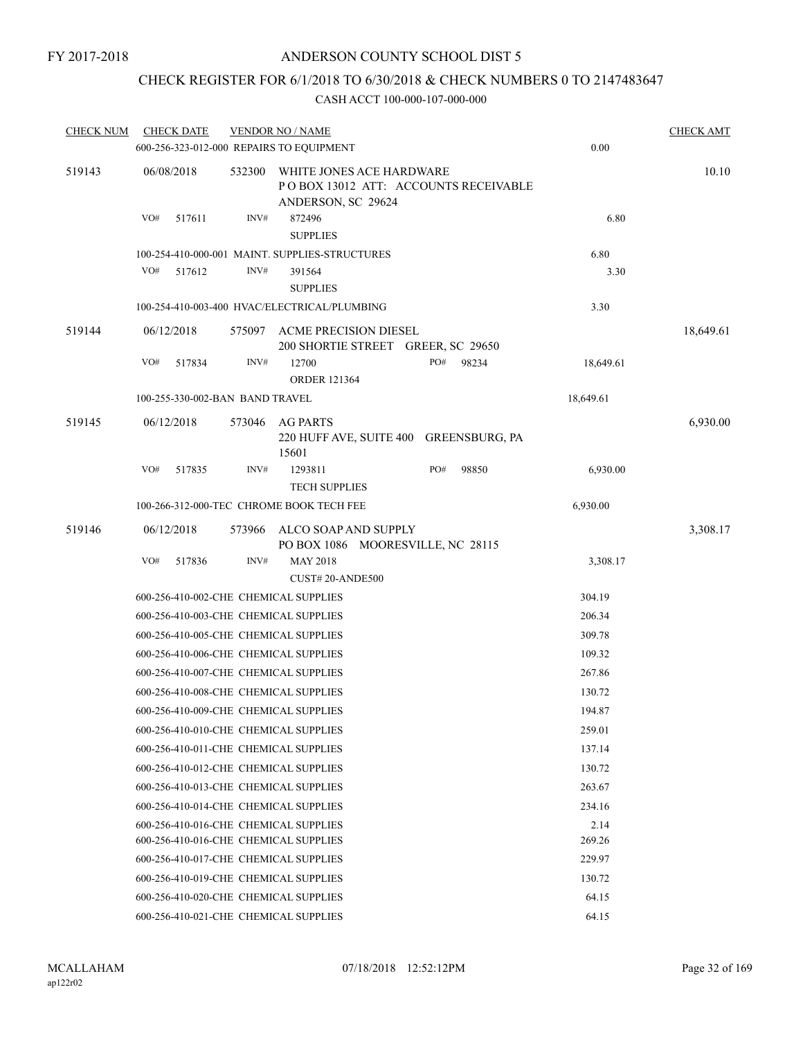## CHECK REGISTER FOR 6/1/2018 TO 6/30/2018 & CHECK NUMBERS 0 TO 2147483647

| <b>CHECK NUM</b> | <b>CHECK DATE</b>                        |        | <b>VENDOR NO / NAME</b>                                                                |     |       |           | <b>CHECK AMT</b> |
|------------------|------------------------------------------|--------|----------------------------------------------------------------------------------------|-----|-------|-----------|------------------|
|                  | 600-256-323-012-000 REPAIRS TO EQUIPMENT |        |                                                                                        |     |       | 0.00      |                  |
| 519143           | 06/08/2018                               | 532300 | WHITE JONES ACE HARDWARE<br>POBOX 13012 ATT: ACCOUNTS RECEIVABLE<br>ANDERSON, SC 29624 |     |       |           | 10.10            |
|                  | VO#<br>517611                            | INV#   | 872496<br><b>SUPPLIES</b>                                                              |     |       | 6.80      |                  |
|                  |                                          |        | 100-254-410-000-001 MAINT. SUPPLIES-STRUCTURES                                         |     |       | 6.80      |                  |
|                  | VO#<br>517612                            | INV#   | 391564<br><b>SUPPLIES</b>                                                              |     |       | 3.30      |                  |
|                  |                                          |        | 100-254-410-003-400 HVAC/ELECTRICAL/PLUMBING                                           |     |       | 3.30      |                  |
| 519144           | 06/12/2018                               | 575097 | ACME PRECISION DIESEL<br>200 SHORTIE STREET GREER, SC 29650                            |     |       |           | 18,649.61        |
|                  | VO#<br>517834                            | INV#   | 12700<br><b>ORDER 121364</b>                                                           | PO# | 98234 | 18,649.61 |                  |
|                  | 100-255-330-002-BAN BAND TRAVEL          |        |                                                                                        |     |       | 18,649.61 |                  |
| 519145           | 06/12/2018                               | 573046 | AG PARTS                                                                               |     |       |           | 6,930.00         |
|                  |                                          |        | 220 HUFF AVE, SUITE 400 GREENSBURG, PA<br>15601                                        |     |       |           |                  |
|                  | VO#<br>517835                            | INV#   | 1293811<br><b>TECH SUPPLIES</b>                                                        | PO# | 98850 | 6,930.00  |                  |
|                  |                                          |        | 100-266-312-000-TEC CHROME BOOK TECH FEE                                               |     |       | 6,930.00  |                  |
| 519146           | 06/12/2018                               | 573966 | ALCO SOAP AND SUPPLY<br>PO BOX 1086 MOORESVILLE, NC 28115                              |     |       |           | 3,308.17         |
|                  | VO#<br>517836                            | INV#   | <b>MAY 2018</b><br>CUST#20-ANDE500                                                     |     |       | 3,308.17  |                  |
|                  | 600-256-410-002-CHE CHEMICAL SUPPLIES    |        |                                                                                        |     |       | 304.19    |                  |
|                  | 600-256-410-003-CHE CHEMICAL SUPPLIES    |        |                                                                                        |     |       | 206.34    |                  |
|                  | 600-256-410-005-CHE CHEMICAL SUPPLIES    |        |                                                                                        |     |       | 309.78    |                  |
|                  | 600-256-410-006-CHE CHEMICAL SUPPLIES    |        |                                                                                        |     |       | 109.32    |                  |
|                  | 600-256-410-007-CHE CHEMICAL SUPPLIES    |        |                                                                                        |     |       | 267.86    |                  |
|                  | 600-256-410-008-CHE CHEMICAL SUPPLIES    |        |                                                                                        |     |       | 130.72    |                  |
|                  | 600-256-410-009-CHE CHEMICAL SUPPLIES    |        |                                                                                        |     |       | 194.87    |                  |
|                  | 600-256-410-010-CHE CHEMICAL SUPPLIES    |        |                                                                                        |     |       | 259.01    |                  |
|                  | 600-256-410-011-CHE CHEMICAL SUPPLIES    |        |                                                                                        |     |       | 137.14    |                  |
|                  | 600-256-410-012-CHE CHEMICAL SUPPLIES    |        |                                                                                        |     |       | 130.72    |                  |
|                  | 600-256-410-013-CHE CHEMICAL SUPPLIES    |        |                                                                                        |     |       | 263.67    |                  |
|                  | 600-256-410-014-CHE CHEMICAL SUPPLIES    |        |                                                                                        |     |       | 234.16    |                  |
|                  | 600-256-410-016-CHE CHEMICAL SUPPLIES    |        | 2.14                                                                                   |     |       |           |                  |
|                  | 600-256-410-016-CHE CHEMICAL SUPPLIES    |        | 269.26                                                                                 |     |       |           |                  |
|                  | 600-256-410-017-CHE CHEMICAL SUPPLIES    |        | 229.97                                                                                 |     |       |           |                  |
|                  | 600-256-410-019-CHE CHEMICAL SUPPLIES    |        | 130.72                                                                                 |     |       |           |                  |
|                  | 600-256-410-020-CHE CHEMICAL SUPPLIES    |        | 64.15                                                                                  |     |       |           |                  |
|                  | 600-256-410-021-CHE CHEMICAL SUPPLIES    |        |                                                                                        |     |       | 64.15     |                  |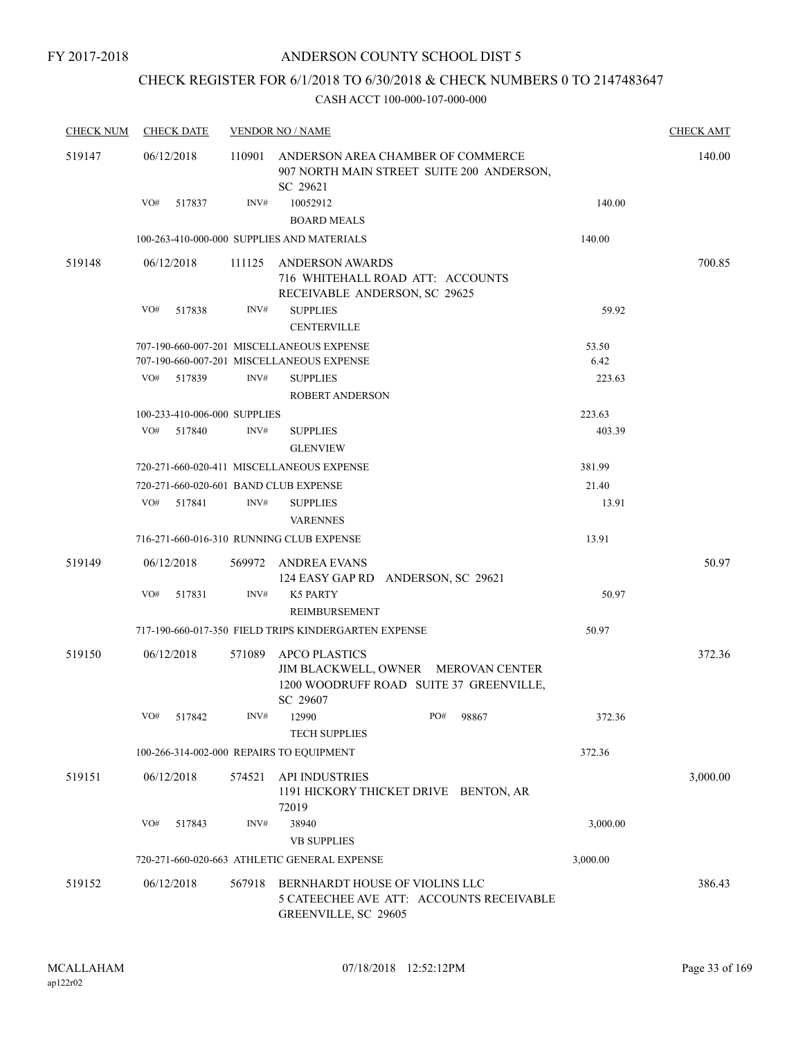# CHECK REGISTER FOR 6/1/2018 TO 6/30/2018 & CHECK NUMBERS 0 TO 2147483647

| <b>CHECK NUM</b> | <b>CHECK DATE</b> |                              |        | <b>VENDOR NO / NAME</b>                                                                                            |          | <b>CHECK AMT</b> |
|------------------|-------------------|------------------------------|--------|--------------------------------------------------------------------------------------------------------------------|----------|------------------|
| 519147           | 06/12/2018        |                              | 110901 | ANDERSON AREA CHAMBER OF COMMERCE<br>907 NORTH MAIN STREET SUITE 200 ANDERSON,<br>SC 29621                         |          | 140.00           |
|                  | VO#               | 517837                       | INV#   | 10052912                                                                                                           | 140.00   |                  |
|                  |                   |                              |        | <b>BOARD MEALS</b>                                                                                                 |          |                  |
|                  |                   |                              |        | 100-263-410-000-000 SUPPLIES AND MATERIALS                                                                         | 140.00   |                  |
| 519148           | 06/12/2018        |                              | 111125 | ANDERSON AWARDS<br>716 WHITEHALL ROAD ATT: ACCOUNTS<br>RECEIVABLE ANDERSON, SC 29625                               |          | 700.85           |
|                  | VO#               | 517838                       | INV#   | <b>SUPPLIES</b><br><b>CENTERVILLE</b>                                                                              | 59.92    |                  |
|                  |                   |                              |        | 707-190-660-007-201 MISCELLANEOUS EXPENSE                                                                          | 53.50    |                  |
|                  |                   |                              |        | 707-190-660-007-201 MISCELLANEOUS EXPENSE                                                                          | 6.42     |                  |
|                  | VO#               | 517839                       | INV#   | <b>SUPPLIES</b><br><b>ROBERT ANDERSON</b>                                                                          | 223.63   |                  |
|                  |                   | 100-233-410-006-000 SUPPLIES |        |                                                                                                                    | 223.63   |                  |
|                  | VO#               | 517840                       | INV#   | <b>SUPPLIES</b><br><b>GLENVIEW</b>                                                                                 | 403.39   |                  |
|                  |                   |                              |        | 720-271-660-020-411 MISCELLANEOUS EXPENSE                                                                          | 381.99   |                  |
|                  |                   |                              |        | 720-271-660-020-601 BAND CLUB EXPENSE                                                                              | 21.40    |                  |
|                  | VO#               | 517841                       | INV#   | <b>SUPPLIES</b><br><b>VARENNES</b>                                                                                 | 13.91    |                  |
|                  |                   |                              |        | 716-271-660-016-310 RUNNING CLUB EXPENSE                                                                           | 13.91    |                  |
| 519149           | 06/12/2018        |                              |        | 569972 ANDREA EVANS<br>124 EASY GAP RD ANDERSON, SC 29621                                                          |          | 50.97            |
|                  | VO#               | 517831                       | INV#   | <b>K5 PARTY</b><br>REIMBURSEMENT                                                                                   | 50.97    |                  |
|                  |                   |                              |        | 717-190-660-017-350 FIELD TRIPS KINDERGARTEN EXPENSE                                                               | 50.97    |                  |
|                  |                   |                              |        |                                                                                                                    |          | 372.36           |
| 519150           | 06/12/2018        |                              | 571089 | <b>APCO PLASTICS</b><br>JIM BLACKWELL, OWNER MEROVAN CENTER<br>1200 WOODRUFF ROAD SUITE 37 GREENVILLE,<br>SC 29607 |          |                  |
|                  | VO#               | 517842                       |        | INV# 12990<br>PO# 98867<br><b>TECH SUPPLIES</b>                                                                    | 372.36   |                  |
|                  |                   |                              |        | 100-266-314-002-000 REPAIRS TO EQUIPMENT                                                                           | 372.36   |                  |
| 519151           | 06/12/2018        |                              | 574521 | <b>API INDUSTRIES</b><br>1191 HICKORY THICKET DRIVE BENTON, AR<br>72019                                            |          | 3,000.00         |
|                  | VO#               | 517843                       | INV#   | 38940<br><b>VB SUPPLIES</b>                                                                                        | 3,000.00 |                  |
|                  |                   |                              |        | 720-271-660-020-663 ATHLETIC GENERAL EXPENSE                                                                       | 3,000.00 |                  |
| 519152           | 06/12/2018        |                              | 567918 | BERNHARDT HOUSE OF VIOLINS LLC<br>5 CATEECHEE AVE ATT: ACCOUNTS RECEIVABLE<br>GREENVILLE, SC 29605                 |          | 386.43           |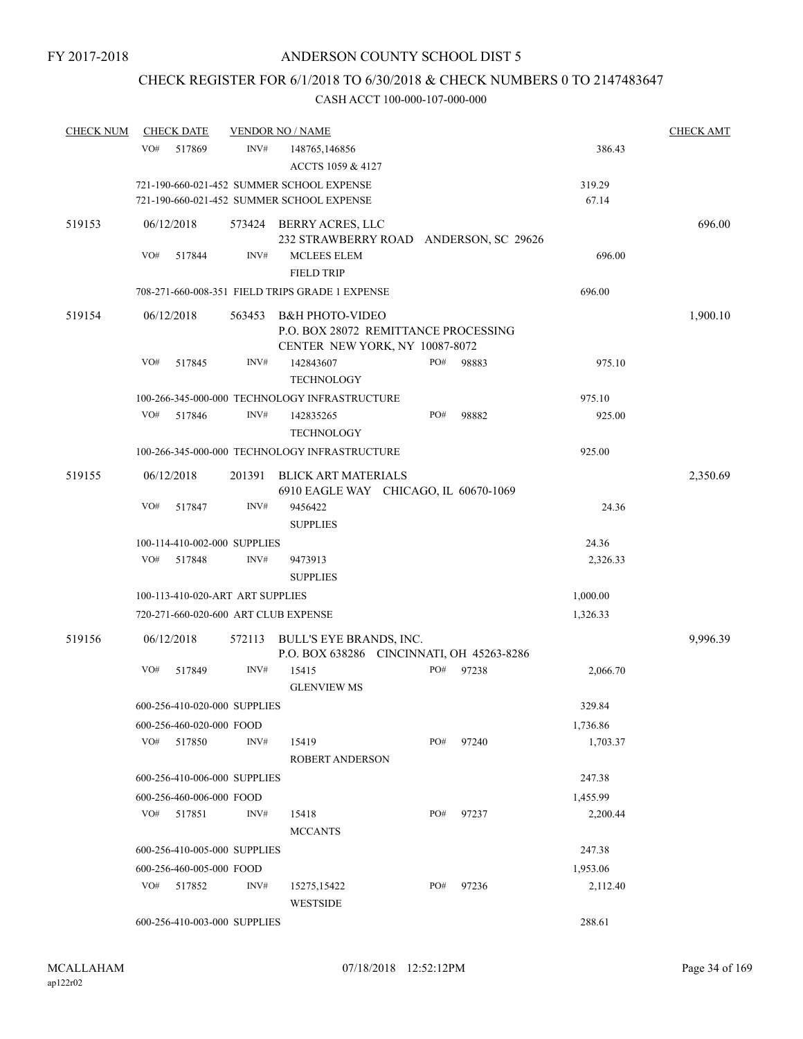# CHECK REGISTER FOR 6/1/2018 TO 6/30/2018 & CHECK NUMBERS 0 TO 2147483647

| <b>CHECK NUM</b> |     | <b>CHECK DATE</b>                |        | <b>VENDOR NO / NAME</b>                                                                              |     |       |          | <b>CHECK AMT</b> |
|------------------|-----|----------------------------------|--------|------------------------------------------------------------------------------------------------------|-----|-------|----------|------------------|
|                  | VO# | 517869                           | INV#   | 148765,146856<br>ACCTS 1059 & 4127                                                                   |     |       | 386.43   |                  |
|                  |     |                                  |        | 721-190-660-021-452 SUMMER SCHOOL EXPENSE                                                            |     |       | 319.29   |                  |
|                  |     |                                  |        | 721-190-660-021-452 SUMMER SCHOOL EXPENSE                                                            |     |       | 67.14    |                  |
| 519153           |     | 06/12/2018                       |        | 573424 BERRY ACRES, LLC<br>232 STRAWBERRY ROAD ANDERSON, SC 29626                                    |     |       |          | 696.00           |
|                  | VO# | 517844                           | INV#   | MCLEES ELEM<br><b>FIELD TRIP</b>                                                                     |     |       | 696.00   |                  |
|                  |     |                                  |        | 708-271-660-008-351 FIELD TRIPS GRADE 1 EXPENSE                                                      |     |       | 696.00   |                  |
| 519154           |     | 06/12/2018                       | 563453 | <b>B&amp;H PHOTO-VIDEO</b><br>P.O. BOX 28072 REMITTANCE PROCESSING<br>CENTER NEW YORK, NY 10087-8072 |     |       |          | 1,900.10         |
|                  | VO# | 517845                           | INV#   | 142843607<br><b>TECHNOLOGY</b>                                                                       | PO# | 98883 | 975.10   |                  |
|                  |     |                                  |        | 100-266-345-000-000 TECHNOLOGY INFRASTRUCTURE                                                        |     |       | 975.10   |                  |
|                  | VO# | 517846                           | INV#   | 142835265<br><b>TECHNOLOGY</b>                                                                       | PO# | 98882 | 925.00   |                  |
|                  |     |                                  |        | 100-266-345-000-000 TECHNOLOGY INFRASTRUCTURE                                                        |     |       | 925.00   |                  |
| 519155           |     | 06/12/2018                       | 201391 | <b>BLICK ART MATERIALS</b><br>6910 EAGLE WAY CHICAGO, IL 60670-1069                                  |     |       |          | 2,350.69         |
|                  | VO# | 517847                           | INV#   | 9456422<br><b>SUPPLIES</b>                                                                           |     |       | 24.36    |                  |
|                  |     | 100-114-410-002-000 SUPPLIES     |        |                                                                                                      |     |       | 24.36    |                  |
|                  | VO# | 517848                           | INV#   | 9473913                                                                                              |     |       | 2,326.33 |                  |
|                  |     |                                  |        | <b>SUPPLIES</b>                                                                                      |     |       |          |                  |
|                  |     | 100-113-410-020-ART ART SUPPLIES |        |                                                                                                      |     |       | 1,000.00 |                  |
|                  |     |                                  |        | 720-271-660-020-600 ART CLUB EXPENSE                                                                 |     |       | 1,326.33 |                  |
| 519156           |     | 06/12/2018                       | 572113 | BULL'S EYE BRANDS, INC.<br>P.O. BOX 638286 CINCINNATI, OH 45263-8286                                 |     |       |          | 9,996.39         |
|                  | VO# | 517849                           | INV#   | 15415<br><b>GLENVIEW MS</b>                                                                          | PO# | 97238 | 2,066.70 |                  |
|                  |     | 600-256-410-020-000 SUPPLIES     |        |                                                                                                      |     |       | 329.84   |                  |
|                  |     | 600-256-460-020-000 FOOD         |        |                                                                                                      |     |       | 1,736.86 |                  |
|                  | VO# | 517850                           | INV#   | 15419<br>ROBERT ANDERSON                                                                             | PO# | 97240 | 1,703.37 |                  |
|                  |     | 600-256-410-006-000 SUPPLIES     |        |                                                                                                      |     |       | 247.38   |                  |
|                  |     | 600-256-460-006-000 FOOD         |        |                                                                                                      |     |       | 1,455.99 |                  |
|                  |     | VO# 517851                       | INV#   | 15418<br><b>MCCANTS</b>                                                                              | PO# | 97237 | 2,200.44 |                  |
|                  |     | 600-256-410-005-000 SUPPLIES     |        |                                                                                                      |     |       | 247.38   |                  |
|                  |     | 600-256-460-005-000 FOOD         |        |                                                                                                      |     |       | 1,953.06 |                  |
|                  | VO# | 517852                           | INV#   | 15275, 15422<br><b>WESTSIDE</b>                                                                      | PO# | 97236 | 2,112.40 |                  |
|                  |     | 600-256-410-003-000 SUPPLIES     |        |                                                                                                      |     |       | 288.61   |                  |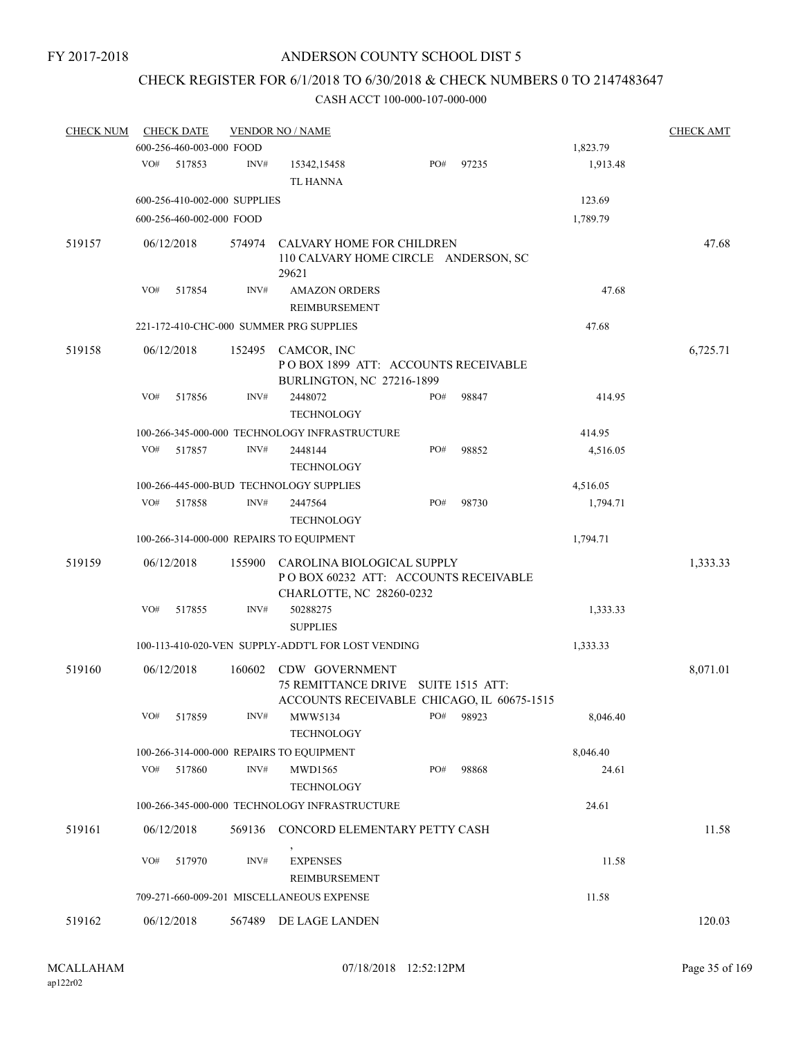# CHECK REGISTER FOR 6/1/2018 TO 6/30/2018 & CHECK NUMBERS 0 TO 2147483647

| <b>CHECK NUM</b> |     | <b>CHECK DATE</b>            |        | <b>VENDOR NO / NAME</b>                                                                             |     |       |                   |          |  |
|------------------|-----|------------------------------|--------|-----------------------------------------------------------------------------------------------------|-----|-------|-------------------|----------|--|
|                  |     | 600-256-460-003-000 FOOD     |        |                                                                                                     |     |       | 1,823.79          |          |  |
|                  | VO# | 517853                       | INV#   | 15342,15458<br><b>TL HANNA</b>                                                                      | PO# | 97235 | 1,913.48          |          |  |
|                  |     | 600-256-410-002-000 SUPPLIES |        |                                                                                                     |     |       | 123.69            |          |  |
|                  |     | 600-256-460-002-000 FOOD     |        |                                                                                                     |     |       | 1,789.79          |          |  |
| 519157           |     | 06/12/2018                   | 574974 | CALVARY HOME FOR CHILDREN<br>110 CALVARY HOME CIRCLE ANDERSON, SC<br>29621                          |     |       |                   | 47.68    |  |
|                  | VO# | 517854                       | INV#   | <b>AMAZON ORDERS</b><br>REIMBURSEMENT                                                               |     |       | 47.68             |          |  |
|                  |     |                              |        | 221-172-410-CHC-000 SUMMER PRG SUPPLIES                                                             |     |       | 47.68             |          |  |
| 519158           |     | 06/12/2018                   | 152495 | CAMCOR, INC<br>POBOX 1899 ATT: ACCOUNTS RECEIVABLE<br>BURLINGTON, NC 27216-1899                     |     |       |                   | 6,725.71 |  |
|                  | VO# | 517856                       | INV#   | 2448072<br><b>TECHNOLOGY</b>                                                                        | PO# | 98847 | 414.95            |          |  |
|                  |     |                              |        | 100-266-345-000-000 TECHNOLOGY INFRASTRUCTURE                                                       |     |       | 414.95            |          |  |
|                  | VO# | 517857                       | INV#   | 2448144<br><b>TECHNOLOGY</b>                                                                        | PO# | 98852 | 4,516.05          |          |  |
|                  |     |                              |        | 100-266-445-000-BUD TECHNOLOGY SUPPLIES                                                             |     |       | 4,516.05          |          |  |
|                  | VO# | 517858                       | INV#   | 2447564<br><b>TECHNOLOGY</b>                                                                        | PO# | 98730 | 1,794.71          |          |  |
|                  |     |                              |        | 100-266-314-000-000 REPAIRS TO EQUIPMENT                                                            |     |       | 1,794.71          |          |  |
| 519159           |     | 06/12/2018                   | 155900 | CAROLINA BIOLOGICAL SUPPLY<br>POBOX 60232 ATT: ACCOUNTS RECEIVABLE<br>CHARLOTTE, NC 28260-0232      |     |       |                   | 1,333.33 |  |
|                  | VO# | 517855                       | INV#   | 50288275<br><b>SUPPLIES</b>                                                                         |     |       | 1,333.33          |          |  |
|                  |     |                              |        | 100-113-410-020-VEN SUPPLY-ADDT'L FOR LOST VENDING                                                  |     |       | 1,333.33          |          |  |
| 519160           |     | 06/12/2018                   | 160602 | CDW GOVERNMENT<br>75 REMITTANCE DRIVE SUITE 1515 ATT:<br>ACCOUNTS RECEIVABLE CHICAGO, IL 60675-1515 |     |       |                   | 8,071.01 |  |
|                  | VO# | 517859                       | INV#   | MWW5134<br><b>TECHNOLOGY</b>                                                                        | PO# | 98923 | 8,046.40          |          |  |
|                  |     |                              |        |                                                                                                     |     |       |                   |          |  |
|                  | VO# | 517860                       | INV#   | 100-266-314-000-000 REPAIRS TO EQUIPMENT<br>MWD1565<br><b>TECHNOLOGY</b>                            | PO# | 98868 | 8,046.40<br>24.61 |          |  |
|                  |     |                              |        | 100-266-345-000-000 TECHNOLOGY INFRASTRUCTURE                                                       |     |       | 24.61             |          |  |
| 519161           |     | 06/12/2018                   | 569136 | CONCORD ELEMENTARY PETTY CASH                                                                       |     |       |                   | 11.58    |  |
|                  | VO# | 517970                       | INV#   | <b>EXPENSES</b><br>REIMBURSEMENT                                                                    |     |       | 11.58             |          |  |
|                  |     |                              |        | 709-271-660-009-201 MISCELLANEOUS EXPENSE                                                           |     |       | 11.58             |          |  |
| 519162           |     | 06/12/2018                   | 567489 | DE LAGE LANDEN                                                                                      |     |       |                   | 120.03   |  |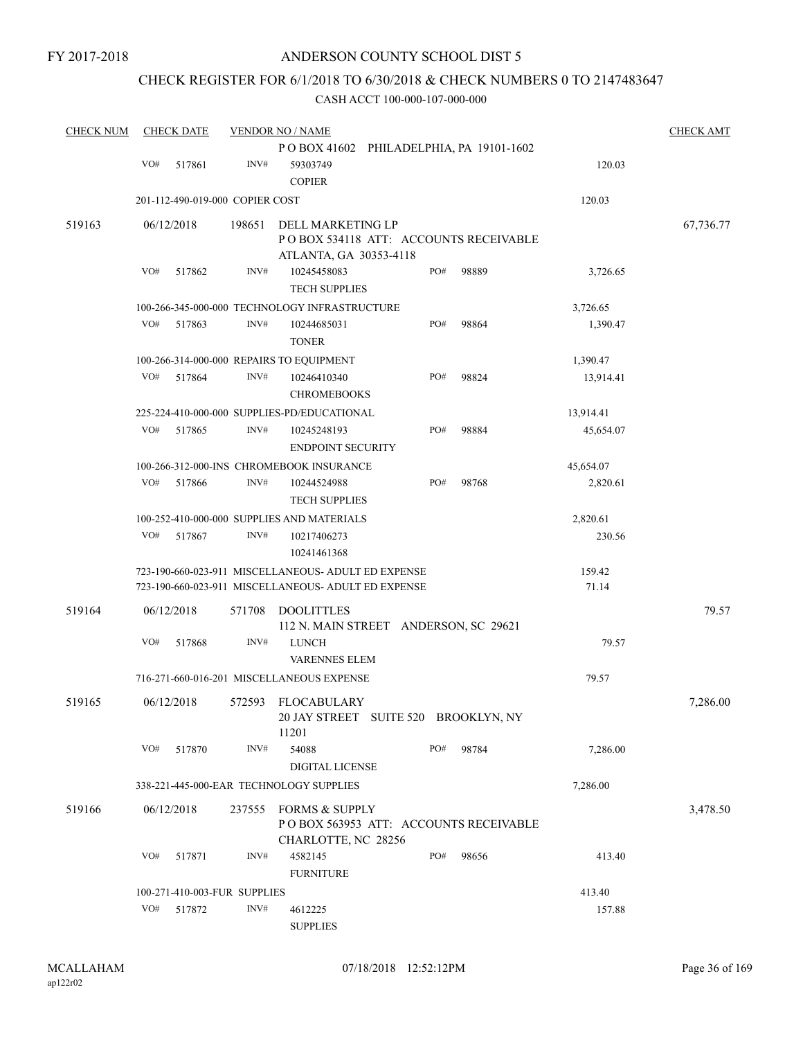## CHECK REGISTER FOR 6/1/2018 TO 6/30/2018 & CHECK NUMBERS 0 TO 2147483647

| <b>CHECK NUM</b> |     | <b>CHECK DATE</b>               |        | <b>VENDOR NO / NAME</b>                                                                                    |     |                                       |                 | <b>CHECK AMT</b> |
|------------------|-----|---------------------------------|--------|------------------------------------------------------------------------------------------------------------|-----|---------------------------------------|-----------------|------------------|
|                  | VO# | 517861                          | INV#   | POBOX 41602 PHILADELPHIA, PA 19101-1602<br>59303749                                                        |     |                                       | 120.03          |                  |
|                  |     |                                 |        | <b>COPIER</b>                                                                                              |     |                                       |                 |                  |
|                  |     | 201-112-490-019-000 COPIER COST |        |                                                                                                            |     |                                       | 120.03          |                  |
| 519163           |     | 06/12/2018                      | 198651 | POBOX 534118 ATT: ACCOUNTS RECEIVABLE                                                                      |     | 67,736.77                             |                 |                  |
|                  | VO# | 517862                          | INV#   | ATLANTA, GA 30353-4118<br>10245458083<br><b>TECH SUPPLIES</b>                                              | PO# | 98889                                 | 3,726.65        |                  |
|                  |     |                                 |        | 100-266-345-000-000 TECHNOLOGY INFRASTRUCTURE                                                              |     |                                       | 3,726.65        |                  |
|                  | VO# | 517863                          | INV#   | 10244685031<br><b>TONER</b>                                                                                | PO# | 98864                                 | 1,390.47        |                  |
|                  |     |                                 |        | 100-266-314-000-000 REPAIRS TO EQUIPMENT                                                                   |     |                                       | 1,390.47        |                  |
|                  | VO# | 517864                          | INV#   | 10246410340<br><b>CHROMEBOOKS</b>                                                                          | PO# | 98824                                 | 13,914.41       |                  |
|                  |     |                                 |        | 225-224-410-000-000 SUPPLIES-PD/EDUCATIONAL                                                                |     |                                       | 13,914.41       |                  |
|                  | VO# | 517865                          | INV#   | 10245248193<br><b>ENDPOINT SECURITY</b>                                                                    | PO# | 98884                                 | 45,654.07       |                  |
|                  |     |                                 |        | 100-266-312-000-INS CHROMEBOOK INSURANCE                                                                   |     |                                       | 45,654.07       |                  |
|                  | VO# | 517866                          | INV#   | 10244524988<br><b>TECH SUPPLIES</b>                                                                        | PO# | 98768                                 | 2,820.61        |                  |
|                  |     |                                 |        | 100-252-410-000-000 SUPPLIES AND MATERIALS                                                                 |     |                                       | 2,820.61        |                  |
|                  | VO# | 517867                          | INV#   | 10217406273<br>10241461368                                                                                 |     |                                       | 230.56          |                  |
|                  |     |                                 |        | 723-190-660-023-911 MISCELLANEOUS- ADULT ED EXPENSE<br>723-190-660-023-911 MISCELLANEOUS- ADULT ED EXPENSE |     |                                       | 159.42<br>71.14 |                  |
| 519164           |     | 06/12/2018                      | 571708 | <b>DOOLITTLES</b><br>112 N. MAIN STREET ANDERSON, SC 29621                                                 |     |                                       |                 | 79.57            |
|                  | VO# | 517868                          | INV#   | <b>LUNCH</b><br><b>VARENNES ELEM</b>                                                                       |     |                                       | 79.57           |                  |
|                  |     |                                 |        | 716-271-660-016-201 MISCELLANEOUS EXPENSE                                                                  |     |                                       | 79.57           |                  |
| 519165           |     | 06/12/2018                      |        | 572593 FLOCABULARY<br>20 JAY STREET SUITE 520 BROOKLYN, NY<br>11201                                        |     |                                       |                 | 7,286.00         |
|                  | VO# | 517870                          | INV#   | 54088<br>DIGITAL LICENSE                                                                                   | PO# | 98784                                 | 7,286.00        |                  |
|                  |     |                                 |        | 338-221-445-000-EAR TECHNOLOGY SUPPLIES                                                                    |     |                                       | 7,286.00        |                  |
| 519166           |     | 06/12/2018                      | 237555 | FORMS & SUPPLY<br>CHARLOTTE, NC 28256                                                                      |     | POBOX 563953 ATT: ACCOUNTS RECEIVABLE |                 | 3,478.50         |
|                  | VO# | 517871                          | INV#   | 4582145<br><b>FURNITURE</b>                                                                                | PO# | 98656                                 | 413.40          |                  |
|                  |     | 100-271-410-003-FUR SUPPLIES    |        |                                                                                                            |     |                                       | 413.40          |                  |
|                  | VO# | 517872                          | INV#   | 4612225<br><b>SUPPLIES</b>                                                                                 |     |                                       | 157.88          |                  |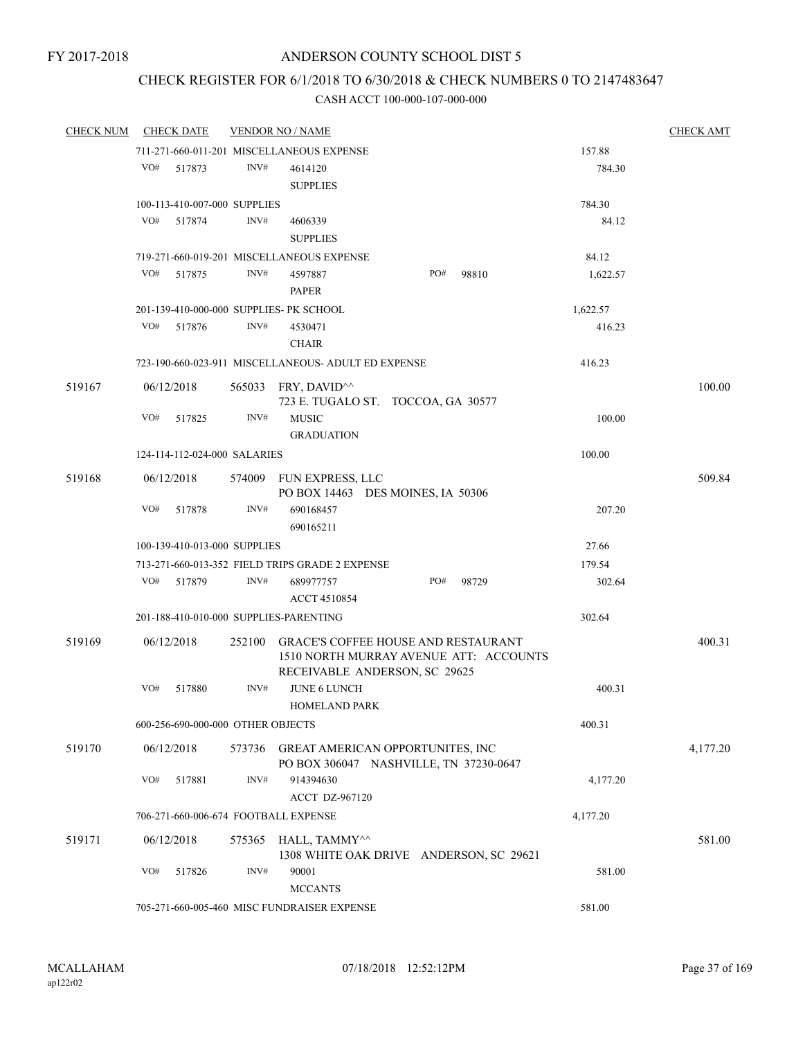## CHECK REGISTER FOR 6/1/2018 TO 6/30/2018 & CHECK NUMBERS 0 TO 2147483647

| <b>CHECK NUM</b> | <b>CHECK DATE</b>                       |        | <b>VENDOR NO / NAME</b>                                                               |                                                                               |          | <b>CHECK AMT</b> |
|------------------|-----------------------------------------|--------|---------------------------------------------------------------------------------------|-------------------------------------------------------------------------------|----------|------------------|
|                  |                                         |        | 711-271-660-011-201 MISCELLANEOUS EXPENSE                                             |                                                                               | 157.88   |                  |
|                  | VO#<br>517873                           | INV#   | 4614120<br><b>SUPPLIES</b>                                                            |                                                                               | 784.30   |                  |
|                  | 100-113-410-007-000 SUPPLIES            |        |                                                                                       |                                                                               | 784.30   |                  |
|                  | VO#<br>517874                           | INV#   | 4606339<br><b>SUPPLIES</b>                                                            |                                                                               | 84.12    |                  |
|                  |                                         |        | 719-271-660-019-201 MISCELLANEOUS EXPENSE                                             |                                                                               | 84.12    |                  |
|                  | VO#<br>517875                           | INV#   | 4597887<br><b>PAPER</b>                                                               | PO#<br>98810                                                                  | 1,622.57 |                  |
|                  | 201-139-410-000-000 SUPPLIES- PK SCHOOL |        |                                                                                       |                                                                               | 1,622.57 |                  |
|                  | VO#<br>517876                           | INV#   | 4530471<br><b>CHAIR</b>                                                               |                                                                               | 416.23   |                  |
|                  |                                         |        | 723-190-660-023-911 MISCELLANEOUS- ADULT ED EXPENSE                                   |                                                                               | 416.23   |                  |
| 519167           | 06/12/2018                              |        | 565033 FRY, DAVID <sup><math>\land</math></sup><br>723 E. TUGALO ST. TOCCOA, GA 30577 |                                                                               |          | 100.00           |
|                  | VO#<br>517825                           | INV#   | <b>MUSIC</b><br><b>GRADUATION</b>                                                     |                                                                               | 100.00   |                  |
|                  | 124-114-112-024-000 SALARIES            |        |                                                                                       |                                                                               | 100.00   |                  |
| 519168           | 06/12/2018                              |        | 574009 FUN EXPRESS, LLC<br>PO BOX 14463 DES MOINES, IA 50306                          |                                                                               |          | 509.84           |
|                  | VO#<br>517878                           | INV#   | 690168457<br>690165211                                                                |                                                                               | 207.20   |                  |
|                  | 100-139-410-013-000 SUPPLIES            |        |                                                                                       |                                                                               | 27.66    |                  |
|                  |                                         |        | 713-271-660-013-352 FIELD TRIPS GRADE 2 EXPENSE                                       |                                                                               | 179.54   |                  |
|                  | VO#<br>517879                           | INV#   | 689977757<br><b>ACCT 4510854</b>                                                      | PO#<br>98729                                                                  | 302.64   |                  |
|                  | 201-188-410-010-000 SUPPLIES-PARENTING  |        |                                                                                       |                                                                               | 302.64   |                  |
| 519169           | 06/12/2018                              | 252100 | RECEIVABLE ANDERSON, SC 29625                                                         | GRACE'S COFFEE HOUSE AND RESTAURANT<br>1510 NORTH MURRAY AVENUE ATT: ACCOUNTS |          | 400.31           |
|                  | VO#<br>517880                           | INV#   | <b>JUNE 6 LUNCH</b><br><b>HOMELAND PARK</b>                                           |                                                                               | 400.31   |                  |
|                  | 600-256-690-000-000 OTHER OBJECTS       |        |                                                                                       |                                                                               | 400.31   |                  |
| 519170           | 06/12/2018                              | 573736 | <b>GREAT AMERICAN OPPORTUNITES, INC</b>                                               | PO BOX 306047 NASHVILLE, TN 37230-0647                                        |          | 4,177.20         |
|                  | VO#<br>517881                           | INV#   | 914394630<br>ACCT DZ-967120                                                           |                                                                               | 4,177.20 |                  |
|                  | 706-271-660-006-674 FOOTBALL EXPENSE    |        |                                                                                       |                                                                               | 4,177.20 |                  |
|                  |                                         |        |                                                                                       |                                                                               |          |                  |
| 519171           | 06/12/2018                              | 575365 | HALL, TAMMY^^                                                                         | 1308 WHITE OAK DRIVE ANDERSON, SC 29621                                       |          | 581.00           |
|                  | VO#<br>517826                           | INV#   | 90001<br><b>MCCANTS</b>                                                               |                                                                               | 581.00   |                  |
|                  |                                         |        | 705-271-660-005-460 MISC FUNDRAISER EXPENSE                                           |                                                                               | 581.00   |                  |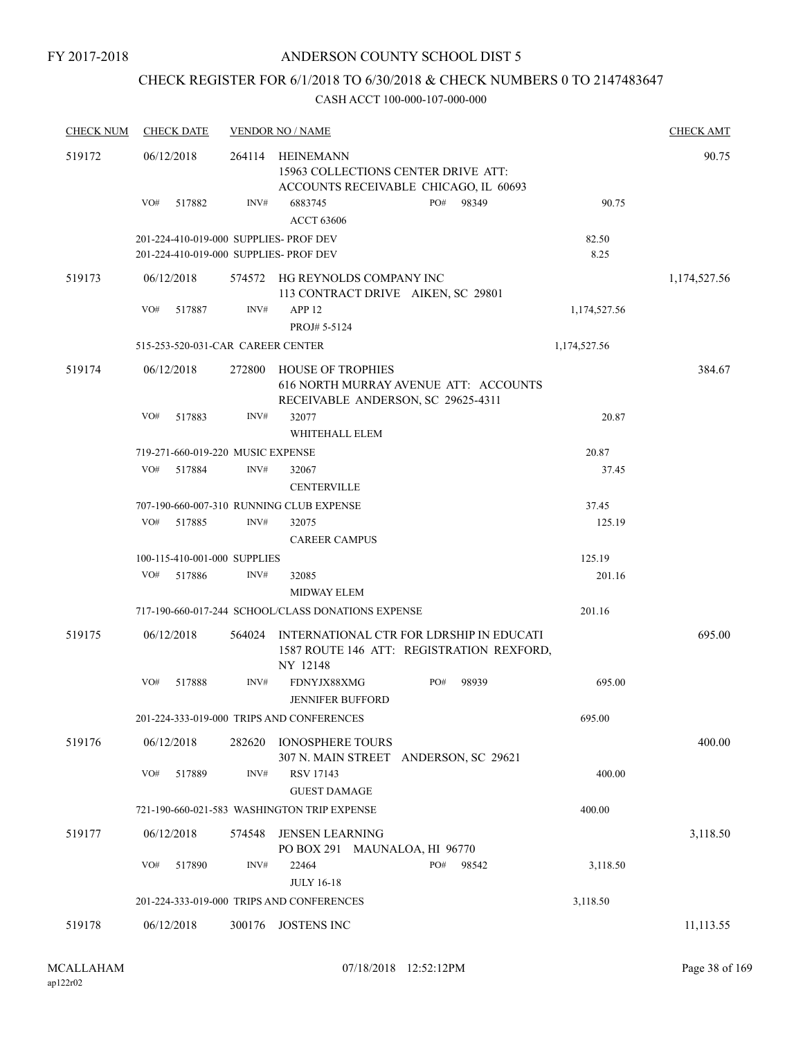## CHECK REGISTER FOR 6/1/2018 TO 6/30/2018 & CHECK NUMBERS 0 TO 2147483647

| <b>CHECK NUM</b> | <b>CHECK DATE</b>                                                                |        | <b>VENDOR NO / NAME</b>                                              |                                                                                       |               | <b>CHECK AMT</b> |
|------------------|----------------------------------------------------------------------------------|--------|----------------------------------------------------------------------|---------------------------------------------------------------------------------------|---------------|------------------|
| 519172           | 06/12/2018                                                                       | 264114 | HEINEMANN<br>15963 COLLECTIONS CENTER DRIVE ATT:                     | ACCOUNTS RECEIVABLE CHICAGO, IL 60693                                                 |               | 90.75            |
|                  | VO#<br>517882                                                                    | INV#   | 6883745<br><b>ACCT 63606</b>                                         | PO#<br>98349                                                                          | 90.75         |                  |
|                  | 201-224-410-019-000 SUPPLIES- PROF DEV<br>201-224-410-019-000 SUPPLIES- PROF DEV |        |                                                                      |                                                                                       | 82.50<br>8.25 |                  |
| 519173           | 06/12/2018                                                                       |        | 574572 HG REYNOLDS COMPANY INC<br>113 CONTRACT DRIVE AIKEN, SC 29801 |                                                                                       |               | 1,174,527.56     |
|                  | VO#<br>517887                                                                    | INV#   | APP <sub>12</sub><br>PROJ# 5-5124                                    |                                                                                       | 1,174,527.56  |                  |
|                  | 515-253-520-031-CAR CAREER CENTER                                                |        |                                                                      |                                                                                       | 1,174,527.56  |                  |
| 519174           | 06/12/2018                                                                       | 272800 | HOUSE OF TROPHIES<br>RECEIVABLE ANDERSON, SC 29625-4311              | 616 NORTH MURRAY AVENUE ATT: ACCOUNTS                                                 |               | 384.67           |
|                  | VO#<br>517883                                                                    | INV#   | 32077<br>WHITEHALL ELEM                                              |                                                                                       | 20.87         |                  |
|                  | 719-271-660-019-220 MUSIC EXPENSE                                                |        |                                                                      |                                                                                       | 20.87         |                  |
|                  | VO#<br>517884                                                                    | INV#   | 32067<br><b>CENTERVILLE</b>                                          |                                                                                       | 37.45         |                  |
|                  |                                                                                  |        | 707-190-660-007-310 RUNNING CLUB EXPENSE                             |                                                                                       | 37.45         |                  |
|                  | VO#<br>517885                                                                    | INV#   | 32075<br><b>CAREER CAMPUS</b>                                        |                                                                                       | 125.19        |                  |
|                  | 100-115-410-001-000 SUPPLIES                                                     |        |                                                                      |                                                                                       | 125.19        |                  |
|                  | VO#<br>517886                                                                    | INV#   | 32085<br>MIDWAY ELEM                                                 |                                                                                       | 201.16        |                  |
|                  |                                                                                  |        | 717-190-660-017-244 SCHOOL/CLASS DONATIONS EXPENSE                   |                                                                                       | 201.16        |                  |
| 519175           | 06/12/2018                                                                       | 564024 | NY 12148                                                             | INTERNATIONAL CTR FOR LDRSHIP IN EDUCATI<br>1587 ROUTE 146 ATT: REGISTRATION REXFORD, |               | 695.00           |
|                  | VO#<br>517888                                                                    | INV#   | FDNYJX88XMG<br><b>JENNIFER BUFFORD</b>                               | PO#<br>98939                                                                          | 695.00        |                  |
|                  |                                                                                  |        | 201-224-333-019-000 TRIPS AND CONFERENCES                            |                                                                                       | 695.00        |                  |
| 519176           | 06/12/2018                                                                       | 282620 | <b>IONOSPHERE TOURS</b><br>307 N. MAIN STREET ANDERSON, SC 29621     |                                                                                       |               | 400.00           |
|                  | VO#<br>517889                                                                    | INV#   | RSV 17143<br><b>GUEST DAMAGE</b>                                     |                                                                                       | 400.00        |                  |
|                  |                                                                                  |        | 721-190-660-021-583 WASHINGTON TRIP EXPENSE                          |                                                                                       | 400.00        |                  |
| 519177           | 06/12/2018                                                                       | 574548 | <b>JENSEN LEARNING</b><br>PO BOX 291 MAUNALOA, HI 96770              |                                                                                       |               | 3,118.50         |
|                  | VO#<br>517890                                                                    | INV#   | 22464<br><b>JULY 16-18</b>                                           | PO#<br>98542                                                                          | 3,118.50      |                  |
|                  |                                                                                  |        | 201-224-333-019-000 TRIPS AND CONFERENCES                            |                                                                                       | 3,118.50      |                  |
| 519178           | 06/12/2018                                                                       | 300176 | <b>JOSTENS INC</b>                                                   |                                                                                       |               | 11,113.55        |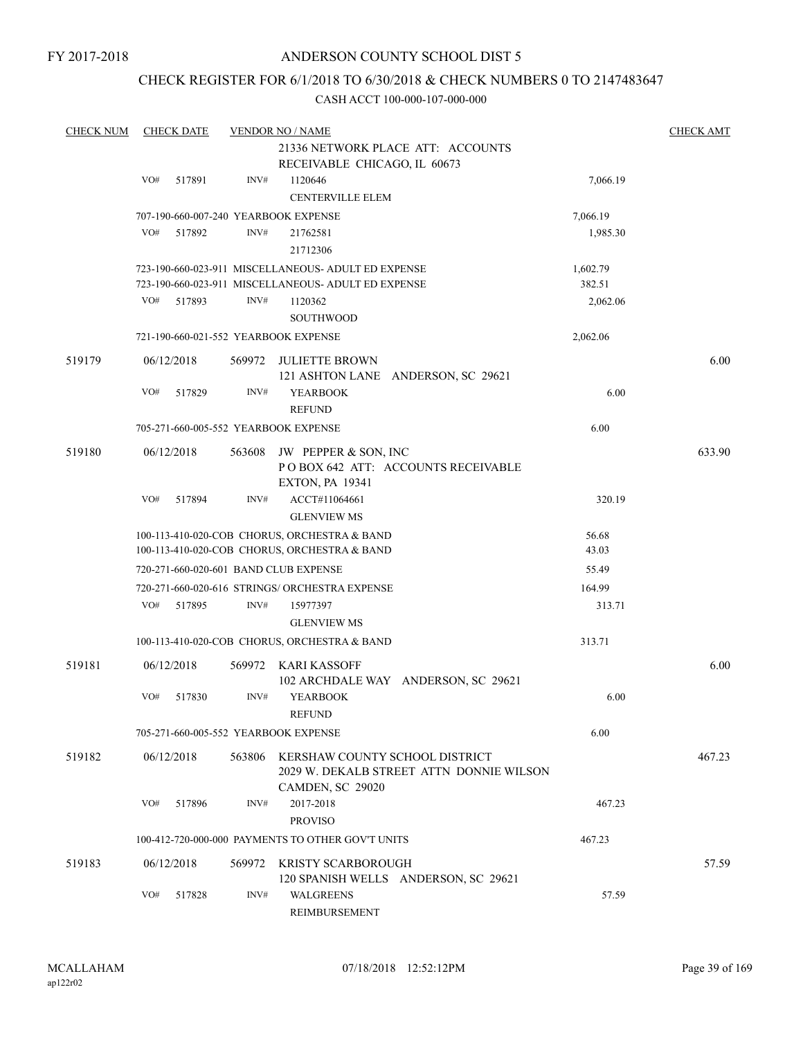## CHECK REGISTER FOR 6/1/2018 TO 6/30/2018 & CHECK NUMBERS 0 TO 2147483647

| <b>CHECK NUM</b> |     | <b>CHECK DATE</b> |        | <b>VENDOR NO / NAME</b>                             |                                          |          | <b>CHECK AMT</b> |
|------------------|-----|-------------------|--------|-----------------------------------------------------|------------------------------------------|----------|------------------|
|                  |     |                   |        |                                                     | 21336 NETWORK PLACE ATT: ACCOUNTS        |          |                  |
|                  |     |                   |        | RECEIVABLE CHICAGO, IL 60673                        |                                          |          |                  |
|                  | VO# | 517891            | INV#   | 1120646                                             |                                          | 7,066.19 |                  |
|                  |     |                   |        | <b>CENTERVILLE ELEM</b>                             |                                          |          |                  |
|                  |     |                   |        | 707-190-660-007-240 YEARBOOK EXPENSE                |                                          | 7,066.19 |                  |
|                  | VO# | 517892            | INV#   | 21762581                                            |                                          | 1,985.30 |                  |
|                  |     |                   |        | 21712306                                            |                                          |          |                  |
|                  |     |                   |        | 723-190-660-023-911 MISCELLANEOUS- ADULT ED EXPENSE |                                          | 1,602.79 |                  |
|                  |     |                   |        | 723-190-660-023-911 MISCELLANEOUS- ADULT ED EXPENSE |                                          | 382.51   |                  |
|                  | VO# | 517893            | INV#   | 1120362                                             |                                          | 2,062.06 |                  |
|                  |     |                   |        | <b>SOUTHWOOD</b>                                    |                                          |          |                  |
|                  |     |                   |        | 721-190-660-021-552 YEARBOOK EXPENSE                |                                          | 2,062.06 |                  |
| 519179           |     | 06/12/2018        | 569972 | JULIETTE BROWN                                      |                                          |          | 6.00             |
|                  |     |                   |        |                                                     | 121 ASHTON LANE ANDERSON, SC 29621       |          |                  |
|                  | VO# | 517829            | INV#   | <b>YEARBOOK</b>                                     |                                          | 6.00     |                  |
|                  |     |                   |        | <b>REFUND</b>                                       |                                          |          |                  |
|                  |     |                   |        | 705-271-660-005-552 YEARBOOK EXPENSE                |                                          | 6.00     |                  |
| 519180           |     | 06/12/2018        | 563608 | JW PEPPER & SON, INC                                |                                          |          | 633.90           |
|                  |     |                   |        |                                                     | POBOX 642 ATT: ACCOUNTS RECEIVABLE       |          |                  |
|                  |     |                   |        | <b>EXTON, PA 19341</b>                              |                                          |          |                  |
|                  | VO# | 517894            | INV#   | ACCT#11064661                                       |                                          | 320.19   |                  |
|                  |     |                   |        | <b>GLENVIEW MS</b>                                  |                                          |          |                  |
|                  |     |                   |        | 100-113-410-020-COB CHORUS, ORCHESTRA & BAND        |                                          | 56.68    |                  |
|                  |     |                   |        | 100-113-410-020-COB CHORUS, ORCHESTRA & BAND        |                                          | 43.03    |                  |
|                  |     |                   |        | 720-271-660-020-601 BAND CLUB EXPENSE               |                                          | 55.49    |                  |
|                  |     |                   |        | 720-271-660-020-616 STRINGS/ ORCHESTRA EXPENSE      |                                          | 164.99   |                  |
|                  | VO# | 517895            | INV#   | 15977397                                            |                                          | 313.71   |                  |
|                  |     |                   |        | <b>GLENVIEW MS</b>                                  |                                          |          |                  |
|                  |     |                   |        | 100-113-410-020-COB CHORUS, ORCHESTRA & BAND        |                                          | 313.71   |                  |
| 519181           |     | 06/12/2018        | 569972 | KARI KASSOFF                                        |                                          |          | 6.00             |
|                  |     |                   |        |                                                     | 102 ARCHDALE WAY ANDERSON, SC 29621      |          |                  |
|                  | VO# | 517830            | INV#   | <b>YEARBOOK</b>                                     |                                          | 6.00     |                  |
|                  |     |                   |        | <b>REFUND</b>                                       |                                          |          |                  |
|                  |     |                   |        | 705-271-660-005-552 YEARBOOK EXPENSE                |                                          | 6.00     |                  |
| 519182           |     | 06/12/2018        | 563806 | KERSHAW COUNTY SCHOOL DISTRICT                      |                                          |          | 467.23           |
|                  |     |                   |        |                                                     | 2029 W. DEKALB STREET ATTN DONNIE WILSON |          |                  |
|                  |     |                   |        | CAMDEN, SC 29020                                    |                                          |          |                  |
|                  | VO# | 517896            | INV#   | 2017-2018                                           |                                          | 467.23   |                  |
|                  |     |                   |        | <b>PROVISO</b>                                      |                                          |          |                  |
|                  |     |                   |        | 100-412-720-000-000 PAYMENTS TO OTHER GOV'T UNITS   |                                          | 467.23   |                  |
| 519183           |     | 06/12/2018        | 569972 | KRISTY SCARBOROUGH                                  |                                          |          | 57.59            |
|                  |     |                   |        |                                                     | 120 SPANISH WELLS ANDERSON, SC 29621     |          |                  |
|                  | VO# | 517828            | INV#   | <b>WALGREENS</b>                                    |                                          | 57.59    |                  |
|                  |     |                   |        | REIMBURSEMENT                                       |                                          |          |                  |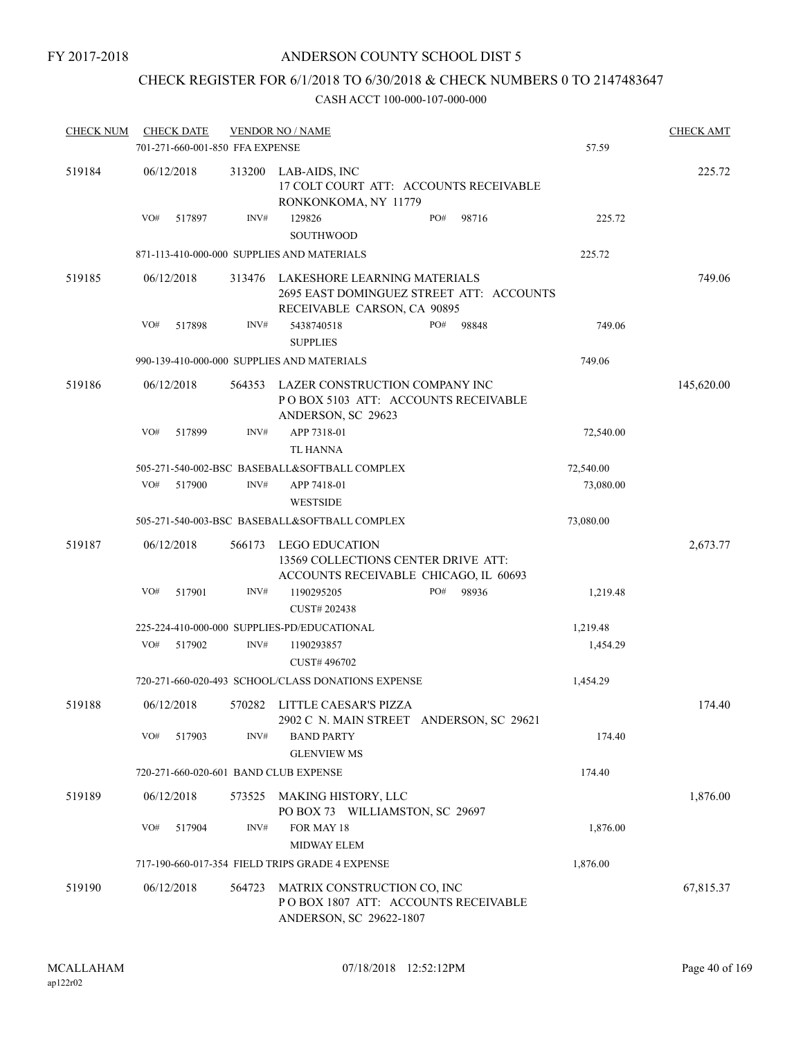## CHECK REGISTER FOR 6/1/2018 TO 6/30/2018 & CHECK NUMBERS 0 TO 2147483647

| <b>CHECK NUM</b> | <b>CHECK DATE</b><br>701-271-660-001-850 FFA EXPENSE |        | <b>VENDOR NO / NAME</b>                                                                                 | 57.59     | <b>CHECK AMT</b> |
|------------------|------------------------------------------------------|--------|---------------------------------------------------------------------------------------------------------|-----------|------------------|
| 519184           | 06/12/2018                                           | 313200 | LAB-AIDS, INC<br>17 COLT COURT ATT: ACCOUNTS RECEIVABLE<br>RONKONKOMA, NY 11779                         |           | 225.72           |
|                  | VO#<br>517897                                        | INV#   | 129826<br>PO#<br>98716<br><b>SOUTHWOOD</b>                                                              | 225.72    |                  |
|                  |                                                      |        | 871-113-410-000-000 SUPPLIES AND MATERIALS                                                              | 225.72    |                  |
| 519185           | 06/12/2018                                           | 313476 | LAKESHORE LEARNING MATERIALS<br>2695 EAST DOMINGUEZ STREET ATT: ACCOUNTS<br>RECEIVABLE CARSON, CA 90895 |           | 749.06           |
|                  | VO#<br>517898                                        | INV#   | 5438740518<br>PO#<br>98848                                                                              | 749.06    |                  |
|                  |                                                      |        | <b>SUPPLIES</b>                                                                                         |           |                  |
|                  |                                                      |        | 990-139-410-000-000 SUPPLIES AND MATERIALS                                                              | 749.06    |                  |
| 519186           | 06/12/2018                                           | 564353 | LAZER CONSTRUCTION COMPANY INC<br>POBOX 5103 ATT: ACCOUNTS RECEIVABLE<br>ANDERSON, SC 29623             |           | 145,620.00       |
|                  | VO#<br>517899                                        | INV#   | APP 7318-01<br>TL HANNA                                                                                 | 72,540.00 |                  |
|                  |                                                      |        | 505-271-540-002-BSC BASEBALL&SOFTBALL COMPLEX                                                           | 72,540.00 |                  |
|                  | VO#<br>517900                                        | INV#   | APP 7418-01<br><b>WESTSIDE</b>                                                                          | 73,080.00 |                  |
|                  |                                                      |        | 505-271-540-003-BSC BASEBALL&SOFTBALL COMPLEX                                                           | 73,080.00 |                  |
| 519187           | 06/12/2018                                           | 566173 | <b>LEGO EDUCATION</b><br>13569 COLLECTIONS CENTER DRIVE ATT:<br>ACCOUNTS RECEIVABLE CHICAGO, IL 60693   |           | 2,673.77         |
|                  | VO#<br>517901                                        | INV#   | PO#<br>1190295205<br>98936<br>CUST# 202438                                                              | 1,219.48  |                  |
|                  |                                                      |        | 225-224-410-000-000 SUPPLIES-PD/EDUCATIONAL                                                             | 1,219.48  |                  |
|                  | VO#<br>517902                                        | INV#   | 1190293857<br>CUST#496702                                                                               | 1,454.29  |                  |
|                  |                                                      |        | 720-271-660-020-493 SCHOOL/CLASS DONATIONS EXPENSE                                                      | 1,454.29  |                  |
| 519188           | 06/12/2018                                           | 570282 | LITTLE CAESAR'S PIZZA<br>2902 C N. MAIN STREET ANDERSON, SC 29621                                       |           | 174.40           |
|                  | VO#<br>517903                                        | INV#   | <b>BAND PARTY</b><br><b>GLENVIEW MS</b>                                                                 | 174.40    |                  |
|                  | 720-271-660-020-601 BAND CLUB EXPENSE                |        |                                                                                                         | 174.40    |                  |
| 519189           | 06/12/2018                                           | 573525 | MAKING HISTORY, LLC<br>PO BOX 73 WILLIAMSTON, SC 29697                                                  |           | 1,876.00         |
|                  | VO#<br>517904                                        | INV#   | FOR MAY 18                                                                                              | 1,876.00  |                  |
|                  |                                                      |        | MIDWAY ELEM                                                                                             |           |                  |
|                  |                                                      |        | 717-190-660-017-354 FIELD TRIPS GRADE 4 EXPENSE                                                         | 1,876.00  |                  |
| 519190           | 06/12/2018                                           | 564723 | MATRIX CONSTRUCTION CO, INC<br>POBOX 1807 ATT: ACCOUNTS RECEIVABLE<br>ANDERSON, SC 29622-1807           |           | 67,815.37        |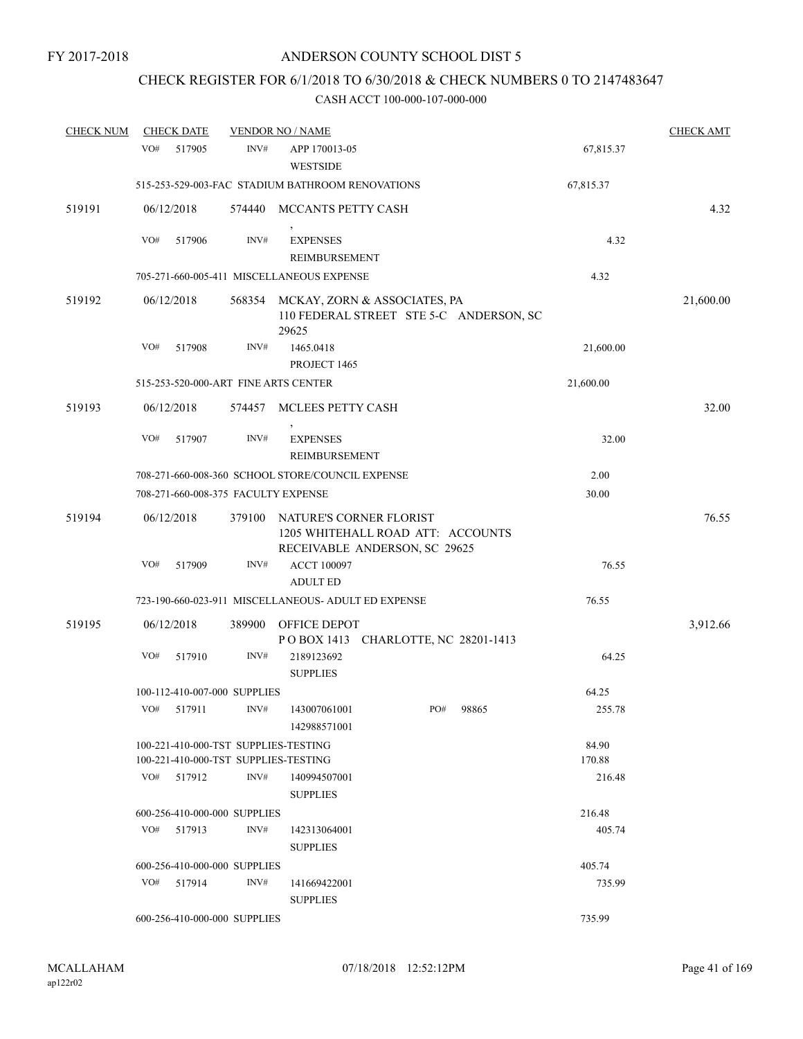# CHECK REGISTER FOR 6/1/2018 TO 6/30/2018 & CHECK NUMBERS 0 TO 2147483647

| <b>CHECK NUM</b> |     | <b>CHECK DATE</b>                    |        | <b>VENDOR NO / NAME</b>                             |                                                                                               |       |           | <b>CHECK AMT</b> |
|------------------|-----|--------------------------------------|--------|-----------------------------------------------------|-----------------------------------------------------------------------------------------------|-------|-----------|------------------|
|                  | VO# | 517905                               | INV#   | APP 170013-05<br><b>WESTSIDE</b>                    |                                                                                               |       | 67,815.37 |                  |
|                  |     |                                      |        | 515-253-529-003-FAC STADIUM BATHROOM RENOVATIONS    |                                                                                               |       | 67,815.37 |                  |
| 519191           |     | 06/12/2018                           |        | 574440 MCCANTS PETTY CASH                           |                                                                                               |       |           | 4.32             |
|                  | VO# | 517906                               | INV#   | <b>EXPENSES</b><br><b>REIMBURSEMENT</b>             |                                                                                               |       | 4.32      |                  |
|                  |     |                                      |        | 705-271-660-005-411 MISCELLANEOUS EXPENSE           |                                                                                               |       | 4.32      |                  |
| 519192           |     | 06/12/2018                           | 568354 | 29625                                               | MCKAY, ZORN & ASSOCIATES, PA<br>110 FEDERAL STREET STE 5-C ANDERSON, SC                       |       |           | 21,600.00        |
|                  | VO# | 517908                               | INV#   | 1465.0418<br>PROJECT 1465                           |                                                                                               |       | 21,600.00 |                  |
|                  |     |                                      |        | 515-253-520-000-ART FINE ARTS CENTER                |                                                                                               |       | 21,600.00 |                  |
| 519193           |     | 06/12/2018                           |        | 574457 MCLEES PETTY CASH                            |                                                                                               |       |           | 32.00            |
|                  | VO# | 517907                               | INV#   | <b>EXPENSES</b><br>REIMBURSEMENT                    |                                                                                               |       | 32.00     |                  |
|                  |     |                                      |        | 708-271-660-008-360 SCHOOL STORE/COUNCIL EXPENSE    |                                                                                               |       | 2.00      |                  |
|                  |     | 708-271-660-008-375 FACULTY EXPENSE  |        |                                                     |                                                                                               |       | 30.00     |                  |
| 519194           |     | 06/12/2018                           | 379100 |                                                     | NATURE'S CORNER FLORIST<br>1205 WHITEHALL ROAD ATT: ACCOUNTS<br>RECEIVABLE ANDERSON, SC 29625 |       |           | 76.55            |
|                  | VO# | 517909                               | INV#   | <b>ACCT 100097</b><br><b>ADULT ED</b>               |                                                                                               |       | 76.55     |                  |
|                  |     |                                      |        | 723-190-660-023-911 MISCELLANEOUS- ADULT ED EXPENSE |                                                                                               |       | 76.55     |                  |
| 519195           |     | 06/12/2018                           | 389900 | OFFICE DEPOT                                        | POBOX 1413 CHARLOTTE, NC 28201-1413                                                           |       |           | 3,912.66         |
|                  | VO# | 517910                               | INV#   | 2189123692<br><b>SUPPLIES</b>                       |                                                                                               |       | 64.25     |                  |
|                  |     | 100-112-410-007-000 SUPPLIES         |        |                                                     |                                                                                               |       | 64.25     |                  |
|                  |     |                                      |        | VO# 517911 INV# 143007061001<br>142988571001        | PO#                                                                                           | 98865 | 255.78    |                  |
|                  |     |                                      |        | 100-221-410-000-TST SUPPLIES-TESTING                |                                                                                               |       | 84.90     |                  |
|                  |     | 100-221-410-000-TST SUPPLIES-TESTING |        |                                                     |                                                                                               |       | 170.88    |                  |
|                  | VO# | 517912                               | INV#   | 140994507001<br><b>SUPPLIES</b>                     |                                                                                               |       | 216.48    |                  |
|                  |     | 600-256-410-000-000 SUPPLIES         |        |                                                     |                                                                                               |       | 216.48    |                  |
|                  |     | VO# 517913                           | INV#   | 142313064001<br><b>SUPPLIES</b>                     |                                                                                               |       | 405.74    |                  |
|                  |     | 600-256-410-000-000 SUPPLIES         |        |                                                     |                                                                                               |       | 405.74    |                  |
|                  |     | $VO#$ 517914                         | INV#   | 141669422001<br><b>SUPPLIES</b>                     |                                                                                               |       | 735.99    |                  |
|                  |     | 600-256-410-000-000 SUPPLIES         |        |                                                     |                                                                                               |       | 735.99    |                  |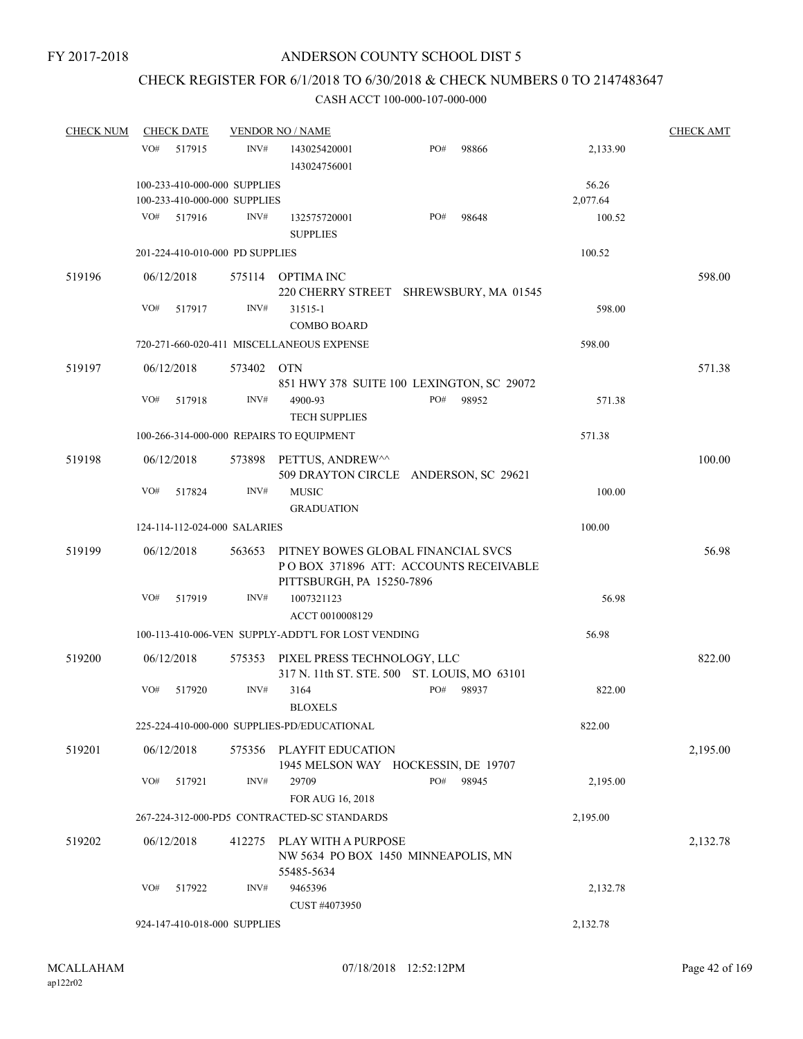## CHECK REGISTER FOR 6/1/2018 TO 6/30/2018 & CHECK NUMBERS 0 TO 2147483647

| <b>CHECK NUM</b> | <b>CHECK DATE</b>                                            |            | <b>VENDOR NO / NAME</b>                                                                                  |     |       |                   | <b>CHECK AMT</b> |
|------------------|--------------------------------------------------------------|------------|----------------------------------------------------------------------------------------------------------|-----|-------|-------------------|------------------|
|                  | VO#<br>517915                                                | INV#       | 143025420001<br>143024756001                                                                             | PO# | 98866 | 2,133.90          |                  |
|                  | 100-233-410-000-000 SUPPLIES<br>100-233-410-000-000 SUPPLIES |            |                                                                                                          |     |       | 56.26<br>2,077.64 |                  |
|                  | VO#<br>517916                                                | INV#       | 132575720001<br><b>SUPPLIES</b>                                                                          | PO# | 98648 | 100.52            |                  |
|                  | 201-224-410-010-000 PD SUPPLIES                              |            |                                                                                                          |     |       | 100.52            |                  |
| 519196           | 06/12/2018                                                   |            | 575114 OPTIMA INC<br>220 CHERRY STREET SHREWSBURY, MA 01545                                              |     |       |                   | 598.00           |
|                  | VO#<br>517917                                                | INV#       | 31515-1                                                                                                  |     |       | 598.00            |                  |
|                  |                                                              |            | <b>COMBO BOARD</b>                                                                                       |     |       |                   |                  |
|                  |                                                              |            | 720-271-660-020-411 MISCELLANEOUS EXPENSE                                                                |     |       | 598.00            |                  |
| 519197           | 06/12/2018                                                   | 573402 OTN | 851 HWY 378 SUITE 100 LEXINGTON, SC 29072                                                                |     |       |                   | 571.38           |
|                  | VO#<br>517918                                                | INV#       | 4900-93<br><b>TECH SUPPLIES</b>                                                                          | PO# | 98952 | 571.38            |                  |
|                  | 100-266-314-000-000 REPAIRS TO EQUIPMENT                     |            |                                                                                                          |     |       | 571.38            |                  |
| 519198           | 06/12/2018                                                   | 573898     | PETTUS, ANDREW^^<br>509 DRAYTON CIRCLE ANDERSON, SC 29621                                                |     |       |                   | 100.00           |
|                  | VO#<br>517824                                                | INV#       | <b>MUSIC</b><br><b>GRADUATION</b>                                                                        |     |       | 100.00            |                  |
|                  | 124-114-112-024-000 SALARIES                                 |            |                                                                                                          |     |       | 100.00            |                  |
| 519199           | 06/12/2018                                                   | 563653     | PITNEY BOWES GLOBAL FINANCIAL SVCS<br>POBOX 371896 ATT: ACCOUNTS RECEIVABLE<br>PITTSBURGH, PA 15250-7896 |     |       |                   | 56.98            |
|                  | VO#<br>517919                                                | INV#       | 1007321123<br>ACCT 0010008129                                                                            |     |       | 56.98             |                  |
|                  |                                                              |            | 100-113-410-006-VEN SUPPLY-ADDT'L FOR LOST VENDING                                                       |     |       | 56.98             |                  |
| 519200           | 06/12/2018                                                   | 575353     | PIXEL PRESS TECHNOLOGY, LLC<br>317 N. 11th ST. STE. 500 ST. LOUIS, MO 63101                              |     |       |                   | 822.00           |
|                  | VO#<br>517920                                                | INV#       | 3164<br><b>BLOXELS</b>                                                                                   | PO# | 98937 | 822.00            |                  |
|                  |                                                              |            | 225-224-410-000-000 SUPPLIES-PD/EDUCATIONAL                                                              |     |       | 822.00            |                  |
| 519201           | 06/12/2018                                                   | 575356     | PLAYFIT EDUCATION<br>1945 MELSON WAY HOCKESSIN, DE 19707                                                 |     |       |                   | 2,195.00         |
|                  | VO#<br>517921                                                | INV#       | 29709<br>FOR AUG 16, 2018                                                                                | PO# | 98945 | 2,195.00          |                  |
|                  |                                                              |            | 267-224-312-000-PD5 CONTRACTED-SC STANDARDS                                                              |     |       | 2,195.00          |                  |
| 519202           | 06/12/2018                                                   | 412275     | PLAY WITH A PURPOSE<br>NW 5634 PO BOX 1450 MINNEAPOLIS, MN<br>55485-5634                                 |     |       |                   | 2,132.78         |
|                  | VO#<br>517922                                                | INV#       | 9465396<br>CUST #4073950                                                                                 |     |       | 2,132.78          |                  |
|                  | 924-147-410-018-000 SUPPLIES                                 |            |                                                                                                          |     |       | 2,132.78          |                  |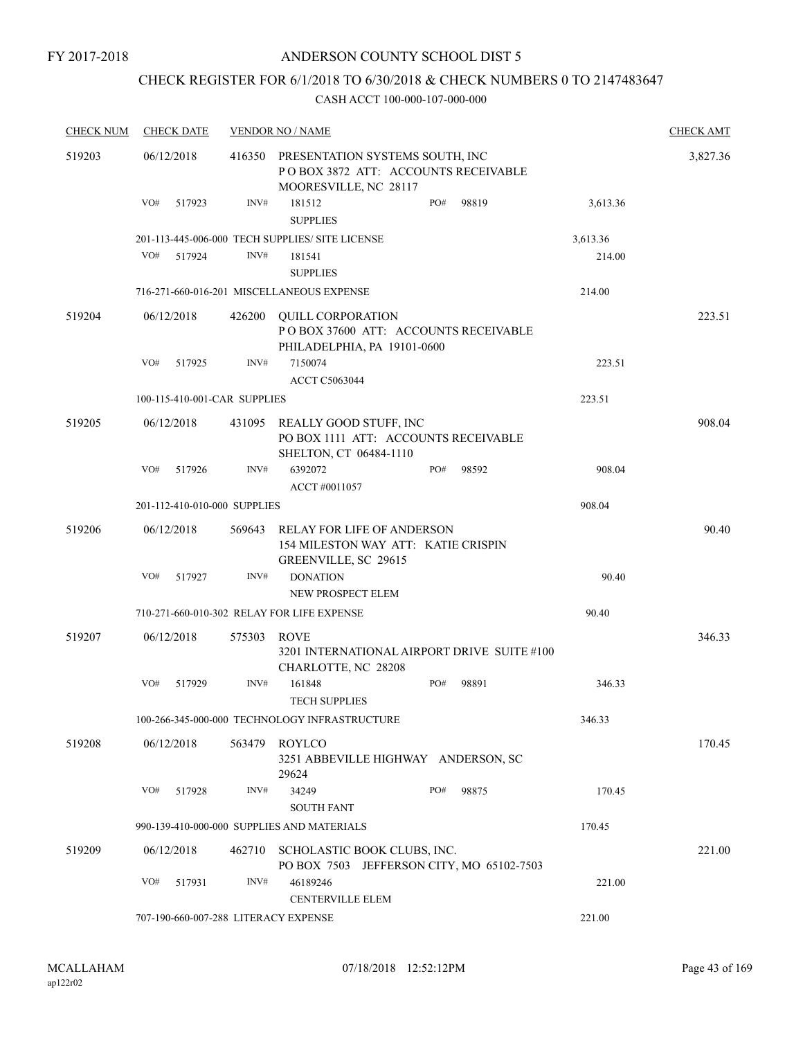## ANDERSON COUNTY SCHOOL DIST 5

## CHECK REGISTER FOR 6/1/2018 TO 6/30/2018 & CHECK NUMBERS 0 TO 2147483647

| <b>CHECK NUM</b> |            | <b>CHECK DATE</b> |                              | <b>VENDOR NO / NAME</b>                                                                         |     |       |          | <b>CHECK AMT</b> |
|------------------|------------|-------------------|------------------------------|-------------------------------------------------------------------------------------------------|-----|-------|----------|------------------|
| 519203           | 06/12/2018 |                   | 416350                       | PRESENTATION SYSTEMS SOUTH, INC<br>POBOX 3872 ATT: ACCOUNTS RECEIVABLE<br>MOORESVILLE, NC 28117 |     |       |          | 3,827.36         |
|                  | VO#        | 517923            | INV#                         | 181512<br><b>SUPPLIES</b>                                                                       | PO# | 98819 | 3,613.36 |                  |
|                  |            |                   |                              | 201-113-445-006-000 TECH SUPPLIES/ SITE LICENSE                                                 |     |       | 3,613.36 |                  |
|                  | VO#        | 517924            | INV#                         | 181541<br><b>SUPPLIES</b>                                                                       |     |       | 214.00   |                  |
|                  |            |                   |                              | 716-271-660-016-201 MISCELLANEOUS EXPENSE                                                       |     |       | 214.00   |                  |
| 519204           | 06/12/2018 |                   | 426200                       | QUILL CORPORATION<br>PO BOX 37600 ATT: ACCOUNTS RECEIVABLE<br>PHILADELPHIA, PA 19101-0600       |     |       |          | 223.51           |
|                  | VO#        | 517925            | INV#                         | 7150074<br><b>ACCT C5063044</b>                                                                 |     |       | 223.51   |                  |
|                  |            |                   | 100-115-410-001-CAR SUPPLIES |                                                                                                 |     |       | 223.51   |                  |
| 519205           | 06/12/2018 |                   |                              | 431095 REALLY GOOD STUFF, INC<br>PO BOX 1111 ATT: ACCOUNTS RECEIVABLE<br>SHELTON, CT 06484-1110 |     |       |          | 908.04           |
|                  | VO#        | 517926            | INV#                         | 6392072<br>ACCT #0011057                                                                        | PO# | 98592 | 908.04   |                  |
|                  |            |                   | 201-112-410-010-000 SUPPLIES |                                                                                                 |     |       | 908.04   |                  |
| 519206           | 06/12/2018 |                   | 569643                       | RELAY FOR LIFE OF ANDERSON<br>154 MILESTON WAY ATT: KATIE CRISPIN<br>GREENVILLE, SC 29615       |     |       |          | 90.40            |
|                  | VO#        | 517927            | INV#                         | <b>DONATION</b>                                                                                 |     |       | 90.40    |                  |
|                  |            |                   |                              | NEW PROSPECT ELEM                                                                               |     |       |          |                  |
|                  |            |                   |                              | 710-271-660-010-302 RELAY FOR LIFE EXPENSE                                                      |     |       | 90.40    |                  |
| 519207           | 06/12/2018 |                   | 575303                       | ROVE<br>3201 INTERNATIONAL AIRPORT DRIVE SUITE #100<br>CHARLOTTE, NC 28208                      |     |       |          | 346.33           |
|                  | VO#        | 517929            | INV#                         | 161848<br><b>TECH SUPPLIES</b>                                                                  | PO# | 98891 | 346.33   |                  |
|                  |            |                   |                              | 100-266-345-000-000 TECHNOLOGY INFRASTRUCTURE                                                   |     |       | 346.33   |                  |
| 519208           | 06/12/2018 |                   | 563479                       | <b>ROYLCO</b><br>3251 ABBEVILLE HIGHWAY ANDERSON, SC<br>29624                                   |     |       |          | 170.45           |
|                  | VO#        | 517928            | INV#                         | 34249<br><b>SOUTH FANT</b>                                                                      | PO# | 98875 | 170.45   |                  |
|                  |            |                   |                              | 990-139-410-000-000 SUPPLIES AND MATERIALS                                                      |     |       | 170.45   |                  |
| 519209           | 06/12/2018 |                   | 462710                       | SCHOLASTIC BOOK CLUBS, INC.<br>PO BOX 7503 JEFFERSON CITY, MO 65102-7503                        |     |       |          | 221.00           |
|                  | VO#        | 517931            | INV#                         | 46189246<br><b>CENTERVILLE ELEM</b>                                                             |     |       | 221.00   |                  |
|                  |            |                   |                              | 707-190-660-007-288 LITERACY EXPENSE                                                            |     |       | 221.00   |                  |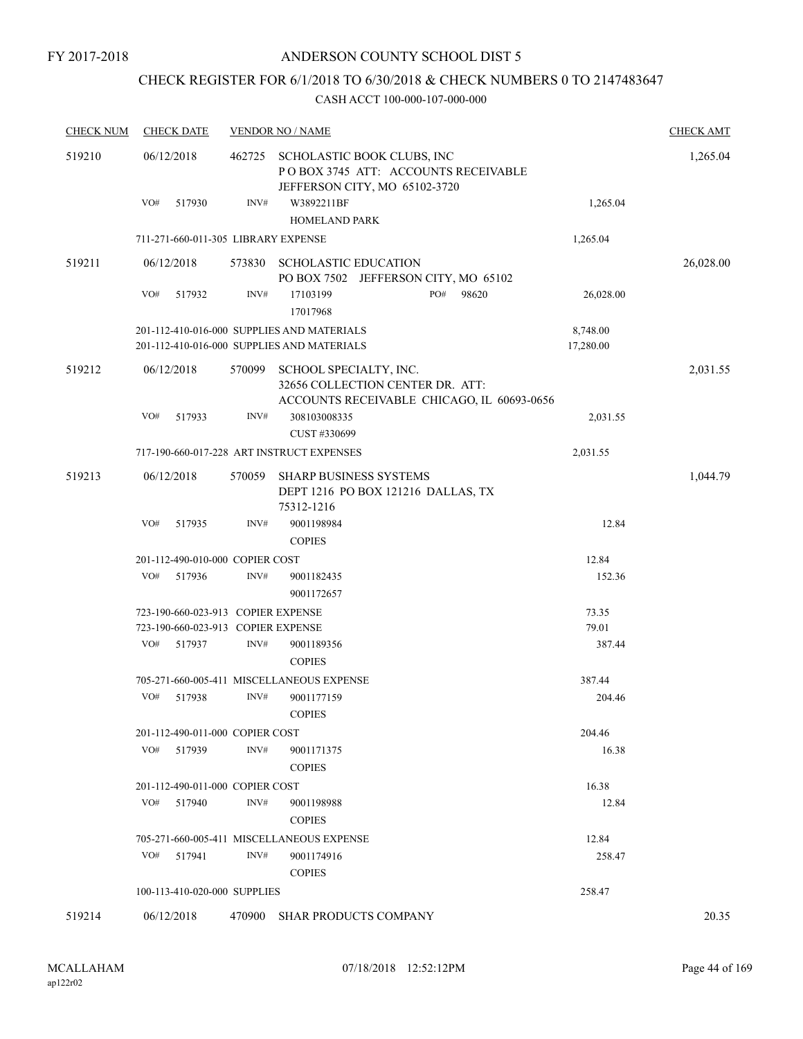## CHECK REGISTER FOR 6/1/2018 TO 6/30/2018 & CHECK NUMBERS 0 TO 2147483647

| <b>CHECK NUM</b> | <b>CHECK DATE</b>                   |        | <b>VENDOR NO / NAME</b>                                                                                  |                       | <b>CHECK AMT</b> |
|------------------|-------------------------------------|--------|----------------------------------------------------------------------------------------------------------|-----------------------|------------------|
| 519210           | 06/12/2018                          | 462725 | SCHOLASTIC BOOK CLUBS, INC<br>POBOX 3745 ATT: ACCOUNTS RECEIVABLE<br>JEFFERSON CITY, MO 65102-3720       |                       | 1,265.04         |
|                  | VO#<br>517930                       | INV#   | W3892211BF<br>HOMELAND PARK                                                                              | 1,265.04              |                  |
|                  | 711-271-660-011-305 LIBRARY EXPENSE |        |                                                                                                          | 1,265.04              |                  |
| 519211           | 06/12/2018                          | 573830 | <b>SCHOLASTIC EDUCATION</b><br>PO BOX 7502 JEFFERSON CITY, MO 65102                                      |                       | 26,028.00        |
|                  | VO#<br>517932                       | INV#   | PO#<br>98620<br>17103199<br>17017968                                                                     | 26,028.00             |                  |
|                  |                                     |        | 201-112-410-016-000 SUPPLIES AND MATERIALS<br>201-112-410-016-000 SUPPLIES AND MATERIALS                 | 8,748.00<br>17,280.00 |                  |
| 519212           | 06/12/2018                          | 570099 | SCHOOL SPECIALTY, INC.<br>32656 COLLECTION CENTER DR. ATT:<br>ACCOUNTS RECEIVABLE CHICAGO, IL 60693-0656 |                       | 2,031.55         |
|                  | VO#<br>517933                       | INV#   | 308103008335<br>CUST #330699                                                                             | 2,031.55              |                  |
|                  |                                     |        | 717-190-660-017-228 ART INSTRUCT EXPENSES                                                                | 2,031.55              |                  |
| 519213           | 06/12/2018                          | 570059 | SHARP BUSINESS SYSTEMS<br>DEPT 1216 PO BOX 121216 DALLAS, TX<br>75312-1216                               |                       | 1,044.79         |
|                  | VO#<br>517935                       | INV#   | 9001198984<br><b>COPIES</b>                                                                              | 12.84                 |                  |
|                  | 201-112-490-010-000 COPIER COST     |        |                                                                                                          | 12.84                 |                  |
|                  | VO#<br>517936                       | INV#   | 9001182435<br>9001172657                                                                                 | 152.36                |                  |
|                  | 723-190-660-023-913 COPIER EXPENSE  |        |                                                                                                          | 73.35                 |                  |
|                  | 723-190-660-023-913 COPIER EXPENSE  |        |                                                                                                          | 79.01                 |                  |
|                  | VO#<br>517937                       | INV#   | 9001189356<br><b>COPIES</b>                                                                              | 387.44                |                  |
|                  |                                     |        | 705-271-660-005-411 MISCELLANEOUS EXPENSE                                                                | 387.44                |                  |
|                  | VO#<br>517938                       | INV#   | 9001177159<br>$\mbox{COPIES}$                                                                            | 204.46                |                  |
|                  | 201-112-490-011-000 COPIER COST     |        |                                                                                                          | 204.46                |                  |
|                  | VO#<br>517939                       | INV#   | 9001171375<br><b>COPIES</b>                                                                              | 16.38                 |                  |
|                  | 201-112-490-011-000 COPIER COST     |        |                                                                                                          | 16.38                 |                  |
|                  | VO#<br>517940                       | INV#   | 9001198988<br><b>COPIES</b>                                                                              | 12.84                 |                  |
|                  |                                     |        | 705-271-660-005-411 MISCELLANEOUS EXPENSE                                                                | 12.84                 |                  |
|                  | VO#<br>517941                       | INV#   | 9001174916<br><b>COPIES</b>                                                                              | 258.47                |                  |
|                  | 100-113-410-020-000 SUPPLIES        |        |                                                                                                          | 258.47                |                  |
| 519214           | 06/12/2018                          | 470900 | <b>SHAR PRODUCTS COMPANY</b>                                                                             |                       | 20.35            |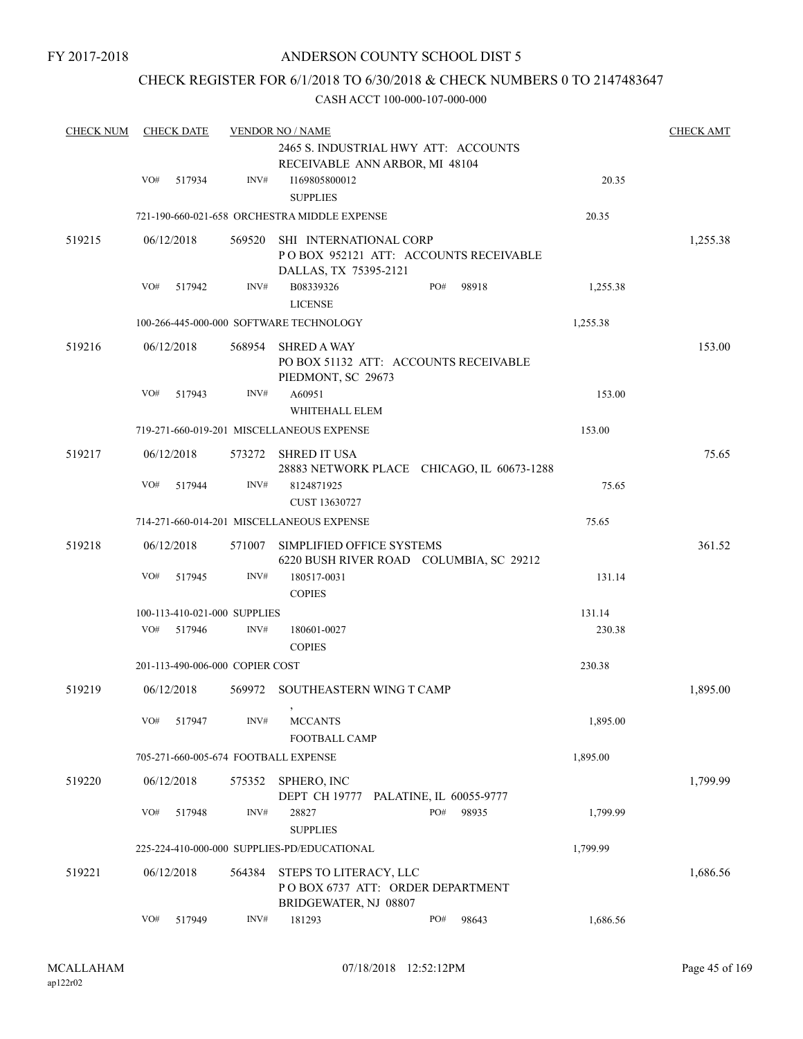## CHECK REGISTER FOR 6/1/2018 TO 6/30/2018 & CHECK NUMBERS 0 TO 2147483647

| <b>CHECK NUM</b> | <b>CHECK DATE</b> |                                      | <b>VENDOR NO / NAME</b>                                                             |                                            |          | <b>CHECK AMT</b> |
|------------------|-------------------|--------------------------------------|-------------------------------------------------------------------------------------|--------------------------------------------|----------|------------------|
|                  |                   |                                      | 2465 S. INDUSTRIAL HWY ATT: ACCOUNTS<br>RECEIVABLE ANN ARBOR, MI 48104              |                                            |          |                  |
|                  | VO#<br>517934     | INV#                                 | I169805800012<br><b>SUPPLIES</b>                                                    |                                            | 20.35    |                  |
|                  |                   |                                      | 721-190-660-021-658 ORCHESTRA MIDDLE EXPENSE                                        |                                            | 20.35    |                  |
| 519215           | 06/12/2018        | 569520                               | SHI INTERNATIONAL CORP<br>DALLAS, TX 75395-2121                                     | POBOX 952121 ATT: ACCOUNTS RECEIVABLE      |          | 1,255.38         |
|                  | VO#<br>517942     | INV#                                 | B08339326<br><b>LICENSE</b>                                                         | PO#<br>98918                               | 1,255.38 |                  |
|                  |                   |                                      | 100-266-445-000-000 SOFTWARE TECHNOLOGY                                             |                                            | 1,255.38 |                  |
| 519216           | 06/12/2018        | 568954                               | <b>SHRED A WAY</b><br>PO BOX 51132 ATT: ACCOUNTS RECEIVABLE<br>PIEDMONT, SC 29673   |                                            |          | 153.00           |
|                  | VO#<br>517943     | INV#                                 | A60951<br>WHITEHALL ELEM                                                            |                                            | 153.00   |                  |
|                  |                   |                                      | 719-271-660-019-201 MISCELLANEOUS EXPENSE                                           |                                            | 153.00   |                  |
| 519217           | 06/12/2018        |                                      | 573272 SHRED IT USA                                                                 | 28883 NETWORK PLACE CHICAGO, IL 60673-1288 |          | 75.65            |
|                  | VO#<br>517944     | INV#                                 | 8124871925<br>CUST 13630727                                                         |                                            | 75.65    |                  |
|                  |                   |                                      | 714-271-660-014-201 MISCELLANEOUS EXPENSE                                           |                                            | 75.65    |                  |
| 519218           | 06/12/2018        | 571007                               | SIMPLIFIED OFFICE SYSTEMS                                                           | 6220 BUSH RIVER ROAD COLUMBIA, SC 29212    |          | 361.52           |
|                  | VO#<br>517945     | INV#                                 | 180517-0031<br><b>COPIES</b>                                                        |                                            | 131.14   |                  |
|                  |                   | 100-113-410-021-000 SUPPLIES         |                                                                                     |                                            | 131.14   |                  |
|                  | VO#<br>517946     | INV#                                 | 180601-0027<br><b>COPIES</b>                                                        |                                            | 230.38   |                  |
|                  |                   | 201-113-490-006-000 COPIER COST      |                                                                                     |                                            | 230.38   |                  |
| 519219           | 06/12/2018        | 569972                               | SOUTHEASTERN WING T CAMP<br>$\,$                                                    |                                            |          | 1,895.00         |
|                  | VO#<br>517947     | INV#                                 | <b>MCCANTS</b><br>FOOTBALL CAMP                                                     |                                            | 1,895.00 |                  |
|                  |                   | 705-271-660-005-674 FOOTBALL EXPENSE |                                                                                     |                                            | 1,895.00 |                  |
| 519220           | 06/12/2018        | 575352                               | SPHERO, INC<br>DEPT CH 19777 PALATINE, IL 60055-9777                                |                                            |          | 1,799.99         |
|                  | VO#<br>517948     | INV#                                 | 28827<br><b>SUPPLIES</b>                                                            | PO#<br>98935                               | 1.799.99 |                  |
|                  |                   |                                      | 225-224-410-000-000 SUPPLIES-PD/EDUCATIONAL                                         |                                            | 1,799.99 |                  |
| 519221           | 06/12/2018        | 564384                               | STEPS TO LITERACY, LLC<br>POBOX 6737 ATT: ORDER DEPARTMENT<br>BRIDGEWATER, NJ 08807 |                                            |          | 1,686.56         |
|                  | VO#<br>517949     | INV#                                 | 181293                                                                              | PO#<br>98643                               | 1,686.56 |                  |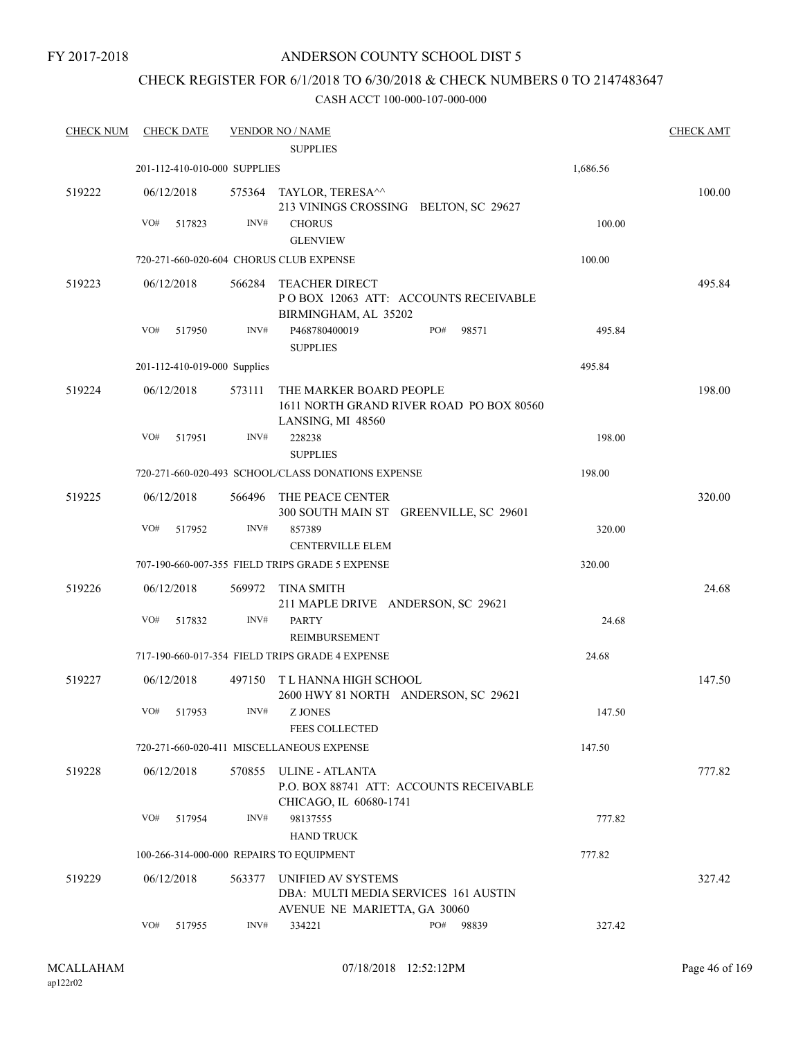## ANDERSON COUNTY SCHOOL DIST 5

# CHECK REGISTER FOR 6/1/2018 TO 6/30/2018 & CHECK NUMBERS 0 TO 2147483647

| <b>CHECK NUM</b> | <b>CHECK DATE</b>                        |        | <b>VENDOR NO / NAME</b><br><b>SUPPLIES</b>                                                  |              |          | <b>CHECK AMT</b> |
|------------------|------------------------------------------|--------|---------------------------------------------------------------------------------------------|--------------|----------|------------------|
|                  | 201-112-410-010-000 SUPPLIES             |        |                                                                                             |              | 1,686.56 |                  |
| 519222           | 06/12/2018                               |        | 575364 TAYLOR, TERESA^^<br>213 VININGS CROSSING BELTON, SC 29627                            |              |          | 100.00           |
|                  | VO#<br>517823                            | INV#   | <b>CHORUS</b><br><b>GLENVIEW</b>                                                            |              | 100.00   |                  |
|                  | 720-271-660-020-604 CHORUS CLUB EXPENSE  |        |                                                                                             |              | 100.00   |                  |
| 519223           | 06/12/2018                               | 566284 | <b>TEACHER DIRECT</b><br>POBOX 12063 ATT: ACCOUNTS RECEIVABLE<br>BIRMINGHAM, AL 35202       |              |          | 495.84           |
|                  | VO#<br>517950                            | INV#   | P468780400019<br><b>SUPPLIES</b>                                                            | PO#<br>98571 | 495.84   |                  |
|                  | 201-112-410-019-000 Supplies             |        |                                                                                             |              | 495.84   |                  |
| 519224           | 06/12/2018                               | 573111 | THE MARKER BOARD PEOPLE<br>1611 NORTH GRAND RIVER ROAD PO BOX 80560<br>LANSING, MI 48560    |              |          | 198.00           |
|                  | VO#<br>517951                            | INV#   | 228238<br><b>SUPPLIES</b>                                                                   |              | 198.00   |                  |
|                  |                                          |        | 720-271-660-020-493 SCHOOL/CLASS DONATIONS EXPENSE                                          |              | 198.00   |                  |
| 519225           | 06/12/2018                               | 566496 | THE PEACE CENTER<br>300 SOUTH MAIN ST GREENVILLE, SC 29601                                  |              |          | 320.00           |
|                  | VO#<br>517952                            | INV#   | 857389<br><b>CENTERVILLE ELEM</b>                                                           |              | 320.00   |                  |
|                  |                                          |        | 707-190-660-007-355 FIELD TRIPS GRADE 5 EXPENSE                                             |              | 320.00   |                  |
| 519226           | 06/12/2018                               | 569972 | <b>TINA SMITH</b><br>211 MAPLE DRIVE ANDERSON, SC 29621                                     |              |          | 24.68            |
|                  | VO#<br>517832                            | INV#   | <b>PARTY</b><br>REIMBURSEMENT                                                               |              | 24.68    |                  |
|                  |                                          |        | 717-190-660-017-354 FIELD TRIPS GRADE 4 EXPENSE                                             |              | 24.68    |                  |
| 519227           | 06/12/2018                               |        | 497150 TL HANNA HIGH SCHOOL<br>2600 HWY 81 NORTH ANDERSON, SC 29621                         |              |          | 147.50           |
|                  | VO#<br>517953                            | INV#   | <b>Z JONES</b><br><b>FEES COLLECTED</b>                                                     |              | 147.50   |                  |
|                  |                                          |        | 720-271-660-020-411 MISCELLANEOUS EXPENSE                                                   |              | 147.50   |                  |
| 519228           | 06/12/2018                               |        | 570855 ULINE - ATLANTA<br>P.O. BOX 88741 ATT: ACCOUNTS RECEIVABLE<br>CHICAGO, IL 60680-1741 |              |          | 777.82           |
|                  | VO#<br>517954                            | INV#   | 98137555<br><b>HAND TRUCK</b>                                                               |              | 777.82   |                  |
|                  | 100-266-314-000-000 REPAIRS TO EQUIPMENT |        |                                                                                             |              | 777.82   |                  |
| 519229           | 06/12/2018                               | 563377 | UNIFIED AV SYSTEMS<br>DBA: MULTI MEDIA SERVICES 161 AUSTIN<br>AVENUE NE MARIETTA, GA 30060  |              |          | 327.42           |
|                  | VO#<br>517955                            | INV#   | 334221                                                                                      | PO#<br>98839 | 327.42   |                  |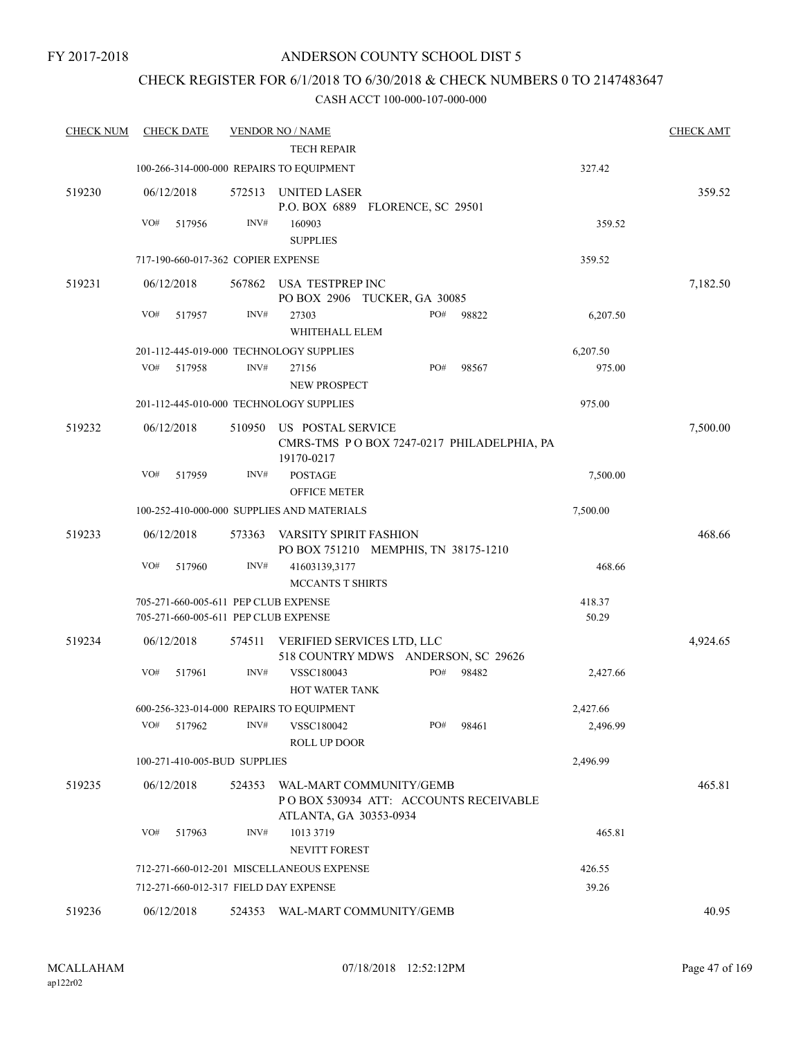## CHECK REGISTER FOR 6/1/2018 TO 6/30/2018 & CHECK NUMBERS 0 TO 2147483647

| <b>CHECK NUM</b> | <b>CHECK DATE</b>                                                            |        | <b>VENDOR NO / NAME</b>                                                       |     |       |                 | <b>CHECK AMT</b> |
|------------------|------------------------------------------------------------------------------|--------|-------------------------------------------------------------------------------|-----|-------|-----------------|------------------|
|                  |                                                                              |        | <b>TECH REPAIR</b>                                                            |     |       |                 |                  |
|                  | 100-266-314-000-000 REPAIRS TO EQUIPMENT                                     |        |                                                                               |     |       | 327.42          |                  |
| 519230           | 06/12/2018                                                                   | 572513 | UNITED LASER<br>P.O. BOX 6889 FLORENCE, SC 29501                              |     |       |                 | 359.52           |
|                  | VO#<br>517956                                                                | INV#   | 160903<br><b>SUPPLIES</b>                                                     |     |       | 359.52          |                  |
|                  | 717-190-660-017-362 COPIER EXPENSE                                           |        |                                                                               |     |       | 359.52          |                  |
| 519231           | 06/12/2018                                                                   | 567862 | USA TESTPREP INC                                                              |     |       |                 | 7,182.50         |
|                  |                                                                              |        | PO BOX 2906 TUCKER, GA 30085                                                  |     |       |                 |                  |
|                  | VO#<br>517957                                                                | INV#   | 27303<br>WHITEHALL ELEM                                                       | PO# | 98822 | 6,207.50        |                  |
|                  | 201-112-445-019-000 TECHNOLOGY SUPPLIES                                      |        |                                                                               |     |       | 6,207.50        |                  |
|                  | VO#<br>517958                                                                | INV#   | 27156<br>NEW PROSPECT                                                         | PO# | 98567 | 975.00          |                  |
|                  | 201-112-445-010-000 TECHNOLOGY SUPPLIES                                      |        |                                                                               |     |       | 975.00          |                  |
| 519232           | 06/12/2018                                                                   | 510950 | US POSTAL SERVICE<br>CMRS-TMS PO BOX 7247-0217 PHILADELPHIA, PA<br>19170-0217 |     |       |                 | 7,500.00         |
|                  | VO#<br>517959                                                                | INV#   | <b>POSTAGE</b><br><b>OFFICE METER</b>                                         |     |       | 7,500.00        |                  |
|                  |                                                                              |        | 100-252-410-000-000 SUPPLIES AND MATERIALS                                    |     |       | 7,500.00        |                  |
| 519233           | 06/12/2018                                                                   | 573363 | VARSITY SPIRIT FASHION                                                        |     |       |                 | 468.66           |
|                  |                                                                              |        | PO BOX 751210 MEMPHIS, TN 38175-1210                                          |     |       |                 |                  |
|                  | VO#<br>517960                                                                | INV#   | 41603139,3177                                                                 |     |       | 468.66          |                  |
|                  |                                                                              |        | MCCANTS T SHIRTS                                                              |     |       |                 |                  |
|                  | 705-271-660-005-611 PEP CLUB EXPENSE<br>705-271-660-005-611 PEP CLUB EXPENSE |        |                                                                               |     |       | 418.37<br>50.29 |                  |
| 519234           | 06/12/2018                                                                   | 574511 | VERIFIED SERVICES LTD, LLC                                                    |     |       |                 | 4,924.65         |
|                  | VO#<br>517961                                                                | INV#   | 518 COUNTRY MDWS ANDERSON, SC 29626<br>VSSC180043                             | PO# | 98482 | 2,427.66        |                  |
|                  |                                                                              |        | <b>HOT WATER TANK</b>                                                         |     |       |                 |                  |
|                  |                                                                              |        | 600-256-323-014-000 REPAIRS TO EQUIPMENT                                      |     |       | 2,427.66        |                  |
|                  | $VO#$ 517962                                                                 | INV#   | VSSC180042<br><b>ROLL UP DOOR</b>                                             | PO# | 98461 | 2,496.99        |                  |
|                  | 100-271-410-005-BUD SUPPLIES                                                 |        |                                                                               |     |       | 2,496.99        |                  |
| 519235           | 06/12/2018                                                                   |        | 524353 WAL-MART COMMUNITY/GEMB<br>PO BOX 530934 ATT: ACCOUNTS RECEIVABLE      |     |       |                 | 465.81           |
|                  | VO#<br>517963                                                                | INV#   | ATLANTA, GA 30353-0934<br>1013 3719<br>NEVITT FOREST                          |     |       | 465.81          |                  |
|                  |                                                                              |        | 712-271-660-012-201 MISCELLANEOUS EXPENSE                                     |     |       | 426.55          |                  |
|                  | 712-271-660-012-317 FIELD DAY EXPENSE                                        |        |                                                                               |     |       | 39.26           |                  |
|                  |                                                                              |        |                                                                               |     |       |                 | 40.95            |
| 519236           | 06/12/2018                                                                   |        | 524353 WAL-MART COMMUNITY/GEMB                                                |     |       |                 |                  |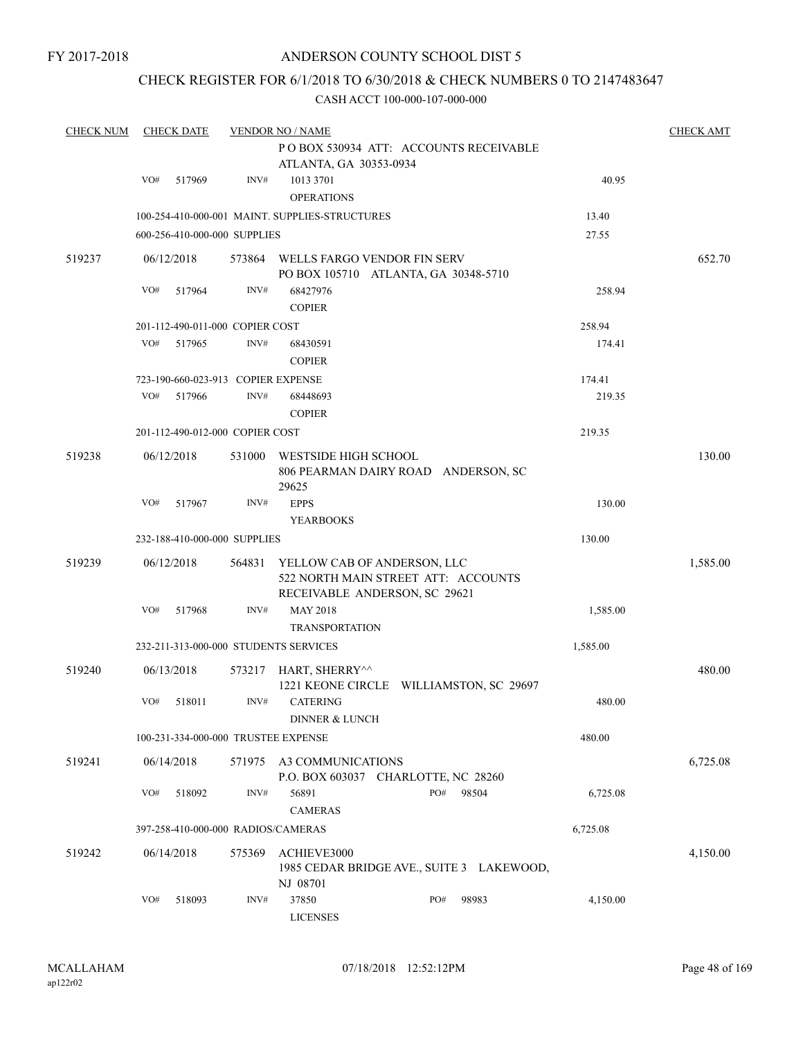## ANDERSON COUNTY SCHOOL DIST 5

## CHECK REGISTER FOR 6/1/2018 TO 6/30/2018 & CHECK NUMBERS 0 TO 2147483647

| <b>CHECK NUM</b> |     | <b>CHECK DATE</b> |                                    | <b>VENDOR NO / NAME</b>                        |                                                                      |          | <b>CHECK AMT</b> |
|------------------|-----|-------------------|------------------------------------|------------------------------------------------|----------------------------------------------------------------------|----------|------------------|
|                  |     |                   |                                    |                                                | PO BOX 530934 ATT: ACCOUNTS RECEIVABLE                               |          |                  |
|                  |     |                   |                                    | ATLANTA, GA 30353-0934                         |                                                                      |          |                  |
|                  | VO# | 517969            | INV#                               | 1013 3701                                      |                                                                      | 40.95    |                  |
|                  |     |                   |                                    | <b>OPERATIONS</b>                              |                                                                      |          |                  |
|                  |     |                   |                                    | 100-254-410-000-001 MAINT. SUPPLIES-STRUCTURES |                                                                      | 13.40    |                  |
|                  |     |                   | 600-256-410-000-000 SUPPLIES       |                                                |                                                                      | 27.55    |                  |
|                  |     |                   |                                    |                                                |                                                                      |          |                  |
| 519237           |     | 06/12/2018        |                                    | 573864 WELLS FARGO VENDOR FIN SERV             | PO BOX 105710 ATLANTA, GA 30348-5710                                 |          | 652.70           |
|                  | VO# | 517964            | INV#                               | 68427976                                       |                                                                      | 258.94   |                  |
|                  |     |                   |                                    | <b>COPIER</b>                                  |                                                                      |          |                  |
|                  |     |                   | 201-112-490-011-000 COPIER COST    |                                                |                                                                      | 258.94   |                  |
|                  | VO# | 517965            | INV#                               | 68430591                                       |                                                                      | 174.41   |                  |
|                  |     |                   |                                    | <b>COPIER</b>                                  |                                                                      |          |                  |
|                  |     |                   | 723-190-660-023-913 COPIER EXPENSE |                                                |                                                                      | 174.41   |                  |
|                  | VO# | 517966            | INV#                               | 68448693                                       |                                                                      | 219.35   |                  |
|                  |     |                   |                                    | <b>COPIER</b>                                  |                                                                      |          |                  |
|                  |     |                   | 201-112-490-012-000 COPIER COST    |                                                |                                                                      | 219.35   |                  |
|                  |     |                   |                                    |                                                |                                                                      |          |                  |
| 519238           |     | 06/12/2018        | 531000                             | <b>WESTSIDE HIGH SCHOOL</b>                    |                                                                      |          | 130.00           |
|                  |     |                   |                                    |                                                | 806 PEARMAN DAIRY ROAD ANDERSON, SC                                  |          |                  |
|                  | VO# | 517967            | INV#                               | 29625<br><b>EPPS</b>                           |                                                                      | 130.00   |                  |
|                  |     |                   |                                    | <b>YEARBOOKS</b>                               |                                                                      |          |                  |
|                  |     |                   | 232-188-410-000-000 SUPPLIES       |                                                |                                                                      | 130.00   |                  |
|                  |     |                   |                                    |                                                |                                                                      |          |                  |
| 519239           |     | 06/12/2018        | 564831                             | YELLOW CAB OF ANDERSON, LLC                    |                                                                      |          | 1,585.00         |
|                  |     |                   |                                    |                                                | 522 NORTH MAIN STREET ATT: ACCOUNTS<br>RECEIVABLE ANDERSON, SC 29621 |          |                  |
|                  | VO# | 517968            | INV#                               | <b>MAY 2018</b>                                |                                                                      | 1,585.00 |                  |
|                  |     |                   |                                    | <b>TRANSPORTATION</b>                          |                                                                      |          |                  |
|                  |     |                   |                                    | 232-211-313-000-000 STUDENTS SERVICES          |                                                                      | 1,585.00 |                  |
|                  |     |                   |                                    |                                                |                                                                      |          |                  |
| 519240           |     | 06/13/2018        | 573217                             | HART, SHERRY^^                                 |                                                                      |          | 480.00           |
|                  |     |                   |                                    |                                                | 1221 KEONE CIRCLE WILLIAMSTON, SC 29697                              |          |                  |
|                  | VO# | 518011            | INV#                               | <b>CATERING</b>                                |                                                                      | 480.00   |                  |
|                  |     |                   |                                    | <b>DINNER &amp; LUNCH</b>                      |                                                                      |          |                  |
|                  |     |                   |                                    | 100-231-334-000-000 TRUSTEE EXPENSE            |                                                                      | 480.00   |                  |
| 519241           |     | 06/14/2018        | 571975                             | A3 COMMUNICATIONS                              |                                                                      |          | 6,725.08         |
|                  |     |                   |                                    |                                                | P.O. BOX 603037 CHARLOTTE, NC 28260                                  |          |                  |
|                  | VO# | 518092            | INV#                               | 56891                                          | PO#<br>98504                                                         | 6,725.08 |                  |
|                  |     |                   |                                    | <b>CAMERAS</b>                                 |                                                                      |          |                  |
|                  |     |                   | 397-258-410-000-000 RADIOS/CAMERAS |                                                |                                                                      | 6,725.08 |                  |
| 519242           |     | 06/14/2018        | 575369                             | ACHIEVE3000                                    |                                                                      |          | 4,150.00         |
|                  |     |                   |                                    |                                                | 1985 CEDAR BRIDGE AVE., SUITE 3 LAKEWOOD,                            |          |                  |
|                  |     |                   |                                    | NJ 08701                                       |                                                                      |          |                  |
|                  | VO# | 518093            | INV#                               | 37850                                          | PO#<br>98983                                                         | 4,150.00 |                  |
|                  |     |                   |                                    | <b>LICENSES</b>                                |                                                                      |          |                  |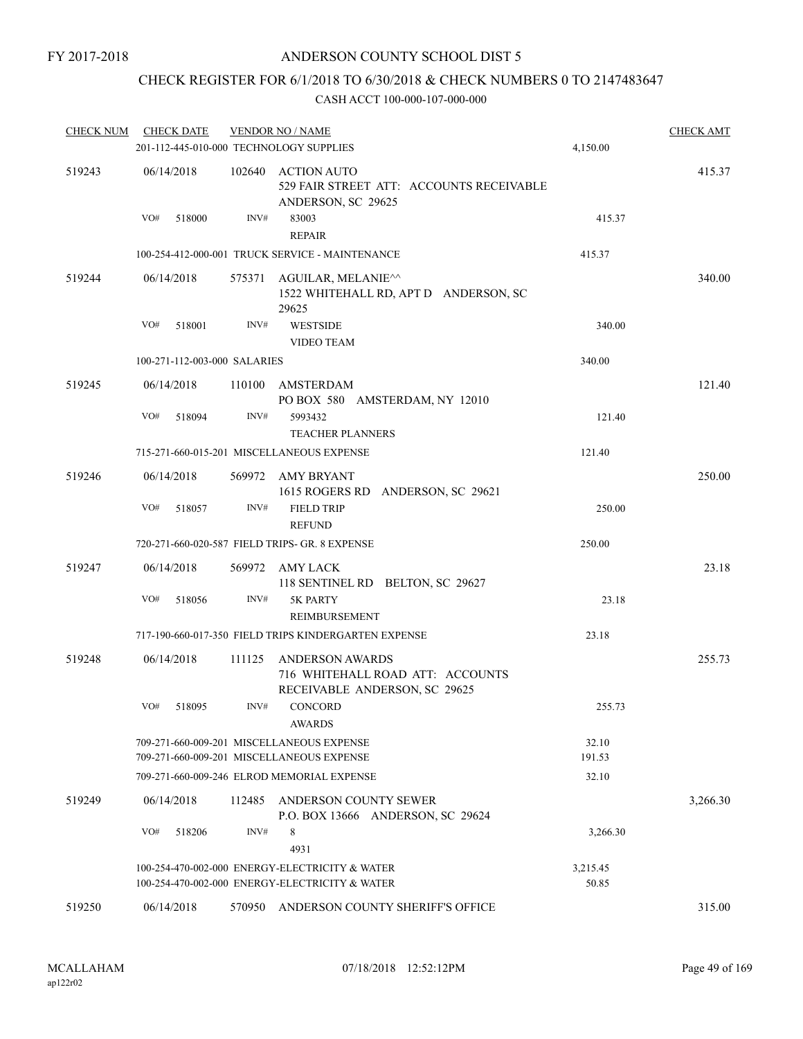## CHECK REGISTER FOR 6/1/2018 TO 6/30/2018 & CHECK NUMBERS 0 TO 2147483647

| <b>CHECK NUM</b> | <b>CHECK DATE</b> |                              |        | <b>VENDOR NO / NAME</b>                                                                     |                 | <b>CHECK AMT</b> |
|------------------|-------------------|------------------------------|--------|---------------------------------------------------------------------------------------------|-----------------|------------------|
|                  |                   |                              |        | 201-112-445-010-000 TECHNOLOGY SUPPLIES                                                     | 4,150.00        |                  |
| 519243           | 06/14/2018        |                              | 102640 | <b>ACTION AUTO</b><br>529 FAIR STREET ATT: ACCOUNTS RECEIVABLE<br>ANDERSON, SC 29625        |                 | 415.37           |
|                  | VO#               | 518000                       | INV#   | 83003<br><b>REPAIR</b>                                                                      | 415.37          |                  |
|                  |                   |                              |        | 100-254-412-000-001 TRUCK SERVICE - MAINTENANCE                                             | 415.37          |                  |
| 519244           | 06/14/2018        |                              | 575371 | AGUILAR, MELANIE^^<br>1522 WHITEHALL RD, APT D ANDERSON, SC<br>29625                        |                 | 340.00           |
|                  | VO#               | 518001                       | INV#   | <b>WESTSIDE</b><br><b>VIDEO TEAM</b>                                                        | 340.00          |                  |
|                  |                   | 100-271-112-003-000 SALARIES |        |                                                                                             | 340.00          |                  |
| 519245           | 06/14/2018        |                              | 110100 | AMSTERDAM<br>PO BOX 580 AMSTERDAM, NY 12010                                                 |                 | 121.40           |
|                  | VO#               | 518094                       | INV#   | 5993432<br><b>TEACHER PLANNERS</b>                                                          | 121.40          |                  |
|                  |                   |                              |        | 715-271-660-015-201 MISCELLANEOUS EXPENSE                                                   | 121.40          |                  |
| 519246           | 06/14/2018        |                              | 569972 | AMY BRYANT<br>1615 ROGERS RD ANDERSON, SC 29621                                             |                 | 250.00           |
|                  | VO#               | 518057                       | INV#   | <b>FIELD TRIP</b><br><b>REFUND</b>                                                          | 250.00          |                  |
|                  |                   |                              |        | 720-271-660-020-587 FIELD TRIPS- GR. 8 EXPENSE                                              | 250.00          |                  |
| 519247           | 06/14/2018        |                              |        | 569972 AMY LACK<br>118 SENTINEL RD BELTON, SC 29627                                         |                 | 23.18            |
|                  | VO#               | 518056                       | INV#   | 5K PARTY<br>REIMBURSEMENT                                                                   | 23.18           |                  |
|                  |                   |                              |        | 717-190-660-017-350 FIELD TRIPS KINDERGARTEN EXPENSE                                        | 23.18           |                  |
| 519248           | 06/14/2018        | 111125                       |        | <b>ANDERSON AWARDS</b><br>716 WHITEHALL ROAD ATT: ACCOUNTS<br>RECEIVABLE ANDERSON, SC 29625 |                 | 255.73           |
|                  | VO#               | 518095                       | INV#   | <b>CONCORD</b><br><b>AWARDS</b>                                                             | 255.73          |                  |
|                  |                   |                              |        | 709-271-660-009-201 MISCELLANEOUS EXPENSE<br>709-271-660-009-201 MISCELLANEOUS EXPENSE      | 32.10<br>191.53 |                  |
|                  |                   |                              |        | 709-271-660-009-246 ELROD MEMORIAL EXPENSE                                                  | 32.10           |                  |
| 519249           | 06/14/2018        |                              | 112485 | ANDERSON COUNTY SEWER<br>P.O. BOX 13666 ANDERSON, SC 29624                                  |                 | 3,266.30         |
|                  | VO#               | 518206                       | INV#   | 8<br>4931                                                                                   | 3,266.30        |                  |
|                  |                   |                              |        | 100-254-470-002-000 ENERGY-ELECTRICITY & WATER                                              | 3,215.45        |                  |
|                  |                   |                              |        | 100-254-470-002-000 ENERGY-ELECTRICITY & WATER                                              | 50.85           |                  |
| 519250           | 06/14/2018        |                              | 570950 | ANDERSON COUNTY SHERIFF'S OFFICE                                                            |                 | 315.00           |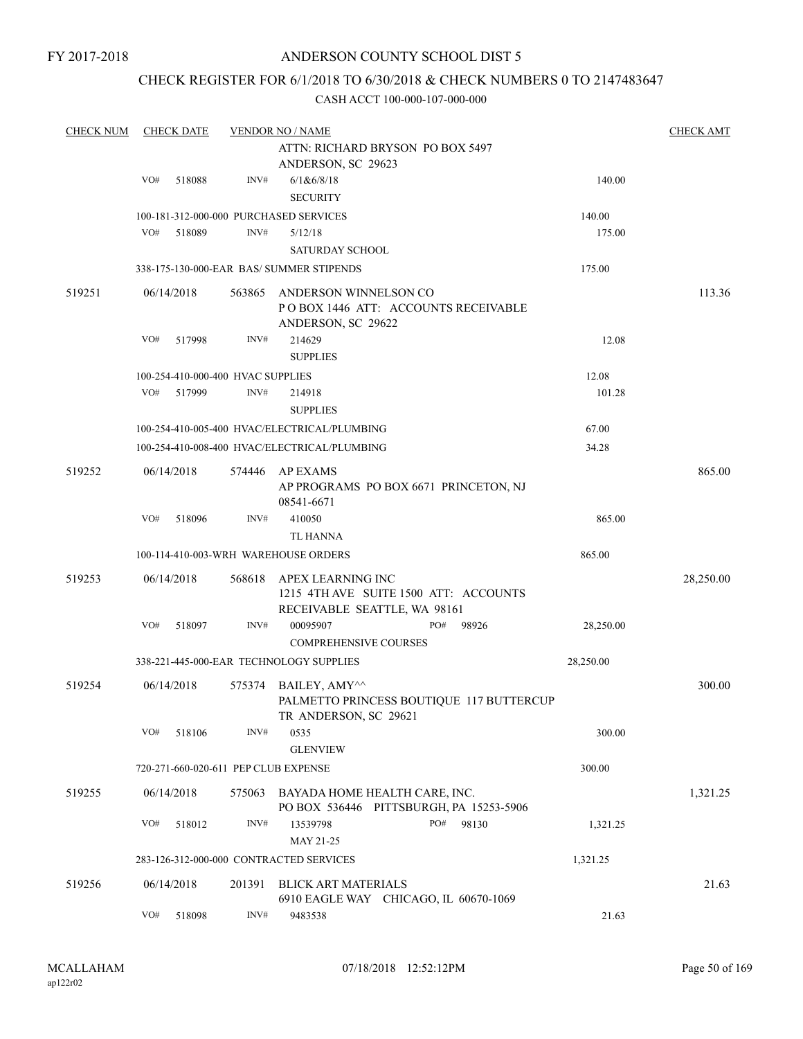## ANDERSON COUNTY SCHOOL DIST 5

## CHECK REGISTER FOR 6/1/2018 TO 6/30/2018 & CHECK NUMBERS 0 TO 2147483647

| <b>CHECK NUM</b> |     | <b>CHECK DATE</b> |                                   | <b>VENDOR NO / NAME</b>                                                                    |           | <b>CHECK AMT</b> |
|------------------|-----|-------------------|-----------------------------------|--------------------------------------------------------------------------------------------|-----------|------------------|
|                  |     |                   |                                   | ATTN: RICHARD BRYSON PO BOX 5497<br>ANDERSON, SC 29623                                     |           |                  |
|                  | VO# | 518088            | INV#                              | 6/1&6/8/18                                                                                 | 140.00    |                  |
|                  |     |                   |                                   | <b>SECURITY</b>                                                                            |           |                  |
|                  |     |                   |                                   | 100-181-312-000-000 PURCHASED SERVICES                                                     | 140.00    |                  |
|                  | VO# | 518089            | INV#                              | 5/12/18                                                                                    | 175.00    |                  |
|                  |     |                   |                                   | <b>SATURDAY SCHOOL</b>                                                                     |           |                  |
|                  |     |                   |                                   | 338-175-130-000-EAR BAS/ SUMMER STIPENDS                                                   | 175.00    |                  |
| 519251           |     | 06/14/2018        | 563865                            | ANDERSON WINNELSON CO<br>POBOX 1446 ATT: ACCOUNTS RECEIVABLE<br>ANDERSON, SC 29622         |           | 113.36           |
|                  | VO# | 517998            | INV#                              | 214629<br><b>SUPPLIES</b>                                                                  | 12.08     |                  |
|                  |     |                   | 100-254-410-000-400 HVAC SUPPLIES |                                                                                            | 12.08     |                  |
|                  | VO# | 517999            | INV#                              | 214918                                                                                     | 101.28    |                  |
|                  |     |                   |                                   | <b>SUPPLIES</b>                                                                            |           |                  |
|                  |     |                   |                                   | 100-254-410-005-400 HVAC/ELECTRICAL/PLUMBING                                               | 67.00     |                  |
|                  |     |                   |                                   | 100-254-410-008-400 HVAC/ELECTRICAL/PLUMBING                                               | 34.28     |                  |
|                  |     |                   |                                   |                                                                                            |           |                  |
| 519252           |     | 06/14/2018        |                                   | 574446 AP EXAMS<br>AP PROGRAMS PO BOX 6671 PRINCETON, NJ<br>08541-6671                     |           | 865.00           |
|                  | VO# | 518096            | INV#                              | 410050                                                                                     | 865.00    |                  |
|                  |     |                   |                                   | TL HANNA                                                                                   |           |                  |
|                  |     |                   |                                   | 100-114-410-003-WRH WAREHOUSE ORDERS                                                       | 865.00    |                  |
| 519253           |     | 06/14/2018        | 568618                            | APEX LEARNING INC<br>1215 4TH AVE SUITE 1500 ATT: ACCOUNTS<br>RECEIVABLE SEATTLE, WA 98161 |           | 28,250.00        |
|                  | VO# | 518097            | INV#                              | PO#<br>00095907<br>98926<br><b>COMPREHENSIVE COURSES</b>                                   | 28,250.00 |                  |
|                  |     |                   |                                   | 338-221-445-000-EAR TECHNOLOGY SUPPLIES                                                    | 28,250.00 |                  |
| 519254           |     | 06/14/2018        |                                   | 575374 BAILEY, AMY^^<br>PALMETTO PRINCESS BOUTIQUE 117 BUTTERCUP<br>TR ANDERSON, SC 29621  |           | 300.00           |
|                  | VO# | 518106            | INV#                              | 0535<br><b>GLENVIEW</b>                                                                    | 300.00    |                  |
|                  |     |                   |                                   | 720-271-660-020-611 PEP CLUB EXPENSE                                                       | 300.00    |                  |
| 519255           |     | 06/14/2018        | 575063                            | BAYADA HOME HEALTH CARE, INC.<br>PO BOX 536446 PITTSBURGH, PA 15253-5906                   |           | 1,321.25         |
|                  | VO# | 518012            | INV#                              | PO#<br>13539798<br>98130<br>MAY 21-25                                                      | 1,321.25  |                  |
|                  |     |                   |                                   | 283-126-312-000-000 CONTRACTED SERVICES                                                    | 1,321.25  |                  |
| 519256           |     | 06/14/2018        | 201391                            | <b>BLICK ART MATERIALS</b><br>6910 EAGLE WAY CHICAGO, IL 60670-1069                        |           | 21.63            |
|                  | VO# | 518098            | $\text{INV}\#$                    | 9483538                                                                                    | 21.63     |                  |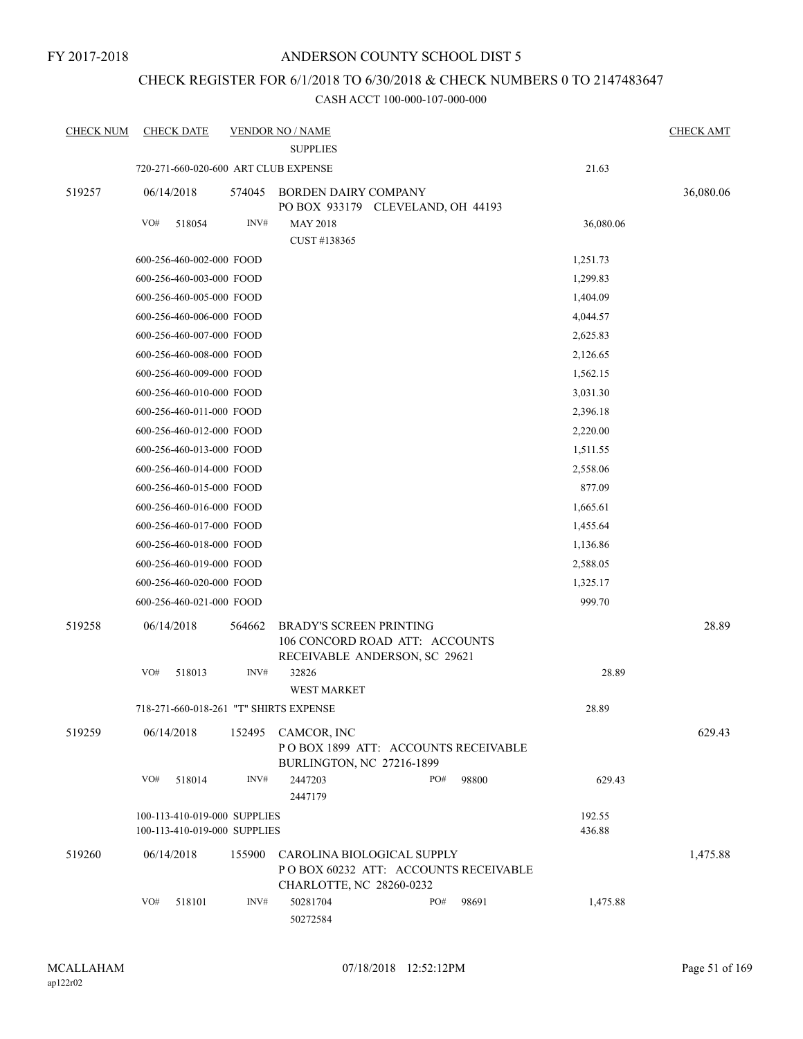## CHECK REGISTER FOR 6/1/2018 TO 6/30/2018 & CHECK NUMBERS 0 TO 2147483647

| <b>CHECK NUM</b> | <b>CHECK DATE</b>                                            |        | <b>VENDOR NO / NAME</b>                                                                           |     |       |                  | <b>CHECK AMT</b> |
|------------------|--------------------------------------------------------------|--------|---------------------------------------------------------------------------------------------------|-----|-------|------------------|------------------|
|                  |                                                              |        | <b>SUPPLIES</b>                                                                                   |     |       |                  |                  |
|                  | 720-271-660-020-600 ART CLUB EXPENSE                         |        |                                                                                                   |     |       | 21.63            |                  |
| 519257           | 06/14/2018                                                   | 574045 | <b>BORDEN DAIRY COMPANY</b><br>PO BOX 933179 CLEVELAND, OH 44193                                  |     |       |                  | 36,080.06        |
|                  | VO#<br>518054                                                | INV#   | <b>MAY 2018</b>                                                                                   |     |       | 36,080.06        |                  |
|                  |                                                              |        | CUST #138365                                                                                      |     |       |                  |                  |
|                  | 600-256-460-002-000 FOOD                                     |        | 1,251.73                                                                                          |     |       |                  |                  |
|                  | 600-256-460-003-000 FOOD                                     |        |                                                                                                   |     |       | 1,299.83         |                  |
|                  | 600-256-460-005-000 FOOD                                     |        |                                                                                                   |     |       | 1,404.09         |                  |
|                  | 600-256-460-006-000 FOOD                                     |        |                                                                                                   |     |       | 4,044.57         |                  |
|                  | 600-256-460-007-000 FOOD                                     |        |                                                                                                   |     |       | 2,625.83         |                  |
|                  | 600-256-460-008-000 FOOD                                     |        |                                                                                                   |     |       | 2,126.65         |                  |
|                  | 600-256-460-009-000 FOOD                                     |        |                                                                                                   |     |       | 1,562.15         |                  |
|                  | 600-256-460-010-000 FOOD                                     |        |                                                                                                   |     |       | 3,031.30         |                  |
|                  | 600-256-460-011-000 FOOD                                     |        |                                                                                                   |     |       | 2,396.18         |                  |
|                  | 600-256-460-012-000 FOOD                                     |        |                                                                                                   |     |       | 2,220.00         |                  |
|                  | 600-256-460-013-000 FOOD                                     |        |                                                                                                   |     |       | 1,511.55         |                  |
|                  | 600-256-460-014-000 FOOD                                     |        |                                                                                                   |     |       | 2,558.06         |                  |
|                  | 600-256-460-015-000 FOOD                                     |        |                                                                                                   |     |       | 877.09           |                  |
|                  | 600-256-460-016-000 FOOD                                     |        |                                                                                                   |     |       | 1,665.61         |                  |
|                  | 600-256-460-017-000 FOOD                                     |        |                                                                                                   |     |       | 1,455.64         |                  |
|                  | 600-256-460-018-000 FOOD                                     |        |                                                                                                   |     |       | 1,136.86         |                  |
|                  | 600-256-460-019-000 FOOD                                     |        |                                                                                                   |     |       | 2,588.05         |                  |
|                  | 600-256-460-020-000 FOOD                                     |        |                                                                                                   |     |       | 1,325.17         |                  |
|                  | 600-256-460-021-000 FOOD                                     |        |                                                                                                   |     |       | 999.70           |                  |
| 519258           | 06/14/2018                                                   | 564662 | <b>BRADY'S SCREEN PRINTING</b><br>106 CONCORD ROAD ATT: ACCOUNTS<br>RECEIVABLE ANDERSON, SC 29621 |     |       |                  | 28.89            |
|                  | VO#<br>518013                                                | INV#   | 32826<br><b>WEST MARKET</b>                                                                       |     |       | 28.89            |                  |
|                  | 718-271-660-018-261 "T" SHIRTS EXPENSE                       |        |                                                                                                   |     |       | 28.89            |                  |
| 519259           | 06/14/2018                                                   |        | 152495 CAMCOR, INC<br>POBOX 1899 ATT: ACCOUNTS RECEIVABLE<br>BURLINGTON, NC 27216-1899            |     |       |                  | 629.43           |
|                  | VO#<br>518014                                                | INV#   | 2447203<br>2447179                                                                                | PO# | 98800 | 629.43           |                  |
|                  | 100-113-410-019-000 SUPPLIES<br>100-113-410-019-000 SUPPLIES |        |                                                                                                   |     |       | 192.55<br>436.88 |                  |
| 519260           | 06/14/2018                                                   | 155900 | CAROLINA BIOLOGICAL SUPPLY<br>POBOX 60232 ATT: ACCOUNTS RECEIVABLE<br>CHARLOTTE, NC 28260-0232    |     |       |                  | 1,475.88         |
|                  | VO#<br>518101                                                | INV#   | 50281704<br>50272584                                                                              | PO# | 98691 | 1,475.88         |                  |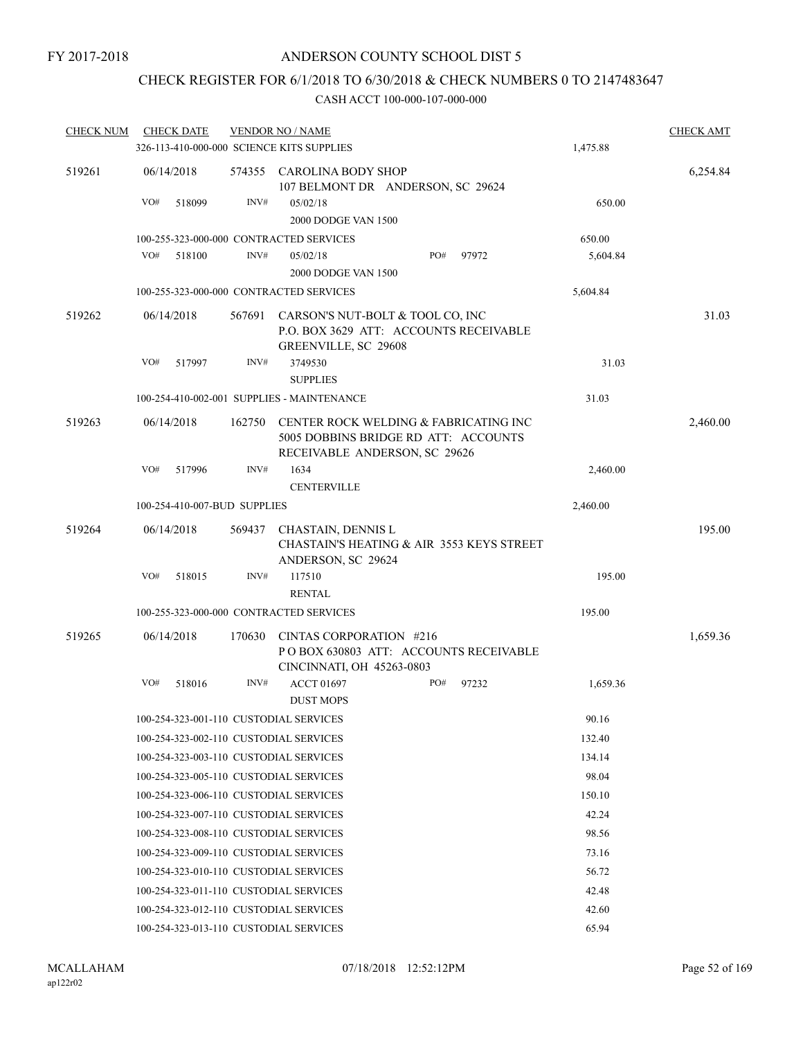## CHECK REGISTER FOR 6/1/2018 TO 6/30/2018 & CHECK NUMBERS 0 TO 2147483647

| <b>CHECK NUM</b> | <b>CHECK DATE</b>                         |        | <b>VENDOR NO / NAME</b>                                                                                        |                   | <b>CHECK AMT</b> |
|------------------|-------------------------------------------|--------|----------------------------------------------------------------------------------------------------------------|-------------------|------------------|
|                  | 326-113-410-000-000 SCIENCE KITS SUPPLIES |        |                                                                                                                | 1,475.88          |                  |
| 519261           | 06/14/2018                                |        | 574355 CAROLINA BODY SHOP<br>107 BELMONT DR ANDERSON, SC 29624                                                 |                   | 6,254.84         |
|                  | VO#<br>518099                             | INV#   | 05/02/18<br>2000 DODGE VAN 1500                                                                                | 650.00            |                  |
|                  | 100-255-323-000-000 CONTRACTED SERVICES   |        |                                                                                                                | 650.00            |                  |
|                  | VO#<br>518100                             | INV#   | PO#<br>05/02/18<br>2000 DODGE VAN 1500                                                                         | 97972<br>5,604.84 |                  |
|                  | 100-255-323-000-000 CONTRACTED SERVICES   |        |                                                                                                                | 5,604.84          |                  |
| 519262           | 06/14/2018                                | 567691 | CARSON'S NUT-BOLT & TOOL CO, INC<br>P.O. BOX 3629 ATT: ACCOUNTS RECEIVABLE<br>GREENVILLE, SC 29608             |                   | 31.03            |
|                  | VO#<br>517997                             | INV#   | 3749530                                                                                                        | 31.03             |                  |
|                  |                                           |        | <b>SUPPLIES</b>                                                                                                |                   |                  |
|                  |                                           |        | 100-254-410-002-001 SUPPLIES - MAINTENANCE                                                                     | 31.03             |                  |
| 519263           | 06/14/2018                                | 162750 | CENTER ROCK WELDING & FABRICATING INC<br>5005 DOBBINS BRIDGE RD ATT: ACCOUNTS<br>RECEIVABLE ANDERSON, SC 29626 |                   | 2,460.00         |
|                  | VO#<br>517996                             | INV#   | 1634                                                                                                           | 2,460.00          |                  |
|                  |                                           |        | <b>CENTERVILLE</b>                                                                                             |                   |                  |
|                  | 100-254-410-007-BUD SUPPLIES              |        |                                                                                                                | 2,460.00          |                  |
| 519264           | 06/14/2018                                | 569437 | CHASTAIN, DENNIS L<br><b>CHASTAIN'S HEATING &amp; AIR 3553 KEYS STREET</b><br>ANDERSON, SC 29624               |                   | 195.00           |
|                  | VO#<br>518015                             | INV#   | 117510                                                                                                         | 195.00            |                  |
|                  |                                           |        | <b>RENTAL</b>                                                                                                  |                   |                  |
|                  | 100-255-323-000-000 CONTRACTED SERVICES   |        |                                                                                                                | 195.00            |                  |
| 519265           | 06/14/2018                                | 170630 | CINTAS CORPORATION #216<br>PO BOX 630803 ATT: ACCOUNTS RECEIVABLE<br>CINCINNATI, OH 45263-0803                 |                   | 1,659.36         |
|                  | VO#<br>518016                             | INV#   | <b>ACCT 01697</b><br>PO#                                                                                       | 97232<br>1,659.36 |                  |
|                  |                                           |        | <b>DUST MOPS</b>                                                                                               |                   |                  |
|                  | 100-254-323-001-110 CUSTODIAL SERVICES    |        |                                                                                                                | 90.16             |                  |
|                  | 100-254-323-002-110 CUSTODIAL SERVICES    |        |                                                                                                                | 132.40            |                  |
|                  | 100-254-323-003-110 CUSTODIAL SERVICES    |        |                                                                                                                | 134.14            |                  |
|                  | 100-254-323-005-110 CUSTODIAL SERVICES    |        |                                                                                                                | 98.04             |                  |
|                  | 100-254-323-006-110 CUSTODIAL SERVICES    |        |                                                                                                                | 150.10            |                  |
|                  | 100-254-323-007-110 CUSTODIAL SERVICES    |        |                                                                                                                | 42.24             |                  |
|                  | 100-254-323-008-110 CUSTODIAL SERVICES    |        |                                                                                                                | 98.56             |                  |
|                  | 100-254-323-009-110 CUSTODIAL SERVICES    |        |                                                                                                                | 73.16             |                  |
|                  | 100-254-323-010-110 CUSTODIAL SERVICES    |        |                                                                                                                | 56.72             |                  |
|                  | 100-254-323-011-110 CUSTODIAL SERVICES    |        |                                                                                                                | 42.48             |                  |
|                  | 100-254-323-012-110 CUSTODIAL SERVICES    |        |                                                                                                                | 42.60             |                  |
|                  | 100-254-323-013-110 CUSTODIAL SERVICES    |        |                                                                                                                | 65.94             |                  |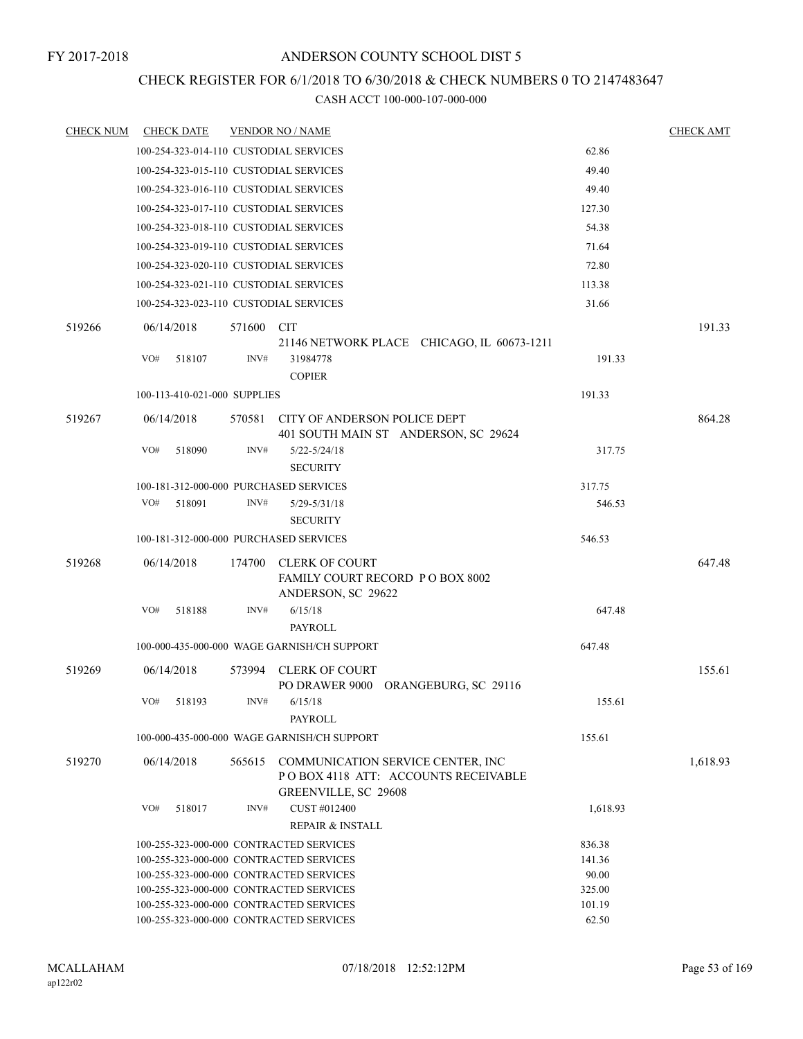## CHECK REGISTER FOR 6/1/2018 TO 6/30/2018 & CHECK NUMBERS 0 TO 2147483647

| <b>CHECK NUM</b> |            | <b>CHECK DATE</b>                       |        | <b>VENDOR NO / NAME</b>                                                            |                  | <b>CHECK AMT</b> |
|------------------|------------|-----------------------------------------|--------|------------------------------------------------------------------------------------|------------------|------------------|
|                  |            |                                         |        | 100-254-323-014-110 CUSTODIAL SERVICES                                             | 62.86            |                  |
|                  |            |                                         |        | 100-254-323-015-110 CUSTODIAL SERVICES                                             | 49.40            |                  |
|                  |            |                                         |        | 100-254-323-016-110 CUSTODIAL SERVICES                                             | 49.40            |                  |
|                  |            |                                         |        | 100-254-323-017-110 CUSTODIAL SERVICES                                             | 127.30           |                  |
|                  |            |                                         |        | 100-254-323-018-110 CUSTODIAL SERVICES                                             | 54.38            |                  |
|                  |            |                                         |        | 100-254-323-019-110 CUSTODIAL SERVICES                                             | 71.64            |                  |
|                  |            |                                         |        | 100-254-323-020-110 CUSTODIAL SERVICES                                             | 72.80            |                  |
|                  |            |                                         |        | 100-254-323-021-110 CUSTODIAL SERVICES                                             | 113.38           |                  |
|                  |            |                                         |        | 100-254-323-023-110 CUSTODIAL SERVICES                                             | 31.66            |                  |
|                  |            |                                         |        |                                                                                    |                  |                  |
| 519266           | 06/14/2018 |                                         | 571600 | CIT                                                                                |                  | 191.33           |
|                  | VO#        | 518107                                  | INV#   | 21146 NETWORK PLACE CHICAGO, IL 60673-1211<br>31984778                             | 191.33           |                  |
|                  |            |                                         |        | <b>COPIER</b>                                                                      |                  |                  |
|                  |            | 100-113-410-021-000 SUPPLIES            |        |                                                                                    | 191.33           |                  |
|                  |            |                                         |        |                                                                                    |                  |                  |
| 519267           | 06/14/2018 |                                         |        | 570581 CITY OF ANDERSON POLICE DEPT                                                |                  | 864.28           |
|                  | VO#        |                                         | INV#   | 401 SOUTH MAIN ST ANDERSON, SC 29624                                               |                  |                  |
|                  |            | 518090                                  |        | $5/22 - 5/24/18$<br><b>SECURITY</b>                                                | 317.75           |                  |
|                  |            |                                         |        |                                                                                    |                  |                  |
|                  | VO#        | 518091                                  | INV#   | 100-181-312-000-000 PURCHASED SERVICES<br>$5/29 - 5/31/18$                         | 317.75<br>546.53 |                  |
|                  |            |                                         |        | <b>SECURITY</b>                                                                    |                  |                  |
|                  |            |                                         |        | 100-181-312-000-000 PURCHASED SERVICES                                             | 546.53           |                  |
|                  |            |                                         |        |                                                                                    |                  |                  |
| 519268           | 06/14/2018 |                                         | 174700 | CLERK OF COURT<br>FAMILY COURT RECORD PO BOX 8002                                  |                  | 647.48           |
|                  |            |                                         |        | ANDERSON, SC 29622                                                                 |                  |                  |
|                  | VO#        | 518188                                  | INV#   | 6/15/18                                                                            | 647.48           |                  |
|                  |            |                                         |        | PAYROLL                                                                            |                  |                  |
|                  |            |                                         |        | 100-000-435-000-000 WAGE GARNISH/CH SUPPORT                                        | 647.48           |                  |
| 519269           | 06/14/2018 |                                         |        | 573994 CLERK OF COURT                                                              |                  | 155.61           |
|                  |            |                                         |        | PO DRAWER 9000 ORANGEBURG, SC 29116                                                |                  |                  |
|                  | VO#        | 518193                                  | INV#   | 6/15/18                                                                            | 155.61           |                  |
|                  |            |                                         |        | PAYROLL                                                                            |                  |                  |
|                  |            |                                         |        | 100-000-435-000-000 WAGE GARNISH/CH SUPPORT                                        | 155.61           |                  |
| 519270           | 06/14/2018 |                                         |        | 565615 COMMUNICATION SERVICE CENTER, INC                                           |                  | 1,618.93         |
|                  |            |                                         |        | POBOX 4118 ATT: ACCOUNTS RECEIVABLE                                                |                  |                  |
|                  |            |                                         |        | GREENVILLE, SC 29608                                                               |                  |                  |
|                  | VO#        | 518017                                  | INV#   | CUST #012400                                                                       | 1,618.93         |                  |
|                  |            |                                         |        | <b>REPAIR &amp; INSTALL</b>                                                        |                  |                  |
|                  |            |                                         |        | 100-255-323-000-000 CONTRACTED SERVICES                                            | 836.38           |                  |
|                  |            |                                         |        | 100-255-323-000-000 CONTRACTED SERVICES                                            | 141.36           |                  |
|                  |            |                                         |        | 100-255-323-000-000 CONTRACTED SERVICES                                            | 90.00            |                  |
|                  |            |                                         |        | 100-255-323-000-000 CONTRACTED SERVICES<br>100-255-323-000-000 CONTRACTED SERVICES | 325.00<br>101.19 |                  |
|                  |            | 100-255-323-000-000 CONTRACTED SERVICES |        | 62.50                                                                              |                  |                  |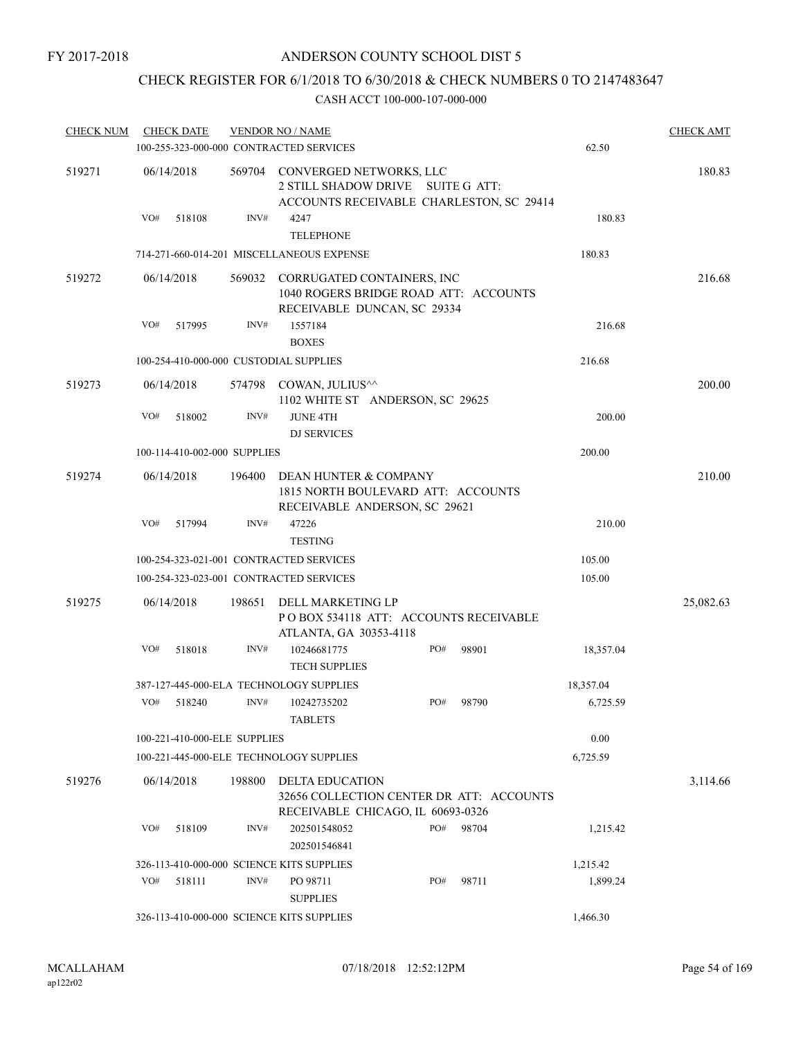## CHECK REGISTER FOR 6/1/2018 TO 6/30/2018 & CHECK NUMBERS 0 TO 2147483647

| <b>CHECK NUM</b> |     | <b>CHECK DATE</b>            |                                                                                                           | <b>VENDOR NO / NAME</b>                                                                                         |     |       |           | <b>CHECK AMT</b> |
|------------------|-----|------------------------------|-----------------------------------------------------------------------------------------------------------|-----------------------------------------------------------------------------------------------------------------|-----|-------|-----------|------------------|
|                  |     |                              |                                                                                                           | 100-255-323-000-000 CONTRACTED SERVICES                                                                         |     |       | 62.50     |                  |
| 519271           |     | 06/14/2018                   |                                                                                                           | 569704 CONVERGED NETWORKS, LLC<br>2 STILL SHADOW DRIVE SUITE G ATT:<br>ACCOUNTS RECEIVABLE CHARLESTON, SC 29414 |     |       |           | 180.83           |
|                  | VO# | 518108                       | INV#                                                                                                      | 4247<br><b>TELEPHONE</b>                                                                                        |     |       | 180.83    |                  |
|                  |     |                              |                                                                                                           | 714-271-660-014-201 MISCELLANEOUS EXPENSE                                                                       |     |       | 180.83    |                  |
| 519272           |     | 06/14/2018                   | 569032 CORRUGATED CONTAINERS, INC<br>1040 ROGERS BRIDGE ROAD ATT: ACCOUNTS<br>RECEIVABLE DUNCAN, SC 29334 |                                                                                                                 |     |       |           | 216.68           |
|                  | VO# | 517995                       | INV#                                                                                                      | 1557184<br><b>BOXES</b>                                                                                         |     |       | 216.68    |                  |
|                  |     |                              |                                                                                                           | 100-254-410-000-000 CUSTODIAL SUPPLIES                                                                          |     |       | 216.68    |                  |
| 519273           |     | 06/14/2018                   | 574798                                                                                                    | COWAN, JULIUS^^<br>1102 WHITE ST ANDERSON, SC 29625                                                             |     |       |           | 200.00           |
|                  | VO# | 518002                       | INV#                                                                                                      | <b>JUNE 4TH</b><br><b>DJ SERVICES</b>                                                                           |     |       | 200.00    |                  |
|                  |     | 100-114-410-002-000 SUPPLIES |                                                                                                           |                                                                                                                 |     |       | 200.00    |                  |
| 519274           |     | 06/14/2018                   | 196400                                                                                                    | DEAN HUNTER & COMPANY<br>1815 NORTH BOULEVARD ATT: ACCOUNTS<br>RECEIVABLE ANDERSON, SC 29621                    |     |       |           | 210.00           |
|                  | VO# | 517994                       | INV#                                                                                                      | 47226<br><b>TESTING</b>                                                                                         |     |       | 210.00    |                  |
|                  |     |                              |                                                                                                           | 100-254-323-021-001 CONTRACTED SERVICES                                                                         |     |       | 105.00    |                  |
|                  |     |                              |                                                                                                           | 100-254-323-023-001 CONTRACTED SERVICES                                                                         |     |       | 105.00    |                  |
| 519275           |     | 06/14/2018                   | 198651                                                                                                    | DELL MARKETING LP<br>POBOX 534118 ATT: ACCOUNTS RECEIVABLE<br>ATLANTA, GA 30353-4118                            |     |       |           | 25,082.63        |
|                  | VO# | 518018                       | INV#                                                                                                      | 10246681775<br><b>TECH SUPPLIES</b>                                                                             | PO# | 98901 | 18,357.04 |                  |
|                  |     |                              |                                                                                                           | 387-127-445-000-ELA TECHNOLOGY SUPPLIES                                                                         |     |       | 18,357.04 |                  |
|                  | VO# | 518240                       | INV#                                                                                                      | 10242735202<br><b>TABLETS</b>                                                                                   | PO# | 98790 | 6,725.59  |                  |
|                  |     | 100-221-410-000-ELE SUPPLIES |                                                                                                           |                                                                                                                 |     |       | 0.00      |                  |
|                  |     |                              |                                                                                                           | 100-221-445-000-ELE TECHNOLOGY SUPPLIES                                                                         |     |       | 6,725.59  |                  |
| 519276           |     | 06/14/2018                   | 198800                                                                                                    | <b>DELTA EDUCATION</b><br>32656 COLLECTION CENTER DR ATT: ACCOUNTS<br>RECEIVABLE CHICAGO, IL 60693-0326         |     |       |           | 3,114.66         |
|                  | VO# | 518109                       | INV#                                                                                                      | 202501548052<br>202501546841                                                                                    | PO# | 98704 | 1,215.42  |                  |
|                  |     |                              |                                                                                                           | 326-113-410-000-000 SCIENCE KITS SUPPLIES                                                                       |     |       | 1,215.42  |                  |
|                  | VO# | 518111                       | INV#                                                                                                      | PO 98711<br><b>SUPPLIES</b>                                                                                     | PO# | 98711 | 1,899.24  |                  |
|                  |     |                              |                                                                                                           | 326-113-410-000-000 SCIENCE KITS SUPPLIES                                                                       |     |       | 1,466.30  |                  |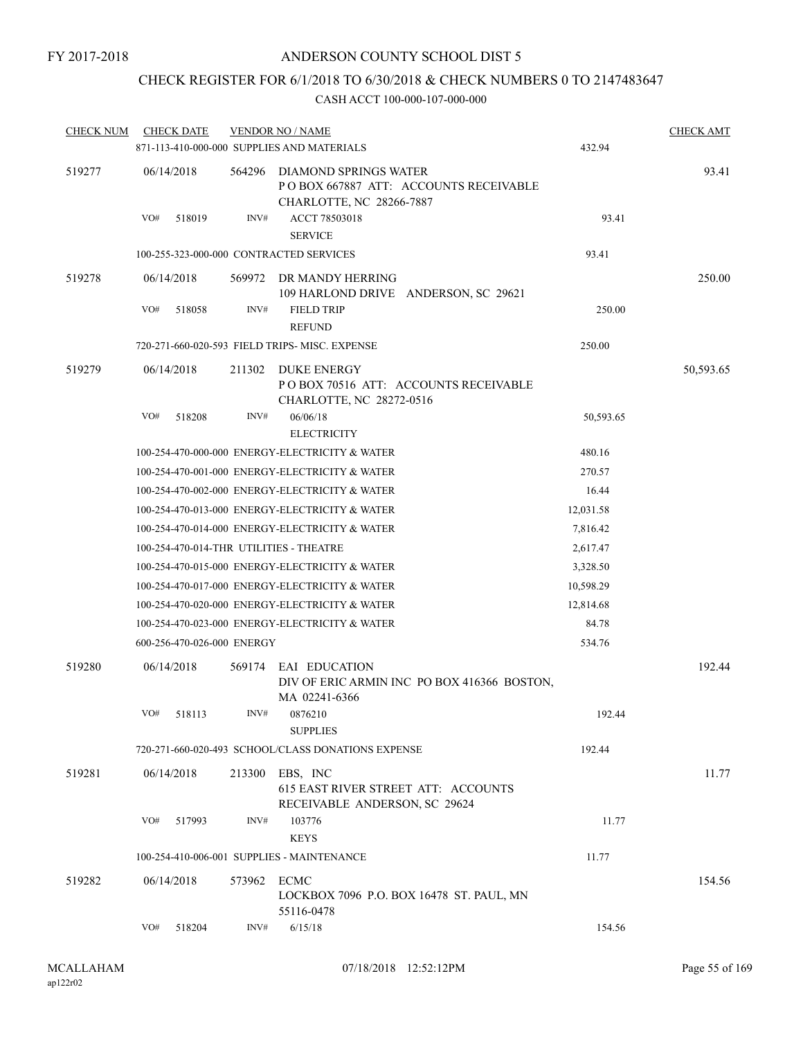## CHECK REGISTER FOR 6/1/2018 TO 6/30/2018 & CHECK NUMBERS 0 TO 2147483647

| <b>CHECK NUM</b> |            | <b>CHECK DATE</b>          |             | <b>VENDOR NO / NAME</b>                                                                    |           | <b>CHECK AMT</b> |
|------------------|------------|----------------------------|-------------|--------------------------------------------------------------------------------------------|-----------|------------------|
|                  |            |                            |             | 871-113-410-000-000 SUPPLIES AND MATERIALS                                                 | 432.94    |                  |
| 519277           | 06/14/2018 |                            | 564296      | DIAMOND SPRINGS WATER<br>POBOX 667887 ATT: ACCOUNTS RECEIVABLE<br>CHARLOTTE, NC 28266-7887 |           | 93.41            |
|                  | VO#        | 518019                     | INV#        | ACCT 78503018<br><b>SERVICE</b>                                                            | 93.41     |                  |
|                  |            |                            |             | 100-255-323-000-000 CONTRACTED SERVICES                                                    | 93.41     |                  |
| 519278           | 06/14/2018 |                            |             | 569972 DR MANDY HERRING<br>109 HARLOND DRIVE ANDERSON, SC 29621                            |           | 250.00           |
|                  | VO#        | 518058                     | INV#        | <b>FIELD TRIP</b><br><b>REFUND</b>                                                         | 250.00    |                  |
|                  |            |                            |             | 720-271-660-020-593 FIELD TRIPS- MISC. EXPENSE                                             | 250.00    |                  |
| 519279           | 06/14/2018 |                            | 211302      | DUKE ENERGY<br>PO BOX 70516 ATT: ACCOUNTS RECEIVABLE<br>CHARLOTTE, NC 28272-0516           |           | 50,593.65        |
|                  | VO#        | 518208                     | INV#        | 06/06/18<br><b>ELECTRICITY</b>                                                             | 50,593.65 |                  |
|                  |            |                            |             | 100-254-470-000-000 ENERGY-ELECTRICITY & WATER                                             | 480.16    |                  |
|                  |            |                            |             | 100-254-470-001-000 ENERGY-ELECTRICITY & WATER                                             | 270.57    |                  |
|                  |            |                            |             | 100-254-470-002-000 ENERGY-ELECTRICITY & WATER                                             | 16.44     |                  |
|                  |            |                            |             | 100-254-470-013-000 ENERGY-ELECTRICITY & WATER                                             | 12,031.58 |                  |
|                  |            |                            |             | 100-254-470-014-000 ENERGY-ELECTRICITY & WATER                                             | 7,816.42  |                  |
|                  |            |                            |             | 100-254-470-014-THR UTILITIES - THEATRE                                                    | 2,617.47  |                  |
|                  |            |                            |             | 100-254-470-015-000 ENERGY-ELECTRICITY & WATER                                             | 3,328.50  |                  |
|                  |            |                            |             | 100-254-470-017-000 ENERGY-ELECTRICITY & WATER                                             | 10,598.29 |                  |
|                  |            |                            |             | 100-254-470-020-000 ENERGY-ELECTRICITY & WATER                                             | 12,814.68 |                  |
|                  |            |                            |             | 100-254-470-023-000 ENERGY-ELECTRICITY & WATER                                             | 84.78     |                  |
|                  |            | 600-256-470-026-000 ENERGY |             |                                                                                            | 534.76    |                  |
| 519280           | 06/14/2018 |                            |             | 569174 EAI EDUCATION<br>DIV OF ERIC ARMIN INC PO BOX 416366 BOSTON,<br>MA 02241-6366       |           | 192.44           |
|                  |            | VO# 518113                 |             | INV# 0876210<br><b>SUPPLIES</b>                                                            | 192.44    |                  |
|                  |            |                            |             | 720-271-660-020-493 SCHOOL/CLASS DONATIONS EXPENSE                                         | 192.44    |                  |
| 519281           | 06/14/2018 |                            |             | 213300 EBS, INC<br>615 EAST RIVER STREET ATT: ACCOUNTS<br>RECEIVABLE ANDERSON, SC 29624    |           | 11.77            |
|                  | VO#        | 517993                     | INV#        | 103776<br><b>KEYS</b>                                                                      | 11.77     |                  |
|                  |            |                            |             | 100-254-410-006-001 SUPPLIES - MAINTENANCE                                                 | 11.77     |                  |
| 519282           | 06/14/2018 |                            | 573962 ECMC | LOCKBOX 7096 P.O. BOX 16478 ST. PAUL, MN<br>55116-0478                                     |           | 154.56           |
|                  | VO#        | 518204                     | INV#        | 6/15/18                                                                                    | 154.56    |                  |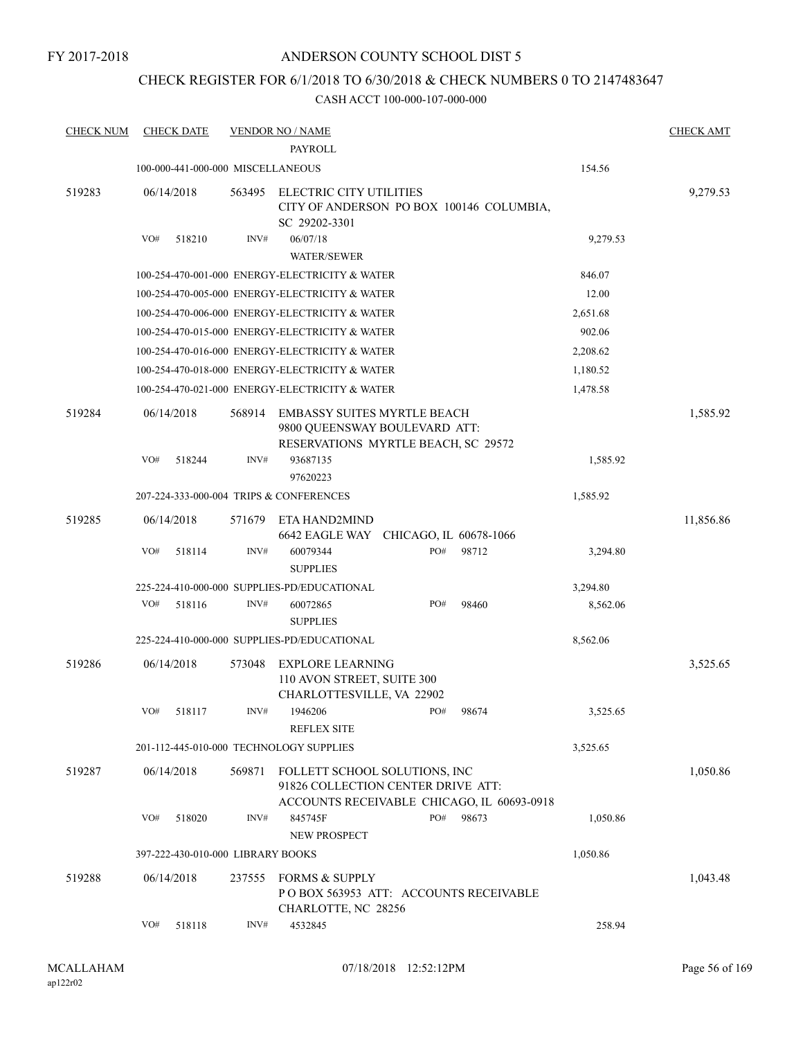## ANDERSON COUNTY SCHOOL DIST 5

## CHECK REGISTER FOR 6/1/2018 TO 6/30/2018 & CHECK NUMBERS 0 TO 2147483647

| <b>CHECK NUM</b> |     | <b>CHECK DATE</b>                 |        | <b>VENDOR NO / NAME</b>                                                                                           |     |                        |          | <b>CHECK AMT</b> |
|------------------|-----|-----------------------------------|--------|-------------------------------------------------------------------------------------------------------------------|-----|------------------------|----------|------------------|
|                  |     |                                   |        | <b>PAYROLL</b>                                                                                                    |     |                        |          |                  |
|                  |     | 100-000-441-000-000 MISCELLANEOUS |        |                                                                                                                   |     |                        | 154.56   |                  |
| 519283           |     | 06/14/2018                        | 563495 | ELECTRIC CITY UTILITIES<br>CITY OF ANDERSON PO BOX 100146 COLUMBIA,<br>SC 29202-3301                              |     |                        |          | 9,279.53         |
|                  | VO# | 518210                            | INV#   | 06/07/18                                                                                                          |     |                        | 9,279.53 |                  |
|                  |     |                                   |        | <b>WATER/SEWER</b>                                                                                                |     |                        |          |                  |
|                  |     |                                   |        | 100-254-470-001-000 ENERGY-ELECTRICITY & WATER                                                                    |     |                        | 846.07   |                  |
|                  |     |                                   |        | 100-254-470-005-000 ENERGY-ELECTRICITY & WATER                                                                    |     |                        | 12.00    |                  |
|                  |     |                                   |        | 100-254-470-006-000 ENERGY-ELECTRICITY & WATER                                                                    |     |                        | 2,651.68 |                  |
|                  |     |                                   |        | 100-254-470-015-000 ENERGY-ELECTRICITY & WATER                                                                    |     |                        | 902.06   |                  |
|                  |     |                                   |        | 100-254-470-016-000 ENERGY-ELECTRICITY & WATER                                                                    |     |                        | 2,208.62 |                  |
|                  |     |                                   |        | 100-254-470-018-000 ENERGY-ELECTRICITY & WATER                                                                    |     |                        | 1,180.52 |                  |
|                  |     |                                   |        | 100-254-470-021-000 ENERGY-ELECTRICITY & WATER                                                                    |     |                        | 1,478.58 |                  |
| 519284           |     | 06/14/2018                        | 568914 | <b>EMBASSY SUITES MYRTLE BEACH</b><br>9800 QUEENSWAY BOULEVARD ATT:<br>RESERVATIONS MYRTLE BEACH, SC 29572        |     |                        |          | 1,585.92         |
|                  | VO# | 518244                            | INV#   | 93687135<br>97620223                                                                                              |     |                        | 1,585.92 |                  |
|                  |     |                                   |        | 207-224-333-000-004 TRIPS & CONFERENCES                                                                           |     |                        | 1,585.92 |                  |
| 519285           |     | 06/14/2018                        | 571679 | ETA HAND2MIND<br>6642 EAGLE WAY                                                                                   |     | CHICAGO, IL 60678-1066 |          | 11,856.86        |
|                  | VO# | 518114                            | INV#   | 60079344<br><b>SUPPLIES</b>                                                                                       | PO# | 98712                  | 3,294.80 |                  |
|                  |     |                                   |        | 225-224-410-000-000 SUPPLIES-PD/EDUCATIONAL                                                                       |     |                        | 3,294.80 |                  |
|                  | VO# | 518116                            | INV#   | 60072865<br><b>SUPPLIES</b>                                                                                       | PO# | 98460                  | 8,562.06 |                  |
|                  |     |                                   |        | 225-224-410-000-000 SUPPLIES-PD/EDUCATIONAL                                                                       |     |                        | 8,562.06 |                  |
| 519286           |     | 06/14/2018                        | 573048 | <b>EXPLORE LEARNING</b><br>110 AVON STREET, SUITE 300<br>CHARLOTTESVILLE, VA 22902                                |     |                        |          | 3,525.65         |
|                  | VO# | 518117                            | INV#   | 1946206<br><b>REFLEX SITE</b>                                                                                     | PO# | 98674                  | 3,525.65 |                  |
|                  |     |                                   |        | 201-112-445-010-000 TECHNOLOGY SUPPLIES                                                                           |     |                        | 3,525.65 |                  |
| 519287           |     | 06/14/2018                        | 569871 | FOLLETT SCHOOL SOLUTIONS, INC<br>91826 COLLECTION CENTER DRIVE ATT:<br>ACCOUNTS RECEIVABLE CHICAGO, IL 60693-0918 |     |                        |          | 1,050.86         |
|                  | VO# | 518020                            | INV#   | 845745F<br>NEW PROSPECT                                                                                           | PO# | 98673                  | 1,050.86 |                  |
|                  |     | 397-222-430-010-000 LIBRARY BOOKS |        |                                                                                                                   |     |                        | 1,050.86 |                  |
| 519288           |     | 06/14/2018                        | 237555 | <b>FORMS &amp; SUPPLY</b><br>POBOX 563953 ATT: ACCOUNTS RECEIVABLE<br>CHARLOTTE, NC 28256                         |     |                        |          | 1,043.48         |
|                  | VO# | 518118                            | INV#   | 4532845                                                                                                           |     |                        | 258.94   |                  |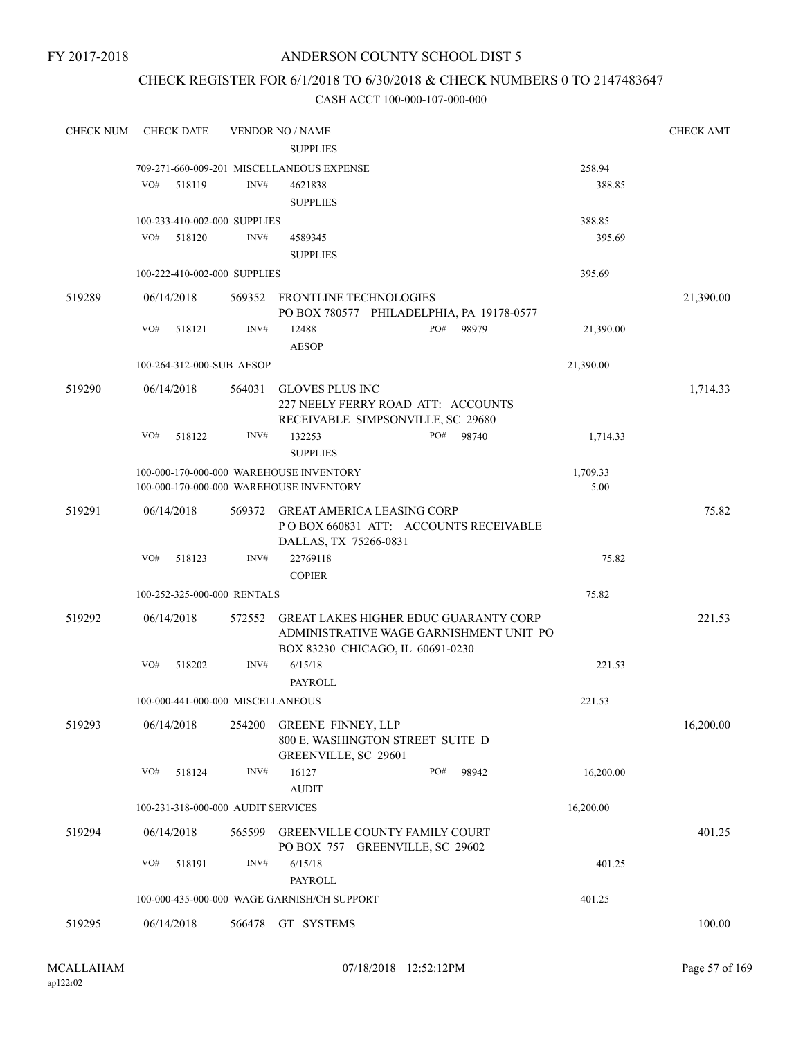## ANDERSON COUNTY SCHOOL DIST 5

## CHECK REGISTER FOR 6/1/2018 TO 6/30/2018 & CHECK NUMBERS 0 TO 2147483647

| <b>CHECK NUM</b> |     | <b>CHECK DATE</b> |                                    | <b>VENDOR NO / NAME</b>                                       |     |       |           | <b>CHECK AMT</b> |
|------------------|-----|-------------------|------------------------------------|---------------------------------------------------------------|-----|-------|-----------|------------------|
|                  |     |                   |                                    | <b>SUPPLIES</b>                                               |     |       |           |                  |
|                  |     |                   |                                    | 709-271-660-009-201 MISCELLANEOUS EXPENSE                     |     |       | 258.94    |                  |
|                  | VO# | 518119            | INV#                               | 4621838                                                       |     |       | 388.85    |                  |
|                  |     |                   |                                    | <b>SUPPLIES</b>                                               |     |       |           |                  |
|                  |     |                   | 100-233-410-002-000 SUPPLIES       |                                                               |     |       | 388.85    |                  |
|                  | VO# | 518120            | INV#                               | 4589345                                                       |     |       | 395.69    |                  |
|                  |     |                   |                                    | <b>SUPPLIES</b>                                               |     |       |           |                  |
|                  |     |                   | 100-222-410-002-000 SUPPLIES       |                                                               |     |       | 395.69    |                  |
|                  |     |                   |                                    |                                                               |     |       |           |                  |
| 519289           |     | 06/14/2018        |                                    | 569352 FRONTLINE TECHNOLOGIES                                 |     |       |           | 21,390.00        |
|                  |     |                   |                                    | PO BOX 780577 PHILADELPHIA, PA 19178-0577                     |     |       |           |                  |
|                  | VO# | 518121            | INV#                               | 12488                                                         | PO# | 98979 | 21,390.00 |                  |
|                  |     |                   |                                    | <b>AESOP</b>                                                  |     |       |           |                  |
|                  |     |                   | 100-264-312-000-SUB AESOP          |                                                               |     |       | 21,390.00 |                  |
| 519290           |     | 06/14/2018        | 564031                             | <b>GLOVES PLUS INC</b>                                        |     |       |           | 1,714.33         |
|                  |     |                   |                                    | 227 NEELY FERRY ROAD ATT: ACCOUNTS                            |     |       |           |                  |
|                  |     |                   |                                    | RECEIVABLE SIMPSONVILLE, SC 29680                             |     |       |           |                  |
|                  | VO# | 518122            | INV#                               | 132253                                                        | PO# | 98740 | 1,714.33  |                  |
|                  |     |                   |                                    | <b>SUPPLIES</b>                                               |     |       |           |                  |
|                  |     |                   |                                    | 100-000-170-000-000 WAREHOUSE INVENTORY                       |     |       | 1,709.33  |                  |
|                  |     |                   |                                    | 100-000-170-000-000 WAREHOUSE INVENTORY                       |     |       | 5.00      |                  |
| 519291           |     | 06/14/2018        | 569372                             | GREAT AMERICA LEASING CORP                                    |     |       |           | 75.82            |
|                  |     |                   |                                    | PO BOX 660831 ATT: ACCOUNTS RECEIVABLE                        |     |       |           |                  |
|                  |     |                   |                                    | DALLAS, TX 75266-0831                                         |     |       |           |                  |
|                  | VO# | 518123            | INV#                               | 22769118                                                      |     |       | 75.82     |                  |
|                  |     |                   |                                    | <b>COPIER</b>                                                 |     |       |           |                  |
|                  |     |                   | 100-252-325-000-000 RENTALS        |                                                               |     |       | 75.82     |                  |
| 519292           |     | 06/14/2018        | 572552                             | <b>GREAT LAKES HIGHER EDUC GUARANTY CORP</b>                  |     |       |           | 221.53           |
|                  |     |                   |                                    | ADMINISTRATIVE WAGE GARNISHMENT UNIT PO                       |     |       |           |                  |
|                  |     |                   |                                    | BOX 83230 CHICAGO, IL 60691-0230                              |     |       |           |                  |
|                  | VO# | 518202            | INV#                               | 6/15/18                                                       |     |       | 221.53    |                  |
|                  |     |                   |                                    | <b>PAYROLL</b>                                                |     |       |           |                  |
|                  |     |                   | 100-000-441-000-000 MISCELLANEOUS  |                                                               |     |       | 221.53    |                  |
|                  |     |                   |                                    |                                                               |     |       |           |                  |
| 519293           |     | 06/14/2018        | 254200                             | <b>GREENE FINNEY, LLP</b><br>800 E. WASHINGTON STREET SUITE D |     |       |           | 16,200.00        |
|                  |     |                   |                                    | GREENVILLE, SC 29601                                          |     |       |           |                  |
|                  | VO# | 518124            | INV#                               | 16127                                                         | PO# | 98942 | 16,200.00 |                  |
|                  |     |                   |                                    | <b>AUDIT</b>                                                  |     |       |           |                  |
|                  |     |                   | 100-231-318-000-000 AUDIT SERVICES |                                                               |     |       | 16,200.00 |                  |
|                  |     |                   |                                    |                                                               |     |       |           |                  |
| 519294           |     | 06/14/2018        | 565599                             | <b>GREENVILLE COUNTY FAMILY COURT</b>                         |     |       |           | 401.25           |
|                  |     |                   |                                    | PO BOX 757 GREENVILLE, SC 29602                               |     |       |           |                  |
|                  | VO# | 518191            | INV#                               | 6/15/18                                                       |     |       | 401.25    |                  |
|                  |     |                   |                                    | PAYROLL                                                       |     |       |           |                  |
|                  |     |                   |                                    | 100-000-435-000-000 WAGE GARNISH/CH SUPPORT                   |     |       | 401.25    |                  |
| 519295           |     | 06/14/2018        |                                    | 566478 GT SYSTEMS                                             |     |       |           | 100.00           |
|                  |     |                   |                                    |                                                               |     |       |           |                  |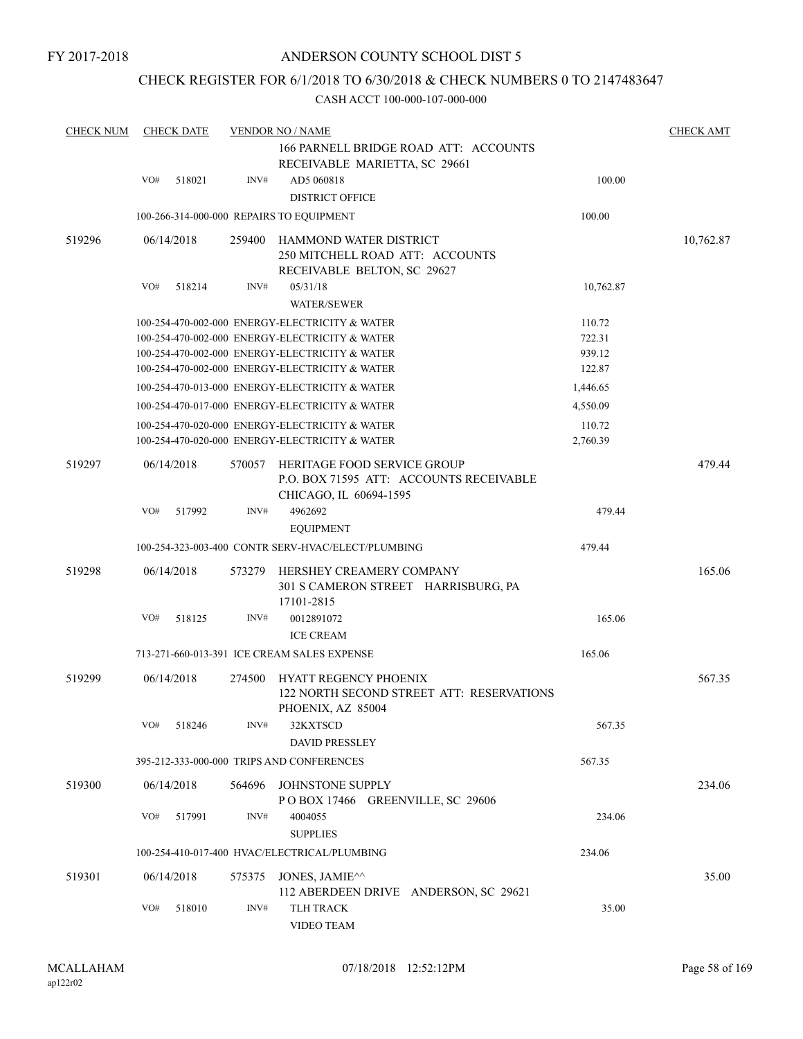## ANDERSON COUNTY SCHOOL DIST 5

## CHECK REGISTER FOR 6/1/2018 TO 6/30/2018 & CHECK NUMBERS 0 TO 2147483647

| <b>CHECK NUM</b> |     | <b>CHECK DATE</b> |        | <b>VENDOR NO / NAME</b><br>166 PARNELL BRIDGE ROAD ATT: ACCOUNTS                                 |           | <b>CHECK AMT</b> |
|------------------|-----|-------------------|--------|--------------------------------------------------------------------------------------------------|-----------|------------------|
|                  |     |                   |        | RECEIVABLE MARIETTA, SC 29661                                                                    |           |                  |
|                  | VO# | 518021            | INV#   | AD5 060818                                                                                       | 100.00    |                  |
|                  |     |                   |        | <b>DISTRICT OFFICE</b>                                                                           |           |                  |
|                  |     |                   |        | 100-266-314-000-000 REPAIRS TO EQUIPMENT                                                         | 100.00    |                  |
| 519296           |     | 06/14/2018        | 259400 | HAMMOND WATER DISTRICT<br>250 MITCHELL ROAD ATT: ACCOUNTS                                        |           | 10,762.87        |
|                  | VO# | 518214            | INV#   | RECEIVABLE BELTON, SC 29627<br>05/31/18<br><b>WATER/SEWER</b>                                    | 10,762.87 |                  |
|                  |     |                   |        | 100-254-470-002-000 ENERGY-ELECTRICITY & WATER                                                   | 110.72    |                  |
|                  |     |                   |        | 100-254-470-002-000 ENERGY-ELECTRICITY & WATER                                                   | 722.31    |                  |
|                  |     |                   |        | 100-254-470-002-000 ENERGY-ELECTRICITY & WATER                                                   | 939.12    |                  |
|                  |     |                   |        | 100-254-470-002-000 ENERGY-ELECTRICITY & WATER                                                   | 122.87    |                  |
|                  |     |                   |        | 100-254-470-013-000 ENERGY-ELECTRICITY & WATER                                                   | 1,446.65  |                  |
|                  |     |                   |        | 100-254-470-017-000 ENERGY-ELECTRICITY & WATER                                                   | 4,550.09  |                  |
|                  |     |                   |        | 100-254-470-020-000 ENERGY-ELECTRICITY & WATER                                                   | 110.72    |                  |
|                  |     |                   |        | 100-254-470-020-000 ENERGY-ELECTRICITY & WATER                                                   | 2,760.39  |                  |
| 519297           |     | 06/14/2018        | 570057 | HERITAGE FOOD SERVICE GROUP<br>P.O. BOX 71595 ATT: ACCOUNTS RECEIVABLE<br>CHICAGO, IL 60694-1595 |           | 479.44           |
|                  | VO# | 517992            | INV#   | 4962692<br><b>EQUIPMENT</b>                                                                      | 479.44    |                  |
|                  |     |                   |        | 100-254-323-003-400 CONTR SERV-HVAC/ELECT/PLUMBING                                               | 479.44    |                  |
| 519298           |     | 06/14/2018        | 573279 | HERSHEY CREAMERY COMPANY<br>301 S CAMERON STREET HARRISBURG, PA                                  |           | 165.06           |
|                  |     |                   |        | 17101-2815                                                                                       |           |                  |
|                  | VO# | 518125            | INV#   | 0012891072                                                                                       | 165.06    |                  |
|                  |     |                   |        | <b>ICE CREAM</b>                                                                                 |           |                  |
|                  |     |                   |        | 713-271-660-013-391 ICE CREAM SALES EXPENSE                                                      | 165.06    |                  |
| 519299           |     | 06/14/2018        | 274500 | <b>HYATT REGENCY PHOENIX</b><br>122 NORTH SECOND STREET ATT: RESERVATIONS<br>PHOENIX, AZ 85004   |           | 567.35           |
|                  | VO# | 518246            | INV#   | 32KXTSCD<br><b>DAVID PRESSLEY</b>                                                                | 567.35    |                  |
|                  |     |                   |        | 395-212-333-000-000 TRIPS AND CONFERENCES                                                        | 567.35    |                  |
| 519300           |     | 06/14/2018        | 564696 | JOHNSTONE SUPPLY                                                                                 |           | 234.06           |
|                  |     |                   |        | POBOX 17466 GREENVILLE, SC 29606                                                                 |           |                  |
|                  | VO# | 517991            | INV#   | 4004055<br><b>SUPPLIES</b>                                                                       | 234.06    |                  |
|                  |     |                   |        | 100-254-410-017-400 HVAC/ELECTRICAL/PLUMBING                                                     | 234.06    |                  |
| 519301           |     | 06/14/2018        | 575375 | JONES, JAMIE <sup><math>\wedge\wedge</math></sup><br>112 ABERDEEN DRIVE ANDERSON, SC 29621       |           | 35.00            |
|                  | VO# | 518010            | INV#   | <b>TLH TRACK</b><br>VIDEO TEAM                                                                   | 35.00     |                  |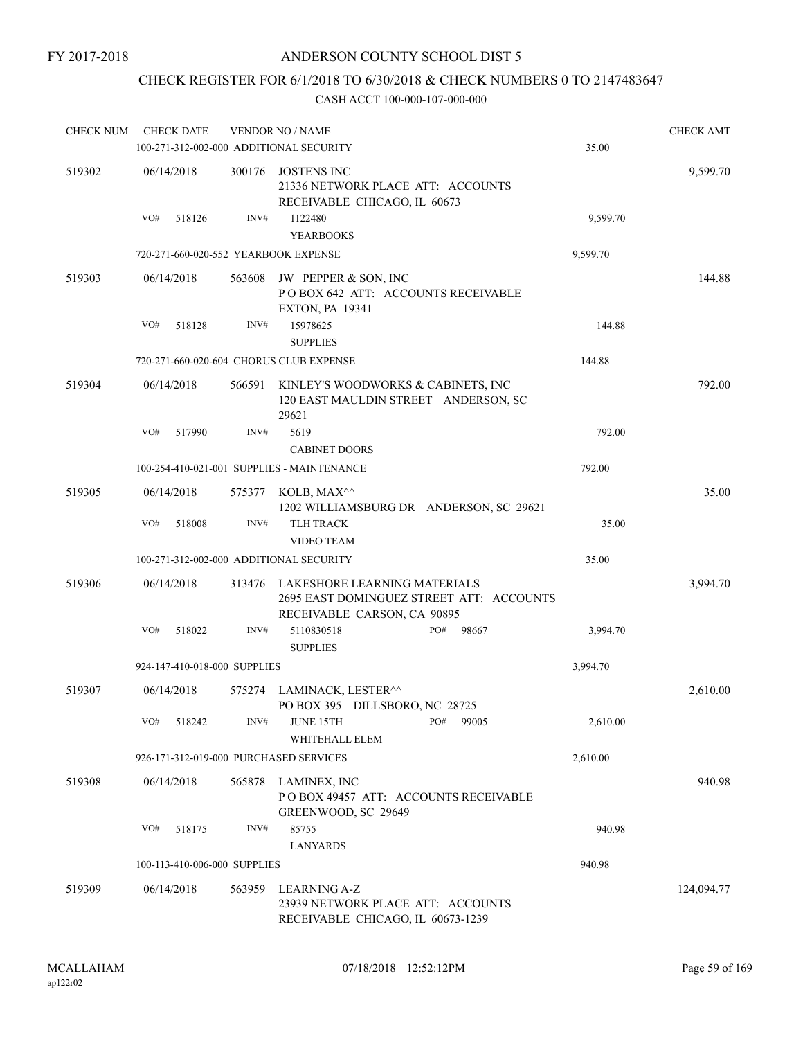## CHECK REGISTER FOR 6/1/2018 TO 6/30/2018 & CHECK NUMBERS 0 TO 2147483647

| <b>CHECK NUM</b> | <b>CHECK DATE</b> |                              |        | <b>VENDOR NO / NAME</b><br>100-271-312-002-000 ADDITIONAL SECURITY                                      |     |       | 35.00    | <b>CHECK AMT</b> |
|------------------|-------------------|------------------------------|--------|---------------------------------------------------------------------------------------------------------|-----|-------|----------|------------------|
|                  |                   |                              |        |                                                                                                         |     |       |          |                  |
| 519302           | 06/14/2018        |                              | 300176 | <b>JOSTENS INC</b><br>21336 NETWORK PLACE ATT: ACCOUNTS<br>RECEIVABLE CHICAGO, IL 60673                 |     |       |          | 9,599.70         |
|                  | VO#               | 518126                       | INV#   | 1122480<br><b>YEARBOOKS</b>                                                                             |     |       | 9,599.70 |                  |
|                  |                   |                              |        | 720-271-660-020-552 YEARBOOK EXPENSE                                                                    |     |       | 9,599.70 |                  |
| 519303           | 06/14/2018        |                              | 563608 | JW PEPPER & SON, INC<br>POBOX 642 ATT: ACCOUNTS RECEIVABLE<br><b>EXTON, PA 19341</b>                    |     |       |          | 144.88           |
|                  | VO#               | 518128                       | INV#   | 15978625<br><b>SUPPLIES</b>                                                                             |     |       | 144.88   |                  |
|                  |                   |                              |        | 720-271-660-020-604 CHORUS CLUB EXPENSE                                                                 |     |       | 144.88   |                  |
| 519304           | 06/14/2018        |                              | 566591 | KINLEY'S WOODWORKS & CABINETS, INC<br>120 EAST MAULDIN STREET ANDERSON, SC<br>29621                     |     |       |          | 792.00           |
|                  | VO#               | 517990                       | INV#   | 5619<br><b>CABINET DOORS</b>                                                                            |     |       | 792.00   |                  |
|                  |                   |                              |        | 100-254-410-021-001 SUPPLIES - MAINTENANCE                                                              |     |       | 792.00   |                  |
| 519305           | 06/14/2018        |                              | 575377 | KOLB, MAX^^<br>1202 WILLIAMSBURG DR ANDERSON, SC 29621                                                  |     |       |          | 35.00            |
|                  | VO#               | 518008                       | INV#   | <b>TLH TRACK</b><br><b>VIDEO TEAM</b>                                                                   |     |       | 35.00    |                  |
|                  |                   |                              |        | 100-271-312-002-000 ADDITIONAL SECURITY                                                                 |     |       | 35.00    |                  |
| 519306           | 06/14/2018        |                              | 313476 | LAKESHORE LEARNING MATERIALS<br>2695 EAST DOMINGUEZ STREET ATT: ACCOUNTS<br>RECEIVABLE CARSON, CA 90895 |     |       |          | 3,994.70         |
|                  | VO#               | 518022                       | INV#   | 5110830518<br><b>SUPPLIES</b>                                                                           | PO# | 98667 | 3,994.70 |                  |
|                  |                   | 924-147-410-018-000 SUPPLIES |        |                                                                                                         |     |       | 3,994.70 |                  |
| 519307           | 06/14/2018        |                              | 575274 | LAMINACK, LESTER^^<br>PO BOX 395 DILLSBORO, NC 28725                                                    |     |       |          | 2,610.00         |
|                  | VO#               | 518242                       | INV#   | JUNE 15TH<br>WHITEHALL ELEM                                                                             | PO# | 99005 | 2,610.00 |                  |
|                  |                   |                              |        | 926-171-312-019-000 PURCHASED SERVICES                                                                  |     |       | 2,610.00 |                  |
| 519308           | 06/14/2018        |                              | 565878 | LAMINEX, INC<br>POBOX 49457 ATT: ACCOUNTS RECEIVABLE<br>GREENWOOD, SC 29649                             |     |       |          | 940.98           |
|                  | VO#               | 518175                       | INV#   | 85755                                                                                                   |     |       | 940.98   |                  |
|                  |                   |                              |        | <b>LANYARDS</b>                                                                                         |     |       |          |                  |
|                  |                   | 100-113-410-006-000 SUPPLIES |        |                                                                                                         |     |       | 940.98   |                  |
| 519309           | 06/14/2018        |                              | 563959 | LEARNING A-Z<br>23939 NETWORK PLACE ATT: ACCOUNTS<br>RECEIVABLE CHICAGO, IL 60673-1239                  |     |       |          | 124,094.77       |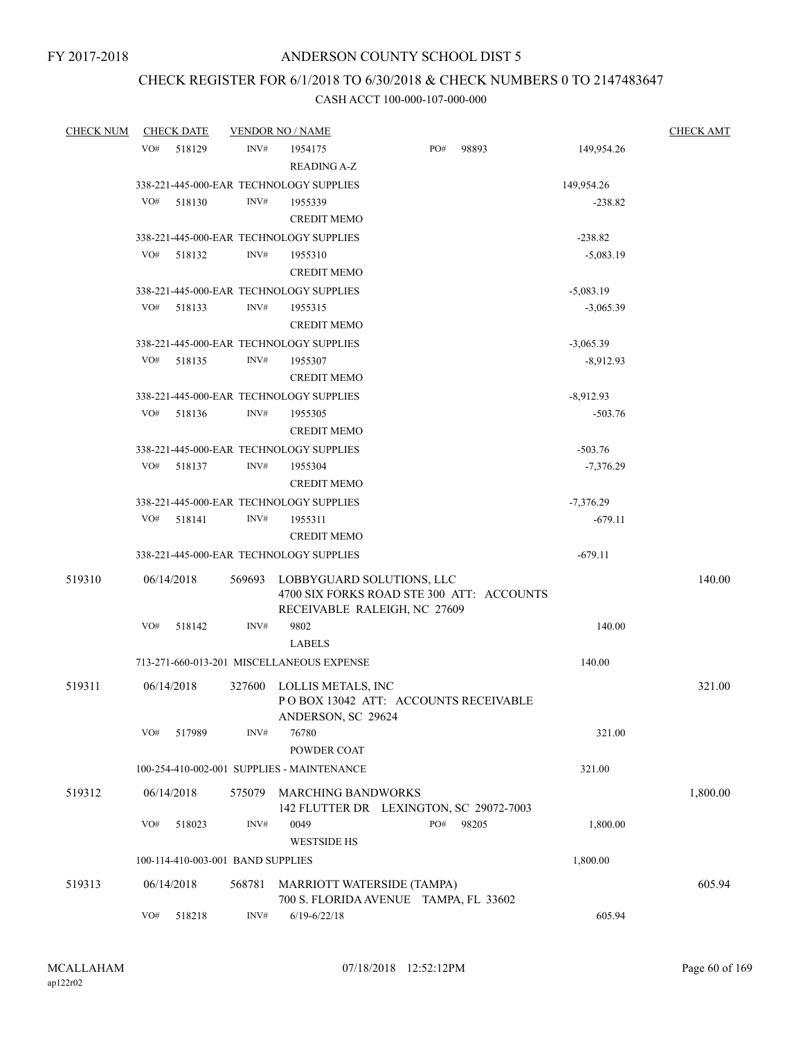# CHECK REGISTER FOR 6/1/2018 TO 6/30/2018 & CHECK NUMBERS 0 TO 2147483647

| <b>CHECK NUM</b> | <b>CHECK DATE</b> |                                   |        | <b>VENDOR NO / NAME</b>                                                          |     |       |                          | <b>CHECK AMT</b> |
|------------------|-------------------|-----------------------------------|--------|----------------------------------------------------------------------------------|-----|-------|--------------------------|------------------|
|                  | VO#               | 518129                            | INV#   | 1954175                                                                          | PO# | 98893 | 149,954.26               |                  |
|                  |                   |                                   |        | <b>READING A-Z</b>                                                               |     |       |                          |                  |
|                  |                   |                                   |        | 338-221-445-000-EAR TECHNOLOGY SUPPLIES                                          |     |       | 149,954.26               |                  |
|                  | VO#               | 518130                            | INV#   | 1955339                                                                          |     |       | $-238.82$                |                  |
|                  |                   |                                   |        | <b>CREDIT MEMO</b>                                                               |     |       |                          |                  |
|                  |                   |                                   |        | 338-221-445-000-EAR TECHNOLOGY SUPPLIES                                          |     |       | $-238.82$                |                  |
|                  | VO#               | 518132                            | INV#   | 1955310                                                                          |     |       | $-5,083.19$              |                  |
|                  |                   |                                   |        | <b>CREDIT MEMO</b>                                                               |     |       |                          |                  |
|                  |                   |                                   |        |                                                                                  |     |       | $-5,083.19$              |                  |
|                  | VO#               | 518133                            | INV#   | 338-221-445-000-EAR TECHNOLOGY SUPPLIES<br>1955315                               |     |       | $-3,065.39$              |                  |
|                  |                   |                                   |        | <b>CREDIT MEMO</b>                                                               |     |       |                          |                  |
|                  |                   |                                   |        | 338-221-445-000-EAR TECHNOLOGY SUPPLIES                                          |     |       | $-3,065.39$              |                  |
|                  | VO#               | 518135                            | INV#   | 1955307                                                                          |     |       | $-8,912.93$              |                  |
|                  |                   |                                   |        | <b>CREDIT MEMO</b>                                                               |     |       |                          |                  |
|                  |                   |                                   |        | 338-221-445-000-EAR TECHNOLOGY SUPPLIES                                          |     |       | $-8,912.93$              |                  |
|                  | VO#               | 518136                            | INV#   | 1955305                                                                          |     |       | $-503.76$                |                  |
|                  |                   |                                   |        | <b>CREDIT MEMO</b>                                                               |     |       |                          |                  |
|                  |                   |                                   |        | 338-221-445-000-EAR TECHNOLOGY SUPPLIES                                          |     |       | $-503.76$                |                  |
|                  | VO#               | 518137                            | INV#   | 1955304                                                                          |     |       | $-7,376.29$              |                  |
|                  |                   |                                   |        | <b>CREDIT MEMO</b>                                                               |     |       |                          |                  |
|                  |                   |                                   |        | 338-221-445-000-EAR TECHNOLOGY SUPPLIES                                          |     |       |                          |                  |
|                  | VO#               | 518141                            | INV#   | 1955311                                                                          |     |       | $-7,376.29$<br>$-679.11$ |                  |
|                  |                   |                                   |        | <b>CREDIT MEMO</b>                                                               |     |       |                          |                  |
|                  |                   |                                   |        |                                                                                  |     |       |                          |                  |
|                  |                   |                                   |        | 338-221-445-000-EAR TECHNOLOGY SUPPLIES                                          |     |       | $-679.11$                |                  |
| 519310           | 06/14/2018        |                                   | 569693 | LOBBYGUARD SOLUTIONS, LLC                                                        |     |       |                          | 140.00           |
|                  |                   |                                   |        | 4700 SIX FORKS ROAD STE 300 ATT: ACCOUNTS                                        |     |       |                          |                  |
|                  |                   |                                   |        | RECEIVABLE RALEIGH, NC 27609                                                     |     |       |                          |                  |
|                  | VO#               | 518142                            | INV#   | 9802                                                                             |     |       | 140.00                   |                  |
|                  |                   |                                   |        | <b>LABELS</b>                                                                    |     |       |                          |                  |
|                  |                   |                                   |        | 713-271-660-013-201 MISCELLANEOUS EXPENSE                                        |     |       | 140.00                   |                  |
| 519311           | 06/14/2018        |                                   | 327600 | LOLLIS METALS, INC<br>POBOX 13042 ATT: ACCOUNTS RECEIVABLE<br>ANDERSON, SC 29624 |     |       |                          | 321.00           |
|                  | VO#               | 517989                            | INV#   | 76780                                                                            |     |       | 321.00                   |                  |
|                  |                   |                                   |        | POWDER COAT                                                                      |     |       |                          |                  |
|                  |                   |                                   |        | 100-254-410-002-001 SUPPLIES - MAINTENANCE                                       |     |       | 321.00                   |                  |
|                  |                   |                                   |        |                                                                                  |     |       |                          |                  |
| 519312           | 06/14/2018        |                                   | 575079 | <b>MARCHING BANDWORKS</b><br>142 FLUTTER DR LEXINGTON, SC 29072-7003             |     |       |                          | 1,800.00         |
|                  | VO#               | 518023                            | INV#   | 0049                                                                             | PO# | 98205 | 1,800.00                 |                  |
|                  |                   |                                   |        | <b>WESTSIDE HS</b>                                                               |     |       |                          |                  |
|                  |                   |                                   |        |                                                                                  |     |       | 1,800.00                 |                  |
|                  |                   | 100-114-410-003-001 BAND SUPPLIES |        |                                                                                  |     |       |                          |                  |
| 519313           | 06/14/2018        |                                   | 568781 | MARRIOTT WATERSIDE (TAMPA)                                                       |     |       |                          | 605.94           |
|                  |                   |                                   |        | 700 S. FLORIDA AVENUE TAMPA, FL 33602                                            |     |       |                          |                  |
|                  | VO#               | 518218                            | INV#   | $6/19 - 6/22/18$                                                                 |     |       | 605.94                   |                  |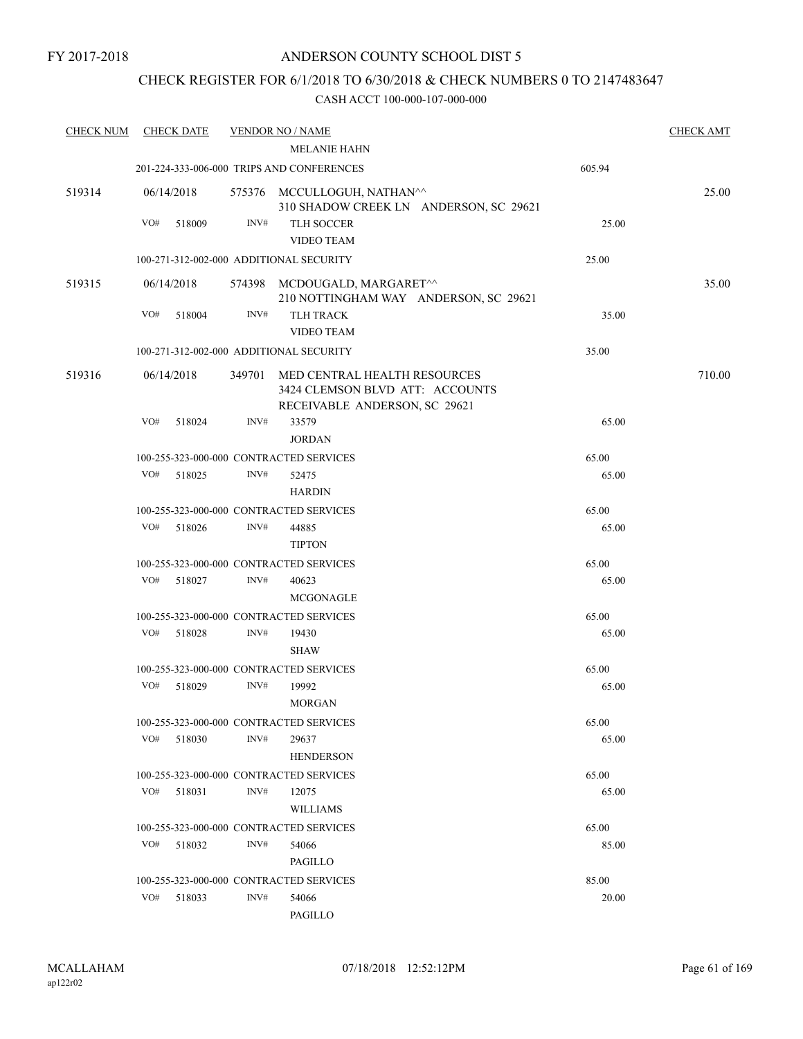## CHECK REGISTER FOR 6/1/2018 TO 6/30/2018 & CHECK NUMBERS 0 TO 2147483647

| <b>CHECK NUM</b> |     | <b>CHECK DATE</b> |        | <b>VENDOR NO / NAME</b>                                                                          |        | <b>CHECK AMT</b> |
|------------------|-----|-------------------|--------|--------------------------------------------------------------------------------------------------|--------|------------------|
|                  |     |                   |        | <b>MELANIE HAHN</b>                                                                              |        |                  |
|                  |     |                   |        | 201-224-333-006-000 TRIPS AND CONFERENCES                                                        | 605.94 |                  |
| 519314           |     | 06/14/2018        |        | 575376 MCCULLOGUH, NATHAN^^<br>310 SHADOW CREEK LN ANDERSON, SC 29621                            |        | 25.00            |
|                  | VO# | 518009            | INV#   | <b>TLH SOCCER</b>                                                                                | 25.00  |                  |
|                  |     |                   |        | <b>VIDEO TEAM</b>                                                                                |        |                  |
|                  |     |                   |        | 100-271-312-002-000 ADDITIONAL SECURITY                                                          | 25.00  |                  |
| 519315           |     | 06/14/2018        |        | 574398 MCDOUGALD, MARGARET^^<br>210 NOTTINGHAM WAY ANDERSON, SC 29621                            |        | 35.00            |
|                  | VO# | 518004            | INV#   | <b>TLH TRACK</b><br><b>VIDEO TEAM</b>                                                            | 35.00  |                  |
|                  |     |                   |        | 100-271-312-002-000 ADDITIONAL SECURITY                                                          | 35.00  |                  |
| 519316           |     | 06/14/2018        | 349701 | MED CENTRAL HEALTH RESOURCES<br>3424 CLEMSON BLVD ATT: ACCOUNTS<br>RECEIVABLE ANDERSON, SC 29621 |        | 710.00           |
|                  | VO# | 518024            | INV#   | 33579                                                                                            | 65.00  |                  |
|                  |     |                   |        | <b>JORDAN</b>                                                                                    |        |                  |
|                  |     |                   |        | 100-255-323-000-000 CONTRACTED SERVICES                                                          | 65.00  |                  |
|                  | VO# | 518025            | INV#   | 52475                                                                                            | 65.00  |                  |
|                  |     |                   |        | <b>HARDIN</b>                                                                                    |        |                  |
|                  |     |                   |        | 100-255-323-000-000 CONTRACTED SERVICES                                                          | 65.00  |                  |
|                  | VO# | 518026            | INV#   | 44885<br><b>TIPTON</b>                                                                           | 65.00  |                  |
|                  |     |                   |        | 100-255-323-000-000 CONTRACTED SERVICES                                                          | 65.00  |                  |
|                  | VO# | 518027            | INV#   | 40623                                                                                            | 65.00  |                  |
|                  |     |                   |        | MCGONAGLE                                                                                        |        |                  |
|                  |     |                   |        | 100-255-323-000-000 CONTRACTED SERVICES                                                          | 65.00  |                  |
|                  | VO# | 518028            | INV#   | 19430                                                                                            | 65.00  |                  |
|                  |     |                   |        | <b>SHAW</b>                                                                                      |        |                  |
|                  |     |                   |        | 100-255-323-000-000 CONTRACTED SERVICES                                                          | 65.00  |                  |
|                  | VO# | 518029            | INV#   | 19992                                                                                            | 65.00  |                  |
|                  |     |                   |        | <b>MORGAN</b>                                                                                    |        |                  |
|                  |     |                   |        | 100-255-323-000-000 CONTRACTED SERVICES                                                          | 65.00  |                  |
|                  | VO# | 518030            | INV#   | 29637<br><b>HENDERSON</b>                                                                        | 65.00  |                  |
|                  |     |                   |        | 100-255-323-000-000 CONTRACTED SERVICES                                                          | 65.00  |                  |
|                  | VO# | 518031            | INV#   | 12075                                                                                            | 65.00  |                  |
|                  |     |                   |        | <b>WILLIAMS</b>                                                                                  |        |                  |
|                  |     |                   |        | 100-255-323-000-000 CONTRACTED SERVICES                                                          | 65.00  |                  |
|                  | VO# | 518032            | INV#   | 54066                                                                                            | 85.00  |                  |
|                  |     |                   |        | PAGILLO                                                                                          |        |                  |
|                  |     |                   |        | 100-255-323-000-000 CONTRACTED SERVICES                                                          | 85.00  |                  |
|                  | VO# | 518033            | INV#   | 54066                                                                                            | 20.00  |                  |
|                  |     |                   |        | PAGILLO                                                                                          |        |                  |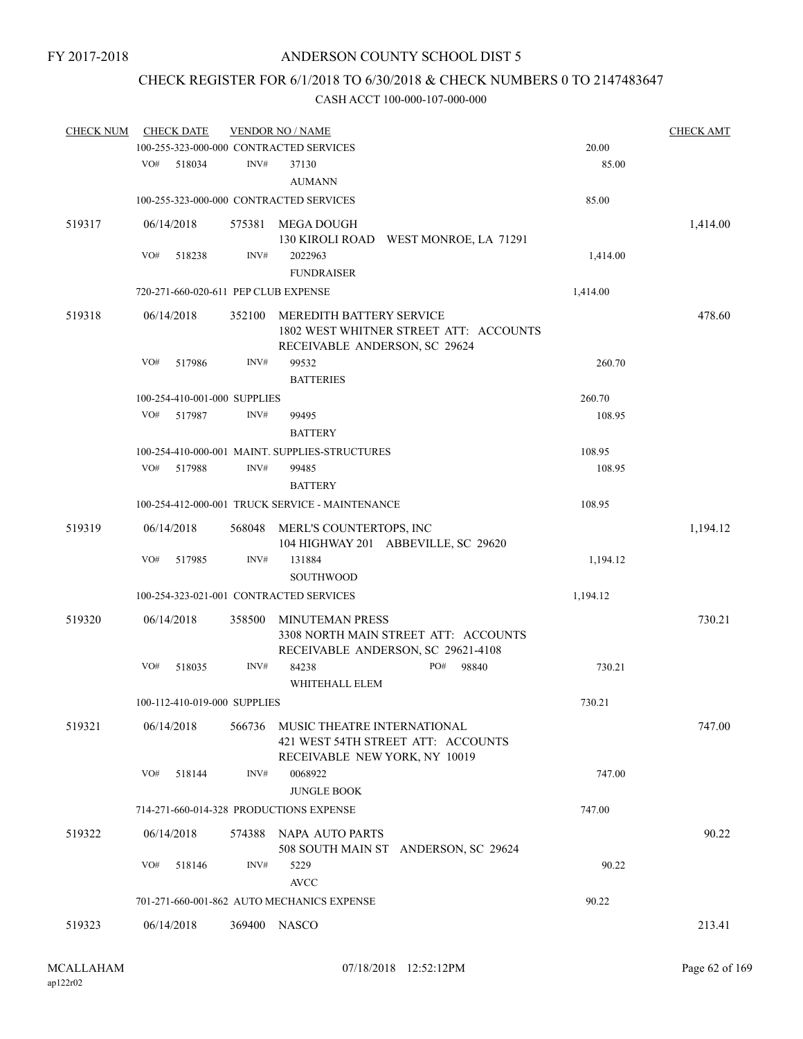# CHECK REGISTER FOR 6/1/2018 TO 6/30/2018 & CHECK NUMBERS 0 TO 2147483647

| <b>CHECK NUM</b> |     | <b>CHECK DATE</b>            |        | <b>VENDOR NO / NAME</b>                                                    |          | <b>CHECK AMT</b> |
|------------------|-----|------------------------------|--------|----------------------------------------------------------------------------|----------|------------------|
|                  |     |                              |        | 100-255-323-000-000 CONTRACTED SERVICES                                    | 20.00    |                  |
|                  | VO# | 518034                       | INV#   | 37130<br><b>AUMANN</b>                                                     | 85.00    |                  |
|                  |     |                              |        | 100-255-323-000-000 CONTRACTED SERVICES                                    | 85.00    |                  |
| 519317           |     | 06/14/2018                   | 575381 | MEGA DOUGH                                                                 |          | 1,414.00         |
|                  |     |                              |        | 130 KIROLI ROAD WEST MONROE, LA 71291                                      |          |                  |
|                  | VO# | 518238                       | INV#   | 2022963                                                                    | 1,414.00 |                  |
|                  |     |                              |        | <b>FUNDRAISER</b>                                                          |          |                  |
|                  |     |                              |        | 720-271-660-020-611 PEP CLUB EXPENSE                                       | 1,414.00 |                  |
| 519318           |     | 06/14/2018                   | 352100 | MEREDITH BATTERY SERVICE                                                   |          | 478.60           |
|                  |     |                              |        | 1802 WEST WHITNER STREET ATT: ACCOUNTS<br>RECEIVABLE ANDERSON, SC 29624    |          |                  |
|                  | VO# | 517986                       | INV#   | 99532                                                                      | 260.70   |                  |
|                  |     |                              |        | <b>BATTERIES</b>                                                           |          |                  |
|                  |     | 100-254-410-001-000 SUPPLIES |        |                                                                            | 260.70   |                  |
|                  | VO# | 517987                       | INV#   | 99495                                                                      | 108.95   |                  |
|                  |     |                              |        | <b>BATTERY</b>                                                             |          |                  |
|                  |     |                              |        | 100-254-410-000-001 MAINT. SUPPLIES-STRUCTURES                             | 108.95   |                  |
|                  | VO# | 517988                       | INV#   | 99485                                                                      | 108.95   |                  |
|                  |     |                              |        | <b>BATTERY</b>                                                             |          |                  |
|                  |     |                              |        | 100-254-412-000-001 TRUCK SERVICE - MAINTENANCE                            | 108.95   |                  |
| 519319           |     | 06/14/2018                   | 568048 | MERL'S COUNTERTOPS, INC<br>104 HIGHWAY 201 ABBEVILLE, SC 29620             |          | 1,194.12         |
|                  | VO# | 517985                       | INV#   | 131884<br><b>SOUTHWOOD</b>                                                 | 1,194.12 |                  |
|                  |     |                              |        | 100-254-323-021-001 CONTRACTED SERVICES                                    | 1,194.12 |                  |
| 519320           |     | 06/14/2018                   | 358500 | <b>MINUTEMAN PRESS</b>                                                     |          | 730.21           |
|                  |     |                              |        | 3308 NORTH MAIN STREET ATT: ACCOUNTS<br>RECEIVABLE ANDERSON, SC 29621-4108 |          |                  |
|                  | VO# | 518035                       | INV#   | PO#<br>84238<br>98840<br>WHITEHALL ELEM                                    | 730.21   |                  |
|                  |     | 100-112-410-019-000 SUPPLIES |        |                                                                            | 730.21   |                  |
| 519321           |     | 06/14/2018                   | 566736 | MUSIC THEATRE INTERNATIONAL                                                |          | 747.00           |
|                  |     |                              |        | 421 WEST 54TH STREET ATT: ACCOUNTS<br>RECEIVABLE NEW YORK, NY 10019        |          |                  |
|                  | VO# | 518144                       | INV#   | 0068922<br><b>JUNGLE BOOK</b>                                              | 747.00   |                  |
|                  |     |                              |        | 714-271-660-014-328 PRODUCTIONS EXPENSE                                    | 747.00   |                  |
| 519322           |     | 06/14/2018                   |        | 574388 NAPA AUTO PARTS                                                     |          | 90.22            |
|                  |     |                              |        | 508 SOUTH MAIN ST ANDERSON, SC 29624                                       |          |                  |
|                  | VO# | 518146                       | INV#   | 5229                                                                       | 90.22    |                  |
|                  |     |                              |        | <b>AVCC</b>                                                                |          |                  |
|                  |     |                              |        | 701-271-660-001-862 AUTO MECHANICS EXPENSE                                 | 90.22    |                  |
| 519323           |     | 06/14/2018                   |        | 369400 NASCO                                                               |          | 213.41           |
|                  |     |                              |        |                                                                            |          |                  |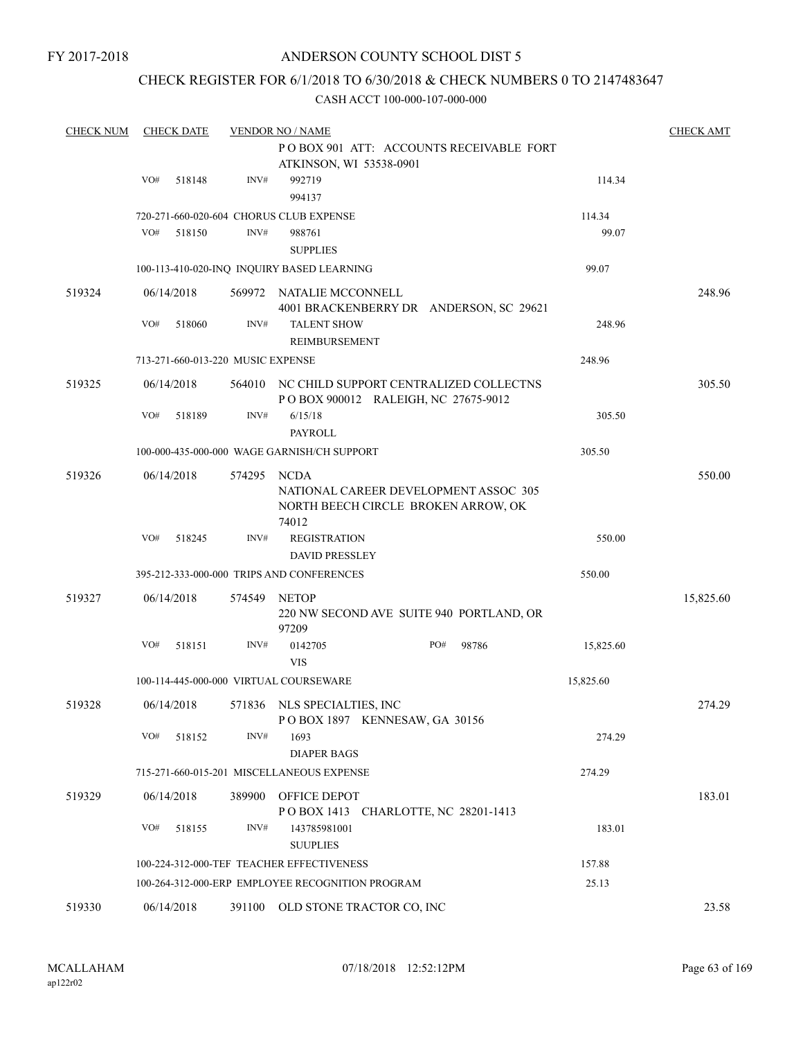## ANDERSON COUNTY SCHOOL DIST 5

## CHECK REGISTER FOR 6/1/2018 TO 6/30/2018 & CHECK NUMBERS 0 TO 2147483647

| <b>CHECK NUM</b> |     | <b>CHECK DATE</b> |                                   | <b>VENDOR NO / NAME</b>                                                              |     |       |           | <b>CHECK AMT</b> |
|------------------|-----|-------------------|-----------------------------------|--------------------------------------------------------------------------------------|-----|-------|-----------|------------------|
|                  |     |                   |                                   | POBOX 901 ATT: ACCOUNTS RECEIVABLE FORT                                              |     |       |           |                  |
|                  |     |                   |                                   | ATKINSON, WI 53538-0901                                                              |     |       |           |                  |
|                  | VO# | 518148            | INV#                              | 992719                                                                               |     |       | 114.34    |                  |
|                  |     |                   |                                   | 994137                                                                               |     |       |           |                  |
|                  |     |                   |                                   | 720-271-660-020-604 CHORUS CLUB EXPENSE                                              |     |       | 114.34    |                  |
|                  | VO# | 518150            | INV#                              | 988761                                                                               |     |       | 99.07     |                  |
|                  |     |                   |                                   | <b>SUPPLIES</b>                                                                      |     |       |           |                  |
|                  |     |                   |                                   | 100-113-410-020-INQ INQUIRY BASED LEARNING                                           |     |       | 99.07     |                  |
| 519324           |     | 06/14/2018        |                                   | 569972 NATALIE MCCONNELL                                                             |     |       |           | 248.96           |
|                  |     |                   |                                   | 4001 BRACKENBERRY DR ANDERSON, SC 29621                                              |     |       |           |                  |
|                  | VO# | 518060            | INV#                              | <b>TALENT SHOW</b>                                                                   |     |       | 248.96    |                  |
|                  |     |                   |                                   | REIMBURSEMENT                                                                        |     |       |           |                  |
|                  |     |                   | 713-271-660-013-220 MUSIC EXPENSE |                                                                                      |     |       | 248.96    |                  |
| 519325           |     | 06/14/2018        |                                   | 564010 NC CHILD SUPPORT CENTRALIZED COLLECTNS<br>POBOX 900012 RALEIGH, NC 27675-9012 |     |       |           | 305.50           |
|                  | VO# | 518189            | INV#                              | 6/15/18<br><b>PAYROLL</b>                                                            |     |       | 305.50    |                  |
|                  |     |                   |                                   | 100-000-435-000-000 WAGE GARNISH/CH SUPPORT                                          |     |       | 305.50    |                  |
|                  |     |                   |                                   |                                                                                      |     |       |           |                  |
| 519326           |     | 06/14/2018        | 574295                            | NCDA                                                                                 |     |       |           | 550.00           |
|                  |     |                   |                                   | NATIONAL CAREER DEVELOPMENT ASSOC 305                                                |     |       |           |                  |
|                  |     |                   |                                   | NORTH BEECH CIRCLE BROKEN ARROW, OK<br>74012                                         |     |       |           |                  |
|                  | VO# | 518245            | INV#                              | <b>REGISTRATION</b>                                                                  |     |       | 550.00    |                  |
|                  |     |                   |                                   | <b>DAVID PRESSLEY</b>                                                                |     |       |           |                  |
|                  |     |                   |                                   |                                                                                      |     |       |           |                  |
|                  |     |                   |                                   | 395-212-333-000-000 TRIPS AND CONFERENCES                                            |     |       | 550.00    |                  |
| 519327           |     | 06/14/2018        | 574549                            | NETOP                                                                                |     |       |           | 15,825.60        |
|                  |     |                   |                                   | 220 NW SECOND AVE SUITE 940 PORTLAND, OR<br>97209                                    |     |       |           |                  |
|                  | VO# | 518151            | INV#                              | 0142705                                                                              | PO# | 98786 | 15,825.60 |                  |
|                  |     |                   |                                   | <b>VIS</b>                                                                           |     |       |           |                  |
|                  |     |                   |                                   | 100-114-445-000-000 VIRTUAL COURSEWARE                                               |     |       | 15,825.60 |                  |
| 519328           |     | 06/14/2018        |                                   | 571836 NLS SPECIALTIES, INC                                                          |     |       |           | 274.29           |
|                  |     |                   |                                   | POBOX 1897 KENNESAW, GA 30156                                                        |     |       |           |                  |
|                  | VO# | 518152            | INV#                              | 1693                                                                                 |     |       | 274.29    |                  |
|                  |     |                   |                                   | <b>DIAPER BAGS</b>                                                                   |     |       |           |                  |
|                  |     |                   |                                   | 715-271-660-015-201 MISCELLANEOUS EXPENSE                                            |     |       | 274.29    |                  |
|                  |     |                   |                                   |                                                                                      |     |       |           |                  |
| 519329           |     | 06/14/2018        | 389900                            | OFFICE DEPOT                                                                         |     |       |           | 183.01           |
|                  |     |                   |                                   | POBOX 1413 CHARLOTTE, NC 28201-1413                                                  |     |       |           |                  |
|                  | VO# | 518155            | INV#                              | 143785981001                                                                         |     |       | 183.01    |                  |
|                  |     |                   |                                   | <b>SUUPLIES</b>                                                                      |     |       |           |                  |
|                  |     |                   |                                   | 100-224-312-000-TEF TEACHER EFFECTIVENESS                                            |     |       | 157.88    |                  |
|                  |     |                   |                                   | 100-264-312-000-ERP EMPLOYEE RECOGNITION PROGRAM                                     |     |       | 25.13     |                  |
| 519330           |     | 06/14/2018        | 391100                            | OLD STONE TRACTOR CO, INC                                                            |     |       |           | 23.58            |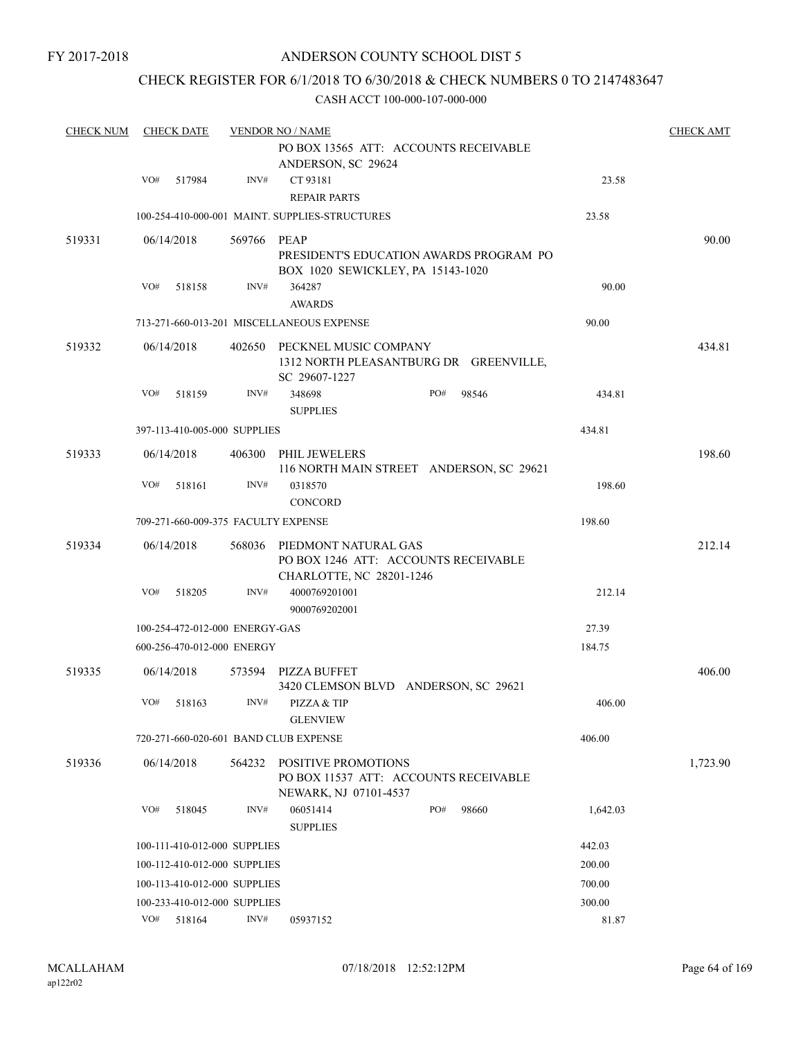## CHECK REGISTER FOR 6/1/2018 TO 6/30/2018 & CHECK NUMBERS 0 TO 2147483647

| <b>CHECK NUM</b> | <b>CHECK DATE</b>                   |             | <b>VENDOR NO / NAME</b>                                                                      |                                         |          | <b>CHECK AMT</b> |
|------------------|-------------------------------------|-------------|----------------------------------------------------------------------------------------------|-----------------------------------------|----------|------------------|
|                  |                                     |             | PO BOX 13565 ATT: ACCOUNTS RECEIVABLE<br>ANDERSON, SC 29624                                  |                                         |          |                  |
|                  | VO#<br>517984                       | INV#        | CT 93181<br><b>REPAIR PARTS</b>                                                              |                                         | 23.58    |                  |
|                  |                                     |             | 100-254-410-000-001 MAINT. SUPPLIES-STRUCTURES                                               |                                         | 23.58    |                  |
| 519331           | 06/14/2018                          | 569766 PEAP | BOX 1020 SEWICKLEY, PA 15143-1020                                                            | PRESIDENT'S EDUCATION AWARDS PROGRAM PO |          | 90.00            |
|                  | VO#<br>518158                       | INV#        | 364287<br><b>AWARDS</b>                                                                      |                                         | 90.00    |                  |
|                  |                                     |             | 713-271-660-013-201 MISCELLANEOUS EXPENSE                                                    |                                         | 90.00    |                  |
| 519332           | 06/14/2018                          |             | 402650 PECKNEL MUSIC COMPANY<br>1312 NORTH PLEASANTBURG DR GREENVILLE,<br>SC 29607-1227      |                                         |          | 434.81           |
|                  | VO#<br>518159                       | INV#        | 348698<br><b>SUPPLIES</b>                                                                    | PO#<br>98546                            | 434.81   |                  |
|                  | 397-113-410-005-000 SUPPLIES        |             |                                                                                              |                                         | 434.81   |                  |
| 519333           | 06/14/2018                          | 406300      | PHIL JEWELERS<br>116 NORTH MAIN STREET ANDERSON, SC 29621                                    |                                         |          | 198.60           |
|                  | VO#<br>518161                       | INV#        | 0318570<br><b>CONCORD</b>                                                                    |                                         | 198.60   |                  |
|                  | 709-271-660-009-375 FACULTY EXPENSE |             |                                                                                              |                                         | 198.60   |                  |
| 519334           | 06/14/2018                          | 568036      | PIEDMONT NATURAL GAS<br>PO BOX 1246 ATT: ACCOUNTS RECEIVABLE<br>CHARLOTTE, NC 28201-1246     |                                         |          | 212.14           |
|                  | VO#<br>518205                       | INV#        | 4000769201001<br>9000769202001                                                               |                                         | 212.14   |                  |
|                  | 100-254-472-012-000 ENERGY-GAS      |             |                                                                                              |                                         | 27.39    |                  |
|                  | 600-256-470-012-000 ENERGY          |             |                                                                                              |                                         | 184.75   |                  |
| 519335           | 06/14/2018                          |             | 573594 PIZZA BUFFET<br>3420 CLEMSON BLVD ANDERSON, SC 29621                                  |                                         |          | 406.00           |
|                  | VO#<br>518163                       | INV#        | PIZZA & TIP<br><b>GLENVIEW</b>                                                               |                                         | 406.00   |                  |
|                  |                                     |             | 720-271-660-020-601 BAND CLUB EXPENSE                                                        |                                         | 406.00   |                  |
| 519336           | 06/14/2018                          | 564232      | <b>POSITIVE PROMOTIONS</b><br>PO BOX 11537 ATT: ACCOUNTS RECEIVABLE<br>NEWARK, NJ 07101-4537 |                                         |          | 1,723.90         |
|                  | VO#<br>518045                       | INV#        | 06051414<br><b>SUPPLIES</b>                                                                  | PO#<br>98660                            | 1,642.03 |                  |
|                  | 100-111-410-012-000 SUPPLIES        |             |                                                                                              |                                         | 442.03   |                  |
|                  | 100-112-410-012-000 SUPPLIES        |             |                                                                                              |                                         | 200.00   |                  |
|                  | 100-113-410-012-000 SUPPLIES        |             |                                                                                              |                                         | 700.00   |                  |
|                  | 100-233-410-012-000 SUPPLIES        |             |                                                                                              |                                         | 300.00   |                  |
|                  | VO#<br>518164                       | INV#        | 05937152                                                                                     |                                         | 81.87    |                  |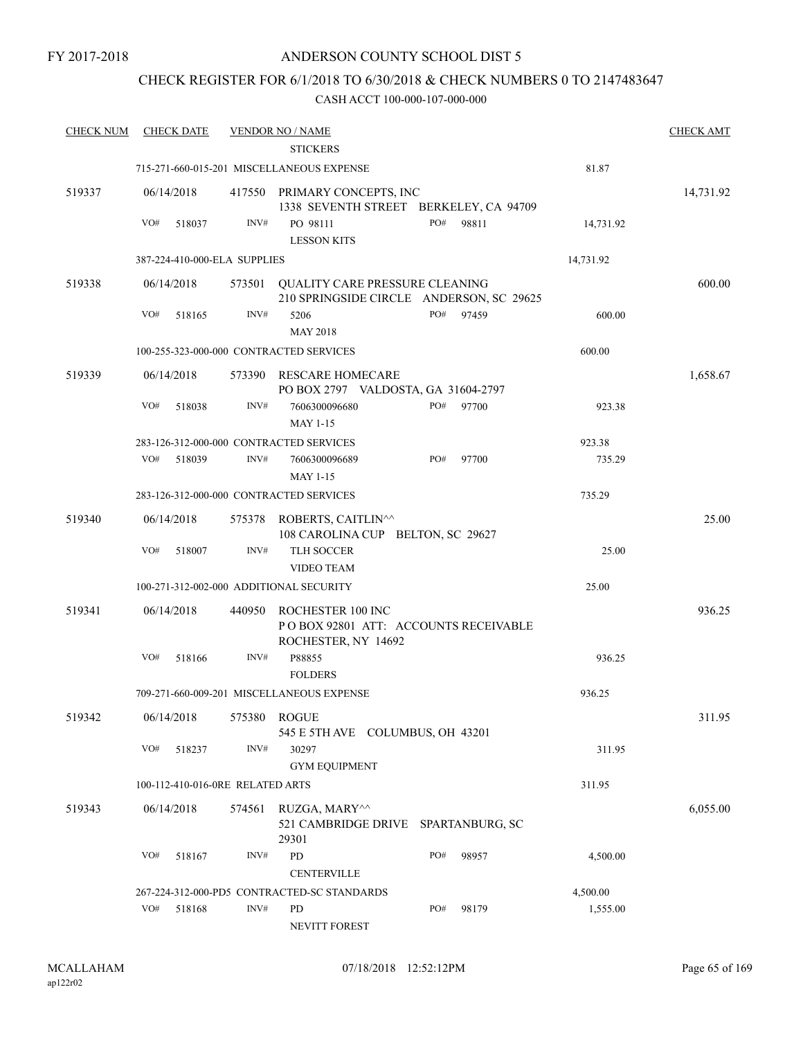## ANDERSON COUNTY SCHOOL DIST 5

## CHECK REGISTER FOR 6/1/2018 TO 6/30/2018 & CHECK NUMBERS 0 TO 2147483647

| <b>CHECK NUM</b> | <b>CHECK DATE</b>                       |        | <u>VENDOR NO / NAME</u>                                                           |       |           | <b>CHECK AMT</b> |
|------------------|-----------------------------------------|--------|-----------------------------------------------------------------------------------|-------|-----------|------------------|
|                  |                                         |        | <b>STICKERS</b>                                                                   |       |           |                  |
|                  |                                         |        | 715-271-660-015-201 MISCELLANEOUS EXPENSE                                         |       | 81.87     |                  |
| 519337           | 06/14/2018                              |        | 417550 PRIMARY CONCEPTS, INC<br>1338 SEVENTH STREET BERKELEY, CA 94709            |       |           | 14,731.92        |
|                  | VO#<br>518037                           | INV#   | PO#<br>PO 98111<br><b>LESSON KITS</b>                                             | 98811 | 14,731.92 |                  |
|                  | 387-224-410-000-ELA SUPPLIES            |        |                                                                                   |       | 14,731.92 |                  |
|                  |                                         |        |                                                                                   |       |           |                  |
| 519338           | 06/14/2018                              | 573501 | QUALITY CARE PRESSURE CLEANING<br>210 SPRINGSIDE CIRCLE ANDERSON, SC 29625        |       |           | 600.00           |
|                  | VO#<br>518165                           | INV#   | PO#<br>5206<br><b>MAY 2018</b>                                                    | 97459 | 600.00    |                  |
|                  | 100-255-323-000-000 CONTRACTED SERVICES |        |                                                                                   |       | 600.00    |                  |
| 519339           | 06/14/2018                              | 573390 | RESCARE HOMECARE<br>PO BOX 2797 VALDOSTA, GA 31604-2797                           |       |           | 1,658.67         |
|                  | VO#<br>518038                           | INV#   | PO#<br>7606300096680<br>MAY 1-15                                                  | 97700 | 923.38    |                  |
|                  | 283-126-312-000-000 CONTRACTED SERVICES |        |                                                                                   |       | 923.38    |                  |
|                  | VO#<br>518039                           | INV#   | PO#<br>7606300096689                                                              | 97700 | 735.29    |                  |
|                  |                                         |        | <b>MAY 1-15</b>                                                                   |       |           |                  |
|                  | 283-126-312-000-000 CONTRACTED SERVICES |        |                                                                                   |       | 735.29    |                  |
| 519340           | 06/14/2018                              |        | 575378 ROBERTS, CAITLIN^^<br>108 CAROLINA CUP BELTON, SC 29627                    |       |           | 25.00            |
|                  | VO#<br>518007                           | INV#   | TLH SOCCER<br><b>VIDEO TEAM</b>                                                   |       | 25.00     |                  |
|                  | 100-271-312-002-000 ADDITIONAL SECURITY |        |                                                                                   |       | 25.00     |                  |
|                  |                                         |        |                                                                                   |       |           |                  |
| 519341           | 06/14/2018                              | 440950 | ROCHESTER 100 INC<br>PO BOX 92801 ATT: ACCOUNTS RECEIVABLE<br>ROCHESTER, NY 14692 |       |           | 936.25           |
|                  | VO#<br>518166                           | INV#   | P88855<br><b>FOLDERS</b>                                                          |       | 936.25    |                  |
|                  |                                         |        | 709-271-660-009-201 MISCELLANEOUS EXPENSE                                         |       | 936.25    |                  |
| 519342           | 06/14/2018                              | 575380 | <b>ROGUE</b>                                                                      |       |           | 311.95           |
|                  |                                         |        | 545 E 5TH AVE COLUMBUS, OH 43201                                                  |       |           |                  |
|                  | VO#<br>518237                           | INV#   | 30297                                                                             |       | 311.95    |                  |
|                  |                                         |        | <b>GYM EQUIPMENT</b>                                                              |       |           |                  |
|                  | 100-112-410-016-0RE RELATED ARTS        |        |                                                                                   |       | 311.95    |                  |
| 519343           | 06/14/2018                              | 574561 | RUZGA, MARY^^<br>521 CAMBRIDGE DRIVE SPARTANBURG, SC<br>29301                     |       |           | 6,055.00         |
|                  | VO#<br>518167                           | INV#   | PO#<br>PD                                                                         | 98957 | 4,500.00  |                  |
|                  |                                         |        | <b>CENTERVILLE</b>                                                                |       |           |                  |
|                  |                                         |        | 267-224-312-000-PD5 CONTRACTED-SC STANDARDS                                       |       | 4,500.00  |                  |
|                  | VO#<br>518168                           | INV#   | PD<br>PO#<br>NEVITT FOREST                                                        | 98179 | 1,555.00  |                  |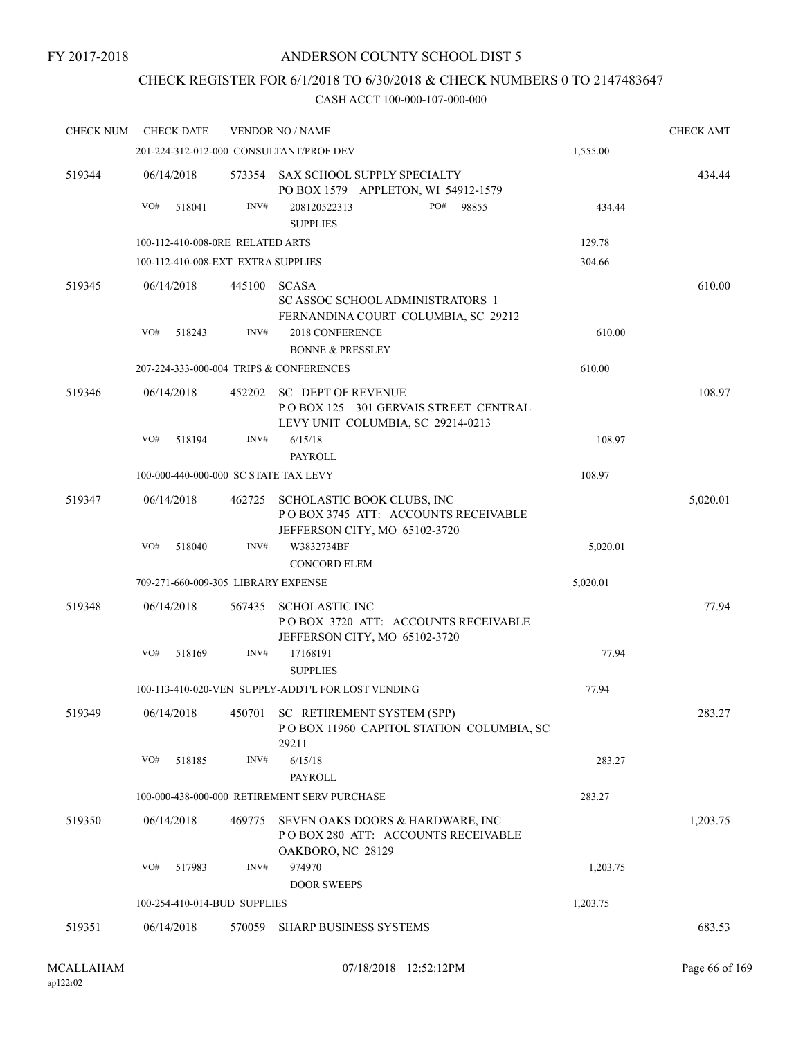## ANDERSON COUNTY SCHOOL DIST 5

# CHECK REGISTER FOR 6/1/2018 TO 6/30/2018 & CHECK NUMBERS 0 TO 2147483647

| <b>CHECK NUM</b> | <b>CHECK DATE</b>                     |        | <b>VENDOR NO / NAME</b>                                                                                |          | <b>CHECK AMT</b> |
|------------------|---------------------------------------|--------|--------------------------------------------------------------------------------------------------------|----------|------------------|
|                  |                                       |        | 201-224-312-012-000 CONSULTANT/PROF DEV                                                                | 1,555.00 |                  |
| 519344           | 06/14/2018                            |        | 573354 SAX SCHOOL SUPPLY SPECIALTY<br>PO BOX 1579 APPLETON, WI 54912-1579                              |          | 434.44           |
|                  | VO#<br>518041                         | INV#   | PO# 98855<br>208120522313<br><b>SUPPLIES</b>                                                           | 434.44   |                  |
|                  | 100-112-410-008-0RE RELATED ARTS      |        |                                                                                                        | 129.78   |                  |
|                  | 100-112-410-008-EXT EXTRA SUPPLIES    |        |                                                                                                        | 304.66   |                  |
| 519345           | 06/14/2018                            |        | 445100 SCASA<br><b>SC ASSOC SCHOOL ADMINISTRATORS 1</b><br>FERNANDINA COURT COLUMBIA, SC 29212         |          | 610.00           |
|                  | VO#<br>518243                         | INV#   | 2018 CONFERENCE<br><b>BONNE &amp; PRESSLEY</b>                                                         | 610.00   |                  |
|                  |                                       |        | 207-224-333-000-004 TRIPS & CONFERENCES                                                                | 610.00   |                  |
| 519346           | 06/14/2018                            |        | 452202 SC DEPT OF REVENUE<br>POBOX 125 301 GERVAIS STREET CENTRAL<br>LEVY UNIT COLUMBIA, SC 29214-0213 |          | 108.97           |
|                  | VO#<br>518194                         | INV#   | 6/15/18<br>PAYROLL                                                                                     | 108.97   |                  |
|                  | 100-000-440-000-000 SC STATE TAX LEVY |        |                                                                                                        | 108.97   |                  |
| 519347           | 06/14/2018                            | 462725 | SCHOLASTIC BOOK CLUBS, INC<br>POBOX 3745 ATT: ACCOUNTS RECEIVABLE<br>JEFFERSON CITY, MO 65102-3720     |          | 5,020.01         |
|                  | VO#<br>518040                         | INV#   | W3832734BF<br><b>CONCORD ELEM</b>                                                                      | 5,020.01 |                  |
|                  | 709-271-660-009-305 LIBRARY EXPENSE   |        |                                                                                                        | 5,020.01 |                  |
| 519348           | 06/14/2018                            | 567435 | <b>SCHOLASTIC INC</b><br>POBOX 3720 ATT: ACCOUNTS RECEIVABLE<br>JEFFERSON CITY, MO 65102-3720          |          | 77.94            |
|                  | VO#<br>518169                         | INV#   | 17168191<br><b>SUPPLIES</b>                                                                            | 77.94    |                  |
|                  |                                       |        | 100-113-410-020-VEN SUPPLY-ADDT'L FOR LOST VENDING                                                     | 77.94    |                  |
| 519349           |                                       |        | 06/14/2018 450701 SC RETIREMENT SYSTEM (SPP)<br>POBOX 11960 CAPITOL STATION COLUMBIA, SC<br>29211      |          | 283.27           |
|                  | VO#<br>518185                         | INV#   | 6/15/18<br>PAYROLL                                                                                     | 283.27   |                  |
|                  |                                       |        | 100-000-438-000-000 RETIREMENT SERV PURCHASE                                                           | 283.27   |                  |
| 519350           | 06/14/2018                            | 469775 | SEVEN OAKS DOORS & HARDWARE, INC<br>POBOX 280 ATT: ACCOUNTS RECEIVABLE<br>OAKBORO, NC 28129            |          | 1,203.75         |
|                  | VO#<br>517983                         | INV#   | 974970<br><b>DOOR SWEEPS</b>                                                                           | 1,203.75 |                  |
|                  | 100-254-410-014-BUD SUPPLIES          |        |                                                                                                        | 1,203.75 |                  |
| 519351           | 06/14/2018                            | 570059 | <b>SHARP BUSINESS SYSTEMS</b>                                                                          |          | 683.53           |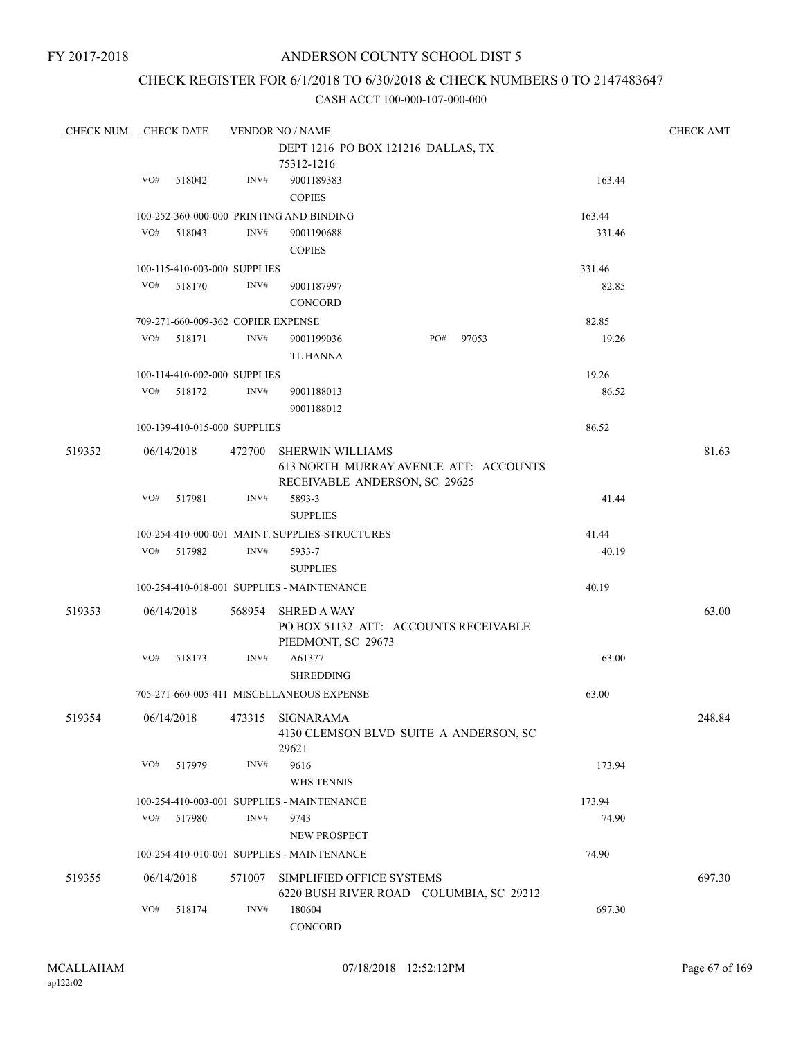## CHECK REGISTER FOR 6/1/2018 TO 6/30/2018 & CHECK NUMBERS 0 TO 2147483647

| <b>CHECK NUM</b> |     | <b>CHECK DATE</b> |                                    | <b>VENDOR NO / NAME</b>                        |                                         |        | <b>CHECK AMT</b> |
|------------------|-----|-------------------|------------------------------------|------------------------------------------------|-----------------------------------------|--------|------------------|
|                  |     |                   |                                    |                                                | DEPT 1216 PO BOX 121216 DALLAS, TX      |        |                  |
|                  |     |                   |                                    | 75312-1216                                     |                                         |        |                  |
|                  | VO# | 518042            | INV#                               | 9001189383                                     |                                         | 163.44 |                  |
|                  |     |                   |                                    | <b>COPIES</b>                                  |                                         |        |                  |
|                  |     |                   |                                    | 100-252-360-000-000 PRINTING AND BINDING       |                                         | 163.44 |                  |
|                  | VO# | 518043            | INV#                               | 9001190688                                     |                                         | 331.46 |                  |
|                  |     |                   |                                    | <b>COPIES</b>                                  |                                         |        |                  |
|                  |     |                   |                                    |                                                |                                         |        |                  |
|                  |     |                   | 100-115-410-003-000 SUPPLIES       |                                                |                                         | 331.46 |                  |
|                  | VO# | 518170            | INV#                               | 9001187997                                     |                                         | 82.85  |                  |
|                  |     |                   |                                    | <b>CONCORD</b>                                 |                                         |        |                  |
|                  |     |                   | 709-271-660-009-362 COPIER EXPENSE |                                                |                                         | 82.85  |                  |
|                  | VO# | 518171            | INV#                               | 9001199036                                     | PO#<br>97053                            | 19.26  |                  |
|                  |     |                   |                                    | TL HANNA                                       |                                         |        |                  |
|                  |     |                   | 100-114-410-002-000 SUPPLIES       |                                                |                                         | 19.26  |                  |
|                  | VO# | 518172            | INV#                               | 9001188013                                     |                                         | 86.52  |                  |
|                  |     |                   |                                    | 9001188012                                     |                                         |        |                  |
|                  |     |                   | 100-139-410-015-000 SUPPLIES       |                                                |                                         | 86.52  |                  |
| 519352           |     | 06/14/2018        | 472700                             | <b>SHERWIN WILLIAMS</b>                        |                                         |        | 81.63            |
|                  |     |                   |                                    |                                                | 613 NORTH MURRAY AVENUE ATT: ACCOUNTS   |        |                  |
|                  |     |                   |                                    | RECEIVABLE ANDERSON, SC 29625                  |                                         |        |                  |
|                  | VO# | 517981            | INV#                               | 5893-3                                         |                                         | 41.44  |                  |
|                  |     |                   |                                    | <b>SUPPLIES</b>                                |                                         |        |                  |
|                  |     |                   |                                    | 100-254-410-000-001 MAINT. SUPPLIES-STRUCTURES |                                         | 41.44  |                  |
|                  | VO# | 517982            | INV#                               | 5933-7                                         |                                         | 40.19  |                  |
|                  |     |                   |                                    | <b>SUPPLIES</b>                                |                                         |        |                  |
|                  |     |                   |                                    | 100-254-410-018-001 SUPPLIES - MAINTENANCE     |                                         | 40.19  |                  |
|                  |     |                   |                                    |                                                |                                         |        |                  |
| 519353           |     | 06/14/2018        | 568954                             | <b>SHRED A WAY</b>                             |                                         |        | 63.00            |
|                  |     |                   |                                    |                                                | PO BOX 51132 ATT: ACCOUNTS RECEIVABLE   |        |                  |
|                  |     |                   |                                    | PIEDMONT, SC 29673                             |                                         |        |                  |
|                  | VO# | 518173            | INV#                               | A61377                                         |                                         | 63.00  |                  |
|                  |     |                   |                                    | <b>SHREDDING</b>                               |                                         |        |                  |
|                  |     |                   |                                    | 705-271-660-005-411 MISCELLANEOUS EXPENSE      |                                         | 63.00  |                  |
| 519354           |     | 06/14/2018        | 473315                             | <b>SIGNARAMA</b>                               |                                         |        | 248.84           |
|                  |     |                   |                                    |                                                | 4130 CLEMSON BLVD SUITE A ANDERSON, SC  |        |                  |
|                  |     |                   |                                    | 29621                                          |                                         |        |                  |
|                  | VO# | 517979            | INV#                               | 9616                                           |                                         | 173.94 |                  |
|                  |     |                   |                                    | <b>WHS TENNIS</b>                              |                                         |        |                  |
|                  |     |                   |                                    | 100-254-410-003-001 SUPPLIES - MAINTENANCE     |                                         | 173.94 |                  |
|                  | VO# | 517980            | INV#                               | 9743                                           |                                         | 74.90  |                  |
|                  |     |                   |                                    | <b>NEW PROSPECT</b>                            |                                         |        |                  |
|                  |     |                   |                                    | 100-254-410-010-001 SUPPLIES - MAINTENANCE     |                                         | 74.90  |                  |
|                  |     |                   |                                    |                                                |                                         |        |                  |
| 519355           |     | 06/14/2018        | 571007                             | SIMPLIFIED OFFICE SYSTEMS                      |                                         |        | 697.30           |
|                  | VO# | 518174            | INV#                               | 180604                                         | 6220 BUSH RIVER ROAD COLUMBIA, SC 29212 | 697.30 |                  |
|                  |     |                   |                                    | CONCORD                                        |                                         |        |                  |
|                  |     |                   |                                    |                                                |                                         |        |                  |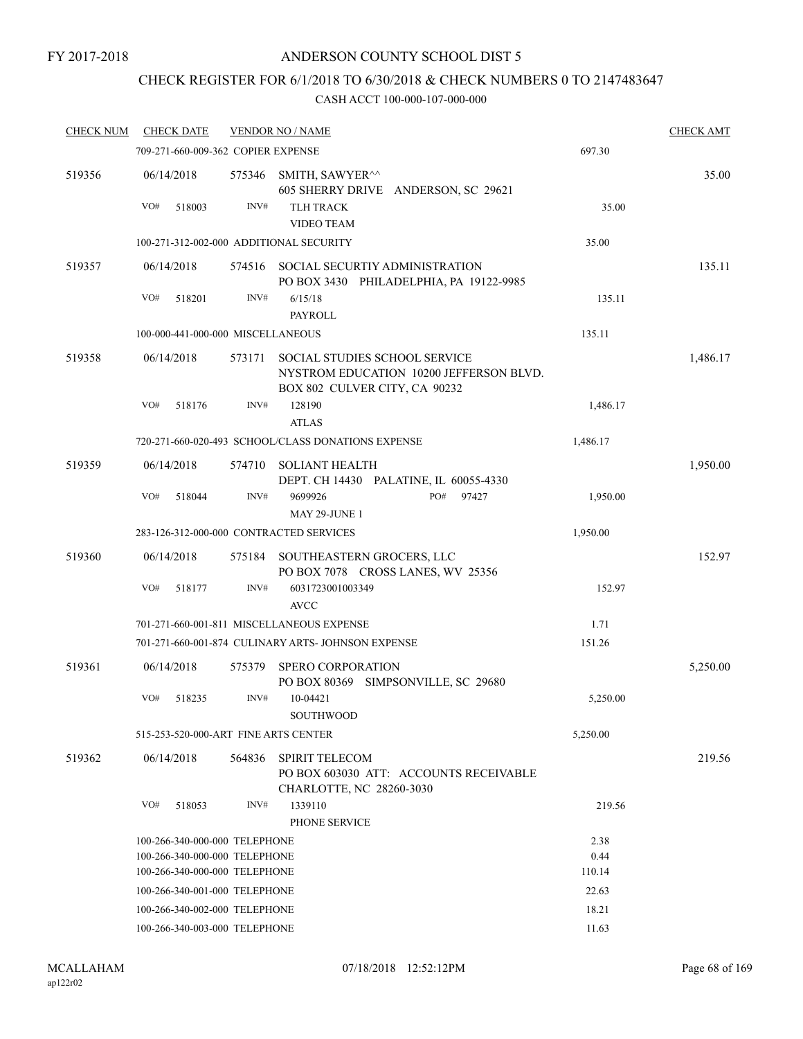## CHECK REGISTER FOR 6/1/2018 TO 6/30/2018 & CHECK NUMBERS 0 TO 2147483647

| <b>CHECK NUM</b> | <b>CHECK DATE</b>                                              |        | <b>VENDOR NO / NAME</b>                                                                                          |              | <b>CHECK AMT</b> |
|------------------|----------------------------------------------------------------|--------|------------------------------------------------------------------------------------------------------------------|--------------|------------------|
|                  | 709-271-660-009-362 COPIER EXPENSE                             |        |                                                                                                                  | 697.30       |                  |
| 519356           | 06/14/2018                                                     | 575346 | SMITH, SAWYER <sup>^^</sup><br>605 SHERRY DRIVE ANDERSON, SC 29621                                               |              | 35.00            |
|                  | VO#<br>518003                                                  | INV#   | <b>TLH TRACK</b>                                                                                                 | 35.00        |                  |
|                  |                                                                |        | <b>VIDEO TEAM</b>                                                                                                |              |                  |
|                  | 100-271-312-002-000 ADDITIONAL SECURITY                        |        |                                                                                                                  | 35.00        |                  |
| 519357           | 06/14/2018                                                     | 574516 | SOCIAL SECURTIY ADMINISTRATION<br>PO BOX 3430 PHILADELPHIA, PA 19122-9985                                        |              | 135.11           |
|                  | VO#<br>518201                                                  | INV#   | 6/15/18<br>PAYROLL                                                                                               | 135.11       |                  |
|                  | 100-000-441-000-000 MISCELLANEOUS                              |        |                                                                                                                  | 135.11       |                  |
| 519358           | 06/14/2018                                                     | 573171 | <b>SOCIAL STUDIES SCHOOL SERVICE</b><br>NYSTROM EDUCATION 10200 JEFFERSON BLVD.<br>BOX 802 CULVER CITY, CA 90232 |              | 1,486.17         |
|                  | VO#<br>518176                                                  | INV#   | 128190<br><b>ATLAS</b>                                                                                           | 1,486.17     |                  |
|                  |                                                                |        | 720-271-660-020-493 SCHOOL/CLASS DONATIONS EXPENSE                                                               | 1,486.17     |                  |
| 519359           | 06/14/2018                                                     | 574710 | <b>SOLIANT HEALTH</b><br>DEPT. CH 14430 PALATINE, IL 60055-4330                                                  |              | 1,950.00         |
|                  | VO#<br>518044                                                  | INV#   | PO#<br>9699926<br>97427<br><b>MAY 29-JUNE 1</b>                                                                  | 1,950.00     |                  |
|                  | 283-126-312-000-000 CONTRACTED SERVICES                        |        |                                                                                                                  | 1,950.00     |                  |
| 519360           | 06/14/2018                                                     | 575184 | SOUTHEASTERN GROCERS, LLC                                                                                        |              | 152.97           |
|                  |                                                                |        | PO BOX 7078 CROSS LANES, WV 25356                                                                                |              |                  |
|                  | VO#<br>518177                                                  | INV#   | 6031723001003349<br><b>AVCC</b>                                                                                  | 152.97       |                  |
|                  |                                                                |        | 701-271-660-001-811 MISCELLANEOUS EXPENSE                                                                        | 1.71         |                  |
|                  |                                                                |        | 701-271-660-001-874 CULINARY ARTS- JOHNSON EXPENSE                                                               | 151.26       |                  |
| 519361           | 06/14/2018                                                     | 575379 | <b>SPERO CORPORATION</b><br>PO BOX 80369 SIMPSONVILLE, SC 29680                                                  |              | 5,250.00         |
|                  | VO#<br>518235                                                  | INV#   | 10-04421<br><b>SOUTHWOOD</b>                                                                                     | 5,250.00     |                  |
|                  | 515-253-520-000-ART FINE ARTS CENTER                           |        |                                                                                                                  | 5,250.00     |                  |
| 519362           | 06/14/2018                                                     | 564836 | <b>SPIRIT TELECOM</b><br>PO BOX 603030 ATT: ACCOUNTS RECEIVABLE<br>CHARLOTTE, NC 28260-3030                      |              | 219.56           |
|                  | VO#<br>518053                                                  | INV#   | 1339110                                                                                                          | 219.56       |                  |
|                  |                                                                |        | PHONE SERVICE                                                                                                    |              |                  |
|                  | 100-266-340-000-000 TELEPHONE                                  |        |                                                                                                                  | 2.38<br>0.44 |                  |
|                  | 100-266-340-000-000 TELEPHONE<br>100-266-340-000-000 TELEPHONE |        |                                                                                                                  | 110.14       |                  |
|                  | 100-266-340-001-000 TELEPHONE                                  |        |                                                                                                                  | 22.63        |                  |
|                  | 100-266-340-002-000 TELEPHONE                                  |        |                                                                                                                  | 18.21        |                  |
|                  | 100-266-340-003-000 TELEPHONE                                  |        |                                                                                                                  | 11.63        |                  |
|                  |                                                                |        |                                                                                                                  |              |                  |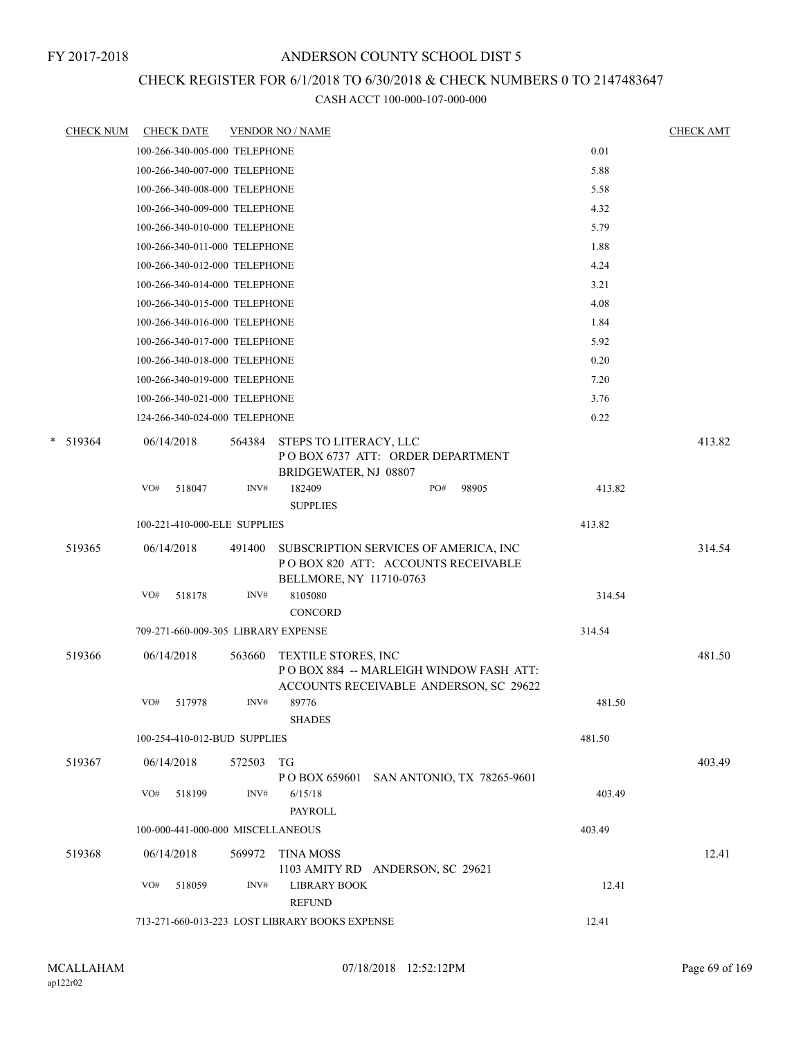## CHECK REGISTER FOR 6/1/2018 TO 6/30/2018 & CHECK NUMBERS 0 TO 2147483647

|   | <b>CHECK NUM</b> | <b>CHECK DATE</b>                              |                                   |        | <b>VENDOR NO / NAME</b>                                                                                        |  |     |       |        | <b>CHECK AMT</b> |
|---|------------------|------------------------------------------------|-----------------------------------|--------|----------------------------------------------------------------------------------------------------------------|--|-----|-------|--------|------------------|
|   |                  |                                                | 100-266-340-005-000 TELEPHONE     |        |                                                                                                                |  |     |       | 0.01   |                  |
|   |                  |                                                | 100-266-340-007-000 TELEPHONE     |        |                                                                                                                |  |     |       | 5.88   |                  |
|   |                  |                                                | 100-266-340-008-000 TELEPHONE     |        |                                                                                                                |  |     |       | 5.58   |                  |
|   |                  |                                                | 100-266-340-009-000 TELEPHONE     |        |                                                                                                                |  |     |       | 4.32   |                  |
|   |                  |                                                | 100-266-340-010-000 TELEPHONE     |        |                                                                                                                |  |     |       | 5.79   |                  |
|   |                  |                                                | 100-266-340-011-000 TELEPHONE     |        |                                                                                                                |  |     |       | 1.88   |                  |
|   |                  |                                                | 100-266-340-012-000 TELEPHONE     |        |                                                                                                                |  |     |       | 4.24   |                  |
|   |                  |                                                | 100-266-340-014-000 TELEPHONE     |        |                                                                                                                |  |     |       | 3.21   |                  |
|   |                  |                                                | 100-266-340-015-000 TELEPHONE     |        |                                                                                                                |  |     |       | 4.08   |                  |
|   |                  |                                                | 100-266-340-016-000 TELEPHONE     |        |                                                                                                                |  |     |       | 1.84   |                  |
|   |                  |                                                | 100-266-340-017-000 TELEPHONE     |        |                                                                                                                |  |     |       | 5.92   |                  |
|   |                  |                                                | 100-266-340-018-000 TELEPHONE     |        |                                                                                                                |  |     |       | 0.20   |                  |
|   |                  |                                                | 100-266-340-019-000 TELEPHONE     |        |                                                                                                                |  |     |       | 7.20   |                  |
|   |                  |                                                | 100-266-340-021-000 TELEPHONE     |        |                                                                                                                |  |     |       | 3.76   |                  |
|   |                  |                                                | 124-266-340-024-000 TELEPHONE     |        |                                                                                                                |  |     |       | 0.22   |                  |
| * | 519364           | 06/14/2018                                     |                                   | 564384 | STEPS TO LITERACY, LLC<br>POBOX 6737 ATT: ORDER DEPARTMENT<br>BRIDGEWATER, NJ 08807                            |  |     |       |        | 413.82           |
|   |                  | VO#                                            | 518047                            | INV#   | 182409<br><b>SUPPLIES</b>                                                                                      |  | PO# | 98905 | 413.82 |                  |
|   |                  |                                                | 100-221-410-000-ELE SUPPLIES      |        |                                                                                                                |  |     |       | 413.82 |                  |
|   | 519365           | 06/14/2018                                     |                                   | 491400 | SUBSCRIPTION SERVICES OF AMERICA, INC<br>POBOX 820 ATT: ACCOUNTS RECEIVABLE<br>BELLMORE, NY 11710-0763         |  |     |       |        | 314.54           |
|   |                  | VO#                                            | 518178                            | INV#   | 8105080<br><b>CONCORD</b>                                                                                      |  |     |       | 314.54 |                  |
|   |                  |                                                |                                   |        | 709-271-660-009-305 LIBRARY EXPENSE                                                                            |  |     |       | 314.54 |                  |
|   | 519366           | 06/14/2018                                     |                                   | 563660 | <b>TEXTILE STORES, INC</b><br>POBOX 884 -- MARLEIGH WINDOW FASH ATT:<br>ACCOUNTS RECEIVABLE ANDERSON, SC 29622 |  |     |       |        | 481.50           |
|   |                  | VO#                                            | 517978                            | INV#   | 89776<br><b>SHADES</b>                                                                                         |  |     |       | 481.50 |                  |
|   |                  |                                                | 100-254-410-012-BUD SUPPLIES      |        |                                                                                                                |  |     |       | 481.50 |                  |
|   | 519367           | 06/14/2018                                     |                                   | 572503 | TG<br>P O BOX 659601 SAN ANTONIO, TX 78265-9601                                                                |  |     |       |        | 403.49           |
|   |                  | VO#                                            | 518199                            | INV#   | 6/15/18<br><b>PAYROLL</b>                                                                                      |  |     |       | 403.49 |                  |
|   |                  |                                                | 100-000-441-000-000 MISCELLANEOUS |        |                                                                                                                |  |     |       | 403.49 |                  |
|   | 519368           | 06/14/2018                                     |                                   | 569972 | <b>TINA MOSS</b><br>1103 AMITY RD ANDERSON, SC 29621                                                           |  |     |       |        | 12.41            |
|   |                  | VO#                                            | 518059                            | INV#   | <b>LIBRARY BOOK</b><br><b>REFUND</b>                                                                           |  |     |       | 12.41  |                  |
|   |                  | 713-271-660-013-223 LOST LIBRARY BOOKS EXPENSE |                                   |        |                                                                                                                |  |     |       | 12.41  |                  |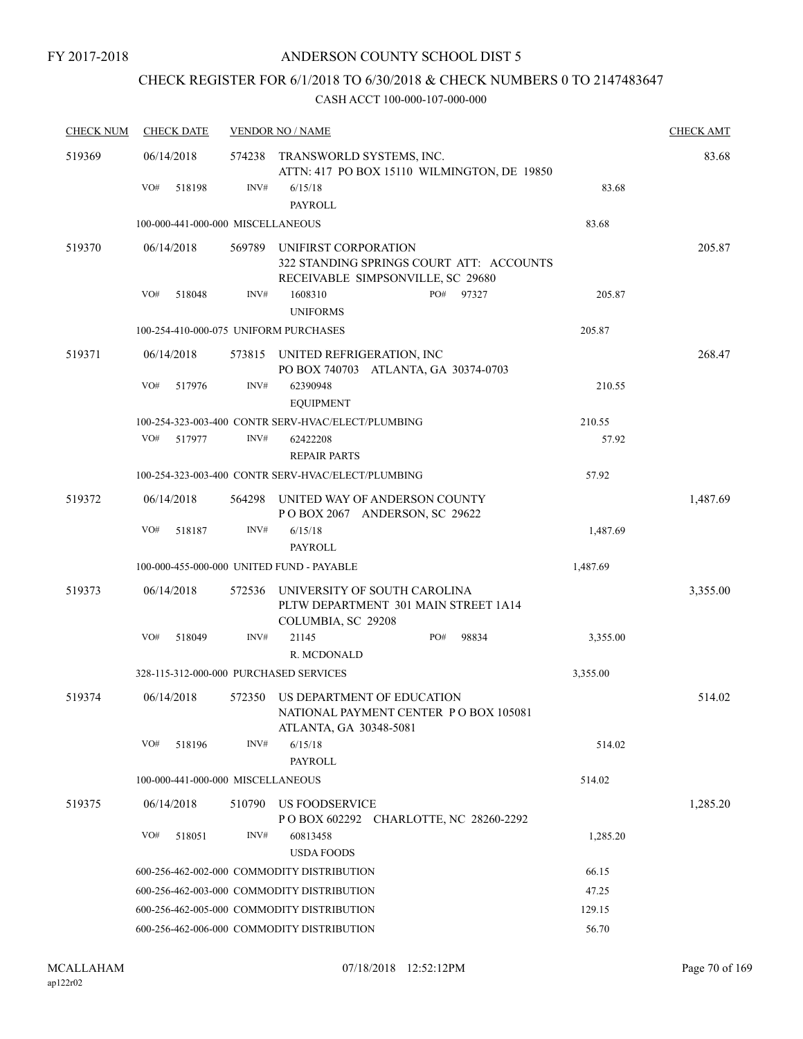# CHECK REGISTER FOR 6/1/2018 TO 6/30/2018 & CHECK NUMBERS 0 TO 2147483647

| <b>CHECK NUM</b> | <b>CHECK DATE</b> |                                                     | <b>VENDOR NO / NAME</b>                                                                               |     |       |          | <b>CHECK AMT</b> |  |  |
|------------------|-------------------|-----------------------------------------------------|-------------------------------------------------------------------------------------------------------|-----|-------|----------|------------------|--|--|
| 519369           | 06/14/2018        | 574238                                              | TRANSWORLD SYSTEMS, INC.<br>ATTN: 417 PO BOX 15110 WILMINGTON, DE 19850                               |     |       |          | 83.68            |  |  |
|                  | VO#               | INV#<br>518198                                      | 6/15/18<br><b>PAYROLL</b>                                                                             |     |       | 83.68    |                  |  |  |
|                  |                   | 100-000-441-000-000 MISCELLANEOUS                   |                                                                                                       |     |       | 83.68    |                  |  |  |
| 519370           | 06/14/2018        | 569789                                              | UNIFIRST CORPORATION<br>322 STANDING SPRINGS COURT ATT: ACCOUNTS<br>RECEIVABLE SIMPSONVILLE, SC 29680 |     |       |          | 205.87           |  |  |
|                  | VO#               | INV#<br>518048                                      | 1608310<br><b>UNIFORMS</b>                                                                            | PO# | 97327 | 205.87   |                  |  |  |
|                  |                   | 100-254-410-000-075 UNIFORM PURCHASES               |                                                                                                       |     |       | 205.87   |                  |  |  |
| 519371           | 06/14/2018        |                                                     | 573815 UNITED REFRIGERATION, INC<br>PO BOX 740703 ATLANTA, GA 30374-0703                              |     |       |          | 268.47           |  |  |
|                  | VO#               | INV#<br>517976                                      | 62390948<br><b>EQUIPMENT</b>                                                                          |     |       | 210.55   |                  |  |  |
|                  |                   |                                                     | 100-254-323-003-400 CONTR SERV-HVAC/ELECT/PLUMBING                                                    |     |       | 210.55   |                  |  |  |
|                  | VO#               | 517977<br>INV#                                      | 62422208<br><b>REPAIR PARTS</b>                                                                       |     |       | 57.92    |                  |  |  |
|                  |                   |                                                     | 100-254-323-003-400 CONTR SERV-HVAC/ELECT/PLUMBING                                                    |     |       | 57.92    |                  |  |  |
| 519372           | 06/14/2018        | 564298                                              | UNITED WAY OF ANDERSON COUNTY<br>POBOX 2067 ANDERSON, SC 29622                                        |     |       |          | 1,487.69         |  |  |
|                  | VO#               | INV#<br>518187                                      | 6/15/18<br>PAYROLL                                                                                    |     |       | 1,487.69 |                  |  |  |
|                  |                   |                                                     | 100-000-455-000-000 UNITED FUND - PAYABLE                                                             |     |       | 1,487.69 |                  |  |  |
| 519373           | 06/14/2018        | 572536                                              | UNIVERSITY OF SOUTH CAROLINA<br>PLTW DEPARTMENT 301 MAIN STREET 1A14<br>COLUMBIA, SC 29208            |     |       |          | 3,355.00         |  |  |
|                  | VO#               | 518049<br>INV#                                      | 21145<br>R. MCDONALD                                                                                  | PO# | 98834 | 3,355.00 |                  |  |  |
|                  |                   | 328-115-312-000-000 PURCHASED SERVICES              |                                                                                                       |     |       | 3,355.00 |                  |  |  |
| 519374           | 06/14/2018        |                                                     | 572350 US DEPARTMENT OF EDUCATION<br>NATIONAL PAYMENT CENTER PO BOX 105081<br>ATLANTA, GA 30348-5081  |     |       |          | 514.02           |  |  |
|                  | VO#               | INV#<br>518196                                      | 6/15/18<br>PAYROLL                                                                                    |     |       | 514.02   |                  |  |  |
|                  |                   | 100-000-441-000-000 MISCELLANEOUS                   |                                                                                                       |     |       | 514.02   |                  |  |  |
| 519375           | 06/14/2018        | 510790                                              | US FOODSERVICE<br>P O BOX 602292 CHARLOTTE, NC 28260-2292                                             |     |       |          | 1,285.20         |  |  |
|                  | VO#               | 518051<br>INV#                                      | 60813458<br><b>USDA FOODS</b>                                                                         |     |       | 1,285.20 |                  |  |  |
|                  |                   |                                                     | 600-256-462-002-000 COMMODITY DISTRIBUTION                                                            |     |       | 66.15    |                  |  |  |
|                  |                   |                                                     | 600-256-462-003-000 COMMODITY DISTRIBUTION                                                            |     |       | 47.25    |                  |  |  |
|                  |                   |                                                     | 600-256-462-005-000 COMMODITY DISTRIBUTION                                                            |     |       | 129.15   |                  |  |  |
|                  |                   | 56.70<br>600-256-462-006-000 COMMODITY DISTRIBUTION |                                                                                                       |     |       |          |                  |  |  |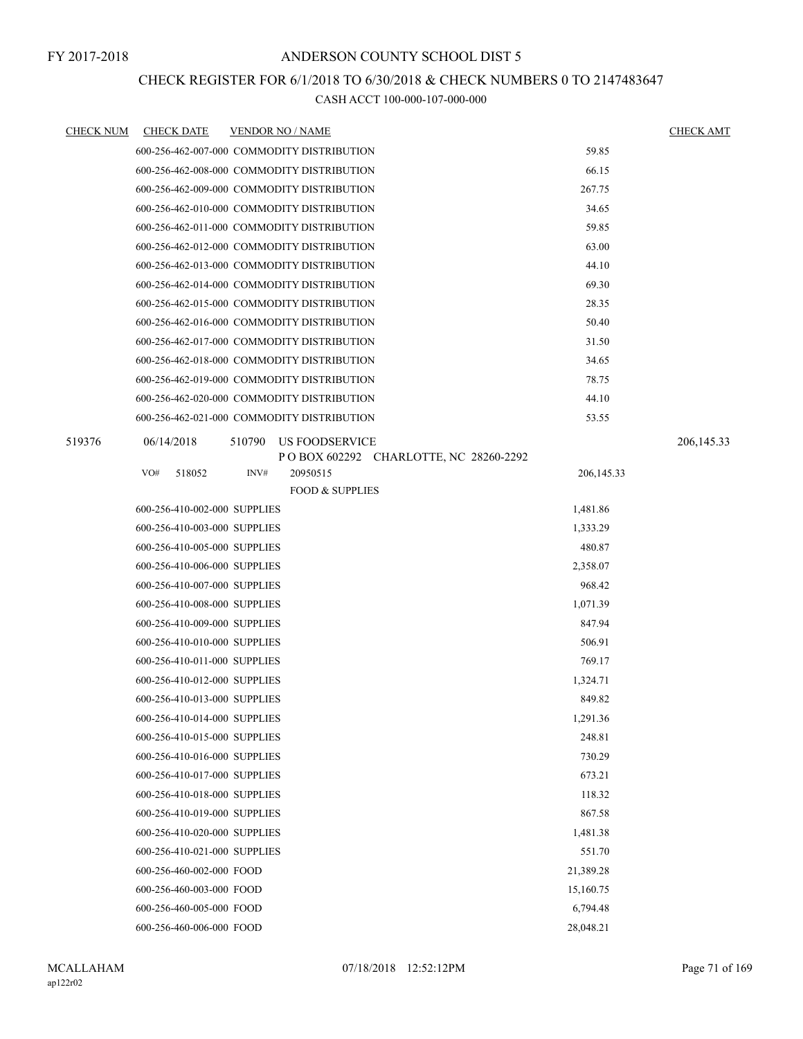## CHECK REGISTER FOR 6/1/2018 TO 6/30/2018 & CHECK NUMBERS 0 TO 2147483647

| <b>CHECK NUM</b> | <b>CHECK DATE</b>            | <u>VENDOR NO / NAME</u>                    |              | <b>CHECK AMT</b> |
|------------------|------------------------------|--------------------------------------------|--------------|------------------|
|                  |                              | 600-256-462-007-000 COMMODITY DISTRIBUTION | 59.85        |                  |
|                  |                              | 600-256-462-008-000 COMMODITY DISTRIBUTION | 66.15        |                  |
|                  |                              | 600-256-462-009-000 COMMODITY DISTRIBUTION | 267.75       |                  |
|                  |                              | 600-256-462-010-000 COMMODITY DISTRIBUTION | 34.65        |                  |
|                  |                              | 600-256-462-011-000 COMMODITY DISTRIBUTION | 59.85        |                  |
|                  |                              | 600-256-462-012-000 COMMODITY DISTRIBUTION | 63.00        |                  |
|                  |                              | 600-256-462-013-000 COMMODITY DISTRIBUTION | 44.10        |                  |
|                  |                              | 600-256-462-014-000 COMMODITY DISTRIBUTION | 69.30        |                  |
|                  |                              | 600-256-462-015-000 COMMODITY DISTRIBUTION | 28.35        |                  |
|                  |                              | 600-256-462-016-000 COMMODITY DISTRIBUTION | 50.40        |                  |
|                  |                              | 600-256-462-017-000 COMMODITY DISTRIBUTION | 31.50        |                  |
|                  |                              | 600-256-462-018-000 COMMODITY DISTRIBUTION | 34.65        |                  |
|                  |                              | 600-256-462-019-000 COMMODITY DISTRIBUTION | 78.75        |                  |
|                  |                              | 600-256-462-020-000 COMMODITY DISTRIBUTION | 44.10        |                  |
|                  |                              | 600-256-462-021-000 COMMODITY DISTRIBUTION | 53.55        |                  |
| 519376           | 06/14/2018                   | 510790<br>US FOODSERVICE                   |              | 206, 145.33      |
|                  |                              | POBOX 602292 CHARLOTTE, NC 28260-2292      |              |                  |
|                  | VO#<br>518052                | INV#<br>20950515                           | 206, 145. 33 |                  |
|                  |                              | <b>FOOD &amp; SUPPLIES</b>                 |              |                  |
|                  | 600-256-410-002-000 SUPPLIES |                                            | 1,481.86     |                  |
|                  | 600-256-410-003-000 SUPPLIES |                                            | 1,333.29     |                  |
|                  | 600-256-410-005-000 SUPPLIES |                                            | 480.87       |                  |
|                  | 600-256-410-006-000 SUPPLIES |                                            | 2,358.07     |                  |
|                  | 600-256-410-007-000 SUPPLIES |                                            | 968.42       |                  |
|                  | 600-256-410-008-000 SUPPLIES |                                            | 1,071.39     |                  |
|                  | 600-256-410-009-000 SUPPLIES |                                            | 847.94       |                  |
|                  | 600-256-410-010-000 SUPPLIES |                                            | 506.91       |                  |
|                  | 600-256-410-011-000 SUPPLIES |                                            | 769.17       |                  |
|                  | 600-256-410-012-000 SUPPLIES |                                            | 1,324.71     |                  |
|                  | 600-256-410-013-000 SUPPLIES |                                            | 849.82       |                  |
|                  | 600-256-410-014-000 SUPPLIES |                                            | 1,291.36     |                  |
|                  | 600-256-410-015-000 SUPPLIES |                                            | 248.81       |                  |
|                  | 600-256-410-016-000 SUPPLIES |                                            | 730.29       |                  |
|                  | 600-256-410-017-000 SUPPLIES |                                            | 673.21       |                  |
|                  | 600-256-410-018-000 SUPPLIES |                                            | 118.32       |                  |
|                  | 600-256-410-019-000 SUPPLIES |                                            | 867.58       |                  |
|                  | 600-256-410-020-000 SUPPLIES |                                            | 1,481.38     |                  |
|                  | 600-256-410-021-000 SUPPLIES |                                            | 551.70       |                  |
|                  | 600-256-460-002-000 FOOD     |                                            | 21,389.28    |                  |
|                  | 600-256-460-003-000 FOOD     |                                            | 15,160.75    |                  |
|                  | 600-256-460-005-000 FOOD     |                                            | 6,794.48     |                  |
|                  | 600-256-460-006-000 FOOD     |                                            | 28,048.21    |                  |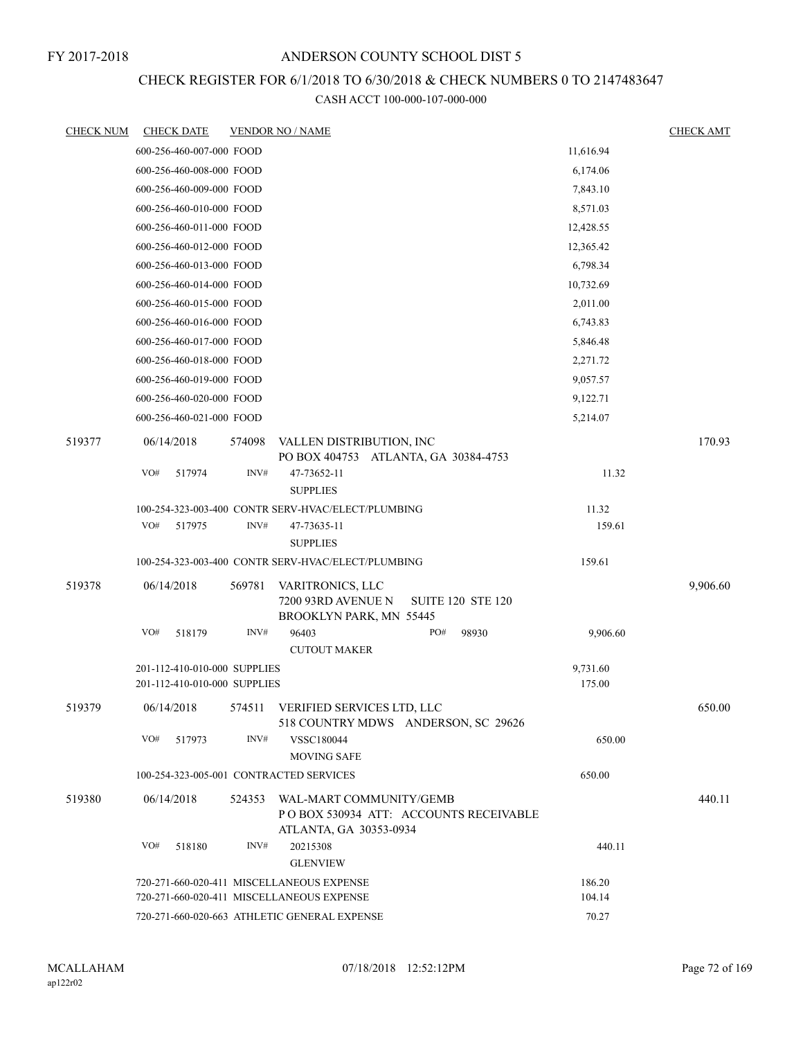## CHECK REGISTER FOR 6/1/2018 TO 6/30/2018 & CHECK NUMBERS 0 TO 2147483647

| <b>CHECK NUM</b> | <b>CHECK DATE</b>                                            |        | <b>VENDOR NO / NAME</b>                                                                           |     |                          |                    | <b>CHECK AMT</b> |
|------------------|--------------------------------------------------------------|--------|---------------------------------------------------------------------------------------------------|-----|--------------------------|--------------------|------------------|
|                  | 600-256-460-007-000 FOOD                                     |        |                                                                                                   |     |                          | 11,616.94          |                  |
|                  | 600-256-460-008-000 FOOD                                     |        |                                                                                                   |     |                          | 6,174.06           |                  |
|                  | 600-256-460-009-000 FOOD                                     |        |                                                                                                   |     |                          | 7,843.10           |                  |
|                  | 600-256-460-010-000 FOOD                                     |        |                                                                                                   |     |                          | 8,571.03           |                  |
|                  | 600-256-460-011-000 FOOD                                     |        |                                                                                                   |     |                          | 12,428.55          |                  |
|                  | 600-256-460-012-000 FOOD                                     |        |                                                                                                   |     |                          | 12,365.42          |                  |
|                  | 600-256-460-013-000 FOOD                                     |        |                                                                                                   |     |                          | 6,798.34           |                  |
|                  | 600-256-460-014-000 FOOD                                     |        |                                                                                                   |     |                          | 10,732.69          |                  |
|                  | 600-256-460-015-000 FOOD                                     |        |                                                                                                   |     |                          | 2,011.00           |                  |
|                  | 600-256-460-016-000 FOOD                                     |        |                                                                                                   |     |                          | 6,743.83           |                  |
|                  | 600-256-460-017-000 FOOD                                     |        |                                                                                                   |     |                          | 5,846.48           |                  |
|                  | 600-256-460-018-000 FOOD                                     |        |                                                                                                   |     |                          | 2,271.72           |                  |
|                  | 600-256-460-019-000 FOOD                                     |        |                                                                                                   |     |                          | 9,057.57           |                  |
|                  | 600-256-460-020-000 FOOD                                     |        |                                                                                                   |     |                          | 9,122.71           |                  |
|                  | 600-256-460-021-000 FOOD                                     |        |                                                                                                   |     |                          | 5,214.07           |                  |
| 519377           | 06/14/2018                                                   | 574098 | VALLEN DISTRIBUTION, INC<br>PO BOX 404753 ATLANTA, GA 30384-4753                                  |     |                          |                    | 170.93           |
|                  | VO#<br>517974                                                | INV#   | 47-73652-11<br><b>SUPPLIES</b>                                                                    |     |                          | 11.32              |                  |
|                  |                                                              |        | 100-254-323-003-400 CONTR SERV-HVAC/ELECT/PLUMBING                                                |     |                          | 11.32              |                  |
|                  | VO#<br>517975                                                | INV#   | 47-73635-11<br><b>SUPPLIES</b>                                                                    |     |                          | 159.61             |                  |
|                  |                                                              |        | 100-254-323-003-400 CONTR SERV-HVAC/ELECT/PLUMBING                                                |     |                          | 159.61             |                  |
| 519378           | 06/14/2018                                                   | 569781 | VARITRONICS, LLC<br>7200 93RD AVENUE N<br>BROOKLYN PARK, MN 55445                                 |     | <b>SUITE 120 STE 120</b> |                    | 9,906.60         |
|                  | VO#<br>518179                                                | INV#   | 96403<br><b>CUTOUT MAKER</b>                                                                      | PO# | 98930                    | 9,906.60           |                  |
|                  | 201-112-410-010-000 SUPPLIES<br>201-112-410-010-000 SUPPLIES |        |                                                                                                   |     |                          | 9,731.60<br>175.00 |                  |
| 519379           | 06/14/2018                                                   |        | 574511 VERIFIED SERVICES LTD, LLC<br>518 COUNTRY MDWS ANDERSON, SC 29626                          |     |                          |                    | 650.00           |
|                  | VO#<br>517973                                                | INV#   | <b>VSSC180044</b><br>MOVING SAFE                                                                  |     |                          | 650.00             |                  |
|                  | 100-254-323-005-001 CONTRACTED SERVICES                      |        |                                                                                                   |     |                          | 650.00             |                  |
| 519380           | 06/14/2018                                                   |        | 524353 WAL-MART COMMUNITY/GEMB<br>POBOX 530934 ATT: ACCOUNTS RECEIVABLE<br>ATLANTA, GA 30353-0934 |     |                          |                    | 440.11           |
|                  | VO#<br>518180                                                | INV#   | 20215308<br><b>GLENVIEW</b>                                                                       |     |                          | 440.11             |                  |
|                  |                                                              |        | 720-271-660-020-411 MISCELLANEOUS EXPENSE                                                         |     |                          | 186.20             |                  |
|                  |                                                              |        | 720-271-660-020-411 MISCELLANEOUS EXPENSE                                                         |     |                          | 104.14             |                  |
|                  |                                                              |        | 720-271-660-020-663 ATHLETIC GENERAL EXPENSE                                                      |     |                          | 70.27              |                  |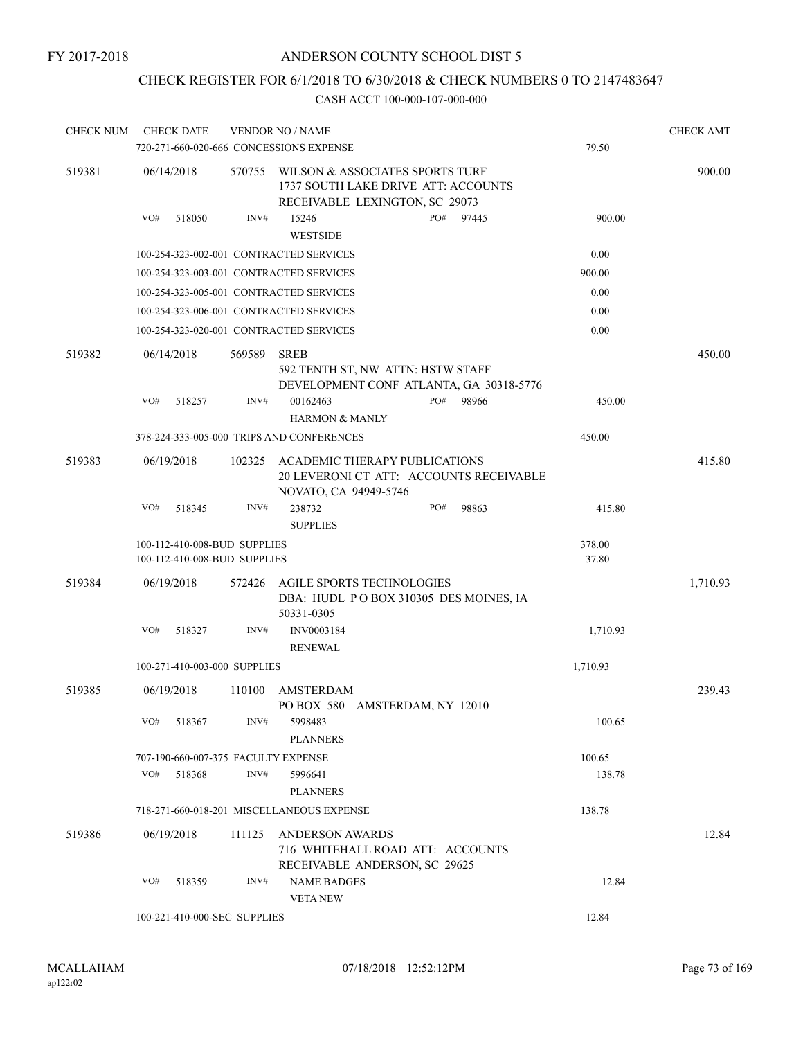## CHECK REGISTER FOR 6/1/2018 TO 6/30/2018 & CHECK NUMBERS 0 TO 2147483647

| <b>CHECK NUM</b> |     | <b>CHECK DATE</b>                                            |        | <b>VENDOR NO / NAME</b><br>720-271-660-020-666 CONCESSIONS EXPENSE                                       |  |     |       | 79.50           | <b>CHECK AMT</b> |
|------------------|-----|--------------------------------------------------------------|--------|----------------------------------------------------------------------------------------------------------|--|-----|-------|-----------------|------------------|
| 519381           |     | 06/14/2018                                                   | 570755 | WILSON & ASSOCIATES SPORTS TURF<br>1737 SOUTH LAKE DRIVE ATT: ACCOUNTS<br>RECEIVABLE LEXINGTON, SC 29073 |  |     |       |                 | 900.00           |
|                  | VO# | 518050                                                       | INV#   | 15246<br>PO#<br><b>WESTSIDE</b>                                                                          |  |     | 97445 | 900.00          |                  |
|                  |     |                                                              |        | 100-254-323-002-001 CONTRACTED SERVICES                                                                  |  |     |       | 0.00            |                  |
|                  |     |                                                              |        | 100-254-323-003-001 CONTRACTED SERVICES                                                                  |  |     |       | 900.00          |                  |
|                  |     |                                                              |        | 100-254-323-005-001 CONTRACTED SERVICES                                                                  |  |     |       | 0.00            |                  |
|                  |     |                                                              |        | 100-254-323-006-001 CONTRACTED SERVICES                                                                  |  |     |       | 0.00            |                  |
|                  |     |                                                              |        | 100-254-323-020-001 CONTRACTED SERVICES                                                                  |  |     |       | 0.00            |                  |
| 519382           |     | 06/14/2018                                                   | 569589 | <b>SREB</b><br>592 TENTH ST, NW ATTN: HSTW STAFF<br>DEVELOPMENT CONF ATLANTA, GA 30318-5776              |  |     |       |                 | 450.00           |
|                  | VO# | 518257                                                       | INV#   | 00162463<br><b>HARMON &amp; MANLY</b>                                                                    |  | PO# | 98966 | 450.00          |                  |
|                  |     |                                                              |        | 378-224-333-005-000 TRIPS AND CONFERENCES                                                                |  |     |       | 450.00          |                  |
| 519383           |     | 06/19/2018                                                   | 102325 | ACADEMIC THERAPY PUBLICATIONS<br>20 LEVERONI CT ATT: ACCOUNTS RECEIVABLE<br>NOVATO, CA 94949-5746        |  |     |       |                 | 415.80           |
|                  | VO# | 518345                                                       | INV#   | 238732<br><b>SUPPLIES</b>                                                                                |  | PO# | 98863 | 415.80          |                  |
|                  |     | 100-112-410-008-BUD SUPPLIES<br>100-112-410-008-BUD SUPPLIES |        |                                                                                                          |  |     |       | 378.00<br>37.80 |                  |
| 519384           |     | 06/19/2018                                                   | 572426 | AGILE SPORTS TECHNOLOGIES<br>DBA: HUDL PO BOX 310305 DES MOINES, IA<br>50331-0305                        |  |     |       |                 | 1,710.93         |
|                  | VO# | 518327                                                       | INV#   | INV0003184<br><b>RENEWAL</b>                                                                             |  |     |       | 1,710.93        |                  |
|                  |     | 100-271-410-003-000 SUPPLIES                                 |        |                                                                                                          |  |     |       | 1,710.93        |                  |
| 519385           |     | 06/19/2018                                                   | 110100 | AMSTERDAM<br>PO BOX 580 AMSTERDAM, NY 12010                                                              |  |     |       |                 | 239.43           |
|                  | VO# | 518367                                                       | INV#   | 5998483<br><b>PLANNERS</b>                                                                               |  |     |       | 100.65          |                  |
|                  |     | 707-190-660-007-375 FACULTY EXPENSE                          |        |                                                                                                          |  |     |       | 100.65          |                  |
|                  | VO# | 518368                                                       | INV#   | 5996641                                                                                                  |  |     |       | 138.78          |                  |
|                  |     |                                                              |        | <b>PLANNERS</b>                                                                                          |  |     |       |                 |                  |
|                  |     |                                                              |        | 718-271-660-018-201 MISCELLANEOUS EXPENSE                                                                |  |     |       | 138.78          |                  |
| 519386           |     | 06/19/2018                                                   | 111125 | <b>ANDERSON AWARDS</b><br>716 WHITEHALL ROAD ATT: ACCOUNTS<br>RECEIVABLE ANDERSON, SC 29625              |  |     |       |                 | 12.84            |
|                  | VO# | 518359                                                       | INV#   | <b>NAME BADGES</b><br><b>VETANEW</b>                                                                     |  |     |       | 12.84           |                  |
|                  |     | 100-221-410-000-SEC SUPPLIES                                 |        |                                                                                                          |  |     |       | 12.84           |                  |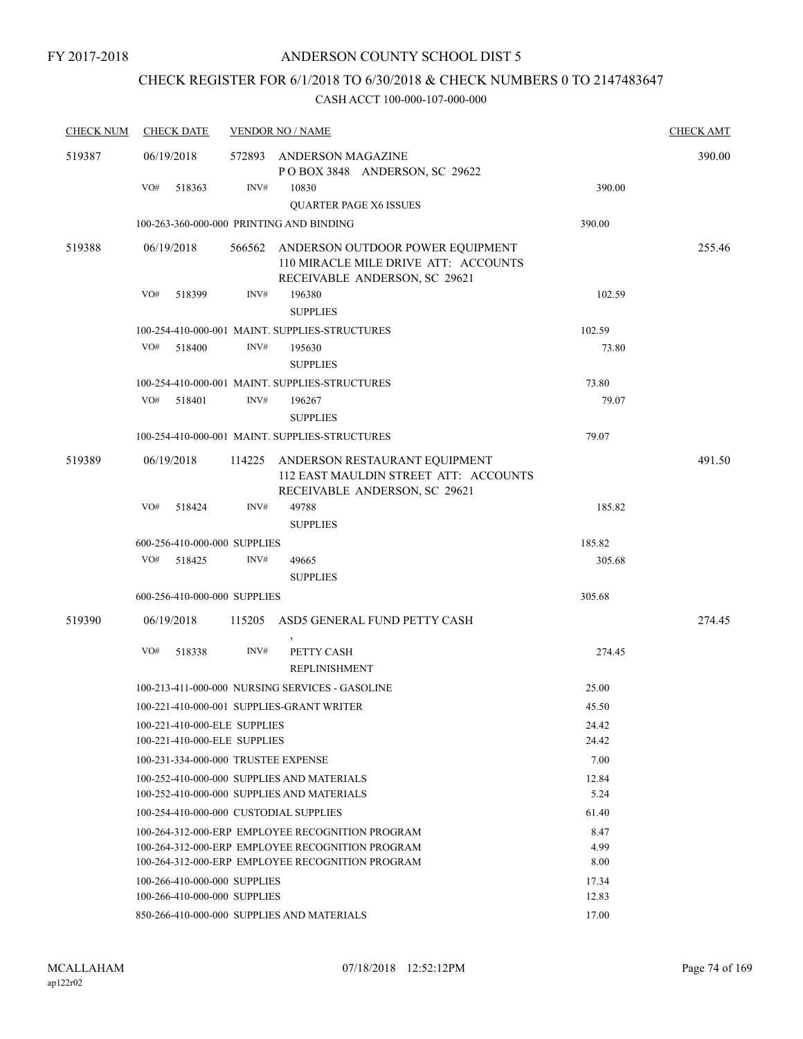## CHECK REGISTER FOR 6/1/2018 TO 6/30/2018 & CHECK NUMBERS 0 TO 2147483647

| <b>CHECK NUM</b> | <b>CHECK DATE</b>                                            |        | <b>VENDOR NO / NAME</b>                                                                                   |                | <b>CHECK AMT</b> |
|------------------|--------------------------------------------------------------|--------|-----------------------------------------------------------------------------------------------------------|----------------|------------------|
| 519387           | 06/19/2018                                                   | 572893 | ANDERSON MAGAZINE<br>POBOX 3848 ANDERSON, SC 29622                                                        |                | 390.00           |
|                  | VO#<br>518363                                                | INV#   | 10830<br><b>QUARTER PAGE X6 ISSUES</b>                                                                    | 390.00         |                  |
|                  | 100-263-360-000-000 PRINTING AND BINDING                     |        |                                                                                                           | 390.00         |                  |
| 519388           | 06/19/2018                                                   | 566562 | ANDERSON OUTDOOR POWER EQUIPMENT<br>110 MIRACLE MILE DRIVE ATT: ACCOUNTS<br>RECEIVABLE ANDERSON, SC 29621 |                | 255.46           |
|                  | VO#<br>518399                                                | INV#   | 196380<br><b>SUPPLIES</b>                                                                                 | 102.59         |                  |
|                  |                                                              |        | 100-254-410-000-001 MAINT. SUPPLIES-STRUCTURES                                                            | 102.59         |                  |
|                  | VO#<br>518400                                                | INV#   | 195630<br><b>SUPPLIES</b>                                                                                 | 73.80          |                  |
|                  |                                                              |        | 100-254-410-000-001 MAINT. SUPPLIES-STRUCTURES                                                            | 73.80          |                  |
|                  | VO#<br>518401                                                | INV#   | 196267<br><b>SUPPLIES</b>                                                                                 | 79.07          |                  |
|                  |                                                              |        | 100-254-410-000-001 MAINT. SUPPLIES-STRUCTURES                                                            | 79.07          |                  |
| 519389           | 06/19/2018                                                   | 114225 | ANDERSON RESTAURANT EQUIPMENT<br>112 EAST MAULDIN STREET ATT: ACCOUNTS<br>RECEIVABLE ANDERSON, SC 29621   |                | 491.50           |
|                  | VO#<br>518424                                                | INV#   | 49788<br><b>SUPPLIES</b>                                                                                  | 185.82         |                  |
|                  | 600-256-410-000-000 SUPPLIES                                 |        |                                                                                                           | 185.82         |                  |
|                  | VO#<br>518425                                                | INV#   | 49665<br><b>SUPPLIES</b>                                                                                  | 305.68         |                  |
|                  | 600-256-410-000-000 SUPPLIES                                 |        |                                                                                                           | 305.68         |                  |
| 519390           | 06/19/2018                                                   | 115205 | ASD5 GENERAL FUND PETTY CASH                                                                              |                | 274.45           |
|                  | VO#<br>518338                                                | INV#   | PETTY CASH<br><b>REPLINISHMENT</b>                                                                        | 274.45         |                  |
|                  |                                                              |        | 100-213-411-000-000 NURSING SERVICES - GASOLINE                                                           | 25.00          |                  |
|                  |                                                              |        | 100-221-410-000-001 SUPPLIES-GRANT WRITER                                                                 | 45.50          |                  |
|                  | 100-221-410-000-ELE SUPPLIES<br>100-221-410-000-ELE SUPPLIES |        |                                                                                                           | 24.42<br>24.42 |                  |
|                  | 100-231-334-000-000 TRUSTEE EXPENSE                          |        |                                                                                                           | 7.00           |                  |
|                  |                                                              |        | 100-252-410-000-000 SUPPLIES AND MATERIALS<br>100-252-410-000-000 SUPPLIES AND MATERIALS                  | 12.84<br>5.24  |                  |
|                  | 100-254-410-000-000 CUSTODIAL SUPPLIES                       |        |                                                                                                           | 61.40          |                  |
|                  |                                                              |        | 100-264-312-000-ERP EMPLOYEE RECOGNITION PROGRAM<br>100-264-312-000-ERP EMPLOYEE RECOGNITION PROGRAM      | 8.47<br>4.99   |                  |
|                  |                                                              |        | 100-264-312-000-ERP EMPLOYEE RECOGNITION PROGRAM                                                          | 8.00           |                  |
|                  | 100-266-410-000-000 SUPPLIES                                 |        |                                                                                                           | 17.34          |                  |
|                  | 100-266-410-000-000 SUPPLIES                                 |        | 850-266-410-000-000 SUPPLIES AND MATERIALS                                                                | 12.83<br>17.00 |                  |
|                  |                                                              |        |                                                                                                           |                |                  |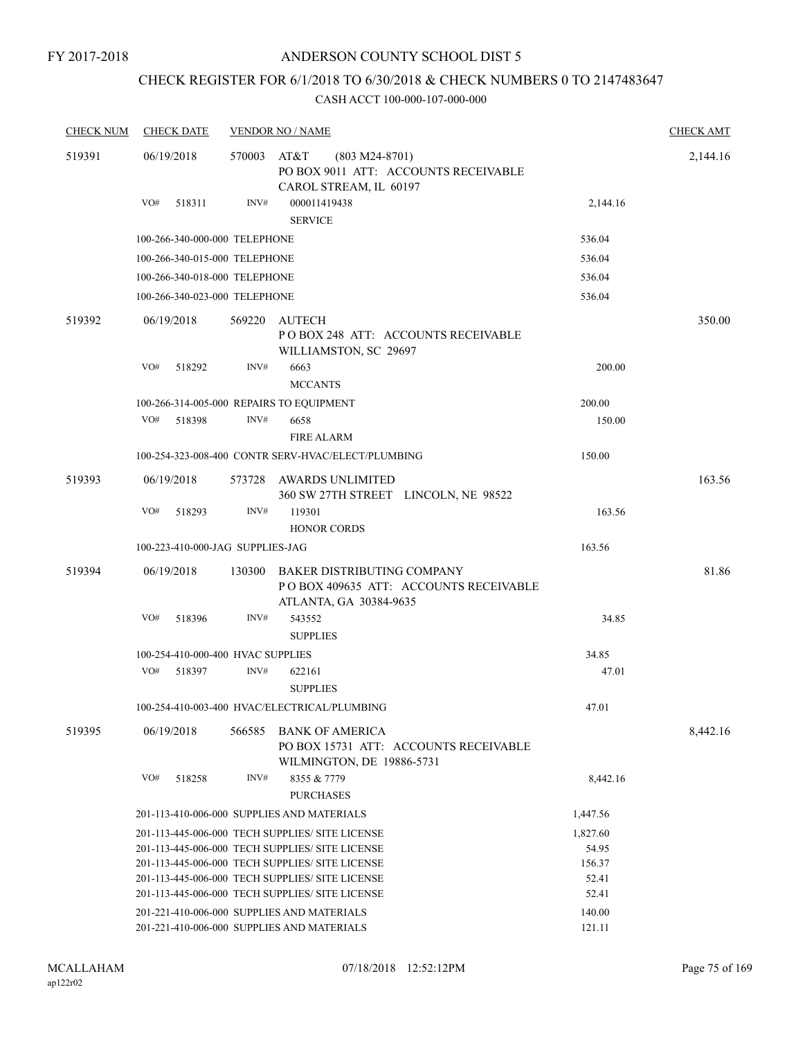## ANDERSON COUNTY SCHOOL DIST 5

# CHECK REGISTER FOR 6/1/2018 TO 6/30/2018 & CHECK NUMBERS 0 TO 2147483647

| <b>CHECK NUM</b> | <b>CHECK DATE</b>                 |        | <b>VENDOR NO / NAME</b>                                                                                                                                                                                                                                     |                                               | <b>CHECK AMT</b> |
|------------------|-----------------------------------|--------|-------------------------------------------------------------------------------------------------------------------------------------------------------------------------------------------------------------------------------------------------------------|-----------------------------------------------|------------------|
| 519391           | 06/19/2018                        | 570003 | AT&T<br>$(803 M24-8701)$<br>PO BOX 9011 ATT: ACCOUNTS RECEIVABLE<br>CAROL STREAM, IL 60197                                                                                                                                                                  |                                               | 2,144.16         |
|                  | VO#<br>518311                     | INV#   | 000011419438<br><b>SERVICE</b>                                                                                                                                                                                                                              | 2,144.16                                      |                  |
|                  | 100-266-340-000-000 TELEPHONE     |        |                                                                                                                                                                                                                                                             | 536.04                                        |                  |
|                  | 100-266-340-015-000 TELEPHONE     |        |                                                                                                                                                                                                                                                             | 536.04                                        |                  |
|                  | 100-266-340-018-000 TELEPHONE     |        |                                                                                                                                                                                                                                                             | 536.04                                        |                  |
|                  | 100-266-340-023-000 TELEPHONE     |        |                                                                                                                                                                                                                                                             | 536.04                                        |                  |
| 519392           | 06/19/2018                        | 569220 | <b>AUTECH</b><br>POBOX 248 ATT: ACCOUNTS RECEIVABLE<br>WILLIAMSTON, SC 29697                                                                                                                                                                                |                                               | 350.00           |
|                  | VO#<br>518292                     | INV#   | 6663<br><b>MCCANTS</b>                                                                                                                                                                                                                                      | 200.00                                        |                  |
|                  |                                   |        | 100-266-314-005-000 REPAIRS TO EQUIPMENT                                                                                                                                                                                                                    | 200.00                                        |                  |
|                  | VO#<br>518398                     | INV#   | 6658<br><b>FIRE ALARM</b>                                                                                                                                                                                                                                   | 150.00                                        |                  |
|                  |                                   |        | 100-254-323-008-400 CONTR SERV-HVAC/ELECT/PLUMBING                                                                                                                                                                                                          | 150.00                                        |                  |
| 519393           | 06/19/2018                        | 573728 | AWARDS UNLIMITED<br>360 SW 27TH STREET LINCOLN, NE 98522                                                                                                                                                                                                    |                                               | 163.56           |
|                  | VO#<br>518293                     | INV#   | 119301<br><b>HONOR CORDS</b>                                                                                                                                                                                                                                | 163.56                                        |                  |
|                  | 100-223-410-000-JAG SUPPLIES-JAG  |        |                                                                                                                                                                                                                                                             | 163.56                                        |                  |
| 519394           | 06/19/2018                        | 130300 | <b>BAKER DISTRIBUTING COMPANY</b><br>POBOX 409635 ATT: ACCOUNTS RECEIVABLE<br>ATLANTA, GA 30384-9635                                                                                                                                                        |                                               | 81.86            |
|                  | VO#<br>518396                     | INV#   | 543552<br><b>SUPPLIES</b>                                                                                                                                                                                                                                   | 34.85                                         |                  |
|                  | 100-254-410-000-400 HVAC SUPPLIES |        |                                                                                                                                                                                                                                                             | 34.85                                         |                  |
|                  | VO#<br>518397                     | INV#   | 622161<br><b>SUPPLIES</b>                                                                                                                                                                                                                                   | 47.01                                         |                  |
|                  |                                   |        | 100-254-410-003-400 HVAC/ELECTRICAL/PLUMBING                                                                                                                                                                                                                | 47.01                                         |                  |
| 519395           | 06/19/2018                        | 566585 | <b>BANK OF AMERICA</b><br>PO BOX 15731 ATT: ACCOUNTS RECEIVABLE<br>WILMINGTON, DE 19886-5731                                                                                                                                                                |                                               | 8,442.16         |
|                  | VO#<br>518258                     | INV#   | 8355 & 7779<br><b>PURCHASES</b>                                                                                                                                                                                                                             | 8,442.16                                      |                  |
|                  |                                   |        | 201-113-410-006-000 SUPPLIES AND MATERIALS                                                                                                                                                                                                                  | 1,447.56                                      |                  |
|                  |                                   |        | 201-113-445-006-000 TECH SUPPLIES/ SITE LICENSE<br>201-113-445-006-000 TECH SUPPLIES/ SITE LICENSE<br>201-113-445-006-000 TECH SUPPLIES/ SITE LICENSE<br>201-113-445-006-000 TECH SUPPLIES/ SITE LICENSE<br>201-113-445-006-000 TECH SUPPLIES/ SITE LICENSE | 1,827.60<br>54.95<br>156.37<br>52.41<br>52.41 |                  |
|                  |                                   |        | 201-221-410-006-000 SUPPLIES AND MATERIALS<br>201-221-410-006-000 SUPPLIES AND MATERIALS                                                                                                                                                                    | 140.00<br>121.11                              |                  |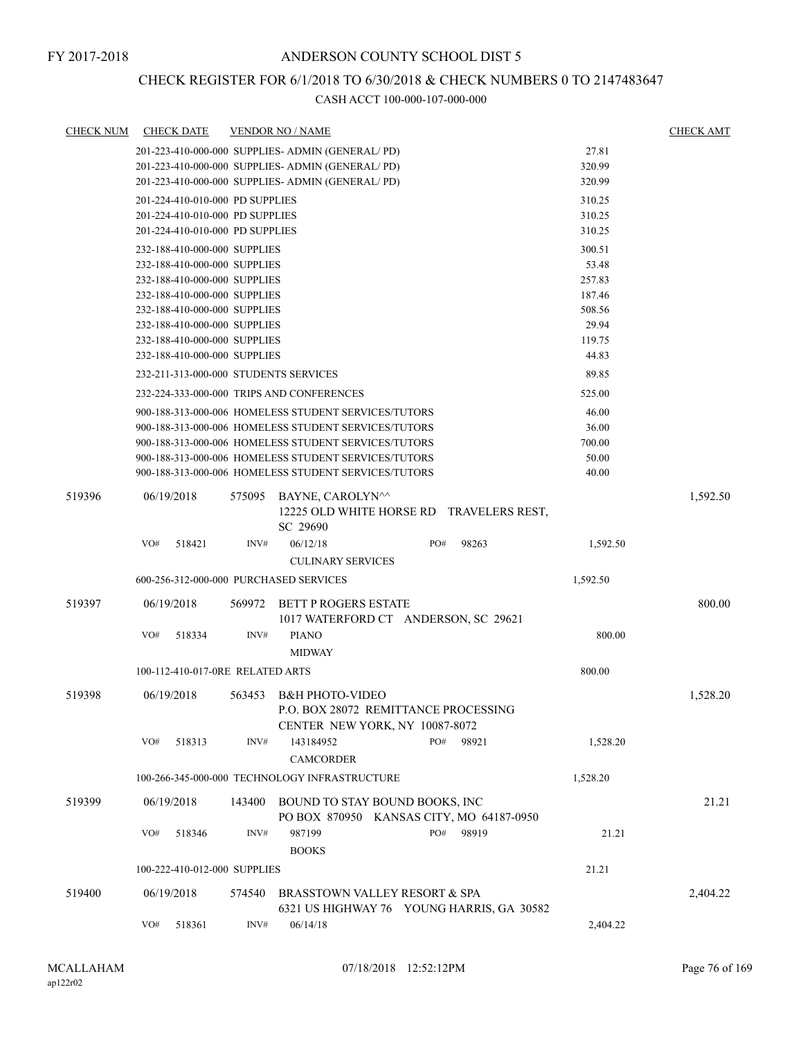## CHECK REGISTER FOR 6/1/2018 TO 6/30/2018 & CHECK NUMBERS 0 TO 2147483647

| <b>CHECK NUM</b> | <b>CHECK DATE</b>                      |        | <b>VENDOR NO / NAME</b>                                                                          |        |       |          | <b>CHECK AMT</b> |
|------------------|----------------------------------------|--------|--------------------------------------------------------------------------------------------------|--------|-------|----------|------------------|
|                  |                                        |        | 201-223-410-000-000 SUPPLIES- ADMIN (GENERAL/PD)                                                 |        |       | 27.81    |                  |
|                  |                                        |        | 201-223-410-000-000 SUPPLIES- ADMIN (GENERAL/PD)                                                 |        |       | 320.99   |                  |
|                  |                                        |        | 201-223-410-000-000 SUPPLIES- ADMIN (GENERAL/PD)                                                 |        |       | 320.99   |                  |
|                  | 201-224-410-010-000 PD SUPPLIES        |        |                                                                                                  |        |       | 310.25   |                  |
|                  | 201-224-410-010-000 PD SUPPLIES        |        |                                                                                                  |        |       | 310.25   |                  |
|                  | 201-224-410-010-000 PD SUPPLIES        |        |                                                                                                  | 310.25 |       |          |                  |
|                  | 232-188-410-000-000 SUPPLIES           |        |                                                                                                  |        |       | 300.51   |                  |
|                  | 232-188-410-000-000 SUPPLIES           |        |                                                                                                  |        |       | 53.48    |                  |
|                  | 232-188-410-000-000 SUPPLIES           |        |                                                                                                  |        |       | 257.83   |                  |
|                  | 232-188-410-000-000 SUPPLIES           |        |                                                                                                  |        |       | 187.46   |                  |
|                  | 232-188-410-000-000 SUPPLIES           |        |                                                                                                  |        |       | 508.56   |                  |
|                  | 232-188-410-000-000 SUPPLIES           |        |                                                                                                  |        |       | 29.94    |                  |
|                  | 232-188-410-000-000 SUPPLIES           |        |                                                                                                  |        |       | 119.75   |                  |
|                  | 232-188-410-000-000 SUPPLIES           |        |                                                                                                  |        |       | 44.83    |                  |
|                  | 232-211-313-000-000 STUDENTS SERVICES  |        |                                                                                                  |        |       | 89.85    |                  |
|                  |                                        |        | 232-224-333-000-000 TRIPS AND CONFERENCES                                                        |        |       | 525.00   |                  |
|                  |                                        |        | 900-188-313-000-006 HOMELESS STUDENT SERVICES/TUTORS                                             |        |       | 46.00    |                  |
|                  |                                        |        | 900-188-313-000-006 HOMELESS STUDENT SERVICES/TUTORS                                             |        |       | 36.00    |                  |
|                  |                                        |        | 900-188-313-000-006 HOMELESS STUDENT SERVICES/TUTORS                                             |        |       | 700.00   |                  |
|                  |                                        |        | 900-188-313-000-006 HOMELESS STUDENT SERVICES/TUTORS                                             |        |       | 50.00    |                  |
|                  |                                        |        | 900-188-313-000-006 HOMELESS STUDENT SERVICES/TUTORS                                             |        |       | 40.00    |                  |
| 519396           | 06/19/2018                             | 575095 | BAYNE, CAROLYN^^<br>12225 OLD WHITE HORSE RD TRAVELERS REST,<br>SC 29690                         |        |       |          | 1,592.50         |
|                  | VO#<br>518421                          | INV#   | 06/12/18                                                                                         | PO#    | 98263 | 1,592.50 |                  |
|                  |                                        |        | <b>CULINARY SERVICES</b>                                                                         |        |       |          |                  |
|                  | 600-256-312-000-000 PURCHASED SERVICES |        |                                                                                                  |        |       | 1,592.50 |                  |
| 519397           | 06/19/2018                             | 569972 | BETT P ROGERS ESTATE<br>1017 WATERFORD CT ANDERSON, SC 29621                                     |        |       |          | 800.00           |
|                  | VO#<br>518334                          | INV#   | <b>PIANO</b>                                                                                     |        |       | 800.00   |                  |
|                  |                                        |        | <b>MIDWAY</b>                                                                                    |        |       |          |                  |
|                  |                                        |        |                                                                                                  |        |       |          |                  |
|                  | 100-112-410-017-0RE RELATED ARTS       |        |                                                                                                  |        |       | 800.00   |                  |
| 519398           | 06/19/2018                             |        | 563453 B&H PHOTO-VIDEO<br>P.O. BOX 28072 REMITTANCE PROCESSING<br>CENTER NEW YORK, NY 10087-8072 |        |       |          | 1,528.20         |
|                  | VO#<br>518313                          | INV#   | 143184952                                                                                        | PO#    | 98921 | 1,528.20 |                  |
|                  |                                        |        | <b>CAMCORDER</b>                                                                                 |        |       |          |                  |
|                  |                                        |        | 100-266-345-000-000 TECHNOLOGY INFRASTRUCTURE                                                    |        |       | 1,528.20 |                  |
| 519399           | 06/19/2018                             | 143400 | BOUND TO STAY BOUND BOOKS, INC<br>PO BOX 870950 KANSAS CITY, MO 64187-0950                       |        |       |          | 21.21            |
|                  | VO#<br>518346                          | INV#   | 987199<br><b>BOOKS</b>                                                                           | PO#    | 98919 | 21.21    |                  |
|                  | 100-222-410-012-000 SUPPLIES           |        |                                                                                                  |        |       | 21.21    |                  |
| 519400           | 06/19/2018                             | 574540 | BRASSTOWN VALLEY RESORT & SPA<br>6321 US HIGHWAY 76 YOUNG HARRIS, GA 30582                       |        |       |          | 2,404.22         |
|                  | VO#<br>518361                          | INV#   | 06/14/18                                                                                         |        |       | 2,404.22 |                  |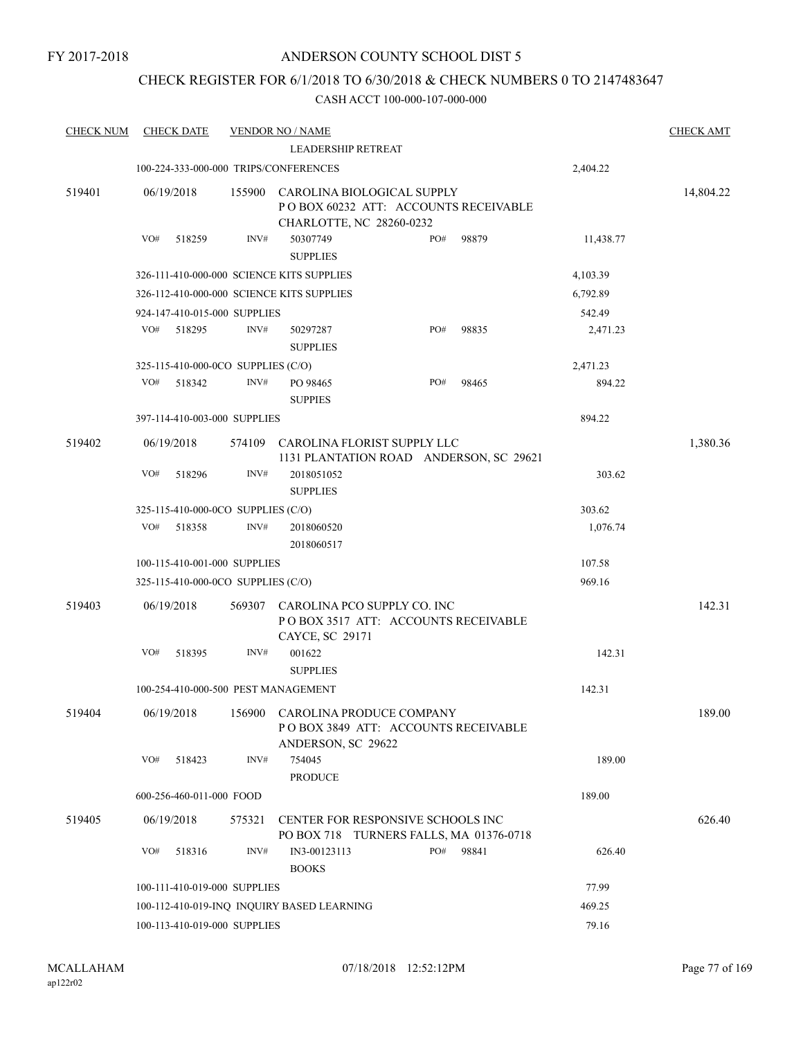## CHECK REGISTER FOR 6/1/2018 TO 6/30/2018 & CHECK NUMBERS 0 TO 2147483647

| <b>CHECK NUM</b> | <b>CHECK DATE</b>                         |        | <b>VENDOR NO / NAME</b>                                                                        |     |       |           | <b>CHECK AMT</b> |
|------------------|-------------------------------------------|--------|------------------------------------------------------------------------------------------------|-----|-------|-----------|------------------|
|                  |                                           |        | <b>LEADERSHIP RETREAT</b>                                                                      |     |       |           |                  |
|                  | 100-224-333-000-000 TRIPS/CONFERENCES     |        |                                                                                                |     |       | 2,404.22  |                  |
| 519401           | 06/19/2018                                | 155900 | CAROLINA BIOLOGICAL SUPPLY<br>POBOX 60232 ATT: ACCOUNTS RECEIVABLE<br>CHARLOTTE, NC 28260-0232 |     |       |           | 14,804.22        |
|                  | VO#<br>518259                             | INV#   | 50307749<br><b>SUPPLIES</b>                                                                    | PO# | 98879 | 11,438.77 |                  |
|                  | 326-111-410-000-000 SCIENCE KITS SUPPLIES |        |                                                                                                |     |       | 4,103.39  |                  |
|                  | 326-112-410-000-000 SCIENCE KITS SUPPLIES |        |                                                                                                |     |       | 6,792.89  |                  |
|                  | 924-147-410-015-000 SUPPLIES              |        |                                                                                                |     |       | 542.49    |                  |
|                  | VO#<br>518295                             | INV#   | 50297287<br><b>SUPPLIES</b>                                                                    | PO# | 98835 | 2,471.23  |                  |
|                  | 325-115-410-000-0CO SUPPLIES (C/O)        |        |                                                                                                |     |       | 2,471.23  |                  |
|                  | VO#<br>518342                             | INV#   | PO 98465<br><b>SUPPIES</b>                                                                     | PO# | 98465 | 894.22    |                  |
|                  | 397-114-410-003-000 SUPPLIES              |        |                                                                                                |     |       | 894.22    |                  |
| 519402           | 06/19/2018                                | 574109 | CAROLINA FLORIST SUPPLY LLC<br>1131 PLANTATION ROAD ANDERSON, SC 29621                         |     |       |           | 1,380.36         |
|                  | VO#<br>518296                             | INV#   | 2018051052<br><b>SUPPLIES</b>                                                                  |     |       | 303.62    |                  |
|                  | 325-115-410-000-0CO SUPPLIES (C/O)        |        |                                                                                                |     |       | 303.62    |                  |
|                  | VO#<br>518358                             | INV#   | 2018060520<br>2018060517                                                                       |     |       | 1,076.74  |                  |
|                  | 100-115-410-001-000 SUPPLIES              |        |                                                                                                |     |       | 107.58    |                  |
|                  | 325-115-410-000-0CO SUPPLIES (C/O)        |        |                                                                                                |     |       | 969.16    |                  |
| 519403           | 06/19/2018                                | 569307 | CAROLINA PCO SUPPLY CO. INC<br>POBOX 3517 ATT: ACCOUNTS RECEIVABLE<br>CAYCE, SC 29171          |     |       |           | 142.31           |
|                  | VO#<br>518395                             | INV#   | 001622<br><b>SUPPLIES</b>                                                                      |     |       | 142.31    |                  |
|                  | 100-254-410-000-500 PEST MANAGEMENT       |        |                                                                                                |     |       | 142.31    |                  |
| 519404           | 06/19/2018                                |        | 156900 CAROLINA PRODUCE COMPANY<br>POBOX 3849 ATT: ACCOUNTS RECEIVABLE<br>ANDERSON, SC 29622   |     |       |           | 189.00           |
|                  | VO#<br>518423                             | INV#   | 754045<br><b>PRODUCE</b>                                                                       |     |       | 189.00    |                  |
|                  | 600-256-460-011-000 FOOD                  |        |                                                                                                |     |       | 189.00    |                  |
| 519405           | 06/19/2018                                | 575321 | CENTER FOR RESPONSIVE SCHOOLS INC<br>PO BOX 718 TURNERS FALLS, MA 01376-0718                   |     |       |           | 626.40           |
|                  | VO#<br>518316                             | INV#   | IN3-00123113<br><b>BOOKS</b>                                                                   | PO# | 98841 | 626.40    |                  |
|                  | 100-111-410-019-000 SUPPLIES              |        |                                                                                                |     |       | 77.99     |                  |
|                  |                                           |        | 100-112-410-019-INQ INQUIRY BASED LEARNING                                                     |     |       | 469.25    |                  |
|                  | 100-113-410-019-000 SUPPLIES              |        |                                                                                                |     |       | 79.16     |                  |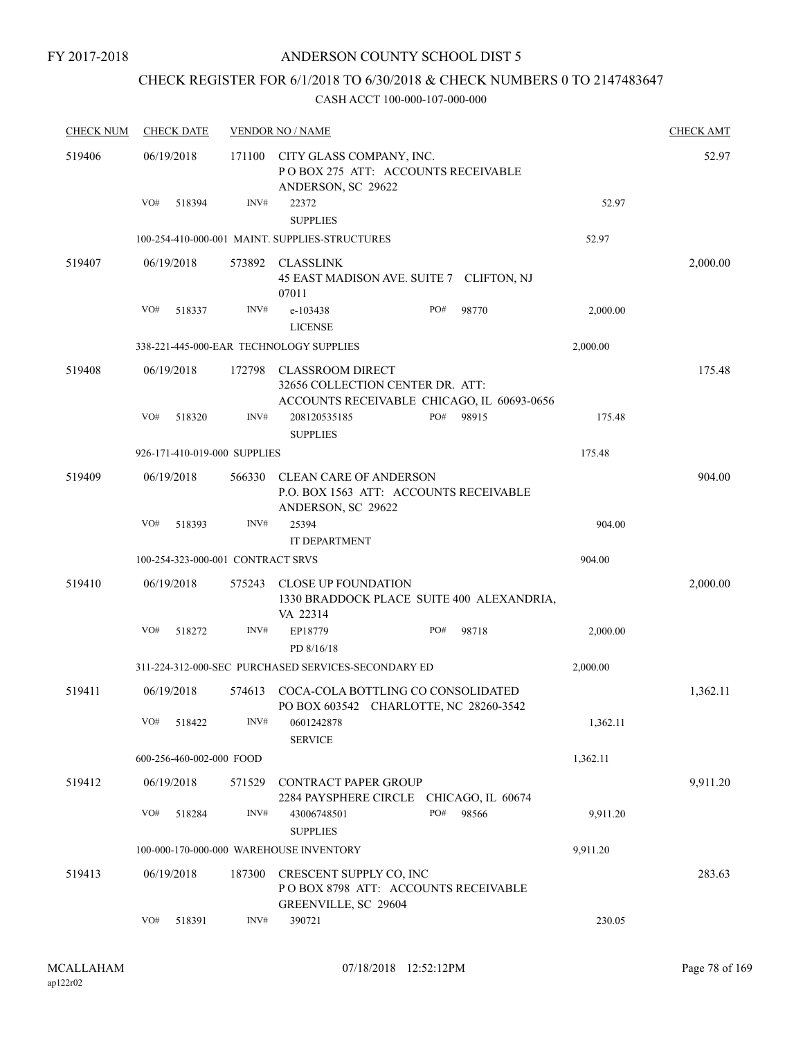## ANDERSON COUNTY SCHOOL DIST 5

## CHECK REGISTER FOR 6/1/2018 TO 6/30/2018 & CHECK NUMBERS 0 TO 2147483647

| <b>CHECK NUM</b> | <b>CHECK DATE</b>                 |                | <b>VENDOR NO / NAME</b>                                                                                   |              |          | <b>CHECK AMT</b> |
|------------------|-----------------------------------|----------------|-----------------------------------------------------------------------------------------------------------|--------------|----------|------------------|
| 519406           | 06/19/2018                        | 171100         | CITY GLASS COMPANY, INC.<br>POBOX 275 ATT: ACCOUNTS RECEIVABLE<br>ANDERSON, SC 29622                      |              |          | 52.97            |
|                  | VO#<br>518394                     | INV#           | 22372<br><b>SUPPLIES</b>                                                                                  |              | 52.97    |                  |
|                  |                                   |                | 100-254-410-000-001 MAINT. SUPPLIES-STRUCTURES                                                            |              | 52.97    |                  |
| 519407           | 06/19/2018                        | 573892         | CLASSLINK<br>45 EAST MADISON AVE. SUITE 7 CLIFTON, NJ<br>07011                                            |              |          | 2,000.00         |
|                  | VO#<br>518337                     | $\text{INV}\#$ | e-103438                                                                                                  | 98770<br>PO# | 2,000.00 |                  |
|                  |                                   |                | <b>LICENSE</b>                                                                                            |              |          |                  |
|                  |                                   |                | 338-221-445-000-EAR TECHNOLOGY SUPPLIES                                                                   |              | 2,000.00 |                  |
| 519408           | 06/19/2018                        | 172798         | <b>CLASSROOM DIRECT</b><br>32656 COLLECTION CENTER DR. ATT:<br>ACCOUNTS RECEIVABLE CHICAGO, IL 60693-0656 |              |          | 175.48           |
|                  | VO#<br>518320                     | INV#           | 208120535185                                                                                              | PO#<br>98915 | 175.48   |                  |
|                  |                                   |                | <b>SUPPLIES</b>                                                                                           |              |          |                  |
|                  | 926-171-410-019-000 SUPPLIES      |                |                                                                                                           |              | 175.48   |                  |
| 519409           | 06/19/2018                        | 566330         | <b>CLEAN CARE OF ANDERSON</b><br>P.O. BOX 1563 ATT: ACCOUNTS RECEIVABLE<br>ANDERSON, SC 29622             |              |          | 904.00           |
|                  | VO#<br>518393                     | INV#           | 25394<br>IT DEPARTMENT                                                                                    |              | 904.00   |                  |
|                  | 100-254-323-000-001 CONTRACT SRVS |                |                                                                                                           |              | 904.00   |                  |
| 519410           | 06/19/2018                        | 575243         | <b>CLOSE UP FOUNDATION</b><br>1330 BRADDOCK PLACE SUITE 400 ALEXANDRIA,<br>VA 22314                       |              |          | 2,000.00         |
|                  | VO#<br>518272                     | INV#           | EP18779<br>PD 8/16/18                                                                                     | PO#<br>98718 | 2,000.00 |                  |
|                  |                                   |                | 311-224-312-000-SEC PURCHASED SERVICES-SECONDARY ED                                                       |              | 2,000.00 |                  |
| 519411           | 06/19/2018                        | 574613         | COCA-COLA BOTTLING CO CONSOLIDATED<br>PO BOX 603542 CHARLOTTE, NC 28260-3542                              |              |          | 1,362.11         |
|                  | VO#<br>518422                     | INV#           | 0601242878<br><b>SERVICE</b>                                                                              |              | 1,362.11 |                  |
|                  | 600-256-460-002-000 FOOD          |                |                                                                                                           |              | 1,362.11 |                  |
| 519412           | 06/19/2018                        | 571529         | CONTRACT PAPER GROUP<br>2284 PAYSPHERE CIRCLE CHICAGO, IL 60674                                           |              |          | 9,911.20         |
|                  | VO#<br>518284                     | INV#           | 43006748501<br><b>SUPPLIES</b>                                                                            | PO#<br>98566 | 9,911.20 |                  |
|                  |                                   |                | 100-000-170-000-000 WAREHOUSE INVENTORY                                                                   |              | 9,911.20 |                  |
| 519413           | 06/19/2018                        | 187300         | CRESCENT SUPPLY CO, INC<br>POBOX 8798 ATT: ACCOUNTS RECEIVABLE<br>GREENVILLE, SC 29604                    |              |          | 283.63           |
|                  | VO#<br>518391                     | INV#           | 390721                                                                                                    |              | 230.05   |                  |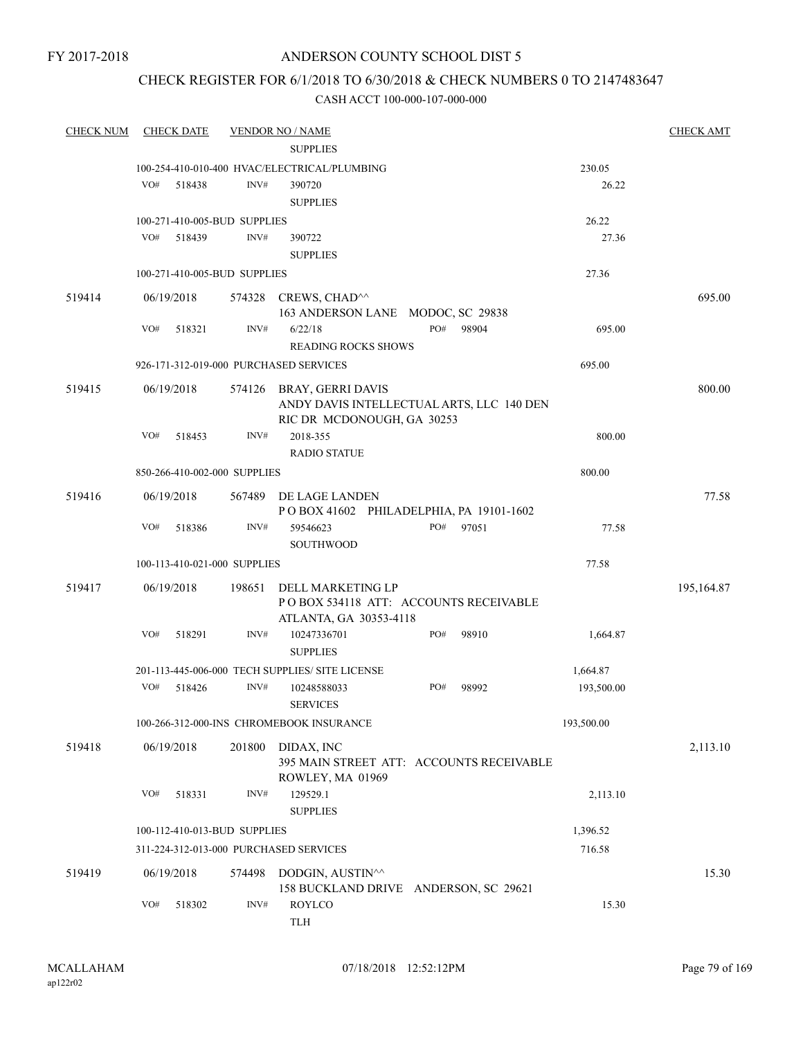## ANDERSON COUNTY SCHOOL DIST 5

## CHECK REGISTER FOR 6/1/2018 TO 6/30/2018 & CHECK NUMBERS 0 TO 2147483647

| <b>CHECK NUM</b> |     | <b>CHECK DATE</b> |                              | <b>VENDOR NO / NAME</b>                         |     |       |            | <b>CHECK AMT</b> |
|------------------|-----|-------------------|------------------------------|-------------------------------------------------|-----|-------|------------|------------------|
|                  |     |                   |                              | <b>SUPPLIES</b>                                 |     |       |            |                  |
|                  |     |                   |                              | 100-254-410-010-400 HVAC/ELECTRICAL/PLUMBING    |     |       | 230.05     |                  |
|                  | VO# | 518438            | INV#                         | 390720                                          |     |       | 26.22      |                  |
|                  |     |                   |                              | <b>SUPPLIES</b>                                 |     |       |            |                  |
|                  |     |                   | 100-271-410-005-BUD SUPPLIES |                                                 |     |       | 26.22      |                  |
|                  | VO# | 518439            | INV#                         | 390722                                          |     |       | 27.36      |                  |
|                  |     |                   |                              | <b>SUPPLIES</b>                                 |     |       |            |                  |
|                  |     |                   | 100-271-410-005-BUD SUPPLIES |                                                 |     |       | 27.36      |                  |
| 519414           |     | 06/19/2018        |                              | 574328 CREWS, CHAD^^                            |     |       |            | 695.00           |
|                  |     |                   |                              | 163 ANDERSON LANE MODOC, SC 29838               |     |       |            |                  |
|                  | VO# | 518321            | INV#                         | 6/22/18                                         | PO# | 98904 | 695.00     |                  |
|                  |     |                   |                              | <b>READING ROCKS SHOWS</b>                      |     |       |            |                  |
|                  |     |                   |                              | 926-171-312-019-000 PURCHASED SERVICES          |     |       | 695.00     |                  |
| 519415           |     | 06/19/2018        |                              | 574126 BRAY, GERRI DAVIS                        |     |       |            | 800.00           |
|                  |     |                   |                              | ANDY DAVIS INTELLECTUAL ARTS, LLC 140 DEN       |     |       |            |                  |
|                  |     |                   |                              | RIC DR MCDONOUGH, GA 30253                      |     |       |            |                  |
|                  | VO# | 518453            | INV#                         | 2018-355                                        |     |       | 800.00     |                  |
|                  |     |                   |                              | <b>RADIO STATUE</b>                             |     |       |            |                  |
|                  |     |                   | 850-266-410-002-000 SUPPLIES |                                                 |     |       | 800.00     |                  |
| 519416           |     | 06/19/2018        |                              | 567489 DE LAGE LANDEN                           |     |       |            | 77.58            |
|                  |     |                   |                              | POBOX 41602 PHILADELPHIA, PA 19101-1602         |     |       |            |                  |
|                  | VO# | 518386            | INV#                         | 59546623                                        | PO# | 97051 | 77.58      |                  |
|                  |     |                   |                              | <b>SOUTHWOOD</b>                                |     |       |            |                  |
|                  |     |                   | 100-113-410-021-000 SUPPLIES |                                                 |     |       | 77.58      |                  |
| 519417           |     | 06/19/2018        | 198651                       | DELL MARKETING LP                               |     |       |            | 195,164.87       |
|                  |     |                   |                              | POBOX 534118 ATT: ACCOUNTS RECEIVABLE           |     |       |            |                  |
|                  |     |                   |                              | ATLANTA, GA 30353-4118                          |     |       |            |                  |
|                  | VO# | 518291            | INV#                         | 10247336701                                     | PO# | 98910 | 1,664.87   |                  |
|                  |     |                   |                              | <b>SUPPLIES</b>                                 |     |       |            |                  |
|                  |     |                   |                              | 201-113-445-006-000 TECH SUPPLIES/ SITE LICENSE |     |       | 1,664.87   |                  |
|                  | VO# | 518426            | INV#                         | 10248588033                                     | PO# | 98992 | 193,500.00 |                  |
|                  |     |                   |                              | <b>SERVICES</b>                                 |     |       |            |                  |
|                  |     |                   |                              | 100-266-312-000-INS CHROMEBOOK INSURANCE        |     |       | 193,500.00 |                  |
| 519418           |     | 06/19/2018        | 201800                       | DIDAX, INC                                      |     |       |            | 2,113.10         |
|                  |     |                   |                              | 395 MAIN STREET ATT: ACCOUNTS RECEIVABLE        |     |       |            |                  |
|                  |     |                   |                              | ROWLEY, MA 01969                                |     |       |            |                  |
|                  | VO# | 518331            | INV#                         | 129529.1                                        |     |       | 2,113.10   |                  |
|                  |     |                   |                              | <b>SUPPLIES</b>                                 |     |       |            |                  |
|                  |     |                   | 100-112-410-013-BUD SUPPLIES |                                                 |     |       | 1,396.52   |                  |
|                  |     |                   |                              | 311-224-312-013-000 PURCHASED SERVICES          |     |       | 716.58     |                  |
| 519419           |     | 06/19/2018        | 574498                       | DODGIN, AUSTIN^^                                |     |       |            | 15.30            |
|                  |     |                   |                              | 158 BUCKLAND DRIVE ANDERSON, SC 29621           |     |       |            |                  |
|                  | VO# | 518302            | INV#                         | <b>ROYLCO</b>                                   |     |       | 15.30      |                  |
|                  |     |                   |                              | <b>TLH</b>                                      |     |       |            |                  |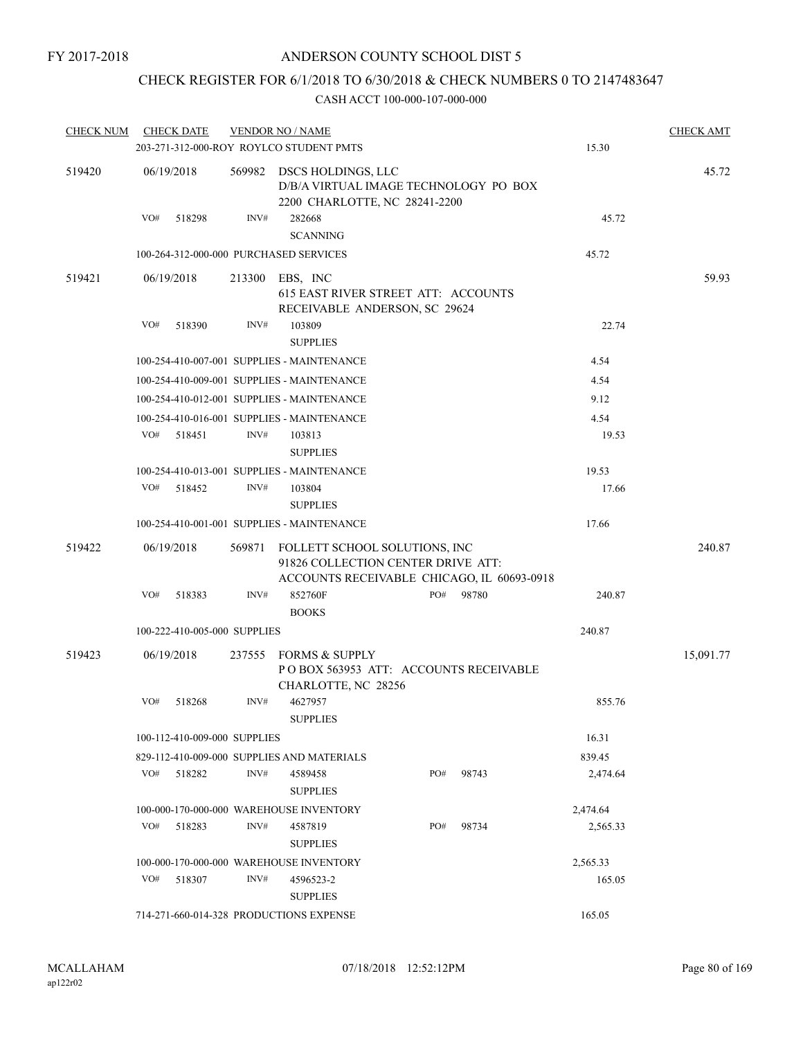## CHECK REGISTER FOR 6/1/2018 TO 6/30/2018 & CHECK NUMBERS 0 TO 2147483647

| <b>CHECK NUM</b> |     | <b>CHECK DATE</b>                          |        | <b>VENDOR NO / NAME</b>                                                                                           |              |          |       |          | <b>CHECK AMT</b> |  |
|------------------|-----|--------------------------------------------|--------|-------------------------------------------------------------------------------------------------------------------|--------------|----------|-------|----------|------------------|--|
|                  |     |                                            |        | 203-271-312-000-ROY ROYLCO STUDENT PMTS                                                                           |              |          |       | 15.30    |                  |  |
| 519420           |     | 06/19/2018                                 |        | 45.72                                                                                                             |              |          |       |          |                  |  |
|                  | VO# | 518298                                     | INV#   | 282668<br><b>SCANNING</b>                                                                                         |              |          |       | 45.72    |                  |  |
|                  |     |                                            |        | 100-264-312-000-000 PURCHASED SERVICES                                                                            |              |          |       | 45.72    |                  |  |
| 519421           |     | 06/19/2018                                 |        | 213300 EBS, INC<br>615 EAST RIVER STREET ATT: ACCOUNTS<br>RECEIVABLE ANDERSON, SC 29624                           |              |          |       |          | 59.93            |  |
|                  | VO# | 518390                                     | INV#   | 103809<br><b>SUPPLIES</b>                                                                                         |              | 22.74    |       |          |                  |  |
|                  |     |                                            |        | 100-254-410-007-001 SUPPLIES - MAINTENANCE                                                                        |              |          |       | 4.54     |                  |  |
|                  |     | 100-254-410-009-001 SUPPLIES - MAINTENANCE |        | 4.54                                                                                                              |              |          |       |          |                  |  |
|                  |     | 100-254-410-012-001 SUPPLIES - MAINTENANCE |        | 9.12                                                                                                              |              |          |       |          |                  |  |
|                  |     |                                            |        | 100-254-410-016-001 SUPPLIES - MAINTENANCE                                                                        |              |          |       | 4.54     |                  |  |
|                  | VO# | 518451                                     | INV#   | 103813                                                                                                            |              | 19.53    |       |          |                  |  |
|                  |     |                                            |        | <b>SUPPLIES</b>                                                                                                   |              |          |       |          |                  |  |
|                  |     |                                            |        | 100-254-410-013-001 SUPPLIES - MAINTENANCE                                                                        |              |          |       | 19.53    |                  |  |
|                  | VO# | 518452                                     | INV#   | 103804                                                                                                            |              |          |       | 17.66    |                  |  |
|                  |     |                                            |        | <b>SUPPLIES</b>                                                                                                   |              |          |       |          |                  |  |
|                  |     |                                            |        | 100-254-410-001-001 SUPPLIES - MAINTENANCE                                                                        |              |          |       | 17.66    |                  |  |
| 519422           |     | 06/19/2018                                 | 569871 | FOLLETT SCHOOL SOLUTIONS, INC<br>91826 COLLECTION CENTER DRIVE ATT:<br>ACCOUNTS RECEIVABLE CHICAGO, IL 60693-0918 |              |          |       |          | 240.87           |  |
|                  | VO# | 518383                                     | INV#   | 852760F<br><b>BOOKS</b>                                                                                           | PO#          |          | 98780 | 240.87   |                  |  |
|                  |     | 100-222-410-005-000 SUPPLIES               |        |                                                                                                                   |              | 240.87   |       |          |                  |  |
| 519423           |     | 06/19/2018                                 | 237555 | FORMS & SUPPLY<br>POBOX 563953 ATT: ACCOUNTS RECEIVABLE<br>CHARLOTTE, NC 28256                                    |              |          |       |          | 15,091.77        |  |
|                  | VO# | 518268                                     | INV#   | 4627957<br><b>SUPPLIES</b>                                                                                        |              |          |       | 855.76   |                  |  |
|                  |     | 100-112-410-009-000 SUPPLIES               |        |                                                                                                                   |              |          |       | 16.31    |                  |  |
|                  |     |                                            |        | 829-112-410-009-000 SUPPLIES AND MATERIALS                                                                        |              |          |       | 839.45   |                  |  |
|                  | VO# | 518282                                     | INV#   | 4589458<br><b>SUPPLIES</b>                                                                                        | PO#          |          | 98743 | 2,474.64 |                  |  |
|                  |     |                                            |        | 100-000-170-000-000 WAREHOUSE INVENTORY                                                                           |              |          |       | 2,474.64 |                  |  |
|                  | VO# | 518283                                     | INV#   | 4587819<br><b>SUPPLIES</b>                                                                                        | PO#<br>98734 |          |       | 2,565.33 |                  |  |
|                  |     |                                            |        | 100-000-170-000-000 WAREHOUSE INVENTORY                                                                           |              | 2,565.33 |       |          |                  |  |
|                  | VO# | 518307                                     | INV#   | 4596523-2<br><b>SUPPLIES</b>                                                                                      |              |          |       | 165.05   |                  |  |
|                  |     | 714-271-660-014-328 PRODUCTIONS EXPENSE    |        | 165.05                                                                                                            |              |          |       |          |                  |  |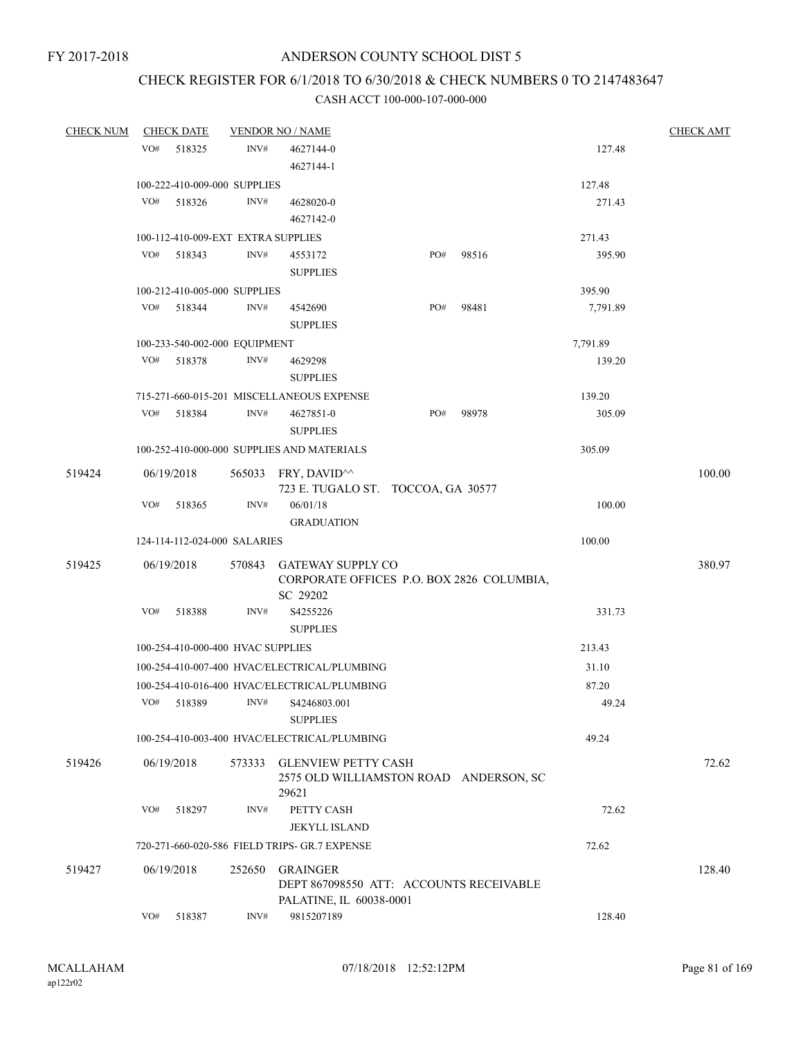# CHECK REGISTER FOR 6/1/2018 TO 6/30/2018 & CHECK NUMBERS 0 TO 2147483647

| <b>CHECK NUM</b> |     | <b>CHECK DATE</b>                  |        | <b>VENDOR NO / NAME</b>                         |     |       |          | <b>CHECK AMT</b> |
|------------------|-----|------------------------------------|--------|-------------------------------------------------|-----|-------|----------|------------------|
|                  | VO# | 518325                             | INV#   | 4627144-0                                       |     |       | 127.48   |                  |
|                  |     |                                    |        | 4627144-1                                       |     |       |          |                  |
|                  |     | 100-222-410-009-000 SUPPLIES       |        |                                                 |     |       | 127.48   |                  |
|                  | VO# | 518326                             | INV#   | 4628020-0                                       |     |       | 271.43   |                  |
|                  |     |                                    |        |                                                 |     |       |          |                  |
|                  |     | 100-112-410-009-EXT EXTRA SUPPLIES |        |                                                 |     |       | 271.43   |                  |
|                  | VO# | 518343                             | INV#   | 4553172                                         | PO# | 98516 | 395.90   |                  |
|                  |     |                                    |        | <b>SUPPLIES</b>                                 |     |       |          |                  |
|                  |     | 100-212-410-005-000 SUPPLIES       |        |                                                 |     |       | 395.90   |                  |
|                  | VO# | 518344                             | INV#   | 4542690                                         | PO# | 98481 | 7,791.89 |                  |
|                  |     |                                    |        | <b>SUPPLIES</b>                                 |     |       |          |                  |
|                  |     | 100-233-540-002-000 EQUIPMENT      |        |                                                 |     |       | 7,791.89 |                  |
|                  | VO# | 518378                             | INV#   | 4629298                                         |     |       | 139.20   |                  |
|                  |     |                                    |        | <b>SUPPLIES</b>                                 |     |       |          |                  |
|                  |     |                                    |        | 715-271-660-015-201 MISCELLANEOUS EXPENSE       |     |       | 139.20   |                  |
|                  | VO# | 518384                             | INV#   | 4627851-0                                       | PO# | 98978 | 305.09   |                  |
|                  |     |                                    |        | <b>SUPPLIES</b>                                 |     |       |          |                  |
|                  |     |                                    |        | 100-252-410-000-000 SUPPLIES AND MATERIALS      |     |       | 305.09   |                  |
| 519424           |     | 06/19/2018                         |        | 565033 FRY, DAVID <sup><math>\land</math></sup> |     |       |          | 100.00           |
|                  |     |                                    |        | 723 E. TUGALO ST. TOCCOA, GA 30577              |     |       |          |                  |
|                  | VO# | 518365                             | INV#   | 06/01/18                                        |     |       | 100.00   |                  |
|                  |     |                                    |        | <b>GRADUATION</b>                               |     |       |          |                  |
|                  |     | 124-114-112-024-000 SALARIES       |        |                                                 |     |       | 100.00   |                  |
| 519425           |     | 06/19/2018                         |        | 570843 GATEWAY SUPPLY CO                        |     |       |          | 380.97           |
|                  |     |                                    |        | CORPORATE OFFICES P.O. BOX 2826 COLUMBIA,       |     |       |          |                  |
|                  |     |                                    |        | SC 29202                                        |     |       |          |                  |
|                  | VO# | 518388                             | INV#   | S4255226                                        |     |       | 331.73   |                  |
|                  |     |                                    |        | <b>SUPPLIES</b>                                 |     |       |          |                  |
|                  |     | 100-254-410-000-400 HVAC SUPPLIES  |        |                                                 |     |       | 213.43   |                  |
|                  |     |                                    |        | 100-254-410-007-400 HVAC/ELECTRICAL/PLUMBING    |     |       | 31.10    |                  |
|                  |     |                                    |        | 100-254-410-016-400 HVAC/ELECTRICAL/PLUMBING    |     |       | 87.20    |                  |
|                  | VO# | 518389                             | INV#   | S4246803.001                                    |     |       | 49.24    |                  |
|                  |     |                                    |        | <b>SUPPLIES</b>                                 |     |       |          |                  |
|                  |     |                                    |        | 100-254-410-003-400 HVAC/ELECTRICAL/PLUMBING    |     |       | 49.24    |                  |
| 519426           |     | 06/19/2018                         | 573333 | <b>GLENVIEW PETTY CASH</b>                      |     |       |          | 72.62            |
|                  |     |                                    |        | 2575 OLD WILLIAMSTON ROAD ANDERSON, SC          |     |       |          |                  |
|                  |     |                                    |        | 29621                                           |     |       |          |                  |
|                  | VO# | 518297                             | INV#   | PETTY CASH                                      |     |       | 72.62    |                  |
|                  |     |                                    |        | <b>JEKYLL ISLAND</b>                            |     |       |          |                  |
|                  |     |                                    |        | 720-271-660-020-586 FIELD TRIPS- GR.7 EXPENSE   |     |       | 72.62    |                  |
| 519427           |     | 06/19/2018                         | 252650 | <b>GRAINGER</b>                                 |     |       |          | 128.40           |
|                  |     |                                    |        | DEPT 867098550 ATT: ACCOUNTS RECEIVABLE         |     |       |          |                  |
|                  |     |                                    |        | PALATINE, IL 60038-0001                         |     |       |          |                  |
|                  | VO# | 518387                             | INV#   | 9815207189                                      |     |       | 128.40   |                  |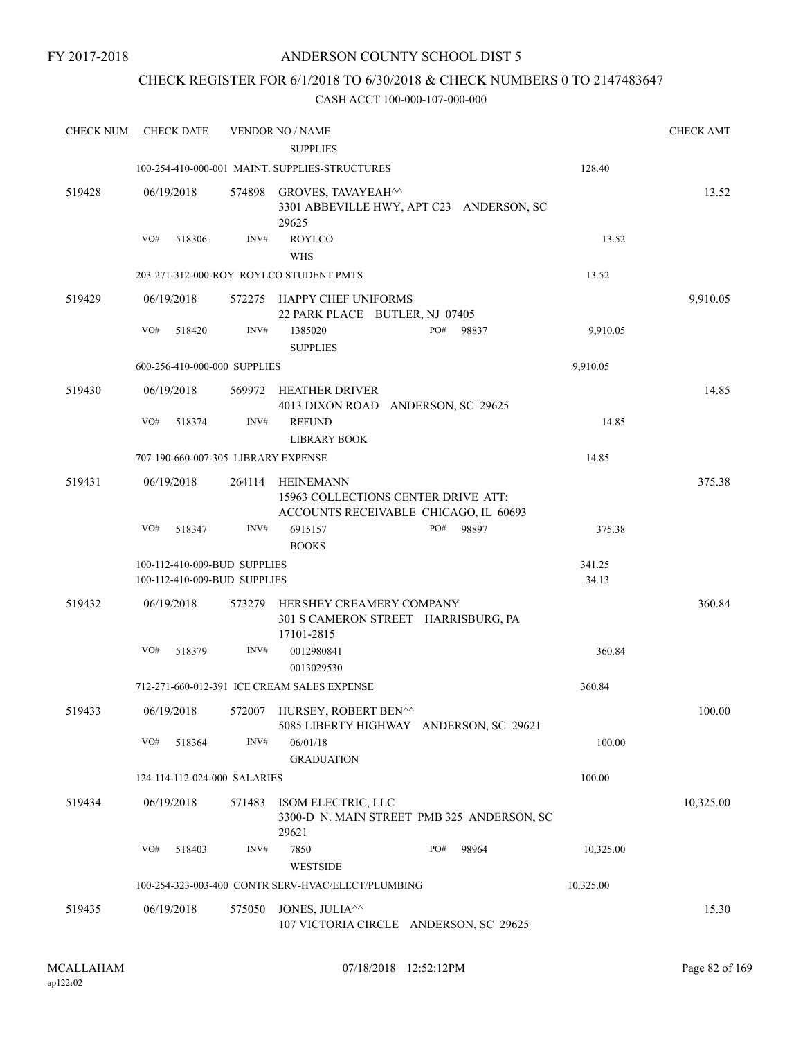## ANDERSON COUNTY SCHOOL DIST 5

## CHECK REGISTER FOR 6/1/2018 TO 6/30/2018 & CHECK NUMBERS 0 TO 2147483647

| <b>CHECK NUM</b> | <b>CHECK DATE</b>                                            |        | <b>VENDOR NO / NAME</b>                                                                          |                 | <b>CHECK AMT</b> |
|------------------|--------------------------------------------------------------|--------|--------------------------------------------------------------------------------------------------|-----------------|------------------|
|                  |                                                              |        | <b>SUPPLIES</b><br>100-254-410-000-001 MAINT. SUPPLIES-STRUCTURES                                | 128.40          |                  |
| 519428           | 06/19/2018                                                   |        | 574898 GROVES, TAVAYEAH^^<br>3301 ABBEVILLE HWY, APT C23 ANDERSON, SC<br>29625                   |                 | 13.52            |
|                  | VO#<br>518306                                                | INV#   | <b>ROYLCO</b><br><b>WHS</b>                                                                      | 13.52           |                  |
|                  |                                                              |        | 203-271-312-000-ROY ROYLCO STUDENT PMTS                                                          | 13.52           |                  |
| 519429           | 06/19/2018                                                   |        | 572275 HAPPY CHEF UNIFORMS<br>22 PARK PLACE BUTLER, NJ 07405                                     |                 | 9,910.05         |
|                  | VO#<br>518420                                                | INV#   | 1385020<br>PO#<br>98837<br><b>SUPPLIES</b>                                                       | 9,910.05        |                  |
|                  | 600-256-410-000-000 SUPPLIES                                 |        |                                                                                                  | 9,910.05        |                  |
| 519430           | 06/19/2018                                                   |        | 569972 HEATHER DRIVER<br>4013 DIXON ROAD ANDERSON, SC 29625                                      |                 | 14.85            |
|                  | VO#<br>518374                                                | INV#   | <b>REFUND</b><br><b>LIBRARY BOOK</b>                                                             | 14.85           |                  |
|                  | 707-190-660-007-305 LIBRARY EXPENSE                          |        |                                                                                                  | 14.85           |                  |
| 519431           | 06/19/2018                                                   | 264114 | <b>HEINEMANN</b><br>15963 COLLECTIONS CENTER DRIVE ATT:<br>ACCOUNTS RECEIVABLE CHICAGO, IL 60693 |                 | 375.38           |
|                  | VO#<br>518347                                                | INV#   | PO#<br>98897<br>6915157<br><b>BOOKS</b>                                                          | 375.38          |                  |
|                  | 100-112-410-009-BUD SUPPLIES<br>100-112-410-009-BUD SUPPLIES |        |                                                                                                  | 341.25<br>34.13 |                  |
| 519432           | 06/19/2018                                                   | 573279 | HERSHEY CREAMERY COMPANY<br>301 S CAMERON STREET HARRISBURG, PA<br>17101-2815                    |                 | 360.84           |
|                  | VO#<br>518379                                                | INV#   | 0012980841<br>0013029530                                                                         | 360.84          |                  |
|                  |                                                              |        | 712-271-660-012-391 ICE CREAM SALES EXPENSE                                                      | 360.84          |                  |
| 519433           | 06/19/2018                                                   |        | 572007 HURSEY, ROBERT BEN^^<br>5085 LIBERTY HIGHWAY ANDERSON, SC 29621                           |                 | 100.00           |
|                  | VO#<br>518364                                                | INV#   | 06/01/18<br><b>GRADUATION</b>                                                                    | 100.00          |                  |
|                  | 124-114-112-024-000 SALARIES                                 |        |                                                                                                  | 100.00          |                  |
| 519434           | 06/19/2018                                                   | 571483 | ISOM ELECTRIC, LLC<br>3300-D N. MAIN STREET PMB 325 ANDERSON, SC<br>29621                        |                 | 10,325.00        |
|                  | VO#<br>518403                                                | INV#   | 7850<br>PO#<br>98964<br><b>WESTSIDE</b>                                                          | 10,325.00       |                  |
|                  |                                                              |        | 100-254-323-003-400 CONTR SERV-HVAC/ELECT/PLUMBING                                               | 10,325.00       |                  |
| 519435           | 06/19/2018                                                   | 575050 | JONES, JULIA <sup>^^</sup><br>107 VICTORIA CIRCLE ANDERSON, SC 29625                             |                 | 15.30            |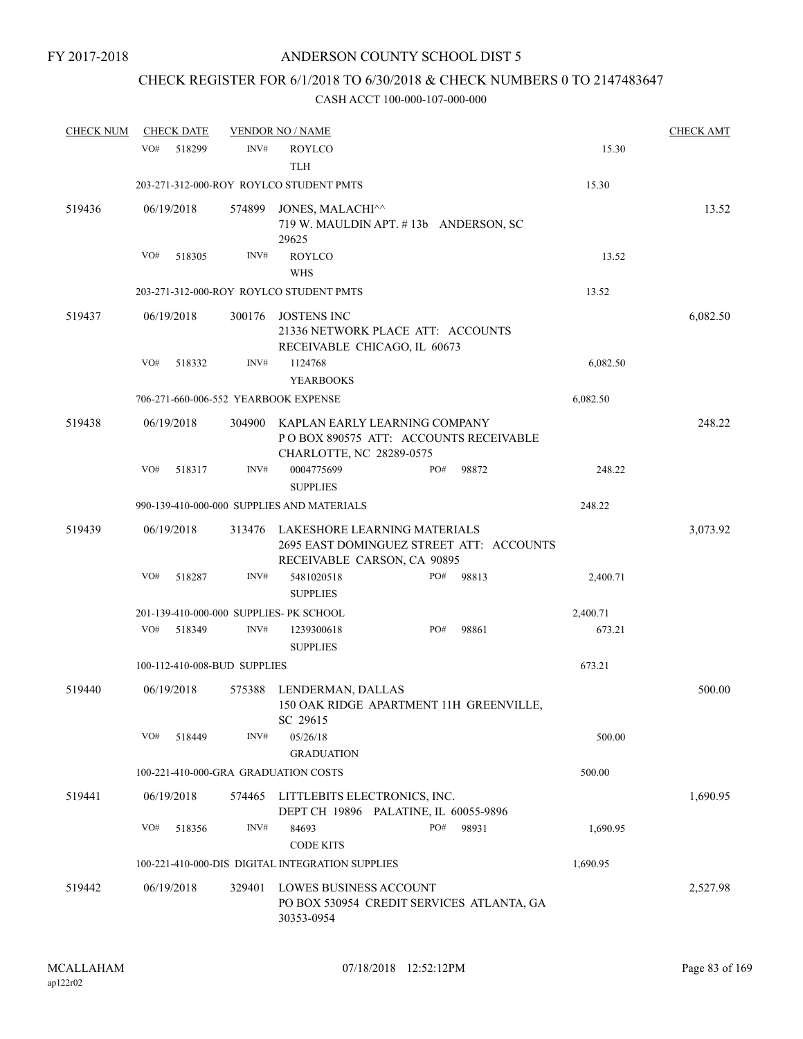## CHECK REGISTER FOR 6/1/2018 TO 6/30/2018 & CHECK NUMBERS 0 TO 2147483647

| <b>CHECK NUM</b> | <b>CHECK DATE</b>                       |        | <b>VENDOR NO / NAME</b>                                                                                 |     |       |          | <b>CHECK AMT</b> |
|------------------|-----------------------------------------|--------|---------------------------------------------------------------------------------------------------------|-----|-------|----------|------------------|
|                  | VO#<br>518299                           | INV#   | <b>ROYLCO</b><br><b>TLH</b>                                                                             |     |       | 15.30    |                  |
|                  |                                         |        | 203-271-312-000-ROY ROYLCO STUDENT PMTS                                                                 |     |       | 15.30    |                  |
| 519436           | 06/19/2018                              | 574899 | JONES, MALACHI^^<br>719 W. MAULDIN APT. #13b ANDERSON, SC<br>29625                                      |     |       |          | 13.52            |
|                  | VO#<br>518305                           | INV#   | <b>ROYLCO</b><br><b>WHS</b>                                                                             |     |       | 13.52    |                  |
|                  |                                         |        | 203-271-312-000-ROY ROYLCO STUDENT PMTS                                                                 |     |       | 13.52    |                  |
| 519437           | 06/19/2018                              | 300176 | <b>JOSTENS INC</b><br>21336 NETWORK PLACE ATT: ACCOUNTS<br>RECEIVABLE CHICAGO, IL 60673                 |     |       |          | 6,082.50         |
|                  | VO#<br>518332                           | INV#   | 1124768<br><b>YEARBOOKS</b>                                                                             |     |       | 6,082.50 |                  |
|                  | 706-271-660-006-552 YEARBOOK EXPENSE    |        |                                                                                                         |     |       | 6,082.50 |                  |
| 519438           | 06/19/2018                              | 304900 | KAPLAN EARLY LEARNING COMPANY<br>PO BOX 890575 ATT: ACCOUNTS RECEIVABLE<br>CHARLOTTE, NC 28289-0575     |     |       |          | 248.22           |
|                  | VO#<br>518317                           | INV#   | 0004775699<br><b>SUPPLIES</b>                                                                           | PO# | 98872 | 248.22   |                  |
|                  |                                         |        | 990-139-410-000-000 SUPPLIES AND MATERIALS                                                              |     |       | 248.22   |                  |
| 519439           | 06/19/2018                              | 313476 | LAKESHORE LEARNING MATERIALS<br>2695 EAST DOMINGUEZ STREET ATT: ACCOUNTS<br>RECEIVABLE CARSON, CA 90895 |     |       |          | 3,073.92         |
|                  | VO#<br>518287                           | INV#   | 5481020518<br><b>SUPPLIES</b>                                                                           | PO# | 98813 | 2,400.71 |                  |
|                  | 201-139-410-000-000 SUPPLIES- PK SCHOOL |        |                                                                                                         |     |       | 2,400.71 |                  |
|                  | VO#<br>518349                           | INV#   | 1239300618<br><b>SUPPLIES</b>                                                                           | PO# | 98861 | 673.21   |                  |
|                  | 100-112-410-008-BUD SUPPLIES            |        |                                                                                                         |     |       | 673.21   |                  |
| 519440           | 06/19/2018                              | 575388 | LENDERMAN, DALLAS<br>150 OAK RIDGE APARTMENT 11H GREENVILLE,<br>SC 29615                                |     |       |          | 500.00           |
|                  | VO#<br>518449                           | INV#   | 05/26/18<br><b>GRADUATION</b>                                                                           |     |       | 500.00   |                  |
|                  | 100-221-410-000-GRA GRADUATION COSTS    |        |                                                                                                         |     |       | 500.00   |                  |
| 519441           | 06/19/2018                              | 574465 | LITTLEBITS ELECTRONICS, INC.<br>DEPT CH 19896 PALATINE, IL 60055-9896                                   |     |       |          | 1,690.95         |
|                  | VO#<br>518356                           | INV#   | 84693<br><b>CODE KITS</b>                                                                               | PO# | 98931 | 1,690.95 |                  |
|                  |                                         |        | 100-221-410-000-DIS DIGITAL INTEGRATION SUPPLIES                                                        |     |       | 1,690.95 |                  |
| 519442           | 06/19/2018                              | 329401 | <b>LOWES BUSINESS ACCOUNT</b><br>PO BOX 530954 CREDIT SERVICES ATLANTA, GA<br>30353-0954                |     |       |          | 2,527.98         |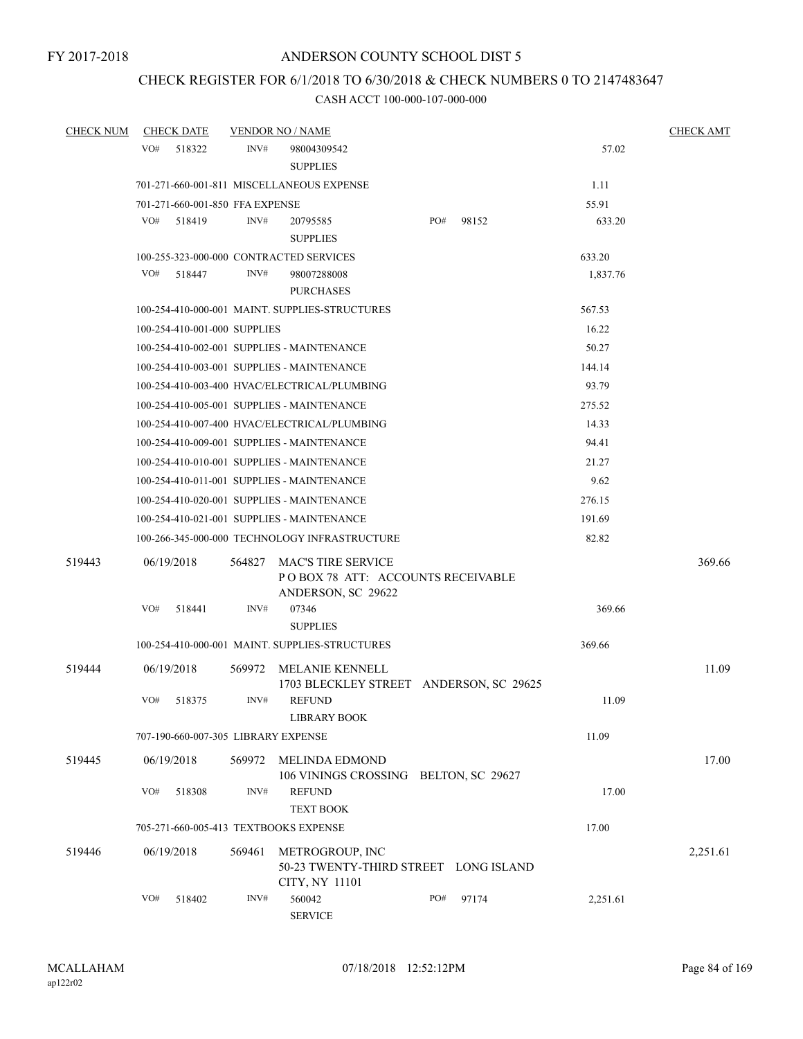## CHECK REGISTER FOR 6/1/2018 TO 6/30/2018 & CHECK NUMBERS 0 TO 2147483647

| <b>CHECK NUM</b> | <b>CHECK DATE</b>                       |                | <b>VENDOR NO / NAME</b>                                                                       |     |       |          | <b>CHECK AMT</b> |
|------------------|-----------------------------------------|----------------|-----------------------------------------------------------------------------------------------|-----|-------|----------|------------------|
|                  | VO#<br>518322                           | INV#           | 98004309542<br><b>SUPPLIES</b>                                                                |     |       | 57.02    |                  |
|                  |                                         |                | 701-271-660-001-811 MISCELLANEOUS EXPENSE                                                     |     |       | 1.11     |                  |
|                  | 701-271-660-001-850 FFA EXPENSE         |                |                                                                                               |     |       | 55.91    |                  |
|                  | VO#<br>518419                           | INV#           | 20795585<br><b>SUPPLIES</b>                                                                   | PO# | 98152 | 633.20   |                  |
|                  | 100-255-323-000-000 CONTRACTED SERVICES |                |                                                                                               |     |       | 633.20   |                  |
|                  | VO#<br>518447                           | INV#           | 98007288008<br><b>PURCHASES</b>                                                               |     |       | 1,837.76 |                  |
|                  |                                         |                | 100-254-410-000-001 MAINT. SUPPLIES-STRUCTURES                                                |     |       | 567.53   |                  |
|                  | 100-254-410-001-000 SUPPLIES            |                |                                                                                               |     |       | 16.22    |                  |
|                  |                                         |                | 100-254-410-002-001 SUPPLIES - MAINTENANCE                                                    |     |       | 50.27    |                  |
|                  |                                         |                | 100-254-410-003-001 SUPPLIES - MAINTENANCE                                                    |     |       | 144.14   |                  |
|                  |                                         |                | 100-254-410-003-400 HVAC/ELECTRICAL/PLUMBING                                                  |     |       | 93.79    |                  |
|                  |                                         |                | 100-254-410-005-001 SUPPLIES - MAINTENANCE                                                    |     |       | 275.52   |                  |
|                  |                                         |                | 100-254-410-007-400 HVAC/ELECTRICAL/PLUMBING                                                  |     |       | 14.33    |                  |
|                  |                                         |                | 100-254-410-009-001 SUPPLIES - MAINTENANCE                                                    |     |       | 94.41    |                  |
|                  |                                         |                | 100-254-410-010-001 SUPPLIES - MAINTENANCE                                                    |     |       | 21.27    |                  |
|                  |                                         |                | 100-254-410-011-001 SUPPLIES - MAINTENANCE                                                    |     |       | 9.62     |                  |
|                  |                                         |                | 100-254-410-020-001 SUPPLIES - MAINTENANCE                                                    |     |       | 276.15   |                  |
|                  |                                         |                | 100-254-410-021-001 SUPPLIES - MAINTENANCE                                                    |     |       | 191.69   |                  |
|                  |                                         |                | 100-266-345-000-000 TECHNOLOGY INFRASTRUCTURE                                                 |     |       | 82.82    |                  |
| 519443           | 06/19/2018<br>VO#<br>518441             | 564827<br>INV# | <b>MAC'S TIRE SERVICE</b><br>POBOX 78 ATT: ACCOUNTS RECEIVABLE<br>ANDERSON, SC 29622<br>07346 |     |       | 369.66   | 369.66           |
|                  |                                         |                | <b>SUPPLIES</b>                                                                               |     |       |          |                  |
|                  |                                         |                | 100-254-410-000-001 MAINT. SUPPLIES-STRUCTURES                                                |     |       | 369.66   |                  |
| 519444           | 06/19/2018                              | 569972         | MELANIE KENNELL<br>1703 BLECKLEY STREET ANDERSON, SC 29625                                    |     |       |          | 11.09            |
|                  | VO#<br>518375                           | INV#           | <b>REFUND</b><br><b>LIBRARY BOOK</b>                                                          |     |       | 11.09    |                  |
|                  | 707-190-660-007-305 LIBRARY EXPENSE     |                |                                                                                               |     |       | 11.09    |                  |
| 519445           | 06/19/2018                              | 569972         | MELINDA EDMOND<br>106 VININGS CROSSING BELTON, SC 29627                                       |     |       |          | 17.00            |
|                  | VO#<br>518308                           | INV#           | <b>REFUND</b><br><b>TEXT BOOK</b>                                                             |     |       | 17.00    |                  |
|                  | 705-271-660-005-413 TEXTBOOKS EXPENSE   |                |                                                                                               |     |       | 17.00    |                  |
| 519446           | 06/19/2018                              | 569461         | METROGROUP, INC<br>50-23 TWENTY-THIRD STREET LONG ISLAND<br>CITY, NY 11101                    |     |       |          | 2,251.61         |
|                  | VO#<br>518402                           | INV#           | 560042<br><b>SERVICE</b>                                                                      | PO# | 97174 | 2,251.61 |                  |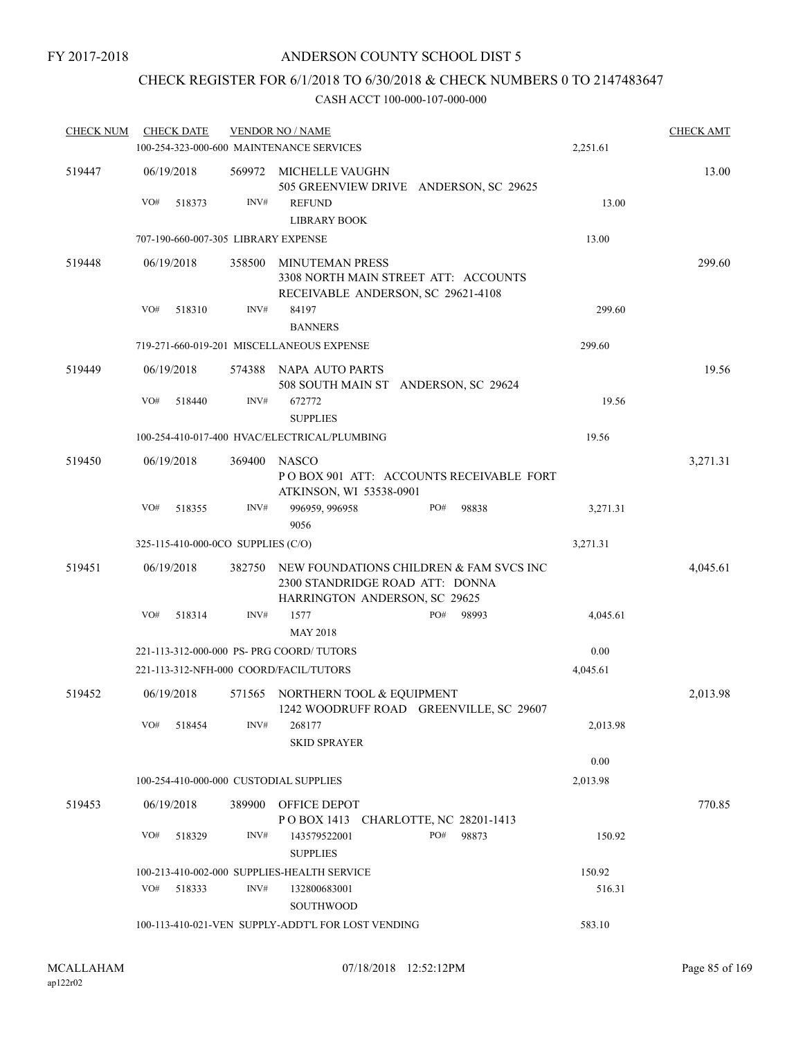## CHECK REGISTER FOR 6/1/2018 TO 6/30/2018 & CHECK NUMBERS 0 TO 2147483647

| <b>CHECK NUM</b> | <b>CHECK DATE</b>                         |        | <b>VENDOR NO / NAME</b>                                                                              |          | <b>CHECK AMT</b> |
|------------------|-------------------------------------------|--------|------------------------------------------------------------------------------------------------------|----------|------------------|
|                  |                                           |        | 100-254-323-000-600 MAINTENANCE SERVICES                                                             | 2,251.61 |                  |
| 519447           | 06/19/2018                                | 569972 | MICHELLE VAUGHN<br>505 GREENVIEW DRIVE ANDERSON, SC 29625                                            |          | 13.00            |
|                  | VO#<br>518373                             | INV#   | <b>REFUND</b><br><b>LIBRARY BOOK</b>                                                                 | 13.00    |                  |
|                  | 707-190-660-007-305 LIBRARY EXPENSE       |        |                                                                                                      | 13.00    |                  |
| 519448           | 06/19/2018                                | 358500 | <b>MINUTEMAN PRESS</b><br>3308 NORTH MAIN STREET ATT: ACCOUNTS<br>RECEIVABLE ANDERSON, SC 29621-4108 |          | 299.60           |
|                  | VO#<br>518310                             | INV#   | 84197<br><b>BANNERS</b>                                                                              | 299.60   |                  |
|                  |                                           |        | 719-271-660-019-201 MISCELLANEOUS EXPENSE                                                            | 299.60   |                  |
| 519449           | 06/19/2018                                | 574388 | NAPA AUTO PARTS                                                                                      |          | 19.56            |
|                  |                                           |        | 508 SOUTH MAIN ST ANDERSON, SC 29624                                                                 |          |                  |
|                  | VO#<br>518440                             | INV#   | 672772<br><b>SUPPLIES</b>                                                                            | 19.56    |                  |
|                  |                                           |        | 100-254-410-017-400 HVAC/ELECTRICAL/PLUMBING                                                         | 19.56    |                  |
| 519450           | 06/19/2018                                | 369400 | <b>NASCO</b><br>POBOX 901 ATT: ACCOUNTS RECEIVABLE FORT<br>ATKINSON, WI 53538-0901                   |          | 3,271.31         |
|                  | VO#<br>518355                             | INV#   | PO#<br>996959, 996958<br>98838<br>9056                                                               | 3,271.31 |                  |
|                  | 325-115-410-000-0CO SUPPLIES (C/O)        |        |                                                                                                      | 3,271.31 |                  |
| 519451           | 06/19/2018                                | 382750 | NEW FOUNDATIONS CHILDREN & FAM SVCS INC<br>2300 STANDRIDGE ROAD ATT: DONNA                           |          | 4,045.61         |
|                  | VO#<br>518314                             | INV#   | HARRINGTON ANDERSON, SC 29625<br>1577<br>PO#<br>98993<br><b>MAY 2018</b>                             | 4,045.61 |                  |
|                  | 221-113-312-000-000 PS- PRG COORD/ TUTORS |        |                                                                                                      | 0.00     |                  |
|                  | 221-113-312-NFH-000 COORD/FACIL/TUTORS    |        |                                                                                                      | 4,045.61 |                  |
| 519452           | 06/19/2018                                | 571565 | NORTHERN TOOL & EQUIPMENT<br>1242 WOODRUFF ROAD GREENVILLE, SC 29607                                 |          | 2,013.98         |
|                  | VO#<br>518454                             | INV#   | 268177<br><b>SKID SPRAYER</b>                                                                        | 2,013.98 |                  |
|                  |                                           |        |                                                                                                      | 0.00     |                  |
|                  | 100-254-410-000-000 CUSTODIAL SUPPLIES    |        |                                                                                                      | 2,013.98 |                  |
| 519453           | 06/19/2018                                | 389900 | OFFICE DEPOT                                                                                         |          | 770.85           |
|                  | VO#<br>518329                             | INV#   | POBOX 1413 CHARLOTTE, NC 28201-1413<br>PO#<br>143579522001<br>98873<br><b>SUPPLIES</b>               | 150.92   |                  |
|                  |                                           |        | 100-213-410-002-000 SUPPLIES-HEALTH SERVICE                                                          | 150.92   |                  |
|                  | VO#<br>518333                             | INV#   | 132800683001<br>SOUTHWOOD                                                                            | 516.31   |                  |
|                  |                                           |        | 100-113-410-021-VEN SUPPLY-ADDT'L FOR LOST VENDING                                                   | 583.10   |                  |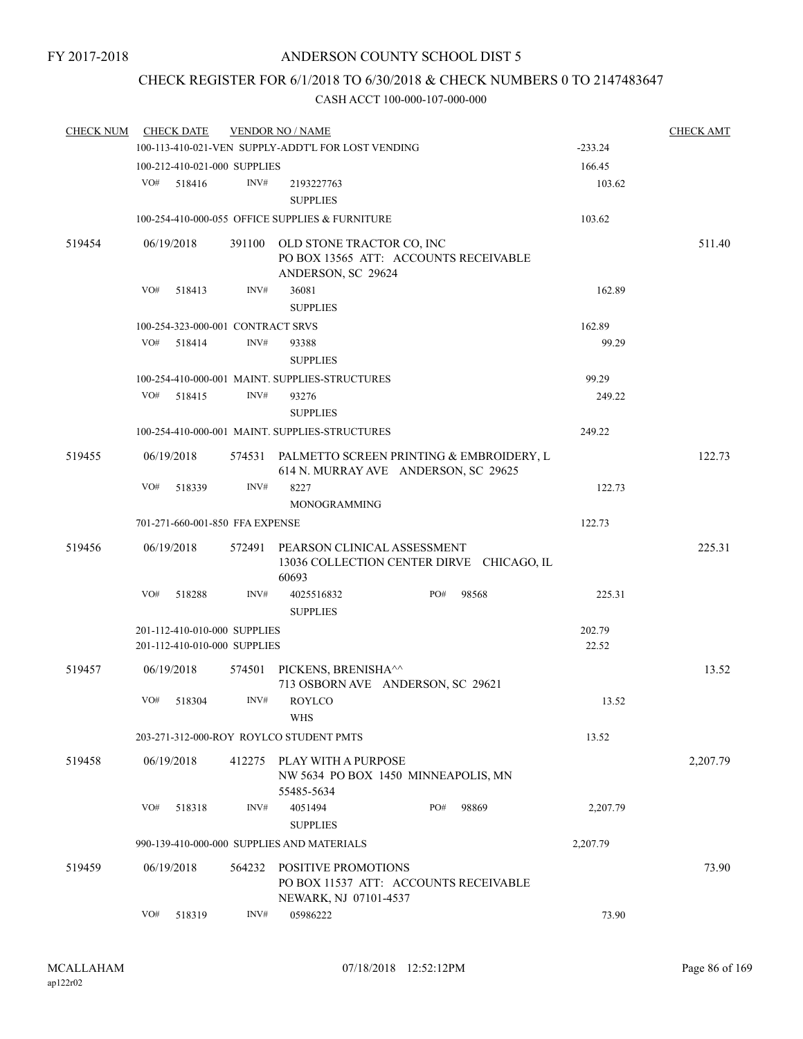## CHECK REGISTER FOR 6/1/2018 TO 6/30/2018 & CHECK NUMBERS 0 TO 2147483647

| <b>CHECK NUM</b> |     | <b>CHECK DATE</b>                                            |        | <b>VENDOR NO / NAME</b>                                                                 |     |       |                 | <b>CHECK AMT</b> |
|------------------|-----|--------------------------------------------------------------|--------|-----------------------------------------------------------------------------------------|-----|-------|-----------------|------------------|
|                  |     |                                                              |        | 100-113-410-021-VEN SUPPLY-ADDT'L FOR LOST VENDING                                      |     |       | $-233.24$       |                  |
|                  |     | 100-212-410-021-000 SUPPLIES                                 |        |                                                                                         |     |       | 166.45          |                  |
|                  | VO# | 518416                                                       | INV#   | 2193227763<br><b>SUPPLIES</b>                                                           |     |       | 103.62          |                  |
|                  |     |                                                              |        | 100-254-410-000-055 OFFICE SUPPLIES & FURNITURE                                         |     |       | 103.62          |                  |
| 519454           |     | 06/19/2018                                                   | 391100 | OLD STONE TRACTOR CO, INC<br>PO BOX 13565 ATT: ACCOUNTS RECEIVABLE                      |     |       |                 | 511.40           |
|                  |     |                                                              |        | ANDERSON, SC 29624                                                                      |     |       |                 |                  |
|                  | VO# | 518413                                                       | INV#   | 36081<br><b>SUPPLIES</b>                                                                |     |       | 162.89          |                  |
|                  |     | 100-254-323-000-001 CONTRACT SRVS                            |        |                                                                                         |     |       | 162.89          |                  |
|                  | VO# | 518414                                                       | INV#   | 93388<br><b>SUPPLIES</b>                                                                |     |       | 99.29           |                  |
|                  |     |                                                              |        | 100-254-410-000-001 MAINT. SUPPLIES-STRUCTURES                                          |     |       | 99.29           |                  |
|                  | VO# | 518415                                                       | INV#   | 93276<br><b>SUPPLIES</b>                                                                |     |       | 249.22          |                  |
|                  |     |                                                              |        | 100-254-410-000-001 MAINT. SUPPLIES-STRUCTURES                                          |     |       | 249.22          |                  |
| 519455           |     | 06/19/2018                                                   |        | 574531 PALMETTO SCREEN PRINTING & EMBROIDERY, L<br>614 N. MURRAY AVE ANDERSON, SC 29625 |     |       |                 | 122.73           |
|                  | VO# | 518339                                                       | INV#   | 8227<br><b>MONOGRAMMING</b>                                                             |     |       | 122.73          |                  |
|                  |     | 701-271-660-001-850 FFA EXPENSE                              |        |                                                                                         |     |       | 122.73          |                  |
| 519456           |     | 06/19/2018                                                   | 572491 | PEARSON CLINICAL ASSESSMENT<br>13036 COLLECTION CENTER DIRVE CHICAGO, IL<br>60693       |     |       |                 | 225.31           |
|                  | VO# | 518288                                                       | INV#   | 4025516832<br><b>SUPPLIES</b>                                                           | PO# | 98568 | 225.31          |                  |
|                  |     | 201-112-410-010-000 SUPPLIES<br>201-112-410-010-000 SUPPLIES |        |                                                                                         |     |       | 202.79<br>22.52 |                  |
| 519457           |     | 06/19/2018                                                   | 574501 | PICKENS, BRENISHA^^<br>713 OSBORN AVE ANDERSON, SC 29621                                |     |       |                 | 13.52            |
|                  | VO# | 518304                                                       | INV#   | <b>ROYLCO</b><br><b>WHS</b>                                                             |     |       | 13.52           |                  |
|                  |     |                                                              |        | 203-271-312-000-ROY ROYLCO STUDENT PMTS                                                 |     |       | 13.52           |                  |
| 519458           |     | 06/19/2018                                                   | 412275 | PLAY WITH A PURPOSE<br>NW 5634 PO BOX 1450 MINNEAPOLIS, MN<br>55485-5634                |     |       |                 | 2,207.79         |
|                  | VO# | 518318                                                       | INV#   | 4051494<br><b>SUPPLIES</b>                                                              | PO# | 98869 | 2,207.79        |                  |
|                  |     |                                                              |        | 990-139-410-000-000 SUPPLIES AND MATERIALS                                              |     |       | 2,207.79        |                  |
| 519459           |     | 06/19/2018                                                   | 564232 | POSITIVE PROMOTIONS<br>PO BOX 11537 ATT: ACCOUNTS RECEIVABLE<br>NEWARK, NJ 07101-4537   |     |       |                 | 73.90            |
|                  | VO# | 518319                                                       | INV#   | 05986222                                                                                |     |       | 73.90           |                  |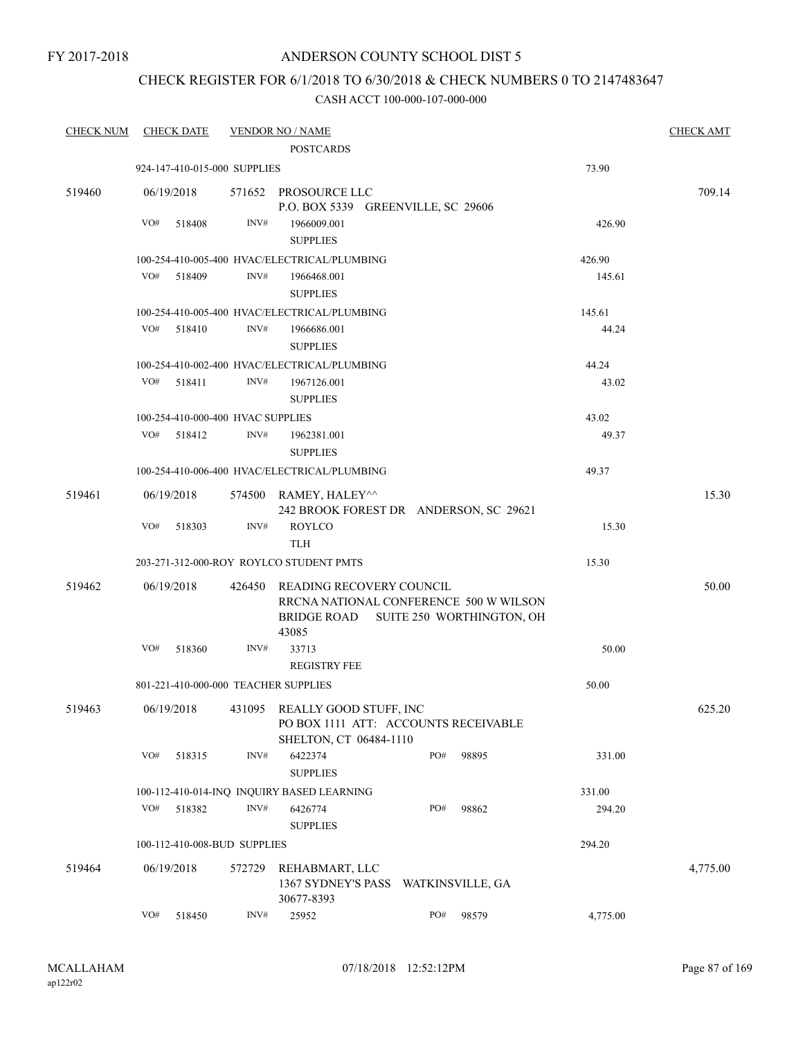## ANDERSON COUNTY SCHOOL DIST 5

## CHECK REGISTER FOR 6/1/2018 TO 6/30/2018 & CHECK NUMBERS 0 TO 2147483647

| <b>CHECK NUM</b> | <b>CHECK DATE</b>                    |        | <b>VENDOR NO / NAME</b>                                 |                                                                                                 |          | <b>CHECK AMT</b> |
|------------------|--------------------------------------|--------|---------------------------------------------------------|-------------------------------------------------------------------------------------------------|----------|------------------|
|                  |                                      |        | <b>POSTCARDS</b>                                        |                                                                                                 |          |                  |
|                  | 924-147-410-015-000 SUPPLIES         |        |                                                         |                                                                                                 | 73.90    |                  |
| 519460           | 06/19/2018                           |        | 571652 PROSOURCE LLC                                    | P.O. BOX 5339 GREENVILLE, SC 29606                                                              |          | 709.14           |
|                  | VO#<br>518408                        | INV#   | 1966009.001                                             |                                                                                                 | 426.90   |                  |
|                  |                                      |        | <b>SUPPLIES</b>                                         |                                                                                                 |          |                  |
|                  |                                      |        | 100-254-410-005-400 HVAC/ELECTRICAL/PLUMBING            |                                                                                                 | 426.90   |                  |
|                  | VO#<br>518409                        | INV#   | 1966468.001                                             |                                                                                                 | 145.61   |                  |
|                  |                                      |        | <b>SUPPLIES</b>                                         |                                                                                                 |          |                  |
|                  |                                      |        | 100-254-410-005-400 HVAC/ELECTRICAL/PLUMBING            |                                                                                                 | 145.61   |                  |
|                  | VO#<br>518410                        | INV#   | 1966686.001                                             |                                                                                                 | 44.24    |                  |
|                  |                                      |        | <b>SUPPLIES</b>                                         |                                                                                                 |          |                  |
|                  |                                      |        | 100-254-410-002-400 HVAC/ELECTRICAL/PLUMBING            |                                                                                                 | 44.24    |                  |
|                  | VO#<br>518411                        | INV#   | 1967126.001<br><b>SUPPLIES</b>                          |                                                                                                 | 43.02    |                  |
|                  | 100-254-410-000-400 HVAC SUPPLIES    |        |                                                         |                                                                                                 | 43.02    |                  |
|                  | VO#<br>518412                        | INV#   | 1962381.001                                             |                                                                                                 | 49.37    |                  |
|                  |                                      |        | <b>SUPPLIES</b>                                         |                                                                                                 |          |                  |
|                  |                                      |        | 100-254-410-006-400 HVAC/ELECTRICAL/PLUMBING            |                                                                                                 | 49.37    |                  |
| 519461           | 06/19/2018                           |        | 574500 RAMEY, HALEY^^                                   | 242 BROOK FOREST DR ANDERSON, SC 29621                                                          |          | 15.30            |
|                  | VO#<br>518303                        | INV#   | <b>ROYLCO</b><br><b>TLH</b>                             |                                                                                                 | 15.30    |                  |
|                  |                                      |        | 203-271-312-000-ROY ROYLCO STUDENT PMTS                 |                                                                                                 | 15.30    |                  |
|                  |                                      |        |                                                         |                                                                                                 |          |                  |
| 519462           | 06/19/2018                           | 426450 | BRIDGE ROAD<br>43085                                    | READING RECOVERY COUNCIL<br>RRCNA NATIONAL CONFERENCE 500 W WILSON<br>SUITE 250 WORTHINGTON, OH |          | 50.00            |
|                  | VO#<br>518360                        | INV#   | 33713<br><b>REGISTRY FEE</b>                            |                                                                                                 | 50.00    |                  |
|                  | 801-221-410-000-000 TEACHER SUPPLIES |        |                                                         |                                                                                                 | 50.00    |                  |
| 519463           | 06/19/2018                           |        | 431095 REALLY GOOD STUFF, INC<br>SHELTON, CT 06484-1110 | PO BOX 1111 ATT: ACCOUNTS RECEIVABLE                                                            |          | 625.20           |
|                  | VO#<br>518315                        | INV#   | 6422374<br><b>SUPPLIES</b>                              | PO#<br>98895                                                                                    | 331.00   |                  |
|                  |                                      |        | 100-112-410-014-INQ INQUIRY BASED LEARNING              |                                                                                                 | 331.00   |                  |
|                  | VO#<br>518382                        | INV#   | 6426774                                                 | PO#<br>98862                                                                                    | 294.20   |                  |
|                  |                                      |        | <b>SUPPLIES</b>                                         |                                                                                                 |          |                  |
|                  | 100-112-410-008-BUD SUPPLIES         |        |                                                         |                                                                                                 | 294.20   |                  |
| 519464           | 06/19/2018                           | 572729 | REHABMART, LLC                                          |                                                                                                 |          | 4,775.00         |
|                  |                                      |        | 30677-8393                                              | 1367 SYDNEY'S PASS WATKINSVILLE, GA                                                             |          |                  |
|                  | VO#<br>518450                        | INV#   | 25952                                                   | PO#<br>98579                                                                                    | 4,775.00 |                  |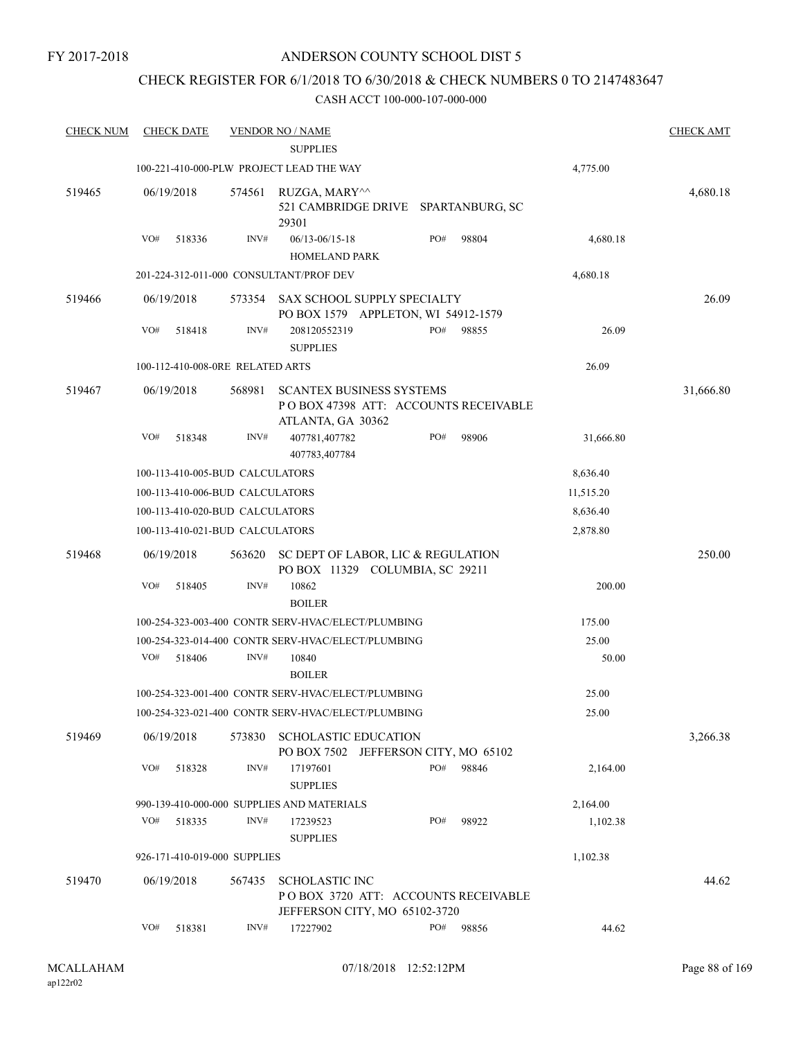## CHECK REGISTER FOR 6/1/2018 TO 6/30/2018 & CHECK NUMBERS 0 TO 2147483647

| <b>CHECK NUM</b> |            | <b>CHECK DATE</b> |                                  | <b>VENDOR NO / NAME</b>                                                                      |     |       |           | <b>CHECK AMT</b> |
|------------------|------------|-------------------|----------------------------------|----------------------------------------------------------------------------------------------|-----|-------|-----------|------------------|
|                  |            |                   |                                  | <b>SUPPLIES</b>                                                                              |     |       |           |                  |
|                  |            |                   |                                  | 100-221-410-000-PLW PROJECT LEAD THE WAY                                                     |     |       | 4,775.00  |                  |
| 519465           | 06/19/2018 |                   | 574561                           | RUZGA, MARY^^<br>521 CAMBRIDGE DRIVE SPARTANBURG, SC<br>29301                                |     |       |           | 4,680.18         |
|                  | VO#        | 518336            | INV#                             | $06/13 - 06/15 - 18$<br>HOMELAND PARK                                                        | PO# | 98804 | 4,680.18  |                  |
|                  |            |                   |                                  | 201-224-312-011-000 CONSULTANT/PROF DEV                                                      |     |       | 4,680.18  |                  |
| 519466           | 06/19/2018 |                   | 573354                           | SAX SCHOOL SUPPLY SPECIALTY<br>PO BOX 1579 APPLETON, WI 54912-1579                           |     |       |           | 26.09            |
|                  | VO#        | 518418            | INV#                             | 208120552319<br><b>SUPPLIES</b>                                                              | PO# | 98855 | 26.09     |                  |
|                  |            |                   | 100-112-410-008-0RE RELATED ARTS |                                                                                              |     |       | 26.09     |                  |
| 519467           | 06/19/2018 |                   | 568981                           | <b>SCANTEX BUSINESS SYSTEMS</b><br>POBOX 47398 ATT: ACCOUNTS RECEIVABLE<br>ATLANTA, GA 30362 |     |       |           | 31,666.80        |
|                  | VO#        | 518348            | INV#                             | 407781,407782<br>407783,407784                                                               | PO# | 98906 | 31,666.80 |                  |
|                  |            |                   | 100-113-410-005-BUD CALCULATORS  |                                                                                              |     |       | 8,636.40  |                  |
|                  |            |                   | 100-113-410-006-BUD CALCULATORS  |                                                                                              |     |       | 11,515.20 |                  |
|                  |            |                   | 100-113-410-020-BUD CALCULATORS  |                                                                                              |     |       | 8,636.40  |                  |
|                  |            |                   | 100-113-410-021-BUD CALCULATORS  |                                                                                              |     |       | 2,878.80  |                  |
| 519468           | 06/19/2018 |                   | 563620                           | SC DEPT OF LABOR, LIC & REGULATION<br>PO BOX 11329 COLUMBIA, SC 29211                        |     |       |           | 250.00           |
|                  | VO#        | 518405            | INV#                             | 10862<br><b>BOILER</b>                                                                       |     |       | 200.00    |                  |
|                  |            |                   |                                  | 100-254-323-003-400 CONTR SERV-HVAC/ELECT/PLUMBING                                           |     |       | 175.00    |                  |
|                  |            |                   |                                  | 100-254-323-014-400 CONTR SERV-HVAC/ELECT/PLUMBING                                           |     |       | 25.00     |                  |
|                  | VO#        | 518406            | INV#                             | 10840<br><b>BOILER</b>                                                                       |     |       | 50.00     |                  |
|                  |            |                   |                                  | 100-254-323-001-400 CONTR SERV-HVAC/ELECT/PLUMBING                                           |     |       | 25.00     |                  |
|                  |            |                   |                                  | 100-254-323-021-400 CONTR SERV-HVAC/ELECT/PLUMBING                                           |     |       | 25.00     |                  |
| 519469           | 06/19/2018 |                   | 573830                           | <b>SCHOLASTIC EDUCATION</b><br>PO BOX 7502 JEFFERSON CITY, MO 65102                          |     |       |           | 3,266.38         |
|                  | VO#        | 518328            | INV#                             | 17197601<br><b>SUPPLIES</b>                                                                  | PO# | 98846 | 2,164.00  |                  |
|                  |            |                   |                                  | 990-139-410-000-000 SUPPLIES AND MATERIALS                                                   |     |       | 2,164.00  |                  |
|                  | VO#        | 518335            | INV#                             | 17239523                                                                                     | PO# | 98922 | 1,102.38  |                  |
|                  |            |                   |                                  | <b>SUPPLIES</b>                                                                              |     |       |           |                  |
|                  |            |                   | 926-171-410-019-000 SUPPLIES     |                                                                                              |     |       | 1,102.38  |                  |
| 519470           | 06/19/2018 |                   | 567435                           | <b>SCHOLASTIC INC</b><br>POBOX 3720 ATT: ACCOUNTS RECEIVABLE                                 |     |       |           | 44.62            |
|                  |            |                   |                                  | JEFFERSON CITY, MO 65102-3720                                                                |     |       |           |                  |
|                  | VO#        | 518381            | INV#                             | 17227902                                                                                     | PO# | 98856 | 44.62     |                  |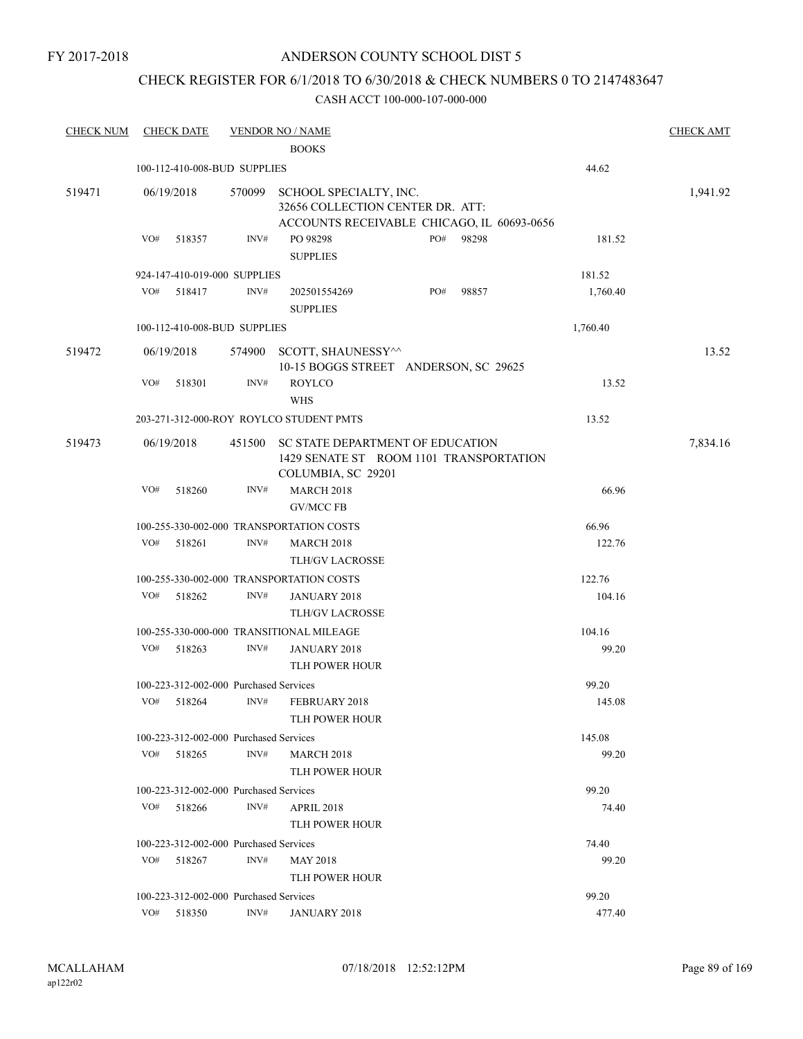## ANDERSON COUNTY SCHOOL DIST 5

## CHECK REGISTER FOR 6/1/2018 TO 6/30/2018 & CHECK NUMBERS 0 TO 2147483647

| <b>CHECK NUM</b> |     | <b>CHECK DATE</b> |                                        | <b>VENDOR NO / NAME</b>                                                                                  |     |       |          | <b>CHECK AMT</b> |
|------------------|-----|-------------------|----------------------------------------|----------------------------------------------------------------------------------------------------------|-----|-------|----------|------------------|
|                  |     |                   |                                        | <b>BOOKS</b>                                                                                             |     |       |          |                  |
|                  |     |                   | 100-112-410-008-BUD SUPPLIES           |                                                                                                          |     |       | 44.62    |                  |
| 519471           |     | 06/19/2018        | 570099                                 | SCHOOL SPECIALTY, INC.<br>32656 COLLECTION CENTER DR. ATT:<br>ACCOUNTS RECEIVABLE CHICAGO, IL 60693-0656 |     |       |          | 1,941.92         |
|                  | VO# | 518357            | INV#                                   | PO 98298<br><b>SUPPLIES</b>                                                                              | PO# | 98298 | 181.52   |                  |
|                  |     |                   | 924-147-410-019-000 SUPPLIES           |                                                                                                          |     |       | 181.52   |                  |
|                  | VO# | 518417            | INV#                                   | 202501554269<br><b>SUPPLIES</b>                                                                          | PO# | 98857 | 1,760.40 |                  |
|                  |     |                   | 100-112-410-008-BUD SUPPLIES           |                                                                                                          |     |       | 1,760.40 |                  |
| 519472           |     | 06/19/2018        | 574900                                 | SCOTT, SHAUNESSY^^<br>10-15 BOGGS STREET ANDERSON, SC 29625                                              |     |       |          | 13.52            |
|                  | VO# | 518301            | INV#                                   | <b>ROYLCO</b><br><b>WHS</b>                                                                              |     |       | 13.52    |                  |
|                  |     |                   |                                        | 203-271-312-000-ROY ROYLCO STUDENT PMTS                                                                  |     |       | 13.52    |                  |
| 519473           |     | 06/19/2018        | 451500                                 | SC STATE DEPARTMENT OF EDUCATION<br>1429 SENATE ST ROOM 1101 TRANSPORTATION<br>COLUMBIA, SC 29201        |     |       |          | 7,834.16         |
|                  | VO# | 518260            | INV#                                   | <b>MARCH 2018</b><br><b>GV/MCC FB</b>                                                                    |     |       | 66.96    |                  |
|                  |     |                   |                                        | 100-255-330-002-000 TRANSPORTATION COSTS                                                                 |     |       | 66.96    |                  |
|                  | VO# | 518261            | INV#                                   | <b>MARCH 2018</b><br><b>TLH/GV LACROSSE</b>                                                              |     |       | 122.76   |                  |
|                  |     |                   |                                        | 100-255-330-002-000 TRANSPORTATION COSTS                                                                 |     |       | 122.76   |                  |
|                  | VO# | 518262            | INV#                                   | <b>JANUARY 2018</b><br>TLH/GV LACROSSE                                                                   |     |       | 104.16   |                  |
|                  |     |                   |                                        | 100-255-330-000-000 TRANSITIONAL MILEAGE                                                                 |     |       | 104.16   |                  |
|                  | VO# | 518263            | INV#                                   | JANUARY 2018<br>TLH POWER HOUR                                                                           |     |       | 99.20    |                  |
|                  |     |                   | 100-223-312-002-000 Purchased Services |                                                                                                          |     |       | 99.20    |                  |
|                  | VO# | 518264            | INV#                                   | FEBRUARY 2018<br>TLH POWER HOUR                                                                          |     |       | 145.08   |                  |
|                  |     |                   | 100-223-312-002-000 Purchased Services |                                                                                                          |     |       | 145.08   |                  |
|                  | VO# | 518265            | INV#                                   | <b>MARCH 2018</b><br>TLH POWER HOUR                                                                      |     |       | 99.20    |                  |
|                  |     |                   | 100-223-312-002-000 Purchased Services |                                                                                                          |     |       | 99.20    |                  |
|                  | VO# | 518266            | INV#                                   | <b>APRIL 2018</b><br><b>TLH POWER HOUR</b>                                                               |     |       | 74.40    |                  |
|                  |     |                   | 100-223-312-002-000 Purchased Services |                                                                                                          |     |       | 74.40    |                  |
|                  | VO# | 518267            | INV#                                   | <b>MAY 2018</b><br><b>TLH POWER HOUR</b>                                                                 |     |       | 99.20    |                  |
|                  |     |                   | 100-223-312-002-000 Purchased Services |                                                                                                          |     |       | 99.20    |                  |
|                  |     | $VO#$ 518350      | INV#                                   | JANUARY 2018                                                                                             |     |       | 477.40   |                  |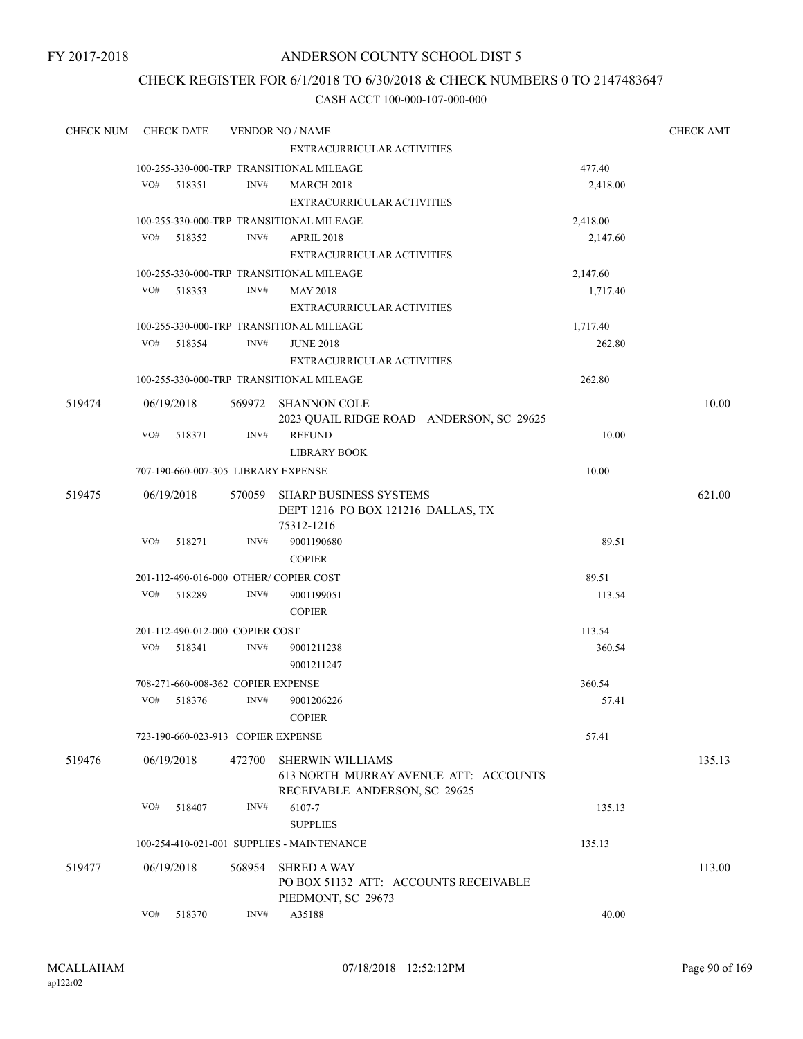## ANDERSON COUNTY SCHOOL DIST 5

## CHECK REGISTER FOR 6/1/2018 TO 6/30/2018 & CHECK NUMBERS 0 TO 2147483647

| <b>CHECK NUM</b> | <b>CHECK DATE</b> |                                     | <b>VENDOR NO / NAME</b>                    |          | <b>CHECK AMT</b> |
|------------------|-------------------|-------------------------------------|--------------------------------------------|----------|------------------|
|                  |                   |                                     | <b>EXTRACURRICULAR ACTIVITIES</b>          |          |                  |
|                  |                   |                                     | 100-255-330-000-TRP TRANSITIONAL MILEAGE   | 477.40   |                  |
|                  | VO#<br>518351     | INV#                                | <b>MARCH 2018</b>                          | 2,418.00 |                  |
|                  |                   |                                     | <b>EXTRACURRICULAR ACTIVITIES</b>          |          |                  |
|                  |                   |                                     | 100-255-330-000-TRP TRANSITIONAL MILEAGE   | 2,418.00 |                  |
|                  | VO#<br>518352     | INV#                                | <b>APRIL 2018</b>                          | 2,147.60 |                  |
|                  |                   |                                     | <b>EXTRACURRICULAR ACTIVITIES</b>          |          |                  |
|                  |                   |                                     | 100-255-330-000-TRP TRANSITIONAL MILEAGE   | 2,147.60 |                  |
|                  | VO# 518353        | INV#                                | <b>MAY 2018</b>                            | 1,717.40 |                  |
|                  |                   |                                     | <b>EXTRACURRICULAR ACTIVITIES</b>          |          |                  |
|                  |                   |                                     | 100-255-330-000-TRP TRANSITIONAL MILEAGE   | 1,717.40 |                  |
|                  | VO# 518354        | INV#                                | <b>JUNE 2018</b>                           | 262.80   |                  |
|                  |                   |                                     | EXTRACURRICULAR ACTIVITIES                 |          |                  |
|                  |                   |                                     | 100-255-330-000-TRP TRANSITIONAL MILEAGE   | 262.80   |                  |
| 519474           | 06/19/2018        |                                     | 569972 SHANNON COLE                        |          | 10.00            |
|                  |                   |                                     | 2023 QUAIL RIDGE ROAD ANDERSON, SC 29625   |          |                  |
|                  | VO#<br>518371     | INV#                                | <b>REFUND</b>                              | 10.00    |                  |
|                  |                   |                                     | <b>LIBRARY BOOK</b>                        |          |                  |
|                  |                   | 707-190-660-007-305 LIBRARY EXPENSE |                                            | 10.00    |                  |
| 519475           | 06/19/2018        |                                     | 570059 SHARP BUSINESS SYSTEMS              |          | 621.00           |
|                  |                   |                                     | DEPT 1216 PO BOX 121216 DALLAS, TX         |          |                  |
|                  |                   |                                     | 75312-1216                                 |          |                  |
|                  | VO#<br>518271     | INV#                                | 9001190680                                 | 89.51    |                  |
|                  |                   |                                     | <b>COPIER</b>                              |          |                  |
|                  |                   |                                     | 201-112-490-016-000 OTHER/COPIER COST      | 89.51    |                  |
|                  | VO#<br>518289     | INV#                                | 9001199051                                 | 113.54   |                  |
|                  |                   |                                     | <b>COPIER</b>                              |          |                  |
|                  |                   | 201-112-490-012-000 COPIER COST     |                                            | 113.54   |                  |
|                  | VO#<br>518341     | INV#                                | 9001211238                                 | 360.54   |                  |
|                  |                   |                                     | 9001211247                                 |          |                  |
|                  |                   | 708-271-660-008-362 COPIER EXPENSE  |                                            | 360.54   |                  |
|                  | VO#<br>518376     | INV#                                | 9001206226                                 | 57.41    |                  |
|                  |                   |                                     | <b>COPIER</b>                              |          |                  |
|                  |                   | 723-190-660-023-913 COPIER EXPENSE  |                                            | 57.41    |                  |
| 519476           | 06/19/2018        | 472700                              | <b>SHERWIN WILLIAMS</b>                    |          | 135.13           |
|                  |                   |                                     | 613 NORTH MURRAY AVENUE ATT: ACCOUNTS      |          |                  |
|                  |                   |                                     | RECEIVABLE ANDERSON, SC 29625              |          |                  |
|                  | VO#<br>518407     | INV#                                | 6107-7                                     | 135.13   |                  |
|                  |                   |                                     | <b>SUPPLIES</b>                            |          |                  |
|                  |                   |                                     | 100-254-410-021-001 SUPPLIES - MAINTENANCE | 135.13   |                  |
| 519477           | 06/19/2018        | 568954                              | <b>SHRED A WAY</b>                         |          | 113.00           |
|                  |                   |                                     | PO BOX 51132 ATT: ACCOUNTS RECEIVABLE      |          |                  |
|                  |                   |                                     | PIEDMONT, SC 29673                         |          |                  |
|                  | VO#<br>518370     | INV#                                | A35188                                     | 40.00    |                  |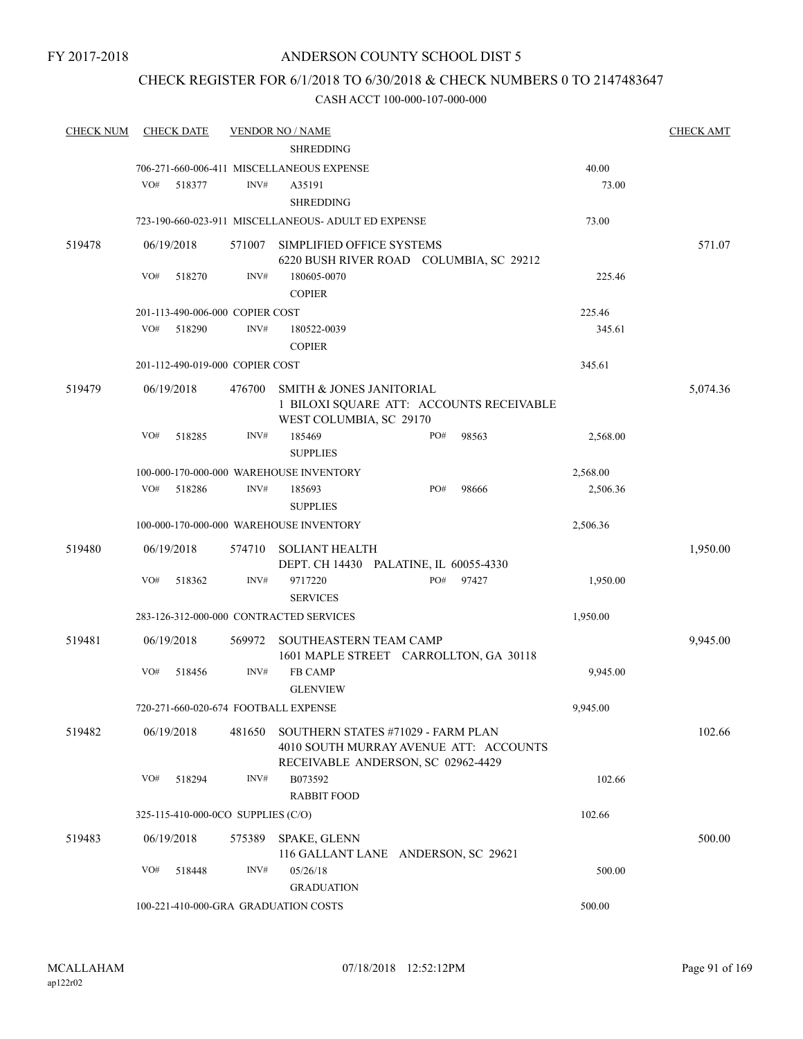## CHECK REGISTER FOR 6/1/2018 TO 6/30/2018 & CHECK NUMBERS 0 TO 2147483647

| <b>CHECK NUM</b> | <b>CHECK DATE</b> |                                      | <b>VENDOR NO / NAME</b>                                              |     |       |          | <b>CHECK AMT</b> |
|------------------|-------------------|--------------------------------------|----------------------------------------------------------------------|-----|-------|----------|------------------|
|                  |                   |                                      | <b>SHREDDING</b>                                                     |     |       |          |                  |
|                  |                   |                                      | 706-271-660-006-411 MISCELLANEOUS EXPENSE                            |     |       | 40.00    |                  |
|                  | VO#               | INV#<br>518377                       | A35191                                                               |     |       | 73.00    |                  |
|                  |                   |                                      | <b>SHREDDING</b>                                                     |     |       |          |                  |
|                  |                   |                                      | 723-190-660-023-911 MISCELLANEOUS- ADULT ED EXPENSE                  |     |       | 73.00    |                  |
| 519478           | 06/19/2018        | 571007                               | SIMPLIFIED OFFICE SYSTEMS<br>6220 BUSH RIVER ROAD COLUMBIA, SC 29212 |     |       |          | 571.07           |
|                  | VO#               | INV#<br>518270                       | 180605-0070                                                          |     |       | 225.46   |                  |
|                  |                   |                                      | <b>COPIER</b>                                                        |     |       |          |                  |
|                  |                   | 201-113-490-006-000 COPIER COST      |                                                                      |     |       | 225.46   |                  |
|                  | VO#               | INV#<br>518290                       | 180522-0039                                                          |     |       | 345.61   |                  |
|                  |                   |                                      | <b>COPIER</b>                                                        |     |       |          |                  |
|                  |                   | 201-112-490-019-000 COPIER COST      |                                                                      |     |       | 345.61   |                  |
| 519479           | 06/19/2018        | 476700                               | SMITH & JONES JANITORIAL                                             |     |       |          | 5,074.36         |
|                  |                   |                                      | 1 BILOXI SQUARE ATT: ACCOUNTS RECEIVABLE                             |     |       |          |                  |
|                  |                   |                                      | WEST COLUMBIA, SC 29170                                              |     |       |          |                  |
|                  | VO#               | INV#<br>518285                       | 185469                                                               | PO# | 98563 | 2,568.00 |                  |
|                  |                   |                                      | <b>SUPPLIES</b>                                                      |     |       |          |                  |
|                  |                   |                                      | 100-000-170-000-000 WAREHOUSE INVENTORY                              |     |       | 2,568.00 |                  |
|                  | VO#               | 518286<br>INV#                       | 185693                                                               | PO# | 98666 | 2,506.36 |                  |
|                  |                   |                                      | <b>SUPPLIES</b>                                                      |     |       |          |                  |
|                  |                   |                                      | 100-000-170-000-000 WAREHOUSE INVENTORY                              |     |       | 2,506.36 |                  |
| 519480           | 06/19/2018        | 574710                               | <b>SOLIANT HEALTH</b><br>DEPT. CH 14430 PALATINE, IL 60055-4330      |     |       |          | 1,950.00         |
|                  | VO#               | INV#<br>518362                       | 9717220                                                              | PO# | 97427 | 1,950.00 |                  |
|                  |                   |                                      | <b>SERVICES</b>                                                      |     |       |          |                  |
|                  |                   |                                      | 283-126-312-000-000 CONTRACTED SERVICES                              |     |       | 1,950.00 |                  |
| 519481           | 06/19/2018        | 569972                               | <b>SOUTHEASTERN TEAM CAMP</b>                                        |     |       |          | 9,945.00         |
|                  |                   |                                      | 1601 MAPLE STREET CARROLLTON, GA 30118                               |     |       |          |                  |
|                  | VO#               | INV#<br>518456                       | <b>FB CAMP</b>                                                       |     |       | 9,945.00 |                  |
|                  |                   |                                      | <b>GLENVIEW</b>                                                      |     |       |          |                  |
|                  |                   | 720-271-660-020-674 FOOTBALL EXPENSE |                                                                      |     |       | 9,945.00 |                  |
| 519482           | 06/19/2018        | 481650                               | SOUTHERN STATES #71029 - FARM PLAN                                   |     |       |          | 102.66           |
|                  |                   |                                      | 4010 SOUTH MURRAY AVENUE ATT: ACCOUNTS                               |     |       |          |                  |
|                  | VO#               | INV#                                 | RECEIVABLE ANDERSON, SC 02962-4429<br>B073592                        |     |       | 102.66   |                  |
|                  |                   | 518294                               | <b>RABBIT FOOD</b>                                                   |     |       |          |                  |
|                  |                   | 325-115-410-000-0CO SUPPLIES (C/O)   |                                                                      |     |       | 102.66   |                  |
|                  |                   |                                      |                                                                      |     |       |          |                  |
| 519483           | 06/19/2018        | 575389                               | <b>SPAKE, GLENN</b><br>116 GALLANT LANE ANDERSON, SC 29621           |     |       |          | 500.00           |
|                  | VO#               | INV#<br>518448                       | 05/26/18                                                             |     |       | 500.00   |                  |
|                  |                   |                                      | <b>GRADUATION</b>                                                    |     |       |          |                  |
|                  |                   | 100-221-410-000-GRA GRADUATION COSTS |                                                                      |     |       | 500.00   |                  |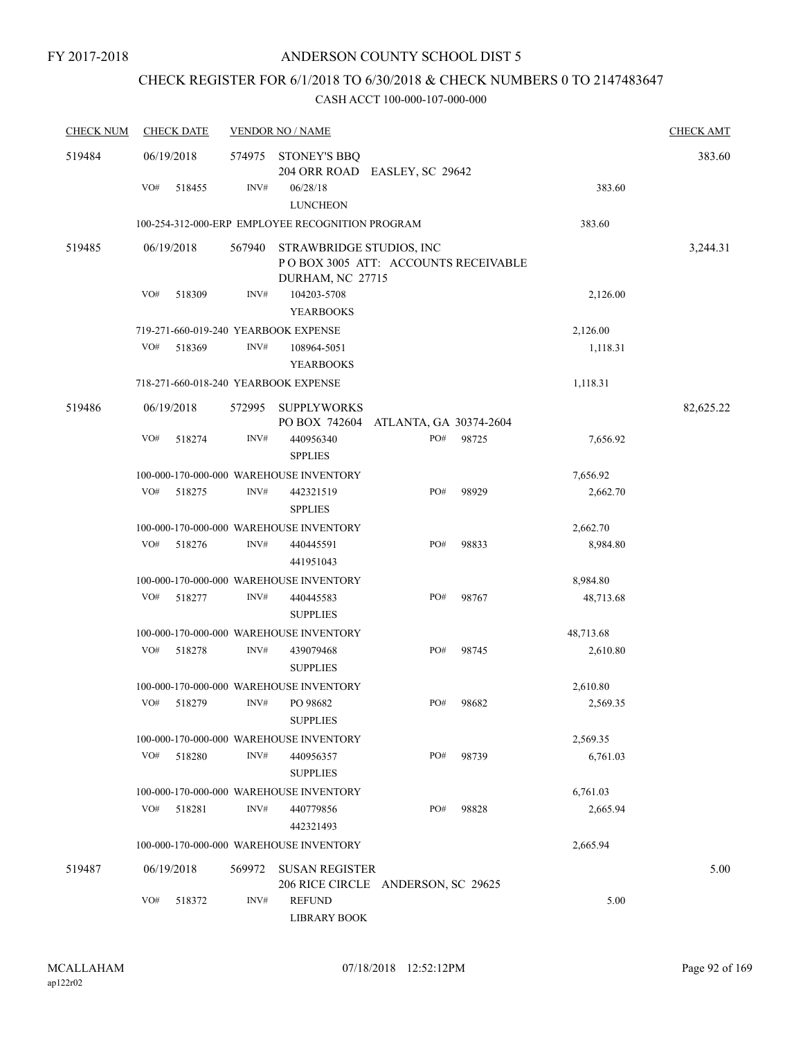## CHECK REGISTER FOR 6/1/2018 TO 6/30/2018 & CHECK NUMBERS 0 TO 2147483647

| <b>CHECK NUM</b> | <b>CHECK DATE</b>                    |        | <b>VENDOR NO / NAME</b>                                                             |                        |       |           | <b>CHECK AMT</b> |
|------------------|--------------------------------------|--------|-------------------------------------------------------------------------------------|------------------------|-------|-----------|------------------|
| 519484           | 06/19/2018                           | 574975 | <b>STONEY'S BBQ</b><br>204 ORR ROAD EASLEY, SC 29642                                |                        |       |           | 383.60           |
|                  | VO#<br>518455                        | INV#   | 06/28/18<br><b>LUNCHEON</b>                                                         |                        |       | 383.60    |                  |
|                  |                                      |        | 100-254-312-000-ERP EMPLOYEE RECOGNITION PROGRAM                                    |                        |       | 383.60    |                  |
| 519485           | 06/19/2018                           | 567940 | STRAWBRIDGE STUDIOS, INC<br>POBOX 3005 ATT: ACCOUNTS RECEIVABLE<br>DURHAM, NC 27715 |                        |       |           | 3,244.31         |
|                  | VO#<br>518309                        | INV#   | 104203-5708<br><b>YEARBOOKS</b>                                                     |                        |       | 2,126.00  |                  |
|                  | 719-271-660-019-240 YEARBOOK EXPENSE |        |                                                                                     |                        |       | 2,126.00  |                  |
|                  | VO#<br>518369                        | INV#   | 108964-5051<br><b>YEARBOOKS</b>                                                     |                        |       | 1,118.31  |                  |
|                  | 718-271-660-018-240 YEARBOOK EXPENSE |        |                                                                                     |                        |       | 1,118.31  |                  |
| 519486           | 06/19/2018                           | 572995 | <b>SUPPLYWORKS</b><br>PO BOX 742604                                                 | ATLANTA, GA 30374-2604 |       |           | 82,625.22        |
|                  | VO#<br>518274                        | INV#   | 440956340<br><b>SPPLIES</b>                                                         | PO#                    | 98725 | 7,656.92  |                  |
|                  |                                      |        | 100-000-170-000-000 WAREHOUSE INVENTORY                                             |                        |       | 7,656.92  |                  |
|                  | VO#<br>518275                        | INV#   | 442321519<br><b>SPPLIES</b>                                                         | PO#                    | 98929 | 2,662.70  |                  |
|                  |                                      |        | 100-000-170-000-000 WAREHOUSE INVENTORY                                             |                        |       | 2,662.70  |                  |
|                  | VO#<br>518276                        | INV#   | 440445591<br>441951043                                                              | PO#                    | 98833 | 8,984.80  |                  |
|                  |                                      |        | 100-000-170-000-000 WAREHOUSE INVENTORY                                             |                        |       | 8,984.80  |                  |
|                  | VO#<br>518277                        | INV#   | 440445583<br><b>SUPPLIES</b>                                                        | PO#                    | 98767 | 48,713.68 |                  |
|                  |                                      |        | 100-000-170-000-000 WAREHOUSE INVENTORY                                             |                        |       | 48,713.68 |                  |
|                  | VO#<br>518278                        | INV#   | 439079468<br><b>SUPPLIES</b>                                                        | PO#                    | 98745 | 2,610.80  |                  |
|                  |                                      |        | 100-000-170-000-000 WAREHOUSE INVENTORY                                             |                        |       | 2,610.80  |                  |
|                  | VO#<br>518279                        | INV#   | PO 98682<br><b>SUPPLIES</b>                                                         | PO#                    | 98682 | 2,569.35  |                  |
|                  |                                      |        | 100-000-170-000-000 WAREHOUSE INVENTORY                                             |                        |       | 2,569.35  |                  |
|                  | VO#<br>518280                        | INV#   | 440956357<br><b>SUPPLIES</b>                                                        | PO#                    | 98739 | 6,761.03  |                  |
|                  |                                      |        | 100-000-170-000-000 WAREHOUSE INVENTORY                                             |                        |       | 6,761.03  |                  |
|                  | VO#<br>518281                        | INV#   | 440779856<br>442321493                                                              | PO#                    | 98828 | 2,665.94  |                  |
|                  |                                      |        | 100-000-170-000-000 WAREHOUSE INVENTORY                                             |                        |       | 2,665.94  |                  |
| 519487           | 06/19/2018                           | 569972 | <b>SUSAN REGISTER</b><br>206 RICE CIRCLE ANDERSON, SC 29625                         |                        |       |           | 5.00             |
|                  | VO#<br>518372                        | INV#   | <b>REFUND</b><br><b>LIBRARY BOOK</b>                                                |                        |       | 5.00      |                  |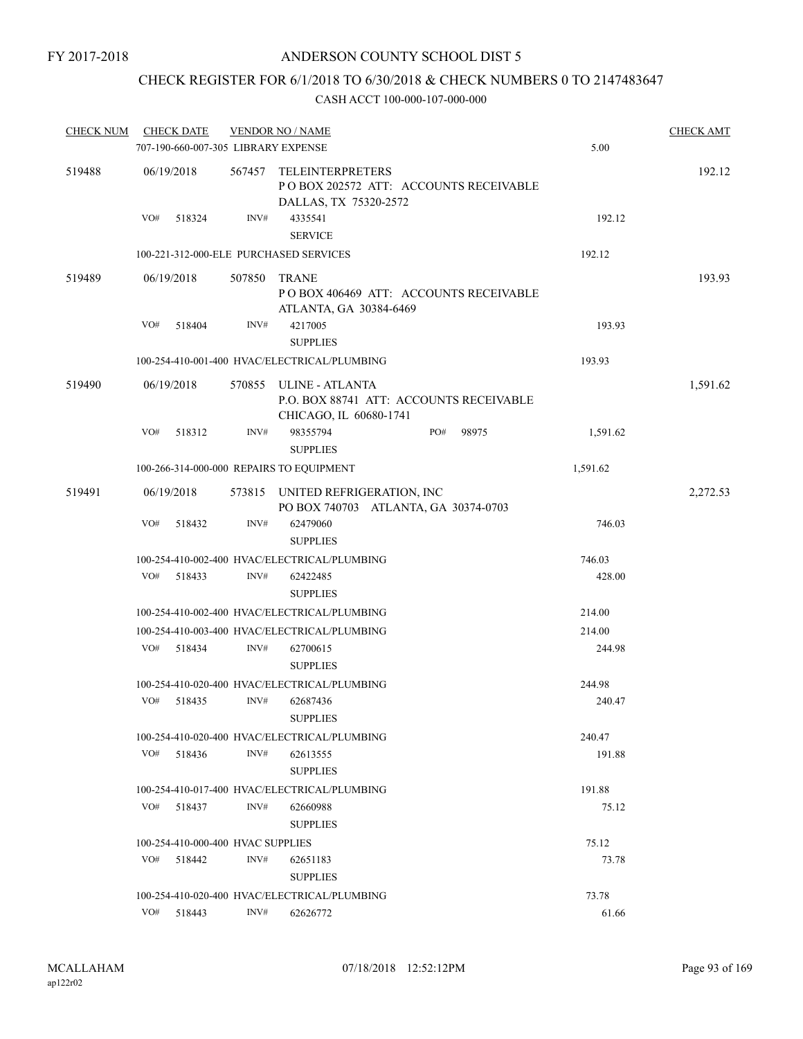## CHECK REGISTER FOR 6/1/2018 TO 6/30/2018 & CHECK NUMBERS 0 TO 2147483647

| <b>CHECK NUM</b> |                                     | <b>CHECK DATE</b>                 |        | <b>VENDOR NO / NAME</b>                                                                     |  |     |       |          | <b>CHECK AMT</b> |
|------------------|-------------------------------------|-----------------------------------|--------|---------------------------------------------------------------------------------------------|--|-----|-------|----------|------------------|
|                  | 707-190-660-007-305 LIBRARY EXPENSE |                                   |        |                                                                                             |  |     |       | 5.00     |                  |
| 519488           |                                     | 06/19/2018                        | 567457 | <b>TELEINTERPRETERS</b><br>PO BOX 202572 ATT: ACCOUNTS RECEIVABLE<br>DALLAS, TX 75320-2572  |  |     |       |          | 192.12           |
|                  | VO#                                 | 518324                            | INV#   | 4335541<br><b>SERVICE</b>                                                                   |  |     |       | 192.12   |                  |
|                  |                                     |                                   |        | 100-221-312-000-ELE PURCHASED SERVICES                                                      |  |     |       | 192.12   |                  |
| 519489           |                                     | 06/19/2018                        | 507850 | <b>TRANE</b><br>POBOX 406469 ATT: ACCOUNTS RECEIVABLE<br>ATLANTA, GA 30384-6469             |  |     |       |          | 193.93           |
|                  | VO#                                 | 518404                            | INV#   | 4217005<br><b>SUPPLIES</b>                                                                  |  |     |       | 193.93   |                  |
|                  |                                     |                                   |        | 100-254-410-001-400 HVAC/ELECTRICAL/PLUMBING                                                |  |     |       | 193.93   |                  |
| 519490           |                                     | 06/19/2018                        |        | 570855 ULINE - ATLANTA<br>P.O. BOX 88741 ATT: ACCOUNTS RECEIVABLE<br>CHICAGO, IL 60680-1741 |  |     |       |          | 1,591.62         |
|                  | VO#                                 | 518312                            | INV#   | 98355794<br><b>SUPPLIES</b>                                                                 |  | PO# | 98975 | 1,591.62 |                  |
|                  |                                     |                                   |        | 100-266-314-000-000 REPAIRS TO EQUIPMENT                                                    |  |     |       | 1,591.62 |                  |
| 519491           |                                     | 06/19/2018                        |        | 573815 UNITED REFRIGERATION, INC<br>PO BOX 740703 ATLANTA, GA 30374-0703                    |  |     |       |          | 2,272.53         |
|                  | VO#                                 | 518432                            | INV#   | 62479060<br><b>SUPPLIES</b>                                                                 |  |     |       | 746.03   |                  |
|                  |                                     |                                   |        | 100-254-410-002-400 HVAC/ELECTRICAL/PLUMBING                                                |  |     |       | 746.03   |                  |
|                  | VO#                                 | 518433                            | INV#   | 62422485<br><b>SUPPLIES</b>                                                                 |  |     |       | 428.00   |                  |
|                  |                                     |                                   |        | 100-254-410-002-400 HVAC/ELECTRICAL/PLUMBING                                                |  |     |       | 214.00   |                  |
|                  |                                     |                                   |        | 100-254-410-003-400 HVAC/ELECTRICAL/PLUMBING                                                |  |     |       | 214.00   |                  |
|                  | VO#                                 | 518434                            | INV#   | 62700615<br><b>SUPPLIES</b>                                                                 |  |     |       | 244.98   |                  |
|                  |                                     |                                   |        | 100-254-410-020-400 HVAC/ELECTRICAL/PLUMBING                                                |  |     |       | 244.98   |                  |
|                  | VO#                                 | 518435                            | INV#   | 62687436<br><b>SUPPLIES</b>                                                                 |  |     |       | 240.47   |                  |
|                  |                                     |                                   |        | 100-254-410-020-400 HVAC/ELECTRICAL/PLUMBING                                                |  |     |       | 240.47   |                  |
|                  |                                     | VO# 518436                        | INV#   | 62613555<br><b>SUPPLIES</b>                                                                 |  |     |       | 191.88   |                  |
|                  |                                     |                                   |        | 100-254-410-017-400 HVAC/ELECTRICAL/PLUMBING                                                |  |     |       | 191.88   |                  |
|                  | VO#                                 | 518437                            | INV#   | 62660988<br><b>SUPPLIES</b>                                                                 |  |     |       | 75.12    |                  |
|                  |                                     | 100-254-410-000-400 HVAC SUPPLIES |        |                                                                                             |  |     |       | 75.12    |                  |
|                  | VO#                                 | 518442                            | INV#   | 62651183<br><b>SUPPLIES</b>                                                                 |  |     |       | 73.78    |                  |
|                  |                                     |                                   |        | 100-254-410-020-400 HVAC/ELECTRICAL/PLUMBING                                                |  |     |       | 73.78    |                  |
|                  | VO#                                 | 518443                            | INV#   | 62626772                                                                                    |  |     |       | 61.66    |                  |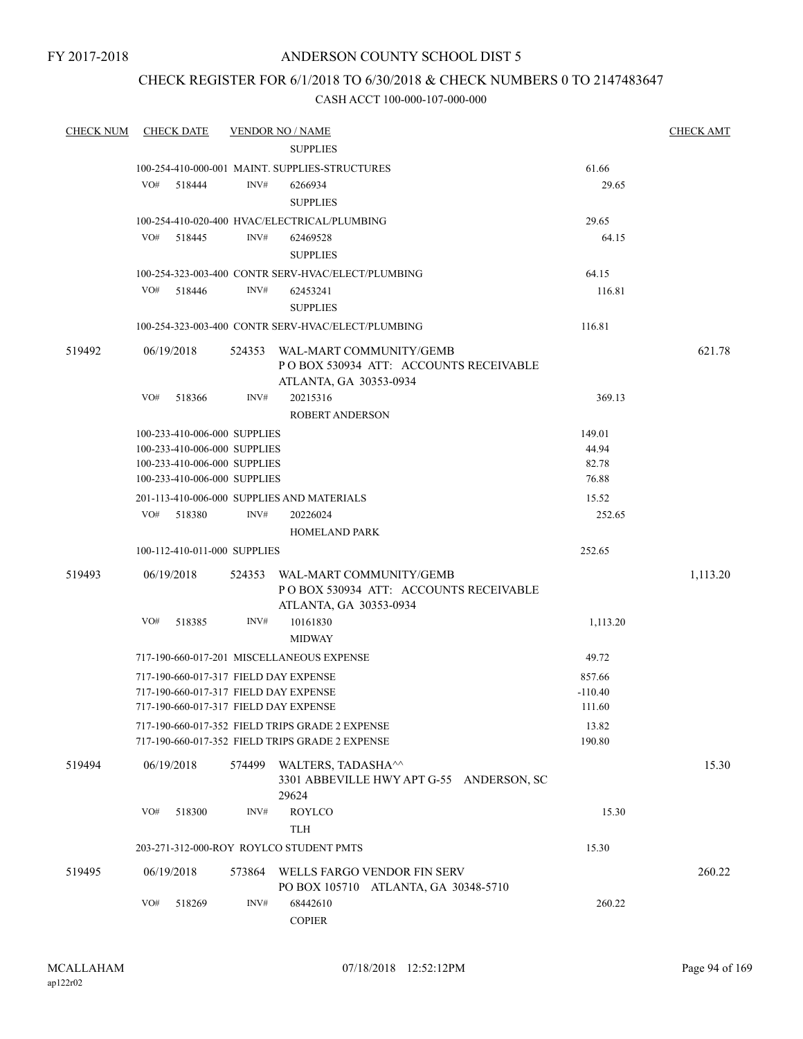## CHECK REGISTER FOR 6/1/2018 TO 6/30/2018 & CHECK NUMBERS 0 TO 2147483647

| <b>CHECK NUM</b> | <b>CHECK DATE</b>                                                                                                       |        | <b>VENDOR NO / NAME</b>                                                                            |                               | <b>CHECK AMT</b> |
|------------------|-------------------------------------------------------------------------------------------------------------------------|--------|----------------------------------------------------------------------------------------------------|-------------------------------|------------------|
|                  |                                                                                                                         |        | <b>SUPPLIES</b>                                                                                    |                               |                  |
|                  |                                                                                                                         |        | 100-254-410-000-001 MAINT. SUPPLIES-STRUCTURES                                                     | 61.66                         |                  |
|                  | VO# 518444                                                                                                              | INV#   | 6266934                                                                                            | 29.65                         |                  |
|                  |                                                                                                                         |        | <b>SUPPLIES</b>                                                                                    |                               |                  |
|                  |                                                                                                                         |        | 100-254-410-020-400 HVAC/ELECTRICAL/PLUMBING                                                       | 29.65                         |                  |
|                  | VO# 518445                                                                                                              | INV#   | 62469528                                                                                           | 64.15                         |                  |
|                  |                                                                                                                         |        | <b>SUPPLIES</b>                                                                                    |                               |                  |
|                  |                                                                                                                         |        | 100-254-323-003-400 CONTR SERV-HVAC/ELECT/PLUMBING                                                 | 64.15                         |                  |
|                  | VO# 518446                                                                                                              | INV#   | 62453241                                                                                           | 116.81                        |                  |
|                  |                                                                                                                         |        | <b>SUPPLIES</b>                                                                                    |                               |                  |
|                  |                                                                                                                         |        | 100-254-323-003-400 CONTR SERV-HVAC/ELECT/PLUMBING                                                 | 116.81                        |                  |
| 519492           | 06/19/2018                                                                                                              |        | 524353 WAL-MART COMMUNITY/GEMB<br>PO BOX 530934 ATT: ACCOUNTS RECEIVABLE<br>ATLANTA, GA 30353-0934 |                               | 621.78           |
|                  | VO#<br>518366                                                                                                           | INV#   | 20215316                                                                                           | 369.13                        |                  |
|                  |                                                                                                                         |        | <b>ROBERT ANDERSON</b>                                                                             |                               |                  |
|                  | 100-233-410-006-000 SUPPLIES                                                                                            |        |                                                                                                    | 149.01                        |                  |
|                  | 100-233-410-006-000 SUPPLIES                                                                                            |        |                                                                                                    | 44.94                         |                  |
|                  | 100-233-410-006-000 SUPPLIES                                                                                            |        |                                                                                                    | 82.78                         |                  |
|                  | 100-233-410-006-000 SUPPLIES                                                                                            |        |                                                                                                    | 76.88                         |                  |
|                  |                                                                                                                         |        | 201-113-410-006-000 SUPPLIES AND MATERIALS                                                         | 15.52                         |                  |
|                  | VO# 518380                                                                                                              | INV#   | 20226024<br><b>HOMELAND PARK</b>                                                                   | 252.65                        |                  |
|                  | 100-112-410-011-000 SUPPLIES                                                                                            |        |                                                                                                    | 252.65                        |                  |
| 519493           | 06/19/2018                                                                                                              |        | 524353 WAL-MART COMMUNITY/GEMB<br>PO BOX 530934 ATT: ACCOUNTS RECEIVABLE<br>ATLANTA, GA 30353-0934 |                               | 1,113.20         |
|                  | VO#<br>518385                                                                                                           | INV#   | 10161830<br><b>MIDWAY</b>                                                                          | 1,113.20                      |                  |
|                  |                                                                                                                         |        | 717-190-660-017-201 MISCELLANEOUS EXPENSE                                                          | 49.72                         |                  |
|                  | 717-190-660-017-317 FIELD DAY EXPENSE<br>717-190-660-017-317 FIELD DAY EXPENSE<br>717-190-660-017-317 FIELD DAY EXPENSE |        |                                                                                                    | 857.66<br>$-110.40$<br>111.60 |                  |
|                  |                                                                                                                         |        | 717-190-660-017-352 FIELD TRIPS GRADE 2 EXPENSE<br>717-190-660-017-352 FIELD TRIPS GRADE 2 EXPENSE | 13.82<br>190.80               |                  |
| 519494           | 06/19/2018                                                                                                              | 574499 | WALTERS, TADASHA <sup>^^</sup><br>3301 ABBEVILLE HWY APT G-55 ANDERSON, SC<br>29624                |                               | 15.30            |
|                  | VO#<br>518300                                                                                                           | INV#   | <b>ROYLCO</b><br><b>TLH</b>                                                                        | 15.30                         |                  |
|                  |                                                                                                                         |        | 203-271-312-000-ROY ROYLCO STUDENT PMTS                                                            | 15.30                         |                  |
| 519495           | 06/19/2018                                                                                                              | 573864 | WELLS FARGO VENDOR FIN SERV<br>PO BOX 105710 ATLANTA, GA 30348-5710                                |                               | 260.22           |
|                  | VO#<br>518269                                                                                                           | INV#   | 68442610<br><b>COPIER</b>                                                                          | 260.22                        |                  |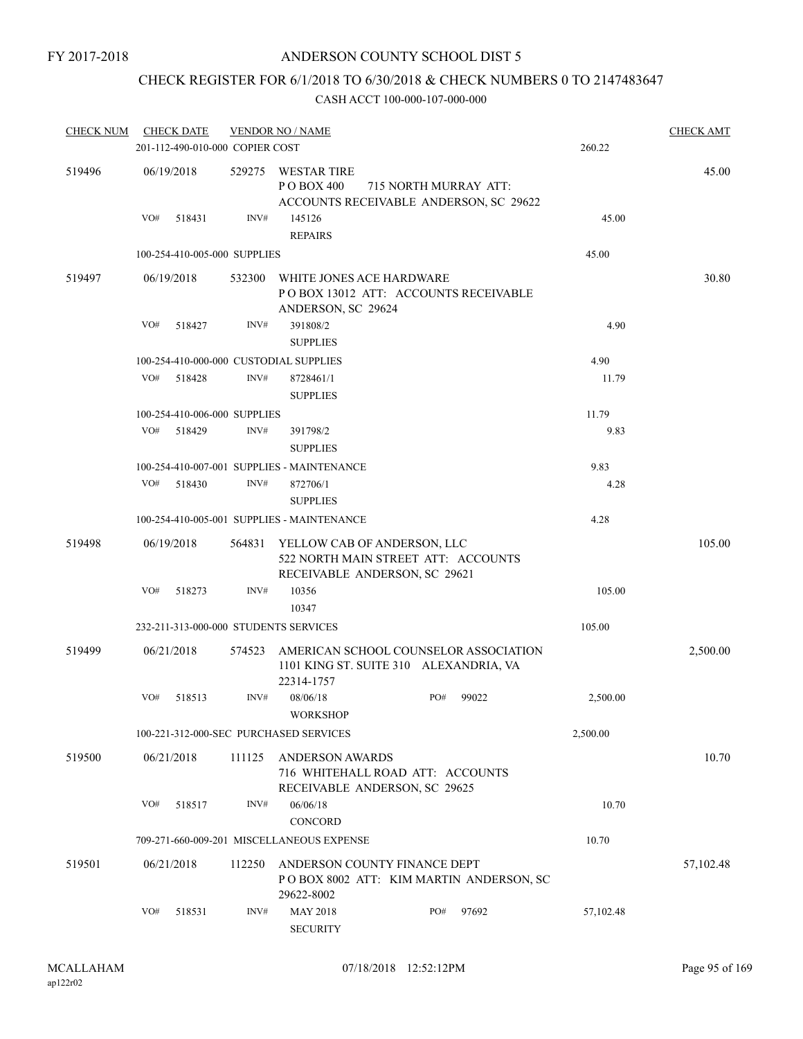## CHECK REGISTER FOR 6/1/2018 TO 6/30/2018 & CHECK NUMBERS 0 TO 2147483647

| <b>CHECK NUM</b> |     | <b>CHECK DATE</b>               |        | <b>VENDOR NO / NAME</b>                                                                              |     |                       |           | <b>CHECK AMT</b> |
|------------------|-----|---------------------------------|--------|------------------------------------------------------------------------------------------------------|-----|-----------------------|-----------|------------------|
|                  |     | 201-112-490-010-000 COPIER COST |        |                                                                                                      |     |                       | 260.22    |                  |
| 519496           |     | 06/19/2018                      | 529275 | WESTAR TIRE<br>P O BOX 400<br>ACCOUNTS RECEIVABLE ANDERSON, SC 29622                                 |     | 715 NORTH MURRAY ATT: |           | 45.00            |
|                  | VO# | 518431                          | INV#   | 145126<br><b>REPAIRS</b>                                                                             |     |                       | 45.00     |                  |
|                  |     | 100-254-410-005-000 SUPPLIES    |        |                                                                                                      |     |                       | 45.00     |                  |
| 519497           |     | 06/19/2018                      | 532300 | WHITE JONES ACE HARDWARE<br>POBOX 13012 ATT: ACCOUNTS RECEIVABLE<br>ANDERSON, SC 29624               |     |                       |           | 30.80            |
|                  | VO# | 518427                          | INV#   | 391808/2<br><b>SUPPLIES</b>                                                                          |     |                       | 4.90      |                  |
|                  |     |                                 |        | 100-254-410-000-000 CUSTODIAL SUPPLIES                                                               |     |                       | 4.90      |                  |
|                  | VO# | 518428                          | INV#   | 8728461/1<br><b>SUPPLIES</b>                                                                         |     |                       | 11.79     |                  |
|                  |     | 100-254-410-006-000 SUPPLIES    |        |                                                                                                      |     |                       | 11.79     |                  |
|                  | VO# | 518429                          | INV#   | 391798/2<br><b>SUPPLIES</b>                                                                          |     |                       | 9.83      |                  |
|                  |     |                                 |        | 100-254-410-007-001 SUPPLIES - MAINTENANCE                                                           |     |                       | 9.83      |                  |
|                  | VO# | 518430                          | INV#   | 872706/1<br><b>SUPPLIES</b>                                                                          |     |                       | 4.28      |                  |
|                  |     |                                 |        | 100-254-410-005-001 SUPPLIES - MAINTENANCE                                                           |     |                       | 4.28      |                  |
| 519498           |     | 06/19/2018                      | 564831 | YELLOW CAB OF ANDERSON, LLC<br>522 NORTH MAIN STREET ATT: ACCOUNTS<br>RECEIVABLE ANDERSON, SC 29621  |     |                       |           | 105.00           |
|                  | VO# | 518273                          | INV#   | 10356<br>10347                                                                                       |     |                       | 105.00    |                  |
|                  |     |                                 |        | 232-211-313-000-000 STUDENTS SERVICES                                                                |     |                       | 105.00    |                  |
| 519499           |     | 06/21/2018                      |        | 574523 AMERICAN SCHOOL COUNSELOR ASSOCIATION<br>1101 KING ST. SUITE 310 ALEXANDRIA, VA<br>22314-1757 |     |                       |           | 2,500.00         |
|                  | VO# | 518513                          | INV#   | 08/06/18<br><b>WORKSHOP</b>                                                                          | PO# | 99022                 | 2,500.00  |                  |
|                  |     |                                 |        | 100-221-312-000-SEC PURCHASED SERVICES                                                               |     |                       | 2,500.00  |                  |
| 519500           |     | 06/21/2018                      | 111125 | <b>ANDERSON AWARDS</b><br>716 WHITEHALL ROAD ATT: ACCOUNTS<br>RECEIVABLE ANDERSON, SC 29625          |     |                       |           | 10.70            |
|                  | VO# | 518517                          | INV#   | 06/06/18<br>CONCORD                                                                                  |     |                       | 10.70     |                  |
|                  |     |                                 |        | 709-271-660-009-201 MISCELLANEOUS EXPENSE                                                            |     |                       | 10.70     |                  |
| 519501           |     | 06/21/2018                      | 112250 | ANDERSON COUNTY FINANCE DEPT<br>POBOX 8002 ATT: KIM MARTIN ANDERSON, SC<br>29622-8002                |     |                       |           | 57,102.48        |
|                  | VO# | 518531                          | INV#   | <b>MAY 2018</b><br><b>SECURITY</b>                                                                   | PO# | 97692                 | 57,102.48 |                  |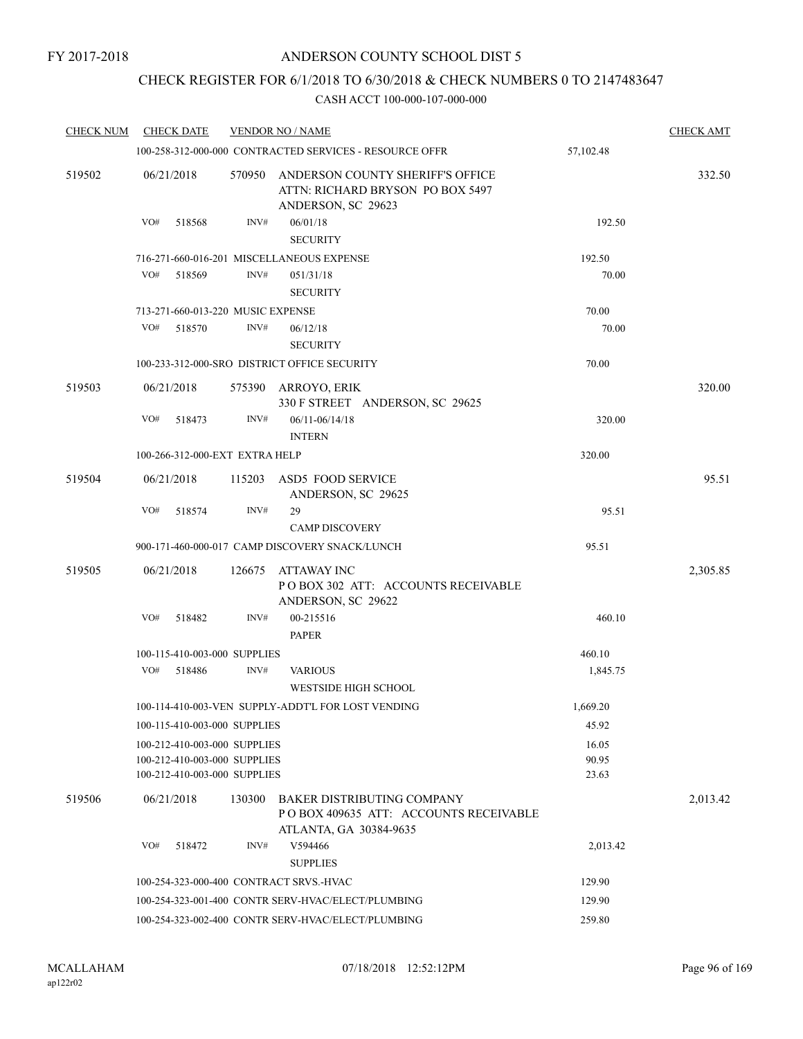## CHECK REGISTER FOR 6/1/2018 TO 6/30/2018 & CHECK NUMBERS 0 TO 2147483647

| <b>CHECK NUM</b> | <b>CHECK DATE</b>                                                                            | <b>VENDOR NO / NAME</b>                   | <b>CHECK AMT</b>                                                                                     |                         |          |
|------------------|----------------------------------------------------------------------------------------------|-------------------------------------------|------------------------------------------------------------------------------------------------------|-------------------------|----------|
|                  |                                                                                              |                                           | 100-258-312-000-000 CONTRACTED SERVICES - RESOURCE OFFR                                              | 57,102.48               |          |
| 519502           | 06/21/2018                                                                                   | 570950                                    | ANDERSON COUNTY SHERIFF'S OFFICE<br>ATTN: RICHARD BRYSON PO BOX 5497<br>ANDERSON, SC 29623           |                         | 332.50   |
|                  | VO#<br>518568                                                                                | INV#                                      | 06/01/18<br><b>SECURITY</b>                                                                          | 192.50                  |          |
|                  |                                                                                              | 716-271-660-016-201 MISCELLANEOUS EXPENSE |                                                                                                      | 192.50                  |          |
|                  | VO#<br>518569                                                                                | INV#                                      | 051/31/18                                                                                            | 70.00                   |          |
|                  |                                                                                              | <b>SECURITY</b>                           |                                                                                                      |                         |          |
|                  | 713-271-660-013-220 MUSIC EXPENSE                                                            |                                           |                                                                                                      | 70.00                   |          |
|                  | VO#<br>518570                                                                                | INV#                                      | 06/12/18<br><b>SECURITY</b>                                                                          | 70.00                   |          |
|                  |                                                                                              |                                           | 100-233-312-000-SRO DISTRICT OFFICE SECURITY                                                         | 70.00                   |          |
| 519503           | 06/21/2018                                                                                   | 575390                                    | ARROYO, ERIK<br>330 F STREET ANDERSON, SC 29625                                                      |                         | 320.00   |
|                  | VO#<br>518473                                                                                | INV#                                      | $06/11 - 06/14/18$<br><b>INTERN</b>                                                                  | 320.00                  |          |
|                  | 100-266-312-000-EXT EXTRA HELP                                                               |                                           |                                                                                                      | 320.00                  |          |
| 519504           | 06/21/2018                                                                                   | 115203                                    | <b>ASD5 FOOD SERVICE</b><br>ANDERSON, SC 29625                                                       |                         | 95.51    |
|                  | VO#<br>518574                                                                                | INV#                                      | 29                                                                                                   | 95.51                   |          |
|                  |                                                                                              |                                           | <b>CAMP DISCOVERY</b>                                                                                |                         |          |
|                  |                                                                                              |                                           | 900-171-460-000-017 CAMP DISCOVERY SNACK/LUNCH                                                       | 95.51                   |          |
| 519505           | 06/21/2018                                                                                   | 126675                                    | ATTAWAY INC<br>POBOX 302 ATT: ACCOUNTS RECEIVABLE<br>ANDERSON, SC 29622                              |                         | 2,305.85 |
|                  | VO#<br>518482                                                                                | INV#                                      | 00-215516<br><b>PAPER</b>                                                                            | 460.10                  |          |
|                  | 100-115-410-003-000 SUPPLIES                                                                 |                                           |                                                                                                      | 460.10                  |          |
|                  | VO#<br>518486                                                                                | INV#                                      | <b>VARIOUS</b>                                                                                       | 1,845.75                |          |
|                  |                                                                                              |                                           | <b>WESTSIDE HIGH SCHOOL</b>                                                                          |                         |          |
|                  |                                                                                              |                                           | 100-114-410-003-VEN SUPPLY-ADDT'L FOR LOST VENDING                                                   | 1,669.20                |          |
|                  | 100-115-410-003-000 SUPPLIES                                                                 |                                           |                                                                                                      | 45.92                   |          |
|                  | 100-212-410-003-000 SUPPLIES<br>100-212-410-003-000 SUPPLIES<br>100-212-410-003-000 SUPPLIES |                                           |                                                                                                      | 16.05<br>90.95<br>23.63 |          |
| 519506           | 06/21/2018                                                                                   | 130300                                    | <b>BAKER DISTRIBUTING COMPANY</b><br>POBOX 409635 ATT: ACCOUNTS RECEIVABLE<br>ATLANTA, GA 30384-9635 |                         | 2,013.42 |
|                  | VO#<br>518472                                                                                | INV#                                      | V594466                                                                                              | 2,013.42                |          |
|                  |                                                                                              |                                           | <b>SUPPLIES</b>                                                                                      |                         |          |
|                  | 100-254-323-000-400 CONTRACT SRVS.-HVAC                                                      |                                           |                                                                                                      | 129.90                  |          |
|                  |                                                                                              |                                           | 100-254-323-001-400 CONTR SERV-HVAC/ELECT/PLUMBING                                                   | 129.90                  |          |
|                  |                                                                                              |                                           | 100-254-323-002-400 CONTR SERV-HVAC/ELECT/PLUMBING                                                   | 259.80                  |          |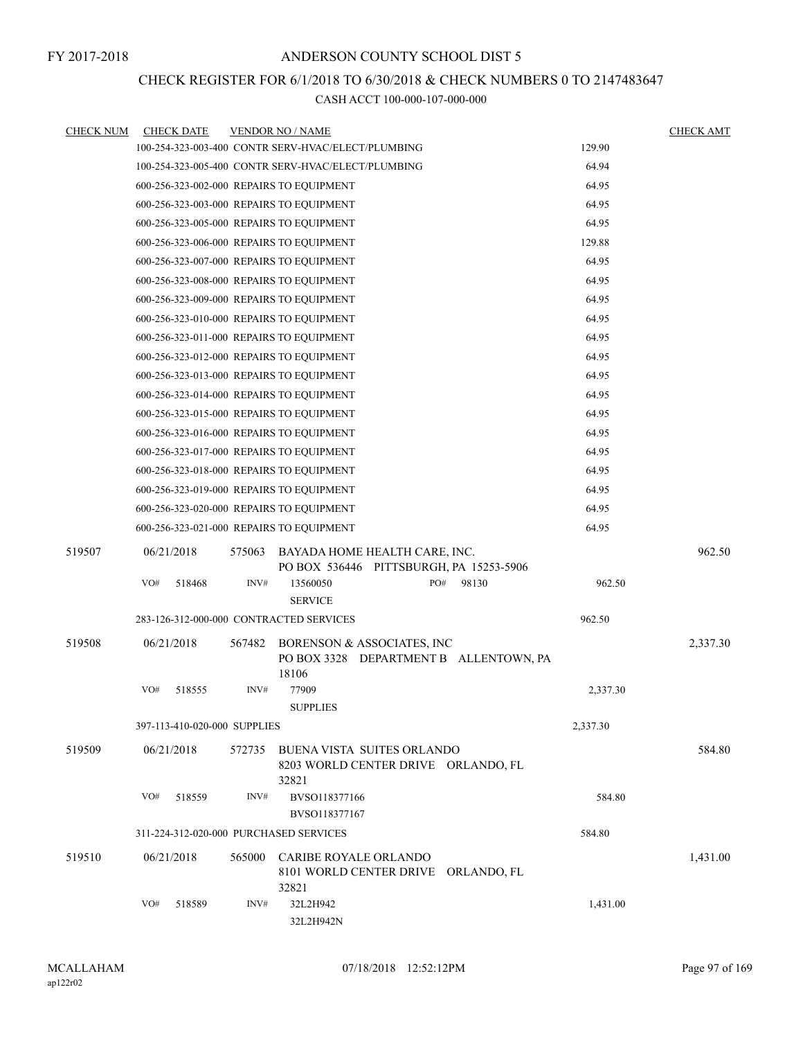## CHECK REGISTER FOR 6/1/2018 TO 6/30/2018 & CHECK NUMBERS 0 TO 2147483647

| <b>CHECK NUM</b> | <b>CHECK DATE</b>                        |        | <b>VENDOR NO / NAME</b>                                                       |          | <b>CHECK AMT</b> |
|------------------|------------------------------------------|--------|-------------------------------------------------------------------------------|----------|------------------|
|                  |                                          |        | 100-254-323-003-400 CONTR SERV-HVAC/ELECT/PLUMBING                            | 129.90   |                  |
|                  |                                          |        | 100-254-323-005-400 CONTR SERV-HVAC/ELECT/PLUMBING                            | 64.94    |                  |
|                  | 600-256-323-002-000 REPAIRS TO EQUIPMENT |        |                                                                               | 64.95    |                  |
|                  | 600-256-323-003-000 REPAIRS TO EQUIPMENT |        |                                                                               | 64.95    |                  |
|                  | 600-256-323-005-000 REPAIRS TO EQUIPMENT |        |                                                                               | 64.95    |                  |
|                  | 600-256-323-006-000 REPAIRS TO EQUIPMENT |        |                                                                               | 129.88   |                  |
|                  | 600-256-323-007-000 REPAIRS TO EQUIPMENT |        |                                                                               | 64.95    |                  |
|                  | 600-256-323-008-000 REPAIRS TO EQUIPMENT |        |                                                                               | 64.95    |                  |
|                  | 600-256-323-009-000 REPAIRS TO EQUIPMENT |        |                                                                               | 64.95    |                  |
|                  | 600-256-323-010-000 REPAIRS TO EQUIPMENT |        |                                                                               | 64.95    |                  |
|                  | 600-256-323-011-000 REPAIRS TO EQUIPMENT |        |                                                                               | 64.95    |                  |
|                  | 600-256-323-012-000 REPAIRS TO EQUIPMENT |        |                                                                               | 64.95    |                  |
|                  | 600-256-323-013-000 REPAIRS TO EQUIPMENT |        |                                                                               | 64.95    |                  |
|                  | 600-256-323-014-000 REPAIRS TO EQUIPMENT |        |                                                                               | 64.95    |                  |
|                  | 600-256-323-015-000 REPAIRS TO EQUIPMENT |        |                                                                               | 64.95    |                  |
|                  | 600-256-323-016-000 REPAIRS TO EQUIPMENT |        |                                                                               | 64.95    |                  |
|                  | 600-256-323-017-000 REPAIRS TO EQUIPMENT |        |                                                                               | 64.95    |                  |
|                  | 600-256-323-018-000 REPAIRS TO EQUIPMENT |        |                                                                               | 64.95    |                  |
|                  | 600-256-323-019-000 REPAIRS TO EQUIPMENT |        |                                                                               | 64.95    |                  |
|                  | 600-256-323-020-000 REPAIRS TO EQUIPMENT |        |                                                                               | 64.95    |                  |
|                  | 600-256-323-021-000 REPAIRS TO EQUIPMENT |        |                                                                               | 64.95    |                  |
| 519507           | 06/21/2018                               | 575063 | BAYADA HOME HEALTH CARE, INC.<br>PO BOX 536446 PITTSBURGH, PA 15253-5906      |          | 962.50           |
|                  | VO#<br>518468                            | INV#   | 13560050<br>PO#<br>98130<br><b>SERVICE</b>                                    | 962.50   |                  |
|                  | 283-126-312-000-000 CONTRACTED SERVICES  |        |                                                                               | 962.50   |                  |
|                  |                                          |        |                                                                               |          |                  |
| 519508           | 06/21/2018                               | 567482 | BORENSON & ASSOCIATES, INC<br>PO BOX 3328 DEPARTMENT B ALLENTOWN, PA<br>18106 |          | 2,337.30         |
|                  | VO#<br>518555                            | INV#   | 77909<br><b>SUPPLIES</b>                                                      | 2,337.30 |                  |
|                  | 397-113-410-020-000 SUPPLIES             |        |                                                                               | 2,337.30 |                  |
| 519509           | 06/21/2018                               | 572735 | BUENA VISTA SUITES ORLANDO<br>8203 WORLD CENTER DRIVE ORLANDO, FL<br>32821    |          | 584.80           |
|                  | VO#<br>518559                            | INV#   | BVSO118377166<br>BVSO118377167                                                | 584.80   |                  |
|                  | 311-224-312-020-000 PURCHASED SERVICES   |        |                                                                               | 584.80   |                  |
| 519510           | 06/21/2018                               | 565000 | CARIBE ROYALE ORLANDO<br>8101 WORLD CENTER DRIVE ORLANDO, FL<br>32821         |          | 1,431.00         |
|                  | VO#<br>518589                            | INV#   | 32L2H942<br>32L2H942N                                                         | 1,431.00 |                  |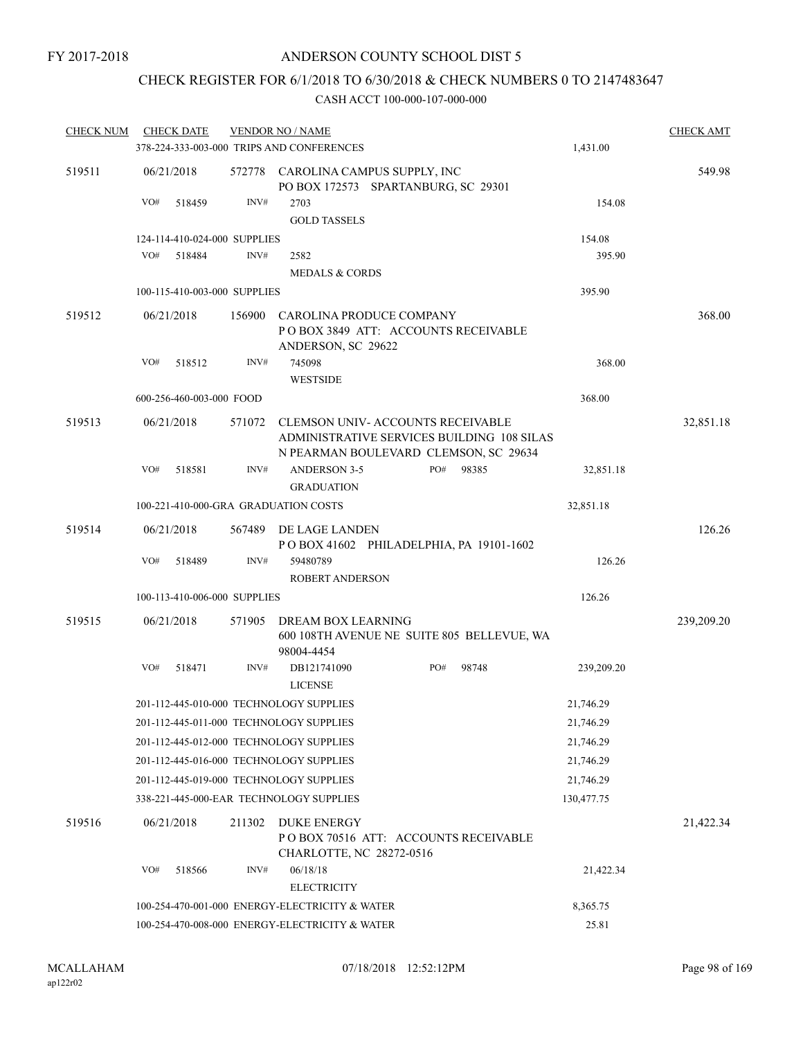## CHECK REGISTER FOR 6/1/2018 TO 6/30/2018 & CHECK NUMBERS 0 TO 2147483647

| <b>CHECK NUM</b> | <b>CHECK DATE</b>            |        | <b>VENDOR NO / NAME</b>                                                                                                         |     |       |            | <b>CHECK AMT</b> |
|------------------|------------------------------|--------|---------------------------------------------------------------------------------------------------------------------------------|-----|-------|------------|------------------|
|                  |                              |        | 378-224-333-003-000 TRIPS AND CONFERENCES                                                                                       |     |       | 1,431.00   |                  |
| 519511           | 06/21/2018                   | 572778 | CAROLINA CAMPUS SUPPLY, INC<br>PO BOX 172573 SPARTANBURG, SC 29301                                                              |     |       |            | 549.98           |
|                  | VO#<br>518459                | INV#   | 2703                                                                                                                            |     |       | 154.08     |                  |
|                  |                              |        | <b>GOLD TASSELS</b>                                                                                                             |     |       |            |                  |
|                  | 124-114-410-024-000 SUPPLIES |        |                                                                                                                                 |     |       | 154.08     |                  |
|                  | VO#<br>518484                | INV#   | 2582                                                                                                                            |     |       | 395.90     |                  |
|                  |                              |        | <b>MEDALS &amp; CORDS</b>                                                                                                       |     |       |            |                  |
|                  | 100-115-410-003-000 SUPPLIES |        |                                                                                                                                 |     |       | 395.90     |                  |
| 519512           | 06/21/2018                   | 156900 | CAROLINA PRODUCE COMPANY<br>POBOX 3849 ATT: ACCOUNTS RECEIVABLE                                                                 |     |       |            | 368.00           |
|                  | VO#<br>518512                | INV#   | ANDERSON, SC 29622<br>745098                                                                                                    |     |       | 368.00     |                  |
|                  |                              |        | <b>WESTSIDE</b>                                                                                                                 |     |       |            |                  |
|                  | 600-256-460-003-000 FOOD     |        |                                                                                                                                 |     |       | 368.00     |                  |
|                  |                              |        |                                                                                                                                 |     |       |            |                  |
| 519513           | 06/21/2018                   | 571072 | <b>CLEMSON UNIV- ACCOUNTS RECEIVABLE</b><br>ADMINISTRATIVE SERVICES BUILDING 108 SILAS<br>N PEARMAN BOULEVARD CLEMSON, SC 29634 |     |       |            | 32,851.18        |
|                  | VO#<br>518581                | INV#   | <b>ANDERSON 3-5</b><br><b>GRADUATION</b>                                                                                        | PO# | 98385 | 32,851.18  |                  |
|                  |                              |        | 100-221-410-000-GRA GRADUATION COSTS                                                                                            |     |       | 32,851.18  |                  |
| 519514           | 06/21/2018                   | 567489 | DE LAGE LANDEN<br>POBOX 41602 PHILADELPHIA, PA 19101-1602                                                                       |     |       |            | 126.26           |
|                  | VO#<br>518489                | INV#   | 59480789                                                                                                                        |     |       | 126.26     |                  |
|                  |                              |        | <b>ROBERT ANDERSON</b>                                                                                                          |     |       |            |                  |
|                  | 100-113-410-006-000 SUPPLIES |        |                                                                                                                                 |     |       | 126.26     |                  |
| 519515           | 06/21/2018                   | 571905 | DREAM BOX LEARNING<br>600 108TH AVENUE NE SUITE 805 BELLEVUE, WA<br>98004-4454                                                  |     |       |            | 239,209.20       |
|                  | VO#<br>518471                | INV#   | DB121741090<br><b>LICENSE</b>                                                                                                   | PO# | 98748 | 239,209.20 |                  |
|                  |                              |        | 201-112-445-010-000 TECHNOLOGY SUPPLIES                                                                                         |     |       | 21,746.29  |                  |
|                  |                              |        | 201-112-445-011-000 TECHNOLOGY SUPPLIES                                                                                         |     |       | 21,746.29  |                  |
|                  |                              |        | 201-112-445-012-000 TECHNOLOGY SUPPLIES                                                                                         |     |       | 21,746.29  |                  |
|                  |                              |        | 201-112-445-016-000 TECHNOLOGY SUPPLIES                                                                                         |     |       | 21,746.29  |                  |
|                  |                              |        | 201-112-445-019-000 TECHNOLOGY SUPPLIES                                                                                         |     |       | 21,746.29  |                  |
|                  |                              |        | 338-221-445-000-EAR TECHNOLOGY SUPPLIES                                                                                         |     |       | 130,477.75 |                  |
| 519516           | 06/21/2018                   | 211302 | <b>DUKE ENERGY</b><br>POBOX 70516 ATT: ACCOUNTS RECEIVABLE<br>CHARLOTTE, NC 28272-0516                                          |     |       |            | 21,422.34        |
|                  | VO#<br>518566                | INV#   | 06/18/18<br><b>ELECTRICITY</b>                                                                                                  |     |       | 21,422.34  |                  |
|                  |                              |        | 100-254-470-001-000 ENERGY-ELECTRICITY & WATER                                                                                  |     |       | 8,365.75   |                  |
|                  |                              |        | 100-254-470-008-000 ENERGY-ELECTRICITY & WATER                                                                                  |     |       | 25.81      |                  |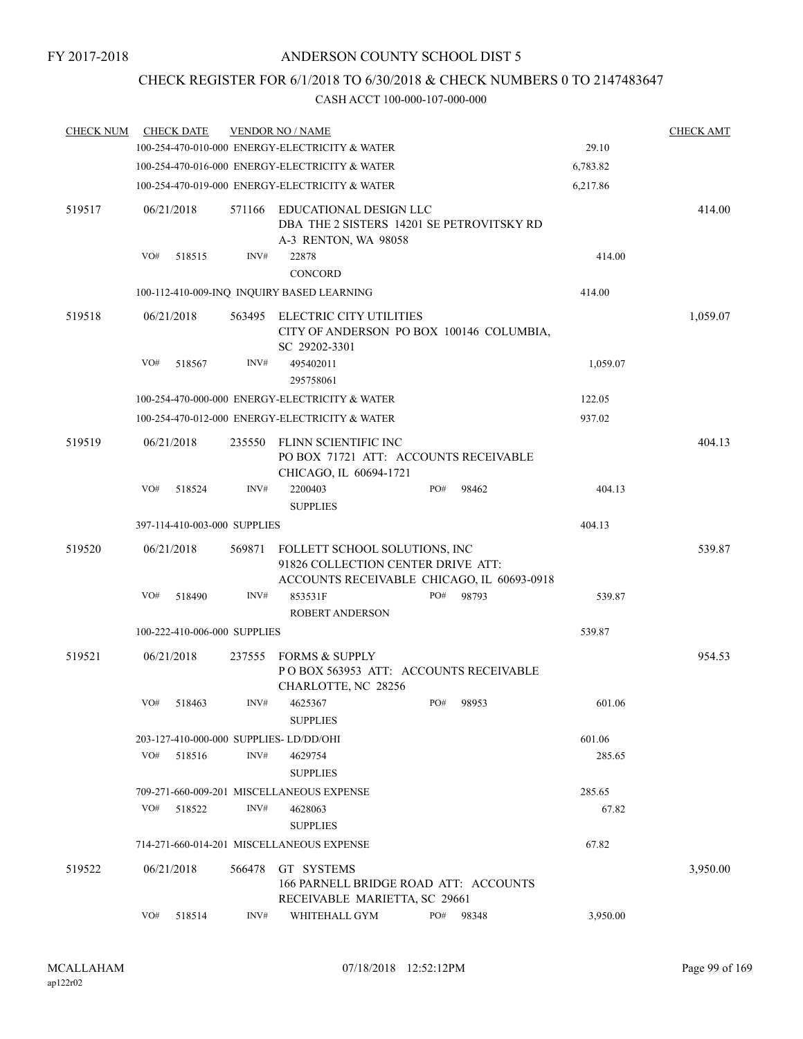## CHECK REGISTER FOR 6/1/2018 TO 6/30/2018 & CHECK NUMBERS 0 TO 2147483647

| <b>CHECK NUM</b> | <b>CHECK DATE</b> |                              |        | <b>VENDOR NO / NAME</b>                                                                                           |     |       |          | <b>CHECK AMT</b> |
|------------------|-------------------|------------------------------|--------|-------------------------------------------------------------------------------------------------------------------|-----|-------|----------|------------------|
|                  |                   |                              |        | 100-254-470-010-000 ENERGY-ELECTRICITY & WATER                                                                    |     |       | 29.10    |                  |
|                  |                   |                              |        | 100-254-470-016-000 ENERGY-ELECTRICITY & WATER                                                                    |     |       | 6,783.82 |                  |
|                  |                   |                              |        | 100-254-470-019-000 ENERGY-ELECTRICITY & WATER                                                                    |     |       | 6,217.86 |                  |
| 519517           | 06/21/2018        |                              | 571166 | EDUCATIONAL DESIGN LLC<br>DBA THE 2 SISTERS 14201 SE PETROVITSKY RD<br>A-3 RENTON, WA 98058                       |     |       |          | 414.00           |
|                  | VO#               | 518515                       | INV#   | 22878                                                                                                             |     |       | 414.00   |                  |
|                  |                   |                              |        | CONCORD                                                                                                           |     |       |          |                  |
|                  |                   |                              |        | 100-112-410-009-INQ INQUIRY BASED LEARNING                                                                        |     |       | 414.00   |                  |
| 519518           | 06/21/2018        |                              | 563495 | ELECTRIC CITY UTILITIES<br>CITY OF ANDERSON PO BOX 100146 COLUMBIA,<br>SC 29202-3301                              |     |       |          | 1,059.07         |
|                  | VO#               | 518567                       | INV#   | 495402011<br>295758061                                                                                            |     |       | 1,059.07 |                  |
|                  |                   |                              |        | 100-254-470-000-000 ENERGY-ELECTRICITY & WATER                                                                    |     |       | 122.05   |                  |
|                  |                   |                              |        | 100-254-470-012-000 ENERGY-ELECTRICITY & WATER                                                                    |     |       | 937.02   |                  |
| 519519           | 06/21/2018        |                              | 235550 | FLINN SCIENTIFIC INC<br>PO BOX 71721 ATT: ACCOUNTS RECEIVABLE<br>CHICAGO, IL 60694-1721                           |     |       |          | 404.13           |
|                  | VO#               | 518524                       | INV#   | 2200403<br><b>SUPPLIES</b>                                                                                        | PO# | 98462 | 404.13   |                  |
|                  |                   | 397-114-410-003-000 SUPPLIES |        |                                                                                                                   |     |       | 404.13   |                  |
| 519520           | 06/21/2018        |                              | 569871 | FOLLETT SCHOOL SOLUTIONS, INC<br>91826 COLLECTION CENTER DRIVE ATT:<br>ACCOUNTS RECEIVABLE CHICAGO, IL 60693-0918 |     |       |          | 539.87           |
|                  | VO#               | 518490                       | INV#   | 853531F<br><b>ROBERT ANDERSON</b>                                                                                 | PO# | 98793 | 539.87   |                  |
|                  |                   | 100-222-410-006-000 SUPPLIES |        |                                                                                                                   |     |       | 539.87   |                  |
| 519521           | 06/21/2018        |                              | 237555 | <b>FORMS &amp; SUPPLY</b><br>POBOX 563953 ATT: ACCOUNTS RECEIVABLE<br>CHARLOTTE, NC 28256                         |     |       |          | 954.53           |
|                  | VO#               | 518463                       | INV#   | 4625367<br><b>SUPPLIES</b>                                                                                        | PO# | 98953 | 601.06   |                  |
|                  |                   |                              |        | 203-127-410-000-000 SUPPLIES-LD/DD/OHI                                                                            |     |       | 601.06   |                  |
|                  | VO#               | 518516                       | INV#   | 4629754<br><b>SUPPLIES</b>                                                                                        |     |       | 285.65   |                  |
|                  |                   |                              |        | 709-271-660-009-201 MISCELLANEOUS EXPENSE                                                                         |     |       | 285.65   |                  |
|                  | VO#               | 518522                       | INV#   | 4628063<br><b>SUPPLIES</b>                                                                                        |     |       | 67.82    |                  |
|                  |                   |                              |        | 714-271-660-014-201 MISCELLANEOUS EXPENSE                                                                         |     |       | 67.82    |                  |
| 519522           | 06/21/2018        |                              | 566478 | GT SYSTEMS<br>166 PARNELL BRIDGE ROAD ATT: ACCOUNTS                                                               |     |       |          | 3,950.00         |
|                  | VO#               | 518514                       | INV#   | RECEIVABLE MARIETTA, SC 29661<br>WHITEHALL GYM                                                                    | PO# | 98348 | 3,950.00 |                  |
|                  |                   |                              |        |                                                                                                                   |     |       |          |                  |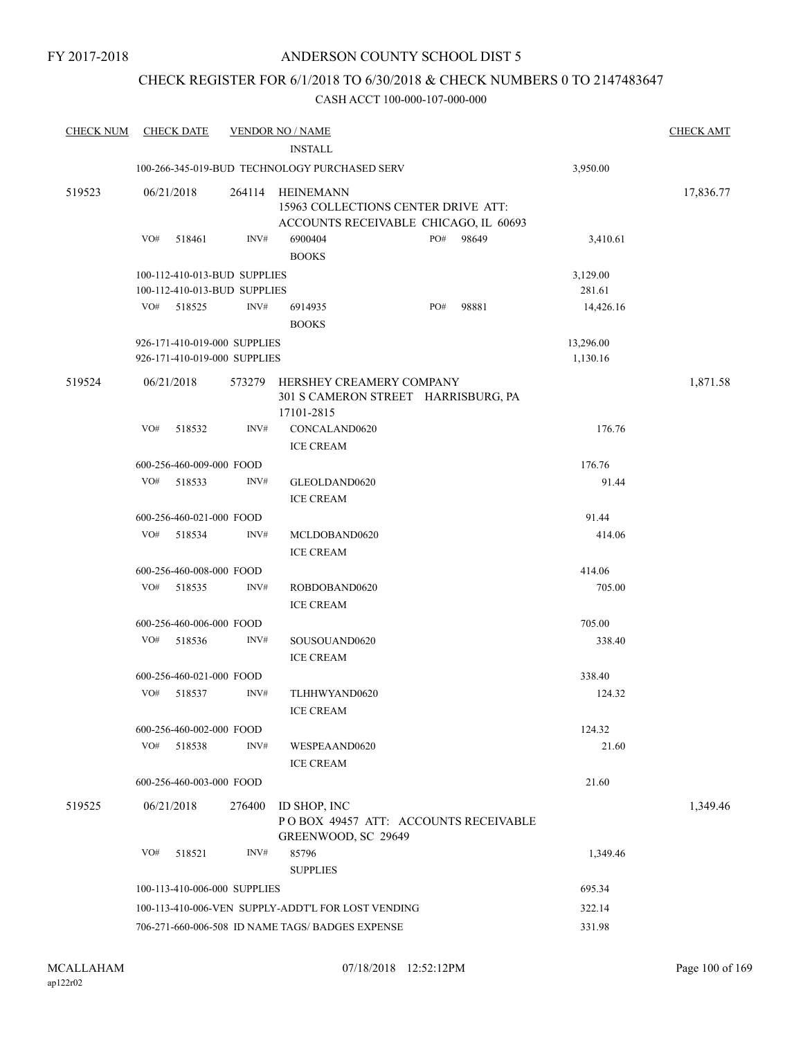## CHECK REGISTER FOR 6/1/2018 TO 6/30/2018 & CHECK NUMBERS 0 TO 2147483647

| <b>CHECK NUM</b> |            | <b>CHECK DATE</b>        |                                                              | <b>VENDOR NO / NAME</b>                                                                          |     |        |                       | <b>CHECK AMT</b> |
|------------------|------------|--------------------------|--------------------------------------------------------------|--------------------------------------------------------------------------------------------------|-----|--------|-----------------------|------------------|
|                  |            |                          |                                                              | <b>INSTALL</b>                                                                                   |     |        |                       |                  |
|                  |            |                          |                                                              | 100-266-345-019-BUD TECHNOLOGY PURCHASED SERV                                                    |     |        | 3,950.00              |                  |
| 519523           | 06/21/2018 |                          | 264114                                                       | <b>HEINEMANN</b><br>15963 COLLECTIONS CENTER DRIVE ATT:<br>ACCOUNTS RECEIVABLE CHICAGO, IL 60693 |     |        |                       | 17,836.77        |
|                  | VO#        | 518461                   | INV#                                                         | 6900404<br><b>BOOKS</b>                                                                          | PO# | 98649  | 3,410.61              |                  |
|                  |            |                          | 100-112-410-013-BUD SUPPLIES<br>100-112-410-013-BUD SUPPLIES |                                                                                                  |     |        | 3,129.00<br>281.61    |                  |
|                  | VO#        | 518525                   | INV#                                                         | 6914935<br><b>BOOKS</b>                                                                          | PO# | 98881  | 14,426.16             |                  |
|                  |            |                          | 926-171-410-019-000 SUPPLIES<br>926-171-410-019-000 SUPPLIES |                                                                                                  |     |        | 13,296.00<br>1,130.16 |                  |
| 519524           | 06/21/2018 |                          | 573279                                                       | HERSHEY CREAMERY COMPANY<br>301 S CAMERON STREET HARRISBURG, PA<br>17101-2815                    |     |        |                       | 1,871.58         |
|                  | VO#        | 518532                   | INV#                                                         | CONCALAND0620<br><b>ICE CREAM</b>                                                                |     |        | 176.76                |                  |
|                  |            | 600-256-460-009-000 FOOD |                                                              |                                                                                                  |     |        | 176.76                |                  |
|                  | VO#        | 518533                   | INV#                                                         | GLEOLDAND0620<br><b>ICE CREAM</b>                                                                |     |        | 91.44                 |                  |
|                  |            | 600-256-460-021-000 FOOD |                                                              |                                                                                                  |     |        | 91.44                 |                  |
|                  | VO#        | 518534                   | INV#                                                         | MCLDOBAND0620<br><b>ICE CREAM</b>                                                                |     |        | 414.06                |                  |
|                  |            | 600-256-460-008-000 FOOD |                                                              |                                                                                                  |     |        | 414.06                |                  |
|                  | VO#        | 518535                   | INV#                                                         | ROBDOBAND0620<br><b>ICE CREAM</b>                                                                |     |        | 705.00                |                  |
|                  |            | 600-256-460-006-000 FOOD |                                                              |                                                                                                  |     | 705.00 |                       |                  |
|                  | VO#        | 518536                   | INV#                                                         | SOUSOUAND0620<br><b>ICE CREAM</b>                                                                |     |        | 338.40                |                  |
|                  |            | 600-256-460-021-000 FOOD |                                                              |                                                                                                  |     |        | 338.40                |                  |
|                  | VO#        | 518537                   | INV#                                                         | TLHHWYAND0620<br><b>ICE CREAM</b>                                                                |     |        | 124.32                |                  |
|                  |            | 600-256-460-002-000 FOOD |                                                              |                                                                                                  |     |        | 124.32                |                  |
|                  | VO#        | 518538                   | INV#                                                         | WESPEAAND0620<br><b>ICE CREAM</b>                                                                |     |        | 21.60                 |                  |
|                  |            | 600-256-460-003-000 FOOD |                                                              |                                                                                                  |     |        | 21.60                 |                  |
| 519525           | 06/21/2018 |                          | 276400                                                       | ID SHOP, INC<br>POBOX 49457 ATT: ACCOUNTS RECEIVABLE<br>GREENWOOD, SC 29649                      |     |        |                       | 1,349.46         |
|                  | VO#        | 518521                   | INV#                                                         | 85796                                                                                            |     |        | 1,349.46              |                  |
|                  |            |                          |                                                              | <b>SUPPLIES</b>                                                                                  |     |        |                       |                  |
|                  |            |                          | 100-113-410-006-000 SUPPLIES                                 |                                                                                                  |     |        | 695.34                |                  |
|                  |            |                          |                                                              | 100-113-410-006-VEN SUPPLY-ADDT'L FOR LOST VENDING                                               |     |        | 322.14                |                  |
|                  |            |                          |                                                              | 706-271-660-006-508 ID NAME TAGS/ BADGES EXPENSE                                                 |     |        | 331.98                |                  |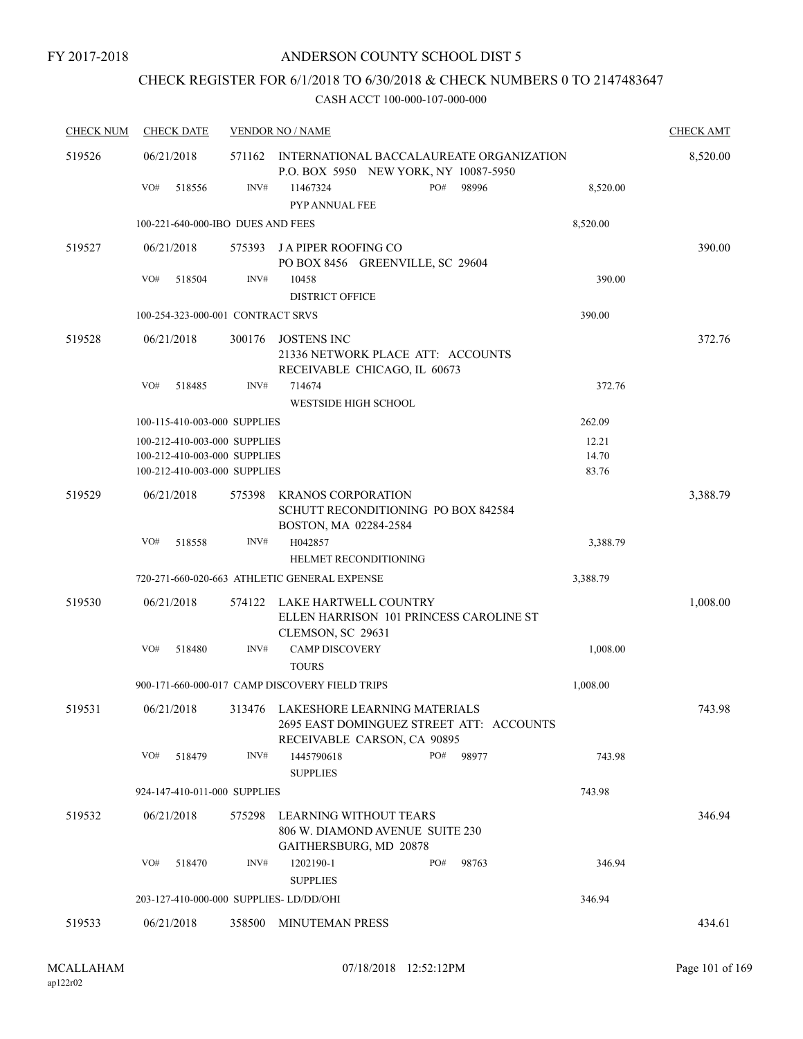## CHECK REGISTER FOR 6/1/2018 TO 6/30/2018 & CHECK NUMBERS 0 TO 2147483647

| <b>CHECK NUM</b> | <b>CHECK DATE</b>                       |        | <b>VENDOR NO / NAME</b>                                                                                 | <b>CHECK AMT</b> |
|------------------|-----------------------------------------|--------|---------------------------------------------------------------------------------------------------------|------------------|
| 519526           | 06/21/2018                              | 571162 | INTERNATIONAL BACCALAUREATE ORGANIZATION<br>P.O. BOX 5950 NEW YORK, NY 10087-5950                       | 8,520.00         |
|                  | VO#<br>518556                           | INV#   | PO#<br>98996<br>8,520.00<br>11467324<br>PYP ANNUAL FEE                                                  |                  |
|                  | 100-221-640-000-IBO DUES AND FEES       |        | 8,520.00                                                                                                |                  |
| 519527           | 06/21/2018                              | 575393 | J A PIPER ROOFING CO<br>PO BOX 8456 GREENVILLE, SC 29604                                                | 390.00           |
|                  | VO#<br>518504                           | INV#   | 10458<br>390.00<br><b>DISTRICT OFFICE</b>                                                               |                  |
|                  | 100-254-323-000-001 CONTRACT SRVS       |        | 390.00                                                                                                  |                  |
| 519528           | 06/21/2018                              | 300176 | JOSTENS INC<br>21336 NETWORK PLACE ATT: ACCOUNTS<br>RECEIVABLE CHICAGO, IL 60673                        | 372.76           |
|                  | VO#<br>518485                           | INV#   | 714674<br>372.76<br><b>WESTSIDE HIGH SCHOOL</b>                                                         |                  |
|                  | 100-115-410-003-000 SUPPLIES            |        | 262.09                                                                                                  |                  |
|                  | 100-212-410-003-000 SUPPLIES            |        | 12.21                                                                                                   |                  |
|                  | 100-212-410-003-000 SUPPLIES            |        | 14.70                                                                                                   |                  |
|                  | 100-212-410-003-000 SUPPLIES            |        | 83.76                                                                                                   |                  |
| 519529           | 06/21/2018                              | 575398 | <b>KRANOS CORPORATION</b><br>SCHUTT RECONDITIONING PO BOX 842584<br>BOSTON, MA 02284-2584               | 3,388.79         |
|                  | VO#<br>518558                           | INV#   | H042857<br>3,388.79<br><b>HELMET RECONDITIONING</b>                                                     |                  |
|                  |                                         |        | 720-271-660-020-663 ATHLETIC GENERAL EXPENSE<br>3,388.79                                                |                  |
| 519530           | 06/21/2018                              | 574122 | LAKE HARTWELL COUNTRY<br>ELLEN HARRISON 101 PRINCESS CAROLINE ST<br>CLEMSON, SC 29631                   | 1,008.00         |
|                  | VO#<br>518480                           | INV#   | <b>CAMP DISCOVERY</b><br>1,008.00<br><b>TOURS</b>                                                       |                  |
|                  |                                         |        | 900-171-660-000-017 CAMP DISCOVERY FIELD TRIPS<br>1,008.00                                              |                  |
| 519531           | 06/21/2018                              | 313476 | LAKESHORE LEARNING MATERIALS<br>2695 EAST DOMINGUEZ STREET ATT: ACCOUNTS<br>RECEIVABLE CARSON, CA 90895 | 743.98           |
|                  | VO#<br>518479                           | INV#   | PO#<br>1445790618<br>98977<br>743.98<br><b>SUPPLIES</b>                                                 |                  |
|                  | 924-147-410-011-000 SUPPLIES            |        | 743.98                                                                                                  |                  |
| 519532           | 06/21/2018                              | 575298 | LEARNING WITHOUT TEARS                                                                                  | 346.94           |
|                  |                                         |        | 806 W. DIAMOND AVENUE SUITE 230<br>GAITHERSBURG, MD 20878                                               |                  |
|                  | VO#<br>518470                           | INV#   | 1202190-1<br>PO#<br>98763<br>346.94<br><b>SUPPLIES</b>                                                  |                  |
|                  | 203-127-410-000-000 SUPPLIES- LD/DD/OHI |        | 346.94                                                                                                  |                  |
| 519533           | 06/21/2018                              | 358500 | MINUTEMAN PRESS                                                                                         | 434.61           |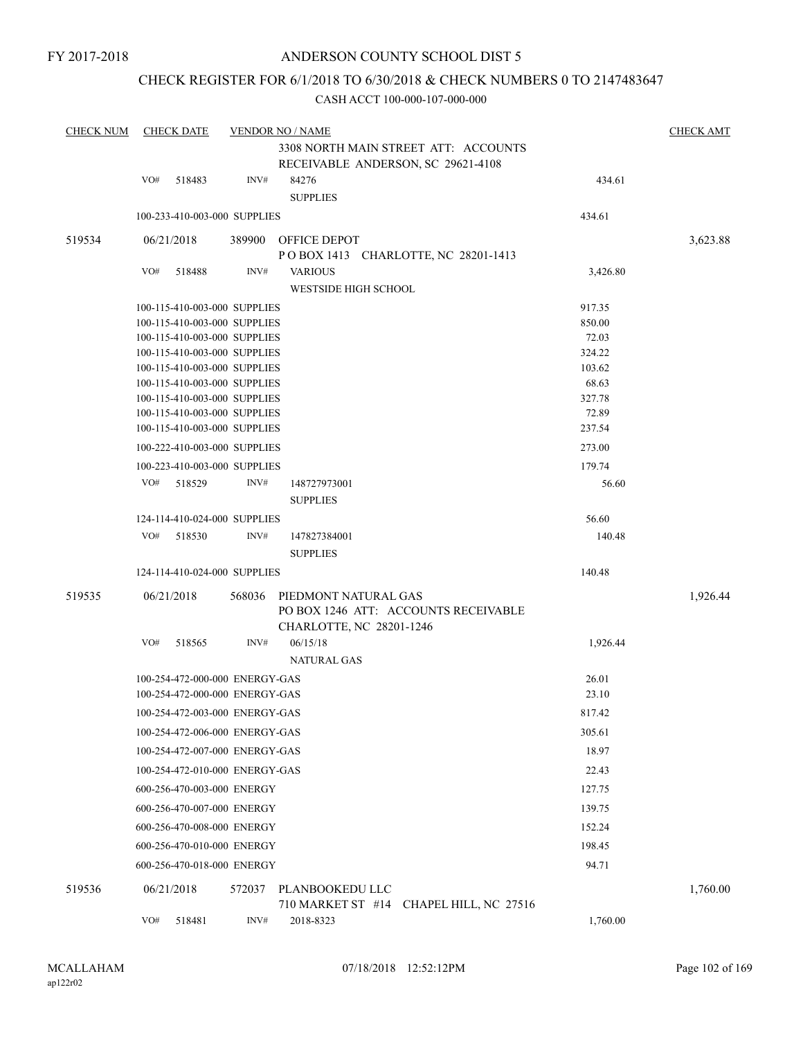## CHECK REGISTER FOR 6/1/2018 TO 6/30/2018 & CHECK NUMBERS 0 TO 2147483647

| <b>CHECK NUM</b> |     | <b>CHECK DATE</b>              |        | <b>VENDOR NO / NAME</b>                                      |                  | <b>CHECK AMT</b> |
|------------------|-----|--------------------------------|--------|--------------------------------------------------------------|------------------|------------------|
|                  |     |                                |        | 3308 NORTH MAIN STREET ATT: ACCOUNTS                         |                  |                  |
|                  |     |                                |        | RECEIVABLE ANDERSON, SC 29621-4108                           |                  |                  |
|                  | VO# | 518483                         | INV#   | 84276                                                        | 434.61           |                  |
|                  |     |                                |        | <b>SUPPLIES</b>                                              |                  |                  |
|                  |     | 100-233-410-003-000 SUPPLIES   |        |                                                              | 434.61           |                  |
| 519534           |     | 06/21/2018                     | 389900 | OFFICE DEPOT                                                 |                  | 3,623.88         |
|                  |     |                                |        | POBOX 1413 CHARLOTTE, NC 28201-1413                          |                  |                  |
|                  | VO# | 518488                         | INV#   | <b>VARIOUS</b>                                               | 3,426.80         |                  |
|                  |     |                                |        | <b>WESTSIDE HIGH SCHOOL</b>                                  |                  |                  |
|                  |     | 100-115-410-003-000 SUPPLIES   |        |                                                              | 917.35           |                  |
|                  |     | 100-115-410-003-000 SUPPLIES   |        |                                                              | 850.00           |                  |
|                  |     | 100-115-410-003-000 SUPPLIES   |        |                                                              | 72.03            |                  |
|                  |     | 100-115-410-003-000 SUPPLIES   |        |                                                              | 324.22           |                  |
|                  |     | 100-115-410-003-000 SUPPLIES   |        |                                                              | 103.62           |                  |
|                  |     | 100-115-410-003-000 SUPPLIES   |        |                                                              | 68.63            |                  |
|                  |     | 100-115-410-003-000 SUPPLIES   |        |                                                              | 327.78           |                  |
|                  |     | 100-115-410-003-000 SUPPLIES   |        |                                                              | 72.89            |                  |
|                  |     | 100-115-410-003-000 SUPPLIES   |        |                                                              | 237.54<br>273.00 |                  |
|                  |     | 100-222-410-003-000 SUPPLIES   |        |                                                              |                  |                  |
|                  |     | 100-223-410-003-000 SUPPLIES   |        |                                                              | 179.74           |                  |
|                  | VO# | 518529                         | INV#   | 148727973001<br><b>SUPPLIES</b>                              | 56.60            |                  |
|                  |     | 124-114-410-024-000 SUPPLIES   |        |                                                              | 56.60            |                  |
|                  | VO# | 518530                         | INV#   | 147827384001                                                 | 140.48           |                  |
|                  |     |                                |        | <b>SUPPLIES</b>                                              |                  |                  |
|                  |     | 124-114-410-024-000 SUPPLIES   |        |                                                              | 140.48           |                  |
|                  |     |                                |        |                                                              |                  |                  |
| 519535           |     | 06/21/2018                     | 568036 | PIEDMONT NATURAL GAS<br>PO BOX 1246 ATT: ACCOUNTS RECEIVABLE |                  | 1,926.44         |
|                  |     |                                |        | CHARLOTTE, NC 28201-1246                                     |                  |                  |
|                  | VO# | 518565                         | INV#   | 06/15/18                                                     | 1,926.44         |                  |
|                  |     |                                |        | <b>NATURAL GAS</b>                                           |                  |                  |
|                  |     | 100-254-472-000-000 ENERGY-GAS |        |                                                              | 26.01            |                  |
|                  |     | 100-254-472-000-000 ENERGY-GAS |        |                                                              | 23.10            |                  |
|                  |     | 100-254-472-003-000 ENERGY-GAS |        |                                                              | 817.42           |                  |
|                  |     | 100-254-472-006-000 ENERGY-GAS |        |                                                              | 305.61           |                  |
|                  |     | 100-254-472-007-000 ENERGY-GAS |        |                                                              | 18.97            |                  |
|                  |     | 100-254-472-010-000 ENERGY-GAS |        |                                                              | 22.43            |                  |
|                  |     | 600-256-470-003-000 ENERGY     |        |                                                              | 127.75           |                  |
|                  |     | 600-256-470-007-000 ENERGY     |        |                                                              | 139.75           |                  |
|                  |     | 600-256-470-008-000 ENERGY     |        |                                                              | 152.24           |                  |
|                  |     | 600-256-470-010-000 ENERGY     |        |                                                              | 198.45           |                  |
|                  |     | 600-256-470-018-000 ENERGY     |        |                                                              | 94.71            |                  |
| 519536           |     | 06/21/2018                     |        | 572037 PLANBOOKEDU LLC                                       |                  | 1,760.00         |
|                  |     |                                |        | 710 MARKET ST #14 CHAPEL HILL, NC 27516                      |                  |                  |
|                  | VO# | 518481                         | INV#   | 2018-8323                                                    | 1,760.00         |                  |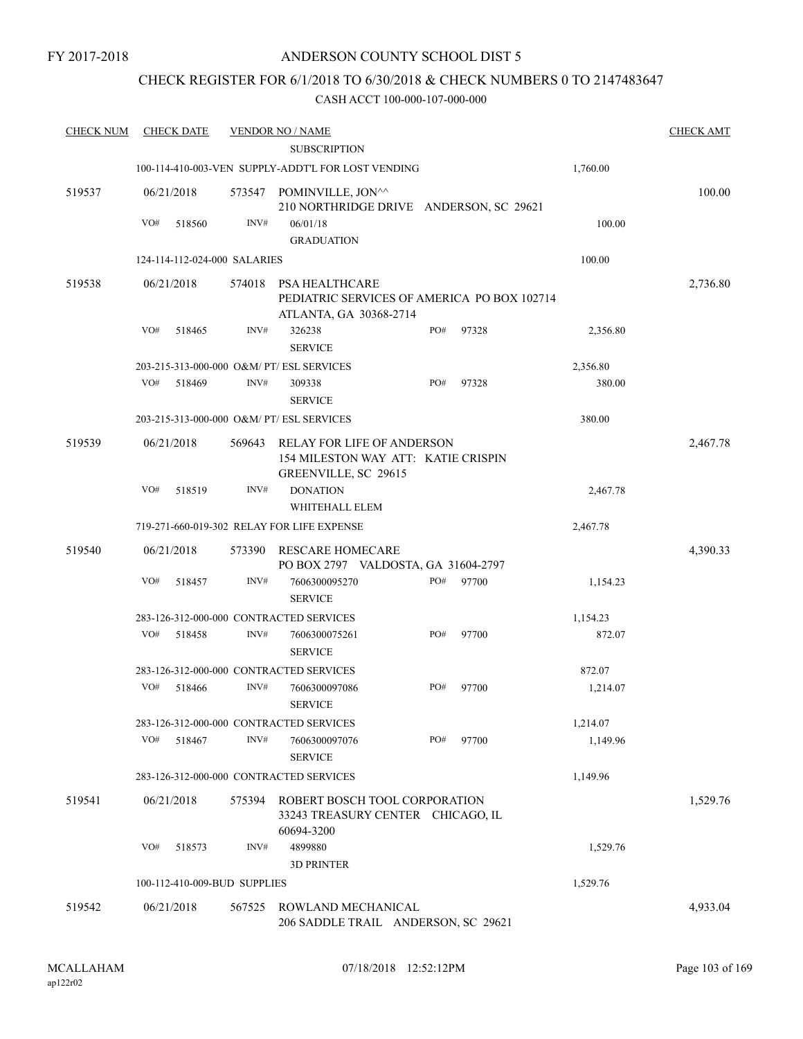## CHECK REGISTER FOR 6/1/2018 TO 6/30/2018 & CHECK NUMBERS 0 TO 2147483647

| <b>CHECK NUM</b> | <b>CHECK DATE</b> |        |                              | <b>VENDOR NO / NAME</b>                                                                          |     |       |          | <b>CHECK AMT</b> |
|------------------|-------------------|--------|------------------------------|--------------------------------------------------------------------------------------------------|-----|-------|----------|------------------|
|                  |                   |        |                              | <b>SUBSCRIPTION</b>                                                                              |     |       |          |                  |
|                  |                   |        |                              | 100-114-410-003-VEN SUPPLY-ADDT'L FOR LOST VENDING                                               |     |       | 1,760.00 |                  |
| 519537           | 06/21/2018        |        | 573547                       | POMINVILLE, JON^^<br>210 NORTHRIDGE DRIVE ANDERSON, SC 29621                                     |     |       |          | 100.00           |
|                  | VO#               | 518560 | INV#                         | 06/01/18<br><b>GRADUATION</b>                                                                    |     |       | 100.00   |                  |
|                  |                   |        | 124-114-112-024-000 SALARIES |                                                                                                  |     |       | 100.00   |                  |
| 519538           | 06/21/2018        |        | 574018                       | <b>PSA HEALTHCARE</b><br>PEDIATRIC SERVICES OF AMERICA PO BOX 102714<br>ATLANTA, GA 30368-2714   |     |       |          | 2,736.80         |
|                  | VO#               | 518465 | INV#                         | 326238<br><b>SERVICE</b>                                                                         | PO# | 97328 | 2,356.80 |                  |
|                  |                   |        |                              | 203-215-313-000-000 O&M/ PT/ ESL SERVICES                                                        |     |       | 2,356.80 |                  |
|                  | VO#               | 518469 | INV#                         | 309338<br><b>SERVICE</b>                                                                         | PO# | 97328 | 380.00   |                  |
|                  |                   |        |                              | 203-215-313-000-000 O&M/ PT/ ESL SERVICES                                                        |     |       | 380.00   |                  |
| 519539           | 06/21/2018        |        | 569643                       | <b>RELAY FOR LIFE OF ANDERSON</b><br>154 MILESTON WAY ATT: KATIE CRISPIN<br>GREENVILLE, SC 29615 |     |       |          | 2,467.78         |
|                  | VO#               | 518519 | INV#                         | <b>DONATION</b><br>WHITEHALL ELEM                                                                |     |       | 2,467.78 |                  |
|                  |                   |        |                              | 719-271-660-019-302 RELAY FOR LIFE EXPENSE                                                       |     |       | 2,467.78 |                  |
| 519540           | 06/21/2018        |        | 573390                       | RESCARE HOMECARE<br>PO BOX 2797 VALDOSTA, GA 31604-2797                                          |     |       |          | 4,390.33         |
|                  | VO#               | 518457 | INV#                         | 7606300095270<br><b>SERVICE</b>                                                                  | PO# | 97700 | 1,154.23 |                  |
|                  |                   |        |                              | 283-126-312-000-000 CONTRACTED SERVICES                                                          |     |       | 1,154.23 |                  |
|                  | VO#               | 518458 | INV#                         | 7606300075261<br><b>SERVICE</b>                                                                  | PO# | 97700 | 872.07   |                  |
|                  |                   |        |                              | 283-126-312-000-000 CONTRACTED SERVICES                                                          |     |       | 872.07   |                  |
|                  | VO#               | 518466 | INV#                         | 7606300097086<br><b>SERVICE</b>                                                                  | PO# | 97700 | 1,214.07 |                  |
|                  |                   |        |                              | 283-126-312-000-000 CONTRACTED SERVICES                                                          |     |       | 1,214.07 |                  |
|                  | VO#               | 518467 | INV#                         | 7606300097076<br><b>SERVICE</b>                                                                  | PO# | 97700 | 1,149.96 |                  |
|                  |                   |        |                              | 283-126-312-000-000 CONTRACTED SERVICES                                                          |     |       | 1,149.96 |                  |
| 519541           | 06/21/2018        |        | 575394                       | ROBERT BOSCH TOOL CORPORATION<br>33243 TREASURY CENTER CHICAGO, IL<br>60694-3200                 |     |       |          | 1,529.76         |
|                  | VO#               | 518573 | INV#                         | 4899880<br><b>3D PRINTER</b>                                                                     |     |       | 1,529.76 |                  |
|                  |                   |        | 100-112-410-009-BUD SUPPLIES |                                                                                                  |     |       | 1,529.76 |                  |
| 519542           | 06/21/2018        |        | 567525                       | ROWLAND MECHANICAL<br>206 SADDLE TRAIL ANDERSON, SC 29621                                        |     |       |          | 4,933.04         |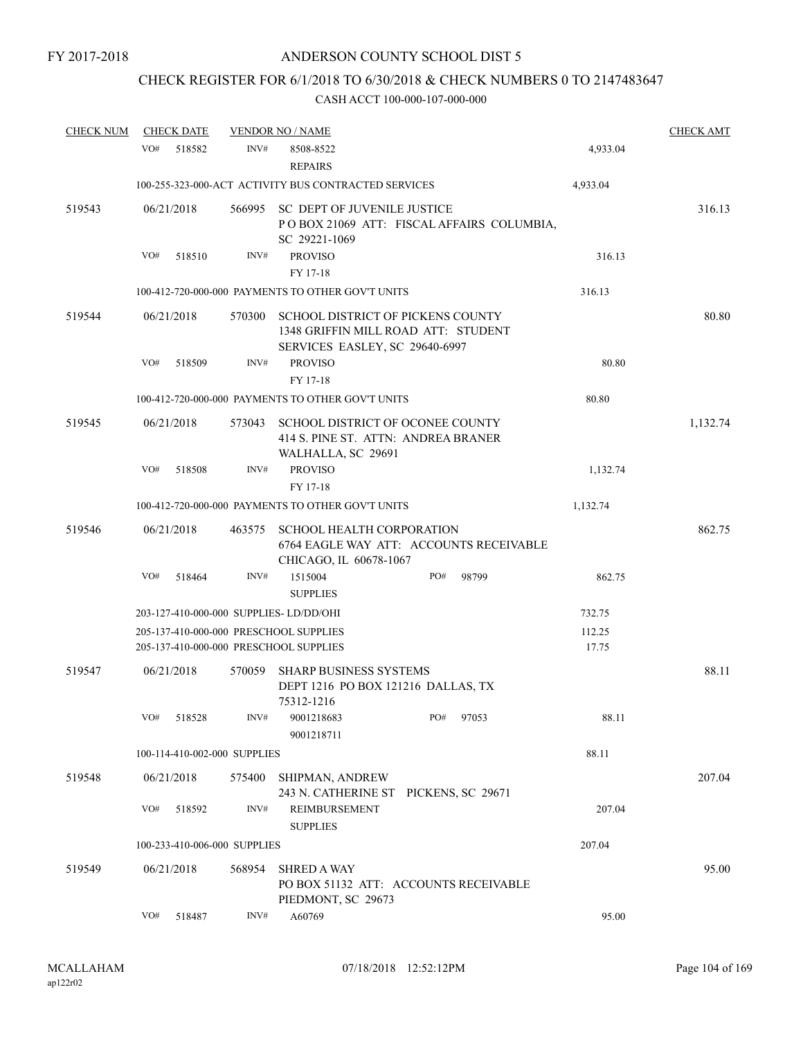## CHECK REGISTER FOR 6/1/2018 TO 6/30/2018 & CHECK NUMBERS 0 TO 2147483647

| <b>CHECK NUM</b> | <b>CHECK DATE</b>                       |        | <b>VENDOR NO / NAME</b>                                                                                           |     |       |          | <b>CHECK AMT</b> |
|------------------|-----------------------------------------|--------|-------------------------------------------------------------------------------------------------------------------|-----|-------|----------|------------------|
|                  | VO#<br>518582                           | INV#   | 8508-8522<br><b>REPAIRS</b>                                                                                       |     |       | 4,933.04 |                  |
|                  |                                         |        | 100-255-323-000-ACT ACTIVITY BUS CONTRACTED SERVICES                                                              |     |       | 4,933.04 |                  |
| 519543           | 06/21/2018                              |        | 566995 SC DEPT OF JUVENILE JUSTICE<br>POBOX 21069 ATT: FISCAL AFFAIRS COLUMBIA,<br>SC 29221-1069                  |     |       |          | 316.13           |
|                  | VO#<br>518510                           | INV#   | <b>PROVISO</b>                                                                                                    |     |       | 316.13   |                  |
|                  |                                         |        | FY 17-18                                                                                                          |     |       |          |                  |
|                  |                                         |        | 100-412-720-000-000 PAYMENTS TO OTHER GOV'T UNITS                                                                 |     |       | 316.13   |                  |
| 519544           | 06/21/2018                              | 570300 | <b>SCHOOL DISTRICT OF PICKENS COUNTY</b><br>1348 GRIFFIN MILL ROAD ATT: STUDENT<br>SERVICES EASLEY, SC 29640-6997 |     |       |          | 80.80            |
|                  | VO#<br>518509                           | INV#   | <b>PROVISO</b><br>FY 17-18                                                                                        |     |       | 80.80    |                  |
|                  |                                         |        | 100-412-720-000-000 PAYMENTS TO OTHER GOV'T UNITS                                                                 |     |       | 80.80    |                  |
| 519545           | 06/21/2018                              | 573043 | SCHOOL DISTRICT OF OCONEE COUNTY<br>414 S. PINE ST. ATTN: ANDREA BRANER<br>WALHALLA, SC 29691                     |     |       |          | 1,132.74         |
|                  | VO#<br>518508                           | INV#   | <b>PROVISO</b><br>FY 17-18                                                                                        |     |       | 1,132.74 |                  |
|                  |                                         |        | 100-412-720-000-000 PAYMENTS TO OTHER GOV'T UNITS                                                                 |     |       | 1,132.74 |                  |
| 519546           | 06/21/2018                              | 463575 | <b>SCHOOL HEALTH CORPORATION</b><br>6764 EAGLE WAY ATT: ACCOUNTS RECEIVABLE<br>CHICAGO, IL 60678-1067             |     |       |          | 862.75           |
|                  | VO#<br>518464                           | INV#   | 1515004<br><b>SUPPLIES</b>                                                                                        | PO# | 98799 | 862.75   |                  |
|                  | 203-127-410-000-000 SUPPLIES- LD/DD/OHI |        |                                                                                                                   |     |       | 732.75   |                  |
|                  |                                         |        | 205-137-410-000-000 PRESCHOOL SUPPLIES                                                                            |     |       | 112.25   |                  |
|                  |                                         |        | 205-137-410-000-000 PRESCHOOL SUPPLIES                                                                            |     |       | 17.75    |                  |
| 519547           | 06/21/2018                              | 570059 | <b>SHARP BUSINESS SYSTEMS</b><br>DEPT 1216 PO BOX 121216 DALLAS, TX<br>75312-1216                                 |     |       |          | 88.11            |
|                  | VO#<br>518528                           | INV#   | 9001218683<br>9001218711                                                                                          | PO# | 97053 | 88.11    |                  |
|                  | 100-114-410-002-000 SUPPLIES            |        |                                                                                                                   |     |       | 88.11    |                  |
| 519548           | 06/21/2018                              | 575400 | SHIPMAN, ANDREW<br>243 N. CATHERINE ST PICKENS, SC 29671                                                          |     |       |          | 207.04           |
|                  | VO#<br>518592                           | INV#   | REIMBURSEMENT<br><b>SUPPLIES</b>                                                                                  |     |       | 207.04   |                  |
|                  | 100-233-410-006-000 SUPPLIES            |        |                                                                                                                   |     |       | 207.04   |                  |
| 519549           | 06/21/2018                              | 568954 | <b>SHRED A WAY</b><br>PO BOX 51132 ATT: ACCOUNTS RECEIVABLE<br>PIEDMONT, SC 29673                                 |     |       |          | 95.00            |
|                  | VO#<br>518487                           | INV#   | A60769                                                                                                            |     |       | 95.00    |                  |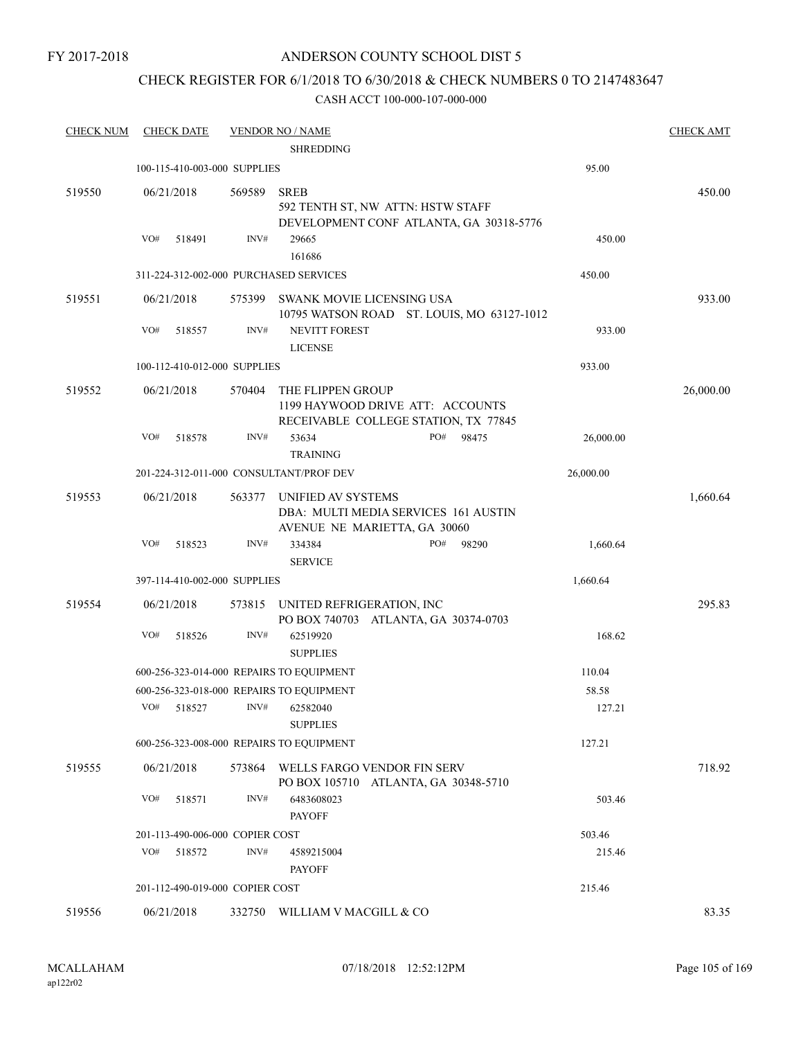## ANDERSON COUNTY SCHOOL DIST 5

## CHECK REGISTER FOR 6/1/2018 TO 6/30/2018 & CHECK NUMBERS 0 TO 2147483647

| <b>CHECK NUM</b> | <b>CHECK DATE</b>                      |        | <b>VENDOR NO / NAME</b><br><b>SHREDDING</b>                                                   |           | <b>CHECK AMT</b> |
|------------------|----------------------------------------|--------|-----------------------------------------------------------------------------------------------|-----------|------------------|
|                  | 100-115-410-003-000 SUPPLIES           |        |                                                                                               | 95.00     |                  |
| 519550           | 06/21/2018                             | 569589 | <b>SREB</b><br>592 TENTH ST, NW ATTN: HSTW STAFF                                              |           | 450.00           |
|                  | VO#<br>518491                          | INV#   | DEVELOPMENT CONF ATLANTA, GA 30318-5776<br>29665                                              | 450.00    |                  |
|                  |                                        |        | 161686                                                                                        |           |                  |
|                  | 311-224-312-002-000 PURCHASED SERVICES |        |                                                                                               | 450.00    |                  |
| 519551           | 06/21/2018                             | 575399 | SWANK MOVIE LICENSING USA<br>10795 WATSON ROAD ST. LOUIS, MO 63127-1012                       |           | 933.00           |
|                  | VO#<br>518557                          | INV#   | NEVITT FOREST<br><b>LICENSE</b>                                                               | 933.00    |                  |
|                  | 100-112-410-012-000 SUPPLIES           |        |                                                                                               | 933.00    |                  |
| 519552           | 06/21/2018                             | 570404 | THE FLIPPEN GROUP<br>1199 HAYWOOD DRIVE ATT: ACCOUNTS<br>RECEIVABLE COLLEGE STATION, TX 77845 |           | 26,000.00        |
|                  | VO#<br>518578                          | INV#   | PO#<br>53634<br>98475                                                                         | 26,000.00 |                  |
|                  |                                        |        | <b>TRAINING</b>                                                                               |           |                  |
|                  |                                        |        | 201-224-312-011-000 CONSULTANT/PROF DEV                                                       | 26,000.00 |                  |
| 519553           | 06/21/2018                             | 563377 | UNIFIED AV SYSTEMS<br>DBA: MULTI MEDIA SERVICES 161 AUSTIN<br>AVENUE NE MARIETTA, GA 30060    |           | 1,660.64         |
|                  | VO#<br>518523                          | INV#   | 334384<br>PO#<br>98290<br><b>SERVICE</b>                                                      | 1,660.64  |                  |
|                  | 397-114-410-002-000 SUPPLIES           |        |                                                                                               | 1,660.64  |                  |
| 519554           | 06/21/2018                             | 573815 | UNITED REFRIGERATION, INC<br>PO BOX 740703 ATLANTA, GA 30374-0703                             |           | 295.83           |
|                  | VO#<br>518526                          | INV#   | 62519920<br><b>SUPPLIES</b>                                                                   | 168.62    |                  |
|                  |                                        |        | 600-256-323-014-000 REPAIRS TO EQUIPMENT                                                      | 110.04    |                  |
|                  |                                        |        | 600-256-323-018-000 REPAIRS TO EQUIPMENT                                                      | 58.58     |                  |
|                  | VO#<br>518527                          | INV#   | 62582040<br><b>SUPPLIES</b>                                                                   | 127.21    |                  |
|                  |                                        |        | 600-256-323-008-000 REPAIRS TO EQUIPMENT                                                      | 127.21    |                  |
| 519555           | 06/21/2018                             | 573864 | WELLS FARGO VENDOR FIN SERV<br>PO BOX 105710 ATLANTA, GA 30348-5710                           |           | 718.92           |
|                  | VO#<br>518571                          | INV#   | 6483608023<br><b>PAYOFF</b>                                                                   | 503.46    |                  |
|                  | 201-113-490-006-000 COPIER COST        |        |                                                                                               | 503.46    |                  |
|                  | VO#<br>518572                          | INV#   | 4589215004<br><b>PAYOFF</b>                                                                   | 215.46    |                  |
|                  | 201-112-490-019-000 COPIER COST        |        |                                                                                               | 215.46    |                  |
| 519556           | 06/21/2018                             |        | 332750 WILLIAM V MACGILL & CO                                                                 |           | 83.35            |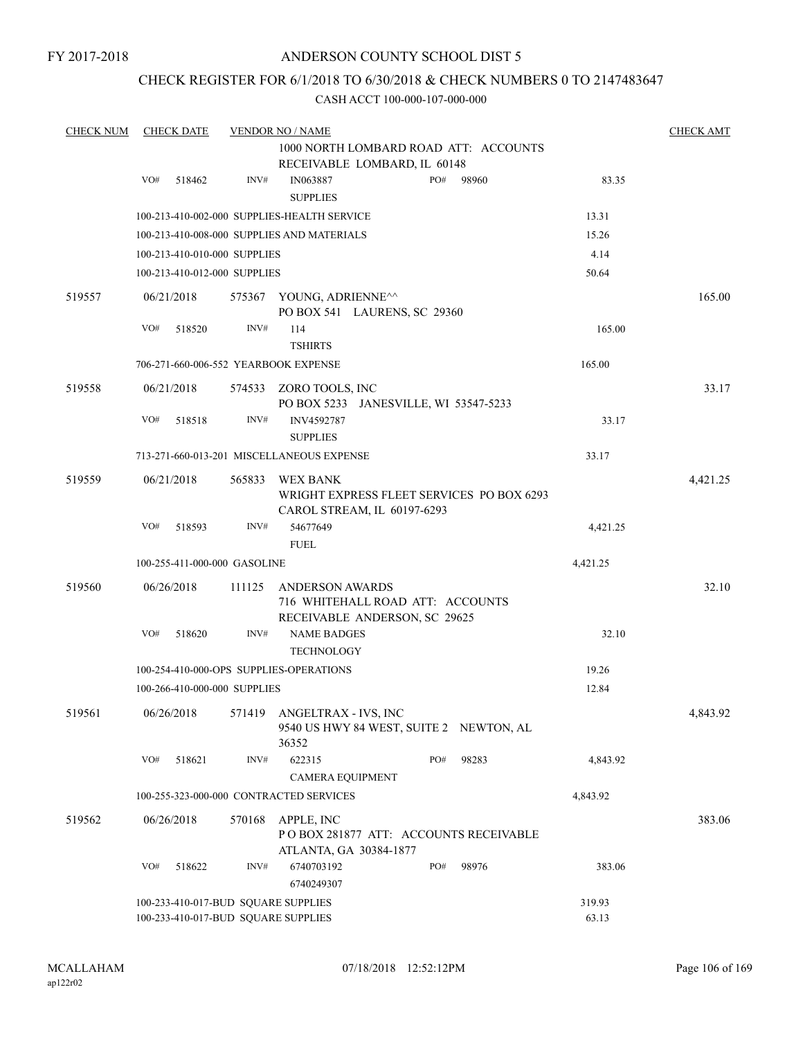## CHECK REGISTER FOR 6/1/2018 TO 6/30/2018 & CHECK NUMBERS 0 TO 2147483647

| <b>CHECK NUM</b> |     | <b>CHECK DATE</b> |                              | <b>VENDOR NO / NAME</b>                                                                     |     |       |          | <b>CHECK AMT</b> |
|------------------|-----|-------------------|------------------------------|---------------------------------------------------------------------------------------------|-----|-------|----------|------------------|
|                  |     |                   |                              | 1000 NORTH LOMBARD ROAD ATT: ACCOUNTS                                                       |     |       |          |                  |
|                  |     |                   |                              | RECEIVABLE LOMBARD, IL 60148                                                                |     |       |          |                  |
|                  | VO# | 518462            | INV#                         | IN063887<br><b>SUPPLIES</b>                                                                 | PO# | 98960 | 83.35    |                  |
|                  |     |                   |                              | 100-213-410-002-000 SUPPLIES-HEALTH SERVICE                                                 |     |       | 13.31    |                  |
|                  |     |                   |                              | 100-213-410-008-000 SUPPLIES AND MATERIALS                                                  |     |       | 15.26    |                  |
|                  |     |                   | 100-213-410-010-000 SUPPLIES |                                                                                             |     |       | 4.14     |                  |
|                  |     |                   | 100-213-410-012-000 SUPPLIES |                                                                                             |     |       | 50.64    |                  |
| 519557           |     | 06/21/2018        |                              | 575367 YOUNG, ADRIENNE <sup><math>\sim</math></sup><br>PO BOX 541 LAURENS, SC 29360         |     |       |          | 165.00           |
|                  | VO# | 518520            | INV#                         | 114<br><b>TSHIRTS</b>                                                                       |     |       | 165.00   |                  |
|                  |     |                   |                              | 706-271-660-006-552 YEARBOOK EXPENSE                                                        |     |       | 165.00   |                  |
| 519558           |     | 06/21/2018        |                              | 574533 ZORO TOOLS, INC<br>PO BOX 5233 JANESVILLE, WI 53547-5233                             |     |       |          | 33.17            |
|                  | VO# | 518518            | INV#                         | INV4592787<br><b>SUPPLIES</b>                                                               |     |       | 33.17    |                  |
|                  |     |                   |                              | 713-271-660-013-201 MISCELLANEOUS EXPENSE                                                   |     |       | 33.17    |                  |
| 519559           |     | 06/21/2018        | 565833                       | WEX BANK                                                                                    |     |       |          | 4,421.25         |
|                  |     |                   |                              | WRIGHT EXPRESS FLEET SERVICES PO BOX 6293<br>CAROL STREAM, IL 60197-6293                    |     |       |          |                  |
|                  | VO# | 518593            | INV#                         | 54677649                                                                                    |     |       | 4,421.25 |                  |
|                  |     |                   |                              | <b>FUEL</b>                                                                                 |     |       |          |                  |
|                  |     |                   | 100-255-411-000-000 GASOLINE |                                                                                             |     |       | 4,421.25 |                  |
| 519560           |     | 06/26/2018        | 111125                       | <b>ANDERSON AWARDS</b><br>716 WHITEHALL ROAD ATT: ACCOUNTS<br>RECEIVABLE ANDERSON, SC 29625 |     |       |          | 32.10            |
|                  | VO# | 518620            | INV#                         | <b>NAME BADGES</b><br><b>TECHNOLOGY</b>                                                     |     |       | 32.10    |                  |
|                  |     |                   |                              | 100-254-410-000-OPS SUPPLIES-OPERATIONS                                                     |     |       | 19.26    |                  |
|                  |     |                   | 100-266-410-000-000 SUPPLIES |                                                                                             |     |       | 12.84    |                  |
| 519561           |     | 06/26/2018        |                              | 571419 ANGELTRAX - IVS, INC<br>9540 US HWY 84 WEST, SUITE 2 NEWTON, AL<br>36352             |     |       |          | 4,843.92         |
|                  | VO# | 518621            | INV#                         | 622315<br><b>CAMERA EQUIPMENT</b>                                                           | PO# | 98283 | 4,843.92 |                  |
|                  |     |                   |                              | 100-255-323-000-000 CONTRACTED SERVICES                                                     |     |       | 4,843.92 |                  |
|                  |     |                   |                              | APPLE, INC                                                                                  |     |       |          |                  |
| 519562           |     | 06/26/2018        | 570168                       | PO BOX 281877 ATT: ACCOUNTS RECEIVABLE<br>ATLANTA, GA 30384-1877                            |     |       |          | 383.06           |
|                  | VO# | 518622            | INV#                         | 6740703192<br>6740249307                                                                    | PO# | 98976 | 383.06   |                  |
|                  |     |                   |                              | 100-233-410-017-BUD SQUARE SUPPLIES                                                         |     |       | 319.93   |                  |
|                  |     |                   |                              | 100-233-410-017-BUD SQUARE SUPPLIES                                                         |     |       | 63.13    |                  |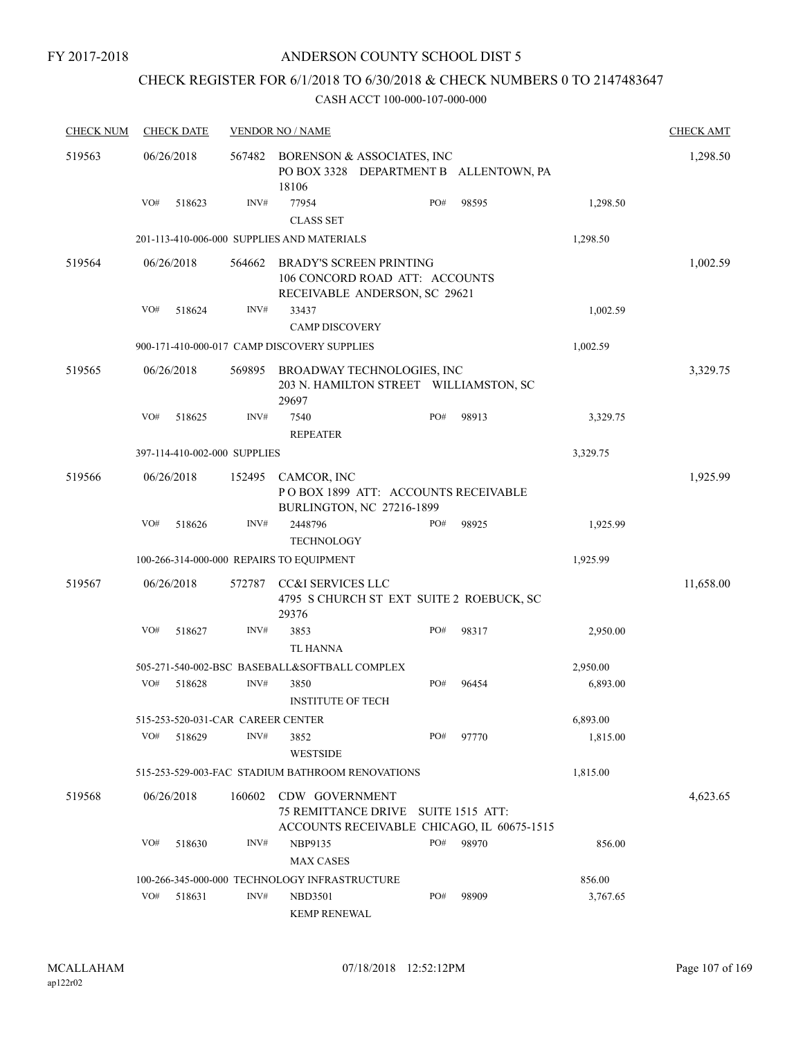## ANDERSON COUNTY SCHOOL DIST 5

## CHECK REGISTER FOR 6/1/2018 TO 6/30/2018 & CHECK NUMBERS 0 TO 2147483647

| <b>CHECK NUM</b> |     | <b>CHECK DATE</b>                 |        | <b>VENDOR NO / NAME</b>                                                                           |     |                        |          | <b>CHECK AMT</b> |
|------------------|-----|-----------------------------------|--------|---------------------------------------------------------------------------------------------------|-----|------------------------|----------|------------------|
| 519563           |     | 06/26/2018                        | 567482 | BORENSON & ASSOCIATES, INC<br>PO BOX 3328 DEPARTMENT B ALLENTOWN, PA<br>18106                     |     |                        |          | 1,298.50         |
|                  | VO# | 518623                            | INV#   | 77954<br><b>CLASS SET</b>                                                                         | PO# | 98595                  | 1,298.50 |                  |
|                  |     |                                   |        | 201-113-410-006-000 SUPPLIES AND MATERIALS                                                        |     |                        | 1,298.50 |                  |
| 519564           |     | 06/26/2018                        | 564662 | <b>BRADY'S SCREEN PRINTING</b><br>106 CONCORD ROAD ATT: ACCOUNTS<br>RECEIVABLE ANDERSON, SC 29621 |     |                        |          | 1,002.59         |
|                  | VO# | 518624                            | INV#   | 33437<br><b>CAMP DISCOVERY</b>                                                                    |     |                        | 1,002.59 |                  |
|                  |     |                                   |        | 900-171-410-000-017 CAMP DISCOVERY SUPPLIES                                                       |     |                        | 1,002.59 |                  |
| 519565           |     | 06/26/2018                        | 569895 | BROADWAY TECHNOLOGIES, INC<br>203 N. HAMILTON STREET WILLIAMSTON, SC<br>29697                     |     |                        |          | 3,329.75         |
|                  | VO# | 518625                            | INV#   | 7540<br><b>REPEATER</b>                                                                           | PO# | 98913                  | 3,329.75 |                  |
|                  |     | 397-114-410-002-000 SUPPLIES      |        |                                                                                                   |     |                        | 3,329.75 |                  |
| 519566           |     | 06/26/2018                        | 152495 | CAMCOR, INC<br>POBOX 1899 ATT: ACCOUNTS RECEIVABLE<br>BURLINGTON, NC 27216-1899                   |     |                        |          | 1,925.99         |
|                  | VO# | 518626                            | INV#   | 2448796<br>TECHNOLOGY                                                                             | PO# | 98925                  | 1,925.99 |                  |
|                  |     |                                   |        | 100-266-314-000-000 REPAIRS TO EQUIPMENT                                                          |     |                        | 1,925.99 |                  |
| 519567           |     | 06/26/2018                        | 572787 | CC&I SERVICES LLC<br>4795 S CHURCH ST EXT SUITE 2 ROEBUCK, SC<br>29376                            |     |                        |          | 11,658.00        |
|                  | VO# | 518627                            | INV#   | 3853<br><b>TL HANNA</b>                                                                           | PO# | 98317                  | 2,950.00 |                  |
|                  |     |                                   |        | 505-271-540-002-BSC BASEBALL&SOFTBALL COMPLEX                                                     |     |                        | 2,950.00 |                  |
|                  | VO# | 518628                            | INV#   | 3850<br><b>INSTITUTE OF TECH</b>                                                                  | PO# | 96454                  | 6,893.00 |                  |
|                  |     | 515-253-520-031-CAR CAREER CENTER |        |                                                                                                   |     |                        | 6,893.00 |                  |
|                  | VO# | 518629                            | INV#   | 3852<br><b>WESTSIDE</b>                                                                           | PO# | 97770                  | 1,815.00 |                  |
|                  |     |                                   |        | 515-253-529-003-FAC STADIUM BATHROOM RENOVATIONS                                                  |     |                        | 1,815.00 |                  |
| 519568           |     | 06/26/2018                        | 160602 | CDW GOVERNMENT<br>75 REMITTANCE DRIVE<br>ACCOUNTS RECEIVABLE CHICAGO, IL 60675-1515               |     | <b>SUITE 1515 ATT:</b> |          | 4,623.65         |
|                  | VO# | 518630                            | INV#   | NBP9135<br><b>MAX CASES</b>                                                                       | PO# | 98970                  | 856.00   |                  |
|                  |     |                                   |        | 100-266-345-000-000 TECHNOLOGY INFRASTRUCTURE                                                     |     |                        | 856.00   |                  |
|                  | VO# | 518631                            | INV#   | <b>NBD3501</b><br><b>KEMP RENEWAL</b>                                                             | PO# | 98909                  | 3,767.65 |                  |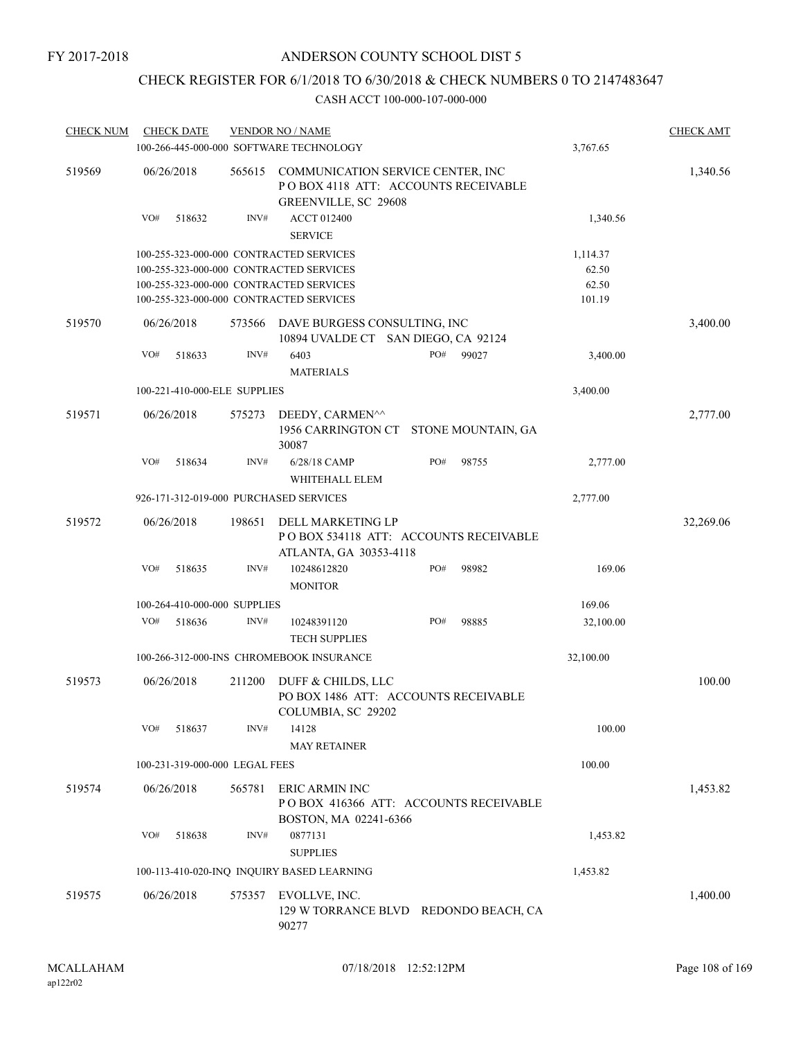## CHECK REGISTER FOR 6/1/2018 TO 6/30/2018 & CHECK NUMBERS 0 TO 2147483647

| <b>CHECK NUM</b> | <b>CHECK DATE</b>                       |        | <b>VENDOR NO / NAME</b><br>100-266-445-000-000 SOFTWARE TECHNOLOGY                                |     |                    | 3,767.65  | <b>CHECK AMT</b> |
|------------------|-----------------------------------------|--------|---------------------------------------------------------------------------------------------------|-----|--------------------|-----------|------------------|
| 519569           | 06/26/2018                              | 565615 | COMMUNICATION SERVICE CENTER, INC<br>PO BOX 4118 ATT: ACCOUNTS RECEIVABLE<br>GREENVILLE, SC 29608 |     |                    |           | 1,340.56         |
|                  | VO#<br>518632                           | INV#   | <b>ACCT 012400</b><br><b>SERVICE</b>                                                              |     |                    | 1,340.56  |                  |
|                  | 100-255-323-000-000 CONTRACTED SERVICES |        |                                                                                                   |     |                    | 1,114.37  |                  |
|                  | 100-255-323-000-000 CONTRACTED SERVICES |        |                                                                                                   |     |                    | 62.50     |                  |
|                  | 100-255-323-000-000 CONTRACTED SERVICES |        |                                                                                                   |     |                    | 62.50     |                  |
|                  | 100-255-323-000-000 CONTRACTED SERVICES |        |                                                                                                   |     |                    | 101.19    |                  |
| 519570           | 06/26/2018                              | 573566 | DAVE BURGESS CONSULTING, INC<br>10894 UVALDE CT SAN DIEGO, CA 92124                               |     |                    |           | 3,400.00         |
|                  | VO#<br>518633                           | INV#   | 6403<br><b>MATERIALS</b>                                                                          | PO# | 99027              | 3,400.00  |                  |
|                  | 100-221-410-000-ELE SUPPLIES            |        |                                                                                                   |     |                    | 3,400.00  |                  |
|                  |                                         |        |                                                                                                   |     |                    |           |                  |
| 519571           | 06/26/2018                              | 575273 | DEEDY, CARMEN^^<br>1956 CARRINGTON CT<br>30087                                                    |     | STONE MOUNTAIN, GA |           | 2,777.00         |
|                  | VO#<br>518634                           | INV#   | 6/28/18 CAMP<br>WHITEHALL ELEM                                                                    | PO# | 98755              | 2,777.00  |                  |
|                  | 926-171-312-019-000 PURCHASED SERVICES  |        |                                                                                                   |     |                    | 2,777.00  |                  |
| 519572           | 06/26/2018                              | 198651 | DELL MARKETING LP<br>POBOX 534118 ATT: ACCOUNTS RECEIVABLE                                        |     |                    |           | 32,269.06        |
|                  | VO#<br>518635                           | INV#   | ATLANTA, GA 30353-4118<br>10248612820<br><b>MONITOR</b>                                           | PO# | 98982              | 169.06    |                  |
|                  | 100-264-410-000-000 SUPPLIES            |        |                                                                                                   |     |                    | 169.06    |                  |
|                  | VO#<br>518636                           | INV#   | 10248391120<br><b>TECH SUPPLIES</b>                                                               | PO# | 98885              | 32,100.00 |                  |
|                  |                                         |        | 100-266-312-000-INS CHROMEBOOK INSURANCE                                                          |     |                    | 32,100.00 |                  |
|                  |                                         |        |                                                                                                   |     |                    |           |                  |
| 519573           | 06/26/2018                              | 211200 | DUFF & CHILDS, LLC<br>PO BOX 1486 ATT: ACCOUNTS RECEIVABLE<br>COLUMBIA, SC 29202                  |     |                    |           | 100.00           |
|                  | VO#<br>518637                           | INV#   | 14128                                                                                             |     |                    | 100.00    |                  |
|                  |                                         |        | <b>MAY RETAINER</b>                                                                               |     |                    |           |                  |
|                  | 100-231-319-000-000 LEGAL FEES          |        |                                                                                                   |     |                    | 100.00    |                  |
| 519574           | 06/26/2018                              | 565781 | ERIC ARMIN INC<br>POBOX 416366 ATT: ACCOUNTS RECEIVABLE<br>BOSTON, MA 02241-6366                  |     |                    |           | 1,453.82         |
|                  | VO#<br>518638                           | INV#   | 0877131<br><b>SUPPLIES</b>                                                                        |     |                    | 1,453.82  |                  |
|                  |                                         |        | 100-113-410-020-INQ INQUIRY BASED LEARNING                                                        |     |                    | 1,453.82  |                  |
| 519575           | 06/26/2018                              | 575357 | EVOLLVE, INC.<br>129 W TORRANCE BLVD REDONDO BEACH, CA<br>90277                                   |     |                    |           | 1,400.00         |
|                  |                                         |        |                                                                                                   |     |                    |           |                  |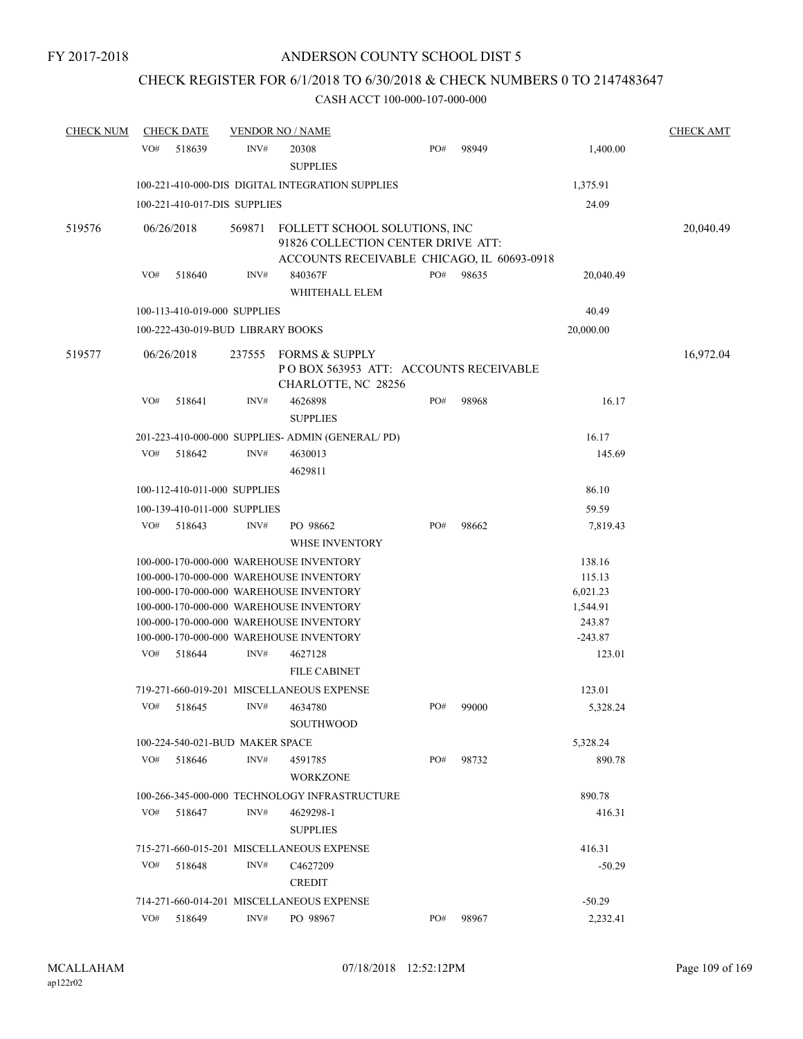# CHECK REGISTER FOR 6/1/2018 TO 6/30/2018 & CHECK NUMBERS 0 TO 2147483647

| <b>CHECK NUM</b> |     | <b>CHECK DATE</b>                      |        | <b>VENDOR NO / NAME</b>                                                                                                                                                                                                                                                                          |     |       |                                                                           | <b>CHECK AMT</b> |
|------------------|-----|----------------------------------------|--------|--------------------------------------------------------------------------------------------------------------------------------------------------------------------------------------------------------------------------------------------------------------------------------------------------|-----|-------|---------------------------------------------------------------------------|------------------|
|                  | VO# | 518639                                 | INV#   | 20308<br><b>SUPPLIES</b>                                                                                                                                                                                                                                                                         | PO# | 98949 | 1,400.00                                                                  |                  |
|                  |     |                                        |        | 100-221-410-000-DIS DIGITAL INTEGRATION SUPPLIES                                                                                                                                                                                                                                                 |     |       | 1,375.91                                                                  |                  |
|                  |     | 100-221-410-017-DIS SUPPLIES           |        |                                                                                                                                                                                                                                                                                                  |     |       | 24.09                                                                     |                  |
| 519576           |     | 06/26/2018                             | 569871 | FOLLETT SCHOOL SOLUTIONS, INC<br>91826 COLLECTION CENTER DRIVE ATT:                                                                                                                                                                                                                              |     |       |                                                                           | 20,040.49        |
|                  | VO# | 518640                                 | INV#   | ACCOUNTS RECEIVABLE CHICAGO, IL 60693-0918<br>840367F<br>WHITEHALL ELEM                                                                                                                                                                                                                          | PO# | 98635 | 20,040.49                                                                 |                  |
|                  |     | 100-113-410-019-000 SUPPLIES           |        |                                                                                                                                                                                                                                                                                                  |     |       | 40.49                                                                     |                  |
|                  |     | 100-222-430-019-BUD LIBRARY BOOKS      |        |                                                                                                                                                                                                                                                                                                  |     |       | 20,000.00                                                                 |                  |
| 519577           |     | 06/26/2018                             | 237555 | <b>FORMS &amp; SUPPLY</b><br>POBOX 563953 ATT: ACCOUNTS RECEIVABLE<br>CHARLOTTE, NC 28256                                                                                                                                                                                                        |     |       |                                                                           | 16,972.04        |
|                  | VO# | 518641                                 | INV#   | 4626898<br><b>SUPPLIES</b>                                                                                                                                                                                                                                                                       | PO# | 98968 | 16.17                                                                     |                  |
|                  |     |                                        |        | 201-223-410-000-000 SUPPLIES- ADMIN (GENERAL/PD)                                                                                                                                                                                                                                                 |     |       | 16.17                                                                     |                  |
|                  | VO# | 518642                                 | INV#   | 4630013<br>4629811                                                                                                                                                                                                                                                                               |     |       | 145.69                                                                    |                  |
|                  |     | 100-112-410-011-000 SUPPLIES           |        |                                                                                                                                                                                                                                                                                                  |     |       | 86.10                                                                     |                  |
|                  |     |                                        |        |                                                                                                                                                                                                                                                                                                  |     |       |                                                                           |                  |
|                  | VO# | 100-139-410-011-000 SUPPLIES<br>518643 | INV#   | PO 98662                                                                                                                                                                                                                                                                                         | PO# | 98662 | 59.59                                                                     |                  |
|                  |     |                                        |        | <b>WHSE INVENTORY</b>                                                                                                                                                                                                                                                                            |     |       | 7,819.43                                                                  |                  |
|                  | VO# | 518644                                 | INV#   | 100-000-170-000-000 WAREHOUSE INVENTORY<br>100-000-170-000-000 WAREHOUSE INVENTORY<br>100-000-170-000-000 WAREHOUSE INVENTORY<br>100-000-170-000-000 WAREHOUSE INVENTORY<br>100-000-170-000-000 WAREHOUSE INVENTORY<br>100-000-170-000-000 WAREHOUSE INVENTORY<br>4627128<br><b>FILE CABINET</b> |     |       | 138.16<br>115.13<br>6,021.23<br>1,544.91<br>243.87<br>$-243.87$<br>123.01 |                  |
|                  |     |                                        |        | 719-271-660-019-201 MISCELLANEOUS EXPENSE                                                                                                                                                                                                                                                        |     |       | 123.01                                                                    |                  |
|                  | VO# | 518645                                 | INV#   | 4634780<br><b>SOUTHWOOD</b>                                                                                                                                                                                                                                                                      | PO# | 99000 | 5,328.24                                                                  |                  |
|                  |     | 100-224-540-021-BUD MAKER SPACE        |        |                                                                                                                                                                                                                                                                                                  |     |       | 5,328.24                                                                  |                  |
|                  | VO# | 518646                                 | INV#   | 4591785<br><b>WORKZONE</b>                                                                                                                                                                                                                                                                       | PO# | 98732 | 890.78                                                                    |                  |
|                  |     |                                        |        | 100-266-345-000-000 TECHNOLOGY INFRASTRUCTURE                                                                                                                                                                                                                                                    |     |       | 890.78                                                                    |                  |
|                  | VO# | 518647                                 | INV#   | 4629298-1<br><b>SUPPLIES</b>                                                                                                                                                                                                                                                                     |     |       | 416.31                                                                    |                  |
|                  |     |                                        |        | 715-271-660-015-201 MISCELLANEOUS EXPENSE                                                                                                                                                                                                                                                        |     |       | 416.31                                                                    |                  |
|                  | VO# | 518648                                 | INV#   | C <sub>4627209</sub><br><b>CREDIT</b>                                                                                                                                                                                                                                                            |     |       | $-50.29$                                                                  |                  |
|                  |     |                                        |        | 714-271-660-014-201 MISCELLANEOUS EXPENSE                                                                                                                                                                                                                                                        |     |       | $-50.29$                                                                  |                  |
|                  | VO# | 518649                                 | INV#   | PO 98967                                                                                                                                                                                                                                                                                         | PO# | 98967 | 2,232.41                                                                  |                  |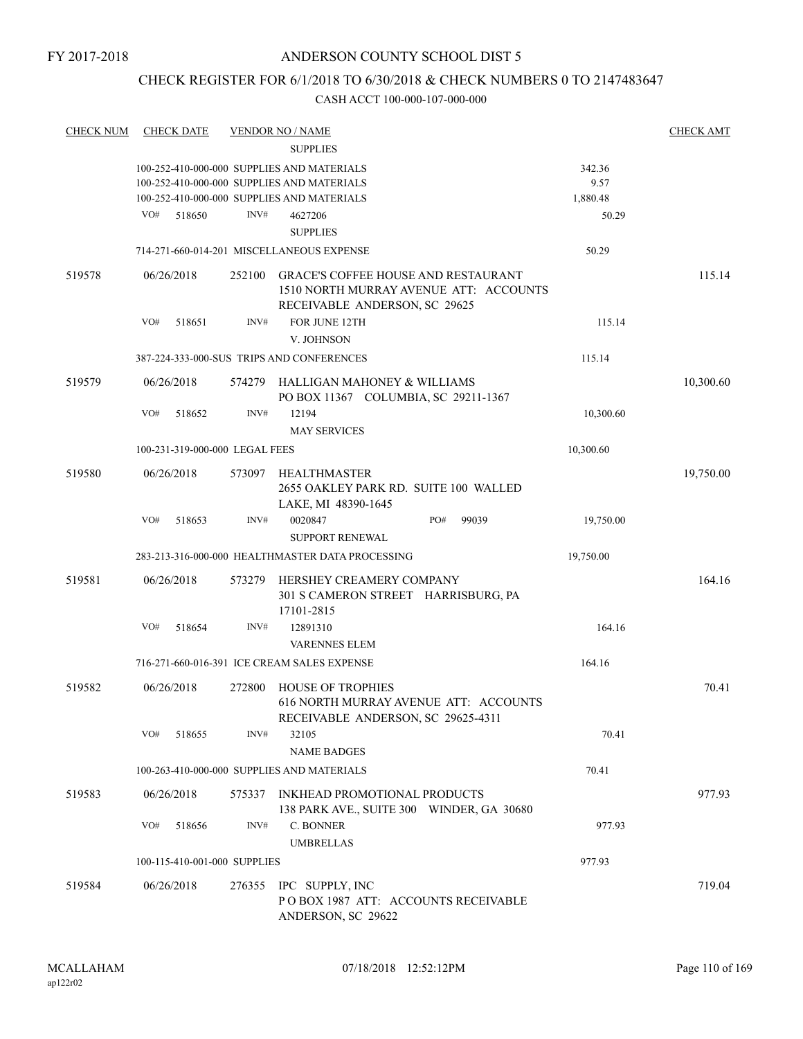# CHECK REGISTER FOR 6/1/2018 TO 6/30/2018 & CHECK NUMBERS 0 TO 2147483647

| <b>CHECK NUM</b> | <b>CHECK DATE</b>              |        | <b>VENDOR NO / NAME</b>                                                                                               |           | <b>CHECK AMT</b> |
|------------------|--------------------------------|--------|-----------------------------------------------------------------------------------------------------------------------|-----------|------------------|
|                  |                                |        | <b>SUPPLIES</b>                                                                                                       |           |                  |
|                  |                                |        | 100-252-410-000-000 SUPPLIES AND MATERIALS                                                                            | 342.36    |                  |
|                  |                                |        | 100-252-410-000-000 SUPPLIES AND MATERIALS                                                                            | 9.57      |                  |
|                  |                                |        | 100-252-410-000-000 SUPPLIES AND MATERIALS                                                                            | 1,880.48  |                  |
|                  | VO#<br>518650                  | INV#   | 4627206                                                                                                               | 50.29     |                  |
|                  |                                |        | <b>SUPPLIES</b>                                                                                                       |           |                  |
|                  |                                |        | 714-271-660-014-201 MISCELLANEOUS EXPENSE                                                                             | 50.29     |                  |
| 519578           | 06/26/2018                     | 252100 | <b>GRACE'S COFFEE HOUSE AND RESTAURANT</b><br>1510 NORTH MURRAY AVENUE ATT: ACCOUNTS<br>RECEIVABLE ANDERSON, SC 29625 |           | 115.14           |
|                  | VO#<br>518651                  | INV#   | FOR JUNE 12TH                                                                                                         | 115.14    |                  |
|                  |                                |        | V. JOHNSON                                                                                                            |           |                  |
|                  |                                |        | 387-224-333-000-SUS TRIPS AND CONFERENCES                                                                             | 115.14    |                  |
| 519579           | 06/26/2018                     |        | 574279 HALLIGAN MAHONEY & WILLIAMS<br>PO BOX 11367 COLUMBIA, SC 29211-1367                                            |           | 10,300.60        |
|                  | VO#<br>518652                  | INV#   | 12194<br><b>MAY SERVICES</b>                                                                                          | 10,300.60 |                  |
|                  | 100-231-319-000-000 LEGAL FEES |        |                                                                                                                       | 10,300.60 |                  |
| 519580           | 06/26/2018                     | 573097 | <b>HEALTHMASTER</b>                                                                                                   |           | 19,750.00        |
|                  |                                |        | 2655 OAKLEY PARK RD. SUITE 100 WALLED<br>LAKE, MI 48390-1645                                                          |           |                  |
|                  | VO#<br>518653                  | INV#   | PO#<br>0020847<br>99039<br><b>SUPPORT RENEWAL</b>                                                                     | 19,750.00 |                  |
|                  |                                |        | 283-213-316-000-000 HEALTHMASTER DATA PROCESSING                                                                      | 19,750.00 |                  |
| 519581           | 06/26/2018                     | 573279 | HERSHEY CREAMERY COMPANY<br>301 S CAMERON STREET HARRISBURG, PA<br>17101-2815                                         |           | 164.16           |
|                  | VO#<br>518654                  | INV#   | 12891310                                                                                                              | 164.16    |                  |
|                  |                                |        | <b>VARENNES ELEM</b>                                                                                                  |           |                  |
|                  |                                |        | 716-271-660-016-391 ICE CREAM SALES EXPENSE                                                                           | 164.16    |                  |
| 519582           | 06/26/2018                     | 272800 | HOUSE OF TROPHIES                                                                                                     |           | 70.41            |
|                  |                                |        | 616 NORTH MURRAY AVENUE ATT: ACCOUNTS<br>RECEIVABLE ANDERSON, SC 29625-4311                                           |           |                  |
|                  | VO#<br>518655                  | INV#   | 32105<br><b>NAME BADGES</b>                                                                                           | 70.41     |                  |
|                  |                                |        | 100-263-410-000-000 SUPPLIES AND MATERIALS                                                                            | 70.41     |                  |
| 519583           | 06/26/2018                     | 575337 | INKHEAD PROMOTIONAL PRODUCTS                                                                                          |           | 977.93           |
|                  | VO#                            | INV#   | 138 PARK AVE., SUITE 300 WINDER, GA 30680<br>C. BONNER                                                                |           |                  |
|                  | 518656                         |        |                                                                                                                       | 977.93    |                  |
|                  |                                |        | <b>UMBRELLAS</b>                                                                                                      |           |                  |
|                  | 100-115-410-001-000 SUPPLIES   |        |                                                                                                                       | 977.93    |                  |
| 519584           | 06/26/2018                     |        | 276355 IPC SUPPLY, INC<br>POBOX 1987 ATT: ACCOUNTS RECEIVABLE<br>ANDERSON, SC 29622                                   |           | 719.04           |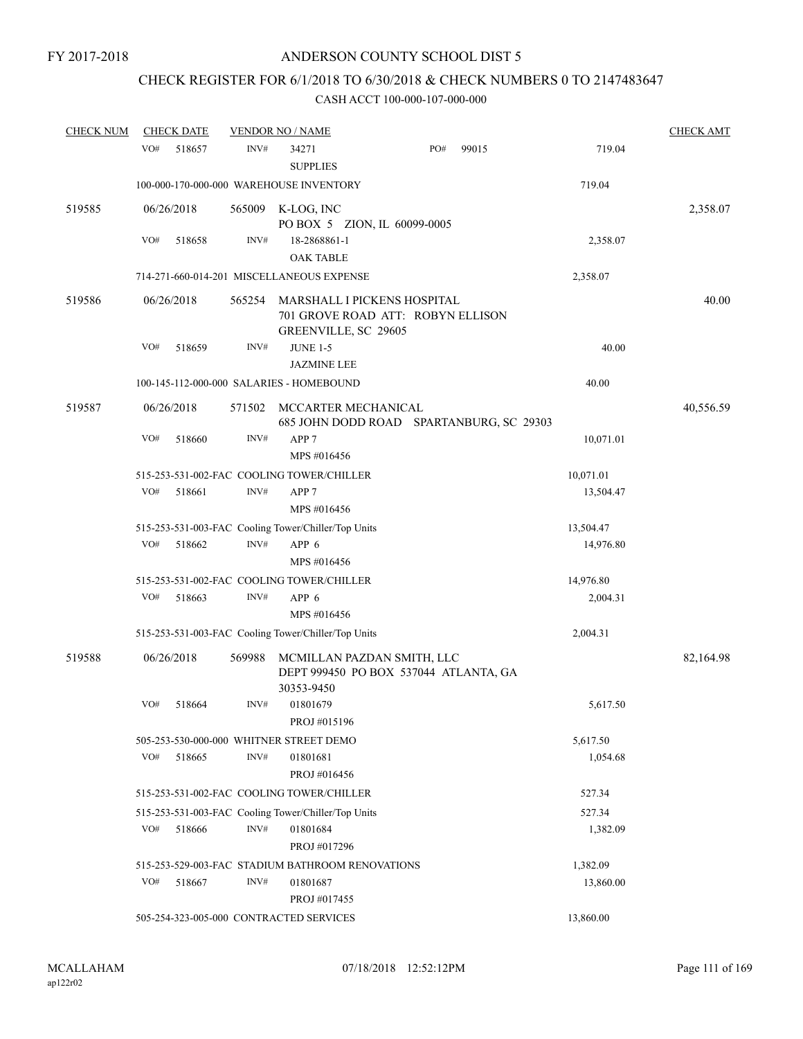# CHECK REGISTER FOR 6/1/2018 TO 6/30/2018 & CHECK NUMBERS 0 TO 2147483647

| <b>CHECK NUM</b> |     | <b>CHECK DATE</b> |        | <b>VENDOR NO / NAME</b>                                                                  |     |       |           | <b>CHECK AMT</b> |
|------------------|-----|-------------------|--------|------------------------------------------------------------------------------------------|-----|-------|-----------|------------------|
|                  | VO# | 518657            | INV#   | 34271                                                                                    | PO# | 99015 | 719.04    |                  |
|                  |     |                   |        | <b>SUPPLIES</b>                                                                          |     |       |           |                  |
|                  |     |                   |        | 100-000-170-000-000 WAREHOUSE INVENTORY                                                  |     |       | 719.04    |                  |
| 519585           |     | 06/26/2018        | 565009 | K-LOG, INC<br>PO BOX 5 ZION, IL 60099-0005                                               |     |       |           | 2,358.07         |
|                  | VO# | 518658            | INV#   | 18-2868861-1                                                                             |     |       | 2,358.07  |                  |
|                  |     |                   |        | <b>OAK TABLE</b>                                                                         |     |       |           |                  |
|                  |     |                   |        | 714-271-660-014-201 MISCELLANEOUS EXPENSE                                                |     |       | 2,358.07  |                  |
| 519586           |     | 06/26/2018        | 565254 | MARSHALL I PICKENS HOSPITAL<br>701 GROVE ROAD ATT: ROBYN ELLISON<br>GREENVILLE, SC 29605 |     |       |           | 40.00            |
|                  | VO# | 518659            | INV#   | <b>JUNE 1-5</b><br><b>JAZMINE LEE</b>                                                    |     |       | 40.00     |                  |
|                  |     |                   |        | 100-145-112-000-000 SALARIES - HOMEBOUND                                                 |     |       | 40.00     |                  |
|                  |     |                   |        |                                                                                          |     |       |           |                  |
| 519587           |     | 06/26/2018        | 571502 | MCCARTER MECHANICAL<br>685 JOHN DODD ROAD SPARTANBURG, SC 29303                          |     |       |           | 40,556.59        |
|                  | VO# | 518660            | INV#   | APP <sub>7</sub>                                                                         |     |       | 10,071.01 |                  |
|                  |     |                   |        | MPS #016456                                                                              |     |       |           |                  |
|                  |     |                   |        | 515-253-531-002-FAC COOLING TOWER/CHILLER                                                |     |       | 10,071.01 |                  |
|                  | VO# | 518661            | INV#   | APP <sub>7</sub>                                                                         |     |       | 13,504.47 |                  |
|                  |     |                   |        | MPS #016456                                                                              |     |       |           |                  |
|                  |     |                   |        | 515-253-531-003-FAC Cooling Tower/Chiller/Top Units                                      |     |       | 13,504.47 |                  |
|                  | VO# | 518662            | INV#   | APP 6                                                                                    |     |       | 14,976.80 |                  |
|                  |     |                   |        | MPS #016456                                                                              |     |       |           |                  |
|                  |     |                   |        | 515-253-531-002-FAC COOLING TOWER/CHILLER                                                |     |       | 14,976.80 |                  |
|                  | VO# | 518663            | INV#   | APP 6                                                                                    |     |       | 2,004.31  |                  |
|                  |     |                   |        | MPS #016456                                                                              |     |       |           |                  |
|                  |     |                   |        | 515-253-531-003-FAC Cooling Tower/Chiller/Top Units                                      |     |       | 2,004.31  |                  |
| 519588           |     | 06/26/2018        | 569988 | MCMILLAN PAZDAN SMITH, LLC<br>DEPT 999450 PO BOX 537044 ATLANTA, GA<br>30353-9450        |     |       |           | 82,164.98        |
|                  | VO# | 518664            | INV#   | 01801679                                                                                 |     |       | 5,617.50  |                  |
|                  |     |                   |        | PROJ #015196                                                                             |     |       |           |                  |
|                  |     |                   |        | 505-253-530-000-000 WHITNER STREET DEMO                                                  |     |       | 5,617.50  |                  |
|                  | VO# | 518665            | INV#   | 01801681                                                                                 |     |       | 1,054.68  |                  |
|                  |     |                   |        | PROJ #016456                                                                             |     |       |           |                  |
|                  |     |                   |        | 515-253-531-002-FAC COOLING TOWER/CHILLER                                                |     |       | 527.34    |                  |
|                  |     |                   |        | 515-253-531-003-FAC Cooling Tower/Chiller/Top Units                                      |     |       | 527.34    |                  |
|                  | VO# | 518666            | INV#   | 01801684<br>PROJ #017296                                                                 |     |       | 1,382.09  |                  |
|                  |     |                   |        | 515-253-529-003-FAC STADIUM BATHROOM RENOVATIONS                                         |     |       | 1,382.09  |                  |
|                  | VO# | 518667            | INV#   | 01801687                                                                                 |     |       | 13,860.00 |                  |
|                  |     |                   |        | PROJ #017455                                                                             |     |       |           |                  |
|                  |     |                   |        | 505-254-323-005-000 CONTRACTED SERVICES                                                  |     |       | 13,860.00 |                  |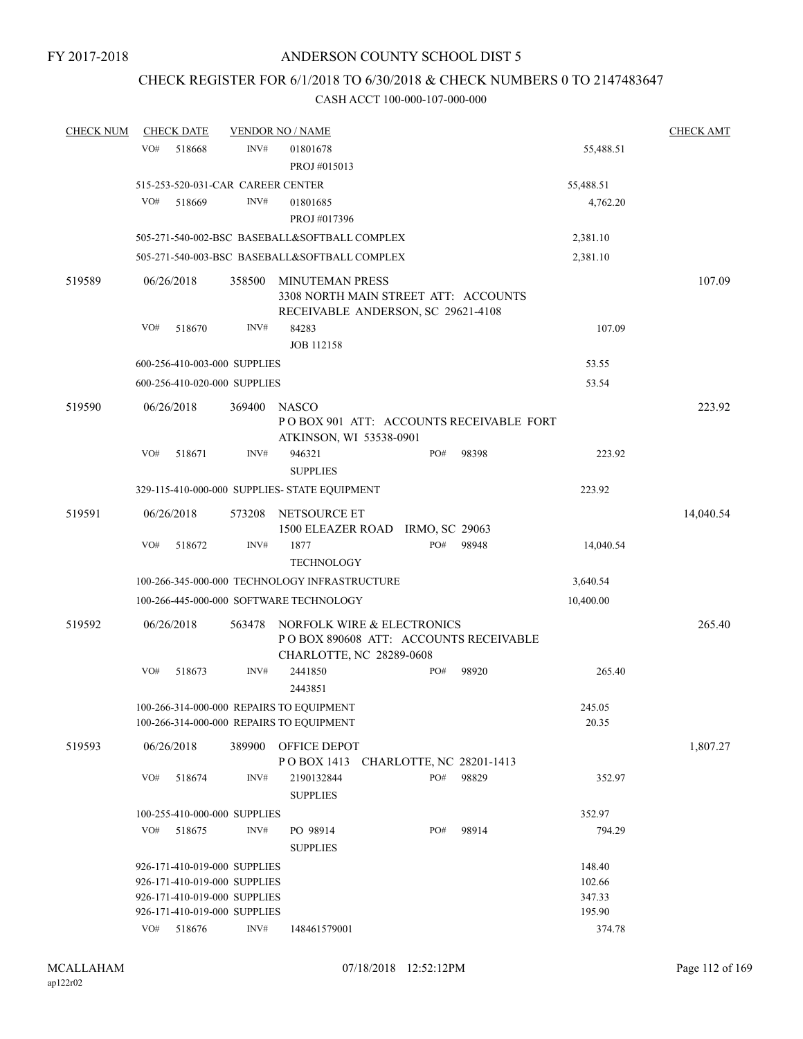# CHECK REGISTER FOR 6/1/2018 TO 6/30/2018 & CHECK NUMBERS 0 TO 2147483647

| <b>CHECK NUM</b> |     | <b>CHECK DATE</b>                 |        | <b>VENDOR NO / NAME</b>                          |                          |     |       |           | <b>CHECK AMT</b> |
|------------------|-----|-----------------------------------|--------|--------------------------------------------------|--------------------------|-----|-------|-----------|------------------|
|                  | VO# | 518668                            | INV#   | 01801678<br>PROJ #015013                         |                          |     |       | 55,488.51 |                  |
|                  |     |                                   |        |                                                  |                          |     |       |           |                  |
|                  |     | 515-253-520-031-CAR CAREER CENTER |        |                                                  |                          |     |       | 55,488.51 |                  |
|                  | VO# | 518669                            | INV#   | 01801685                                         |                          |     |       | 4,762.20  |                  |
|                  |     |                                   |        | PROJ #017396                                     |                          |     |       |           |                  |
|                  |     |                                   |        | 505-271-540-002-BSC BASEBALL&SOFTBALL COMPLEX    |                          |     |       | 2,381.10  |                  |
|                  |     |                                   |        | 505-271-540-003-BSC BASEBALL&SOFTBALL COMPLEX    |                          |     |       | 2,381.10  |                  |
| 519589           |     | 06/26/2018                        | 358500 | <b>MINUTEMAN PRESS</b>                           |                          |     |       |           | 107.09           |
|                  |     |                                   |        | 3308 NORTH MAIN STREET ATT: ACCOUNTS             |                          |     |       |           |                  |
|                  |     |                                   |        | RECEIVABLE ANDERSON, SC 29621-4108               |                          |     |       |           |                  |
|                  | VO# | 518670                            | INV#   | 84283                                            |                          |     |       | 107.09    |                  |
|                  |     |                                   |        | <b>JOB 112158</b>                                |                          |     |       |           |                  |
|                  |     | 600-256-410-003-000 SUPPLIES      |        |                                                  |                          |     |       | 53.55     |                  |
|                  |     | 600-256-410-020-000 SUPPLIES      |        |                                                  |                          |     |       | 53.54     |                  |
| 519590           |     | 06/26/2018                        | 369400 | NASCO                                            |                          |     |       |           | 223.92           |
|                  |     |                                   |        | PO BOX 901 ATT: ACCOUNTS RECEIVABLE FORT         |                          |     |       |           |                  |
|                  |     |                                   |        | ATKINSON, WI 53538-0901                          |                          |     |       |           |                  |
|                  | VO# | 518671                            | INV#   | 946321                                           |                          | PO# | 98398 | 223.92    |                  |
|                  |     |                                   |        | <b>SUPPLIES</b>                                  |                          |     |       |           |                  |
|                  |     |                                   |        | 329-115-410-000-000 SUPPLIES- STATE EQUIPMENT    |                          |     |       | 223.92    |                  |
|                  |     |                                   |        |                                                  |                          |     |       |           |                  |
| 519591           |     | 06/26/2018                        | 573208 | NETSOURCE ET<br>1500 ELEAZER ROAD IRMO, SC 29063 |                          |     |       |           | 14,040.54        |
|                  | VO# | 518672                            | INV#   | 1877                                             |                          | PO# | 98948 | 14,040.54 |                  |
|                  |     |                                   |        | <b>TECHNOLOGY</b>                                |                          |     |       |           |                  |
|                  |     |                                   |        | 100-266-345-000-000 TECHNOLOGY INFRASTRUCTURE    |                          |     |       | 3,640.54  |                  |
|                  |     |                                   |        |                                                  |                          |     |       |           |                  |
|                  |     |                                   |        | 100-266-445-000-000 SOFTWARE TECHNOLOGY          |                          |     |       | 10,400.00 |                  |
| 519592           |     | 06/26/2018                        | 563478 | NORFOLK WIRE & ELECTRONICS                       |                          |     |       |           | 265.40           |
|                  |     |                                   |        | PO BOX 890608 ATT: ACCOUNTS RECEIVABLE           |                          |     |       |           |                  |
|                  |     |                                   |        | CHARLOTTE, NC 28289-0608                         |                          |     |       |           |                  |
|                  | VO# | 518673                            | INV#   | 2441850                                          |                          | PO# | 98920 | 265.40    |                  |
|                  |     |                                   |        | 2443851                                          |                          |     |       |           |                  |
|                  |     |                                   |        | 100-266-314-000-000 REPAIRS TO EQUIPMENT         |                          |     |       | 245.05    |                  |
|                  |     |                                   |        | 100-266-314-000-000 REPAIRS TO EQUIPMENT         |                          |     |       | 20.35     |                  |
| 519593           |     | 06/26/2018                        | 389900 | OFFICE DEPOT                                     |                          |     |       |           | 1,807.27         |
|                  |     |                                   |        | PO BOX 1413                                      | CHARLOTTE, NC 28201-1413 |     |       |           |                  |
|                  | VO# | 518674                            | INV#   | 2190132844                                       |                          | PO# | 98829 | 352.97    |                  |
|                  |     |                                   |        | <b>SUPPLIES</b>                                  |                          |     |       |           |                  |
|                  |     | 100-255-410-000-000 SUPPLIES      |        |                                                  |                          |     |       | 352.97    |                  |
|                  | VO# | 518675                            | INV#   | PO 98914                                         |                          | PO# | 98914 | 794.29    |                  |
|                  |     |                                   |        | <b>SUPPLIES</b>                                  |                          |     |       |           |                  |
|                  |     | 926-171-410-019-000 SUPPLIES      |        |                                                  |                          |     |       | 148.40    |                  |
|                  |     | 926-171-410-019-000 SUPPLIES      |        |                                                  |                          |     |       | 102.66    |                  |
|                  |     | 926-171-410-019-000 SUPPLIES      |        |                                                  |                          |     |       | 347.33    |                  |
|                  |     | 926-171-410-019-000 SUPPLIES      |        |                                                  |                          |     |       | 195.90    |                  |
|                  | VO# | 518676                            | INV#   | 148461579001                                     |                          |     |       | 374.78    |                  |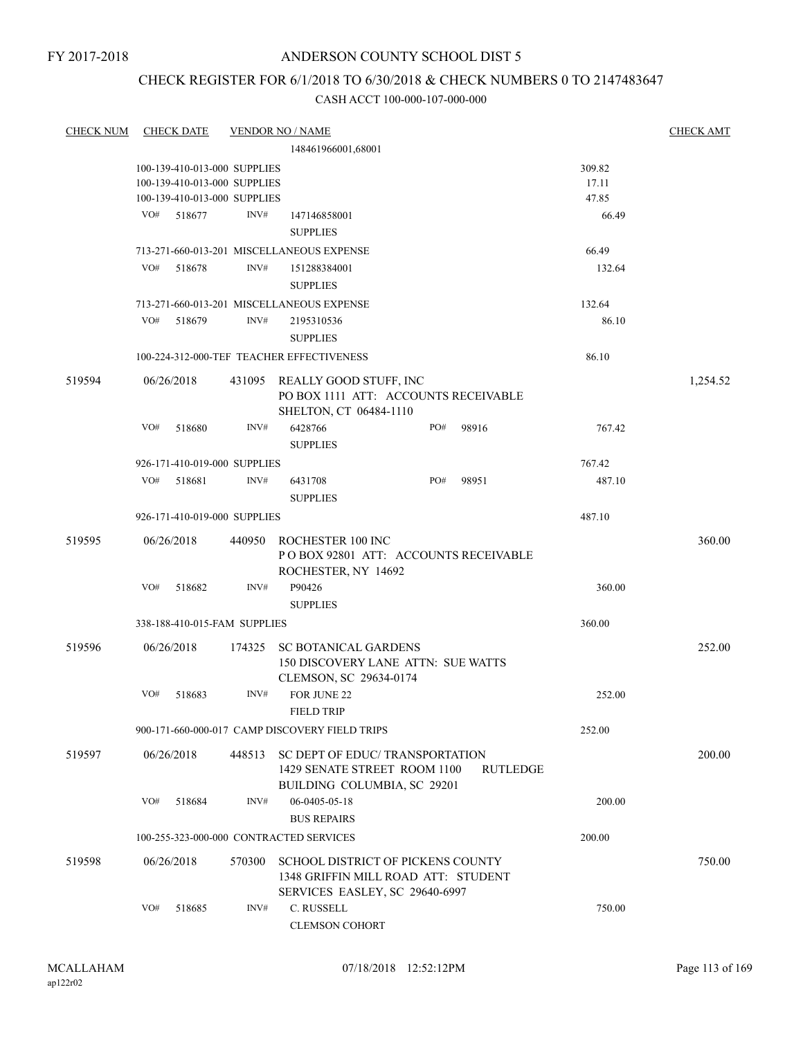# CHECK REGISTER FOR 6/1/2018 TO 6/30/2018 & CHECK NUMBERS 0 TO 2147483647

| <b>CHECK NUM</b> |     | <b>CHECK DATE</b> |                              | <b>VENDOR NO / NAME</b>                                             |     |       |          | <b>CHECK AMT</b> |
|------------------|-----|-------------------|------------------------------|---------------------------------------------------------------------|-----|-------|----------|------------------|
|                  |     |                   |                              | 148461966001,68001                                                  |     |       |          |                  |
|                  |     |                   | 100-139-410-013-000 SUPPLIES |                                                                     |     |       | 309.82   |                  |
|                  |     |                   | 100-139-410-013-000 SUPPLIES |                                                                     |     |       | 17.11    |                  |
|                  |     |                   | 100-139-410-013-000 SUPPLIES |                                                                     |     |       | 47.85    |                  |
|                  | VO# | 518677            | INV#                         | 147146858001                                                        |     |       | 66.49    |                  |
|                  |     |                   |                              | <b>SUPPLIES</b>                                                     |     |       |          |                  |
|                  |     |                   |                              | 713-271-660-013-201 MISCELLANEOUS EXPENSE                           |     |       | 66.49    |                  |
|                  | VO# | 518678            | INV#                         | 151288384001                                                        |     |       | 132.64   |                  |
|                  |     |                   |                              | <b>SUPPLIES</b>                                                     |     |       |          |                  |
|                  |     |                   |                              | 713-271-660-013-201 MISCELLANEOUS EXPENSE                           |     |       | 132.64   |                  |
|                  | VO# | 518679            | INV#                         | 2195310536                                                          |     |       | 86.10    |                  |
|                  |     |                   |                              | <b>SUPPLIES</b>                                                     |     |       |          |                  |
|                  |     |                   |                              | 100-224-312-000-TEF TEACHER EFFECTIVENESS                           |     |       | 86.10    |                  |
| 519594           |     | 06/26/2018        |                              | 431095 REALLY GOOD STUFF, INC                                       |     |       |          | 1,254.52         |
|                  |     |                   |                              | PO BOX 1111 ATT: ACCOUNTS RECEIVABLE                                |     |       |          |                  |
|                  |     |                   |                              | SHELTON, CT 06484-1110                                              |     |       |          |                  |
|                  | VO# | 518680            | INV#                         | 6428766                                                             | PO# | 98916 | 767.42   |                  |
|                  |     |                   |                              | <b>SUPPLIES</b>                                                     |     |       |          |                  |
|                  |     |                   | 926-171-410-019-000 SUPPLIES |                                                                     |     |       | 767.42   |                  |
|                  | VO# | 518681            | INV#                         | 6431708                                                             | PO# | 98951 | 487.10   |                  |
|                  |     |                   |                              | <b>SUPPLIES</b>                                                     |     |       |          |                  |
|                  |     |                   | 926-171-410-019-000 SUPPLIES |                                                                     |     |       | 487.10   |                  |
| 519595           |     | 06/26/2018        | 440950                       | ROCHESTER 100 INC                                                   |     |       |          | 360.00           |
|                  |     |                   |                              | POBOX 92801 ATT: ACCOUNTS RECEIVABLE                                |     |       |          |                  |
|                  |     |                   |                              | ROCHESTER, NY 14692                                                 |     |       |          |                  |
|                  | VO# | 518682            | INV#                         | P90426                                                              |     |       | 360.00   |                  |
|                  |     |                   |                              | <b>SUPPLIES</b>                                                     |     |       |          |                  |
|                  |     |                   | 338-188-410-015-FAM SUPPLIES |                                                                     |     |       | 360.00   |                  |
|                  |     |                   |                              |                                                                     |     |       |          |                  |
| 519596           |     | 06/26/2018        | 174325                       | <b>SC BOTANICAL GARDENS</b>                                         |     |       |          | 252.00           |
|                  |     |                   |                              | <b>150 DISCOVERY LANE ATTN: SUE WATTS</b><br>CLEMSON, SC 29634-0174 |     |       |          |                  |
|                  | VO# | 518683            | INV#                         | FOR JUNE 22                                                         |     |       | 252.00   |                  |
|                  |     |                   |                              | FIELD TRIP                                                          |     |       |          |                  |
|                  |     |                   |                              |                                                                     |     |       |          |                  |
|                  |     |                   |                              | 900-171-660-000-017 CAMP DISCOVERY FIELD TRIPS                      |     |       | 252.00   |                  |
| 519597           |     | 06/26/2018        |                              | 448513 SC DEPT OF EDUC/ TRANSPORTATION                              |     |       |          | 200.00           |
|                  |     |                   |                              | 1429 SENATE STREET ROOM 1100                                        |     |       | RUTLEDGE |                  |
|                  |     |                   |                              | BUILDING COLUMBIA, SC 29201                                         |     |       |          |                  |
|                  | VO# | 518684            | INV#                         | 06-0405-05-18                                                       |     |       | 200.00   |                  |
|                  |     |                   |                              | <b>BUS REPAIRS</b>                                                  |     |       |          |                  |
|                  |     |                   |                              | 100-255-323-000-000 CONTRACTED SERVICES                             |     |       | 200.00   |                  |
| 519598           |     | 06/26/2018        | 570300                       | <b>SCHOOL DISTRICT OF PICKENS COUNTY</b>                            |     |       |          | 750.00           |
|                  |     |                   |                              | 1348 GRIFFIN MILL ROAD ATT: STUDENT                                 |     |       |          |                  |
|                  |     |                   |                              | SERVICES EASLEY, SC 29640-6997                                      |     |       |          |                  |
|                  | VO# | 518685            | INV#                         | C. RUSSELL                                                          |     |       | 750.00   |                  |
|                  |     |                   |                              | <b>CLEMSON COHORT</b>                                               |     |       |          |                  |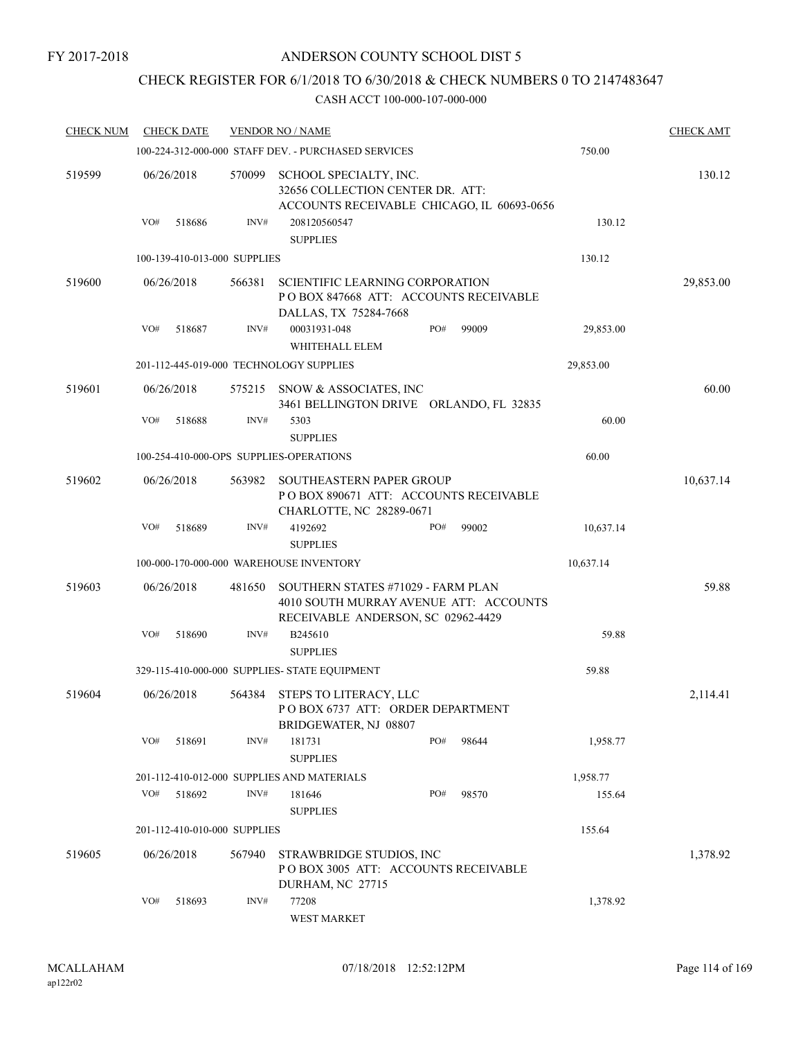# CHECK REGISTER FOR 6/1/2018 TO 6/30/2018 & CHECK NUMBERS 0 TO 2147483647

| <b>CHECK NUM</b> |     | <b>CHECK DATE</b>            |                | <b>VENDOR NO / NAME</b>                                                                                            |     |       |           | <b>CHECK AMT</b> |
|------------------|-----|------------------------------|----------------|--------------------------------------------------------------------------------------------------------------------|-----|-------|-----------|------------------|
|                  |     |                              |                | 100-224-312-000-000 STAFF DEV. - PURCHASED SERVICES                                                                |     |       | 750.00    |                  |
| 519599           |     | 06/26/2018                   | 570099         | SCHOOL SPECIALTY, INC.<br>32656 COLLECTION CENTER DR. ATT:<br>ACCOUNTS RECEIVABLE CHICAGO, IL 60693-0656           |     |       |           | 130.12           |
|                  | VO# | 518686                       | INV#           | 208120560547<br><b>SUPPLIES</b>                                                                                    |     |       | 130.12    |                  |
|                  |     | 100-139-410-013-000 SUPPLIES |                |                                                                                                                    |     |       | 130.12    |                  |
| 519600           |     | 06/26/2018                   | 566381         | <b>SCIENTIFIC LEARNING CORPORATION</b><br>POBOX 847668 ATT: ACCOUNTS RECEIVABLE<br>DALLAS, TX 75284-7668           |     |       |           | 29,853.00        |
|                  | VO# | 518687                       | INV#           | 00031931-048<br>WHITEHALL ELEM                                                                                     | PO# | 99009 | 29,853.00 |                  |
|                  |     |                              |                | 201-112-445-019-000 TECHNOLOGY SUPPLIES                                                                            |     |       | 29,853.00 |                  |
| 519601           |     | 06/26/2018                   | 575215         | SNOW & ASSOCIATES, INC<br>3461 BELLINGTON DRIVE ORLANDO, FL 32835                                                  |     |       |           | 60.00            |
|                  | VO# | 518688                       | $\text{INV}\#$ | 5303<br><b>SUPPLIES</b>                                                                                            |     |       | 60.00     |                  |
|                  |     |                              |                | 100-254-410-000-OPS SUPPLIES-OPERATIONS                                                                            |     |       | 60.00     |                  |
| 519602           |     | 06/26/2018                   | 563982         | <b>SOUTHEASTERN PAPER GROUP</b><br>POBOX 890671 ATT: ACCOUNTS RECEIVABLE<br>CHARLOTTE, NC 28289-0671               |     |       |           | 10,637.14        |
|                  | VO# | 518689                       | INV#           | 4192692<br><b>SUPPLIES</b>                                                                                         | PO# | 99002 | 10,637.14 |                  |
|                  |     |                              |                | 100-000-170-000-000 WAREHOUSE INVENTORY                                                                            |     |       | 10,637.14 |                  |
| 519603           |     | 06/26/2018                   | 481650         | SOUTHERN STATES #71029 - FARM PLAN<br>4010 SOUTH MURRAY AVENUE ATT: ACCOUNTS<br>RECEIVABLE ANDERSON, SC 02962-4429 |     |       |           | 59.88            |
|                  | VO# | 518690                       | INV#           | B245610<br><b>SUPPLIES</b>                                                                                         |     |       | 59.88     |                  |
|                  |     |                              |                | 329-115-410-000-000 SUPPLIES- STATE EQUIPMENT                                                                      |     |       | 59.88     |                  |
| 519604           |     | 06/26/2018                   |                | 564384 STEPS TO LITERACY, LLC<br>POBOX 6737 ATT: ORDER DEPARTMENT<br>BRIDGEWATER, NJ 08807                         |     |       |           | 2,114.41         |
|                  | VO# | 518691                       | INV#           | 181731<br><b>SUPPLIES</b>                                                                                          | PO# | 98644 | 1,958.77  |                  |
|                  |     |                              |                | 201-112-410-012-000 SUPPLIES AND MATERIALS                                                                         |     |       | 1,958.77  |                  |
|                  | VO# | 518692                       | INV#           | 181646<br><b>SUPPLIES</b>                                                                                          | PO# | 98570 | 155.64    |                  |
|                  |     | 201-112-410-010-000 SUPPLIES |                |                                                                                                                    |     |       | 155.64    |                  |
| 519605           |     | 06/26/2018                   | 567940         | STRAWBRIDGE STUDIOS, INC<br>POBOX 3005 ATT: ACCOUNTS RECEIVABLE<br>DURHAM, NC 27715                                |     |       |           | 1,378.92         |
|                  | VO# | 518693                       | INV#           | 77208<br>WEST MARKET                                                                                               |     |       | 1,378.92  |                  |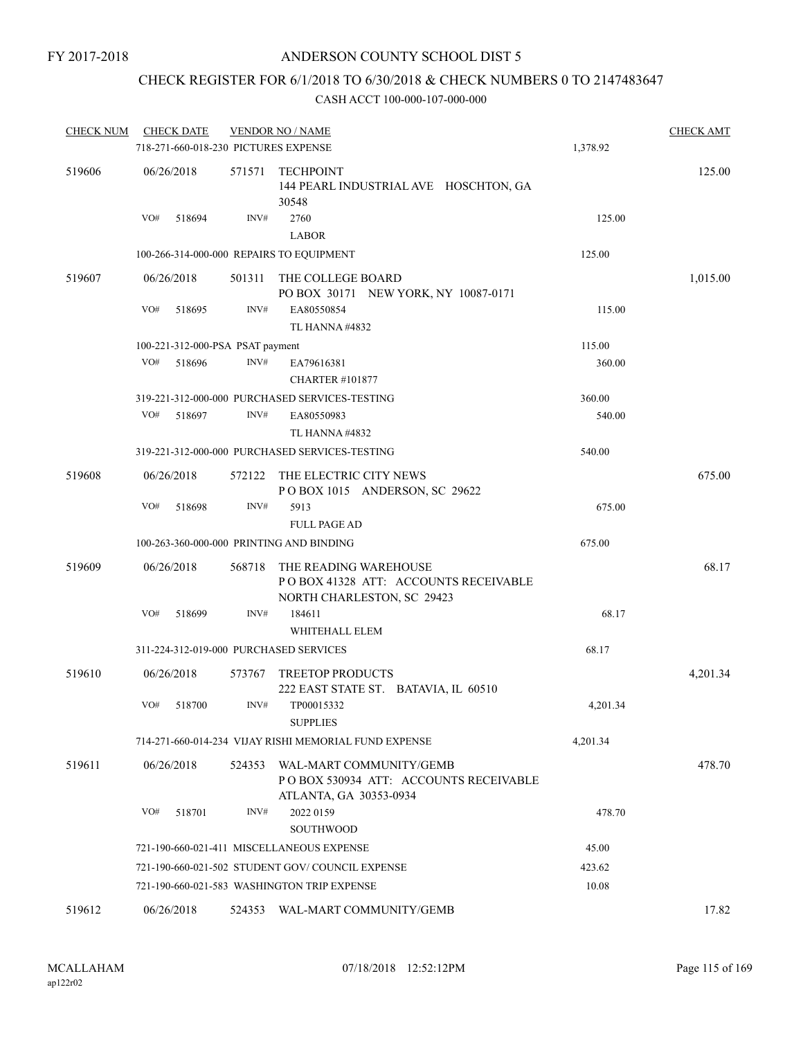# CHECK REGISTER FOR 6/1/2018 TO 6/30/2018 & CHECK NUMBERS 0 TO 2147483647

| <b>CHECK NUM</b> | <b>CHECK DATE</b>                    |                | <b>VENDOR NO / NAME</b>                                                                      |          | <b>CHECK AMT</b> |
|------------------|--------------------------------------|----------------|----------------------------------------------------------------------------------------------|----------|------------------|
|                  | 718-271-660-018-230 PICTURES EXPENSE |                |                                                                                              | 1,378.92 |                  |
| 519606           | 06/26/2018                           | 571571         | <b>TECHPOINT</b><br>144 PEARL INDUSTRIAL AVE HOSCHTON, GA<br>30548                           |          | 125.00           |
|                  | VO#<br>518694                        | INV#           | 2760<br><b>LABOR</b>                                                                         | 125.00   |                  |
|                  |                                      |                | 100-266-314-000-000 REPAIRS TO EQUIPMENT                                                     | 125.00   |                  |
| 519607           | 06/26/2018                           | 501311         | THE COLLEGE BOARD<br>PO BOX 30171 NEW YORK, NY 10087-0171                                    |          | 1,015.00         |
|                  | VO#<br>518695                        | $\text{INV}\#$ | EA80550854<br>TL HANNA #4832                                                                 | 115.00   |                  |
|                  | 100-221-312-000-PSA PSAT payment     |                |                                                                                              | 115.00   |                  |
|                  | VO#<br>518696                        | INV#           | EA79616381<br><b>CHARTER #101877</b>                                                         | 360.00   |                  |
|                  |                                      |                | 319-221-312-000-000 PURCHASED SERVICES-TESTING                                               | 360.00   |                  |
|                  | VO#<br>518697                        | INV#           | EA80550983<br>TL HANNA#4832                                                                  | 540.00   |                  |
|                  |                                      |                | 319-221-312-000-000 PURCHASED SERVICES-TESTING                                               | 540.00   |                  |
| 519608           | 06/26/2018                           | 572122         | THE ELECTRIC CITY NEWS<br>POBOX 1015 ANDERSON, SC 29622                                      |          | 675.00           |
|                  | VO#<br>518698                        | INV#           | 5913<br><b>FULL PAGE AD</b>                                                                  | 675.00   |                  |
|                  |                                      |                | 100-263-360-000-000 PRINTING AND BINDING                                                     | 675.00   |                  |
| 519609           | 06/26/2018                           | 568718         | THE READING WAREHOUSE<br>PO BOX 41328 ATT: ACCOUNTS RECEIVABLE<br>NORTH CHARLESTON, SC 29423 |          | 68.17            |
|                  | VO#<br>518699                        | INV#           | 184611<br>WHITEHALL ELEM                                                                     | 68.17    |                  |
|                  |                                      |                | 311-224-312-019-000 PURCHASED SERVICES                                                       | 68.17    |                  |
| 519610           | 06/26/2018                           | 573767         | <b>TREETOP PRODUCTS</b><br>222 EAST STATE ST. BATAVIA, IL 60510                              |          | 4,201.34         |
|                  | VO#<br>518700                        | INV#           | TP00015332<br><b>SUPPLIES</b>                                                                | 4,201.34 |                  |
|                  |                                      |                | 714-271-660-014-234 VIJAY RISHI MEMORIAL FUND EXPENSE                                        | 4,201.34 |                  |
| 519611           | 06/26/2018                           | 524353         | WAL-MART COMMUNITY/GEMB<br>POBOX 530934 ATT: ACCOUNTS RECEIVABLE<br>ATLANTA, GA 30353-0934   |          | 478.70           |
|                  | VO#<br>518701                        | INV#           | 2022 0159<br><b>SOUTHWOOD</b>                                                                | 478.70   |                  |
|                  |                                      |                | 721-190-660-021-411 MISCELLANEOUS EXPENSE                                                    | 45.00    |                  |
|                  |                                      |                | 721-190-660-021-502 STUDENT GOV/COUNCIL EXPENSE                                              | 423.62   |                  |
|                  |                                      |                | 721-190-660-021-583 WASHINGTON TRIP EXPENSE                                                  | 10.08    |                  |
| 519612           | 06/26/2018                           | 524353         | WAL-MART COMMUNITY/GEMB                                                                      |          | 17.82            |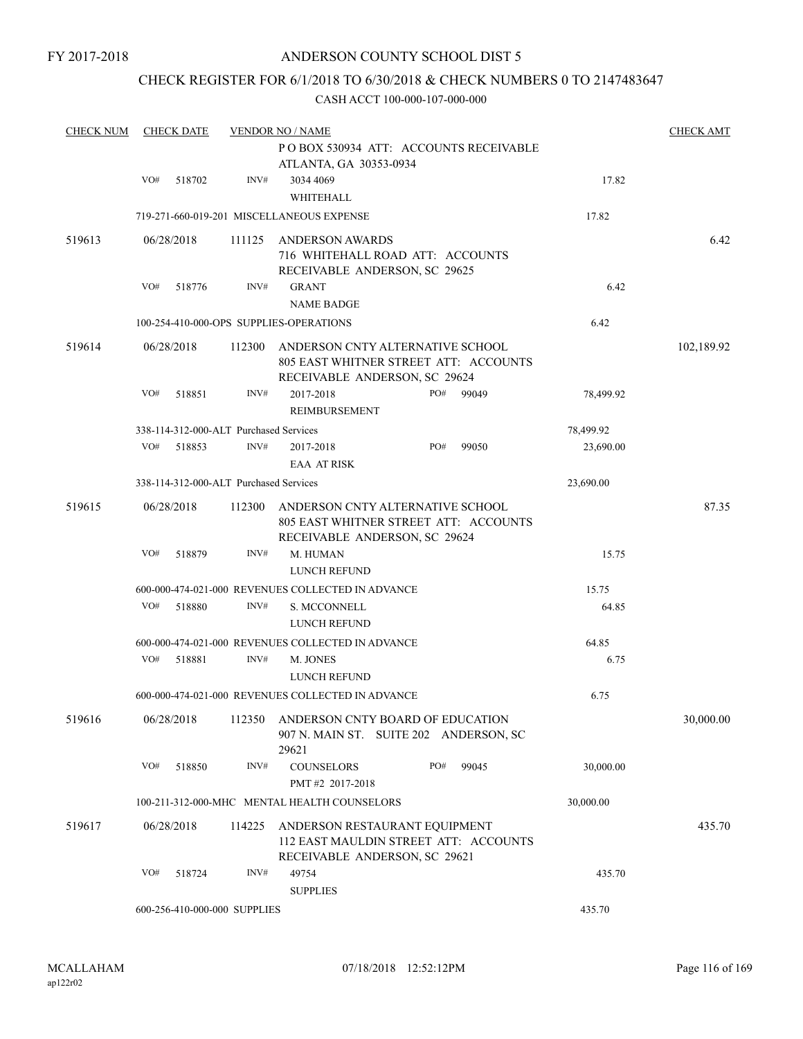# CHECK REGISTER FOR 6/1/2018 TO 6/30/2018 & CHECK NUMBERS 0 TO 2147483647

| <b>CHECK NUM</b> |     | <b>CHECK DATE</b>                      |        | <b>VENDOR NO / NAME</b><br>POBOX 530934 ATT: ACCOUNTS RECEIVABLE                                           |     |       |           | <b>CHECK AMT</b> |
|------------------|-----|----------------------------------------|--------|------------------------------------------------------------------------------------------------------------|-----|-------|-----------|------------------|
|                  |     |                                        |        | ATLANTA, GA 30353-0934                                                                                     |     |       |           |                  |
|                  | VO# | 518702                                 | INV#   | 3034 4069                                                                                                  |     |       | 17.82     |                  |
|                  |     |                                        |        | WHITEHALL                                                                                                  |     |       |           |                  |
|                  |     |                                        |        | 719-271-660-019-201 MISCELLANEOUS EXPENSE                                                                  |     |       | 17.82     |                  |
| 519613           |     | 06/28/2018                             | 111125 | <b>ANDERSON AWARDS</b>                                                                                     |     |       |           | 6.42             |
|                  |     |                                        |        | 716 WHITEHALL ROAD ATT: ACCOUNTS                                                                           |     |       |           |                  |
|                  |     |                                        |        | RECEIVABLE ANDERSON, SC 29625                                                                              |     |       |           |                  |
|                  | VO# | 518776                                 | INV#   | <b>GRANT</b>                                                                                               |     |       | 6.42      |                  |
|                  |     |                                        |        | <b>NAME BADGE</b>                                                                                          |     |       |           |                  |
|                  |     |                                        |        | 100-254-410-000-OPS SUPPLIES-OPERATIONS                                                                    |     |       | 6.42      |                  |
| 519614           |     | 06/28/2018                             | 112300 | ANDERSON CNTY ALTERNATIVE SCHOOL<br>805 EAST WHITNER STREET ATT: ACCOUNTS<br>RECEIVABLE ANDERSON, SC 29624 |     |       |           | 102,189.92       |
|                  | VO# | 518851                                 | INV#   | 2017-2018<br>REIMBURSEMENT                                                                                 | PO# | 99049 | 78,499.92 |                  |
|                  |     | 338-114-312-000-ALT Purchased Services |        |                                                                                                            |     |       | 78,499.92 |                  |
|                  | VO# | 518853                                 | INV#   | 2017-2018                                                                                                  | PO# | 99050 | 23,690.00 |                  |
|                  |     |                                        |        | <b>EAA AT RISK</b>                                                                                         |     |       |           |                  |
|                  |     | 338-114-312-000-ALT Purchased Services |        |                                                                                                            |     |       | 23,690.00 |                  |
| 519615           |     | 06/28/2018                             | 112300 | ANDERSON CNTY ALTERNATIVE SCHOOL                                                                           |     |       |           | 87.35            |
|                  |     |                                        |        | 805 EAST WHITNER STREET ATT: ACCOUNTS<br>RECEIVABLE ANDERSON, SC 29624                                     |     |       |           |                  |
|                  | VO# | 518879                                 | INV#   | M. HUMAN                                                                                                   |     |       | 15.75     |                  |
|                  |     |                                        |        | LUNCH REFUND                                                                                               |     |       |           |                  |
|                  |     |                                        |        | 600-000-474-021-000 REVENUES COLLECTED IN ADVANCE                                                          |     |       | 15.75     |                  |
|                  | VO# | 518880                                 | INV#   | S. MCCONNELL                                                                                               |     |       | 64.85     |                  |
|                  |     |                                        |        | LUNCH REFUND                                                                                               |     |       |           |                  |
|                  |     |                                        |        | 600-000-474-021-000 REVENUES COLLECTED IN ADVANCE                                                          |     |       | 64.85     |                  |
|                  | VO# | 518881                                 | INV#   | M. JONES                                                                                                   |     |       | 6.75      |                  |
|                  |     |                                        |        | LUNCH REFUND                                                                                               |     |       |           |                  |
|                  |     |                                        |        | 600-000-474-021-000 REVENUES COLLECTED IN ADVANCE                                                          |     |       | 6.75      |                  |
| 519616           |     | 06/28/2018                             | 112350 | ANDERSON CNTY BOARD OF EDUCATION<br>907 N. MAIN ST. SUITE 202 ANDERSON, SC<br>29621                        |     |       |           | 30,000.00        |
|                  | VO# | 518850                                 | INV#   | <b>COUNSELORS</b><br>PMT#2 2017-2018                                                                       | PO# | 99045 | 30,000.00 |                  |
|                  |     |                                        |        | 100-211-312-000-MHC MENTAL HEALTH COUNSELORS                                                               |     |       | 30,000.00 |                  |
| 519617           |     | 06/28/2018                             | 114225 | ANDERSON RESTAURANT EQUIPMENT<br>112 EAST MAULDIN STREET ATT: ACCOUNTS                                     |     |       |           | 435.70           |
|                  |     |                                        |        | RECEIVABLE ANDERSON, SC 29621                                                                              |     |       |           |                  |
|                  | VO# | 518724                                 | INV#   | 49754<br><b>SUPPLIES</b>                                                                                   |     |       | 435.70    |                  |
|                  |     | 600-256-410-000-000 SUPPLIES           |        |                                                                                                            |     |       | 435.70    |                  |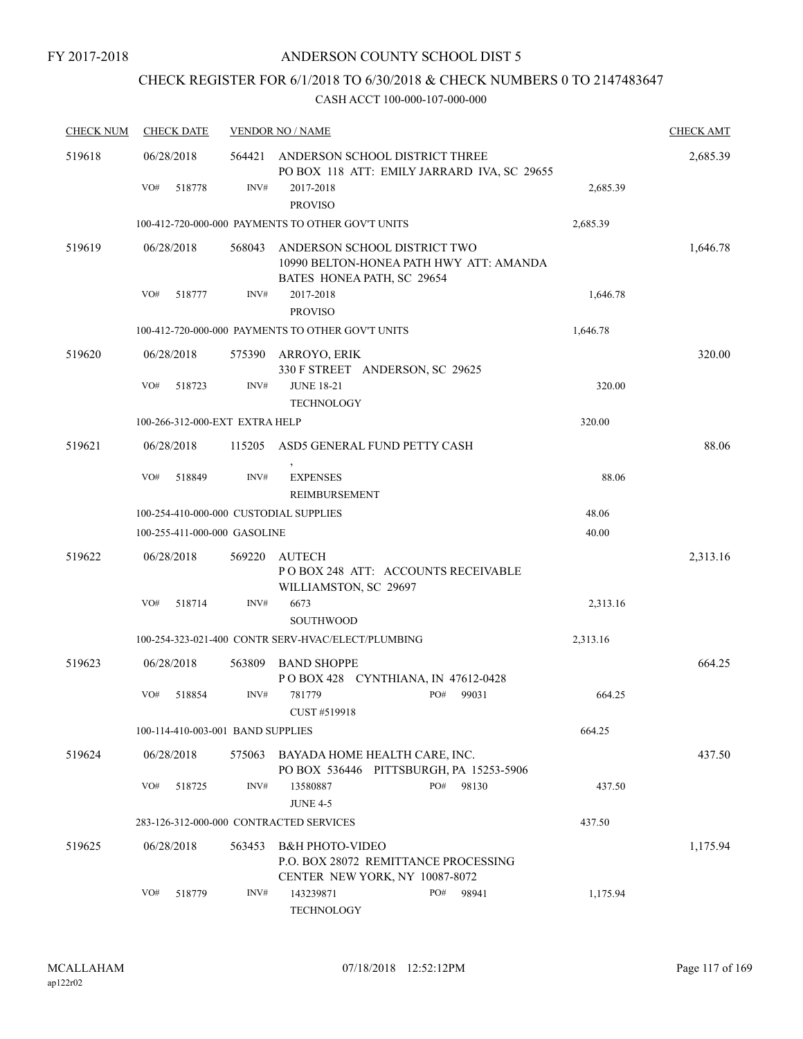# CHECK REGISTER FOR 6/1/2018 TO 6/30/2018 & CHECK NUMBERS 0 TO 2147483647

| <b>CHECK NUM</b> | <b>CHECK DATE</b>                      |        | <b>VENDOR NO / NAME</b>                                                                               |          | <b>CHECK AMT</b> |
|------------------|----------------------------------------|--------|-------------------------------------------------------------------------------------------------------|----------|------------------|
| 519618           | 06/28/2018                             | 564421 | ANDERSON SCHOOL DISTRICT THREE<br>PO BOX 118 ATT: EMILY JARRARD IVA, SC 29655                         |          | 2,685.39         |
|                  | VO#<br>518778                          | INV#   | 2017-2018<br><b>PROVISO</b>                                                                           | 2,685.39 |                  |
|                  |                                        |        | 100-412-720-000-000 PAYMENTS TO OTHER GOV'T UNITS                                                     | 2,685.39 |                  |
| 519619           | 06/28/2018                             | 568043 | ANDERSON SCHOOL DISTRICT TWO<br>10990 BELTON-HONEA PATH HWY ATT: AMANDA<br>BATES HONEA PATH, SC 29654 |          | 1,646.78         |
|                  | VO#<br>518777                          | INV#   | 2017-2018<br><b>PROVISO</b>                                                                           | 1,646.78 |                  |
|                  |                                        |        | 100-412-720-000-000 PAYMENTS TO OTHER GOV'T UNITS                                                     | 1,646.78 |                  |
| 519620           | 06/28/2018                             | 575390 | ARROYO, ERIK<br>330 F STREET ANDERSON, SC 29625                                                       |          | 320.00           |
|                  | VO#<br>518723                          | INV#   | <b>JUNE 18-21</b><br><b>TECHNOLOGY</b>                                                                | 320.00   |                  |
|                  | 100-266-312-000-EXT EXTRA HELP         |        |                                                                                                       | 320.00   |                  |
| 519621           | 06/28/2018                             | 115205 | ASD5 GENERAL FUND PETTY CASH                                                                          |          | 88.06            |
|                  | VO#<br>518849                          | INV#   | <b>EXPENSES</b><br>REIMBURSEMENT                                                                      | 88.06    |                  |
|                  | 100-254-410-000-000 CUSTODIAL SUPPLIES |        |                                                                                                       | 48.06    |                  |
|                  | 100-255-411-000-000 GASOLINE           |        |                                                                                                       | 40.00    |                  |
| 519622           | 06/28/2018                             | 569220 | <b>AUTECH</b><br>POBOX 248 ATT: ACCOUNTS RECEIVABLE<br>WILLIAMSTON, SC 29697                          |          | 2,313.16         |
|                  | VO#<br>518714                          | INV#   | 6673<br><b>SOUTHWOOD</b>                                                                              | 2,313.16 |                  |
|                  |                                        |        | 100-254-323-021-400 CONTR SERV-HVAC/ELECT/PLUMBING                                                    | 2,313.16 |                  |
| 519623           | 06/28/2018                             | 563809 | <b>BAND SHOPPE</b><br>POBOX 428 CYNTHIANA, IN 47612-0428                                              |          | 664.25           |
|                  | VO#<br>518854                          | INV#   | 781779<br>PO#<br>99031<br>CUST #519918                                                                | 664.25   |                  |
|                  | 100-114-410-003-001 BAND SUPPLIES      |        |                                                                                                       | 664.25   |                  |
| 519624           | 06/28/2018                             | 575063 | BAYADA HOME HEALTH CARE, INC.<br>PO BOX 536446 PITTSBURGH, PA 15253-5906                              |          | 437.50           |
|                  | VO#<br>518725                          | INV#   | PO#<br>98130<br>13580887<br><b>JUNE 4-5</b>                                                           | 437.50   |                  |
|                  |                                        |        | 283-126-312-000-000 CONTRACTED SERVICES                                                               | 437.50   |                  |
| 519625           | 06/28/2018                             | 563453 | <b>B&amp;H PHOTO-VIDEO</b><br>P.O. BOX 28072 REMITTANCE PROCESSING<br>CENTER NEW YORK, NY 10087-8072  |          | 1,175.94         |
|                  | VO#<br>518779                          | INV#   | 143239871<br>PO#<br>98941<br><b>TECHNOLOGY</b>                                                        | 1,175.94 |                  |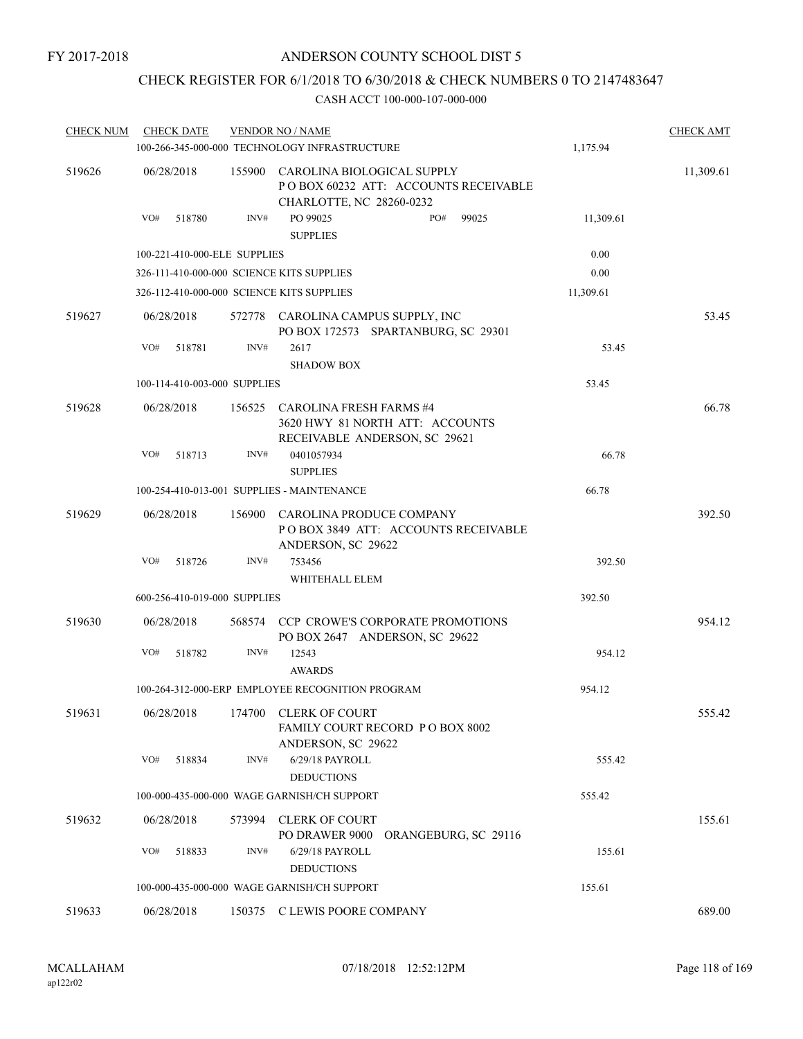# CHECK REGISTER FOR 6/1/2018 TO 6/30/2018 & CHECK NUMBERS 0 TO 2147483647

| <b>CHECK NUM</b> | <b>CHECK DATE</b>                         |      | <b>VENDOR NO / NAME</b>                                                                               |     |                      |           | <b>CHECK AMT</b> |
|------------------|-------------------------------------------|------|-------------------------------------------------------------------------------------------------------|-----|----------------------|-----------|------------------|
|                  |                                           |      | 100-266-345-000-000 TECHNOLOGY INFRASTRUCTURE                                                         |     |                      | 1,175.94  |                  |
| 519626           | 06/28/2018                                |      | 155900 CAROLINA BIOLOGICAL SUPPLY<br>POBOX 60232 ATT: ACCOUNTS RECEIVABLE<br>CHARLOTTE, NC 28260-0232 |     |                      |           | 11,309.61        |
|                  | VO#<br>518780                             | INV# | PO 99025<br><b>SUPPLIES</b>                                                                           | PO# | 99025                | 11,309.61 |                  |
|                  | 100-221-410-000-ELE SUPPLIES              |      |                                                                                                       |     |                      | 0.00      |                  |
|                  | 326-111-410-000-000 SCIENCE KITS SUPPLIES |      |                                                                                                       |     |                      | 0.00      |                  |
|                  | 326-112-410-000-000 SCIENCE KITS SUPPLIES |      |                                                                                                       |     |                      | 11,309.61 |                  |
| 519627           | 06/28/2018                                |      | 572778 CAROLINA CAMPUS SUPPLY, INC<br>PO BOX 172573 SPARTANBURG, SC 29301                             |     |                      |           | 53.45            |
|                  | VO#<br>518781                             | INV# | 2617<br><b>SHADOW BOX</b>                                                                             |     |                      | 53.45     |                  |
|                  | 100-114-410-003-000 SUPPLIES              |      |                                                                                                       |     |                      | 53.45     |                  |
| 519628           | 06/28/2018                                |      | 156525 CAROLINA FRESH FARMS #4<br>3620 HWY 81 NORTH ATT: ACCOUNTS<br>RECEIVABLE ANDERSON, SC 29621    |     |                      |           | 66.78            |
|                  | VO#<br>518713                             | INV# | 0401057934<br><b>SUPPLIES</b>                                                                         |     |                      | 66.78     |                  |
|                  |                                           |      | 100-254-410-013-001 SUPPLIES - MAINTENANCE                                                            |     |                      | 66.78     |                  |
| 519629           | 06/28/2018                                |      | 156900 CAROLINA PRODUCE COMPANY<br>POBOX 3849 ATT: ACCOUNTS RECEIVABLE<br>ANDERSON, SC 29622          |     |                      |           | 392.50           |
|                  | VO#<br>518726                             | INV# | 753456<br>WHITEHALL ELEM                                                                              |     |                      | 392.50    |                  |
|                  | 600-256-410-019-000 SUPPLIES              |      |                                                                                                       |     |                      | 392.50    |                  |
| 519630           | 06/28/2018                                |      | 568574 CCP CROWE'S CORPORATE PROMOTIONS<br>PO BOX 2647 ANDERSON, SC 29622                             |     |                      |           | 954.12           |
|                  | VO#<br>518782                             | INV# | 12543<br><b>AWARDS</b>                                                                                |     |                      | 954.12    |                  |
|                  |                                           |      | 100-264-312-000-ERP EMPLOYEE RECOGNITION PROGRAM                                                      |     |                      | 954.12    |                  |
| 519631           |                                           |      | 06/28/2018 174700 CLERK OF COURT<br>FAMILY COURT RECORD PO BOX 8002<br>ANDERSON, SC 29622             |     |                      |           | 555.42           |
|                  | VO#<br>518834                             | INV# | 6/29/18 PAYROLL<br><b>DEDUCTIONS</b>                                                                  |     |                      | 555.42    |                  |
|                  |                                           |      | 100-000-435-000-000 WAGE GARNISH/CH SUPPORT                                                           |     |                      | 555.42    |                  |
| 519632           | 06/28/2018                                |      | 573994 CLERK OF COURT<br>PO DRAWER 9000                                                               |     | ORANGEBURG, SC 29116 |           | 155.61           |
|                  | VO#<br>518833                             | INV# | 6/29/18 PAYROLL<br><b>DEDUCTIONS</b>                                                                  |     |                      | 155.61    |                  |
|                  |                                           |      | 100-000-435-000-000 WAGE GARNISH/CH SUPPORT                                                           |     |                      | 155.61    |                  |
| 519633           | 06/28/2018                                |      | 150375 C LEWIS POORE COMPANY                                                                          |     |                      |           | 689.00           |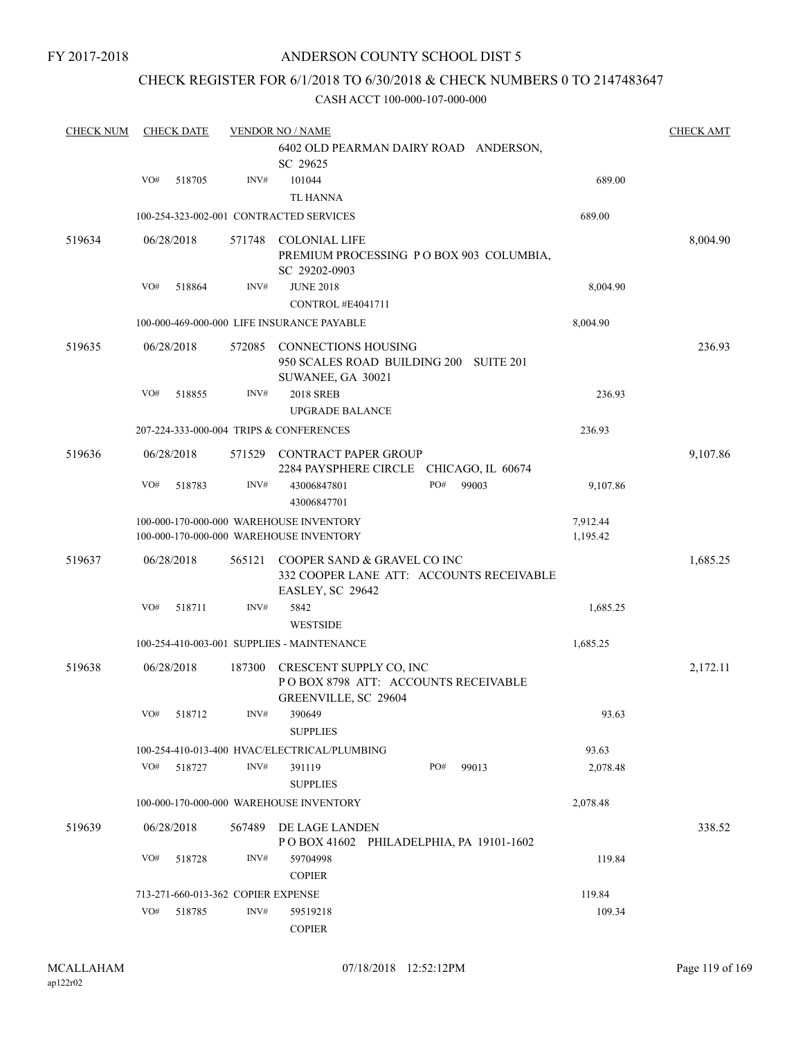# CHECK REGISTER FOR 6/1/2018 TO 6/30/2018 & CHECK NUMBERS 0 TO 2147483647

| <b>CHECK NUM</b> | <b>CHECK DATE</b> |        |                                    | <b>VENDOR NO / NAME</b>                                                                     |     |       |          | <b>CHECK AMT</b> |
|------------------|-------------------|--------|------------------------------------|---------------------------------------------------------------------------------------------|-----|-------|----------|------------------|
|                  |                   |        |                                    | 6402 OLD PEARMAN DAIRY ROAD ANDERSON,<br>SC 29625                                           |     |       |          |                  |
|                  | VO#               | 518705 | INV#                               | 101044                                                                                      |     |       | 689.00   |                  |
|                  |                   |        |                                    | <b>TL HANNA</b>                                                                             |     |       |          |                  |
|                  |                   |        |                                    | 100-254-323-002-001 CONTRACTED SERVICES                                                     |     |       | 689.00   |                  |
| 519634           | 06/28/2018        |        | 571748                             | <b>COLONIAL LIFE</b><br>PREMIUM PROCESSING PO BOX 903 COLUMBIA,<br>SC 29202-0903            |     |       |          | 8,004.90         |
|                  | VO#               | 518864 | INV#                               | <b>JUNE 2018</b><br>CONTROL#E4041711                                                        |     |       | 8,004.90 |                  |
|                  |                   |        |                                    | 100-000-469-000-000 LIFE INSURANCE PAYABLE                                                  |     |       | 8,004.90 |                  |
| 519635           | 06/28/2018        |        | 572085                             | <b>CONNECTIONS HOUSING</b><br>950 SCALES ROAD BUILDING 200 SUITE 201<br>SUWANEE, GA 30021   |     |       |          | 236.93           |
|                  | VO#               | 518855 | INV#                               | <b>2018 SREB</b><br><b>UPGRADE BALANCE</b>                                                  |     |       | 236.93   |                  |
|                  |                   |        |                                    | 207-224-333-000-004 TRIPS & CONFERENCES                                                     |     |       | 236.93   |                  |
| 519636           | 06/28/2018        |        | 571529                             | <b>CONTRACT PAPER GROUP</b><br>2284 PAYSPHERE CIRCLE CHICAGO, IL 60674                      |     |       |          | 9,107.86         |
|                  | VO#               | 518783 | INV#                               | 43006847801<br>43006847701                                                                  | PO# | 99003 | 9,107.86 |                  |
|                  |                   |        |                                    | 100-000-170-000-000 WAREHOUSE INVENTORY                                                     |     |       | 7,912.44 |                  |
|                  |                   |        |                                    | 100-000-170-000-000 WAREHOUSE INVENTORY                                                     |     |       | 1,195.42 |                  |
| 519637           | 06/28/2018        |        | 565121                             | COOPER SAND & GRAVEL CO INC<br>332 COOPER LANE ATT: ACCOUNTS RECEIVABLE<br>EASLEY, SC 29642 |     |       |          | 1,685.25         |
|                  | VO#               | 518711 | INV#                               | 5842<br><b>WESTSIDE</b>                                                                     |     |       | 1,685.25 |                  |
|                  |                   |        |                                    | 100-254-410-003-001 SUPPLIES - MAINTENANCE                                                  |     |       | 1,685.25 |                  |
| 519638           | 06/28/2018        |        | 187300                             | CRESCENT SUPPLY CO, INC<br>POBOX 8798 ATT: ACCOUNTS RECEIVABLE<br>GREENVILLE, SC 29604      |     |       |          | 2,172.11         |
|                  | VO# 518712        |        |                                    | INV# 390649<br><b>SUPPLIES</b>                                                              |     |       | 93.63    |                  |
|                  |                   |        |                                    | 100-254-410-013-400 HVAC/ELECTRICAL/PLUMBING                                                |     |       | 93.63    |                  |
|                  | VO#               | 518727 | INV#                               | 391119<br><b>SUPPLIES</b>                                                                   | PO# | 99013 | 2,078.48 |                  |
|                  |                   |        |                                    | 100-000-170-000-000 WAREHOUSE INVENTORY                                                     |     |       | 2,078.48 |                  |
|                  |                   |        |                                    |                                                                                             |     |       |          |                  |
| 519639           | 06/28/2018        |        | 567489                             | DE LAGE LANDEN<br>POBOX 41602 PHILADELPHIA, PA 19101-1602                                   |     |       |          | 338.52           |
|                  | VO#               | 518728 | INV#                               | 59704998<br><b>COPIER</b>                                                                   |     |       | 119.84   |                  |
|                  |                   |        | 713-271-660-013-362 COPIER EXPENSE |                                                                                             |     |       | 119.84   |                  |
|                  | VO#               | 518785 | INV#                               | 59519218<br><b>COPIER</b>                                                                   |     |       | 109.34   |                  |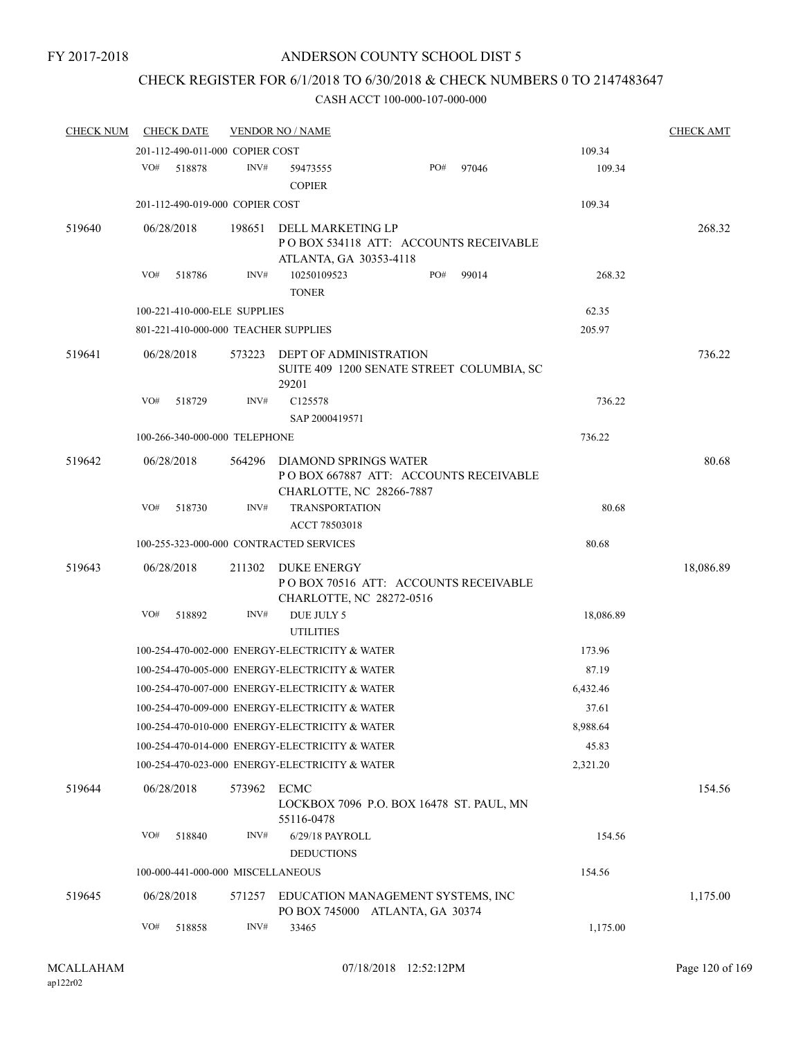# CHECK REGISTER FOR 6/1/2018 TO 6/30/2018 & CHECK NUMBERS 0 TO 2147483647

| <b>CHECK NUM</b> | <b>CHECK DATE</b>                       |        | <b>VENDOR NO / NAME</b>                                                                    |     |       |           | <b>CHECK AMT</b> |
|------------------|-----------------------------------------|--------|--------------------------------------------------------------------------------------------|-----|-------|-----------|------------------|
|                  | 201-112-490-011-000 COPIER COST         |        |                                                                                            |     |       | 109.34    |                  |
|                  | VO#<br>518878                           | INV#   | 59473555<br><b>COPIER</b>                                                                  | PO# | 97046 | 109.34    |                  |
|                  | 201-112-490-019-000 COPIER COST         |        |                                                                                            |     |       | 109.34    |                  |
| 519640           | 06/28/2018                              | 198651 | DELL MARKETING LP<br>POBOX 534118 ATT: ACCOUNTS RECEIVABLE<br>ATLANTA, GA 30353-4118       |     |       |           | 268.32           |
|                  | VO#<br>518786                           | INV#   | 10250109523<br><b>TONER</b>                                                                | PO# | 99014 | 268.32    |                  |
|                  | 100-221-410-000-ELE SUPPLIES            |        |                                                                                            |     |       | 62.35     |                  |
|                  | 801-221-410-000-000 TEACHER SUPPLIES    |        |                                                                                            |     |       | 205.97    |                  |
| 519641           | 06/28/2018                              | 573223 | DEPT OF ADMINISTRATION<br>SUITE 409 1200 SENATE STREET COLUMBIA, SC<br>29201               |     |       |           | 736.22           |
|                  | VO#<br>518729                           | INV#   | C125578<br>SAP 2000419571                                                                  |     |       | 736.22    |                  |
|                  | 100-266-340-000-000 TELEPHONE           |        |                                                                                            |     |       | 736.22    |                  |
| 519642           | 06/28/2018                              | 564296 | DIAMOND SPRINGS WATER<br>POBOX 667887 ATT: ACCOUNTS RECEIVABLE<br>CHARLOTTE, NC 28266-7887 |     |       |           | 80.68            |
|                  | VO#<br>518730                           | INV#   | <b>TRANSPORTATION</b><br>ACCT 78503018                                                     |     |       | 80.68     |                  |
|                  | 100-255-323-000-000 CONTRACTED SERVICES |        |                                                                                            |     |       | 80.68     |                  |
| 519643           | 06/28/2018<br>VO#                       | 211302 | <b>DUKE ENERGY</b><br>PO BOX 70516 ATT: ACCOUNTS RECEIVABLE<br>CHARLOTTE, NC 28272-0516    |     |       |           | 18,086.89        |
|                  | 518892                                  | INV#   | DUE JULY 5<br><b>UTILITIES</b>                                                             |     |       | 18,086.89 |                  |
|                  |                                         |        | 100-254-470-002-000 ENERGY-ELECTRICITY & WATER                                             |     |       | 173.96    |                  |
|                  |                                         |        | 100-254-470-005-000 ENERGY-ELECTRICITY & WATER                                             |     |       | 87.19     |                  |
|                  |                                         |        | 100-254-470-007-000 ENERGY-ELECTRICITY & WATER                                             |     |       | 6,432.46  |                  |
|                  |                                         |        | 100-254-470-009-000 ENERGY-ELECTRICITY & WATER                                             |     |       | 37.61     |                  |
|                  |                                         |        | 100-254-470-010-000 ENERGY-ELECTRICITY & WATER                                             |     |       | 8,988.64  |                  |
|                  |                                         |        | 100-254-470-014-000 ENERGY-ELECTRICITY & WATER                                             |     |       | 45.83     |                  |
|                  |                                         |        | 100-254-470-023-000 ENERGY-ELECTRICITY & WATER                                             |     |       | 2,321.20  |                  |
| 519644           | 06/28/2018                              | 573962 | <b>ECMC</b><br>LOCKBOX 7096 P.O. BOX 16478 ST. PAUL, MN<br>55116-0478                      |     |       |           | 154.56           |
|                  | VO#<br>518840                           | INV#   | 6/29/18 PAYROLL<br><b>DEDUCTIONS</b>                                                       |     |       | 154.56    |                  |
|                  | 100-000-441-000-000 MISCELLANEOUS       |        |                                                                                            |     |       | 154.56    |                  |
| 519645           | 06/28/2018                              | 571257 | EDUCATION MANAGEMENT SYSTEMS, INC<br>PO BOX 745000 ATLANTA, GA 30374                       |     |       |           | 1,175.00         |
|                  | VO#<br>518858                           | INV#   | 33465                                                                                      |     |       | 1,175.00  |                  |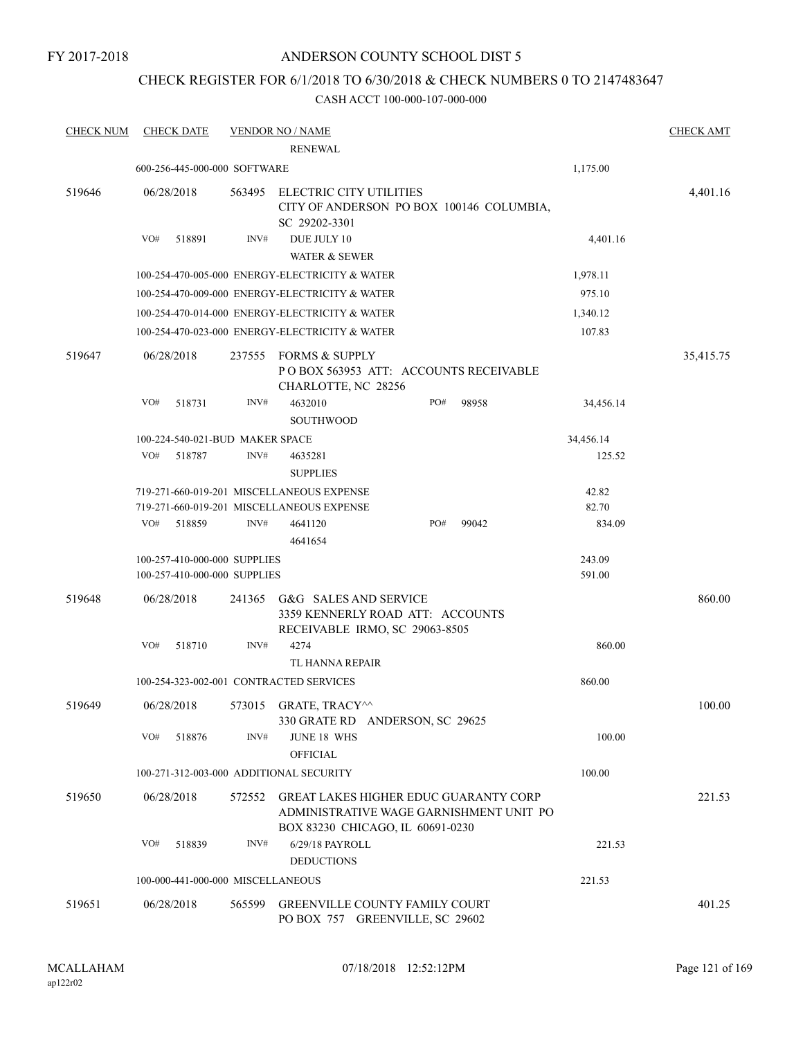FY 2017-2018

# ANDERSON COUNTY SCHOOL DIST 5

# CHECK REGISTER FOR 6/1/2018 TO 6/30/2018 & CHECK NUMBERS 0 TO 2147483647

| <b>CHECK NUM</b> | <b>CHECK DATE</b>                       |                | <b>VENDOR NO / NAME</b><br><b>RENEWAL</b>                                                                                   |     |       |           | <b>CHECK AMT</b> |
|------------------|-----------------------------------------|----------------|-----------------------------------------------------------------------------------------------------------------------------|-----|-------|-----------|------------------|
|                  | 600-256-445-000-000 SOFTWARE            |                |                                                                                                                             |     |       | 1,175.00  |                  |
| 519646           | 06/28/2018                              | 563495         | ELECTRIC CITY UTILITIES<br>CITY OF ANDERSON PO BOX 100146 COLUMBIA,<br>SC 29202-3301                                        |     |       |           | 4,401.16         |
|                  | VO#<br>518891                           | INV#           | DUE JULY 10<br><b>WATER &amp; SEWER</b>                                                                                     |     |       | 4,401.16  |                  |
|                  |                                         |                | 100-254-470-005-000 ENERGY-ELECTRICITY & WATER                                                                              |     |       | 1,978.11  |                  |
|                  |                                         |                | 100-254-470-009-000 ENERGY-ELECTRICITY & WATER                                                                              |     |       | 975.10    |                  |
|                  |                                         |                | 100-254-470-014-000 ENERGY-ELECTRICITY & WATER                                                                              |     |       | 1,340.12  |                  |
|                  |                                         |                | 100-254-470-023-000 ENERGY-ELECTRICITY & WATER                                                                              |     |       | 107.83    |                  |
| 519647           | 06/28/2018<br>VO#<br>518731             | 237555<br>INV# | FORMS & SUPPLY<br>PO BOX 563953 ATT: ACCOUNTS RECEIVABLE<br>CHARLOTTE, NC 28256<br>4632010                                  | PO# | 98958 | 34,456.14 | 35,415.75        |
|                  |                                         |                | <b>SOUTHWOOD</b>                                                                                                            |     |       |           |                  |
|                  | 100-224-540-021-BUD MAKER SPACE         |                |                                                                                                                             |     |       | 34,456.14 |                  |
|                  | VO#<br>518787                           | INV#           | 4635281<br><b>SUPPLIES</b>                                                                                                  |     |       | 125.52    |                  |
|                  |                                         |                | 719-271-660-019-201 MISCELLANEOUS EXPENSE                                                                                   |     |       | 42.82     |                  |
|                  |                                         |                | 719-271-660-019-201 MISCELLANEOUS EXPENSE                                                                                   |     |       | 82.70     |                  |
|                  | VO#<br>518859                           | INV#           | 4641120<br>4641654                                                                                                          | PO# | 99042 | 834.09    |                  |
|                  | 100-257-410-000-000 SUPPLIES            |                |                                                                                                                             |     |       | 243.09    |                  |
|                  | 100-257-410-000-000 SUPPLIES            |                |                                                                                                                             |     |       | 591.00    |                  |
| 519648           | 06/28/2018                              | 241365         | G&G SALES AND SERVICE<br>3359 KENNERLY ROAD ATT: ACCOUNTS<br>RECEIVABLE IRMO, SC 29063-8505                                 |     |       |           | 860.00           |
|                  | VO#<br>518710                           | INV#           | 4274<br>TL HANNA REPAIR                                                                                                     |     |       | 860.00    |                  |
|                  | 100-254-323-002-001 CONTRACTED SERVICES |                |                                                                                                                             |     |       | 860.00    |                  |
| 519649           | 06/28/2018                              | 573015         | <b>GRATE, TRACYM</b><br>330 GRATE RD ANDERSON, SC 29625                                                                     |     |       |           | 100.00           |
|                  | VO#<br>518876                           | INV#           | <b>JUNE 18 WHS</b><br><b>OFFICIAL</b>                                                                                       |     |       | 100.00    |                  |
|                  | 100-271-312-003-000 ADDITIONAL SECURITY |                |                                                                                                                             |     |       | 100.00    |                  |
| 519650           | 06/28/2018                              | 572552         | <b>GREAT LAKES HIGHER EDUC GUARANTY CORP</b><br>ADMINISTRATIVE WAGE GARNISHMENT UNIT PO<br>BOX 83230 CHICAGO, IL 60691-0230 |     |       |           | 221.53           |
|                  | VO#<br>518839                           | INV#           | 6/29/18 PAYROLL<br><b>DEDUCTIONS</b>                                                                                        |     |       | 221.53    |                  |
|                  | 100-000-441-000-000 MISCELLANEOUS       |                |                                                                                                                             |     |       | 221.53    |                  |
| 519651           | 06/28/2018                              | 565599         | <b>GREENVILLE COUNTY FAMILY COURT</b>                                                                                       |     |       |           | 401.25           |
|                  |                                         |                | PO BOX 757 GREENVILLE, SC 29602                                                                                             |     |       |           |                  |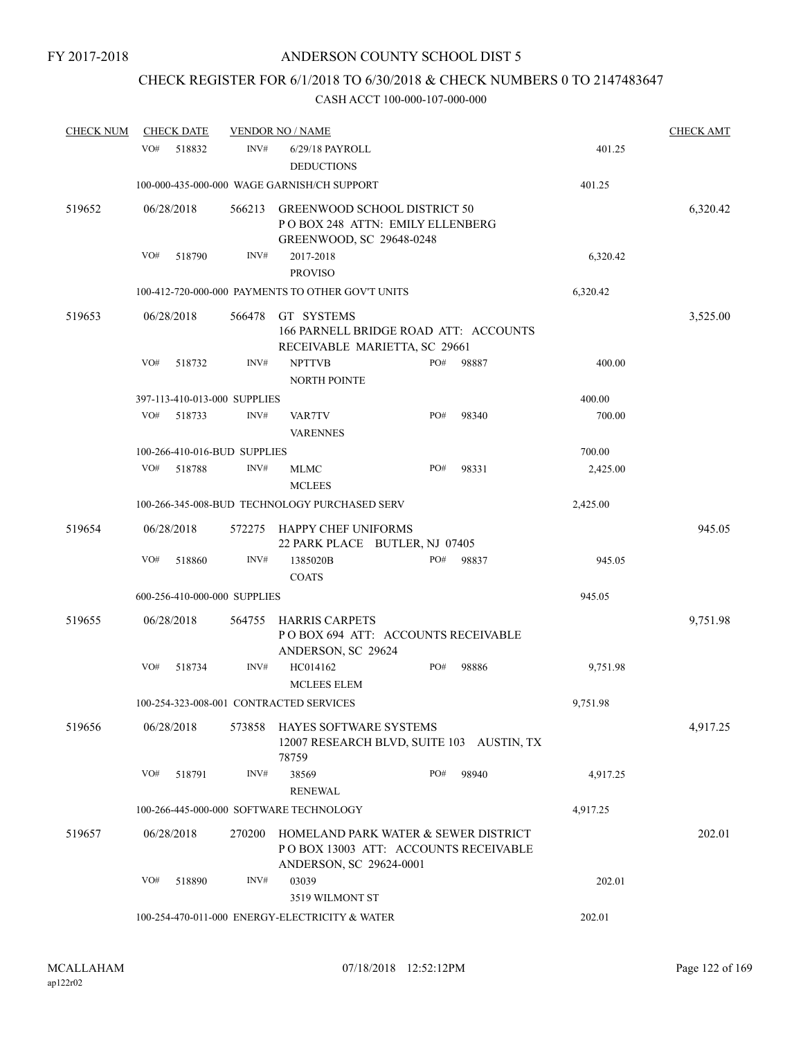# CHECK REGISTER FOR 6/1/2018 TO 6/30/2018 & CHECK NUMBERS 0 TO 2147483647

| <b>CHECK NUM</b> | <b>CHECK DATE</b> |        |                              | <b>VENDOR NO / NAME</b>                                                                                 |     |          |          | <b>CHECK AMT</b> |
|------------------|-------------------|--------|------------------------------|---------------------------------------------------------------------------------------------------------|-----|----------|----------|------------------|
|                  | VO#               | 518832 | INV#                         | 6/29/18 PAYROLL<br><b>DEDUCTIONS</b>                                                                    |     |          | 401.25   |                  |
|                  |                   |        |                              | 100-000-435-000-000 WAGE GARNISH/CH SUPPORT                                                             |     |          | 401.25   |                  |
| 519652           | 06/28/2018        |        | 566213                       | <b>GREENWOOD SCHOOL DISTRICT 50</b><br>POBOX 248 ATTN: EMILY ELLENBERG<br>GREENWOOD, SC 29648-0248      |     |          |          | 6,320.42         |
|                  | VO#               | 518790 | INV#                         | 2017-2018<br><b>PROVISO</b>                                                                             |     |          | 6,320.42 |                  |
|                  |                   |        |                              | 100-412-720-000-000 PAYMENTS TO OTHER GOV'T UNITS                                                       |     |          | 6,320.42 |                  |
| 519653           | 06/28/2018        |        | 566478                       | GT SYSTEMS<br>166 PARNELL BRIDGE ROAD ATT: ACCOUNTS<br>RECEIVABLE MARIETTA, SC 29661                    |     | 3,525.00 |          |                  |
|                  | VO#               | 518732 | INV#                         | <b>NPTTVB</b><br><b>NORTH POINTE</b>                                                                    | PO# | 98887    | 400.00   |                  |
|                  |                   |        | 397-113-410-013-000 SUPPLIES |                                                                                                         |     |          | 400.00   |                  |
|                  | VO#               | 518733 | INV#                         | VAR7TV<br><b>VARENNES</b>                                                                               | PO# | 98340    | 700.00   |                  |
|                  |                   |        | 100-266-410-016-BUD SUPPLIES |                                                                                                         |     | 700.00   |          |                  |
|                  | VO#               | 518788 | INV#                         | MLMC<br><b>MCLEES</b>                                                                                   | PO# | 98331    | 2,425.00 |                  |
|                  |                   |        |                              | 100-266-345-008-BUD TECHNOLOGY PURCHASED SERV                                                           |     |          | 2,425.00 |                  |
| 519654           | 06/28/2018        |        | 572275                       | HAPPY CHEF UNIFORMS<br>22 PARK PLACE BUTLER, NJ 07405                                                   |     |          |          | 945.05           |
|                  | VO#               | 518860 | INV#                         | 1385020B<br><b>COATS</b>                                                                                | PO# | 98837    | 945.05   |                  |
|                  |                   |        | 600-256-410-000-000 SUPPLIES |                                                                                                         |     |          | 945.05   |                  |
| 519655           | 06/28/2018        |        | 564755                       | <b>HARRIS CARPETS</b><br>POBOX 694 ATT: ACCOUNTS RECEIVABLE<br>ANDERSON, SC 29624                       |     |          | 9,751.98 |                  |
|                  | VO#               | 518734 | INV#                         | HC014162<br><b>MCLEES ELEM</b>                                                                          | PO# | 98886    | 9,751.98 |                  |
|                  |                   |        |                              | 100-254-323-008-001 CONTRACTED SERVICES                                                                 |     |          | 9,751.98 |                  |
| 519656           | 06/28/2018        |        | 573858                       | HAYES SOFTWARE SYSTEMS<br>12007 RESEARCH BLVD, SUITE 103 AUSTIN, TX<br>78759                            |     |          |          | 4,917.25         |
|                  | VO#               | 518791 | INV#                         | 38569<br><b>RENEWAL</b>                                                                                 | PO# | 98940    | 4,917.25 |                  |
|                  |                   |        |                              | 100-266-445-000-000 SOFTWARE TECHNOLOGY                                                                 |     |          | 4,917.25 |                  |
| 519657           | 06/28/2018        |        | 270200                       | HOMELAND PARK WATER & SEWER DISTRICT<br>POBOX 13003 ATT: ACCOUNTS RECEIVABLE<br>ANDERSON, SC 29624-0001 |     |          |          | 202.01           |
|                  | VO#               | 518890 | INV#                         | 03039<br>3519 WILMONT ST                                                                                |     |          | 202.01   |                  |
|                  |                   |        |                              | 100-254-470-011-000 ENERGY-ELECTRICITY & WATER                                                          |     |          | 202.01   |                  |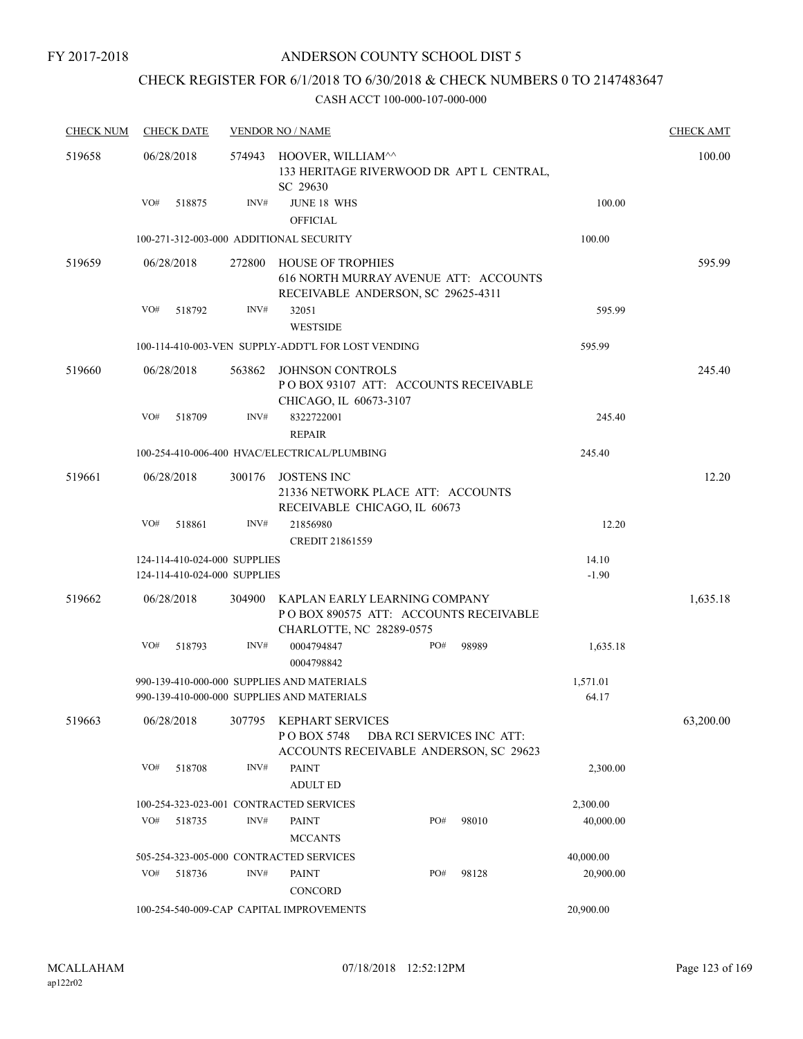FY 2017-2018

# ANDERSON COUNTY SCHOOL DIST 5

# CHECK REGISTER FOR 6/1/2018 TO 6/30/2018 & CHECK NUMBERS 0 TO 2147483647

| <b>CHECK NUM</b> | <b>CHECK DATE</b>                       |        | <b>VENDOR NO / NAME</b>                                                                                 |                   | <b>CHECK AMT</b> |
|------------------|-----------------------------------------|--------|---------------------------------------------------------------------------------------------------------|-------------------|------------------|
| 519658           | 06/28/2018                              | 574943 | HOOVER, WILLIAM^^<br>133 HERITAGE RIVERWOOD DR APT L CENTRAL,<br>SC 29630                               |                   | 100.00           |
|                  | VO#<br>518875                           | INV#   | JUNE 18 WHS<br><b>OFFICIAL</b>                                                                          | 100.00            |                  |
|                  | 100-271-312-003-000 ADDITIONAL SECURITY |        |                                                                                                         | 100.00            |                  |
| 519659           | 06/28/2018                              | 272800 | <b>HOUSE OF TROPHIES</b><br>616 NORTH MURRAY AVENUE ATT: ACCOUNTS<br>RECEIVABLE ANDERSON, SC 29625-4311 |                   | 595.99           |
|                  | VO#<br>518792                           | INV#   | 32051<br><b>WESTSIDE</b>                                                                                | 595.99            |                  |
|                  |                                         |        | 100-114-410-003-VEN SUPPLY-ADDT'L FOR LOST VENDING                                                      | 595.99            |                  |
| 519660           | 06/28/2018                              | 563862 | <b>JOHNSON CONTROLS</b><br>POBOX 93107 ATT: ACCOUNTS RECEIVABLE<br>CHICAGO, IL 60673-3107               |                   | 245.40           |
|                  | VO#<br>518709                           | INV#   | 8322722001<br><b>REPAIR</b>                                                                             | 245.40            |                  |
|                  |                                         |        | 100-254-410-006-400 HVAC/ELECTRICAL/PLUMBING                                                            | 245.40            |                  |
| 519661           | 06/28/2018                              | 300176 | <b>JOSTENS INC</b><br>21336 NETWORK PLACE ATT: ACCOUNTS<br>RECEIVABLE CHICAGO, IL 60673                 |                   | 12.20            |
|                  | VO#<br>518861                           | INV#   | 21856980<br>CREDIT 21861559                                                                             | 12.20             |                  |
|                  | 124-114-410-024-000 SUPPLIES            |        |                                                                                                         | 14.10             |                  |
|                  | 124-114-410-024-000 SUPPLIES            |        |                                                                                                         | $-1.90$           |                  |
| 519662           | 06/28/2018                              | 304900 | KAPLAN EARLY LEARNING COMPANY<br>PO BOX 890575 ATT: ACCOUNTS RECEIVABLE<br>CHARLOTTE, NC 28289-0575     |                   | 1,635.18         |
|                  | VO#<br>518793                           | INV#   | 0004794847<br>PO#<br>98989<br>0004798842                                                                | 1,635.18          |                  |
|                  |                                         |        | 990-139-410-000-000 SUPPLIES AND MATERIALS<br>990-139-410-000-000 SUPPLIES AND MATERIALS                | 1,571.01<br>64.17 |                  |
| 519663           | 06/28/2018                              | 307795 | KEPHART SERVICES<br>PO BOX 5748<br>DBA RCI SERVICES INC ATT:<br>ACCOUNTS RECEIVABLE ANDERSON, SC 29623  |                   | 63,200.00        |
|                  | VO#<br>518708                           | INV#   | <b>PAINT</b><br><b>ADULT ED</b>                                                                         | 2,300.00          |                  |
|                  |                                         |        | 100-254-323-023-001 CONTRACTED SERVICES                                                                 | 2,300.00          |                  |
|                  | VO#<br>518735                           | INV#   | <b>PAINT</b><br>PO#<br>98010<br><b>MCCANTS</b>                                                          | 40,000.00         |                  |
|                  |                                         |        | 505-254-323-005-000 CONTRACTED SERVICES                                                                 | 40,000.00         |                  |
|                  | VO#<br>518736                           | INV#   | PO#<br><b>PAINT</b><br>98128<br>CONCORD                                                                 | 20,900.00         |                  |
|                  |                                         |        | 100-254-540-009-CAP CAPITAL IMPROVEMENTS                                                                | 20,900.00         |                  |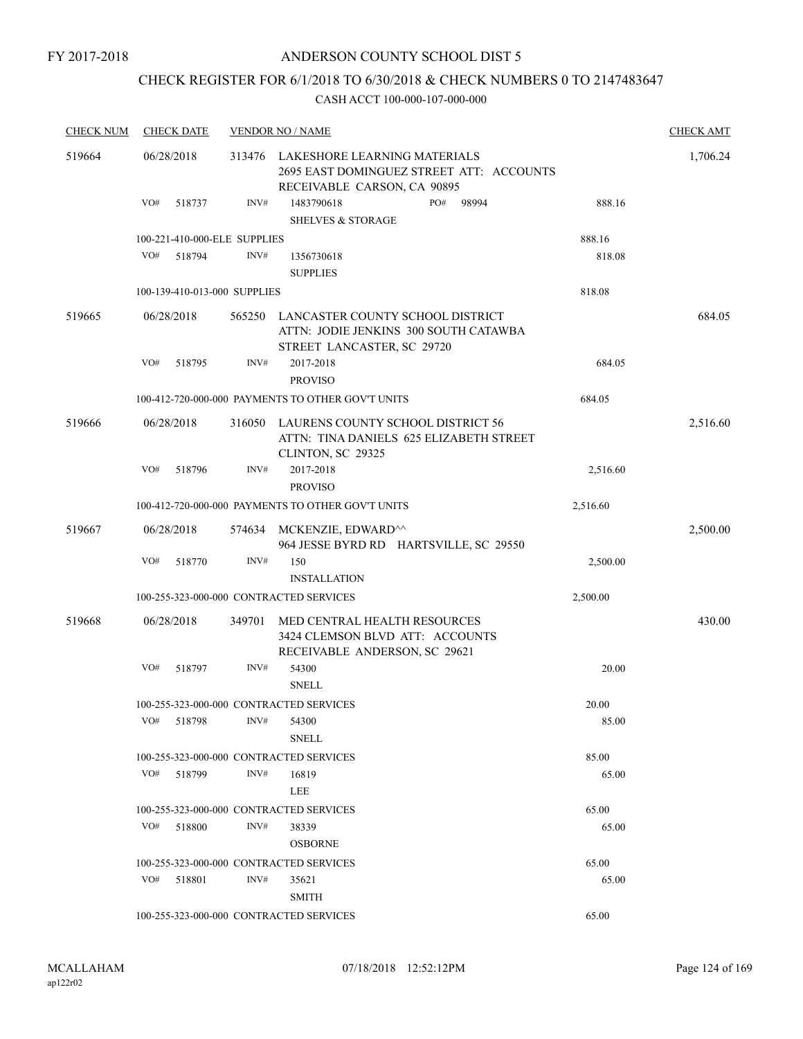FY 2017-2018

#### ANDERSON COUNTY SCHOOL DIST 5

# CHECK REGISTER FOR 6/1/2018 TO 6/30/2018 & CHECK NUMBERS 0 TO 2147483647

| <b>CHECK NUM</b> | <b>CHECK DATE</b>                       |        | <b>VENDOR NO / NAME</b>                                                                                 |          | <b>CHECK AMT</b> |
|------------------|-----------------------------------------|--------|---------------------------------------------------------------------------------------------------------|----------|------------------|
| 519664           | 06/28/2018                              | 313476 | LAKESHORE LEARNING MATERIALS<br>2695 EAST DOMINGUEZ STREET ATT: ACCOUNTS<br>RECEIVABLE CARSON, CA 90895 |          | 1,706.24         |
|                  | VO#<br>518737                           | INV#   | 1483790618<br>PO#<br>98994<br><b>SHELVES &amp; STORAGE</b>                                              | 888.16   |                  |
|                  | 100-221-410-000-ELE SUPPLIES            |        |                                                                                                         | 888.16   |                  |
|                  | VO#<br>518794                           | INV#   | 1356730618                                                                                              | 818.08   |                  |
|                  |                                         |        | <b>SUPPLIES</b>                                                                                         |          |                  |
|                  | 100-139-410-013-000 SUPPLIES            |        |                                                                                                         | 818.08   |                  |
| 519665           | 06/28/2018                              | 565250 | LANCASTER COUNTY SCHOOL DISTRICT<br>ATTN: JODIE JENKINS 300 SOUTH CATAWBA<br>STREET LANCASTER, SC 29720 |          | 684.05           |
|                  | VO#<br>518795                           | INV#   | 2017-2018<br><b>PROVISO</b>                                                                             | 684.05   |                  |
|                  |                                         |        | 100-412-720-000-000 PAYMENTS TO OTHER GOV'T UNITS                                                       | 684.05   |                  |
| 519666           | 06/28/2018                              | 316050 | LAURENS COUNTY SCHOOL DISTRICT 56<br>ATTN: TINA DANIELS 625 ELIZABETH STREET<br>CLINTON, SC 29325       |          | 2,516.60         |
|                  | VO#<br>518796                           | INV#   | 2017-2018<br><b>PROVISO</b>                                                                             | 2,516.60 |                  |
|                  |                                         |        | 100-412-720-000-000 PAYMENTS TO OTHER GOV'T UNITS                                                       | 2,516.60 |                  |
| 519667           | 06/28/2018                              | 574634 | MCKENZIE, EDWARD^^<br>964 JESSE BYRD RD HARTSVILLE, SC 29550                                            |          | 2,500.00         |
|                  | VO#<br>518770                           | INV#   | 150<br><b>INSTALLATION</b>                                                                              | 2,500.00 |                  |
|                  | 100-255-323-000-000 CONTRACTED SERVICES |        |                                                                                                         | 2,500.00 |                  |
| 519668           | 06/28/2018                              | 349701 | MED CENTRAL HEALTH RESOURCES<br>3424 CLEMSON BLVD ATT: ACCOUNTS<br>RECEIVABLE ANDERSON, SC 29621        |          | 430.00           |
|                  | VO#<br>518797                           | INV#   | 54300<br><b>SNELL</b>                                                                                   | 20.00    |                  |
|                  | 100-255-323-000-000 CONTRACTED SERVICES |        |                                                                                                         | 20.00    |                  |
|                  | VO#<br>518798                           | INV#   | 54300<br><b>SNELL</b>                                                                                   | 85.00    |                  |
|                  | 100-255-323-000-000 CONTRACTED SERVICES |        |                                                                                                         | 85.00    |                  |
|                  | VO#<br>518799                           | INV#   | 16819<br>LEE                                                                                            | 65.00    |                  |
|                  | 100-255-323-000-000 CONTRACTED SERVICES |        |                                                                                                         | 65.00    |                  |
|                  | VO#<br>518800                           | INV#   | 38339<br><b>OSBORNE</b>                                                                                 | 65.00    |                  |
|                  | 100-255-323-000-000 CONTRACTED SERVICES |        |                                                                                                         | 65.00    |                  |
|                  | VO#<br>518801                           | INV#   | 35621<br><b>SMITH</b>                                                                                   | 65.00    |                  |
|                  | 100-255-323-000-000 CONTRACTED SERVICES |        |                                                                                                         | 65.00    |                  |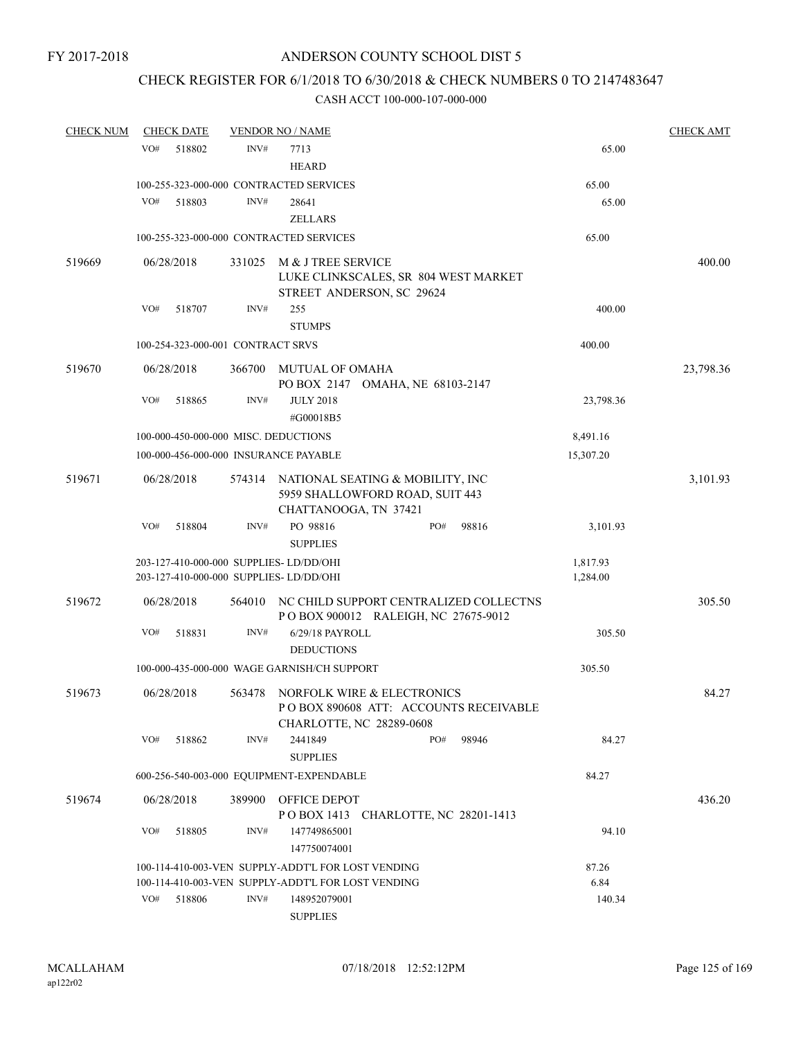# CHECK REGISTER FOR 6/1/2018 TO 6/30/2018 & CHECK NUMBERS 0 TO 2147483647

| <b>CHECK NUM</b> | <b>CHECK DATE</b>                    |        | <b>VENDOR NO / NAME</b>                                                           |                                                                               |       |                      | <b>CHECK AMT</b> |
|------------------|--------------------------------------|--------|-----------------------------------------------------------------------------------|-------------------------------------------------------------------------------|-------|----------------------|------------------|
|                  | VO#<br>518802                        | INV#   | 7713<br><b>HEARD</b>                                                              |                                                                               |       | 65.00                |                  |
|                  |                                      |        | 100-255-323-000-000 CONTRACTED SERVICES                                           |                                                                               |       | 65.00                |                  |
|                  | VO#<br>518803                        | INV#   | 28641<br><b>ZELLARS</b>                                                           |                                                                               |       | 65.00                |                  |
|                  |                                      |        | 100-255-323-000-000 CONTRACTED SERVICES                                           |                                                                               |       | 65.00                |                  |
| 519669           | 06/28/2018                           | 331025 | M & J TREE SERVICE                                                                | LUKE CLINKSCALES, SR 804 WEST MARKET<br>STREET ANDERSON, SC 29624             |       |                      | 400.00           |
|                  | VO#<br>518707                        | INV#   | 255<br><b>STUMPS</b>                                                              |                                                                               |       | 400.00               |                  |
|                  | 100-254-323-000-001 CONTRACT SRVS    |        |                                                                                   |                                                                               |       | 400.00               |                  |
| 519670           | 06/28/2018                           | 366700 | MUTUAL OF OMAHA                                                                   | PO BOX 2147 OMAHA, NE 68103-2147                                              |       |                      | 23,798.36        |
|                  | VO#<br>518865                        | INV#   | <b>JULY 2018</b><br>#G00018B5                                                     |                                                                               |       | 23,798.36            |                  |
|                  | 100-000-450-000-000 MISC. DEDUCTIONS |        |                                                                                   |                                                                               |       | 8,491.16             |                  |
|                  |                                      |        | 100-000-456-000-000 INSURANCE PAYABLE                                             |                                                                               |       | 15,307.20            |                  |
| 519671           | 06/28/2018                           |        | CHATTANOOGA, TN 37421                                                             | 574314 NATIONAL SEATING & MOBILITY, INC<br>5959 SHALLOWFORD ROAD, SUIT 443    |       |                      | 3,101.93         |
|                  | VO#<br>518804                        | INV#   | PO 98816<br><b>SUPPLIES</b>                                                       | PO#                                                                           | 98816 | 3,101.93             |                  |
|                  |                                      |        | 203-127-410-000-000 SUPPLIES-LD/DD/OHI<br>203-127-410-000-000 SUPPLIES- LD/DD/OHI |                                                                               |       | 1,817.93<br>1,284.00 |                  |
| 519672           | 06/28/2018                           | 564010 |                                                                                   | NC CHILD SUPPORT CENTRALIZED COLLECTNS<br>POBOX 900012 RALEIGH, NC 27675-9012 |       |                      | 305.50           |
|                  | VO#<br>518831                        | INV#   | 6/29/18 PAYROLL<br><b>DEDUCTIONS</b>                                              |                                                                               |       | 305.50               |                  |
|                  |                                      |        | 100-000-435-000-000 WAGE GARNISH/CH SUPPORT                                       |                                                                               |       | 305.50               |                  |
| 519673           | 06/28/2018                           | 563478 | CHARLOTTE, NC 28289-0608                                                          | NORFOLK WIRE & ELECTRONICS<br>POBOX 890608 ATT: ACCOUNTS RECEIVABLE           |       |                      | 84.27            |
|                  | VO#<br>518862                        | INV#   | 2441849<br><b>SUPPLIES</b>                                                        | PO#                                                                           | 98946 | 84.27                |                  |
|                  |                                      |        | 600-256-540-003-000 EQUIPMENT-EXPENDABLE                                          |                                                                               |       | 84.27                |                  |
| 519674           | 06/28/2018                           | 389900 | OFFICE DEPOT                                                                      | POBOX 1413 CHARLOTTE, NC 28201-1413                                           |       |                      | 436.20           |
|                  | VO#<br>518805                        | INV#   | 147749865001<br>147750074001                                                      |                                                                               |       | 94.10                |                  |
|                  |                                      |        | 100-114-410-003-VEN SUPPLY-ADDT'L FOR LOST VENDING                                |                                                                               |       | 87.26                |                  |
|                  |                                      |        | 100-114-410-003-VEN SUPPLY-ADDT'L FOR LOST VENDING                                |                                                                               |       | 6.84                 |                  |
|                  | VO#<br>518806                        | INV#   | 148952079001<br><b>SUPPLIES</b>                                                   |                                                                               |       | 140.34               |                  |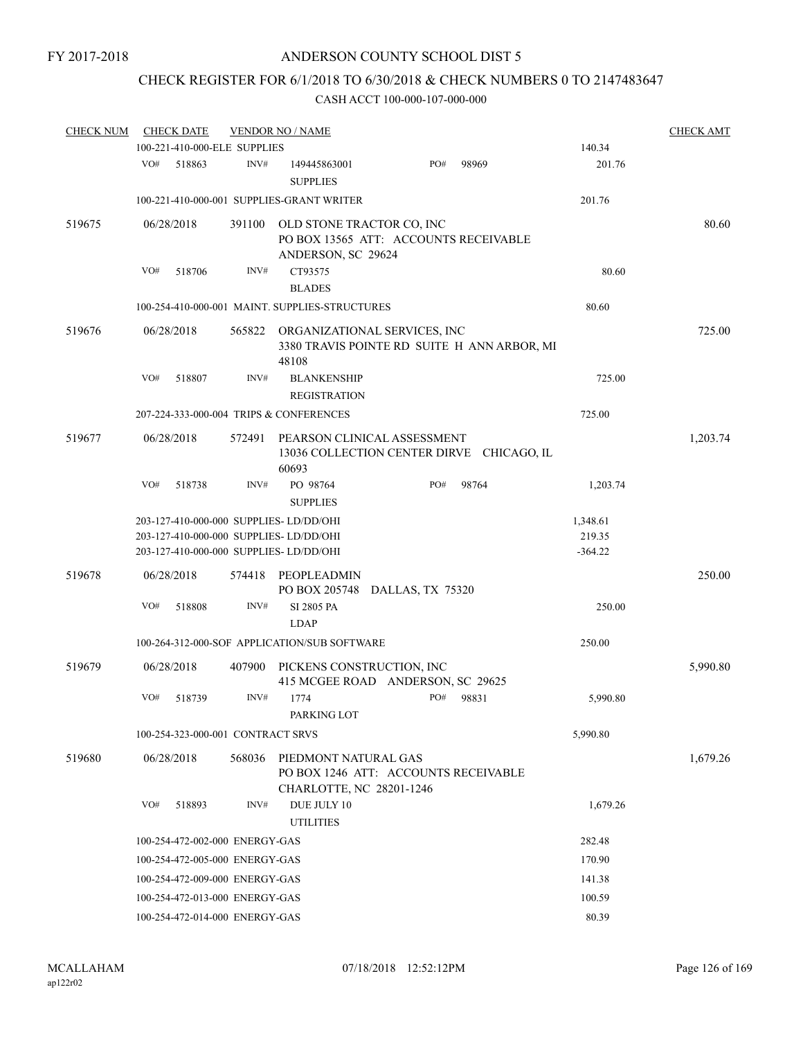# CHECK REGISTER FOR 6/1/2018 TO 6/30/2018 & CHECK NUMBERS 0 TO 2147483647

| <b>CHECK NUM</b> |     | <b>CHECK DATE</b>                 |        | <b>VENDOR NO / NAME</b>                                                                                                       |     |       |                                 | <b>CHECK AMT</b> |
|------------------|-----|-----------------------------------|--------|-------------------------------------------------------------------------------------------------------------------------------|-----|-------|---------------------------------|------------------|
|                  |     | 100-221-410-000-ELE SUPPLIES      |        |                                                                                                                               |     |       | 140.34                          |                  |
|                  | VO# | 518863                            | INV#   | 149445863001<br><b>SUPPLIES</b>                                                                                               | PO# | 98969 | 201.76                          |                  |
|                  |     |                                   |        | 100-221-410-000-001 SUPPLIES-GRANT WRITER                                                                                     |     |       | 201.76                          |                  |
| 519675           |     | 06/28/2018                        | 391100 | OLD STONE TRACTOR CO, INC<br>PO BOX 13565 ATT: ACCOUNTS RECEIVABLE<br>ANDERSON, SC 29624                                      |     |       |                                 | 80.60            |
|                  | VO# | 518706                            | INV#   | CT93575<br><b>BLADES</b>                                                                                                      |     |       | 80.60                           |                  |
|                  |     |                                   |        | 100-254-410-000-001 MAINT. SUPPLIES-STRUCTURES                                                                                |     |       | 80.60                           |                  |
| 519676           |     | 06/28/2018                        |        | 565822 ORGANIZATIONAL SERVICES, INC<br>3380 TRAVIS POINTE RD SUITE H ANN ARBOR, MI<br>48108                                   |     |       |                                 | 725.00           |
|                  | VO# | 518807                            | INV#   | <b>BLANKENSHIP</b><br><b>REGISTRATION</b>                                                                                     |     |       | 725.00                          |                  |
|                  |     |                                   |        | 207-224-333-000-004 TRIPS & CONFERENCES                                                                                       |     |       | 725.00                          |                  |
| 519677           |     | 06/28/2018                        | 572491 | PEARSON CLINICAL ASSESSMENT<br>13036 COLLECTION CENTER DIRVE CHICAGO, IL<br>60693                                             |     |       |                                 | 1,203.74         |
|                  | VO# | 518738                            | INV#   | PO 98764<br><b>SUPPLIES</b>                                                                                                   | PO# | 98764 | 1,203.74                        |                  |
|                  |     |                                   |        | 203-127-410-000-000 SUPPLIES- LD/DD/OHI<br>203-127-410-000-000 SUPPLIES- LD/DD/OHI<br>203-127-410-000-000 SUPPLIES- LD/DD/OHI |     |       | 1,348.61<br>219.35<br>$-364.22$ |                  |
| 519678           |     | 06/28/2018                        | 574418 | PEOPLEADMIN<br>PO BOX 205748 DALLAS, TX 75320                                                                                 |     |       |                                 | 250.00           |
|                  | VO# | 518808                            | INV#   | SI 2805 PA<br><b>LDAP</b>                                                                                                     |     |       | 250.00                          |                  |
|                  |     |                                   |        | 100-264-312-000-SOF APPLICATION/SUB SOFTWARE                                                                                  |     |       | 250.00                          |                  |
| 519679           |     | 06/28/2018                        | 407900 | PICKENS CONSTRUCTION, INC<br>415 MCGEE ROAD ANDERSON, SC 29625                                                                |     |       |                                 | 5,990.80         |
|                  | VO# | 518739                            | INV#   | 1774<br>PARKING LOT                                                                                                           | PO# | 98831 | 5,990.80                        |                  |
|                  |     | 100-254-323-000-001 CONTRACT SRVS |        |                                                                                                                               |     |       | 5,990.80                        |                  |
| 519680           |     | 06/28/2018                        | 568036 | PIEDMONT NATURAL GAS<br>PO BOX 1246 ATT: ACCOUNTS RECEIVABLE<br>CHARLOTTE, NC 28201-1246                                      |     |       |                                 | 1,679.26         |
|                  | VO# | 518893                            | INV#   | DUE JULY 10<br><b>UTILITIES</b>                                                                                               |     |       | 1,679.26                        |                  |
|                  |     | 100-254-472-002-000 ENERGY-GAS    |        |                                                                                                                               |     |       | 282.48                          |                  |
|                  |     | 100-254-472-005-000 ENERGY-GAS    |        |                                                                                                                               |     |       | 170.90                          |                  |
|                  |     | 100-254-472-009-000 ENERGY-GAS    |        |                                                                                                                               |     |       | 141.38                          |                  |
|                  |     | 100-254-472-013-000 ENERGY-GAS    |        |                                                                                                                               |     |       | 100.59                          |                  |
|                  |     | 100-254-472-014-000 ENERGY-GAS    |        |                                                                                                                               |     |       | 80.39                           |                  |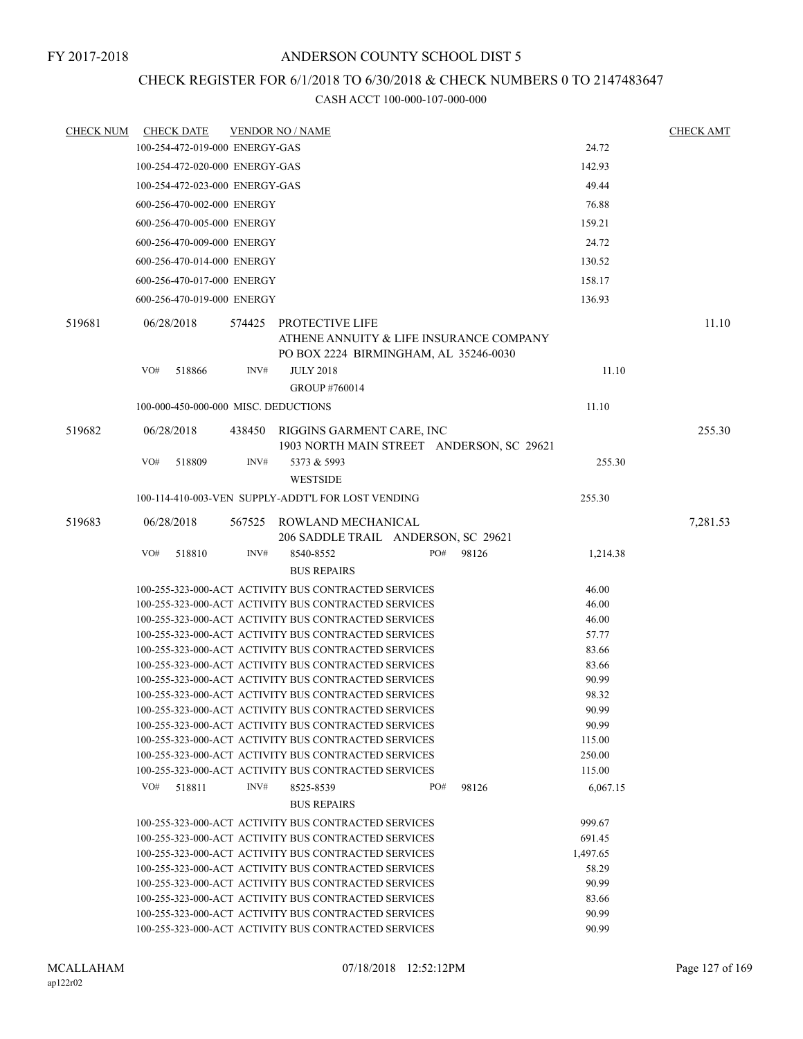# CHECK REGISTER FOR 6/1/2018 TO 6/30/2018 & CHECK NUMBERS 0 TO 2147483647

| CHECK NUM | <b>CHECK DATE</b>                    |      | <b>VENDOR NO / NAME</b>                                                                                      |     |       |                  | <b>CHECK AMT</b> |
|-----------|--------------------------------------|------|--------------------------------------------------------------------------------------------------------------|-----|-------|------------------|------------------|
|           | 100-254-472-019-000 ENERGY-GAS       |      |                                                                                                              |     |       | 24.72            |                  |
|           | 100-254-472-020-000 ENERGY-GAS       |      |                                                                                                              |     |       | 142.93           |                  |
|           | 100-254-472-023-000 ENERGY-GAS       |      |                                                                                                              |     |       | 49.44            |                  |
|           | 600-256-470-002-000 ENERGY           |      |                                                                                                              |     |       | 76.88            |                  |
|           | 600-256-470-005-000 ENERGY           |      |                                                                                                              |     |       | 159.21           |                  |
|           | 600-256-470-009-000 ENERGY           |      |                                                                                                              |     |       | 24.72            |                  |
|           | 600-256-470-014-000 ENERGY           |      |                                                                                                              |     |       | 130.52           |                  |
|           |                                      |      |                                                                                                              |     |       |                  |                  |
|           | 600-256-470-017-000 ENERGY           |      |                                                                                                              |     |       | 158.17           |                  |
|           | 600-256-470-019-000 ENERGY           |      |                                                                                                              |     |       | 136.93           |                  |
| 519681    | 06/28/2018                           |      | 574425 PROTECTIVE LIFE<br>ATHENE ANNUITY & LIFE INSURANCE COMPANY<br>PO BOX 2224 BIRMINGHAM, AL 35246-0030   |     |       |                  | 11.10            |
|           | VO#<br>518866                        | INV# | <b>JULY 2018</b><br>GROUP #760014                                                                            |     |       | 11.10            |                  |
|           | 100-000-450-000-000 MISC. DEDUCTIONS |      |                                                                                                              |     |       | 11.10            |                  |
| 519682    | 06/28/2018                           |      | 438450 RIGGINS GARMENT CARE, INC<br>1903 NORTH MAIN STREET ANDERSON, SC 29621                                |     |       |                  | 255.30           |
|           | VO#<br>518809                        | INV# | 5373 & 5993<br><b>WESTSIDE</b>                                                                               |     |       | 255.30           |                  |
|           |                                      |      | 100-114-410-003-VEN SUPPLY-ADDT'L FOR LOST VENDING                                                           |     |       | 255.30           |                  |
| 519683    | 06/28/2018                           |      | 567525 ROWLAND MECHANICAL<br>206 SADDLE TRAIL ANDERSON, SC 29621                                             |     |       |                  | 7,281.53         |
|           | VO#<br>518810                        | INV# | 8540-8552<br><b>BUS REPAIRS</b>                                                                              | PO# | 98126 | 1,214.38         |                  |
|           |                                      |      | 100-255-323-000-ACT ACTIVITY BUS CONTRACTED SERVICES                                                         |     |       | 46.00            |                  |
|           |                                      |      | 100-255-323-000-ACT ACTIVITY BUS CONTRACTED SERVICES                                                         |     |       | 46.00            |                  |
|           |                                      |      | 100-255-323-000-ACT ACTIVITY BUS CONTRACTED SERVICES                                                         |     |       | 46.00            |                  |
|           |                                      |      | 100-255-323-000-ACT ACTIVITY BUS CONTRACTED SERVICES                                                         |     |       | 57.77            |                  |
|           |                                      |      | 100-255-323-000-ACT ACTIVITY BUS CONTRACTED SERVICES                                                         |     |       | 83.66            |                  |
|           |                                      |      | 100-255-323-000-ACT ACTIVITY BUS CONTRACTED SERVICES                                                         |     |       | 83.66            |                  |
|           |                                      |      | 100-255-323-000-ACT ACTIVITY BUS CONTRACTED SERVICES                                                         |     |       | 90.99            |                  |
|           |                                      |      | 100-255-323-000-ACT ACTIVITY BUS CONTRACTED SERVICES                                                         |     |       | 98.32            |                  |
|           |                                      |      | 100-255-323-000-ACT ACTIVITY BUS CONTRACTED SERVICES                                                         |     |       | 90.99            |                  |
|           |                                      |      | 100-255-323-000-ACT ACTIVITY BUS CONTRACTED SERVICES                                                         |     |       | 90.99            |                  |
|           |                                      |      | 100-255-323-000-ACT ACTIVITY BUS CONTRACTED SERVICES<br>100-255-323-000-ACT ACTIVITY BUS CONTRACTED SERVICES |     |       | 115.00           |                  |
|           |                                      |      | 100-255-323-000-ACT ACTIVITY BUS CONTRACTED SERVICES                                                         |     |       | 250.00<br>115.00 |                  |
|           | VO#<br>518811                        | INV# | 8525-8539                                                                                                    | PO# | 98126 | 6,067.15         |                  |
|           |                                      |      | <b>BUS REPAIRS</b>                                                                                           |     |       |                  |                  |
|           |                                      |      | 100-255-323-000-ACT ACTIVITY BUS CONTRACTED SERVICES                                                         |     |       | 999.67           |                  |
|           |                                      |      | 100-255-323-000-ACT ACTIVITY BUS CONTRACTED SERVICES                                                         |     |       | 691.45           |                  |
|           |                                      |      | 100-255-323-000-ACT ACTIVITY BUS CONTRACTED SERVICES                                                         |     |       | 1,497.65         |                  |
|           |                                      |      | 100-255-323-000-ACT ACTIVITY BUS CONTRACTED SERVICES                                                         |     |       | 58.29            |                  |
|           |                                      |      | 100-255-323-000-ACT ACTIVITY BUS CONTRACTED SERVICES                                                         |     |       | 90.99            |                  |
|           |                                      |      | 100-255-323-000-ACT ACTIVITY BUS CONTRACTED SERVICES                                                         |     |       | 83.66            |                  |
|           |                                      |      | 100-255-323-000-ACT ACTIVITY BUS CONTRACTED SERVICES                                                         |     |       | 90.99            |                  |
|           |                                      |      | 100-255-323-000-ACT ACTIVITY BUS CONTRACTED SERVICES                                                         |     |       | 90.99            |                  |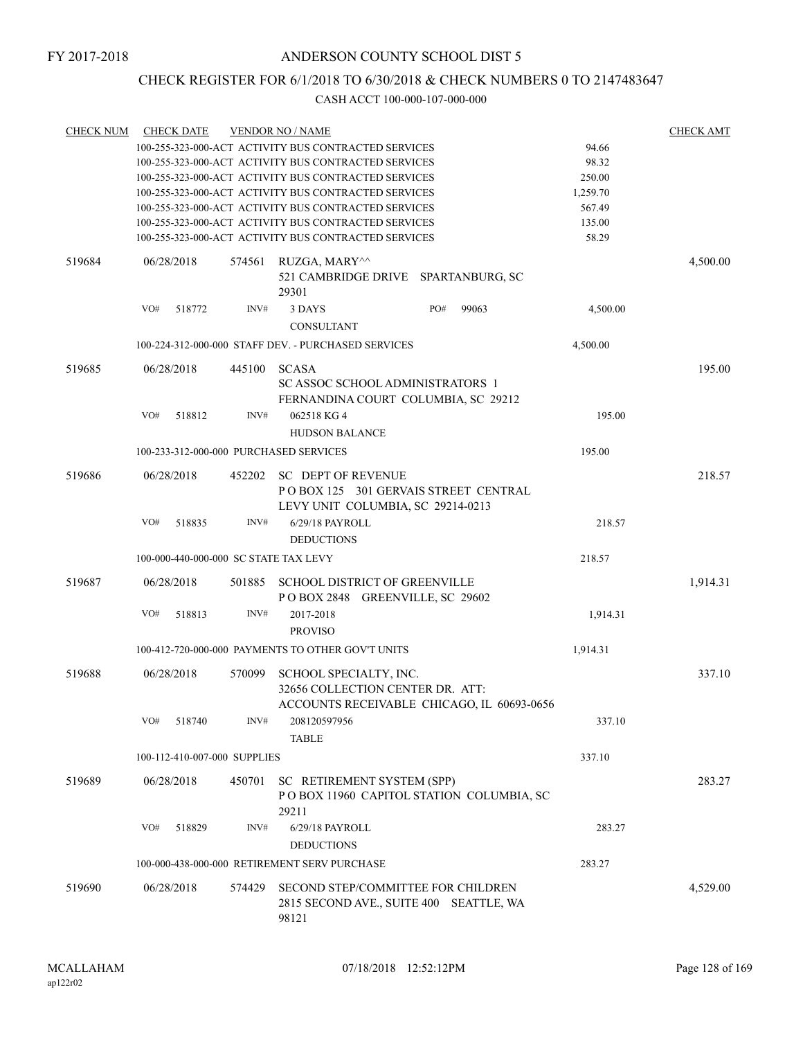# CHECK REGISTER FOR 6/1/2018 TO 6/30/2018 & CHECK NUMBERS 0 TO 2147483647

| <b>CHECK NUM</b> | <b>CHECK DATE</b>                      |        | <b>VENDOR NO / NAME</b>                                                                                  |          | <b>CHECK AMT</b> |
|------------------|----------------------------------------|--------|----------------------------------------------------------------------------------------------------------|----------|------------------|
|                  |                                        |        | 100-255-323-000-ACT ACTIVITY BUS CONTRACTED SERVICES                                                     | 94.66    |                  |
|                  |                                        |        | 100-255-323-000-ACT ACTIVITY BUS CONTRACTED SERVICES                                                     | 98.32    |                  |
|                  |                                        |        | 100-255-323-000-ACT ACTIVITY BUS CONTRACTED SERVICES                                                     | 250.00   |                  |
|                  |                                        |        | 100-255-323-000-ACT ACTIVITY BUS CONTRACTED SERVICES                                                     | 1,259.70 |                  |
|                  |                                        |        | 100-255-323-000-ACT ACTIVITY BUS CONTRACTED SERVICES                                                     | 567.49   |                  |
|                  |                                        |        | 100-255-323-000-ACT ACTIVITY BUS CONTRACTED SERVICES                                                     | 135.00   |                  |
|                  |                                        |        | 100-255-323-000-ACT ACTIVITY BUS CONTRACTED SERVICES                                                     | 58.29    |                  |
| 519684           | 06/28/2018                             | 574561 | RUZGA, MARY^^<br>521 CAMBRIDGE DRIVE SPARTANBURG, SC<br>29301                                            |          | 4,500.00         |
|                  | VO#<br>518772                          | INV#   | PO#<br>3 DAYS<br>99063                                                                                   | 4,500.00 |                  |
|                  |                                        |        | <b>CONSULTANT</b>                                                                                        |          |                  |
|                  |                                        |        | 100-224-312-000-000 STAFF DEV. - PURCHASED SERVICES                                                      | 4,500.00 |                  |
| 519685           | 06/28/2018                             | 445100 | <b>SCASA</b><br>SC ASSOC SCHOOL ADMINISTRATORS 1<br>FERNANDINA COURT COLUMBIA, SC 29212                  |          | 195.00           |
|                  | VO#<br>518812                          | INV#   | 062518 KG 4<br><b>HUDSON BALANCE</b>                                                                     | 195.00   |                  |
|                  | 100-233-312-000-000 PURCHASED SERVICES |        |                                                                                                          | 195.00   |                  |
| 519686           | 06/28/2018                             | 452202 | <b>SC DEPT OF REVENUE</b><br>POBOX 125 301 GERVAIS STREET CENTRAL<br>LEVY UNIT COLUMBIA, SC 29214-0213   |          | 218.57           |
|                  | VO#<br>518835                          | INV#   | 6/29/18 PAYROLL<br><b>DEDUCTIONS</b>                                                                     | 218.57   |                  |
|                  | 100-000-440-000-000 SC STATE TAX LEVY  |        |                                                                                                          | 218.57   |                  |
| 519687           | 06/28/2018                             | 501885 | SCHOOL DISTRICT OF GREENVILLE<br>POBOX 2848 GREENVILLE, SC 29602                                         |          | 1,914.31         |
|                  | VO#<br>518813                          | INV#   | 2017-2018<br><b>PROVISO</b>                                                                              | 1,914.31 |                  |
|                  |                                        |        | 100-412-720-000-000 PAYMENTS TO OTHER GOV'T UNITS                                                        | 1,914.31 |                  |
| 519688           | 06/28/2018                             | 570099 | SCHOOL SPECIALTY, INC.<br>32656 COLLECTION CENTER DR. ATT:<br>ACCOUNTS RECEIVABLE CHICAGO, IL 60693-0656 |          | 337.10           |
|                  | VO#<br>518740                          | INV#   | 208120597956<br><b>TABLE</b>                                                                             | 337.10   |                  |
|                  | 100-112-410-007-000 SUPPLIES           |        |                                                                                                          | 337.10   |                  |
| 519689           | 06/28/2018                             | 450701 | SC RETIREMENT SYSTEM (SPP)<br>POBOX 11960 CAPITOL STATION COLUMBIA, SC<br>29211                          |          | 283.27           |
|                  | VO#<br>518829                          | INV#   | 6/29/18 PAYROLL<br><b>DEDUCTIONS</b>                                                                     | 283.27   |                  |
|                  |                                        |        | 100-000-438-000-000 RETIREMENT SERV PURCHASE                                                             | 283.27   |                  |
| 519690           | 06/28/2018                             | 574429 | SECOND STEP/COMMITTEE FOR CHILDREN<br>2815 SECOND AVE., SUITE 400 SEATTLE, WA<br>98121                   |          | 4,529.00         |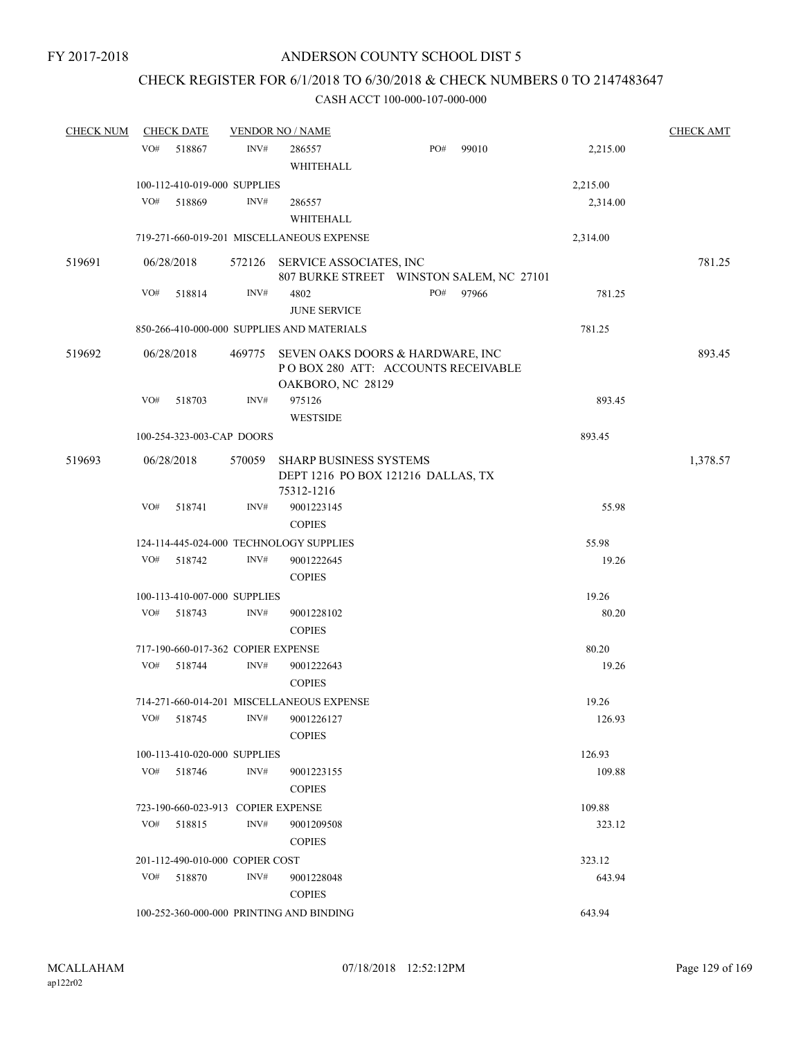# CHECK REGISTER FOR 6/1/2018 TO 6/30/2018 & CHECK NUMBERS 0 TO 2147483647

| <b>CHECK NUM</b> | <b>CHECK DATE</b> |                                    | <b>VENDOR NO / NAME</b>                     |                                                                         |       |          | <b>CHECK AMT</b> |
|------------------|-------------------|------------------------------------|---------------------------------------------|-------------------------------------------------------------------------|-------|----------|------------------|
|                  | VO#               | 518867<br>INV#                     | 286557<br>WHITEHALL                         | PO#                                                                     | 99010 | 2,215.00 |                  |
|                  |                   | 100-112-410-019-000 SUPPLIES       |                                             |                                                                         |       | 2,215.00 |                  |
|                  | VO#               | 518869<br>INV#                     | 286557                                      |                                                                         |       | 2,314.00 |                  |
|                  |                   |                                    | WHITEHALL                                   |                                                                         |       |          |                  |
|                  |                   |                                    | 719-271-660-019-201 MISCELLANEOUS EXPENSE   |                                                                         |       | 2,314.00 |                  |
| 519691           | 06/28/2018        |                                    | 572126 SERVICE ASSOCIATES, INC              | 807 BURKE STREET WINSTON SALEM, NC 27101                                |       |          | 781.25           |
|                  | VO#               | INV#<br>518814                     | 4802<br><b>JUNE SERVICE</b>                 | PO#                                                                     | 97966 | 781.25   |                  |
|                  |                   |                                    | 850-266-410-000-000 SUPPLIES AND MATERIALS  |                                                                         |       | 781.25   |                  |
| 519692           | 06/28/2018        | 469775                             | OAKBORO, NC 28129                           | SEVEN OAKS DOORS & HARDWARE, INC<br>PO BOX 280 ATT: ACCOUNTS RECEIVABLE |       |          | 893.45           |
|                  | VO#               | INV#<br>518703                     | 975126<br><b>WESTSIDE</b>                   |                                                                         |       | 893.45   |                  |
|                  |                   | 100-254-323-003-CAP DOORS          |                                             |                                                                         |       | 893.45   |                  |
| 519693           | 06/28/2018        | 570059                             | <b>SHARP BUSINESS SYSTEMS</b><br>75312-1216 | DEPT 1216 PO BOX 121216 DALLAS, TX                                      |       |          | 1,378.57         |
|                  | VO#               | 518741<br>INV#                     | 9001223145<br><b>COPIES</b>                 |                                                                         |       | 55.98    |                  |
|                  |                   |                                    | 124-114-445-024-000 TECHNOLOGY SUPPLIES     |                                                                         |       | 55.98    |                  |
|                  | VO#               | INV#<br>518742                     | 9001222645<br><b>COPIES</b>                 |                                                                         |       | 19.26    |                  |
|                  |                   | 100-113-410-007-000 SUPPLIES       |                                             |                                                                         |       | 19.26    |                  |
|                  | VO#               | 518743<br>INV#                     | 9001228102<br><b>COPIES</b>                 |                                                                         |       | 80.20    |                  |
|                  |                   | 717-190-660-017-362 COPIER EXPENSE |                                             |                                                                         |       | 80.20    |                  |
|                  | VO#               | 518744<br>INV#                     | 9001222643<br><b>COPIES</b>                 |                                                                         |       | 19.26    |                  |
|                  |                   |                                    | 714-271-660-014-201 MISCELLANEOUS EXPENSE   |                                                                         |       | 19.26    |                  |
|                  | VO#               | INV#<br>518745                     | 9001226127<br><b>COPIES</b>                 |                                                                         |       | 126.93   |                  |
|                  |                   | 100-113-410-020-000 SUPPLIES       |                                             |                                                                         |       | 126.93   |                  |
|                  | VO#               | INV#<br>518746                     | 9001223155<br><b>COPIES</b>                 |                                                                         |       | 109.88   |                  |
|                  |                   | 723-190-660-023-913 COPIER EXPENSE |                                             |                                                                         |       | 109.88   |                  |
|                  | VO#               | INV#<br>518815                     | 9001209508<br><b>COPIES</b>                 |                                                                         |       | 323.12   |                  |
|                  |                   | 201-112-490-010-000 COPIER COST    |                                             |                                                                         |       | 323.12   |                  |
|                  | VO#               | INV#<br>518870                     | 9001228048<br><b>COPIES</b>                 |                                                                         |       | 643.94   |                  |
|                  |                   |                                    | 100-252-360-000-000 PRINTING AND BINDING    |                                                                         |       | 643.94   |                  |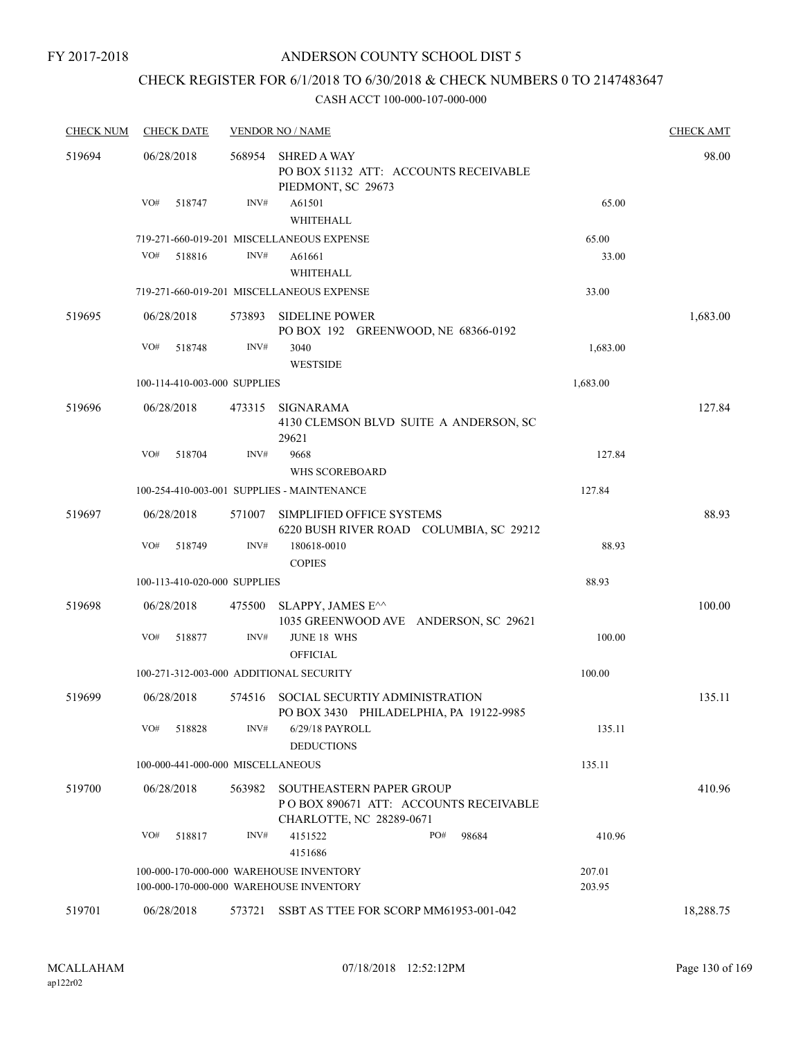FY 2017-2018

# ANDERSON COUNTY SCHOOL DIST 5

# CHECK REGISTER FOR 6/1/2018 TO 6/30/2018 & CHECK NUMBERS 0 TO 2147483647

| <b>CHECK NUM</b> | <b>CHECK DATE</b>                       |                | <b>VENDOR NO / NAME</b>                                                                              |                  | <b>CHECK AMT</b> |
|------------------|-----------------------------------------|----------------|------------------------------------------------------------------------------------------------------|------------------|------------------|
| 519694           | 06/28/2018                              | 568954         | <b>SHRED A WAY</b><br>PO BOX 51132 ATT: ACCOUNTS RECEIVABLE<br>PIEDMONT, SC 29673                    |                  | 98.00            |
|                  | VO#<br>518747                           | $\text{INV}\#$ | A61501<br>WHITEHALL                                                                                  | 65.00            |                  |
|                  |                                         |                | 719-271-660-019-201 MISCELLANEOUS EXPENSE                                                            | 65.00            |                  |
|                  | VO#<br>518816                           | INV#           | A61661<br>WHITEHALL                                                                                  | 33.00            |                  |
|                  |                                         |                | 719-271-660-019-201 MISCELLANEOUS EXPENSE                                                            | 33.00            |                  |
| 519695           | 06/28/2018                              | 573893         | <b>SIDELINE POWER</b><br>PO BOX 192 GREENWOOD, NE 68366-0192                                         |                  | 1,683.00         |
|                  | VO#<br>518748                           | INV#           | 3040<br><b>WESTSIDE</b>                                                                              | 1,683.00         |                  |
|                  | 100-114-410-003-000 SUPPLIES            |                |                                                                                                      | 1,683.00         |                  |
| 519696           | 06/28/2018                              | 473315         | SIGNARAMA<br>4130 CLEMSON BLVD SUITE A ANDERSON, SC<br>29621                                         |                  | 127.84           |
|                  | VO#<br>518704                           | INV#           | 9668<br><b>WHS SCOREBOARD</b>                                                                        | 127.84           |                  |
|                  |                                         |                | 100-254-410-003-001 SUPPLIES - MAINTENANCE                                                           | 127.84           |                  |
| 519697           | 06/28/2018                              | 571007         | SIMPLIFIED OFFICE SYSTEMS                                                                            |                  | 88.93            |
|                  | VO#<br>518749                           | INV#           | 6220 BUSH RIVER ROAD COLUMBIA, SC 29212<br>180618-0010                                               | 88.93            |                  |
|                  |                                         |                | <b>COPIES</b>                                                                                        |                  |                  |
|                  | 100-113-410-020-000 SUPPLIES            |                |                                                                                                      | 88.93            |                  |
| 519698           | 06/28/2018                              | 475500         | SLAPPY, JAMES E <sup><math>\wedge\wedge</math></sup><br>1035 GREENWOOD AVE ANDERSON, SC 29621        |                  | 100.00           |
|                  | VO#<br>518877                           | INV#           | <b>JUNE 18 WHS</b><br><b>OFFICIAL</b>                                                                | 100.00           |                  |
|                  | 100-271-312-003-000 ADDITIONAL SECURITY |                |                                                                                                      | 100.00           |                  |
| 519699           | 06/28/2018                              |                | 574516 SOCIAL SECURTIY ADMINISTRATION<br>PO BOX 3430 PHILADELPHIA, PA 19122-9985                     |                  | 135.11           |
|                  | VO#<br>518828                           | INV#           | 6/29/18 PAYROLL<br><b>DEDUCTIONS</b>                                                                 | 135.11           |                  |
|                  | 100-000-441-000-000 MISCELLANEOUS       |                |                                                                                                      | 135.11           |                  |
| 519700           | 06/28/2018                              | 563982         | <b>SOUTHEASTERN PAPER GROUP</b><br>POBOX 890671 ATT: ACCOUNTS RECEIVABLE<br>CHARLOTTE, NC 28289-0671 |                  | 410.96           |
|                  | VO#<br>518817                           | INV#           | 4151522<br>PO#<br>98684<br>4151686                                                                   | 410.96           |                  |
|                  |                                         |                | 100-000-170-000-000 WAREHOUSE INVENTORY<br>100-000-170-000-000 WAREHOUSE INVENTORY                   | 207.01<br>203.95 |                  |
| 519701           | 06/28/2018                              | 573721         | SSBT AS TTEE FOR SCORP MM61953-001-042                                                               |                  | 18,288.75        |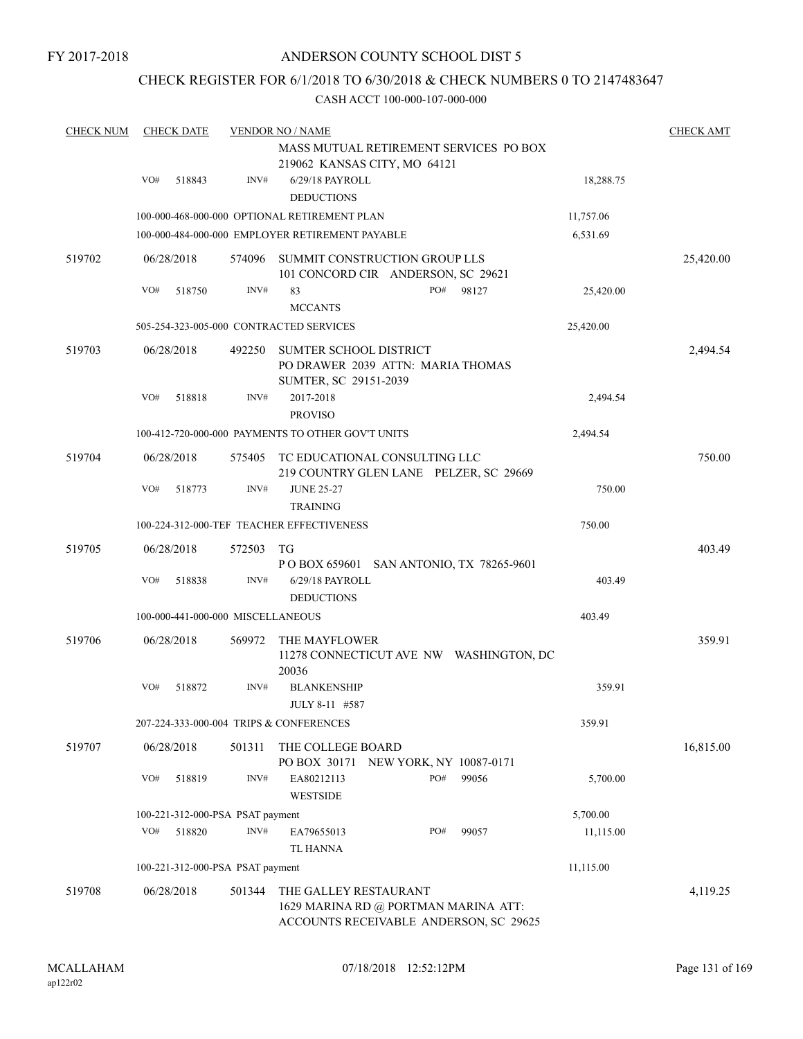FY 2017-2018

# ANDERSON COUNTY SCHOOL DIST 5

# CHECK REGISTER FOR 6/1/2018 TO 6/30/2018 & CHECK NUMBERS 0 TO 2147483647

| <b>CHECK NUM</b> | <b>CHECK DATE</b>                       |        | <b>VENDOR NO / NAME</b>                                                        |           | <b>CHECK AMT</b> |
|------------------|-----------------------------------------|--------|--------------------------------------------------------------------------------|-----------|------------------|
|                  |                                         |        | MASS MUTUAL RETIREMENT SERVICES PO BOX                                         |           |                  |
|                  |                                         |        | 219062 KANSAS CITY, MO 64121                                                   |           |                  |
|                  | VO#<br>518843                           | INV#   | 6/29/18 PAYROLL                                                                | 18,288.75 |                  |
|                  |                                         |        | <b>DEDUCTIONS</b>                                                              |           |                  |
|                  |                                         |        | 100-000-468-000-000 OPTIONAL RETIREMENT PLAN                                   | 11,757.06 |                  |
|                  |                                         |        | 100-000-484-000-000 EMPLOYER RETIREMENT PAYABLE                                | 6,531.69  |                  |
| 519702           | 06/28/2018                              | 574096 | SUMMIT CONSTRUCTION GROUP LLS                                                  |           | 25,420.00        |
|                  |                                         |        | 101 CONCORD CIR ANDERSON, SC 29621                                             |           |                  |
|                  | VO#<br>518750                           | INV#   | PO#<br>83<br>98127                                                             | 25,420.00 |                  |
|                  |                                         |        | <b>MCCANTS</b>                                                                 |           |                  |
|                  |                                         |        | 505-254-323-005-000 CONTRACTED SERVICES                                        | 25,420.00 |                  |
| 519703           | 06/28/2018                              | 492250 | <b>SUMTER SCHOOL DISTRICT</b>                                                  |           | 2,494.54         |
|                  |                                         |        | PO DRAWER 2039 ATTN: MARIA THOMAS                                              |           |                  |
|                  |                                         |        | SUMTER, SC 29151-2039                                                          |           |                  |
|                  | VO#<br>518818                           | INV#   | 2017-2018                                                                      | 2,494.54  |                  |
|                  |                                         |        | <b>PROVISO</b>                                                                 |           |                  |
|                  |                                         |        | 100-412-720-000-000 PAYMENTS TO OTHER GOV'T UNITS                              | 2,494.54  |                  |
| 519704           | 06/28/2018                              | 575405 | TC EDUCATIONAL CONSULTING LLC                                                  |           | 750.00           |
|                  |                                         |        | 219 COUNTRY GLEN LANE PELZER, SC 29669                                         |           |                  |
|                  | VO#<br>518773                           | INV#   | <b>JUNE 25-27</b>                                                              | 750.00    |                  |
|                  |                                         |        | <b>TRAINING</b>                                                                |           |                  |
|                  |                                         |        | 100-224-312-000-TEF TEACHER EFFECTIVENESS                                      | 750.00    |                  |
| 519705           | 06/28/2018                              | 572503 | TG                                                                             |           | 403.49           |
|                  |                                         |        | P O BOX 659601 SAN ANTONIO, TX 78265-9601                                      |           |                  |
|                  | VO#<br>518838                           | INV#   | 6/29/18 PAYROLL                                                                | 403.49    |                  |
|                  |                                         |        | <b>DEDUCTIONS</b>                                                              |           |                  |
|                  | 100-000-441-000-000 MISCELLANEOUS       |        |                                                                                | 403.49    |                  |
| 519706           | 06/28/2018                              | 569972 | THE MAYFLOWER                                                                  |           | 359.91           |
|                  |                                         |        | 11278 CONNECTICUT AVE NW WASHINGTON, DC                                        |           |                  |
|                  | VO#                                     | INV#   | 20036                                                                          |           |                  |
|                  | 518872                                  |        | <b>BLANKENSHIP</b><br>JULY 8-11 #587                                           | 359.91    |                  |
|                  | 207-224-333-000-004 TRIPS & CONFERENCES |        |                                                                                | 359.91    |                  |
|                  |                                         |        |                                                                                |           |                  |
| 519707           | 06/28/2018                              | 501311 | THE COLLEGE BOARD                                                              |           | 16,815.00        |
|                  | VO#                                     | INV#   | PO BOX 30171 NEW YORK, NY 10087-0171<br>PO#<br>99056                           |           |                  |
|                  | 518819                                  |        | EA80212113<br><b>WESTSIDE</b>                                                  | 5,700.00  |                  |
|                  | 100-221-312-000-PSA PSAT payment        |        |                                                                                | 5,700.00  |                  |
|                  | VO#<br>518820                           | INV#   | PO#<br>99057<br>EA79655013                                                     | 11,115.00 |                  |
|                  |                                         |        | <b>TL HANNA</b>                                                                |           |                  |
|                  | 100-221-312-000-PSA PSAT payment        |        |                                                                                | 11,115.00 |                  |
|                  |                                         |        |                                                                                |           |                  |
| 519708           | 06/28/2018                              | 501344 | THE GALLEY RESTAURANT                                                          |           | 4,119.25         |
|                  |                                         |        | 1629 MARINA RD @ PORTMAN MARINA ATT:<br>ACCOUNTS RECEIVABLE ANDERSON, SC 29625 |           |                  |
|                  |                                         |        |                                                                                |           |                  |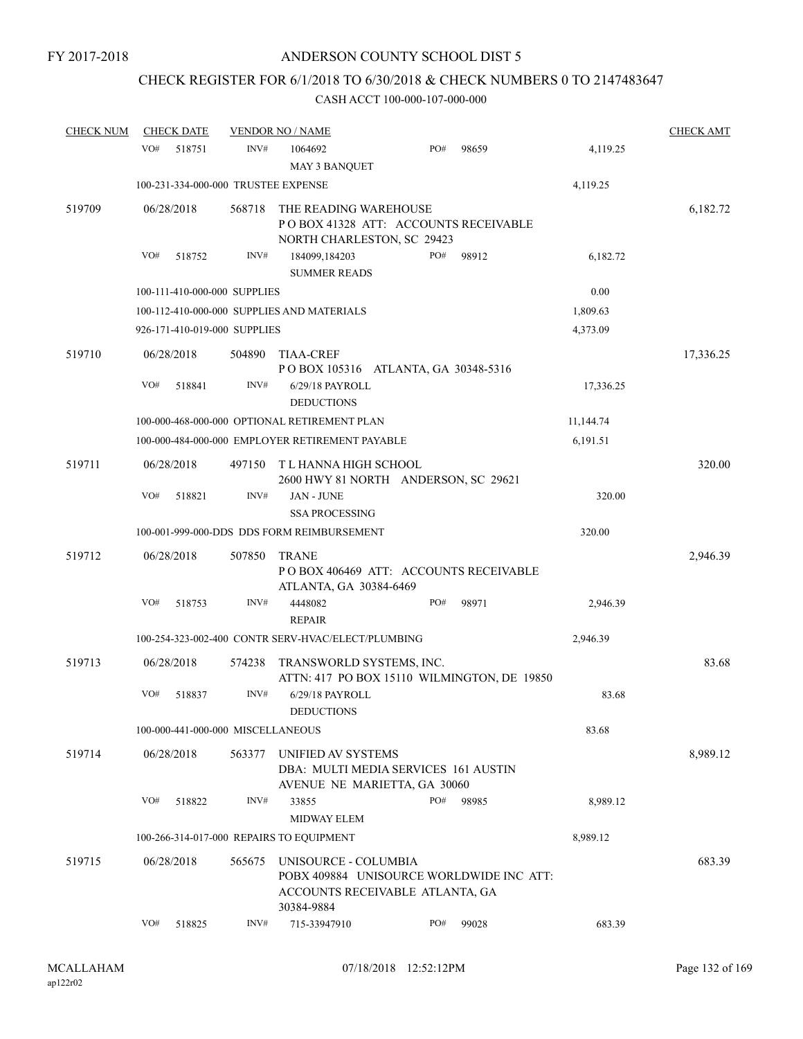# CHECK REGISTER FOR 6/1/2018 TO 6/30/2018 & CHECK NUMBERS 0 TO 2147483647

| <b>CHECK NUM</b> | <b>CHECK DATE</b>                        |        | <b>VENDOR NO / NAME</b>                                                                             |     |       |           | <b>CHECK AMT</b> |
|------------------|------------------------------------------|--------|-----------------------------------------------------------------------------------------------------|-----|-------|-----------|------------------|
|                  | VO#<br>518751                            | INV#   | 1064692<br><b>MAY 3 BANQUET</b>                                                                     | PO# | 98659 | 4,119.25  |                  |
|                  | 100-231-334-000-000 TRUSTEE EXPENSE      |        |                                                                                                     |     |       | 4,119.25  |                  |
| 519709           | 06/28/2018                               | 568718 | THE READING WAREHOUSE<br>PO BOX 41328 ATT: ACCOUNTS RECEIVABLE<br>NORTH CHARLESTON, SC 29423        |     |       |           | 6,182.72         |
|                  | VO#<br>518752                            | INV#   | 184099,184203<br><b>SUMMER READS</b>                                                                | PO# | 98912 | 6,182.72  |                  |
|                  | 100-111-410-000-000 SUPPLIES             |        |                                                                                                     |     |       | 0.00      |                  |
|                  |                                          |        | 100-112-410-000-000 SUPPLIES AND MATERIALS                                                          |     |       | 1,809.63  |                  |
|                  | 926-171-410-019-000 SUPPLIES             |        |                                                                                                     |     |       | 4,373.09  |                  |
| 519710           | 06/28/2018                               | 504890 | <b>TIAA-CREF</b><br>POBOX 105316 ATLANTA, GA 30348-5316                                             |     |       |           | 17,336.25        |
|                  | VO#<br>518841                            | INV#   | 6/29/18 PAYROLL<br><b>DEDUCTIONS</b>                                                                |     |       | 17,336.25 |                  |
|                  |                                          |        | 100-000-468-000-000 OPTIONAL RETIREMENT PLAN                                                        |     |       | 11,144.74 |                  |
|                  |                                          |        | 100-000-484-000-000 EMPLOYER RETIREMENT PAYABLE                                                     |     |       | 6,191.51  |                  |
| 519711           | 06/28/2018                               | 497150 | T L HANNA HIGH SCHOOL<br>2600 HWY 81 NORTH ANDERSON, SC 29621                                       |     |       |           | 320.00           |
|                  | VO#<br>518821                            | INV#   | JAN - JUNE<br><b>SSA PROCESSING</b>                                                                 |     |       | 320.00    |                  |
|                  |                                          |        | 100-001-999-000-DDS DDS FORM REIMBURSEMENT                                                          |     |       | 320.00    |                  |
| 519712           | 06/28/2018                               | 507850 | <b>TRANE</b><br>PO BOX 406469 ATT: ACCOUNTS RECEIVABLE                                              |     |       |           | 2,946.39         |
|                  | VO#<br>518753                            | INV#   | ATLANTA, GA 30384-6469<br>4448082<br><b>REPAIR</b>                                                  | PO# | 98971 | 2,946.39  |                  |
|                  |                                          |        | 100-254-323-002-400 CONTR SERV-HVAC/ELECT/PLUMBING                                                  |     |       | 2,946.39  |                  |
| 519713           | 06/28/2018                               | 574238 | TRANSWORLD SYSTEMS, INC.<br>ATTN: 417 PO BOX 15110 WILMINGTON, DE 19850                             |     |       |           | 83.68            |
|                  | VO#<br>518837                            | INV#   | 6/29/18 PAYROLL<br><b>DEDUCTIONS</b>                                                                |     |       | 83.68     |                  |
|                  | 100-000-441-000-000 MISCELLANEOUS        |        |                                                                                                     |     |       | 83.68     |                  |
| 519714           | 06/28/2018                               | 563377 | UNIFIED AV SYSTEMS<br>DBA: MULTI MEDIA SERVICES 161 AUSTIN<br>AVENUE NE MARIETTA, GA 30060          |     |       |           | 8,989.12         |
|                  | VO#<br>518822                            | INV#   | 33855<br><b>MIDWAY ELEM</b>                                                                         | PO# | 98985 | 8,989.12  |                  |
|                  | 100-266-314-017-000 REPAIRS TO EQUIPMENT |        |                                                                                                     |     |       | 8,989.12  |                  |
| 519715           | 06/28/2018                               | 565675 | UNISOURCE - COLUMBIA<br>POBX 409884 UNISOURCE WORLDWIDE INC ATT:<br>ACCOUNTS RECEIVABLE ATLANTA, GA |     |       |           | 683.39           |
|                  | VO#<br>518825                            | INV#   | 30384-9884<br>715-33947910                                                                          | PO# | 99028 | 683.39    |                  |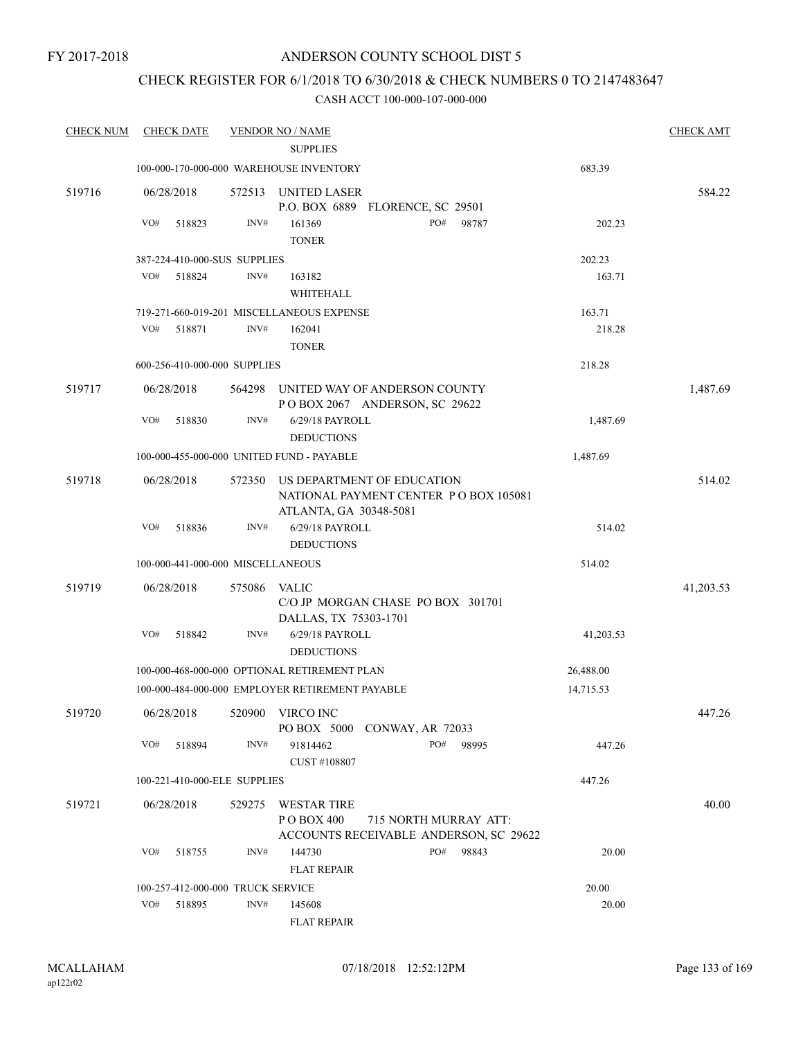# CHECK REGISTER FOR 6/1/2018 TO 6/30/2018 & CHECK NUMBERS 0 TO 2147483647

| <b>CHECK NUM</b> | <b>CHECK DATE</b> |                                   | <b>VENDOR NO / NAME</b>                         |                                                                 |       |           | <b>CHECK AMT</b> |
|------------------|-------------------|-----------------------------------|-------------------------------------------------|-----------------------------------------------------------------|-------|-----------|------------------|
|                  |                   |                                   | <b>SUPPLIES</b>                                 |                                                                 |       |           |                  |
|                  |                   |                                   | 100-000-170-000-000 WAREHOUSE INVENTORY         |                                                                 |       | 683.39    |                  |
| 519716           | 06/28/2018        | 572513                            | UNITED LASER                                    | P.O. BOX 6889 FLORENCE, SC 29501                                |       |           | 584.22           |
|                  | VO#<br>518823     | INV#                              | 161369                                          | PO#                                                             | 98787 | 202.23    |                  |
|                  |                   |                                   | <b>TONER</b>                                    |                                                                 |       |           |                  |
|                  |                   | 387-224-410-000-SUS SUPPLIES      |                                                 |                                                                 |       | 202.23    |                  |
|                  | VO#<br>518824     | INV#                              | 163182                                          |                                                                 |       | 163.71    |                  |
|                  |                   |                                   | WHITEHALL                                       |                                                                 |       |           |                  |
|                  |                   |                                   | 719-271-660-019-201 MISCELLANEOUS EXPENSE       |                                                                 |       | 163.71    |                  |
|                  | VO#<br>518871     | INV#                              | 162041                                          |                                                                 |       | 218.28    |                  |
|                  |                   |                                   | <b>TONER</b>                                    |                                                                 |       |           |                  |
|                  |                   | 600-256-410-000-000 SUPPLIES      |                                                 |                                                                 |       | 218.28    |                  |
| 519717           | 06/28/2018        | 564298                            |                                                 | UNITED WAY OF ANDERSON COUNTY<br>POBOX 2067 ANDERSON, SC 29622  |       |           | 1,487.69         |
|                  | VO#<br>518830     | INV#                              | 6/29/18 PAYROLL<br><b>DEDUCTIONS</b>            |                                                                 |       | 1,487.69  |                  |
|                  |                   |                                   | 100-000-455-000-000 UNITED FUND - PAYABLE       |                                                                 |       | 1,487.69  |                  |
| 519718           | 06/28/2018        | 572350                            |                                                 | US DEPARTMENT OF EDUCATION                                      |       |           | 514.02           |
|                  |                   |                                   | ATLANTA, GA 30348-5081                          | NATIONAL PAYMENT CENTER PO BOX 105081                           |       |           |                  |
|                  | VO#<br>518836     | INV#                              | 6/29/18 PAYROLL                                 |                                                                 |       | 514.02    |                  |
|                  |                   |                                   | <b>DEDUCTIONS</b>                               |                                                                 |       |           |                  |
|                  |                   | 100-000-441-000-000 MISCELLANEOUS |                                                 |                                                                 |       | 514.02    |                  |
| 519719           | 06/28/2018        | 575086                            | VALIC<br>DALLAS, TX 75303-1701                  | C/O JP MORGAN CHASE PO BOX 301701                               |       |           | 41,203.53        |
|                  | VO#<br>518842     | INV#                              | 6/29/18 PAYROLL<br><b>DEDUCTIONS</b>            |                                                                 |       | 41,203.53 |                  |
|                  |                   |                                   | 100-000-468-000-000 OPTIONAL RETIREMENT PLAN    |                                                                 |       | 26,488.00 |                  |
|                  |                   |                                   | 100-000-484-000-000 EMPLOYER RETIREMENT PAYABLE |                                                                 |       | 14,715.53 |                  |
| 519720           |                   | 06/28/2018 520900 VIRCO INC       |                                                 | PO BOX 5000 CONWAY, AR 72033                                    |       |           | 447.26           |
|                  | VO#<br>518894     | INV#                              | 91814462<br>CUST #108807                        | PO#                                                             | 98995 | 447.26    |                  |
|                  |                   | 100-221-410-000-ELE SUPPLIES      |                                                 |                                                                 |       | 447.26    |                  |
| 519721           | 06/28/2018        | 529275                            | WESTAR TIRE                                     |                                                                 |       |           | 40.00            |
|                  |                   |                                   | P O BOX 400                                     | 715 NORTH MURRAY ATT:<br>ACCOUNTS RECEIVABLE ANDERSON, SC 29622 |       |           |                  |
|                  | VO#<br>518755     | INV#                              | 144730                                          | PO# 98843                                                       |       | 20.00     |                  |
|                  |                   |                                   | <b>FLAT REPAIR</b>                              |                                                                 |       |           |                  |
|                  |                   | 100-257-412-000-000 TRUCK SERVICE |                                                 |                                                                 |       | 20.00     |                  |
|                  | VO#<br>518895     | INV#                              | 145608<br><b>FLAT REPAIR</b>                    |                                                                 |       | 20.00     |                  |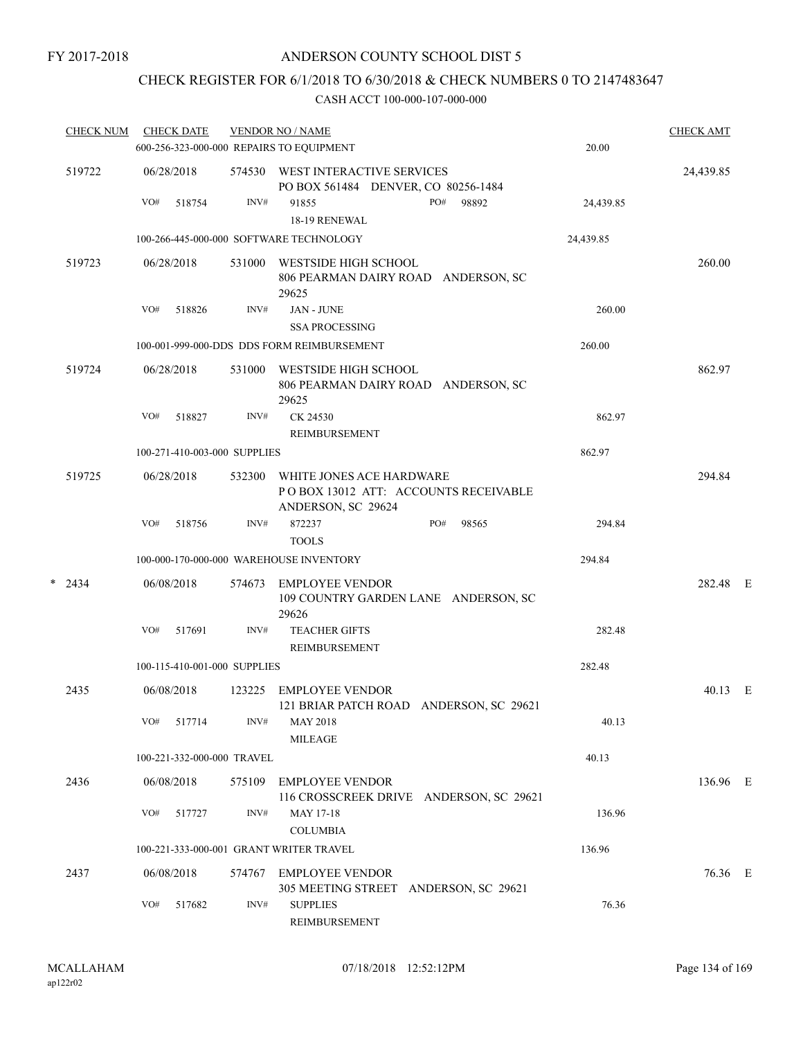FY 2017-2018

# ANDERSON COUNTY SCHOOL DIST 5

# CHECK REGISTER FOR 6/1/2018 TO 6/30/2018 & CHECK NUMBERS 0 TO 2147483647

|   | <b>CHECK NUM</b> |     | <b>CHECK DATE</b> |                              | <b>VENDOR NO / NAME</b><br>600-256-323-000-000 REPAIRS TO EQUIPMENT                    | 20.00     | <b>CHECK AMT</b> |   |
|---|------------------|-----|-------------------|------------------------------|----------------------------------------------------------------------------------------|-----------|------------------|---|
|   | 519722           |     | 06/28/2018        | 574530                       | WEST INTERACTIVE SERVICES<br>PO BOX 561484 DENVER, CO 80256-1484                       |           | 24,439.85        |   |
|   |                  | VO# | 518754            | INV#                         | 91855<br>PO#<br>98892<br>18-19 RENEWAL                                                 | 24,439.85 |                  |   |
|   |                  |     |                   |                              | 100-266-445-000-000 SOFTWARE TECHNOLOGY                                                | 24,439.85 |                  |   |
|   | 519723           |     | 06/28/2018        | 531000                       | WESTSIDE HIGH SCHOOL<br>806 PEARMAN DAIRY ROAD ANDERSON, SC<br>29625                   |           | 260.00           |   |
|   |                  | VO# | 518826            | INV#                         | JAN - JUNE<br><b>SSA PROCESSING</b>                                                    | 260.00    |                  |   |
|   |                  |     |                   |                              | 100-001-999-000-DDS DDS FORM REIMBURSEMENT                                             | 260.00    |                  |   |
|   | 519724           |     | 06/28/2018        | 531000                       | WESTSIDE HIGH SCHOOL<br>806 PEARMAN DAIRY ROAD ANDERSON, SC<br>29625                   |           | 862.97           |   |
|   |                  | VO# | 518827            | INV#                         | CK 24530<br>REIMBURSEMENT                                                              | 862.97    |                  |   |
|   |                  |     |                   | 100-271-410-003-000 SUPPLIES |                                                                                        | 862.97    |                  |   |
|   | 519725           |     | 06/28/2018        | 532300                       | WHITE JONES ACE HARDWARE<br>POBOX 13012 ATT: ACCOUNTS RECEIVABLE<br>ANDERSON, SC 29624 |           | 294.84           |   |
|   |                  | VO# | 518756            | INV#                         | PO#<br>872237<br>98565<br><b>TOOLS</b>                                                 | 294.84    |                  |   |
|   |                  |     |                   |                              | 100-000-170-000-000 WAREHOUSE INVENTORY                                                | 294.84    |                  |   |
| * | 2434             |     | 06/08/2018        | 574673                       | EMPLOYEE VENDOR<br>109 COUNTRY GARDEN LANE ANDERSON, SC<br>29626                       |           | 282.48 E         |   |
|   |                  | VO# | 517691            | INV#                         | <b>TEACHER GIFTS</b><br>REIMBURSEMENT                                                  | 282.48    |                  |   |
|   |                  |     |                   | 100-115-410-001-000 SUPPLIES |                                                                                        | 282.48    |                  |   |
|   | 2435             |     | 06/08/2018        | 123225                       | <b>EMPLOYEE VENDOR</b><br>121 BRIAR PATCH ROAD ANDERSON, SC 29621                      |           | 40.13            | E |
|   |                  | VO# | 517714            | INV#                         | <b>MAY 2018</b><br><b>MILEAGE</b>                                                      | 40.13     |                  |   |
|   |                  |     |                   | 100-221-332-000-000 TRAVEL   |                                                                                        | 40.13     |                  |   |
|   | 2436             |     | 06/08/2018        | 575109                       | <b>EMPLOYEE VENDOR</b><br>116 CROSSCREEK DRIVE ANDERSON, SC 29621                      |           | 136.96 E         |   |
|   |                  | VO# | 517727            | INV#                         | <b>MAY 17-18</b><br><b>COLUMBIA</b>                                                    | 136.96    |                  |   |
|   |                  |     |                   |                              | 100-221-333-000-001 GRANT WRITER TRAVEL                                                | 136.96    |                  |   |
|   | 2437             |     | 06/08/2018        | 574767                       | EMPLOYEE VENDOR<br>305 MEETING STREET ANDERSON, SC 29621                               |           | 76.36 E          |   |
|   |                  | VO# | 517682            | INV#                         | <b>SUPPLIES</b><br>REIMBURSEMENT                                                       | 76.36     |                  |   |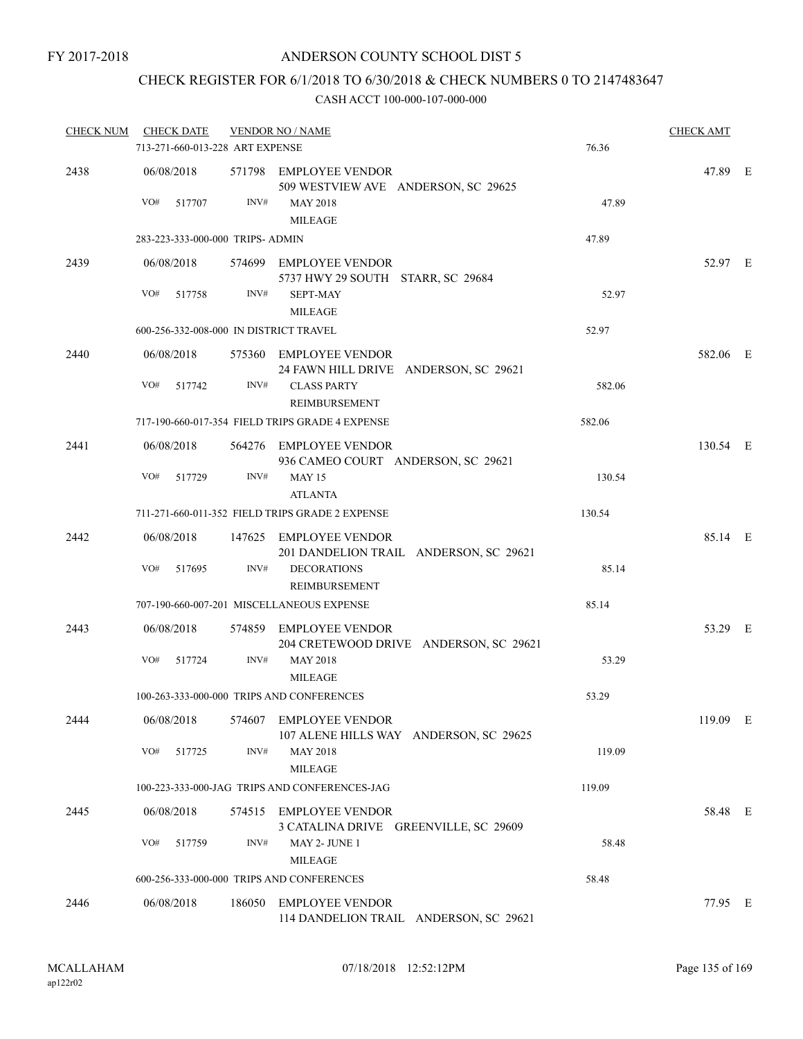# CHECK REGISTER FOR 6/1/2018 TO 6/30/2018 & CHECK NUMBERS 0 TO 2147483647

| <b>CHECK NUM</b><br><b>CHECK DATE</b> |                                        |        | <b>VENDOR NO / NAME</b>                                          |        | <b>CHECK AMT</b> |  |
|---------------------------------------|----------------------------------------|--------|------------------------------------------------------------------|--------|------------------|--|
|                                       | 713-271-660-013-228 ART EXPENSE        |        |                                                                  | 76.36  |                  |  |
| 2438                                  | 06/08/2018                             |        | 571798 EMPLOYEE VENDOR<br>509 WESTVIEW AVE ANDERSON, SC 29625    |        | 47.89 E          |  |
|                                       | VO#<br>517707                          | INV#   | <b>MAY 2018</b><br><b>MILEAGE</b>                                | 47.89  |                  |  |
|                                       | 283-223-333-000-000 TRIPS- ADMIN       |        |                                                                  | 47.89  |                  |  |
| 2439                                  | 06/08/2018                             |        | 574699 EMPLOYEE VENDOR<br>5737 HWY 29 SOUTH STARR, SC 29684      |        | 52.97 E          |  |
|                                       | VO#<br>517758                          | INV#   | <b>SEPT-MAY</b><br><b>MILEAGE</b>                                | 52.97  |                  |  |
|                                       | 600-256-332-008-000 IN DISTRICT TRAVEL |        |                                                                  | 52.97  |                  |  |
| 2440                                  | 06/08/2018                             |        | 575360 EMPLOYEE VENDOR<br>24 FAWN HILL DRIVE ANDERSON, SC 29621  |        | 582.06 E         |  |
|                                       | VO#<br>517742                          | INV#   | <b>CLASS PARTY</b><br>REIMBURSEMENT                              | 582.06 |                  |  |
|                                       |                                        |        | 717-190-660-017-354 FIELD TRIPS GRADE 4 EXPENSE                  | 582.06 |                  |  |
| 2441                                  | 06/08/2018                             |        | 564276 EMPLOYEE VENDOR<br>936 CAMEO COURT ANDERSON, SC 29621     |        | 130.54 E         |  |
|                                       | VO#<br>517729                          | INV#   | <b>MAY 15</b><br><b>ATLANTA</b>                                  | 130.54 |                  |  |
|                                       |                                        |        | 711-271-660-011-352 FIELD TRIPS GRADE 2 EXPENSE                  | 130.54 |                  |  |
| 2442                                  | 06/08/2018                             |        | 147625 EMPLOYEE VENDOR<br>201 DANDELION TRAIL ANDERSON, SC 29621 |        | 85.14 E          |  |
|                                       | VO#<br>517695                          | INV#   | <b>DECORATIONS</b><br>REIMBURSEMENT                              | 85.14  |                  |  |
|                                       |                                        |        | 707-190-660-007-201 MISCELLANEOUS EXPENSE                        | 85.14  |                  |  |
| 2443                                  | 06/08/2018                             |        | 574859 EMPLOYEE VENDOR<br>204 CRETEWOOD DRIVE ANDERSON, SC 29621 |        | 53.29 E          |  |
|                                       | VO#<br>517724                          | INV#   | <b>MAY 2018</b><br><b>MILEAGE</b>                                | 53.29  |                  |  |
|                                       |                                        |        | 100-263-333-000-000 TRIPS AND CONFERENCES                        | 53.29  |                  |  |
| 2444                                  | 06/08/2018                             |        | 574607 EMPLOYEE VENDOR<br>107 ALENE HILLS WAY ANDERSON, SC 29625 |        | 119.09 E         |  |
|                                       | VO#<br>517725                          | INV#   | <b>MAY 2018</b><br><b>MILEAGE</b>                                | 119.09 |                  |  |
|                                       |                                        |        | 100-223-333-000-JAG TRIPS AND CONFERENCES-JAG                    | 119.09 |                  |  |
| 2445                                  | 06/08/2018                             |        | 574515 EMPLOYEE VENDOR<br>3 CATALINA DRIVE GREENVILLE, SC 29609  |        | 58.48 E          |  |
|                                       | VO#<br>517759                          | INV#   | MAY 2- JUNE 1<br><b>MILEAGE</b>                                  | 58.48  |                  |  |
|                                       |                                        |        | 600-256-333-000-000 TRIPS AND CONFERENCES                        | 58.48  |                  |  |
| 2446                                  | 06/08/2018                             | 186050 | EMPLOYEE VENDOR<br>114 DANDELION TRAIL ANDERSON, SC 29621        |        | 77.95 E          |  |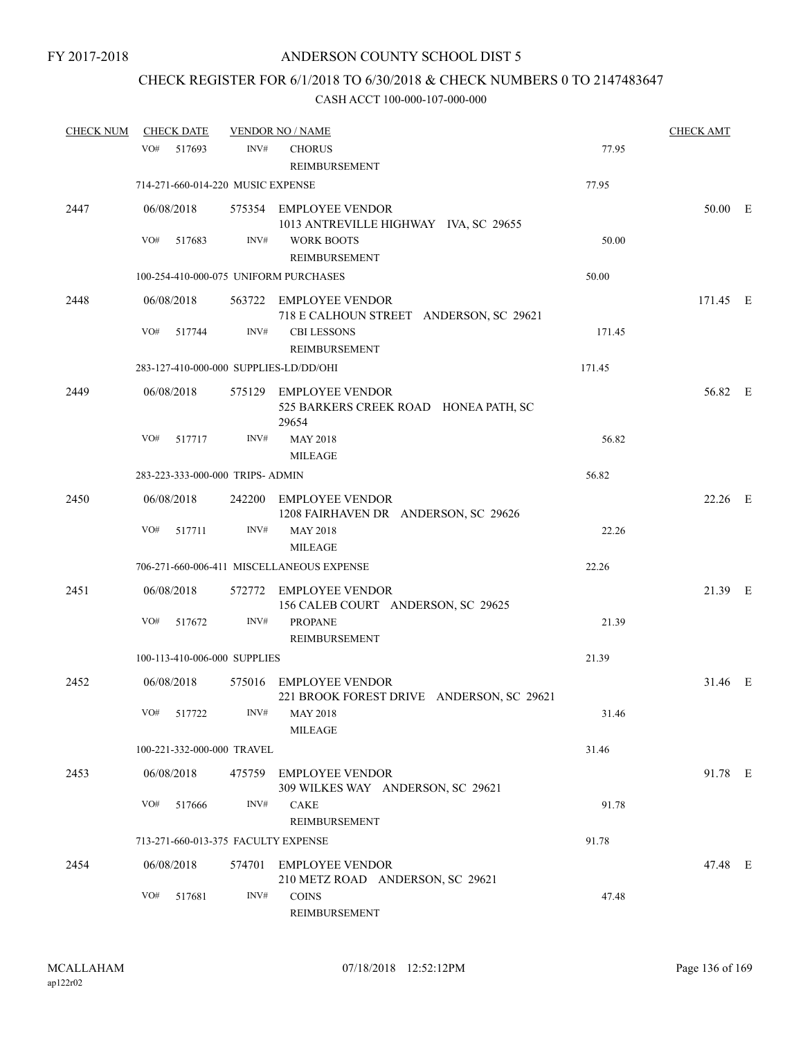# CHECK REGISTER FOR 6/1/2018 TO 6/30/2018 & CHECK NUMBERS 0 TO 2147483647

| <b>CHECK NUM</b> | <b>CHECK DATE</b> |                                   |        | <b>VENDOR NO / NAME</b>                                                                 |        | <b>CHECK AMT</b> |  |
|------------------|-------------------|-----------------------------------|--------|-----------------------------------------------------------------------------------------|--------|------------------|--|
|                  | VO#               | 517693                            | INV#   | <b>CHORUS</b><br>REIMBURSEMENT                                                          | 77.95  |                  |  |
|                  |                   | 714-271-660-014-220 MUSIC EXPENSE |        |                                                                                         | 77.95  |                  |  |
| 2447             | 06/08/2018        |                                   |        | 575354 EMPLOYEE VENDOR<br>1013 ANTREVILLE HIGHWAY IVA, SC 29655                         |        | 50.00 E          |  |
|                  | VO#               | 517683                            | INV#   | <b>WORK BOOTS</b><br>REIMBURSEMENT                                                      | 50.00  |                  |  |
|                  |                   |                                   |        | 100-254-410-000-075 UNIFORM PURCHASES                                                   | 50.00  |                  |  |
| 2448             | 06/08/2018<br>VO# | 517744                            | INV#   | 563722 EMPLOYEE VENDOR<br>718 E CALHOUN STREET ANDERSON, SC 29621<br><b>CBI LESSONS</b> | 171.45 | 171.45 E         |  |
|                  |                   |                                   |        | REIMBURSEMENT                                                                           |        |                  |  |
|                  |                   |                                   |        | 283-127-410-000-000 SUPPLIES-LD/DD/OHI                                                  | 171.45 |                  |  |
| 2449             | 06/08/2018        |                                   |        | 575129 EMPLOYEE VENDOR<br>525 BARKERS CREEK ROAD HONEA PATH, SC<br>29654                |        | 56.82 E          |  |
|                  | VO#               | 517717                            | INV#   | <b>MAY 2018</b><br><b>MILEAGE</b>                                                       | 56.82  |                  |  |
|                  |                   | 283-223-333-000-000 TRIPS- ADMIN  |        |                                                                                         | 56.82  |                  |  |
| 2450             | 06/08/2018        |                                   |        | 242200 EMPLOYEE VENDOR<br>1208 FAIRHAVEN DR ANDERSON, SC 29626                          |        | 22.26 E          |  |
|                  | VO#               | 517711                            | INV#   | <b>MAY 2018</b><br><b>MILEAGE</b>                                                       | 22.26  |                  |  |
|                  |                   |                                   |        | 706-271-660-006-411 MISCELLANEOUS EXPENSE                                               | 22.26  |                  |  |
| 2451             | 06/08/2018        |                                   |        | 572772 EMPLOYEE VENDOR<br>156 CALEB COURT ANDERSON, SC 29625                            |        | 21.39 E          |  |
|                  | VO#               | 517672                            | INV#   | <b>PROPANE</b><br>REIMBURSEMENT                                                         | 21.39  |                  |  |
|                  |                   | 100-113-410-006-000 SUPPLIES      |        |                                                                                         | 21.39  |                  |  |
| 2452             | 06/08/2018        |                                   |        | 575016 EMPLOYEE VENDOR<br>221 BROOK FOREST DRIVE ANDERSON, SC 29621                     |        | 31.46 E          |  |
|                  | VO# 517722        |                                   |        | $INV#$ MAY 2018<br><b>MILEAGE</b>                                                       | 31.46  |                  |  |
|                  |                   | 100-221-332-000-000 TRAVEL        |        |                                                                                         | 31.46  |                  |  |
| 2453             | 06/08/2018        |                                   | 475759 | <b>EMPLOYEE VENDOR</b><br>309 WILKES WAY ANDERSON, SC 29621                             |        | 91.78 E          |  |
|                  | VO#               | 517666                            | INV#   | CAKE<br><b>REIMBURSEMENT</b>                                                            | 91.78  |                  |  |
|                  |                   |                                   |        | 713-271-660-013-375 FACULTY EXPENSE                                                     | 91.78  |                  |  |
| 2454             | 06/08/2018        |                                   |        | 574701 EMPLOYEE VENDOR<br>210 METZ ROAD ANDERSON, SC 29621                              |        | 47.48 E          |  |
|                  | VO#               | 517681                            | INV#   | <b>COINS</b><br>REIMBURSEMENT                                                           | 47.48  |                  |  |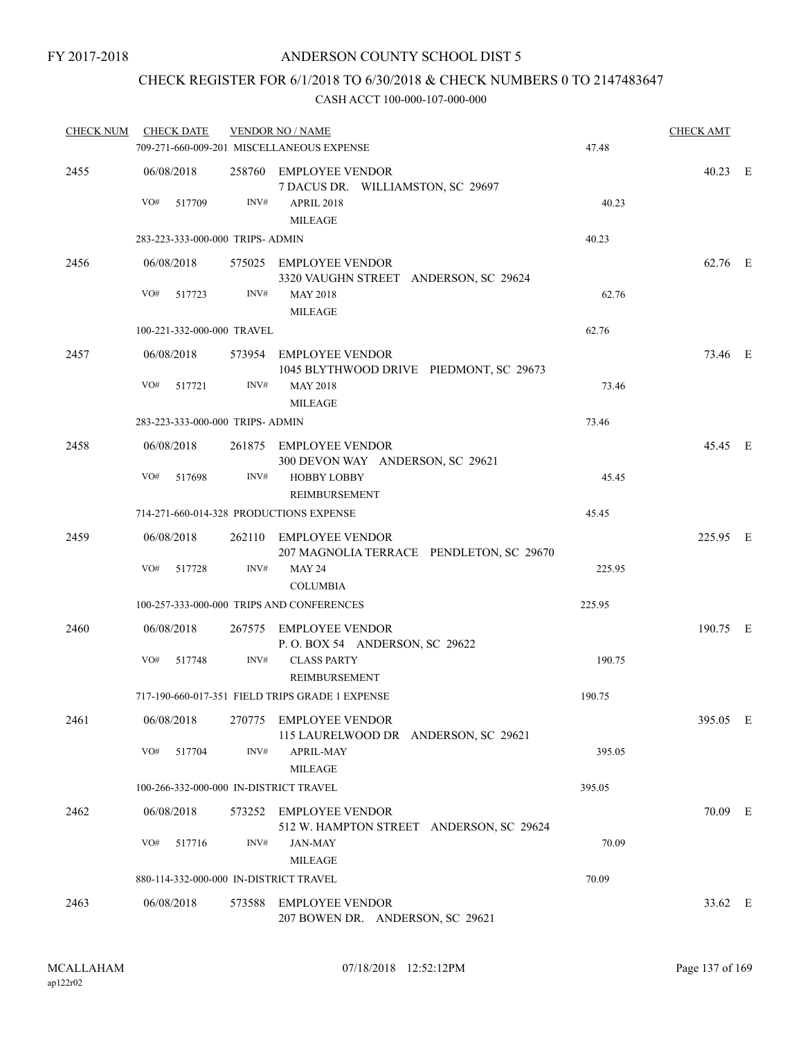# CHECK REGISTER FOR 6/1/2018 TO 6/30/2018 & CHECK NUMBERS 0 TO 2147483647

| <b>CHECK NUM</b> | <b>CHECK DATE</b>                       |        | <b>VENDOR NO / NAME</b>                                            | <b>CHECK AMT</b> |          |  |
|------------------|-----------------------------------------|--------|--------------------------------------------------------------------|------------------|----------|--|
|                  |                                         |        | 709-271-660-009-201 MISCELLANEOUS EXPENSE                          | 47.48            |          |  |
| 2455             | 06/08/2018                              |        | 258760 EMPLOYEE VENDOR<br>7 DACUS DR. WILLIAMSTON, SC 29697        |                  | 40.23 E  |  |
|                  | VO#<br>517709                           | INV#   | <b>APRIL 2018</b><br><b>MILEAGE</b>                                | 40.23            |          |  |
|                  | 283-223-333-000-000 TRIPS- ADMIN        |        |                                                                    | 40.23            |          |  |
| 2456             | 06/08/2018                              |        | 575025 EMPLOYEE VENDOR<br>3320 VAUGHN STREET ANDERSON, SC 29624    |                  | 62.76 E  |  |
|                  | VO#<br>517723                           | INV#   | <b>MAY 2018</b><br><b>MILEAGE</b>                                  | 62.76            |          |  |
|                  | 100-221-332-000-000 TRAVEL              |        |                                                                    | 62.76            |          |  |
| 2457             | 06/08/2018                              |        | 573954 EMPLOYEE VENDOR<br>1045 BLYTHWOOD DRIVE PIEDMONT, SC 29673  |                  | 73.46 E  |  |
|                  | VO# 517721                              | INV#   | <b>MAY 2018</b><br><b>MILEAGE</b>                                  | 73.46            |          |  |
|                  | 283-223-333-000-000 TRIPS- ADMIN        |        |                                                                    | 73.46            |          |  |
| 2458             | 06/08/2018                              |        | 261875 EMPLOYEE VENDOR<br>300 DEVON WAY ANDERSON, SC 29621         |                  | 45.45 E  |  |
|                  | VO#<br>517698                           | INV#   | <b>HOBBY LOBBY</b><br>REIMBURSEMENT                                | 45.45            |          |  |
|                  | 714-271-660-014-328 PRODUCTIONS EXPENSE |        |                                                                    | 45.45            |          |  |
| 2459             | 06/08/2018                              |        | 262110 EMPLOYEE VENDOR<br>207 MAGNOLIA TERRACE PENDLETON, SC 29670 |                  | 225.95 E |  |
|                  | VO# 517728                              | INV#   | <b>MAY 24</b><br><b>COLUMBIA</b>                                   | 225.95           |          |  |
|                  |                                         |        | 100-257-333-000-000 TRIPS AND CONFERENCES                          | 225.95           |          |  |
| 2460             | 06/08/2018                              |        | 267575 EMPLOYEE VENDOR<br>P.O. BOX 54 ANDERSON, SC 29622           |                  | 190.75 E |  |
|                  | VO#<br>517748                           | INV#   | <b>CLASS PARTY</b><br>REIMBURSEMENT                                | 190.75           |          |  |
|                  |                                         |        | 717-190-660-017-351 FIELD TRIPS GRADE 1 EXPENSE                    | 190.75           |          |  |
| 2461             | 06/08/2018                              |        | 270775 EMPLOYEE VENDOR<br>115 LAURELWOOD DR ANDERSON, SC 29621     |                  | 395.05 E |  |
|                  | VO#<br>517704                           | INV#   | APRIL-MAY<br><b>MILEAGE</b>                                        | 395.05           |          |  |
|                  | 100-266-332-000-000 IN-DISTRICT TRAVEL  |        |                                                                    | 395.05           |          |  |
| 2462             | 06/08/2018                              |        | 573252 EMPLOYEE VENDOR<br>512 W. HAMPTON STREET ANDERSON, SC 29624 |                  | 70.09 E  |  |
|                  | VO#<br>517716                           | INV#   | <b>JAN-MAY</b><br><b>MILEAGE</b>                                   | 70.09            |          |  |
|                  | 880-114-332-000-000 IN-DISTRICT TRAVEL  |        |                                                                    | 70.09            |          |  |
| 2463             | 06/08/2018                              | 573588 | <b>EMPLOYEE VENDOR</b><br>207 BOWEN DR. ANDERSON, SC 29621         |                  | 33.62 E  |  |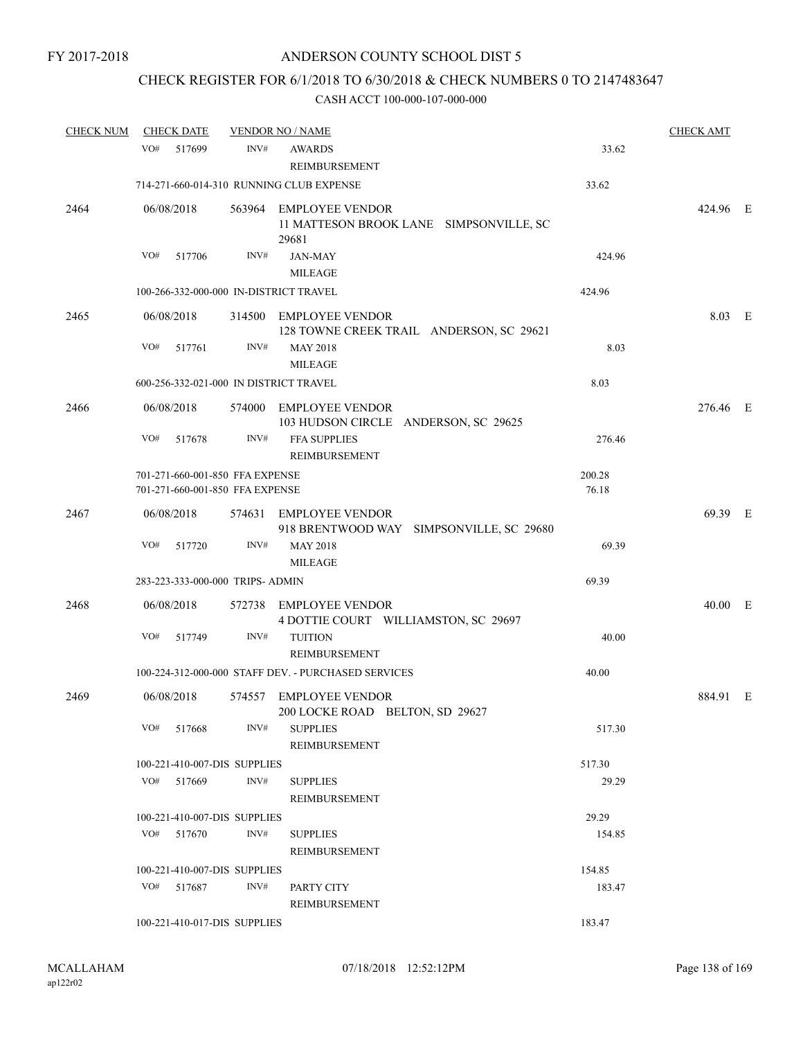# CHECK REGISTER FOR 6/1/2018 TO 6/30/2018 & CHECK NUMBERS 0 TO 2147483647

| <b>CHECK NUM</b> |            | <b>CHECK DATE</b> |                                                                    | <b>VENDOR NO / NAME</b>                                                    |                 | <b>CHECK AMT</b> |  |
|------------------|------------|-------------------|--------------------------------------------------------------------|----------------------------------------------------------------------------|-----------------|------------------|--|
|                  | VO#        | 517699            | INV#                                                               | <b>AWARDS</b><br><b>REIMBURSEMENT</b>                                      | 33.62           |                  |  |
|                  |            |                   |                                                                    | 714-271-660-014-310 RUNNING CLUB EXPENSE                                   | 33.62           |                  |  |
| 2464             | 06/08/2018 |                   |                                                                    | 563964 EMPLOYEE VENDOR<br>11 MATTESON BROOK LANE SIMPSONVILLE, SC<br>29681 |                 | 424.96 E         |  |
|                  | VO#        | 517706            | INV#                                                               | <b>JAN-MAY</b>                                                             | 424.96          |                  |  |
|                  |            |                   |                                                                    | <b>MILEAGE</b>                                                             |                 |                  |  |
|                  |            |                   |                                                                    | 100-266-332-000-000 IN-DISTRICT TRAVEL                                     | 424.96          |                  |  |
| 2465             | 06/08/2018 |                   |                                                                    | 314500 EMPLOYEE VENDOR<br>128 TOWNE CREEK TRAIL ANDERSON, SC 29621         |                 | 8.03 E           |  |
|                  | VO#        | 517761            | INV#                                                               | <b>MAY 2018</b><br><b>MILEAGE</b>                                          | 8.03            |                  |  |
|                  |            |                   |                                                                    | 600-256-332-021-000 IN DISTRICT TRAVEL                                     | 8.03            |                  |  |
| 2466             | 06/08/2018 |                   |                                                                    | 574000 EMPLOYEE VENDOR<br>103 HUDSON CIRCLE ANDERSON, SC 29625             |                 | 276.46 E         |  |
|                  | VO#        | 517678            | INV#                                                               | FFA SUPPLIES<br>REIMBURSEMENT                                              | 276.46          |                  |  |
|                  |            |                   | 701-271-660-001-850 FFA EXPENSE<br>701-271-660-001-850 FFA EXPENSE |                                                                            | 200.28<br>76.18 |                  |  |
| 2467             | 06/08/2018 |                   |                                                                    | 574631 EMPLOYEE VENDOR<br>918 BRENTWOOD WAY SIMPSONVILLE, SC 29680         |                 | 69.39 E          |  |
|                  | VO#        | 517720            | INV#                                                               | <b>MAY 2018</b><br><b>MILEAGE</b>                                          | 69.39           |                  |  |
|                  |            |                   | 283-223-333-000-000 TRIPS- ADMIN                                   |                                                                            | 69.39           |                  |  |
| 2468             | 06/08/2018 |                   |                                                                    | 572738 EMPLOYEE VENDOR<br>4 DOTTIE COURT WILLIAMSTON, SC 29697             |                 | 40.00 E          |  |
|                  | VO#        | 517749            | INV#                                                               | <b>TUITION</b><br>REIMBURSEMENT                                            | 40.00           |                  |  |
|                  |            |                   |                                                                    | 100-224-312-000-000 STAFF DEV. - PURCHASED SERVICES                        | 40.00           |                  |  |
| 2469             | 06/08/2018 |                   |                                                                    | 574557 EMPLOYEE VENDOR<br>200 LOCKE ROAD BELTON, SD 29627                  |                 | 884.91 E         |  |
|                  |            | VO# 517668        | INV#                                                               | <b>SUPPLIES</b><br>REIMBURSEMENT                                           | 517.30          |                  |  |
|                  |            |                   | 100-221-410-007-DIS SUPPLIES                                       |                                                                            | 517.30          |                  |  |
|                  |            | VO# 517669        | INV#                                                               | <b>SUPPLIES</b><br>REIMBURSEMENT                                           | 29.29           |                  |  |
|                  |            |                   | 100-221-410-007-DIS SUPPLIES                                       |                                                                            | 29.29           |                  |  |
|                  |            | $VO#$ 517670      | INV#                                                               | <b>SUPPLIES</b><br><b>REIMBURSEMENT</b>                                    | 154.85          |                  |  |
|                  |            |                   | 100-221-410-007-DIS SUPPLIES                                       |                                                                            | 154.85          |                  |  |
|                  |            | VO# 517687        | INV#                                                               | PARTY CITY<br>REIMBURSEMENT                                                | 183.47          |                  |  |
|                  |            |                   | 100-221-410-017-DIS SUPPLIES                                       |                                                                            | 183.47          |                  |  |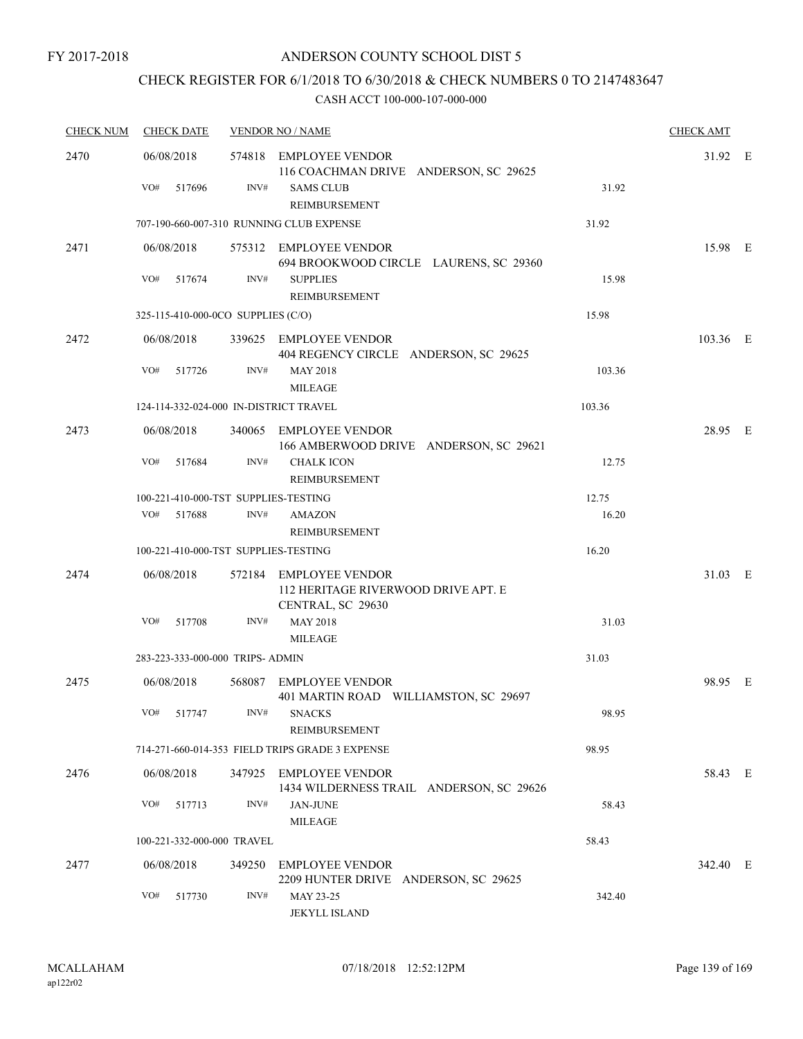# CHECK REGISTER FOR 6/1/2018 TO 6/30/2018 & CHECK NUMBERS 0 TO 2147483647

| <b>CHECK NUM</b> | <b>CHECK DATE</b>                      | <b>VENDOR NO / NAME</b> | <b>CHECK AMT</b>                                                                   |        |          |  |
|------------------|----------------------------------------|-------------------------|------------------------------------------------------------------------------------|--------|----------|--|
| 2470             | 06/08/2018                             |                         | 574818 EMPLOYEE VENDOR<br>116 COACHMAN DRIVE ANDERSON, SC 29625                    |        | 31.92 E  |  |
|                  | VO#<br>517696                          | INV#                    | <b>SAMS CLUB</b><br>REIMBURSEMENT                                                  | 31.92  |          |  |
|                  |                                        |                         | 707-190-660-007-310 RUNNING CLUB EXPENSE                                           | 31.92  |          |  |
| 2471             | 06/08/2018                             |                         | 575312 EMPLOYEE VENDOR<br>694 BROOKWOOD CIRCLE LAURENS, SC 29360                   |        | 15.98 E  |  |
|                  | VO#<br>517674                          | INV#                    | <b>SUPPLIES</b><br><b>REIMBURSEMENT</b>                                            | 15.98  |          |  |
|                  | 325-115-410-000-0CO SUPPLIES (C/O)     |                         |                                                                                    | 15.98  |          |  |
| 2472             | 06/08/2018                             |                         | 339625 EMPLOYEE VENDOR<br>404 REGENCY CIRCLE ANDERSON, SC 29625                    |        | 103.36 E |  |
|                  | VO#<br>517726                          | INV#                    | <b>MAY 2018</b><br><b>MILEAGE</b>                                                  | 103.36 |          |  |
|                  | 124-114-332-024-000 IN-DISTRICT TRAVEL |                         |                                                                                    | 103.36 |          |  |
| 2473             | 06/08/2018                             |                         | 340065 EMPLOYEE VENDOR<br>166 AMBERWOOD DRIVE ANDERSON, SC 29621                   |        | 28.95 E  |  |
|                  | VO#<br>517684                          | INV#                    | <b>CHALK ICON</b><br>REIMBURSEMENT                                                 | 12.75  |          |  |
|                  | 100-221-410-000-TST SUPPLIES-TESTING   |                         |                                                                                    | 12.75  |          |  |
|                  | VO#<br>517688                          | INV#                    | <b>AMAZON</b><br>REIMBURSEMENT                                                     | 16.20  |          |  |
|                  | 100-221-410-000-TST SUPPLIES-TESTING   |                         |                                                                                    | 16.20  |          |  |
| 2474             | 06/08/2018                             |                         | 572184 EMPLOYEE VENDOR<br>112 HERITAGE RIVERWOOD DRIVE APT. E<br>CENTRAL, SC 29630 |        | 31.03 E  |  |
|                  | VO#<br>517708                          | INV#                    | <b>MAY 2018</b><br><b>MILEAGE</b>                                                  | 31.03  |          |  |
|                  | 283-223-333-000-000 TRIPS- ADMIN       |                         |                                                                                    | 31.03  |          |  |
| 2475             | 06/08/2018                             |                         | 568087 EMPLOYEE VENDOR<br>401 MARTIN ROAD WILLIAMSTON, SC 29697                    |        | 98.95 E  |  |
|                  | VO# 517747                             |                         | INV# SNACKS<br>REIMBURSEMENT                                                       | 98.95  |          |  |
|                  |                                        |                         | 714-271-660-014-353 FIELD TRIPS GRADE 3 EXPENSE                                    | 98.95  |          |  |
| 2476             | 06/08/2018                             |                         | 347925 EMPLOYEE VENDOR<br>1434 WILDERNESS TRAIL ANDERSON, SC 29626                 |        | 58.43 E  |  |
|                  | VO#<br>517713                          | INV#                    | <b>JAN-JUNE</b><br><b>MILEAGE</b>                                                  | 58.43  |          |  |
|                  | 100-221-332-000-000 TRAVEL             |                         |                                                                                    | 58.43  |          |  |
| 2477             | 06/08/2018                             |                         | 349250 EMPLOYEE VENDOR<br>2209 HUNTER DRIVE ANDERSON, SC 29625                     |        | 342.40 E |  |
|                  | VO#<br>517730                          | INV#                    | MAY 23-25<br><b>JEKYLL ISLAND</b>                                                  | 342.40 |          |  |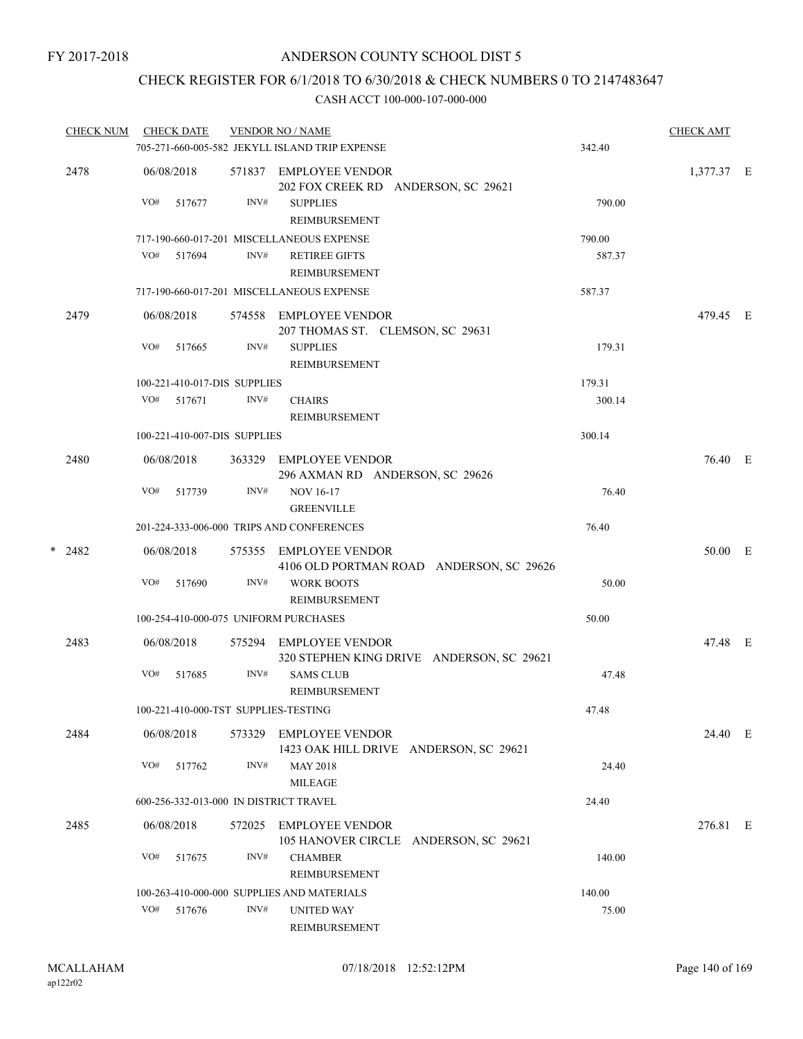# CHECK REGISTER FOR 6/1/2018 TO 6/30/2018 & CHECK NUMBERS 0 TO 2147483647

|   | <b>CHECK NUM</b> |     | <b>CHECK DATE</b>            |        | <b>VENDOR NO / NAME</b>                                            |        | <b>CHECK AMT</b> |  |
|---|------------------|-----|------------------------------|--------|--------------------------------------------------------------------|--------|------------------|--|
|   |                  |     |                              |        | 705-271-660-005-582 JEKYLL ISLAND TRIP EXPENSE                     | 342.40 |                  |  |
|   | 2478             |     | 06/08/2018                   |        | 571837 EMPLOYEE VENDOR<br>202 FOX CREEK RD ANDERSON, SC 29621      |        | 1,377.37 E       |  |
|   |                  | VO# | 517677                       | INV#   | <b>SUPPLIES</b><br><b>REIMBURSEMENT</b>                            | 790.00 |                  |  |
|   |                  |     |                              |        | 717-190-660-017-201 MISCELLANEOUS EXPENSE                          | 790.00 |                  |  |
|   |                  |     | VO# 517694                   | INV#   | <b>RETIREE GIFTS</b><br><b>REIMBURSEMENT</b>                       | 587.37 |                  |  |
|   |                  |     |                              |        | 717-190-660-017-201 MISCELLANEOUS EXPENSE                          | 587.37 |                  |  |
|   | 2479             |     | 06/08/2018                   |        | 574558 EMPLOYEE VENDOR<br>207 THOMAS ST. CLEMSON, SC 29631         |        | 479.45 E         |  |
|   |                  | VO# | 517665                       | INV#   | <b>SUPPLIES</b><br>REIMBURSEMENT                                   | 179.31 |                  |  |
|   |                  |     | 100-221-410-017-DIS SUPPLIES |        |                                                                    | 179.31 |                  |  |
|   |                  | VO# | 517671                       | INV#   | <b>CHAIRS</b><br><b>REIMBURSEMENT</b>                              | 300.14 |                  |  |
|   |                  |     | 100-221-410-007-DIS SUPPLIES |        |                                                                    | 300.14 |                  |  |
|   | 2480             |     | 06/08/2018                   |        | 363329 EMPLOYEE VENDOR<br>296 AXMAN RD ANDERSON, SC 29626          |        | 76.40 E          |  |
|   |                  | VO# | 517739                       | INV#   | <b>NOV 16-17</b><br><b>GREENVILLE</b>                              | 76.40  |                  |  |
|   |                  |     |                              |        | 201-224-333-006-000 TRIPS AND CONFERENCES                          | 76.40  |                  |  |
| * | 2482             |     | 06/08/2018                   |        | 575355 EMPLOYEE VENDOR<br>4106 OLD PORTMAN ROAD ANDERSON, SC 29626 |        | 50.00 E          |  |
|   |                  | VO# | 517690                       | INV#   | <b>WORK BOOTS</b><br>REIMBURSEMENT                                 | 50.00  |                  |  |
|   |                  |     |                              |        | 100-254-410-000-075 UNIFORM PURCHASES                              | 50.00  |                  |  |
|   | 2483             |     | 06/08/2018                   | 575294 | EMPLOYEE VENDOR<br>320 STEPHEN KING DRIVE ANDERSON, SC 29621       |        | 47.48 E          |  |
|   |                  | VO# | 517685                       | INV#   | <b>SAMS CLUB</b><br><b>REIMBURSEMENT</b>                           | 47.48  |                  |  |
|   |                  |     |                              |        | 100-221-410-000-TST SUPPLIES-TESTING                               | 47.48  |                  |  |
|   | 2484             |     | 06/08/2018                   | 573329 | <b>EMPLOYEE VENDOR</b><br>1423 OAK HILL DRIVE ANDERSON, SC 29621   |        | 24.40 E          |  |
|   |                  | VO# | 517762                       | INV#   | <b>MAY 2018</b><br>MILEAGE                                         | 24.40  |                  |  |
|   |                  |     |                              |        | 600-256-332-013-000 IN DISTRICT TRAVEL                             | 24.40  |                  |  |
|   | 2485             |     | 06/08/2018                   | 572025 | EMPLOYEE VENDOR<br>105 HANOVER CIRCLE ANDERSON, SC 29621           |        | 276.81 E         |  |
|   |                  | VO# | 517675                       | INV#   | <b>CHAMBER</b><br>REIMBURSEMENT                                    | 140.00 |                  |  |
|   |                  |     |                              |        | 100-263-410-000-000 SUPPLIES AND MATERIALS                         | 140.00 |                  |  |
|   |                  |     | VO# 517676                   | INV#   | <b>UNITED WAY</b><br><b>REIMBURSEMENT</b>                          | 75.00  |                  |  |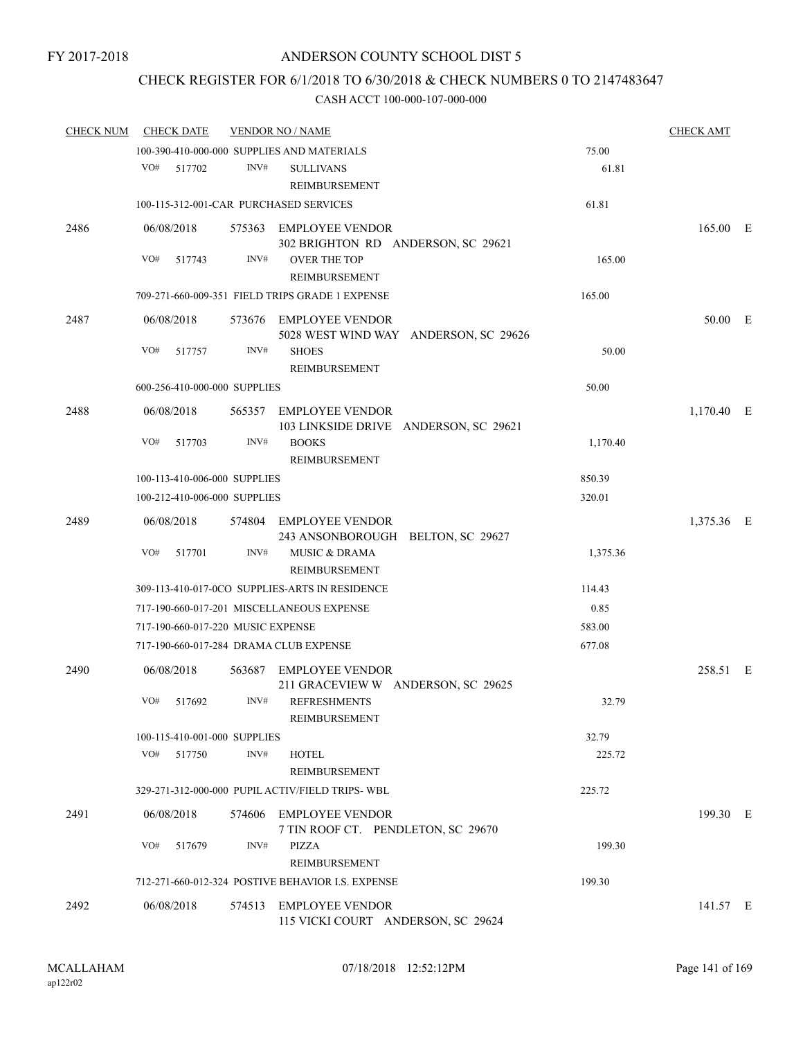# CHECK REGISTER FOR 6/1/2018 TO 6/30/2018 & CHECK NUMBERS 0 TO 2147483647

| <b>CHECK NUM</b> | <b>CHECK DATE</b>                      |        | <b>VENDOR NO / NAME</b>                                         |          | <b>CHECK AMT</b> |  |
|------------------|----------------------------------------|--------|-----------------------------------------------------------------|----------|------------------|--|
|                  |                                        |        | 100-390-410-000-000 SUPPLIES AND MATERIALS                      | 75.00    |                  |  |
|                  | VO#<br>517702                          | INV#   | <b>SULLIVANS</b><br>REIMBURSEMENT                               | 61.81    |                  |  |
|                  |                                        |        | 100-115-312-001-CAR PURCHASED SERVICES                          | 61.81    |                  |  |
| 2486             | 06/08/2018                             |        | 575363 EMPLOYEE VENDOR<br>302 BRIGHTON RD ANDERSON, SC 29621    |          | 165.00 E         |  |
|                  | VO#<br>517743                          | INV#   | <b>OVER THE TOP</b><br><b>REIMBURSEMENT</b>                     | 165.00   |                  |  |
|                  |                                        |        | 709-271-660-009-351 FIELD TRIPS GRADE 1 EXPENSE                 | 165.00   |                  |  |
| 2487             | 06/08/2018                             |        | 573676 EMPLOYEE VENDOR<br>5028 WEST WIND WAY ANDERSON, SC 29626 |          | 50.00 E          |  |
|                  | VO#<br>517757                          | INV#   | <b>SHOES</b><br>REIMBURSEMENT                                   | 50.00    |                  |  |
|                  | 600-256-410-000-000 SUPPLIES           |        |                                                                 | 50.00    |                  |  |
| 2488             | 06/08/2018                             |        | 565357 EMPLOYEE VENDOR<br>103 LINKSIDE DRIVE ANDERSON, SC 29621 |          | 1,170.40 E       |  |
|                  | VO#<br>517703                          | INV#   | <b>BOOKS</b><br><b>REIMBURSEMENT</b>                            | 1,170.40 |                  |  |
|                  | 100-113-410-006-000 SUPPLIES           |        |                                                                 | 850.39   |                  |  |
|                  | 100-212-410-006-000 SUPPLIES           |        |                                                                 | 320.01   |                  |  |
| 2489             | 06/08/2018                             |        | 574804 EMPLOYEE VENDOR<br>243 ANSONBOROUGH BELTON, SC 29627     |          | 1,375.36 E       |  |
|                  | VO#<br>517701                          | INV#   | <b>MUSIC &amp; DRAMA</b><br>REIMBURSEMENT                       | 1,375.36 |                  |  |
|                  |                                        |        | 309-113-410-017-0CO SUPPLIES-ARTS IN RESIDENCE                  | 114.43   |                  |  |
|                  |                                        |        | 717-190-660-017-201 MISCELLANEOUS EXPENSE                       | 0.85     |                  |  |
|                  | 717-190-660-017-220 MUSIC EXPENSE      |        |                                                                 | 583.00   |                  |  |
|                  | 717-190-660-017-284 DRAMA CLUB EXPENSE |        |                                                                 | 677.08   |                  |  |
| 2490             | 06/08/2018                             | 563687 | <b>EMPLOYEE VENDOR</b><br>211 GRACEVIEW W ANDERSON, SC 29625    |          | 258.51 E         |  |
|                  | VO#<br>517692                          | INV#   | <b>REFRESHMENTS</b><br>REIMBURSEMENT                            | 32.79    |                  |  |
|                  | 100-115-410-001-000 SUPPLIES           |        |                                                                 | 32.79    |                  |  |
|                  | VO# 517750                             | INV#   | <b>HOTEL</b><br>REIMBURSEMENT                                   | 225.72   |                  |  |
|                  |                                        |        | 329-271-312-000-000 PUPIL ACTIV/FIELD TRIPS-WBL                 | 225.72   |                  |  |
| 2491             | 06/08/2018                             |        | 574606 EMPLOYEE VENDOR<br>7 TIN ROOF CT. PENDLETON, SC 29670    |          | 199.30 E         |  |
|                  | VO#<br>517679                          | INV#   | PIZZA<br><b>REIMBURSEMENT</b>                                   | 199.30   |                  |  |
|                  |                                        |        | 712-271-660-012-324 POSTIVE BEHAVIOR I.S. EXPENSE               | 199.30   |                  |  |
| 2492             | 06/08/2018                             |        | 574513 EMPLOYEE VENDOR<br>115 VICKI COURT ANDERSON, SC 29624    |          | 141.57 E         |  |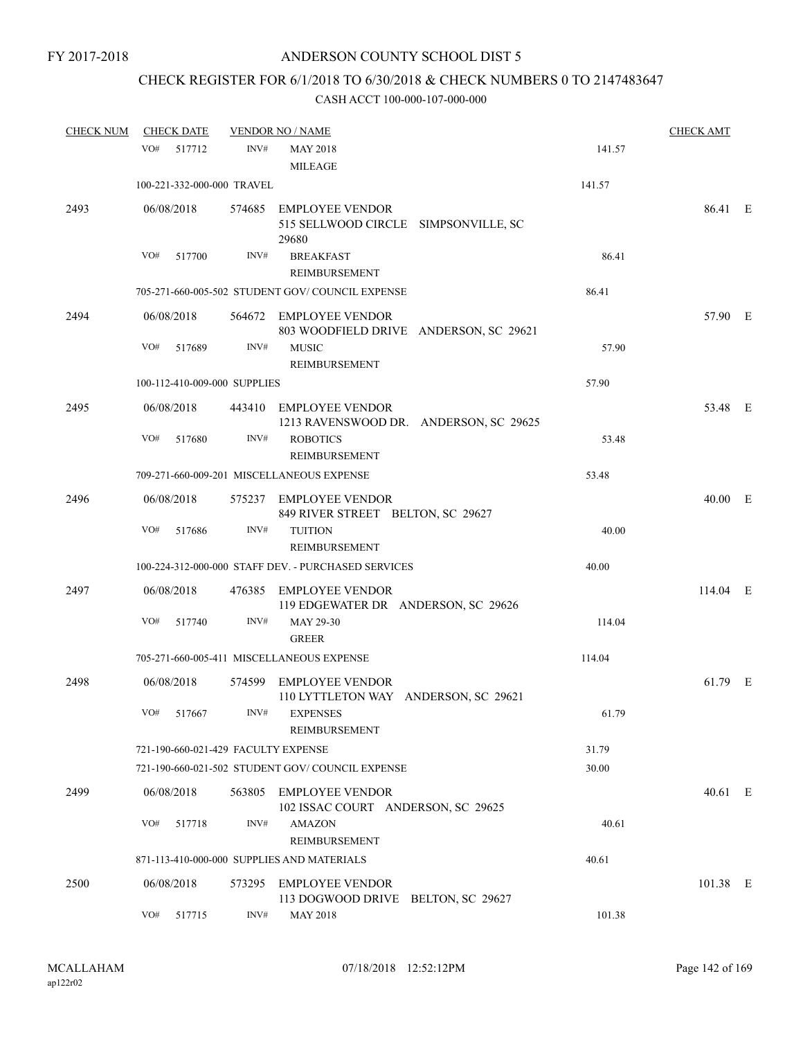# CHECK REGISTER FOR 6/1/2018 TO 6/30/2018 & CHECK NUMBERS 0 TO 2147483647

| <b>CHECK NUM</b> | <b>CHECK DATE</b>                   | <b>VENDOR NO / NAME</b> |                                                                         | <b>CHECK AMT</b> |            |  |
|------------------|-------------------------------------|-------------------------|-------------------------------------------------------------------------|------------------|------------|--|
|                  | VO#<br>517712                       | INV#                    | <b>MAY 2018</b><br><b>MILEAGE</b>                                       | 141.57           |            |  |
|                  | 100-221-332-000-000 TRAVEL          |                         |                                                                         | 141.57           |            |  |
| 2493             | 06/08/2018                          |                         | 574685 EMPLOYEE VENDOR<br>515 SELLWOOD CIRCLE SIMPSONVILLE, SC<br>29680 |                  | 86.41 E    |  |
|                  | VO#<br>517700                       | INV#                    | <b>BREAKFAST</b><br>REIMBURSEMENT                                       | 86.41            |            |  |
|                  |                                     |                         | 705-271-660-005-502 STUDENT GOV/COUNCIL EXPENSE                         | 86.41            |            |  |
| 2494             | 06/08/2018                          |                         | 564672 EMPLOYEE VENDOR<br>803 WOODFIELD DRIVE ANDERSON, SC 29621        |                  | 57.90 E    |  |
|                  | VO#<br>517689                       | INV#                    | <b>MUSIC</b><br>REIMBURSEMENT                                           | 57.90            |            |  |
|                  | 100-112-410-009-000 SUPPLIES        |                         |                                                                         | 57.90            |            |  |
| 2495             | 06/08/2018                          |                         | 443410 EMPLOYEE VENDOR<br>1213 RAVENSWOOD DR. ANDERSON, SC 29625        |                  | 53.48 E    |  |
|                  | VO#<br>517680                       | INV#                    | <b>ROBOTICS</b><br>REIMBURSEMENT                                        | 53.48            |            |  |
|                  |                                     |                         | 709-271-660-009-201 MISCELLANEOUS EXPENSE                               | 53.48            |            |  |
| 2496             | 06/08/2018                          |                         | 575237 EMPLOYEE VENDOR<br>849 RIVER STREET BELTON, SC 29627             |                  | 40.00 E    |  |
|                  | VO#<br>517686                       | INV#                    | <b>TUITION</b><br>REIMBURSEMENT                                         | 40.00            |            |  |
|                  |                                     |                         | 100-224-312-000-000 STAFF DEV. - PURCHASED SERVICES                     | 40.00            |            |  |
| 2497             | 06/08/2018                          |                         | 476385 EMPLOYEE VENDOR<br>119 EDGEWATER DR ANDERSON, SC 29626           |                  | $114.04$ E |  |
|                  | VO#<br>517740                       | INV#                    | MAY 29-30<br><b>GREER</b>                                               | 114.04           |            |  |
|                  |                                     |                         | 705-271-660-005-411 MISCELLANEOUS EXPENSE                               | 114.04           |            |  |
| 2498             | 06/08/2018                          |                         | 574599 EMPLOYEE VENDOR<br>110 LYTTLETON WAY ANDERSON, SC 29621          |                  | 61.79 E    |  |
|                  | VO# 517667                          |                         | INV# EXPENSES<br>REIMBURSEMENT                                          | 61.79            |            |  |
|                  | 721-190-660-021-429 FACULTY EXPENSE |                         |                                                                         | 31.79            |            |  |
|                  |                                     |                         | 721-190-660-021-502 STUDENT GOV/COUNCIL EXPENSE                         | 30.00            |            |  |
| 2499             | 06/08/2018                          |                         | 563805 EMPLOYEE VENDOR<br>102 ISSAC COURT ANDERSON, SC 29625            |                  | 40.61 E    |  |
|                  | VO#<br>517718                       | INV#                    | <b>AMAZON</b>                                                           | 40.61            |            |  |
|                  |                                     |                         | REIMBURSEMENT<br>871-113-410-000-000 SUPPLIES AND MATERIALS             | 40.61            |            |  |
| 2500             | 06/08/2018                          |                         | 573295 EMPLOYEE VENDOR<br>113 DOGWOOD DRIVE BELTON, SC 29627            |                  | 101.38 E   |  |
|                  | VO#<br>517715                       | INV#                    | <b>MAY 2018</b>                                                         | 101.38           |            |  |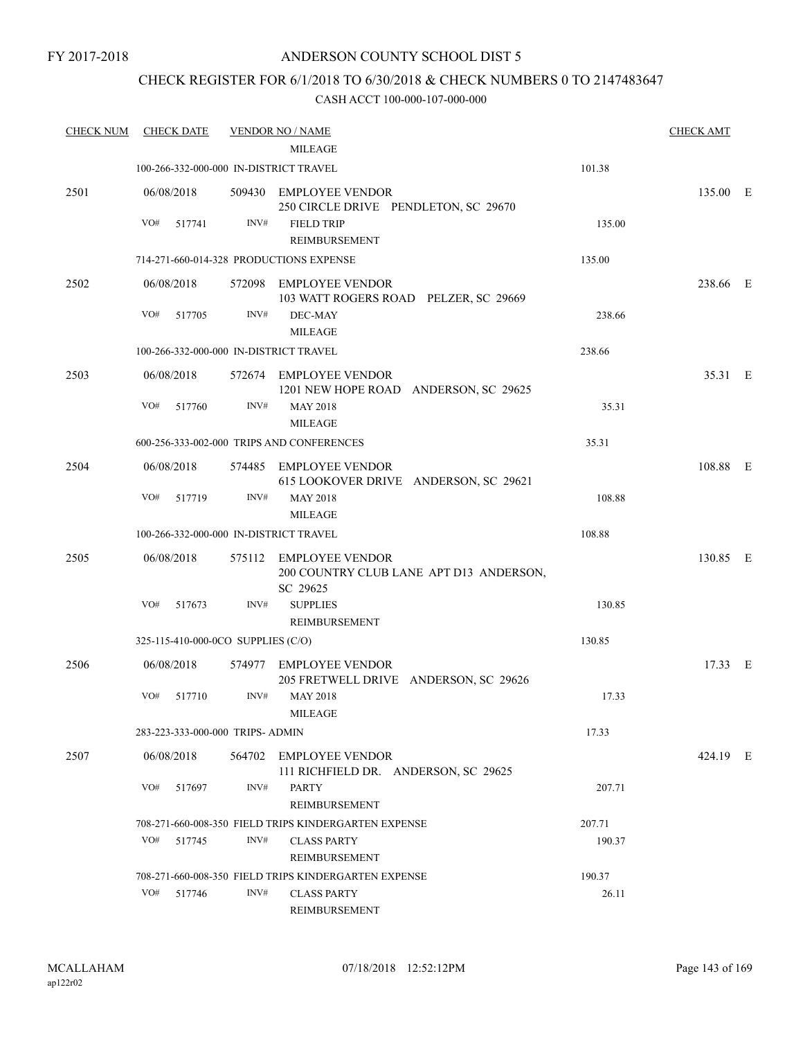# CHECK REGISTER FOR 6/1/2018 TO 6/30/2018 & CHECK NUMBERS 0 TO 2147483647

| <b>CHECK NUM</b> |            | <b>CHECK DATE</b> |                                    | <b>VENDOR NO / NAME</b>                                                       |        | <b>CHECK AMT</b> |  |
|------------------|------------|-------------------|------------------------------------|-------------------------------------------------------------------------------|--------|------------------|--|
|                  |            |                   |                                    | <b>MILEAGE</b>                                                                |        |                  |  |
|                  |            |                   |                                    | 100-266-332-000-000 IN-DISTRICT TRAVEL                                        | 101.38 |                  |  |
| 2501             | 06/08/2018 |                   |                                    | 509430 EMPLOYEE VENDOR<br>250 CIRCLE DRIVE PENDLETON, SC 29670                |        | 135.00 E         |  |
|                  | VO#        | 517741            | INV#                               | <b>FIELD TRIP</b><br><b>REIMBURSEMENT</b>                                     | 135.00 |                  |  |
|                  |            |                   |                                    | 714-271-660-014-328 PRODUCTIONS EXPENSE                                       | 135.00 |                  |  |
| 2502             | 06/08/2018 |                   |                                    | 572098 EMPLOYEE VENDOR<br>103 WATT ROGERS ROAD PELZER, SC 29669               |        | 238.66 E         |  |
|                  | VO#        | 517705            | INV#                               | DEC-MAY<br><b>MILEAGE</b>                                                     | 238.66 |                  |  |
|                  |            |                   |                                    | 100-266-332-000-000 IN-DISTRICT TRAVEL                                        | 238.66 |                  |  |
| 2503             | 06/08/2018 |                   |                                    | 572674 EMPLOYEE VENDOR<br>1201 NEW HOPE ROAD ANDERSON, SC 29625               |        | 35.31 E          |  |
|                  | VO#        | 517760            | INV#                               | <b>MAY 2018</b><br><b>MILEAGE</b>                                             | 35.31  |                  |  |
|                  |            |                   |                                    | 600-256-333-002-000 TRIPS AND CONFERENCES                                     | 35.31  |                  |  |
| 2504             | 06/08/2018 |                   |                                    | 574485 EMPLOYEE VENDOR<br>615 LOOKOVER DRIVE ANDERSON, SC 29621               |        | 108.88 E         |  |
|                  | VO#        | 517719            | INV#                               | <b>MAY 2018</b><br><b>MILEAGE</b>                                             | 108.88 |                  |  |
|                  |            |                   |                                    | 100-266-332-000-000 IN-DISTRICT TRAVEL                                        | 108.88 |                  |  |
| 2505             | 06/08/2018 |                   |                                    | 575112 EMPLOYEE VENDOR<br>200 COUNTRY CLUB LANE APT D13 ANDERSON,<br>SC 29625 |        | 130.85 E         |  |
|                  | VO#        | 517673            | INV#                               | <b>SUPPLIES</b><br>REIMBURSEMENT                                              | 130.85 |                  |  |
|                  |            |                   | 325-115-410-000-0CO SUPPLIES (C/O) |                                                                               | 130.85 |                  |  |
| 2506             | 06/08/2018 |                   |                                    | 574977 EMPLOYEE VENDOR<br>205 FRETWELL DRIVE ANDERSON, SC 29626               |        | 17.33 E          |  |
|                  | VO#        | 517710            | INV#                               | <b>MAY 2018</b><br><b>MILEAGE</b>                                             | 17.33  |                  |  |
|                  |            |                   | 283-223-333-000-000 TRIPS- ADMIN   |                                                                               | 17.33  |                  |  |
| 2507             | 06/08/2018 |                   |                                    | 564702 EMPLOYEE VENDOR<br>111 RICHFIELD DR. ANDERSON, SC 29625                |        | 424.19 E         |  |
|                  | VO#        | 517697            | INV#                               | <b>PARTY</b><br>REIMBURSEMENT                                                 | 207.71 |                  |  |
|                  |            |                   |                                    | 708-271-660-008-350 FIELD TRIPS KINDERGARTEN EXPENSE                          | 207.71 |                  |  |
|                  | VO#        | 517745            | INV#                               | <b>CLASS PARTY</b><br><b>REIMBURSEMENT</b>                                    | 190.37 |                  |  |
|                  |            |                   |                                    | 708-271-660-008-350 FIELD TRIPS KINDERGARTEN EXPENSE                          | 190.37 |                  |  |
|                  | VO#        | 517746            | INV#                               | <b>CLASS PARTY</b><br>REIMBURSEMENT                                           | 26.11  |                  |  |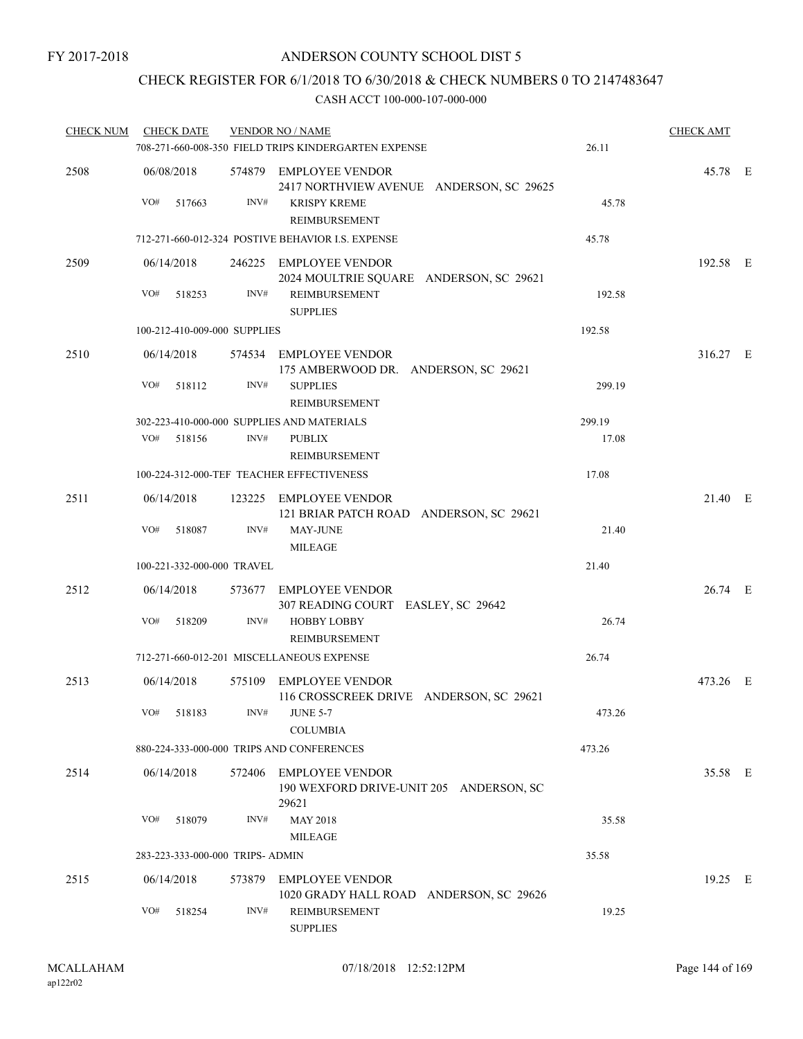# CHECK REGISTER FOR 6/1/2018 TO 6/30/2018 & CHECK NUMBERS 0 TO 2147483647

| <b>CHECK NUM</b> |                   | <b>CHECK DATE</b>                |      | <b>VENDOR NO / NAME</b><br>708-271-660-008-350 FIELD TRIPS KINDERGARTEN EXPENSE                              | 26.11  | <b>CHECK AMT</b> |  |
|------------------|-------------------|----------------------------------|------|--------------------------------------------------------------------------------------------------------------|--------|------------------|--|
| 2508             | 06/08/2018<br>VO# | 517663                           | INV# | 574879 EMPLOYEE VENDOR<br>2417 NORTHVIEW AVENUE ANDERSON, SC 29625<br><b>KRISPY KREME</b>                    | 45.78  | 45.78 E          |  |
|                  |                   |                                  |      | REIMBURSEMENT                                                                                                |        |                  |  |
|                  |                   |                                  |      | 712-271-660-012-324 POSTIVE BEHAVIOR I.S. EXPENSE                                                            | 45.78  |                  |  |
| 2509             | 06/14/2018<br>VO# | 518253                           | INV# | 246225 EMPLOYEE VENDOR<br>2024 MOULTRIE SQUARE ANDERSON, SC 29621<br><b>REIMBURSEMENT</b><br><b>SUPPLIES</b> | 192.58 | 192.58 E         |  |
|                  |                   | 100-212-410-009-000 SUPPLIES     |      |                                                                                                              | 192.58 |                  |  |
| 2510             | 06/14/2018        |                                  |      | 574534 EMPLOYEE VENDOR                                                                                       |        | 316.27 E         |  |
|                  |                   |                                  |      | 175 AMBERWOOD DR. ANDERSON, SC 29621                                                                         |        |                  |  |
|                  | VO#               | 518112                           | INV# | <b>SUPPLIES</b><br>REIMBURSEMENT                                                                             | 299.19 |                  |  |
|                  |                   |                                  |      | 302-223-410-000-000 SUPPLIES AND MATERIALS                                                                   | 299.19 |                  |  |
|                  | VO#               | 518156                           | INV# | <b>PUBLIX</b><br><b>REIMBURSEMENT</b>                                                                        | 17.08  |                  |  |
|                  |                   |                                  |      | 100-224-312-000-TEF TEACHER EFFECTIVENESS                                                                    | 17.08  |                  |  |
| 2511             | 06/14/2018        |                                  |      | 123225 EMPLOYEE VENDOR<br>121 BRIAR PATCH ROAD ANDERSON, SC 29621                                            |        | 21.40 E          |  |
|                  | VO#               | 518087                           | INV# | <b>MAY-JUNE</b><br><b>MILEAGE</b>                                                                            | 21.40  |                  |  |
|                  |                   | 100-221-332-000-000 TRAVEL       |      |                                                                                                              | 21.40  |                  |  |
| 2512             | 06/14/2018        |                                  |      | 573677 EMPLOYEE VENDOR<br>307 READING COURT EASLEY, SC 29642                                                 |        | 26.74 E          |  |
|                  | VO#               | 518209                           | INV# | <b>HOBBY LOBBY</b><br><b>REIMBURSEMENT</b>                                                                   | 26.74  |                  |  |
|                  |                   |                                  |      | 712-271-660-012-201 MISCELLANEOUS EXPENSE                                                                    | 26.74  |                  |  |
| 2513             | 06/14/2018        |                                  |      | 575109 EMPLOYEE VENDOR<br>116 CROSSCREEK DRIVE ANDERSON, SC 29621                                            |        | 473.26 E         |  |
|                  |                   | VO# 518183                       |      | $INV#$ JUNE 5-7<br><b>COLUMBIA</b>                                                                           | 473.26 |                  |  |
|                  |                   |                                  |      | 880-224-333-000-000 TRIPS AND CONFERENCES                                                                    | 473.26 |                  |  |
| 2514             | 06/14/2018        |                                  |      | 572406 EMPLOYEE VENDOR<br>190 WEXFORD DRIVE-UNIT 205 ANDERSON, SC<br>29621                                   |        | 35.58 E          |  |
|                  | VO#               | 518079                           | INV# | <b>MAY 2018</b><br><b>MILEAGE</b>                                                                            | 35.58  |                  |  |
|                  |                   | 283-223-333-000-000 TRIPS- ADMIN |      |                                                                                                              | 35.58  |                  |  |
| 2515             | 06/14/2018        |                                  |      | 573879 EMPLOYEE VENDOR<br>1020 GRADY HALL ROAD ANDERSON, SC 29626                                            |        | 19.25 E          |  |
|                  | VO#               | 518254                           | INV# | REIMBURSEMENT<br><b>SUPPLIES</b>                                                                             | 19.25  |                  |  |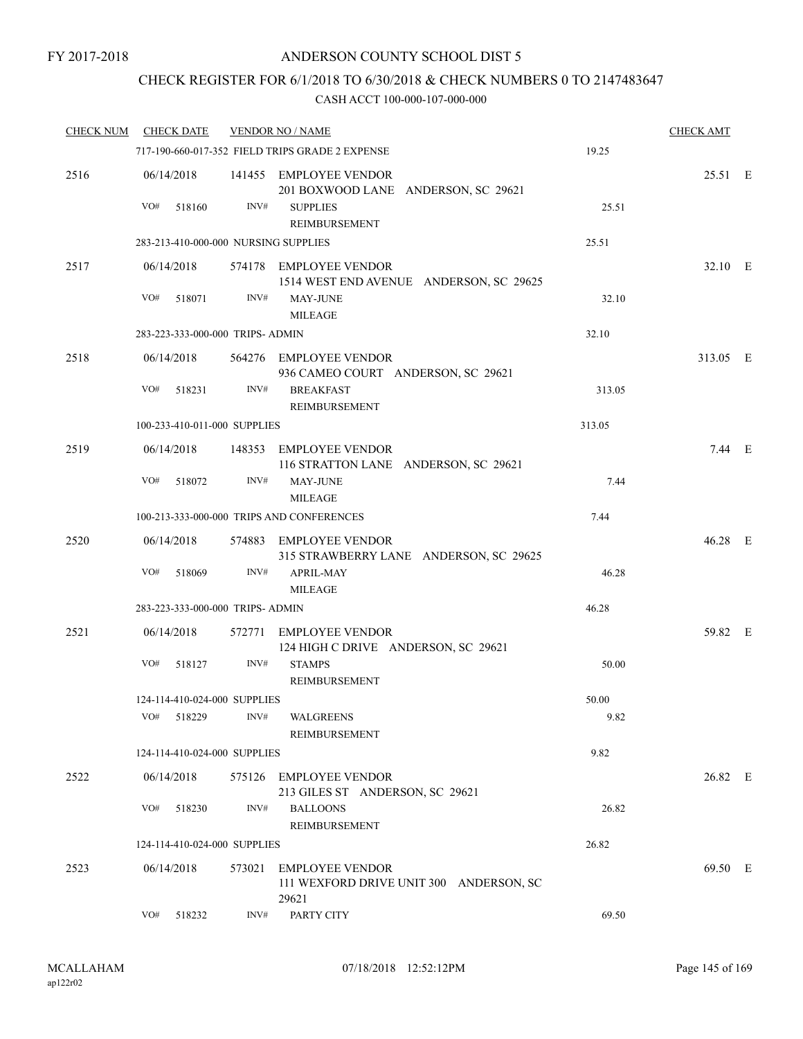### CHECK REGISTER FOR 6/1/2018 TO 6/30/2018 & CHECK NUMBERS 0 TO 2147483647

| <b>CHECK NUM</b> | <b>CHECK DATE</b> |                                      | <b>VENDOR NO / NAME</b>                                                    |        | <b>CHECK AMT</b> |  |
|------------------|-------------------|--------------------------------------|----------------------------------------------------------------------------|--------|------------------|--|
|                  |                   |                                      | 717-190-660-017-352 FIELD TRIPS GRADE 2 EXPENSE                            | 19.25  |                  |  |
| 2516             |                   |                                      | 06/14/2018 141455 EMPLOYEE VENDOR<br>201 BOXWOOD LANE ANDERSON, SC 29621   |        | 25.51 E          |  |
|                  | VO#               | INV#<br>518160                       | <b>SUPPLIES</b><br>REIMBURSEMENT                                           | 25.51  |                  |  |
|                  |                   | 283-213-410-000-000 NURSING SUPPLIES |                                                                            | 25.51  |                  |  |
| 2517             | 06/14/2018        |                                      | 574178 EMPLOYEE VENDOR<br>1514 WEST END AVENUE ANDERSON, SC 29625          |        | 32.10 E          |  |
|                  | VO#               | INV#<br>518071                       | <b>MAY-JUNE</b><br><b>MILEAGE</b>                                          | 32.10  |                  |  |
|                  |                   | 283-223-333-000-000 TRIPS- ADMIN     | 32.10                                                                      |        |                  |  |
| 2518             | 06/14/2018        |                                      | 564276 EMPLOYEE VENDOR<br>936 CAMEO COURT ANDERSON, SC 29621               |        | 313.05 E         |  |
|                  | VO#               | INV#<br>518231                       | <b>BREAKFAST</b><br>REIMBURSEMENT                                          | 313.05 |                  |  |
|                  |                   | 100-233-410-011-000 SUPPLIES         |                                                                            | 313.05 |                  |  |
| 2519             | 06/14/2018        |                                      | 148353 EMPLOYEE VENDOR<br>116 STRATTON LANE ANDERSON, SC 29621             |        | $7.44$ E         |  |
|                  | VO#               | INV#<br>518072                       | <b>MAY-JUNE</b><br><b>MILEAGE</b>                                          | 7.44   |                  |  |
|                  |                   |                                      | 100-213-333-000-000 TRIPS AND CONFERENCES                                  | 7.44   |                  |  |
| 2520             | 06/14/2018        |                                      | 574883 EMPLOYEE VENDOR<br>315 STRAWBERRY LANE ANDERSON, SC 29625           |        | 46.28 E          |  |
|                  | VO#               | INV#<br>518069                       | <b>APRIL-MAY</b><br><b>MILEAGE</b>                                         | 46.28  |                  |  |
|                  |                   | 283-223-333-000-000 TRIPS- ADMIN     |                                                                            | 46.28  |                  |  |
| 2521             | 06/14/2018        |                                      | 572771 EMPLOYEE VENDOR<br>124 HIGH C DRIVE ANDERSON, SC 29621              |        | 59.82 E          |  |
|                  | VO#               | INV#<br>518127                       | <b>STAMPS</b><br><b>REIMBURSEMENT</b>                                      | 50.00  |                  |  |
|                  |                   | 124-114-410-024-000 SUPPLIES         |                                                                            | 50.00  |                  |  |
|                  | VO#               | 518229<br>INV#                       | WALGREENS<br>REIMBURSEMENT                                                 | 9.82   |                  |  |
|                  |                   | 124-114-410-024-000 SUPPLIES         |                                                                            | 9.82   |                  |  |
| 2522             | 06/14/2018        |                                      | 575126 EMPLOYEE VENDOR<br>213 GILES ST ANDERSON, SC 29621                  |        | 26.82 E          |  |
|                  | VO#               | INV#<br>518230                       | <b>BALLOONS</b><br>REIMBURSEMENT                                           | 26.82  |                  |  |
|                  |                   | 124-114-410-024-000 SUPPLIES         |                                                                            | 26.82  |                  |  |
| 2523             | 06/14/2018        | 573021                               | <b>EMPLOYEE VENDOR</b><br>111 WEXFORD DRIVE UNIT 300 ANDERSON, SC<br>29621 |        | 69.50 E          |  |
|                  | VO#               | 518232<br>INV#                       | PARTY CITY                                                                 | 69.50  |                  |  |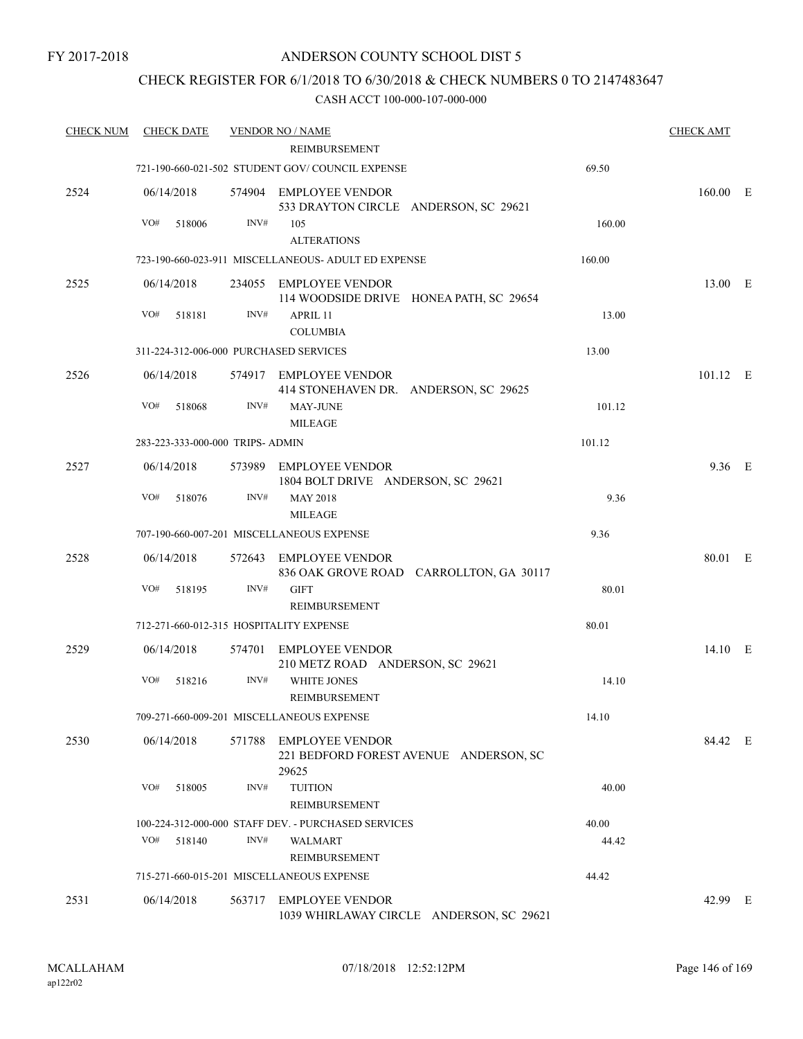### CHECK REGISTER FOR 6/1/2018 TO 6/30/2018 & CHECK NUMBERS 0 TO 2147483647

| <b>CHECK NUM</b> | <b>CHECK DATE</b>                       |      | <b>VENDOR NO / NAME</b>                                                   |        | <b>CHECK AMT</b> |  |
|------------------|-----------------------------------------|------|---------------------------------------------------------------------------|--------|------------------|--|
|                  |                                         |      | REIMBURSEMENT                                                             |        |                  |  |
|                  |                                         |      | 721-190-660-021-502 STUDENT GOV/COUNCIL EXPENSE                           | 69.50  |                  |  |
| 2524             | 06/14/2018                              |      | 574904 EMPLOYEE VENDOR<br>533 DRAYTON CIRCLE ANDERSON, SC 29621           |        | $160.00$ E       |  |
|                  | VO#<br>518006                           | INV# | 105<br><b>ALTERATIONS</b>                                                 | 160.00 |                  |  |
|                  |                                         |      | 723-190-660-023-911 MISCELLANEOUS- ADULT ED EXPENSE                       | 160.00 |                  |  |
| 2525             | 06/14/2018                              |      | 234055 EMPLOYEE VENDOR<br>114 WOODSIDE DRIVE HONEA PATH, SC 29654         |        | 13.00 E          |  |
|                  | VO#<br>518181                           | INV# | APRIL 11<br><b>COLUMBIA</b>                                               | 13.00  |                  |  |
|                  | 311-224-312-006-000 PURCHASED SERVICES  |      |                                                                           | 13.00  |                  |  |
| 2526             | 06/14/2018                              |      | 574917 EMPLOYEE VENDOR<br>414 STONEHAVEN DR. ANDERSON, SC 29625           |        | $101.12$ E       |  |
|                  | VO#<br>518068                           | INV# | <b>MAY-JUNE</b><br><b>MILEAGE</b>                                         | 101.12 |                  |  |
|                  | 283-223-333-000-000 TRIPS- ADMIN        |      |                                                                           | 101.12 |                  |  |
| 2527             | 06/14/2018                              |      | 573989 EMPLOYEE VENDOR<br>1804 BOLT DRIVE ANDERSON, SC 29621              |        | 9.36 E           |  |
|                  | VO#<br>518076                           | INV# | <b>MAY 2018</b><br><b>MILEAGE</b>                                         | 9.36   |                  |  |
|                  |                                         |      | 707-190-660-007-201 MISCELLANEOUS EXPENSE                                 | 9.36   |                  |  |
| 2528             | 06/14/2018                              |      | 572643 EMPLOYEE VENDOR<br>836 OAK GROVE ROAD CARROLLTON, GA 30117         |        | 80.01 E          |  |
|                  | VO#<br>518195                           | INV# | <b>GIFT</b><br><b>REIMBURSEMENT</b>                                       | 80.01  |                  |  |
|                  | 712-271-660-012-315 HOSPITALITY EXPENSE |      |                                                                           | 80.01  |                  |  |
| 2529             | 06/14/2018                              |      | 574701 EMPLOYEE VENDOR<br>210 METZ ROAD ANDERSON, SC 29621                |        | 14.10 E          |  |
|                  | VO#<br>518216                           | INV# | <b>WHITE JONES</b><br><b>REIMBURSEMENT</b>                                | 14.10  |                  |  |
|                  |                                         |      | 709-271-660-009-201 MISCELLANEOUS EXPENSE                                 | 14.10  |                  |  |
| 2530             | 06/14/2018                              |      | 571788 EMPLOYEE VENDOR<br>221 BEDFORD FOREST AVENUE ANDERSON, SC<br>29625 |        | 84.42 E          |  |
|                  | VO#<br>518005                           | INV# | <b>TUITION</b><br>REIMBURSEMENT                                           | 40.00  |                  |  |
|                  |                                         |      | 100-224-312-000-000 STAFF DEV. - PURCHASED SERVICES                       | 40.00  |                  |  |
|                  | VO#<br>518140                           | INV# | <b>WALMART</b><br>REIMBURSEMENT                                           | 44.42  |                  |  |
|                  |                                         |      | 715-271-660-015-201 MISCELLANEOUS EXPENSE                                 | 44.42  |                  |  |
| 2531             | 06/14/2018                              |      | 563717 EMPLOYEE VENDOR<br>1039 WHIRLAWAY CIRCLE ANDERSON, SC 29621        |        | 42.99 E          |  |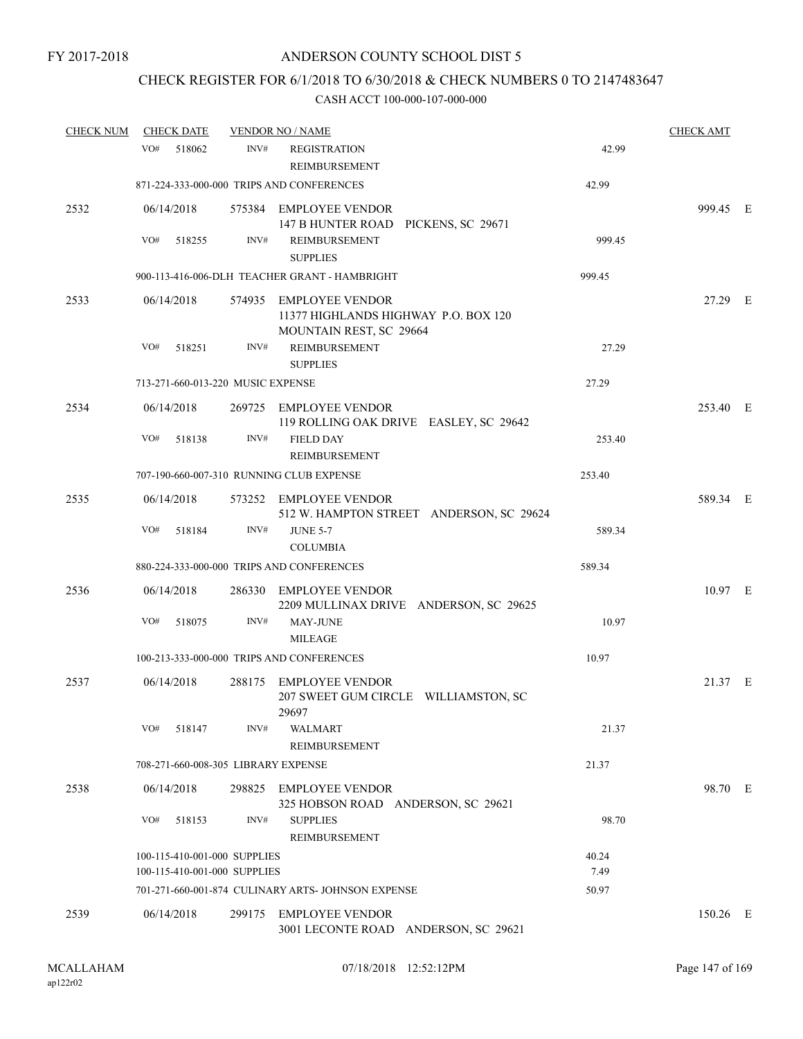## CHECK REGISTER FOR 6/1/2018 TO 6/30/2018 & CHECK NUMBERS 0 TO 2147483647

| <b>CHECK NUM</b> | <b>CHECK DATE</b>                                            |        | <b>VENDOR NO / NAME</b>                                                                   |               | <b>CHECK AMT</b> |  |
|------------------|--------------------------------------------------------------|--------|-------------------------------------------------------------------------------------------|---------------|------------------|--|
|                  | VO#<br>518062                                                | INV#   | <b>REGISTRATION</b><br><b>REIMBURSEMENT</b>                                               | 42.99         |                  |  |
|                  |                                                              |        | 871-224-333-000-000 TRIPS AND CONFERENCES                                                 | 42.99         |                  |  |
| 2532             | 06/14/2018                                                   |        | 575384 EMPLOYEE VENDOR<br>147 B HUNTER ROAD PICKENS, SC 29671                             |               | 999.45 E         |  |
|                  | VO#<br>518255                                                | INV#   | REIMBURSEMENT<br><b>SUPPLIES</b>                                                          | 999.45        |                  |  |
|                  |                                                              |        | 900-113-416-006-DLH TEACHER GRANT - HAMBRIGHT                                             | 999.45        |                  |  |
| 2533             | 06/14/2018                                                   |        | 574935 EMPLOYEE VENDOR<br>11377 HIGHLANDS HIGHWAY P.O. BOX 120<br>MOUNTAIN REST, SC 29664 |               | 27.29 E          |  |
|                  | VO#<br>518251                                                | INV#   | REIMBURSEMENT<br><b>SUPPLIES</b>                                                          | 27.29         |                  |  |
|                  | 713-271-660-013-220 MUSIC EXPENSE                            |        |                                                                                           | 27.29         |                  |  |
| 2534             | 06/14/2018                                                   |        | 269725 EMPLOYEE VENDOR<br>119 ROLLING OAK DRIVE EASLEY, SC 29642                          |               | 253.40 E         |  |
|                  | VO#<br>518138                                                | INV#   | <b>FIELD DAY</b><br>REIMBURSEMENT                                                         | 253.40        |                  |  |
|                  |                                                              |        | 707-190-660-007-310 RUNNING CLUB EXPENSE                                                  | 253.40        |                  |  |
| 2535             | 06/14/2018                                                   |        | 573252 EMPLOYEE VENDOR<br>512 W. HAMPTON STREET ANDERSON, SC 29624                        |               | 589.34 E         |  |
|                  | VO#<br>518184                                                | INV#   | <b>JUNE 5-7</b><br><b>COLUMBIA</b>                                                        | 589.34        |                  |  |
|                  |                                                              |        | 880-224-333-000-000 TRIPS AND CONFERENCES                                                 | 589.34        |                  |  |
| 2536             | 06/14/2018                                                   | 286330 | <b>EMPLOYEE VENDOR</b><br>2209 MULLINAX DRIVE ANDERSON, SC 29625                          |               | $10.97$ E        |  |
|                  | VO#<br>518075                                                | INV#   | <b>MAY-JUNE</b><br><b>MILEAGE</b>                                                         | 10.97         |                  |  |
|                  |                                                              |        | 100-213-333-000-000 TRIPS AND CONFERENCES                                                 | 10.97         |                  |  |
| 2537             | 06/14/2018                                                   |        | 288175 EMPLOYEE VENDOR<br>207 SWEET GUM CIRCLE WILLIAMSTON, SC<br>29697                   |               | 21.37 E          |  |
|                  | VO#<br>518147                                                | INV#   | WALMART<br>REIMBURSEMENT                                                                  | 21.37         |                  |  |
|                  | 708-271-660-008-305 LIBRARY EXPENSE                          |        |                                                                                           | 21.37         |                  |  |
| 2538             | 06/14/2018                                                   |        | 298825 EMPLOYEE VENDOR<br>325 HOBSON ROAD ANDERSON, SC 29621                              |               | 98.70 E          |  |
|                  | VO#<br>518153                                                | INV#   | <b>SUPPLIES</b><br>REIMBURSEMENT                                                          | 98.70         |                  |  |
|                  | 100-115-410-001-000 SUPPLIES<br>100-115-410-001-000 SUPPLIES |        |                                                                                           | 40.24<br>7.49 |                  |  |
|                  |                                                              |        | 701-271-660-001-874 CULINARY ARTS- JOHNSON EXPENSE                                        | 50.97         |                  |  |
| 2539             | 06/14/2018                                                   |        | 299175 EMPLOYEE VENDOR<br>3001 LECONTE ROAD ANDERSON, SC 29621                            |               | 150.26 E         |  |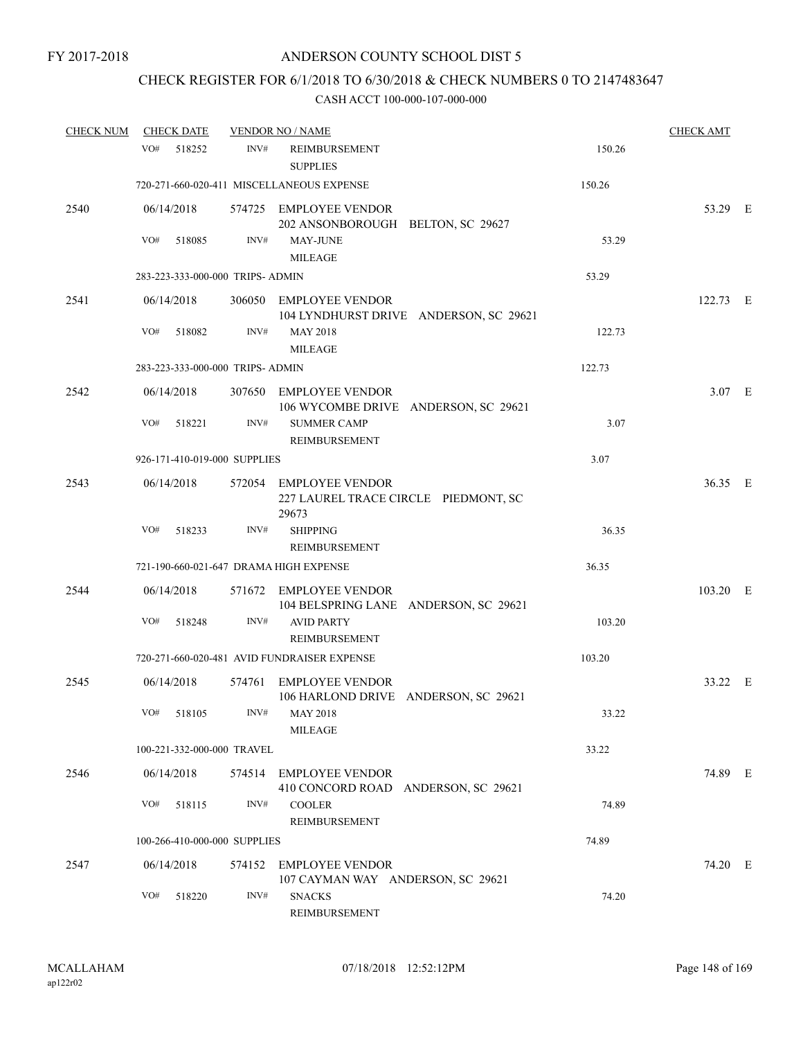## CHECK REGISTER FOR 6/1/2018 TO 6/30/2018 & CHECK NUMBERS 0 TO 2147483647

| <b>CHECK NUM</b> | <b>CHECK DATE</b>                |      | <b>VENDOR NO / NAME</b>                                       |                                        |        | <b>CHECK AMT</b> |  |
|------------------|----------------------------------|------|---------------------------------------------------------------|----------------------------------------|--------|------------------|--|
|                  | VO#<br>518252                    | INV# | <b>REIMBURSEMENT</b><br><b>SUPPLIES</b>                       |                                        | 150.26 |                  |  |
|                  |                                  |      | 720-271-660-020-411 MISCELLANEOUS EXPENSE                     |                                        | 150.26 |                  |  |
| 2540             | 06/14/2018                       |      | 574725 EMPLOYEE VENDOR<br>202 ANSONBOROUGH BELTON, SC 29627   |                                        |        | 53.29 E          |  |
|                  | VO#<br>518085                    | INV# | <b>MAY-JUNE</b><br><b>MILEAGE</b>                             |                                        | 53.29  |                  |  |
|                  | 283-223-333-000-000 TRIPS- ADMIN |      |                                                               |                                        | 53.29  |                  |  |
| 2541             | 06/14/2018<br>VO#<br>518082      | INV# | 306050 EMPLOYEE VENDOR<br><b>MAY 2018</b>                     | 104 LYNDHURST DRIVE ANDERSON, SC 29621 | 122.73 | 122.73 E         |  |
|                  |                                  |      | <b>MILEAGE</b>                                                |                                        |        |                  |  |
|                  | 283-223-333-000-000 TRIPS- ADMIN |      |                                                               |                                        | 122.73 |                  |  |
| 2542             | 06/14/2018                       |      | 307650 EMPLOYEE VENDOR                                        | 106 WYCOMBE DRIVE ANDERSON, SC 29621   |        | $3.07$ E         |  |
|                  | VO#<br>518221                    | INV# | <b>SUMMER CAMP</b><br>REIMBURSEMENT                           |                                        | 3.07   |                  |  |
|                  | 926-171-410-019-000 SUPPLIES     |      |                                                               |                                        | 3.07   |                  |  |
| 2543             | 06/14/2018                       |      | 572054 EMPLOYEE VENDOR<br>29673                               | 227 LAUREL TRACE CIRCLE PIEDMONT, SC   |        | 36.35 E          |  |
|                  | VO#<br>518233                    | INV# | <b>SHIPPING</b><br>REIMBURSEMENT                              |                                        | 36.35  |                  |  |
|                  |                                  |      | 721-190-660-021-647 DRAMA HIGH EXPENSE                        |                                        | 36.35  |                  |  |
| 2544             | 06/14/2018                       |      | 571672 EMPLOYEE VENDOR                                        | 104 BELSPRING LANE ANDERSON, SC 29621  |        | 103.20 E         |  |
|                  | VO#<br>518248                    | INV# | <b>AVID PARTY</b><br><b>REIMBURSEMENT</b>                     |                                        | 103.20 |                  |  |
|                  |                                  |      | 720-271-660-020-481 AVID FUNDRAISER EXPENSE                   |                                        | 103.20 |                  |  |
| 2545             | 06/14/2018                       |      | 574761 EMPLOYEE VENDOR                                        | 106 HARLOND DRIVE ANDERSON, SC 29621   |        | 33.22 E          |  |
|                  | VO# 518105                       |      | INV# MAY 2018<br><b>MILEAGE</b>                               |                                        | 33.22  |                  |  |
|                  | 100-221-332-000-000 TRAVEL       |      |                                                               |                                        | 33.22  |                  |  |
| 2546             | 06/14/2018                       |      | 574514 EMPLOYEE VENDOR<br>410 CONCORD ROAD ANDERSON, SC 29621 |                                        |        | 74.89 E          |  |
|                  | VO#<br>518115                    | INV# | <b>COOLER</b><br>REIMBURSEMENT                                |                                        | 74.89  |                  |  |
|                  | 100-266-410-000-000 SUPPLIES     |      |                                                               |                                        | 74.89  |                  |  |
| 2547             | 06/14/2018                       |      | 574152 EMPLOYEE VENDOR<br>107 CAYMAN WAY ANDERSON, SC 29621   |                                        |        | 74.20 E          |  |
|                  | VO#<br>518220                    | INV# | <b>SNACKS</b><br>REIMBURSEMENT                                |                                        | 74.20  |                  |  |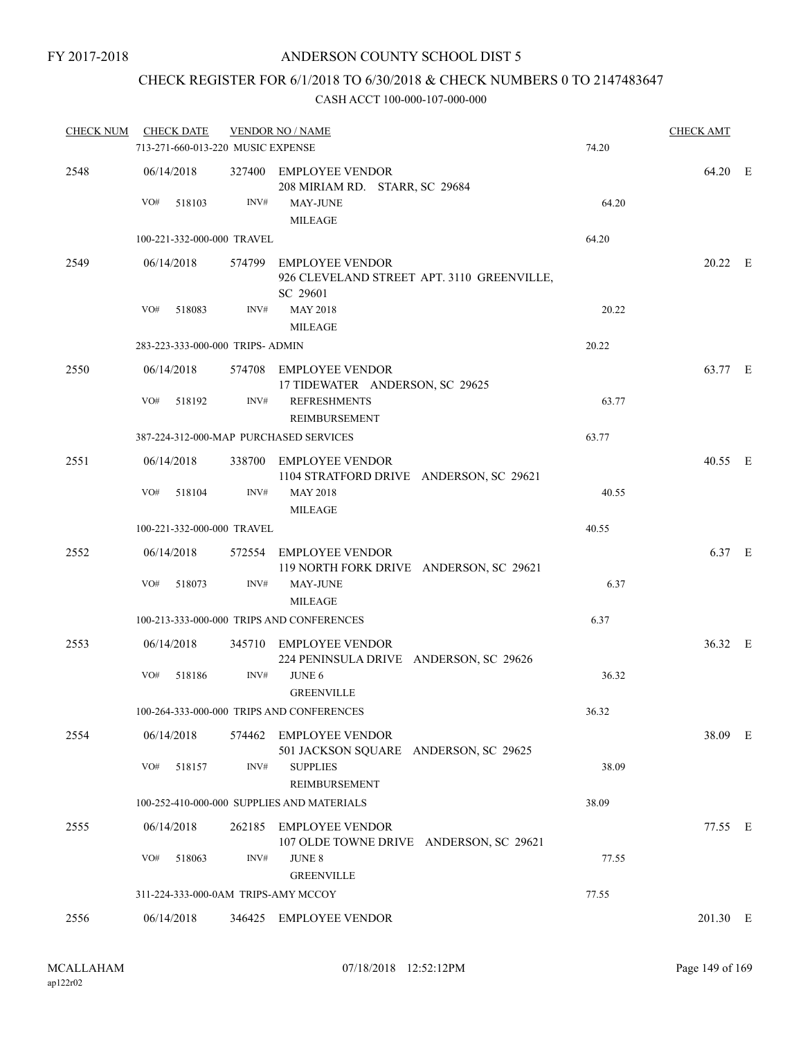### CHECK REGISTER FOR 6/1/2018 TO 6/30/2018 & CHECK NUMBERS 0 TO 2147483647

| <b>CHECK NUM</b> | <b>CHECK DATE</b>                   |        | <b>VENDOR NO / NAME</b>                                                          |       | <b>CHECK AMT</b> |  |
|------------------|-------------------------------------|--------|----------------------------------------------------------------------------------|-------|------------------|--|
|                  | 713-271-660-013-220 MUSIC EXPENSE   |        |                                                                                  | 74.20 |                  |  |
| 2548             | 06/14/2018                          |        | 327400 EMPLOYEE VENDOR<br>208 MIRIAM RD. STARR, SC 29684                         |       | 64.20 E          |  |
|                  | VO#<br>518103                       | INV#   | <b>MAY-JUNE</b><br><b>MILEAGE</b>                                                | 64.20 |                  |  |
|                  | 100-221-332-000-000 TRAVEL          |        |                                                                                  | 64.20 |                  |  |
| 2549             | 06/14/2018                          |        | 574799 EMPLOYEE VENDOR<br>926 CLEVELAND STREET APT. 3110 GREENVILLE,<br>SC 29601 |       | 20.22 E          |  |
|                  | VO#<br>518083                       | INV#   | <b>MAY 2018</b><br><b>MILEAGE</b>                                                | 20.22 |                  |  |
|                  | 283-223-333-000-000 TRIPS- ADMIN    |        |                                                                                  | 20.22 |                  |  |
| 2550             | 06/14/2018                          |        | 574708 EMPLOYEE VENDOR<br>17 TIDEWATER ANDERSON, SC 29625                        |       | 63.77 E          |  |
|                  | VO#<br>518192                       | INV#   | <b>REFRESHMENTS</b><br><b>REIMBURSEMENT</b>                                      | 63.77 |                  |  |
|                  |                                     |        | 387-224-312-000-MAP PURCHASED SERVICES                                           | 63.77 |                  |  |
| 2551             | 06/14/2018                          |        | 338700 EMPLOYEE VENDOR<br>1104 STRATFORD DRIVE ANDERSON, SC 29621                |       | 40.55 E          |  |
|                  | VO#<br>518104                       | INV#   | <b>MAY 2018</b><br><b>MILEAGE</b>                                                | 40.55 |                  |  |
|                  | 100-221-332-000-000 TRAVEL          |        |                                                                                  | 40.55 |                  |  |
| 2552             | 06/14/2018                          |        | 572554 EMPLOYEE VENDOR<br>119 NORTH FORK DRIVE ANDERSON, SC 29621                |       | 6.37 E           |  |
|                  | VO#<br>518073                       | INV#   | MAY-JUNE<br><b>MILEAGE</b>                                                       | 6.37  |                  |  |
|                  |                                     |        | 100-213-333-000-000 TRIPS AND CONFERENCES                                        | 6.37  |                  |  |
| 2553             | 06/14/2018                          |        | 345710 EMPLOYEE VENDOR<br>224 PENINSULA DRIVE ANDERSON, SC 29626                 |       | 36.32 E          |  |
|                  | VO#<br>518186                       | INV#   | <b>JUNE 6</b><br><b>GREENVILLE</b>                                               | 36.32 |                  |  |
|                  |                                     |        | 100-264-333-000-000 TRIPS AND CONFERENCES                                        | 36.32 |                  |  |
| 2554             | 06/14/2018                          |        | 574462 EMPLOYEE VENDOR<br>501 JACKSON SQUARE ANDERSON, SC 29625                  |       | 38.09 E          |  |
|                  | VO#<br>518157                       | INV#   | <b>SUPPLIES</b><br>REIMBURSEMENT                                                 | 38.09 |                  |  |
|                  |                                     |        | 100-252-410-000-000 SUPPLIES AND MATERIALS                                       | 38.09 |                  |  |
| 2555             | 06/14/2018                          |        | 262185 EMPLOYEE VENDOR<br>107 OLDE TOWNE DRIVE ANDERSON, SC 29621                |       | 77.55 E          |  |
|                  | VO#<br>518063                       | INV#   | <b>JUNE 8</b><br><b>GREENVILLE</b>                                               | 77.55 |                  |  |
|                  | 311-224-333-000-0AM TRIPS-AMY MCCOY |        |                                                                                  | 77.55 |                  |  |
| 2556             | 06/14/2018                          | 346425 | <b>EMPLOYEE VENDOR</b>                                                           |       | 201.30 E         |  |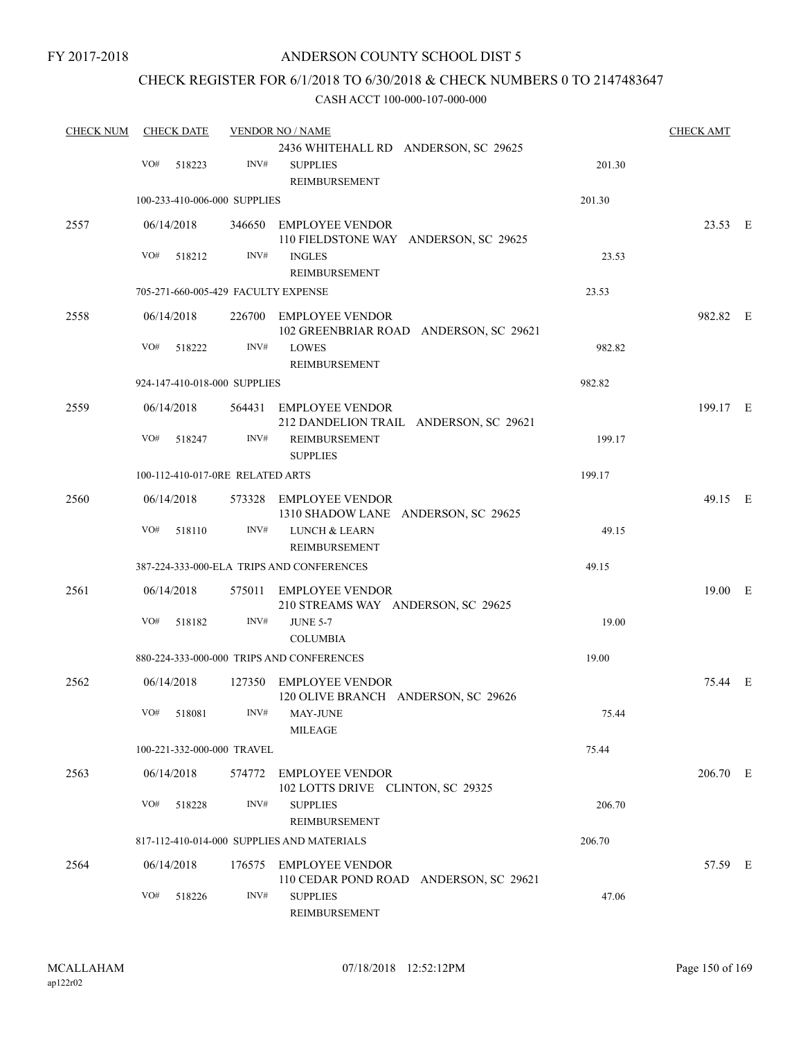### ANDERSON COUNTY SCHOOL DIST 5

### CHECK REGISTER FOR 6/1/2018 TO 6/30/2018 & CHECK NUMBERS 0 TO 2147483647

| <b>CHECK NUM</b> | <b>CHECK DATE</b>           |                                     | <b>VENDOR NO / NAME</b>                                                             |        | <b>CHECK AMT</b> |  |
|------------------|-----------------------------|-------------------------------------|-------------------------------------------------------------------------------------|--------|------------------|--|
|                  | VO#<br>518223               | INV#                                | 2436 WHITEHALL RD ANDERSON, SC 29625<br><b>SUPPLIES</b><br>REIMBURSEMENT            | 201.30 |                  |  |
|                  |                             | 100-233-410-006-000 SUPPLIES        |                                                                                     | 201.30 |                  |  |
| 2557             | 06/14/2018<br>VO#           | INV#                                | 346650 EMPLOYEE VENDOR<br>110 FIELDSTONE WAY ANDERSON, SC 29625                     |        | 23.53 E          |  |
|                  | 518212                      |                                     | <b>INGLES</b><br><b>REIMBURSEMENT</b>                                               | 23.53  |                  |  |
|                  |                             | 705-271-660-005-429 FACULTY EXPENSE |                                                                                     | 23.53  |                  |  |
| 2558             | 06/14/2018                  |                                     | 226700 EMPLOYEE VENDOR<br>102 GREENBRIAR ROAD ANDERSON, SC 29621                    |        | 982.82 E         |  |
|                  | VO#<br>518222               | INV#                                | <b>LOWES</b><br>REIMBURSEMENT                                                       | 982.82 |                  |  |
|                  |                             | 924-147-410-018-000 SUPPLIES        |                                                                                     | 982.82 |                  |  |
| 2559             | 06/14/2018                  |                                     | 564431 EMPLOYEE VENDOR<br>212 DANDELION TRAIL ANDERSON, SC 29621                    |        | 199.17 E         |  |
|                  | VO#<br>518247               | INV#                                | REIMBURSEMENT<br><b>SUPPLIES</b>                                                    | 199.17 |                  |  |
|                  |                             | 100-112-410-017-0RE RELATED ARTS    |                                                                                     | 199.17 |                  |  |
| 2560             | 06/14/2018                  |                                     | 573328 EMPLOYEE VENDOR<br>1310 SHADOW LANE ANDERSON, SC 29625                       |        | 49.15 E          |  |
|                  | VO#<br>518110               | INV#                                | <b>LUNCH &amp; LEARN</b><br>REIMBURSEMENT                                           | 49.15  |                  |  |
|                  |                             |                                     | 387-224-333-000-ELA TRIPS AND CONFERENCES                                           | 49.15  |                  |  |
| 2561             | 06/14/2018                  |                                     | 575011 EMPLOYEE VENDOR<br>210 STREAMS WAY ANDERSON, SC 29625                        |        | 19.00 E          |  |
|                  | VO#<br>518182               | INV#                                | <b>JUNE 5-7</b><br><b>COLUMBIA</b>                                                  | 19.00  |                  |  |
|                  |                             |                                     | 880-224-333-000-000 TRIPS AND CONFERENCES                                           | 19.00  |                  |  |
| 2562             | 06/14/2018                  |                                     | 127350 EMPLOYEE VENDOR<br>120 OLIVE BRANCH ANDERSON, SC 29626                       |        | 75.44 E          |  |
|                  | VO# 518081                  |                                     | INV# MAY-JUNE<br>MILEAGE                                                            | 75.44  |                  |  |
|                  |                             | 100-221-332-000-000 TRAVEL          |                                                                                     | 75.44  |                  |  |
| 2563             | 06/14/2018                  |                                     | 574772 EMPLOYEE VENDOR<br>102 LOTTS DRIVE CLINTON, SC 29325                         |        | 206.70 E         |  |
|                  | VO#<br>518228               | INV#                                | <b>SUPPLIES</b><br>REIMBURSEMENT                                                    | 206.70 |                  |  |
|                  |                             |                                     | 817-112-410-014-000 SUPPLIES AND MATERIALS                                          | 206.70 |                  |  |
| 2564             | 06/14/2018<br>VO#<br>518226 | INV#                                | 176575 EMPLOYEE VENDOR<br>110 CEDAR POND ROAD ANDERSON, SC 29621<br><b>SUPPLIES</b> | 47.06  | 57.59 E          |  |
|                  |                             |                                     | REIMBURSEMENT                                                                       |        |                  |  |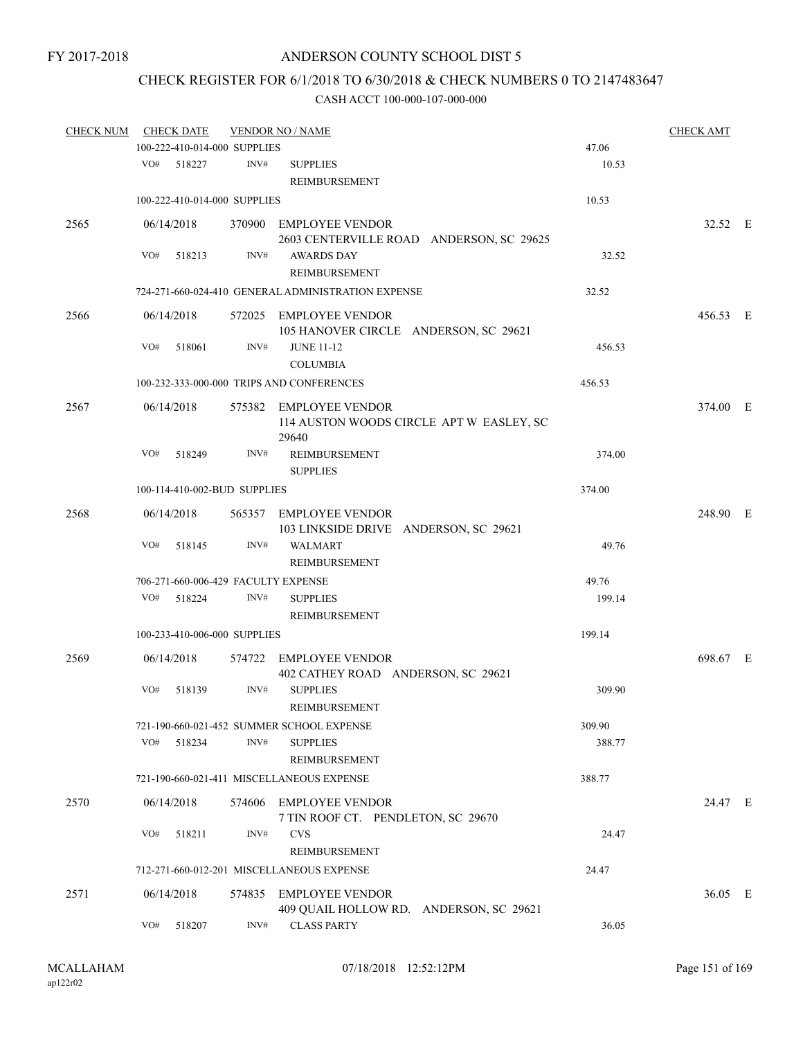## CHECK REGISTER FOR 6/1/2018 TO 6/30/2018 & CHECK NUMBERS 0 TO 2147483647

| <b>CHECK NUM</b> | <b>CHECK DATE</b>                   | <b>VENDOR NO / NAME</b> |                                                                             | <b>CHECK AMT</b> |          |  |
|------------------|-------------------------------------|-------------------------|-----------------------------------------------------------------------------|------------------|----------|--|
|                  | 100-222-410-014-000 SUPPLIES        |                         |                                                                             | 47.06            |          |  |
|                  | VO#<br>518227                       | INV#                    | <b>SUPPLIES</b><br>REIMBURSEMENT                                            | 10.53            |          |  |
|                  | 100-222-410-014-000 SUPPLIES        |                         |                                                                             | 10.53            |          |  |
| 2565             | 06/14/2018                          |                         | 370900 EMPLOYEE VENDOR<br>2603 CENTERVILLE ROAD ANDERSON, SC 29625          |                  | 32.52 E  |  |
|                  | VO#<br>518213                       | INV#                    | <b>AWARDS DAY</b><br><b>REIMBURSEMENT</b>                                   | 32.52            |          |  |
|                  |                                     |                         | 724-271-660-024-410 GENERAL ADMINISTRATION EXPENSE                          | 32.52            |          |  |
| 2566             | 06/14/2018                          |                         | 572025 EMPLOYEE VENDOR<br>105 HANOVER CIRCLE ANDERSON, SC 29621             |                  | 456.53 E |  |
|                  | VO#<br>518061                       | INV#                    | <b>JUNE 11-12</b><br><b>COLUMBIA</b>                                        | 456.53           |          |  |
|                  |                                     |                         | 100-232-333-000-000 TRIPS AND CONFERENCES                                   | 456.53           |          |  |
| 2567             | 06/14/2018                          |                         | 575382 EMPLOYEE VENDOR<br>114 AUSTON WOODS CIRCLE APT W EASLEY, SC<br>29640 |                  | 374.00 E |  |
|                  | VO#<br>518249                       | INV#                    | REIMBURSEMENT<br><b>SUPPLIES</b>                                            | 374.00           |          |  |
|                  | 100-114-410-002-BUD SUPPLIES        |                         |                                                                             | 374.00           |          |  |
| 2568             | 06/14/2018                          |                         | 565357 EMPLOYEE VENDOR<br>103 LINKSIDE DRIVE ANDERSON, SC 29621             |                  | 248.90 E |  |
|                  | VO#<br>518145                       | INV#                    | <b>WALMART</b><br>REIMBURSEMENT                                             | 49.76            |          |  |
|                  | 706-271-660-006-429 FACULTY EXPENSE |                         |                                                                             | 49.76            |          |  |
|                  | VO#<br>518224                       | INV#                    | <b>SUPPLIES</b><br>REIMBURSEMENT                                            | 199.14           |          |  |
|                  | 100-233-410-006-000 SUPPLIES        |                         |                                                                             | 199.14           |          |  |
| 2569             | 06/14/2018                          |                         | 574722 EMPLOYEE VENDOR<br>402 CATHEY ROAD ANDERSON, SC 29621                |                  | 698.67 E |  |
|                  | VO#<br>518139                       | INV#                    | <b>SUPPLIES</b><br>REIMBURSEMENT                                            | 309.90           |          |  |
|                  |                                     |                         | 721-190-660-021-452 SUMMER SCHOOL EXPENSE                                   | 309.90           |          |  |
|                  | VO#<br>518234                       | INV#                    | <b>SUPPLIES</b><br>REIMBURSEMENT                                            | 388.77           |          |  |
|                  |                                     |                         | 721-190-660-021-411 MISCELLANEOUS EXPENSE                                   | 388.77           |          |  |
| 2570             | 06/14/2018                          |                         | 574606 EMPLOYEE VENDOR<br>7 TIN ROOF CT. PENDLETON, SC 29670                |                  | 24.47 E  |  |
|                  | VO#<br>518211                       | INV#                    | <b>CVS</b><br>REIMBURSEMENT                                                 | 24.47            |          |  |
|                  |                                     |                         | 712-271-660-012-201 MISCELLANEOUS EXPENSE                                   | 24.47            |          |  |
| 2571             | 06/14/2018                          |                         | 574835 EMPLOYEE VENDOR<br>409 QUAIL HOLLOW RD. ANDERSON, SC 29621           |                  | 36.05 E  |  |
|                  | VO#<br>518207                       | INV#                    | <b>CLASS PARTY</b>                                                          | 36.05            |          |  |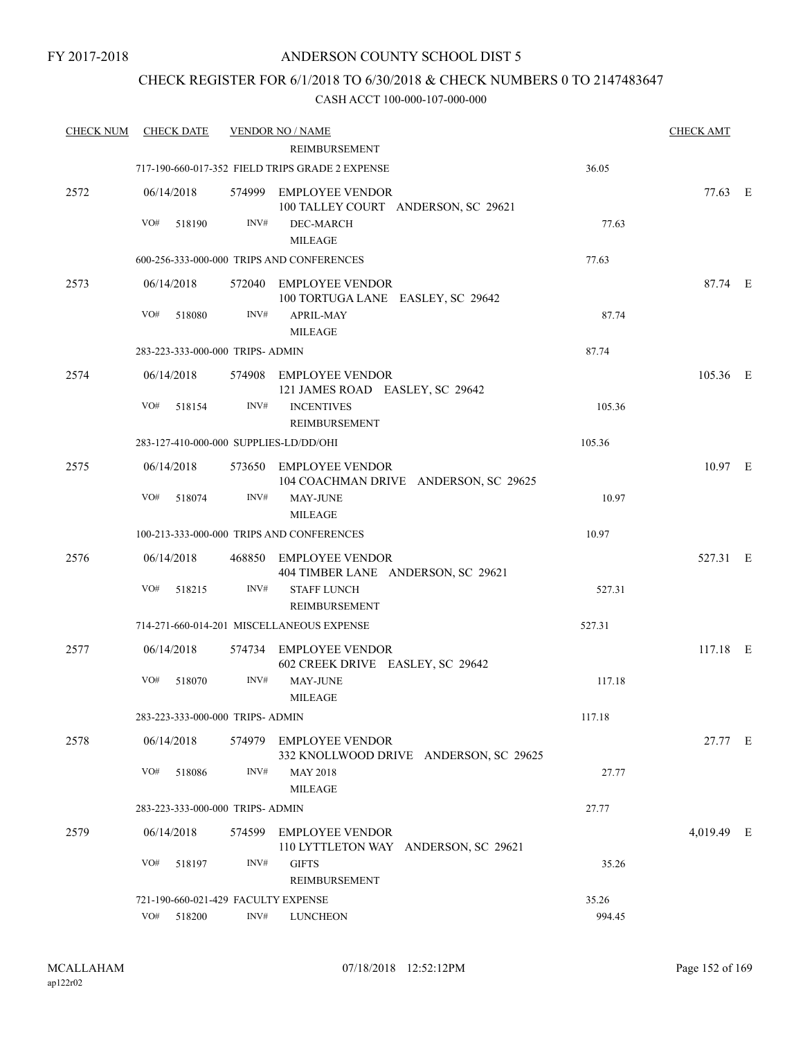### CHECK REGISTER FOR 6/1/2018 TO 6/30/2018 & CHECK NUMBERS 0 TO 2147483647

| <b>CHECK NUM</b> | <b>CHECK DATE</b>                      |        | <b>VENDOR NO / NAME</b>                                          |        | <b>CHECK AMT</b> |  |
|------------------|----------------------------------------|--------|------------------------------------------------------------------|--------|------------------|--|
|                  |                                        |        | <b>REIMBURSEMENT</b>                                             |        |                  |  |
|                  |                                        |        | 717-190-660-017-352 FIELD TRIPS GRADE 2 EXPENSE                  | 36.05  |                  |  |
| 2572             | 06/14/2018                             |        | 574999 EMPLOYEE VENDOR<br>100 TALLEY COURT ANDERSON, SC 29621    |        | 77.63 E          |  |
|                  | VO#<br>518190                          | INV#   | DEC-MARCH<br><b>MILEAGE</b>                                      | 77.63  |                  |  |
|                  |                                        |        | 600-256-333-000-000 TRIPS AND CONFERENCES                        | 77.63  |                  |  |
| 2573             | 06/14/2018                             |        | 572040 EMPLOYEE VENDOR<br>100 TORTUGA LANE EASLEY, SC 29642      |        | 87.74 E          |  |
|                  | VO#<br>518080                          | INV#   | <b>APRIL-MAY</b><br><b>MILEAGE</b>                               | 87.74  |                  |  |
|                  | 283-223-333-000-000 TRIPS- ADMIN       |        |                                                                  | 87.74  |                  |  |
| 2574             | 06/14/2018                             |        | 574908 EMPLOYEE VENDOR<br>121 JAMES ROAD EASLEY, SC 29642        |        | 105.36 E         |  |
|                  | VO#<br>518154                          | INV#   | <b>INCENTIVES</b><br><b>REIMBURSEMENT</b>                        | 105.36 |                  |  |
|                  | 283-127-410-000-000 SUPPLIES-LD/DD/OHI |        |                                                                  | 105.36 |                  |  |
| 2575             | 06/14/2018                             |        | 573650 EMPLOYEE VENDOR<br>104 COACHMAN DRIVE ANDERSON, SC 29625  |        | $10.97$ E        |  |
|                  | VO#<br>518074                          | INV#   | <b>MAY-JUNE</b><br><b>MILEAGE</b>                                | 10.97  |                  |  |
|                  |                                        |        | 100-213-333-000-000 TRIPS AND CONFERENCES                        | 10.97  |                  |  |
| 2576             | 06/14/2018                             |        | 468850 EMPLOYEE VENDOR<br>404 TIMBER LANE ANDERSON, SC 29621     |        | 527.31 E         |  |
|                  | VO#<br>518215                          | INV#   | <b>STAFF LUNCH</b><br><b>REIMBURSEMENT</b>                       | 527.31 |                  |  |
|                  |                                        |        | 714-271-660-014-201 MISCELLANEOUS EXPENSE                        | 527.31 |                  |  |
| 2577             | 06/14/2018                             |        | 574734 EMPLOYEE VENDOR<br>602 CREEK DRIVE EASLEY, SC 29642       |        | $117.18$ E       |  |
|                  | VO#<br>518070                          | INV#   | <b>MAY-JUNE</b><br><b>MILEAGE</b>                                | 117.18 |                  |  |
|                  | 283-223-333-000-000 TRIPS- ADMIN       |        |                                                                  | 117.18 |                  |  |
| 2578             | 06/14/2018                             | 574979 | <b>EMPLOYEE VENDOR</b><br>332 KNOLLWOOD DRIVE ANDERSON, SC 29625 |        | 27.77 E          |  |
|                  | VO#<br>518086                          | INV#   | <b>MAY 2018</b><br><b>MILEAGE</b>                                | 27.77  |                  |  |
|                  | 283-223-333-000-000 TRIPS- ADMIN       |        |                                                                  | 27.77  |                  |  |
| 2579             | 06/14/2018                             | 574599 | <b>EMPLOYEE VENDOR</b><br>110 LYTTLETON WAY ANDERSON, SC 29621   |        | 4,019.49 E       |  |
|                  | VO#<br>518197                          | INV#   | <b>GIFTS</b><br>REIMBURSEMENT                                    | 35.26  |                  |  |
|                  | 721-190-660-021-429 FACULTY EXPENSE    |        |                                                                  | 35.26  |                  |  |
|                  | VO#<br>518200                          | INV#   | <b>LUNCHEON</b>                                                  | 994.45 |                  |  |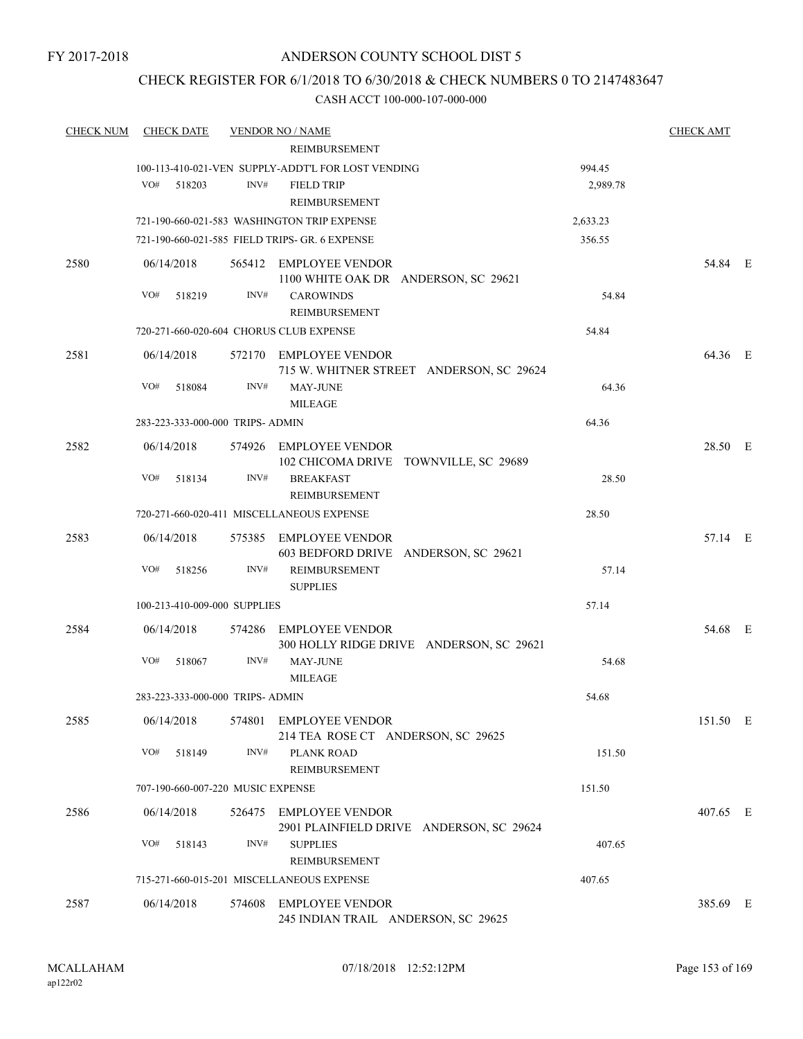### ANDERSON COUNTY SCHOOL DIST 5

### CHECK REGISTER FOR 6/1/2018 TO 6/30/2018 & CHECK NUMBERS 0 TO 2147483647

| <b>CHECK NUM</b> | <b>CHECK DATE</b>                       |        | <b>VENDOR NO / NAME</b>                                       |          | <b>CHECK AMT</b> |  |
|------------------|-----------------------------------------|--------|---------------------------------------------------------------|----------|------------------|--|
|                  |                                         |        | REIMBURSEMENT                                                 |          |                  |  |
|                  |                                         |        | 100-113-410-021-VEN SUPPLY-ADDT'L FOR LOST VENDING            | 994.45   |                  |  |
|                  | VO#<br>518203                           | INV#   | <b>FIELD TRIP</b>                                             | 2,989.78 |                  |  |
|                  |                                         |        | REIMBURSEMENT                                                 |          |                  |  |
|                  |                                         |        | 721-190-660-021-583 WASHINGTON TRIP EXPENSE                   | 2,633.23 |                  |  |
|                  |                                         |        | 721-190-660-021-585 FIELD TRIPS- GR. 6 EXPENSE                | 356.55   |                  |  |
| 2580             | 06/14/2018                              |        | 565412 EMPLOYEE VENDOR                                        |          | 54.84 E          |  |
|                  |                                         |        | 1100 WHITE OAK DR ANDERSON, SC 29621                          |          |                  |  |
|                  | VO#<br>518219                           | INV#   | <b>CAROWINDS</b>                                              | 54.84    |                  |  |
|                  |                                         |        | REIMBURSEMENT                                                 |          |                  |  |
|                  | 720-271-660-020-604 CHORUS CLUB EXPENSE |        |                                                               | 54.84    |                  |  |
| 2581             | 06/14/2018                              |        | 572170 EMPLOYEE VENDOR                                        |          | 64.36 E          |  |
|                  |                                         |        | 715 W. WHITNER STREET ANDERSON, SC 29624                      |          |                  |  |
|                  | VO#<br>518084                           | INV#   | <b>MAY-JUNE</b>                                               | 64.36    |                  |  |
|                  |                                         |        | <b>MILEAGE</b>                                                |          |                  |  |
|                  | 283-223-333-000-000 TRIPS- ADMIN        |        |                                                               | 64.36    |                  |  |
| 2582             | 06/14/2018                              |        | 574926 EMPLOYEE VENDOR                                        |          | 28.50 E          |  |
|                  |                                         |        | 102 CHICOMA DRIVE TOWNVILLE, SC 29689                         |          |                  |  |
|                  | VO#<br>518134                           | INV#   | <b>BREAKFAST</b>                                              | 28.50    |                  |  |
|                  |                                         |        | <b>REIMBURSEMENT</b>                                          |          |                  |  |
|                  |                                         |        | 720-271-660-020-411 MISCELLANEOUS EXPENSE                     | 28.50    |                  |  |
| 2583             | 06/14/2018                              |        | 575385 EMPLOYEE VENDOR                                        |          | 57.14 E          |  |
|                  |                                         |        | 603 BEDFORD DRIVE ANDERSON, SC 29621                          |          |                  |  |
|                  | VO#<br>518256                           | INV#   | REIMBURSEMENT                                                 | 57.14    |                  |  |
|                  |                                         |        | <b>SUPPLIES</b>                                               |          |                  |  |
|                  | 100-213-410-009-000 SUPPLIES            |        |                                                               | 57.14    |                  |  |
| 2584             | 06/14/2018                              | 574286 | EMPLOYEE VENDOR                                               |          | 54.68 E          |  |
|                  |                                         |        | 300 HOLLY RIDGE DRIVE ANDERSON, SC 29621                      |          |                  |  |
|                  | VO#<br>518067                           | INV#   | MAY-JUNE                                                      | 54.68    |                  |  |
|                  |                                         |        | <b>MILEAGE</b>                                                |          |                  |  |
|                  | 283-223-333-000-000 TRIPS- ADMIN        |        |                                                               | 54.68    |                  |  |
| 2585             | 06/14/2018                              |        | 574801 EMPLOYEE VENDOR                                        |          | 151.50 E         |  |
|                  |                                         |        | 214 TEA ROSE CT ANDERSON, SC 29625                            |          |                  |  |
|                  | VO#<br>518149                           | INV#   | PLANK ROAD<br>REIMBURSEMENT                                   | 151.50   |                  |  |
|                  | 707-190-660-007-220 MUSIC EXPENSE       |        |                                                               | 151.50   |                  |  |
|                  |                                         |        |                                                               |          |                  |  |
| 2586             | 06/14/2018                              |        | 526475 EMPLOYEE VENDOR                                        |          | 407.65 E         |  |
|                  | VO#<br>518143                           | INV#   | 2901 PLAINFIELD DRIVE ANDERSON, SC 29624<br><b>SUPPLIES</b>   | 407.65   |                  |  |
|                  |                                         |        | REIMBURSEMENT                                                 |          |                  |  |
|                  |                                         |        | 715-271-660-015-201 MISCELLANEOUS EXPENSE                     | 407.65   |                  |  |
|                  |                                         |        |                                                               |          |                  |  |
| 2587             | 06/14/2018                              |        | 574608 EMPLOYEE VENDOR<br>245 INDIAN TRAIL ANDERSON, SC 29625 |          | 385.69 E         |  |
|                  |                                         |        |                                                               |          |                  |  |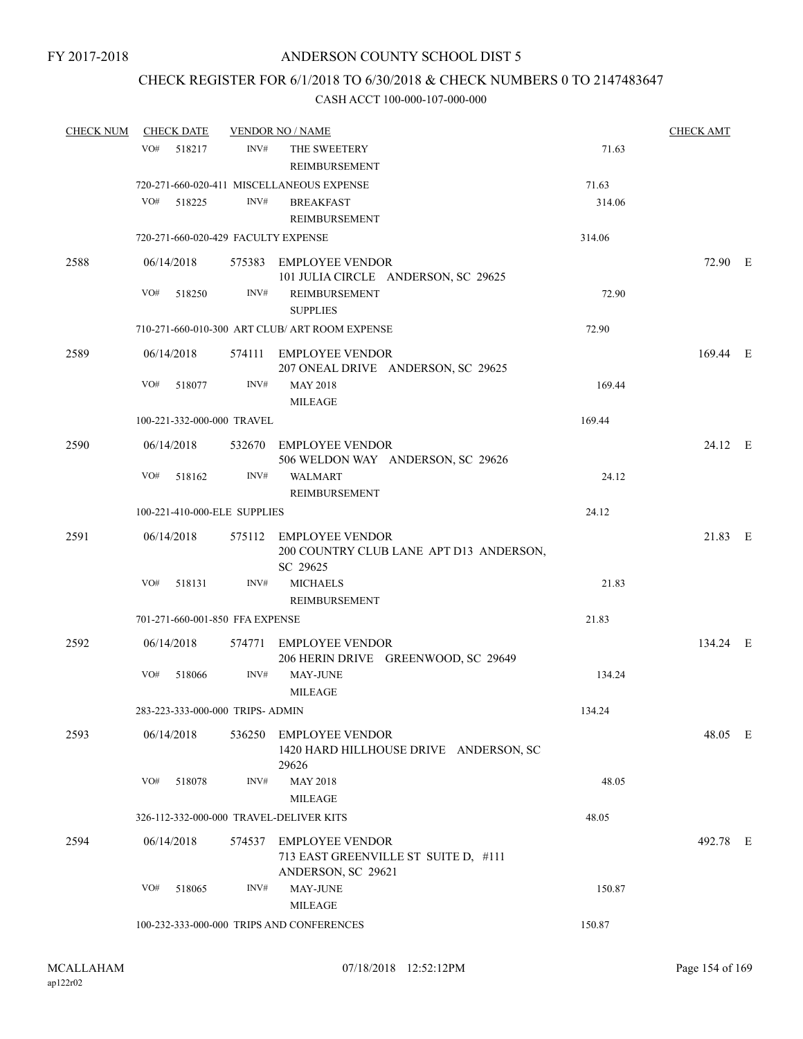### CHECK REGISTER FOR 6/1/2018 TO 6/30/2018 & CHECK NUMBERS 0 TO 2147483647

| <b>CHECK NUM</b> | <b>CHECK DATE</b>                       | <b>VENDOR NO / NAME</b> |                                                                               |        | <b>CHECK AMT</b> |  |
|------------------|-----------------------------------------|-------------------------|-------------------------------------------------------------------------------|--------|------------------|--|
|                  | VO#<br>518217                           | INV#                    | THE SWEETERY<br>REIMBURSEMENT                                                 | 71.63  |                  |  |
|                  |                                         |                         | 720-271-660-020-411 MISCELLANEOUS EXPENSE                                     | 71.63  |                  |  |
|                  | VO#<br>518225                           | INV#                    | <b>BREAKFAST</b><br>REIMBURSEMENT                                             | 314.06 |                  |  |
|                  | 720-271-660-020-429 FACULTY EXPENSE     |                         |                                                                               | 314.06 |                  |  |
| 2588             | 06/14/2018                              |                         | 575383 EMPLOYEE VENDOR                                                        |        | 72.90 E          |  |
|                  |                                         |                         | 101 JULIA CIRCLE ANDERSON, SC 29625                                           |        |                  |  |
|                  | VO#<br>518250                           | INV#                    | <b>REIMBURSEMENT</b><br><b>SUPPLIES</b>                                       | 72.90  |                  |  |
|                  |                                         |                         | 710-271-660-010-300 ART CLUB/ ART ROOM EXPENSE                                | 72.90  |                  |  |
| 2589             | 06/14/2018                              |                         | 574111 EMPLOYEE VENDOR<br>207 ONEAL DRIVE ANDERSON, SC 29625                  |        | 169.44 E         |  |
|                  | VO#<br>518077                           | INV#                    | <b>MAY 2018</b><br><b>MILEAGE</b>                                             | 169.44 |                  |  |
|                  | 100-221-332-000-000 TRAVEL              |                         |                                                                               | 169.44 |                  |  |
|                  |                                         |                         |                                                                               |        |                  |  |
| 2590             | 06/14/2018                              |                         | 532670 EMPLOYEE VENDOR<br>506 WELDON WAY ANDERSON, SC 29626                   |        | 24.12 E          |  |
|                  | VO#<br>518162                           | INV#                    | <b>WALMART</b><br>REIMBURSEMENT                                               | 24.12  |                  |  |
|                  | 100-221-410-000-ELE SUPPLIES            |                         |                                                                               | 24.12  |                  |  |
|                  |                                         |                         |                                                                               |        |                  |  |
| 2591             | 06/14/2018                              |                         | 575112 EMPLOYEE VENDOR<br>200 COUNTRY CLUB LANE APT D13 ANDERSON,<br>SC 29625 |        | 21.83 E          |  |
|                  | 518131<br>VO#                           | INV#                    | <b>MICHAELS</b>                                                               | 21.83  |                  |  |
|                  |                                         |                         | REIMBURSEMENT                                                                 |        |                  |  |
|                  | 701-271-660-001-850 FFA EXPENSE         |                         |                                                                               | 21.83  |                  |  |
| 2592             | 06/14/2018                              |                         | 574771 EMPLOYEE VENDOR<br>206 HERIN DRIVE GREENWOOD, SC 29649                 |        | 134.24 E         |  |
|                  | VO#<br>518066                           | INV#                    | <b>MAY-JUNE</b><br><b>MILEAGE</b>                                             | 134.24 |                  |  |
|                  | 283-223-333-000-000 TRIPS- ADMIN        |                         |                                                                               | 134.24 |                  |  |
| 2593             | 06/14/2018                              |                         | 536250 EMPLOYEE VENDOR<br>1420 HARD HILLHOUSE DRIVE ANDERSON, SC              |        | 48.05 E          |  |
|                  | VO#<br>518078                           | INV#                    | 29626<br><b>MAY 2018</b>                                                      | 48.05  |                  |  |
|                  |                                         |                         | <b>MILEAGE</b>                                                                |        |                  |  |
|                  | 326-112-332-000-000 TRAVEL-DELIVER KITS |                         |                                                                               | 48.05  |                  |  |
| 2594             | 06/14/2018                              |                         | 574537 EMPLOYEE VENDOR<br>713 EAST GREENVILLE ST SUITE D, #111                |        | 492.78 E         |  |
|                  | VO#<br>518065                           | INV#                    | ANDERSON, SC 29621<br><b>MAY-JUNE</b>                                         | 150.87 |                  |  |
|                  |                                         |                         | <b>MILEAGE</b>                                                                |        |                  |  |
|                  |                                         |                         | 100-232-333-000-000 TRIPS AND CONFERENCES                                     | 150.87 |                  |  |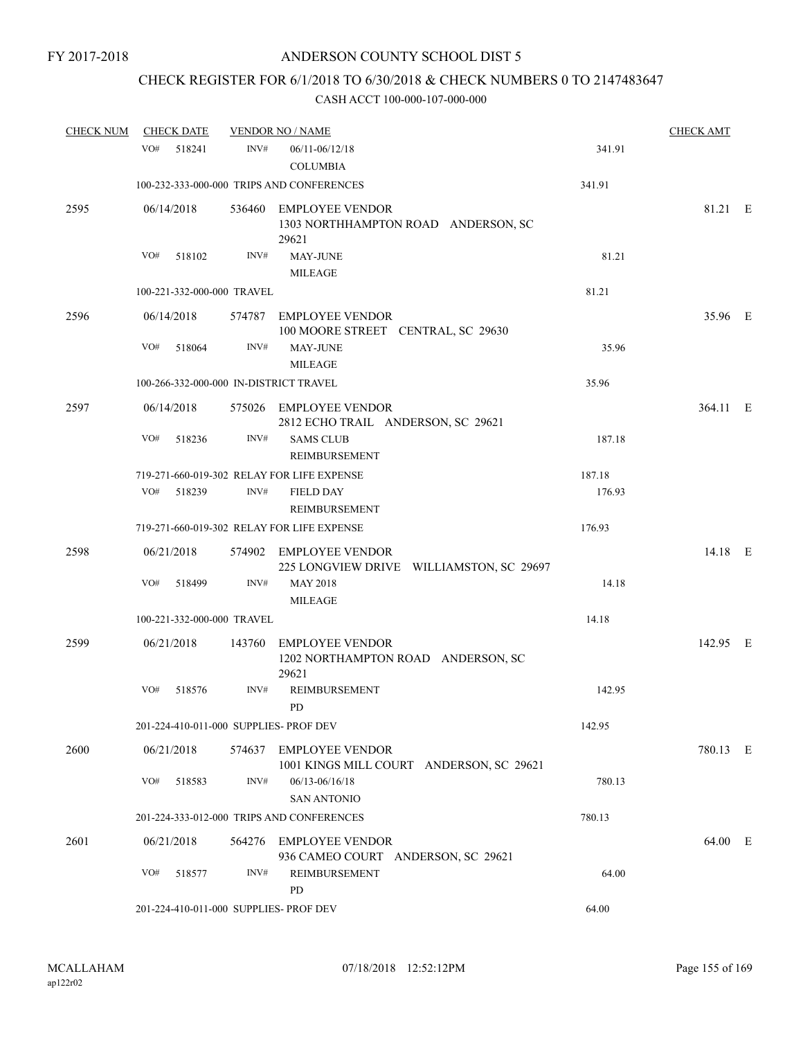## CHECK REGISTER FOR 6/1/2018 TO 6/30/2018 & CHECK NUMBERS 0 TO 2147483647

| <b>CHECK NUM</b> |     | <b>CHECK DATE</b> |                            | <b>VENDOR NO / NAME</b>                                                |        | <b>CHECK AMT</b> |  |
|------------------|-----|-------------------|----------------------------|------------------------------------------------------------------------|--------|------------------|--|
|                  | VO# | 518241            | INV#                       | 06/11-06/12/18<br><b>COLUMBIA</b>                                      | 341.91 |                  |  |
|                  |     |                   |                            | 100-232-333-000-000 TRIPS AND CONFERENCES                              | 341.91 |                  |  |
| 2595             |     | 06/14/2018        |                            | 536460 EMPLOYEE VENDOR<br>1303 NORTHHAMPTON ROAD ANDERSON, SC<br>29621 |        | 81.21 E          |  |
|                  | VO# | 518102            | INV#                       | <b>MAY-JUNE</b><br><b>MILEAGE</b>                                      | 81.21  |                  |  |
|                  |     |                   | 100-221-332-000-000 TRAVEL |                                                                        | 81.21  |                  |  |
| 2596             |     | 06/14/2018        |                            | 574787 EMPLOYEE VENDOR<br>100 MOORE STREET CENTRAL, SC 29630           |        | 35.96 E          |  |
|                  | VO# | 518064            | INV#                       | MAY-JUNE<br><b>MILEAGE</b>                                             | 35.96  |                  |  |
|                  |     |                   |                            | 100-266-332-000-000 IN-DISTRICT TRAVEL                                 | 35.96  |                  |  |
| 2597             |     | 06/14/2018        |                            | 575026 EMPLOYEE VENDOR<br>2812 ECHO TRAIL ANDERSON, SC 29621           |        | 364.11 E         |  |
|                  | VO# | 518236            | INV#                       | <b>SAMS CLUB</b><br>REIMBURSEMENT                                      | 187.18 |                  |  |
|                  |     |                   |                            | 719-271-660-019-302 RELAY FOR LIFE EXPENSE                             | 187.18 |                  |  |
|                  |     | VO# 518239        | INV#                       | <b>FIELD DAY</b><br>REIMBURSEMENT                                      | 176.93 |                  |  |
|                  |     |                   |                            | 719-271-660-019-302 RELAY FOR LIFE EXPENSE                             | 176.93 |                  |  |
| 2598             |     | 06/21/2018        |                            | 574902 EMPLOYEE VENDOR<br>225 LONGVIEW DRIVE WILLIAMSTON, SC 29697     |        | 14.18 E          |  |
|                  | VO# | 518499            | INV#                       | <b>MAY 2018</b><br><b>MILEAGE</b>                                      | 14.18  |                  |  |
|                  |     |                   | 100-221-332-000-000 TRAVEL |                                                                        | 14.18  |                  |  |
| 2599             |     | 06/21/2018        | 143760                     | EMPLOYEE VENDOR<br>1202 NORTHAMPTON ROAD ANDERSON, SC<br>29621         |        | 142.95 E         |  |
|                  | VO# | 518576            | INV#                       | REIMBURSEMENT<br><b>PD</b>                                             | 142.95 |                  |  |
|                  |     |                   |                            | 201-224-410-011-000 SUPPLIES- PROF DEV                                 | 142.95 |                  |  |
| 2600             |     | 06/21/2018        |                            | 574637 EMPLOYEE VENDOR<br>1001 KINGS MILL COURT ANDERSON, SC 29621     |        | 780.13 E         |  |
|                  | VO# | 518583            | INV#                       | 06/13-06/16/18<br><b>SAN ANTONIO</b>                                   | 780.13 |                  |  |
|                  |     |                   |                            | 201-224-333-012-000 TRIPS AND CONFERENCES                              | 780.13 |                  |  |
| 2601             |     | 06/21/2018        | 564276                     | EMPLOYEE VENDOR<br>936 CAMEO COURT ANDERSON, SC 29621                  |        | 64.00 E          |  |
|                  | VO# | 518577            | INV#                       | <b>REIMBURSEMENT</b><br>PD                                             | 64.00  |                  |  |
|                  |     |                   |                            | 201-224-410-011-000 SUPPLIES- PROF DEV                                 | 64.00  |                  |  |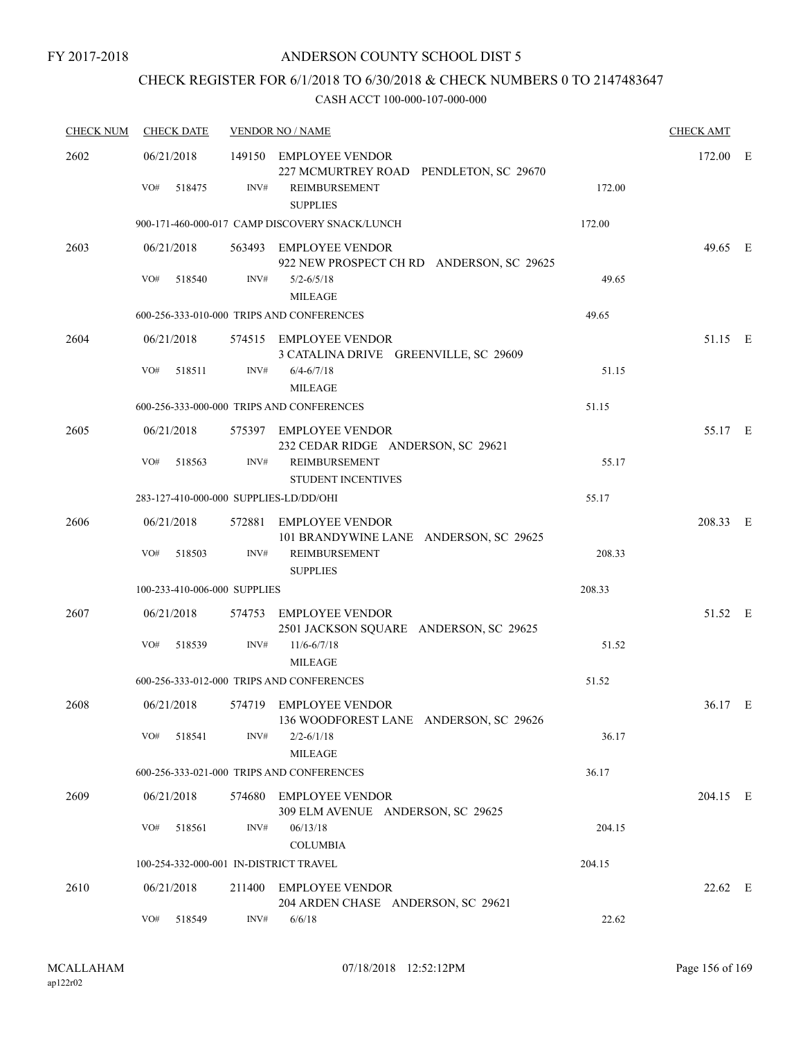## CHECK REGISTER FOR 6/1/2018 TO 6/30/2018 & CHECK NUMBERS 0 TO 2147483647

| <b>CHECK NUM</b> | <b>CHECK DATE</b>                      |        | <b>VENDOR NO / NAME</b>                                                                              |        |          |  |
|------------------|----------------------------------------|--------|------------------------------------------------------------------------------------------------------|--------|----------|--|
| 2602             | 06/21/2018<br>VO#<br>518475            | INV#   | 149150 EMPLOYEE VENDOR<br>227 MCMURTREY ROAD PENDLETON, SC 29670<br>REIMBURSEMENT<br><b>SUPPLIES</b> | 172.00 | 172.00 E |  |
|                  |                                        |        | 900-171-460-000-017 CAMP DISCOVERY SNACK/LUNCH                                                       | 172.00 |          |  |
| 2603             | 06/21/2018                             |        | 563493 EMPLOYEE VENDOR<br>922 NEW PROSPECT CH RD ANDERSON, SC 29625                                  |        | 49.65 E  |  |
|                  | VO#<br>518540                          | INV#   | $5/2 - 6/5/18$<br><b>MILEAGE</b>                                                                     | 49.65  |          |  |
|                  |                                        |        | 600-256-333-010-000 TRIPS AND CONFERENCES                                                            | 49.65  |          |  |
| 2604             | 06/21/2018                             |        | 574515 EMPLOYEE VENDOR<br>3 CATALINA DRIVE GREENVILLE, SC 29609                                      |        | 51.15 E  |  |
|                  | VO#<br>518511                          | INV#   | $6/4 - 6/7/18$<br><b>MILEAGE</b>                                                                     | 51.15  |          |  |
|                  |                                        |        | 600-256-333-000-000 TRIPS AND CONFERENCES                                                            | 51.15  |          |  |
| 2605             | 06/21/2018                             |        | 575397 EMPLOYEE VENDOR<br>232 CEDAR RIDGE ANDERSON, SC 29621                                         |        | 55.17 E  |  |
|                  | VO#<br>518563                          | INV#   | <b>REIMBURSEMENT</b><br><b>STUDENT INCENTIVES</b>                                                    | 55.17  |          |  |
|                  | 283-127-410-000-000 SUPPLIES-LD/DD/OHI |        |                                                                                                      | 55.17  |          |  |
| 2606             | 06/21/2018<br>VO#<br>518503            | INV#   | 572881 EMPLOYEE VENDOR<br>101 BRANDYWINE LANE ANDERSON, SC 29625<br><b>REIMBURSEMENT</b>             | 208.33 | 208.33 E |  |
|                  |                                        |        | <b>SUPPLIES</b>                                                                                      |        |          |  |
|                  | 100-233-410-006-000 SUPPLIES           |        |                                                                                                      | 208.33 |          |  |
| 2607             | 06/21/2018                             | 574753 | EMPLOYEE VENDOR<br>2501 JACKSON SQUARE ANDERSON, SC 29625                                            |        | 51.52 E  |  |
|                  | VO#<br>518539                          | INV#   | $11/6 - 6/7/18$<br><b>MILEAGE</b>                                                                    | 51.52  |          |  |
|                  |                                        |        | 600-256-333-012-000 TRIPS AND CONFERENCES                                                            | 51.52  |          |  |
| 2608             | 06/21/2018                             |        | 574719 EMPLOYEE VENDOR<br>136 WOODFOREST LANE ANDERSON, SC 29626                                     |        | 36.17 E  |  |
|                  | VO#<br>518541                          | INV#   | $2/2 - 6/1/18$<br><b>MILEAGE</b>                                                                     | 36.17  |          |  |
|                  |                                        |        | 600-256-333-021-000 TRIPS AND CONFERENCES                                                            | 36.17  |          |  |
| 2609             | 06/21/2018                             |        | 574680 EMPLOYEE VENDOR<br>309 ELM AVENUE ANDERSON, SC 29625                                          |        | 204.15 E |  |
|                  | VO#<br>518561                          | INV#   | 06/13/18<br><b>COLUMBIA</b>                                                                          | 204.15 |          |  |
|                  | 100-254-332-000-001 IN-DISTRICT TRAVEL |        |                                                                                                      | 204.15 |          |  |
| 2610             | 06/21/2018                             | 211400 | <b>EMPLOYEE VENDOR</b><br>204 ARDEN CHASE ANDERSON, SC 29621                                         |        | 22.62 E  |  |
|                  | VO#<br>518549                          | INV#   | 6/6/18                                                                                               | 22.62  |          |  |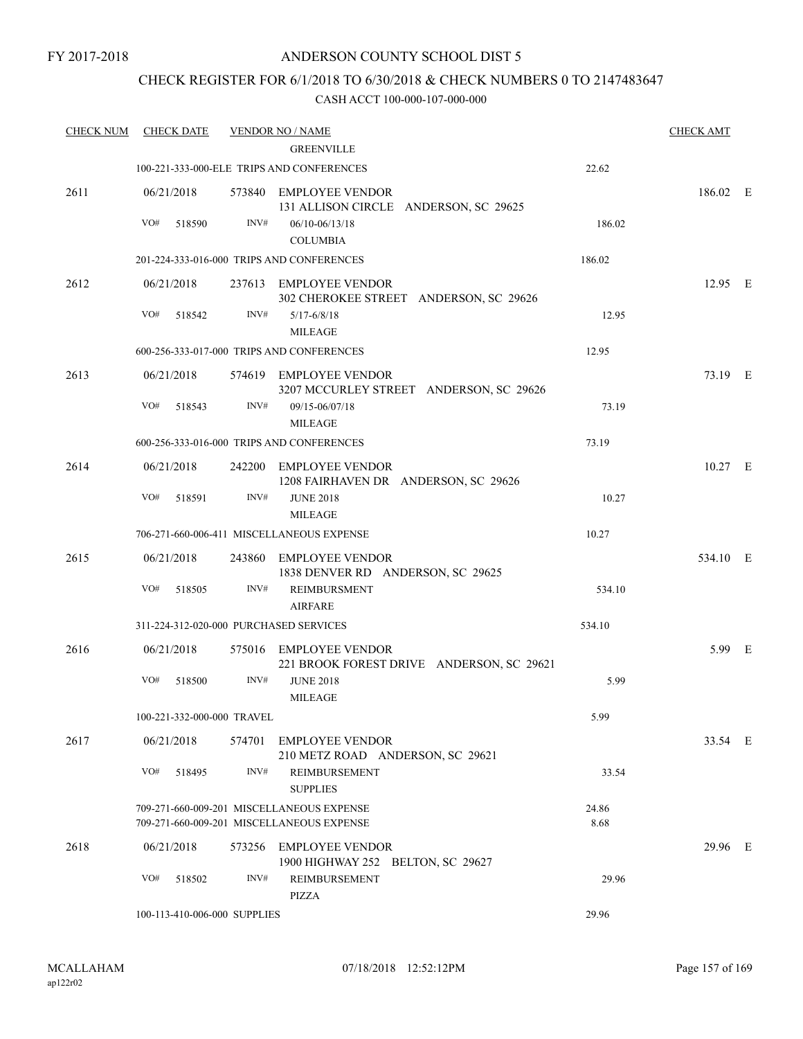### CHECK REGISTER FOR 6/1/2018 TO 6/30/2018 & CHECK NUMBERS 0 TO 2147483647

| <b>CHECK NUM</b> | <b>CHECK DATE</b>                      |        | <b>VENDOR NO / NAME</b>                                                                |               | <b>CHECK AMT</b> |  |
|------------------|----------------------------------------|--------|----------------------------------------------------------------------------------------|---------------|------------------|--|
|                  |                                        |        | <b>GREENVILLE</b>                                                                      |               |                  |  |
|                  |                                        |        | 100-221-333-000-ELE TRIPS AND CONFERENCES                                              | 22.62         |                  |  |
| 2611             | 06/21/2018                             |        | 573840 EMPLOYEE VENDOR<br>131 ALLISON CIRCLE ANDERSON, SC 29625                        |               | 186.02 E         |  |
|                  | VO#<br>518590                          | INV#   | 06/10-06/13/18                                                                         | 186.02        |                  |  |
|                  |                                        |        | <b>COLUMBIA</b>                                                                        |               |                  |  |
|                  |                                        |        | 201-224-333-016-000 TRIPS AND CONFERENCES                                              | 186.02        |                  |  |
| 2612             | 06/21/2018                             |        | 237613 EMPLOYEE VENDOR<br>302 CHEROKEE STREET ANDERSON, SC 29626                       |               | 12.95 E          |  |
|                  | VO#<br>518542                          | INV#   | $5/17 - 6/8/18$<br><b>MILEAGE</b>                                                      | 12.95         |                  |  |
|                  |                                        |        | 600-256-333-017-000 TRIPS AND CONFERENCES                                              | 12.95         |                  |  |
| 2613             | 06/21/2018                             |        | 574619 EMPLOYEE VENDOR<br>3207 MCCURLEY STREET ANDERSON, SC 29626                      |               | 73.19 E          |  |
|                  | VO#<br>518543                          | INV#   | 09/15-06/07/18<br><b>MILEAGE</b>                                                       | 73.19         |                  |  |
|                  |                                        |        | 600-256-333-016-000 TRIPS AND CONFERENCES                                              | 73.19         |                  |  |
| 2614             | 06/21/2018                             |        | 242200 EMPLOYEE VENDOR<br>1208 FAIRHAVEN DR ANDERSON, SC 29626                         |               | $10.27$ E        |  |
|                  | VO#<br>518591                          | INV#   | <b>JUNE 2018</b><br><b>MILEAGE</b>                                                     | 10.27         |                  |  |
|                  |                                        |        | 706-271-660-006-411 MISCELLANEOUS EXPENSE                                              | 10.27         |                  |  |
| 2615             | 06/21/2018                             |        | 243860 EMPLOYEE VENDOR<br>1838 DENVER RD ANDERSON, SC 29625                            |               | 534.10 E         |  |
|                  | VO#<br>518505                          | INV#   | <b>REIMBURSMENT</b><br><b>AIRFARE</b>                                                  | 534.10        |                  |  |
|                  | 311-224-312-020-000 PURCHASED SERVICES |        |                                                                                        | 534.10        |                  |  |
| 2616             | 06/21/2018                             |        | 575016 EMPLOYEE VENDOR<br>221 BROOK FOREST DRIVE ANDERSON, SC 29621                    |               | 5.99 E           |  |
|                  | VO#<br>518500                          | INV#   | <b>JUNE 2018</b><br><b>MILEAGE</b>                                                     | 5.99          |                  |  |
|                  | 100-221-332-000-000 TRAVEL             |        |                                                                                        | 5.99          |                  |  |
| 2617             | 06/21/2018                             | 574701 | <b>EMPLOYEE VENDOR</b><br>210 METZ ROAD ANDERSON, SC 29621                             |               | 33.54 E          |  |
|                  | VO#<br>518495                          | INV#   | REIMBURSEMENT<br><b>SUPPLIES</b>                                                       | 33.54         |                  |  |
|                  |                                        |        | 709-271-660-009-201 MISCELLANEOUS EXPENSE<br>709-271-660-009-201 MISCELLANEOUS EXPENSE | 24.86<br>8.68 |                  |  |
| 2618             | 06/21/2018                             |        | 573256 EMPLOYEE VENDOR<br>1900 HIGHWAY 252 BELTON, SC 29627                            |               | 29.96 E          |  |
|                  | VO#<br>518502                          | INV#   | <b>REIMBURSEMENT</b><br><b>PIZZA</b>                                                   | 29.96         |                  |  |
|                  | 100-113-410-006-000 SUPPLIES           |        |                                                                                        | 29.96         |                  |  |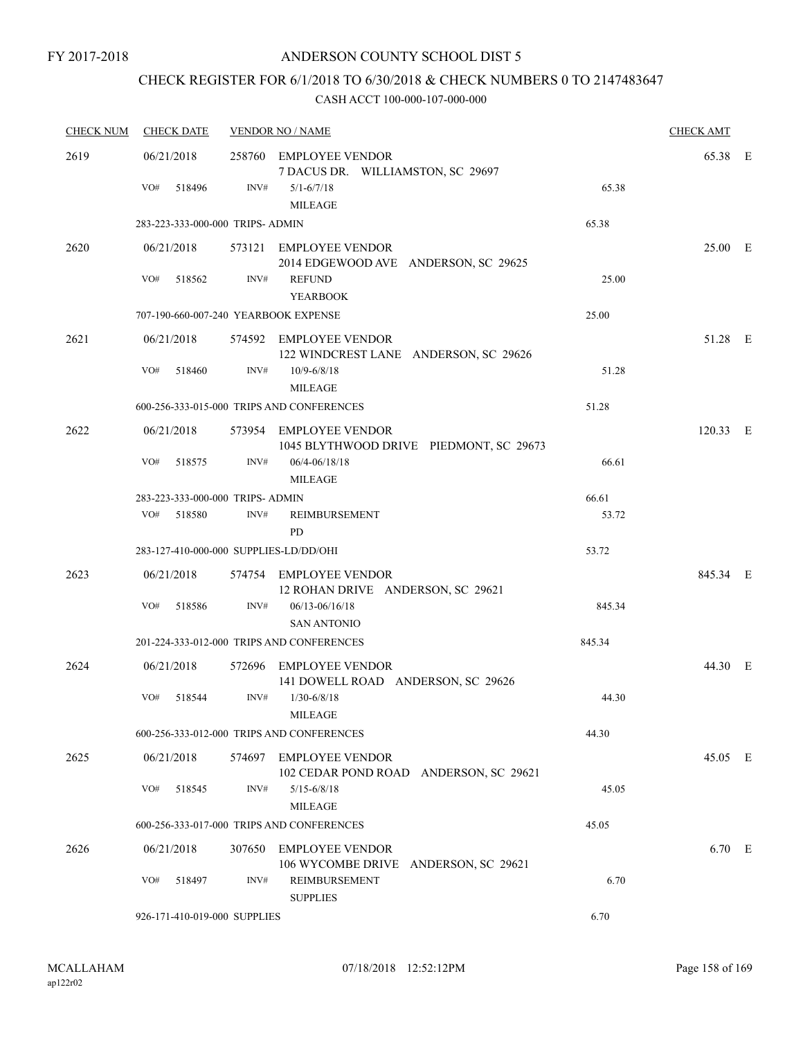## CHECK REGISTER FOR 6/1/2018 TO 6/30/2018 & CHECK NUMBERS 0 TO 2147483647

| <b>CHECK NUM</b> | <b>CHECK DATE</b>                      |      | <b>VENDOR NO / NAME</b>                                           |        |          |  |  |
|------------------|----------------------------------------|------|-------------------------------------------------------------------|--------|----------|--|--|
| 2619             | 06/21/2018                             |      | 258760 EMPLOYEE VENDOR<br>7 DACUS DR. WILLIAMSTON, SC 29697       |        | 65.38 E  |  |  |
|                  | VO#<br>518496                          | INV# | $5/1 - 6/7/18$<br><b>MILEAGE</b>                                  | 65.38  |          |  |  |
|                  | 283-223-333-000-000 TRIPS- ADMIN       |      |                                                                   | 65.38  |          |  |  |
| 2620             | 06/21/2018                             |      | 573121 EMPLOYEE VENDOR<br>2014 EDGEWOOD AVE ANDERSON, SC 29625    |        | 25.00 E  |  |  |
|                  | VO#<br>518562                          | INV# | <b>REFUND</b><br><b>YEARBOOK</b>                                  | 25.00  |          |  |  |
|                  | 707-190-660-007-240 YEARBOOK EXPENSE   |      |                                                                   | 25.00  |          |  |  |
| 2621             | 06/21/2018                             |      | 574592 EMPLOYEE VENDOR<br>122 WINDCREST LANE ANDERSON, SC 29626   |        | 51.28 E  |  |  |
|                  | VO#<br>518460                          | INV# | $10/9 - 6/8/18$<br><b>MILEAGE</b>                                 | 51.28  |          |  |  |
|                  |                                        |      | 600-256-333-015-000 TRIPS AND CONFERENCES                         | 51.28  |          |  |  |
| 2622             | 06/21/2018                             |      | 573954 EMPLOYEE VENDOR<br>1045 BLYTHWOOD DRIVE PIEDMONT, SC 29673 |        | 120.33 E |  |  |
|                  | VO#<br>518575                          | INV# | $06/4 - 06/18/18$<br><b>MILEAGE</b>                               | 66.61  |          |  |  |
|                  | 283-223-333-000-000 TRIPS- ADMIN       |      |                                                                   | 66.61  |          |  |  |
|                  | VO#<br>518580                          | INV# | REIMBURSEMENT<br>PD.                                              | 53.72  |          |  |  |
|                  | 283-127-410-000-000 SUPPLIES-LD/DD/OHI |      |                                                                   | 53.72  |          |  |  |
| 2623             | 06/21/2018                             |      | 574754 EMPLOYEE VENDOR<br>12 ROHAN DRIVE ANDERSON, SC 29621       |        | 845.34 E |  |  |
|                  | VO#<br>518586                          | INV# | $06/13 - 06/16/18$                                                | 845.34 |          |  |  |
|                  |                                        |      | <b>SAN ANTONIO</b>                                                | 845.34 |          |  |  |
|                  |                                        |      | 201-224-333-012-000 TRIPS AND CONFERENCES                         |        |          |  |  |
| 2624             | 06/21/2018                             |      | 572696 EMPLOYEE VENDOR<br>141 DOWELL ROAD ANDERSON, SC 29626      |        | 44.30 E  |  |  |
|                  | VO#<br>518544                          | INV# | $1/30 - 6/8/18$<br><b>MILEAGE</b>                                 | 44.30  |          |  |  |
|                  |                                        |      | 600-256-333-012-000 TRIPS AND CONFERENCES                         | 44.30  |          |  |  |
| 2625             | 06/21/2018                             |      | 574697 EMPLOYEE VENDOR<br>102 CEDAR POND ROAD ANDERSON, SC 29621  |        | 45.05 E  |  |  |
|                  | VO#<br>518545                          | INV# | $5/15 - 6/8/18$<br><b>MILEAGE</b>                                 | 45.05  |          |  |  |
|                  |                                        |      | 600-256-333-017-000 TRIPS AND CONFERENCES                         | 45.05  |          |  |  |
| 2626             | 06/21/2018                             |      | 307650 EMPLOYEE VENDOR<br>106 WYCOMBE DRIVE ANDERSON, SC 29621    |        | 6.70 E   |  |  |
|                  | VO#<br>518497                          | INV# | REIMBURSEMENT<br><b>SUPPLIES</b>                                  | 6.70   |          |  |  |
|                  | 926-171-410-019-000 SUPPLIES           |      |                                                                   | 6.70   |          |  |  |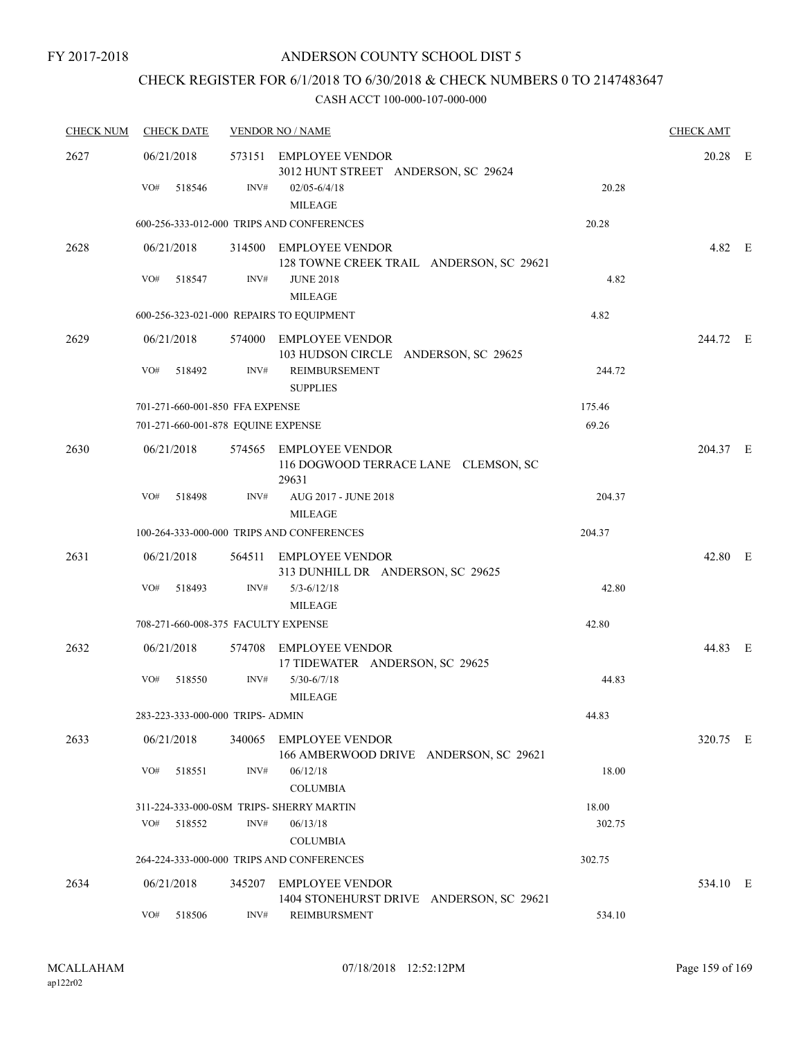## CHECK REGISTER FOR 6/1/2018 TO 6/30/2018 & CHECK NUMBERS 0 TO 2147483647

| <b>CHECK NUM</b> | <b>CHECK DATE</b>                        |        | <b>VENDOR NO / NAME</b>                                                           |        | <b>CHECK AMT</b> |  |
|------------------|------------------------------------------|--------|-----------------------------------------------------------------------------------|--------|------------------|--|
| 2627             | 06/21/2018<br>VO#<br>518546              | INV#   | 573151 EMPLOYEE VENDOR<br>3012 HUNT STREET ANDERSON, SC 29624<br>$02/05 - 6/4/18$ | 20.28  | 20.28 E          |  |
|                  |                                          |        | <b>MILEAGE</b>                                                                    |        |                  |  |
|                  |                                          |        | 600-256-333-012-000 TRIPS AND CONFERENCES                                         | 20.28  |                  |  |
| 2628             | 06/21/2018                               |        | 314500 EMPLOYEE VENDOR<br>128 TOWNE CREEK TRAIL ANDERSON, SC 29621                |        | 4.82 E           |  |
|                  | VO#<br>518547                            | INV#   | <b>JUNE 2018</b><br><b>MILEAGE</b>                                                | 4.82   |                  |  |
|                  | 600-256-323-021-000 REPAIRS TO EQUIPMENT |        |                                                                                   | 4.82   |                  |  |
| 2629             | 06/21/2018                               |        | 574000 EMPLOYEE VENDOR<br>103 HUDSON CIRCLE ANDERSON, SC 29625                    |        | 244.72 E         |  |
|                  | VO#<br>518492                            | INV#   | REIMBURSEMENT<br><b>SUPPLIES</b>                                                  | 244.72 |                  |  |
|                  | 701-271-660-001-850 FFA EXPENSE          |        |                                                                                   | 175.46 |                  |  |
|                  | 701-271-660-001-878 EQUINE EXPENSE       |        |                                                                                   | 69.26  |                  |  |
| 2630             | 06/21/2018                               |        | 574565 EMPLOYEE VENDOR<br>116 DOGWOOD TERRACE LANE CLEMSON, SC<br>29631           |        | 204.37 E         |  |
|                  | VO#<br>518498                            | INV#   | AUG 2017 - JUNE 2018<br><b>MILEAGE</b>                                            | 204.37 |                  |  |
|                  |                                          |        | 100-264-333-000-000 TRIPS AND CONFERENCES                                         | 204.37 |                  |  |
| 2631             | 06/21/2018                               |        | 564511 EMPLOYEE VENDOR<br>313 DUNHILL DR ANDERSON, SC 29625                       |        | 42.80 E          |  |
|                  | VO#<br>518493                            | INV#   | $5/3 - 6/12/18$<br><b>MILEAGE</b>                                                 | 42.80  |                  |  |
|                  | 708-271-660-008-375 FACULTY EXPENSE      |        |                                                                                   | 42.80  |                  |  |
| 2632             | 06/21/2018                               |        | 574708 EMPLOYEE VENDOR<br>17 TIDEWATER ANDERSON, SC 29625                         |        | 44.83 E          |  |
|                  | VO#<br>518550                            | INV#   | $5/30 - 6/7/18$<br><b>MILEAGE</b>                                                 | 44.83  |                  |  |
|                  | 283-223-333-000-000 TRIPS- ADMIN         |        |                                                                                   | 44.83  |                  |  |
| 2633             | 06/21/2018                               | 340065 | <b>EMPLOYEE VENDOR</b><br>166 AMBERWOOD DRIVE ANDERSON, SC 29621                  |        | 320.75 E         |  |
|                  | VO#<br>518551                            | INV#   | 06/12/18<br><b>COLUMBIA</b>                                                       | 18.00  |                  |  |
|                  |                                          |        | 311-224-333-000-0SM TRIPS- SHERRY MARTIN                                          | 18.00  |                  |  |
|                  | VO#<br>518552                            | INV#   | 06/13/18<br><b>COLUMBIA</b>                                                       | 302.75 |                  |  |
|                  |                                          |        | 264-224-333-000-000 TRIPS AND CONFERENCES                                         | 302.75 |                  |  |
| 2634             | 06/21/2018                               |        | 345207 EMPLOYEE VENDOR<br>1404 STONEHURST DRIVE ANDERSON, SC 29621                |        | 534.10 E         |  |
|                  | VO#<br>518506                            | INV#   | <b>REIMBURSMENT</b>                                                               | 534.10 |                  |  |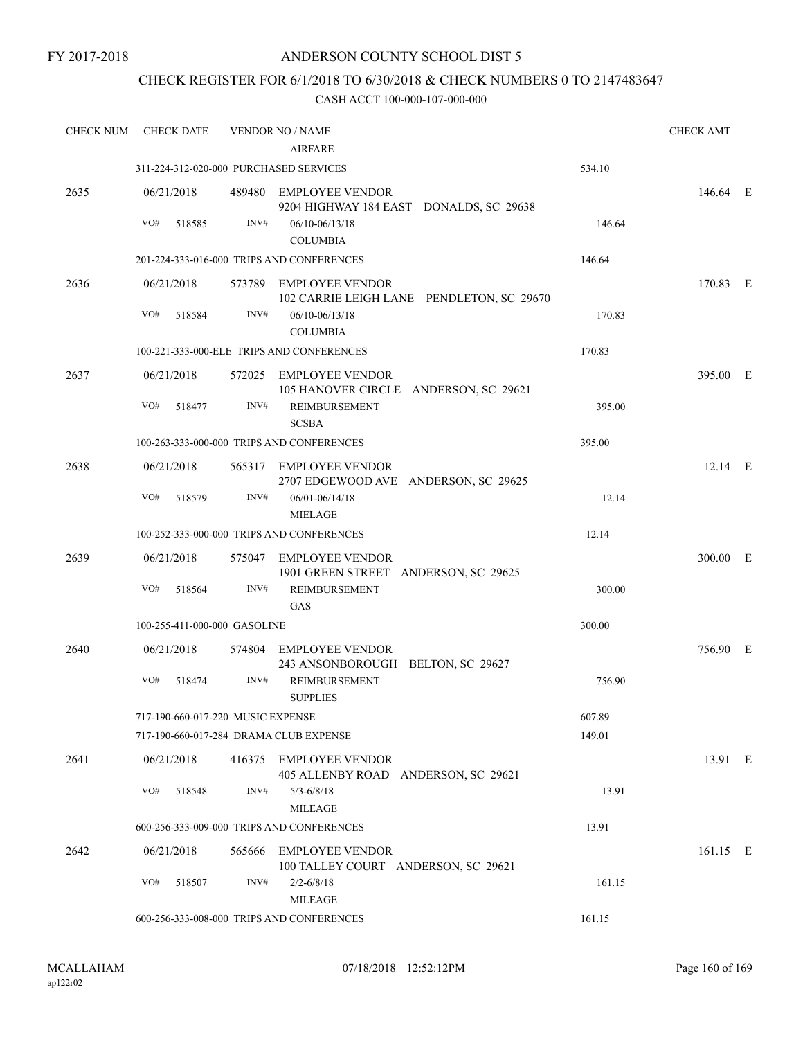### CHECK REGISTER FOR 6/1/2018 TO 6/30/2018 & CHECK NUMBERS 0 TO 2147483647

| <b>CHECK NUM</b> | <b>CHECK DATE</b>                      |        | <b>VENDOR NO / NAME</b>                                             |        | <b>CHECK AMT</b> |  |
|------------------|----------------------------------------|--------|---------------------------------------------------------------------|--------|------------------|--|
|                  |                                        |        | <b>AIRFARE</b>                                                      |        |                  |  |
|                  | 311-224-312-020-000 PURCHASED SERVICES |        |                                                                     | 534.10 |                  |  |
| 2635             | 06/21/2018                             |        | 489480 EMPLOYEE VENDOR<br>9204 HIGHWAY 184 EAST DONALDS, SC 29638   |        | 146.64 E         |  |
|                  | VO#<br>518585                          | INV#   | 06/10-06/13/18                                                      | 146.64 |                  |  |
|                  |                                        |        | <b>COLUMBIA</b>                                                     |        |                  |  |
|                  |                                        |        | 201-224-333-016-000 TRIPS AND CONFERENCES                           | 146.64 |                  |  |
| 2636             | 06/21/2018                             |        | 573789 EMPLOYEE VENDOR<br>102 CARRIE LEIGH LANE PENDLETON, SC 29670 |        | 170.83 E         |  |
|                  | VO#<br>518584                          | INV#   | $06/10 - 06/13/18$<br><b>COLUMBIA</b>                               | 170.83 |                  |  |
|                  |                                        |        | 100-221-333-000-ELE TRIPS AND CONFERENCES                           | 170.83 |                  |  |
| 2637             | 06/21/2018                             |        | 572025 EMPLOYEE VENDOR<br>105 HANOVER CIRCLE ANDERSON, SC 29621     |        | 395.00 E         |  |
|                  | VO#<br>518477                          | INV#   | REIMBURSEMENT<br><b>SCSBA</b>                                       | 395.00 |                  |  |
|                  |                                        |        | 100-263-333-000-000 TRIPS AND CONFERENCES                           | 395.00 |                  |  |
| 2638             | 06/21/2018                             |        | 565317 EMPLOYEE VENDOR<br>2707 EDGEWOOD AVE ANDERSON, SC 29625      |        | $12.14$ E        |  |
|                  | VO#<br>518579                          | INV#   | $06/01 - 06/14/18$<br><b>MIELAGE</b>                                | 12.14  |                  |  |
|                  |                                        |        | 100-252-333-000-000 TRIPS AND CONFERENCES                           | 12.14  |                  |  |
| 2639             | 06/21/2018                             |        | 575047 EMPLOYEE VENDOR<br>1901 GREEN STREET ANDERSON, SC 29625      |        | 300.00 E         |  |
|                  | VO#<br>518564                          | INV#   | REIMBURSEMENT<br>GAS                                                | 300.00 |                  |  |
|                  | 100-255-411-000-000 GASOLINE           |        |                                                                     | 300.00 |                  |  |
| 2640             | 06/21/2018                             |        | 574804 EMPLOYEE VENDOR<br>243 ANSONBOROUGH BELTON, SC 29627         |        | 756.90 E         |  |
|                  | VO#<br>518474                          | INV#   | <b>REIMBURSEMENT</b><br><b>SUPPLIES</b>                             | 756.90 |                  |  |
|                  | 717-190-660-017-220 MUSIC EXPENSE      |        |                                                                     | 607.89 |                  |  |
|                  | 717-190-660-017-284 DRAMA CLUB EXPENSE |        |                                                                     | 149.01 |                  |  |
| 2641             | 06/21/2018                             |        | 416375 EMPLOYEE VENDOR<br>405 ALLENBY ROAD ANDERSON, SC 29621       |        | 13.91 E          |  |
|                  | VO#<br>518548                          | INV#   | $5/3 - 6/8/18$<br><b>MILEAGE</b>                                    | 13.91  |                  |  |
|                  |                                        |        | 600-256-333-009-000 TRIPS AND CONFERENCES                           | 13.91  |                  |  |
| 2642             | 06/21/2018                             | 565666 | <b>EMPLOYEE VENDOR</b><br>100 TALLEY COURT ANDERSON, SC 29621       |        | 161.15 E         |  |
|                  | VO#<br>518507                          | INV#   | $2/2 - 6/8/18$<br><b>MILEAGE</b>                                    | 161.15 |                  |  |
|                  |                                        |        | 600-256-333-008-000 TRIPS AND CONFERENCES                           | 161.15 |                  |  |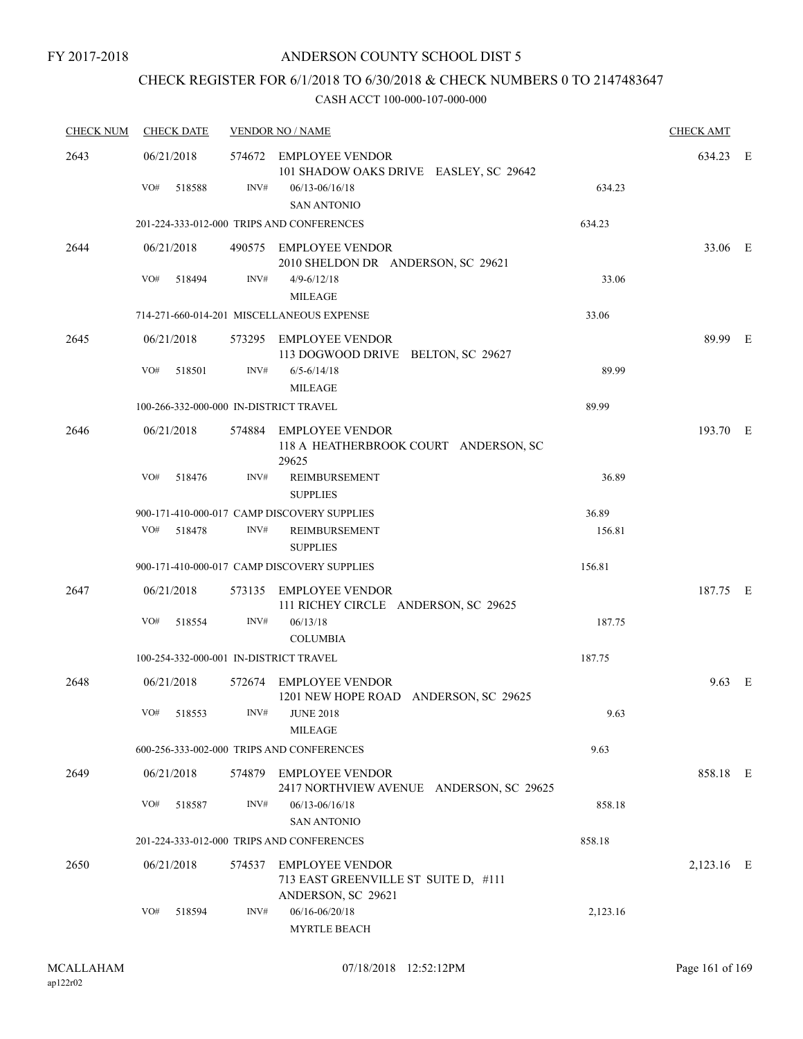## CHECK REGISTER FOR 6/1/2018 TO 6/30/2018 & CHECK NUMBERS 0 TO 2147483647

| <b>CHECK NUM</b><br><b>CHECK DATE</b> |                   | <b>VENDOR NO / NAME</b> | <b>CHECK AMT</b> |                                                                                        |          |            |  |
|---------------------------------------|-------------------|-------------------------|------------------|----------------------------------------------------------------------------------------|----------|------------|--|
| 2643                                  | 06/21/2018<br>VO# | 518588                  | INV#             | 574672 EMPLOYEE VENDOR<br>101 SHADOW OAKS DRIVE EASLEY, SC 29642<br>$06/13 - 06/16/18$ | 634.23   | 634.23 E   |  |
|                                       |                   |                         |                  | <b>SAN ANTONIO</b><br>201-224-333-012-000 TRIPS AND CONFERENCES                        | 634.23   |            |  |
| 2644                                  | 06/21/2018        |                         |                  | 490575 EMPLOYEE VENDOR<br>2010 SHELDON DR ANDERSON, SC 29621                           |          | 33.06 E    |  |
|                                       | VO#               | 518494                  | INV#             | $4/9 - 6/12/18$<br><b>MILEAGE</b>                                                      | 33.06    |            |  |
|                                       |                   |                         |                  | 714-271-660-014-201 MISCELLANEOUS EXPENSE                                              | 33.06    |            |  |
| 2645                                  | 06/21/2018        |                         |                  | 573295 EMPLOYEE VENDOR<br>113 DOGWOOD DRIVE BELTON, SC 29627                           |          | 89.99 E    |  |
|                                       | VO#               | 518501                  | INV#             | $6/5 - 6/14/18$<br><b>MILEAGE</b>                                                      | 89.99    |            |  |
|                                       |                   |                         |                  | 100-266-332-000-000 IN-DISTRICT TRAVEL                                                 | 89.99    |            |  |
| 2646                                  | 06/21/2018        |                         |                  | 574884 EMPLOYEE VENDOR<br>118 A HEATHERBROOK COURT ANDERSON, SC<br>29625               |          | 193.70 E   |  |
|                                       | VO#               | 518476                  | INV#             | <b>REIMBURSEMENT</b><br><b>SUPPLIES</b>                                                | 36.89    |            |  |
|                                       |                   |                         |                  | 900-171-410-000-017 CAMP DISCOVERY SUPPLIES                                            | 36.89    |            |  |
|                                       | VO#               | 518478                  | INV#             | REIMBURSEMENT<br><b>SUPPLIES</b>                                                       | 156.81   |            |  |
|                                       |                   |                         |                  | 900-171-410-000-017 CAMP DISCOVERY SUPPLIES                                            | 156.81   |            |  |
| 2647                                  | 06/21/2018        |                         |                  | 573135 EMPLOYEE VENDOR<br>111 RICHEY CIRCLE ANDERSON, SC 29625                         |          | 187.75 E   |  |
|                                       | VO#               | 518554                  | INV#             | 06/13/18<br><b>COLUMBIA</b>                                                            | 187.75   |            |  |
|                                       |                   |                         |                  | 100-254-332-000-001 IN-DISTRICT TRAVEL                                                 | 187.75   |            |  |
| 2648                                  | 06/21/2018        |                         |                  | 572674 EMPLOYEE VENDOR<br>1201 NEW HOPE ROAD ANDERSON, SC 29625                        |          | $9.63$ E   |  |
|                                       | VO# 518553        |                         |                  | INV# JUNE 2018<br>MILEAGE                                                              | 9.63     |            |  |
|                                       |                   |                         |                  | 600-256-333-002-000 TRIPS AND CONFERENCES                                              | 9.63     |            |  |
| 2649                                  | 06/21/2018        |                         |                  | 574879 EMPLOYEE VENDOR<br>2417 NORTHVIEW AVENUE ANDERSON, SC 29625                     |          | 858.18 E   |  |
|                                       | VO#               | 518587                  | INV#             | $06/13 - 06/16/18$<br><b>SAN ANTONIO</b>                                               | 858.18   |            |  |
|                                       |                   |                         |                  | 201-224-333-012-000 TRIPS AND CONFERENCES                                              | 858.18   |            |  |
| 2650                                  | 06/21/2018        |                         |                  | 574537 EMPLOYEE VENDOR<br>713 EAST GREENVILLE ST SUITE D, #111<br>ANDERSON, SC 29621   |          | 2,123.16 E |  |
|                                       | VO#               | 518594                  | INV#             | 06/16-06/20/18<br><b>MYRTLE BEACH</b>                                                  | 2,123.16 |            |  |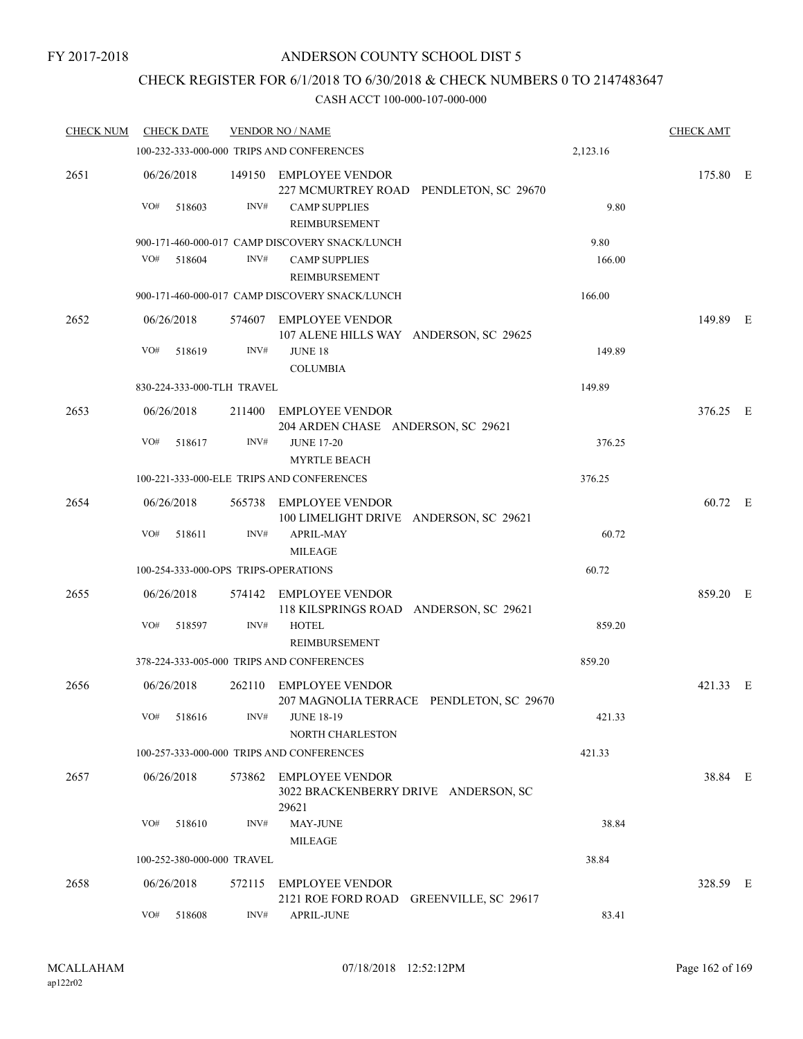## CHECK REGISTER FOR 6/1/2018 TO 6/30/2018 & CHECK NUMBERS 0 TO 2147483647

| <b>CHECK NUM</b> | <b>CHECK DATE</b>                    |        | <b>VENDOR NO / NAME</b>                                                 |          | <b>CHECK AMT</b> |  |
|------------------|--------------------------------------|--------|-------------------------------------------------------------------------|----------|------------------|--|
|                  |                                      |        | 100-232-333-000-000 TRIPS AND CONFERENCES                               | 2,123.16 |                  |  |
| 2651             | 06/26/2018                           |        | 149150 EMPLOYEE VENDOR<br>227 MCMURTREY ROAD PENDLETON, SC 29670        |          | 175.80 E         |  |
|                  | VO#<br>518603                        | INV#   | <b>CAMP SUPPLIES</b><br>REIMBURSEMENT                                   | 9.80     |                  |  |
|                  |                                      |        | 900-171-460-000-017 CAMP DISCOVERY SNACK/LUNCH                          | 9.80     |                  |  |
|                  | VO#<br>518604                        | INV#   | <b>CAMP SUPPLIES</b><br><b>REIMBURSEMENT</b>                            | 166.00   |                  |  |
|                  |                                      |        | 900-171-460-000-017 CAMP DISCOVERY SNACK/LUNCH                          | 166.00   |                  |  |
| 2652             | 06/26/2018                           |        | 574607 EMPLOYEE VENDOR<br>107 ALENE HILLS WAY ANDERSON, SC 29625        |          | 149.89 E         |  |
|                  | VO#<br>518619                        | INV#   | <b>JUNE 18</b><br><b>COLUMBIA</b>                                       | 149.89   |                  |  |
|                  | 830-224-333-000-TLH TRAVEL           |        |                                                                         | 149.89   |                  |  |
| 2653             | 06/26/2018                           |        | 211400 EMPLOYEE VENDOR<br>204 ARDEN CHASE ANDERSON, SC 29621            |          | 376.25 E         |  |
|                  | VO#<br>518617                        | INV#   | <b>JUNE 17-20</b><br><b>MYRTLE BEACH</b>                                | 376.25   |                  |  |
|                  |                                      |        | 100-221-333-000-ELE TRIPS AND CONFERENCES                               | 376.25   |                  |  |
| 2654             | 06/26/2018                           |        | 565738 EMPLOYEE VENDOR<br>100 LIMELIGHT DRIVE ANDERSON, SC 29621        |          | 60.72 E          |  |
|                  | VO#<br>518611                        | INV#   | <b>APRIL-MAY</b><br><b>MILEAGE</b>                                      | 60.72    |                  |  |
|                  | 100-254-333-000-OPS TRIPS-OPERATIONS |        |                                                                         | 60.72    |                  |  |
| 2655             | 06/26/2018                           |        | 574142 EMPLOYEE VENDOR<br>118 KILSPRINGS ROAD ANDERSON, SC 29621        |          | 859.20 E         |  |
|                  | VO#<br>518597                        | INV#   | <b>HOTEL</b><br>REIMBURSEMENT                                           | 859.20   |                  |  |
|                  |                                      |        | 378-224-333-005-000 TRIPS AND CONFERENCES                               | 859.20   |                  |  |
| 2656             | 06/26/2018                           |        | 262110 EMPLOYEE VENDOR<br>207 MAGNOLIA TERRACE PENDLETON, SC 29670      |          | 421.33 E         |  |
|                  | $\rm VO\#$<br>518616                 | INV#   | <b>JUNE 18-19</b><br>NORTH CHARLESTON                                   | 421.33   |                  |  |
|                  |                                      |        | 100-257-333-000-000 TRIPS AND CONFERENCES                               | 421.33   |                  |  |
| 2657             | 06/26/2018                           |        | 573862 EMPLOYEE VENDOR<br>3022 BRACKENBERRY DRIVE ANDERSON, SC<br>29621 |          | 38.84 E          |  |
|                  | VO#<br>518610                        | INV#   | MAY-JUNE<br><b>MILEAGE</b>                                              | 38.84    |                  |  |
|                  | 100-252-380-000-000 TRAVEL           |        |                                                                         | 38.84    |                  |  |
| 2658             | 06/26/2018                           | 572115 | <b>EMPLOYEE VENDOR</b><br>2121 ROE FORD ROAD<br>GREENVILLE, SC 29617    |          | 328.59 E         |  |
|                  | VO#<br>518608                        | INV#   | <b>APRIL-JUNE</b>                                                       | 83.41    |                  |  |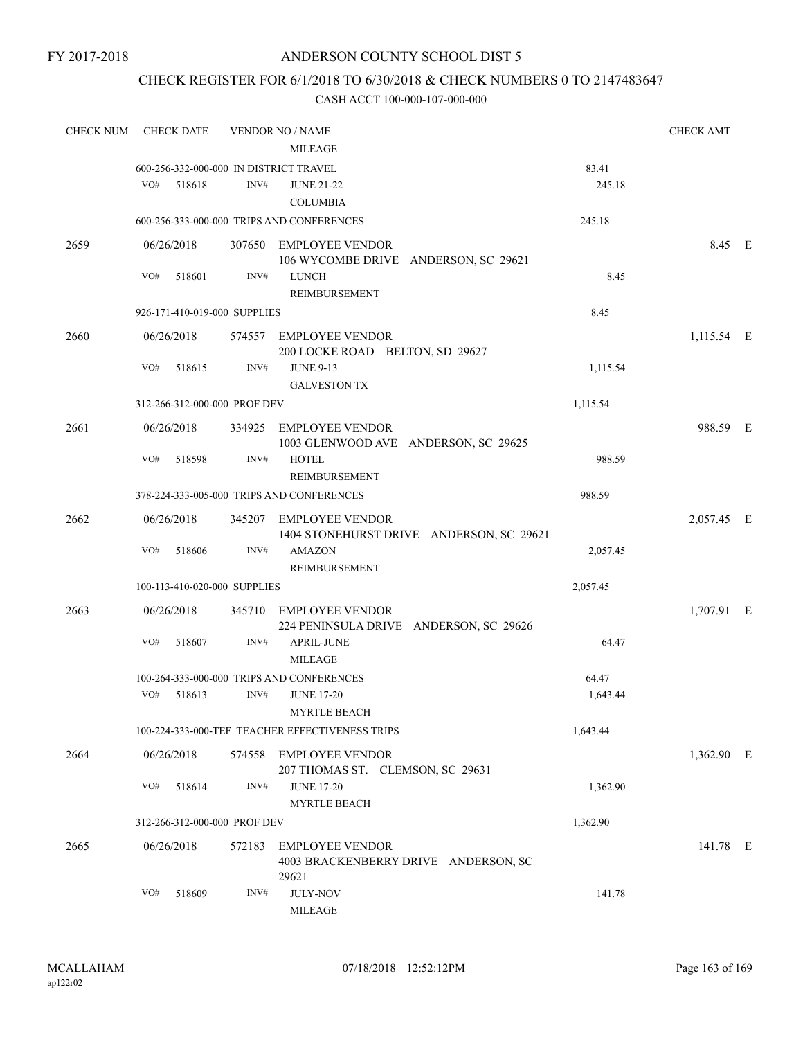### CHECK REGISTER FOR 6/1/2018 TO 6/30/2018 & CHECK NUMBERS 0 TO 2147483647

| <b>CHECK NUM</b> | <b>CHECK DATE</b> |        |                              | <u>VENDOR NO / NAME</u>                                                 |          | <b>CHECK AMT</b> |  |
|------------------|-------------------|--------|------------------------------|-------------------------------------------------------------------------|----------|------------------|--|
|                  |                   |        |                              | <b>MILEAGE</b>                                                          |          |                  |  |
|                  |                   |        |                              | 600-256-332-000-000 IN DISTRICT TRAVEL                                  | 83.41    |                  |  |
|                  | VO#               | 518618 | INV#                         | <b>JUNE 21-22</b>                                                       | 245.18   |                  |  |
|                  |                   |        |                              | <b>COLUMBIA</b>                                                         |          |                  |  |
|                  |                   |        |                              | 600-256-333-000-000 TRIPS AND CONFERENCES                               | 245.18   |                  |  |
| 2659             | 06/26/2018        |        |                              | 307650 EMPLOYEE VENDOR                                                  |          | 8.45 E           |  |
|                  |                   |        |                              | 106 WYCOMBE DRIVE ANDERSON, SC 29621                                    |          |                  |  |
|                  | VO#               | 518601 | INV#                         | LUNCH<br>REIMBURSEMENT                                                  | 8.45     |                  |  |
|                  |                   |        | 926-171-410-019-000 SUPPLIES |                                                                         | 8.45     |                  |  |
| 2660             | 06/26/2018        |        |                              | 574557 EMPLOYEE VENDOR                                                  |          | 1,115.54 E       |  |
|                  | VO#               |        | INV#                         | 200 LOCKE ROAD BELTON, SD 29627                                         |          |                  |  |
|                  |                   | 518615 |                              | <b>JUNE 9-13</b><br><b>GALVESTON TX</b>                                 | 1,115.54 |                  |  |
|                  |                   |        | 312-266-312-000-000 PROF DEV |                                                                         | 1,115.54 |                  |  |
|                  |                   |        |                              |                                                                         |          |                  |  |
| 2661             | 06/26/2018        |        |                              | 334925 EMPLOYEE VENDOR<br>1003 GLENWOOD AVE ANDERSON, SC 29625          |          | 988.59 E         |  |
|                  | VO#               | 518598 | INV#                         | <b>HOTEL</b><br><b>REIMBURSEMENT</b>                                    | 988.59   |                  |  |
|                  |                   |        |                              | 378-224-333-005-000 TRIPS AND CONFERENCES                               | 988.59   |                  |  |
|                  |                   |        |                              |                                                                         |          |                  |  |
| 2662             | 06/26/2018        |        |                              | 345207 EMPLOYEE VENDOR<br>1404 STONEHURST DRIVE ANDERSON, SC 29621      |          | 2,057.45 E       |  |
|                  | VO#               | 518606 | INV#                         | <b>AMAZON</b><br>REIMBURSEMENT                                          | 2,057.45 |                  |  |
|                  |                   |        | 100-113-410-020-000 SUPPLIES |                                                                         | 2,057.45 |                  |  |
| 2663             | 06/26/2018        |        | 345710                       | EMPLOYEE VENDOR                                                         |          | 1,707.91 E       |  |
|                  |                   |        |                              | 224 PENINSULA DRIVE ANDERSON, SC 29626                                  |          |                  |  |
|                  | VO#               | 518607 | INV#                         | <b>APRIL-JUNE</b><br><b>MILEAGE</b>                                     | 64.47    |                  |  |
|                  |                   |        |                              | 100-264-333-000-000 TRIPS AND CONFERENCES                               | 64.47    |                  |  |
|                  | VO# 518613        |        | INV#                         | <b>JUNE 17-20</b><br><b>MYRTLE BEACH</b>                                | 1,643.44 |                  |  |
|                  |                   |        |                              | 100-224-333-000-TEF TEACHER EFFECTIVENESS TRIPS                         | 1,643.44 |                  |  |
| 2664             | 06/26/2018        |        | 574558                       | <b>EMPLOYEE VENDOR</b>                                                  |          | 1,362.90 E       |  |
|                  |                   |        |                              | 207 THOMAS ST. CLEMSON, SC 29631                                        |          |                  |  |
|                  | VO#               | 518614 | INV#                         | <b>JUNE 17-20</b><br><b>MYRTLE BEACH</b>                                | 1,362.90 |                  |  |
|                  |                   |        | 312-266-312-000-000 PROF DEV |                                                                         | 1,362.90 |                  |  |
|                  |                   |        |                              |                                                                         |          |                  |  |
| 2665             | 06/26/2018        |        | 572183                       | <b>EMPLOYEE VENDOR</b><br>4003 BRACKENBERRY DRIVE ANDERSON, SC<br>29621 |          | 141.78 E         |  |
|                  | VO#               | 518609 | INV#                         | <b>JULY-NOV</b><br><b>MILEAGE</b>                                       | 141.78   |                  |  |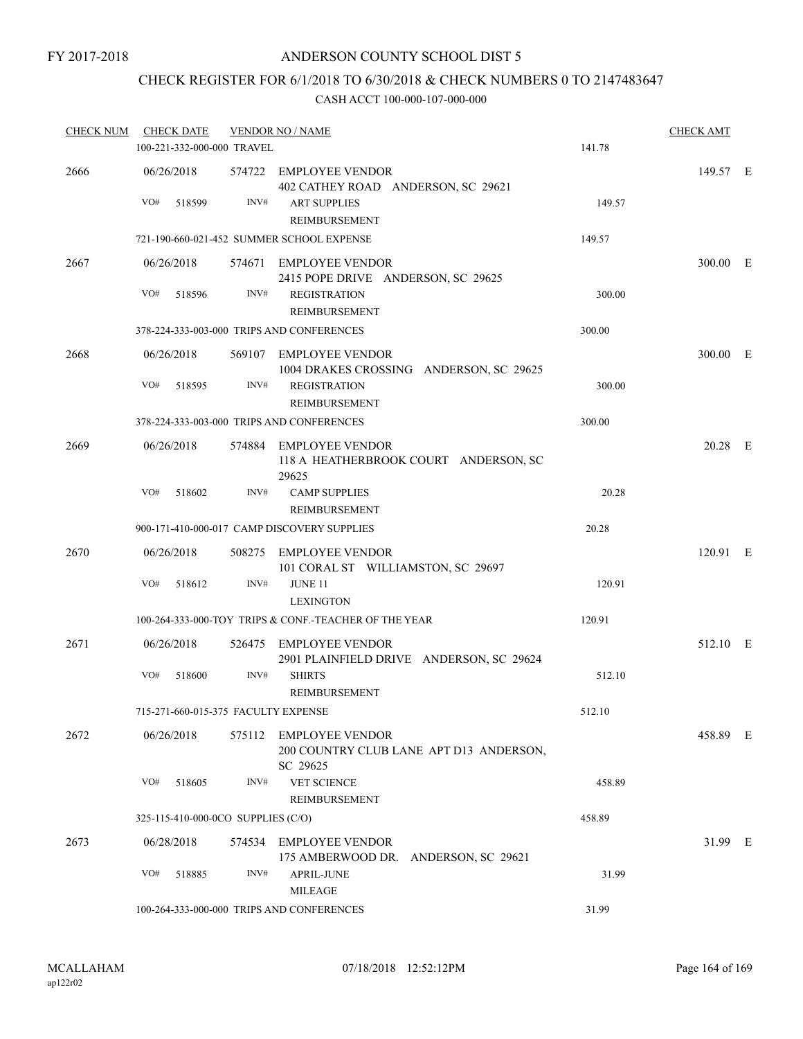### ANDERSON COUNTY SCHOOL DIST 5

# CHECK REGISTER FOR 6/1/2018 TO 6/30/2018 & CHECK NUMBERS 0 TO 2147483647

| <b>CHECK NUM</b> | <b>CHECK DATE</b>                   |      | <b>VENDOR NO / NAME</b>                                                       |        | <b>CHECK AMT</b> |  |
|------------------|-------------------------------------|------|-------------------------------------------------------------------------------|--------|------------------|--|
|                  | 100-221-332-000-000 TRAVEL          |      |                                                                               | 141.78 |                  |  |
| 2666             | 06/26/2018                          |      | 574722 EMPLOYEE VENDOR<br>402 CATHEY ROAD ANDERSON, SC 29621                  |        | 149.57 E         |  |
|                  | VO#<br>518599                       | INV# | <b>ART SUPPLIES</b><br>REIMBURSEMENT                                          | 149.57 |                  |  |
|                  |                                     |      | 721-190-660-021-452 SUMMER SCHOOL EXPENSE                                     | 149.57 |                  |  |
| 2667             | 06/26/2018                          |      | 574671 EMPLOYEE VENDOR<br>2415 POPE DRIVE ANDERSON, SC 29625                  |        | 300.00 E         |  |
|                  | VO#<br>518596                       | INV# | <b>REGISTRATION</b><br>REIMBURSEMENT                                          | 300.00 |                  |  |
|                  |                                     |      | 378-224-333-003-000 TRIPS AND CONFERENCES                                     | 300.00 |                  |  |
| 2668             | 06/26/2018                          |      | 569107 EMPLOYEE VENDOR<br>1004 DRAKES CROSSING ANDERSON, SC 29625             |        | 300.00 E         |  |
|                  | VO#<br>518595                       | INV# | <b>REGISTRATION</b><br>REIMBURSEMENT                                          | 300.00 |                  |  |
|                  |                                     |      | 378-224-333-003-000 TRIPS AND CONFERENCES                                     | 300.00 |                  |  |
| 2669             | 06/26/2018                          |      | 574884 EMPLOYEE VENDOR<br>118 A HEATHERBROOK COURT ANDERSON, SC<br>29625      |        | 20.28 E          |  |
|                  | VO#<br>518602                       | INV# | <b>CAMP SUPPLIES</b><br>REIMBURSEMENT                                         | 20.28  |                  |  |
|                  |                                     |      | 900-171-410-000-017 CAMP DISCOVERY SUPPLIES                                   | 20.28  |                  |  |
| 2670             | 06/26/2018                          |      | 508275 EMPLOYEE VENDOR<br>101 CORAL ST WILLIAMSTON, SC 29697                  |        | 120.91 E         |  |
|                  | VO#<br>518612                       | INV# | <b>JUNE 11</b><br><b>LEXINGTON</b>                                            | 120.91 |                  |  |
|                  |                                     |      | 100-264-333-000-TOY TRIPS & CONF.-TEACHER OF THE YEAR                         | 120.91 |                  |  |
| 2671             | 06/26/2018                          |      | 526475 EMPLOYEE VENDOR<br>2901 PLAINFIELD DRIVE ANDERSON, SC 29624            |        | 512.10 E         |  |
|                  | VO#<br>518600                       | INV# | <b>SHIRTS</b><br>REIMBURSEMENT                                                | 512.10 |                  |  |
|                  | 715-271-660-015-375 FACULTY EXPENSE |      |                                                                               | 512.10 |                  |  |
| 2672             | 06/26/2018                          |      | 575112 EMPLOYEE VENDOR<br>200 COUNTRY CLUB LANE APT D13 ANDERSON,<br>SC 29625 |        | 458.89 E         |  |
|                  | VO#<br>518605                       | INV# | <b>VET SCIENCE</b><br>REIMBURSEMENT                                           | 458.89 |                  |  |
|                  | 325-115-410-000-0CO SUPPLIES (C/O)  |      |                                                                               | 458.89 |                  |  |
| 2673             | 06/28/2018                          |      | 574534 EMPLOYEE VENDOR<br>175 AMBERWOOD DR. ANDERSON, SC 29621                |        | 31.99 E          |  |
|                  | VO#<br>518885                       | INV# | APRIL-JUNE<br><b>MILEAGE</b>                                                  | 31.99  |                  |  |
|                  |                                     |      | 100-264-333-000-000 TRIPS AND CONFERENCES                                     | 31.99  |                  |  |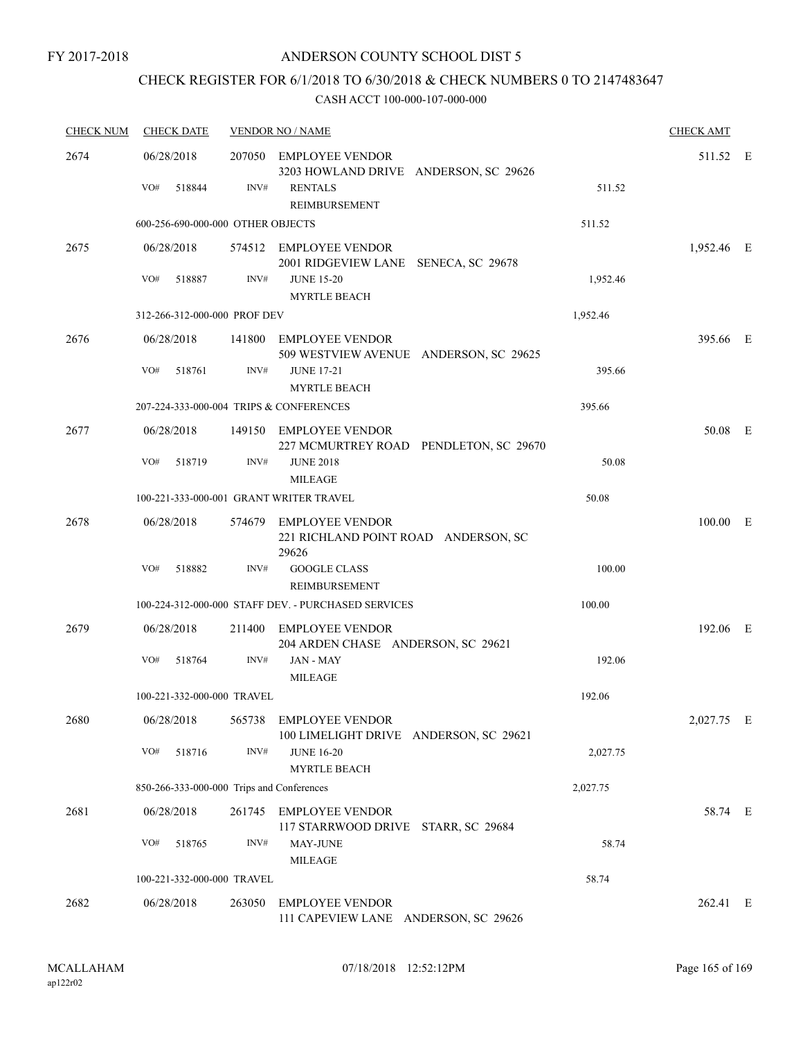## CHECK REGISTER FOR 6/1/2018 TO 6/30/2018 & CHECK NUMBERS 0 TO 2147483647

| <b>CHECK NUM</b> | <b>CHECK DATE</b>                         |                                                                           | <b>VENDOR NO / NAME</b>                                                 |          | <b>CHECK AMT</b> |  |
|------------------|-------------------------------------------|---------------------------------------------------------------------------|-------------------------------------------------------------------------|----------|------------------|--|
| 2674             | 06/28/2018                                | 207050<br><b>EMPLOYEE VENDOR</b><br>3203 HOWLAND DRIVE ANDERSON, SC 29626 |                                                                         |          | 511.52 E         |  |
|                  | VO#<br>518844                             | INV#                                                                      | <b>RENTALS</b><br><b>REIMBURSEMENT</b>                                  | 511.52   |                  |  |
|                  | 600-256-690-000-000 OTHER OBJECTS         |                                                                           |                                                                         | 511.52   |                  |  |
| 2675             | 06/28/2018                                |                                                                           | 574512 EMPLOYEE VENDOR<br>2001 RIDGEVIEW LANE SENECA, SC 29678          |          | 1,952.46 E       |  |
|                  | VO#<br>518887                             | INV#                                                                      | <b>JUNE 15-20</b><br><b>MYRTLE BEACH</b>                                | 1,952.46 |                  |  |
|                  | 312-266-312-000-000 PROF DEV              |                                                                           |                                                                         | 1,952.46 |                  |  |
| 2676             | 06/28/2018                                |                                                                           | 141800 EMPLOYEE VENDOR<br>509 WESTVIEW AVENUE ANDERSON, SC 29625        |          | 395.66 E         |  |
|                  | VO#<br>518761                             | INV#                                                                      | <b>JUNE 17-21</b><br><b>MYRTLE BEACH</b>                                | 395.66   |                  |  |
|                  | 207-224-333-000-004 TRIPS & CONFERENCES   |                                                                           |                                                                         | 395.66   |                  |  |
| 2677             | 06/28/2018                                |                                                                           | 149150 EMPLOYEE VENDOR<br>227 MCMURTREY ROAD PENDLETON, SC 29670        |          | 50.08 E          |  |
|                  | VO#<br>518719                             | INV#                                                                      | <b>JUNE 2018</b><br><b>MILEAGE</b>                                      | 50.08    |                  |  |
|                  | 100-221-333-000-001 GRANT WRITER TRAVEL   |                                                                           |                                                                         | 50.08    |                  |  |
| 2678             | 06/28/2018                                |                                                                           | 574679 EMPLOYEE VENDOR<br>221 RICHLAND POINT ROAD ANDERSON, SC<br>29626 |          | $100.00$ E       |  |
|                  | VO#<br>518882                             | INV#                                                                      | <b>GOOGLE CLASS</b><br><b>REIMBURSEMENT</b>                             | 100.00   |                  |  |
|                  |                                           |                                                                           | 100-224-312-000-000 STAFF DEV. - PURCHASED SERVICES                     | 100.00   |                  |  |
| 2679             | 06/28/2018                                | 211400                                                                    | <b>EMPLOYEE VENDOR</b><br>204 ARDEN CHASE ANDERSON, SC 29621            |          | 192.06 E         |  |
|                  | VO#<br>518764                             | INV#                                                                      | JAN - MAY<br><b>MILEAGE</b>                                             | 192.06   |                  |  |
|                  | 100-221-332-000-000 TRAVEL                |                                                                           |                                                                         | 192.06   |                  |  |
| 2680             | 06/28/2018                                |                                                                           | 565738 EMPLOYEE VENDOR<br>100 LIMELIGHT DRIVE ANDERSON, SC 29621        |          | 2,027.75 E       |  |
|                  | VO#<br>518716                             | INV#                                                                      | <b>JUNE 16-20</b><br><b>MYRTLE BEACH</b>                                | 2,027.75 |                  |  |
|                  | 850-266-333-000-000 Trips and Conferences |                                                                           |                                                                         | 2,027.75 |                  |  |
| 2681             | 06/28/2018                                | 261745                                                                    | <b>EMPLOYEE VENDOR</b><br>117 STARRWOOD DRIVE STARR, SC 29684           |          | 58.74 E          |  |
|                  | VO#<br>518765                             | INV#                                                                      | MAY-JUNE<br><b>MILEAGE</b>                                              | 58.74    |                  |  |
|                  | 100-221-332-000-000 TRAVEL                |                                                                           |                                                                         | 58.74    |                  |  |
| 2682             | 06/28/2018                                | 263050                                                                    | <b>EMPLOYEE VENDOR</b><br>111 CAPEVIEW LANE ANDERSON, SC 29626          |          | 262.41 E         |  |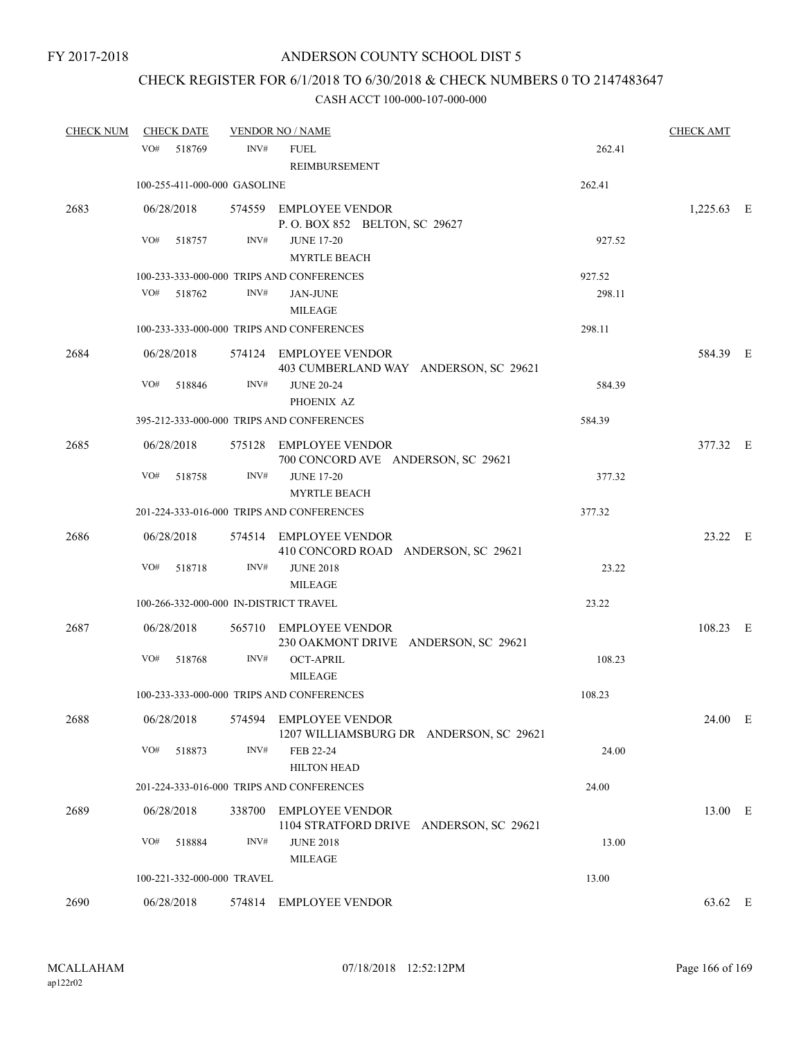# CHECK REGISTER FOR 6/1/2018 TO 6/30/2018 & CHECK NUMBERS 0 TO 2147483647

| <b>CHECK NUM</b> | <b>CHECK DATE</b>                      |        | <b>VENDOR NO / NAME</b>                                           |        | <b>CHECK AMT</b> |  |
|------------------|----------------------------------------|--------|-------------------------------------------------------------------|--------|------------------|--|
|                  | VO# 518769                             | INV#   | <b>FUEL</b><br>REIMBURSEMENT                                      | 262.41 |                  |  |
|                  | 100-255-411-000-000 GASOLINE           |        |                                                                   | 262.41 |                  |  |
| 2683             | 06/28/2018                             |        | 574559 EMPLOYEE VENDOR<br>P.O. BOX 852 BELTON, SC 29627           |        | $1,225.63$ E     |  |
|                  | VO#<br>518757                          | INV#   | <b>JUNE 17-20</b><br><b>MYRTLE BEACH</b>                          | 927.52 |                  |  |
|                  |                                        |        | 100-233-333-000-000 TRIPS AND CONFERENCES                         | 927.52 |                  |  |
|                  | VO#<br>518762                          | INV#   | <b>JAN-JUNE</b><br><b>MILEAGE</b>                                 | 298.11 |                  |  |
|                  |                                        |        | 100-233-333-000-000 TRIPS AND CONFERENCES                         | 298.11 |                  |  |
| 2684             | 06/28/2018                             |        | 574124 EMPLOYEE VENDOR<br>403 CUMBERLAND WAY ANDERSON, SC 29621   |        | 584.39 E         |  |
|                  | VO#<br>518846                          | INV#   | <b>JUNE 20-24</b><br>PHOENIX AZ                                   | 584.39 |                  |  |
|                  |                                        |        | 395-212-333-000-000 TRIPS AND CONFERENCES                         | 584.39 |                  |  |
| 2685             | 06/28/2018                             |        | 575128 EMPLOYEE VENDOR<br>700 CONCORD AVE ANDERSON, SC 29621      |        | 377.32 E         |  |
|                  | VO#<br>518758                          | INV#   | <b>JUNE 17-20</b><br><b>MYRTLE BEACH</b>                          | 377.32 |                  |  |
|                  |                                        |        | 201-224-333-016-000 TRIPS AND CONFERENCES                         | 377.32 |                  |  |
| 2686             | 06/28/2018                             |        | 574514 EMPLOYEE VENDOR<br>410 CONCORD ROAD ANDERSON, SC 29621     |        | 23.22 E          |  |
|                  | VO#<br>518718                          | INV#   | <b>JUNE 2018</b><br><b>MILEAGE</b>                                | 23.22  |                  |  |
|                  | 100-266-332-000-000 IN-DISTRICT TRAVEL |        |                                                                   | 23.22  |                  |  |
| 2687             | 06/28/2018                             |        | 565710 EMPLOYEE VENDOR<br>230 OAKMONT DRIVE ANDERSON, SC 29621    |        | 108.23 E         |  |
|                  | VO#<br>518768                          | INV#   | <b>OCT-APRIL</b><br><b>MILEAGE</b>                                | 108.23 |                  |  |
|                  |                                        |        | 100-233-333-000-000 TRIPS AND CONFERENCES                         | 108.23 |                  |  |
| 2688             | 06/28/2018                             | 574594 | <b>EMPLOYEE VENDOR</b><br>1207 WILLIAMSBURG DR ANDERSON, SC 29621 |        | 24.00 E          |  |
|                  | VO#<br>518873                          | INV#   | FEB 22-24<br><b>HILTON HEAD</b>                                   | 24.00  |                  |  |
|                  |                                        |        | 201-224-333-016-000 TRIPS AND CONFERENCES                         | 24.00  |                  |  |
| 2689             | 06/28/2018                             | 338700 | <b>EMPLOYEE VENDOR</b><br>1104 STRATFORD DRIVE ANDERSON, SC 29621 |        | 13.00 E          |  |
|                  | VO#<br>518884                          | INV#   | <b>JUNE 2018</b><br><b>MILEAGE</b>                                | 13.00  |                  |  |
|                  | 100-221-332-000-000 TRAVEL             |        |                                                                   | 13.00  |                  |  |
| 2690             | 06/28/2018                             |        | 574814 EMPLOYEE VENDOR                                            |        | 63.62 E          |  |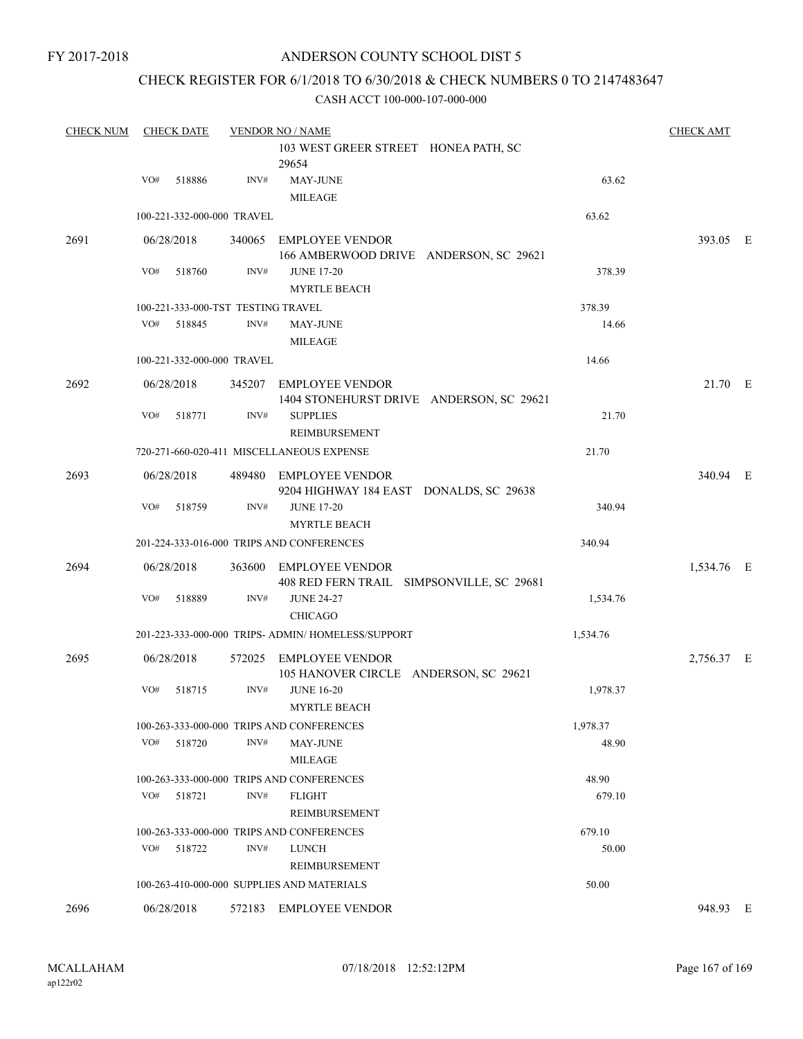### ANDERSON COUNTY SCHOOL DIST 5

### CHECK REGISTER FOR 6/1/2018 TO 6/30/2018 & CHECK NUMBERS 0 TO 2147483647

| <b>CHECK NUM</b> |     | <b>CHECK DATE</b>                  |        | <b>VENDOR NO / NAME</b>                                             |          | <b>CHECK AMT</b> |  |
|------------------|-----|------------------------------------|--------|---------------------------------------------------------------------|----------|------------------|--|
|                  |     |                                    |        | 103 WEST GREER STREET HONEA PATH, SC<br>29654                       |          |                  |  |
|                  | VO# | 518886                             | INV#   | MAY-JUNE<br><b>MILEAGE</b>                                          | 63.62    |                  |  |
|                  |     | 100-221-332-000-000 TRAVEL         |        |                                                                     | 63.62    |                  |  |
| 2691             |     | 06/28/2018                         |        | 340065 EMPLOYEE VENDOR<br>166 AMBERWOOD DRIVE ANDERSON, SC 29621    |          | 393.05 E         |  |
|                  | VO# | 518760                             | INV#   | <b>JUNE 17-20</b><br><b>MYRTLE BEACH</b>                            | 378.39   |                  |  |
|                  |     | 100-221-333-000-TST TESTING TRAVEL |        |                                                                     | 378.39   |                  |  |
|                  | VO# | 518845                             | INV#   | <b>MAY-JUNE</b><br><b>MILEAGE</b>                                   | 14.66    |                  |  |
|                  |     | 100-221-332-000-000 TRAVEL         |        |                                                                     | 14.66    |                  |  |
| 2692             |     | 06/28/2018                         |        | 345207 EMPLOYEE VENDOR<br>1404 STONEHURST DRIVE ANDERSON, SC 29621  |          | 21.70 E          |  |
|                  | VO# | 518771                             | INV#   | <b>SUPPLIES</b><br><b>REIMBURSEMENT</b>                             | 21.70    |                  |  |
|                  |     |                                    |        | 720-271-660-020-411 MISCELLANEOUS EXPENSE                           | 21.70    |                  |  |
| 2693             |     | 06/28/2018                         |        | 489480 EMPLOYEE VENDOR<br>9204 HIGHWAY 184 EAST DONALDS, SC 29638   |          | 340.94 E         |  |
|                  | VO# | 518759                             | INV#   | <b>JUNE 17-20</b><br><b>MYRTLE BEACH</b>                            | 340.94   |                  |  |
|                  |     |                                    |        | 201-224-333-016-000 TRIPS AND CONFERENCES                           | 340.94   |                  |  |
| 2694             |     | 06/28/2018                         |        | 363600 EMPLOYEE VENDOR<br>408 RED FERN TRAIL SIMPSONVILLE, SC 29681 |          | 1,534.76 E       |  |
|                  | VO# | 518889                             | INV#   | <b>JUNE 24-27</b><br><b>CHICAGO</b>                                 | 1,534.76 |                  |  |
|                  |     |                                    |        | 201-223-333-000-000 TRIPS- ADMIN/HOMELESS/SUPPORT                   | 1,534.76 |                  |  |
| 2695             |     | 06/28/2018                         | 572025 | <b>EMPLOYEE VENDOR</b><br>105 HANOVER CIRCLE ANDERSON, SC 29621     |          | 2,756.37 E       |  |
|                  | VO# | 518715                             | INV#   | <b>JUNE 16-20</b><br>MYRTLE BEACH                                   | 1,978.37 |                  |  |
|                  |     |                                    |        | 100-263-333-000-000 TRIPS AND CONFERENCES                           | 1,978.37 |                  |  |
|                  | VO# | 518720                             | INV#   | <b>MAY-JUNE</b><br>MILEAGE                                          | 48.90    |                  |  |
|                  |     |                                    |        | 100-263-333-000-000 TRIPS AND CONFERENCES                           | 48.90    |                  |  |
|                  | VO# | 518721                             | INV#   | <b>FLIGHT</b><br>REIMBURSEMENT                                      | 679.10   |                  |  |
|                  |     |                                    |        | 100-263-333-000-000 TRIPS AND CONFERENCES                           | 679.10   |                  |  |
|                  | VO# | 518722                             | INV#   | LUNCH<br>REIMBURSEMENT                                              | 50.00    |                  |  |
|                  |     |                                    |        | 100-263-410-000-000 SUPPLIES AND MATERIALS                          | 50.00    |                  |  |
| 2696             |     | 06/28/2018                         |        | 572183 EMPLOYEE VENDOR                                              |          | 948.93 E         |  |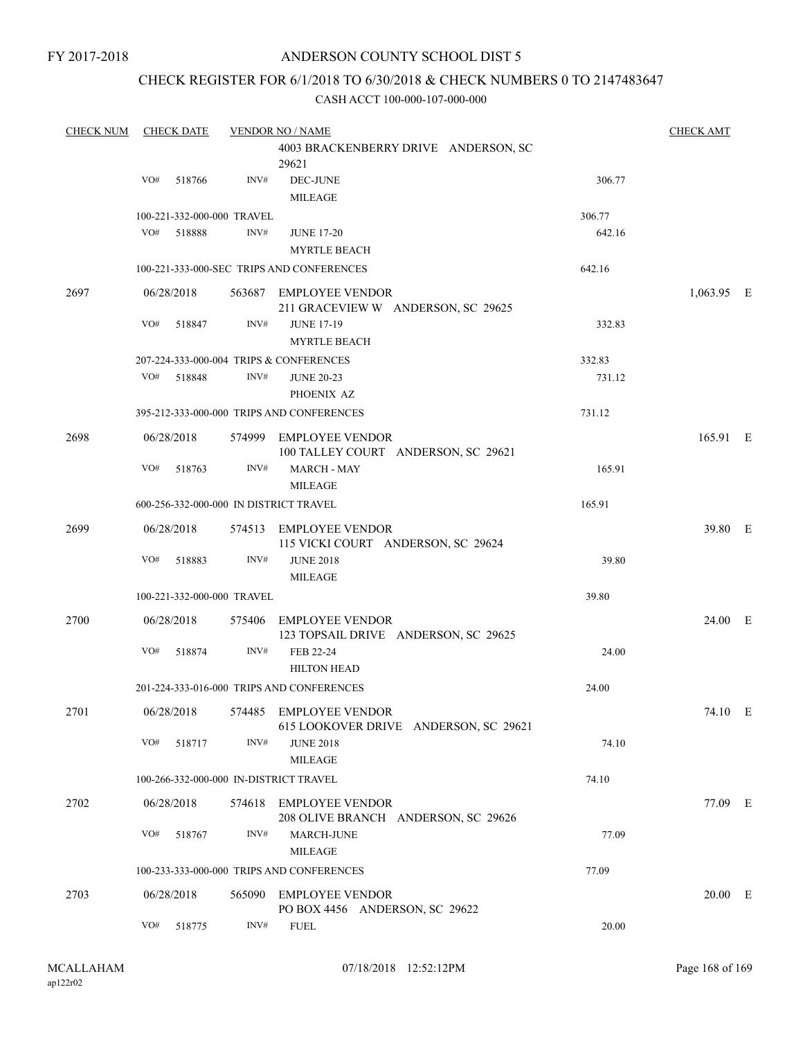### ANDERSON COUNTY SCHOOL DIST 5

### CHECK REGISTER FOR 6/1/2018 TO 6/30/2018 & CHECK NUMBERS 0 TO 2147483647

| <b>CHECK NUM</b> |                            | <b>CHECK DATE</b> |                            | <b>VENDOR NO / NAME</b>                                                    |        | <b>CHECK AMT</b> |  |
|------------------|----------------------------|-------------------|----------------------------|----------------------------------------------------------------------------|--------|------------------|--|
|                  |                            |                   |                            | 4003 BRACKENBERRY DRIVE ANDERSON, SC<br>29621                              |        |                  |  |
|                  | VO#                        | 518766            | INV#                       | DEC-JUNE<br><b>MILEAGE</b>                                                 | 306.77 |                  |  |
|                  | 100-221-332-000-000 TRAVEL | 306.77            |                            |                                                                            |        |                  |  |
|                  | VO#                        | 518888            | INV#                       | <b>JUNE 17-20</b>                                                          | 642.16 |                  |  |
|                  |                            |                   |                            | <b>MYRTLE BEACH</b>                                                        |        |                  |  |
|                  |                            |                   |                            | 100-221-333-000-SEC TRIPS AND CONFERENCES                                  | 642.16 |                  |  |
| 2697             |                            | 06/28/2018        |                            | 563687 EMPLOYEE VENDOR<br>211 GRACEVIEW W ANDERSON, SC 29625               |        | $1,063.95$ E     |  |
|                  | VO#                        | 518847            | INV#                       | <b>JUNE 17-19</b><br><b>MYRTLE BEACH</b>                                   | 332.83 |                  |  |
|                  |                            |                   |                            | 207-224-333-000-004 TRIPS & CONFERENCES                                    | 332.83 |                  |  |
|                  |                            | VO# 518848        | INV#                       | <b>JUNE 20-23</b>                                                          | 731.12 |                  |  |
|                  |                            |                   |                            | PHOENIX AZ                                                                 |        |                  |  |
|                  |                            |                   |                            | 395-212-333-000-000 TRIPS AND CONFERENCES                                  | 731.12 |                  |  |
| 2698             |                            | 06/28/2018        |                            | 574999 EMPLOYEE VENDOR<br>100 TALLEY COURT ANDERSON, SC 29621              |        | 165.91 E         |  |
|                  | VO#                        | 518763            | INV#                       | <b>MARCH - MAY</b><br><b>MILEAGE</b>                                       | 165.91 |                  |  |
|                  |                            |                   |                            | 600-256-332-000-000 IN DISTRICT TRAVEL                                     | 165.91 |                  |  |
| 2699             |                            | 06/28/2018        |                            | 574513 EMPLOYEE VENDOR<br>115 VICKI COURT ANDERSON, SC 29624               |        | 39.80 E          |  |
|                  | VO#                        | 518883            | INV#                       | <b>JUNE 2018</b><br><b>MILEAGE</b>                                         | 39.80  |                  |  |
|                  |                            |                   | 100-221-332-000-000 TRAVEL |                                                                            | 39.80  |                  |  |
| 2700             |                            | 06/28/2018        |                            | 575406 EMPLOYEE VENDOR<br>123 TOPSAIL DRIVE ANDERSON, SC 29625             |        | 24.00 E          |  |
|                  | VO#                        | 518874            | INV#                       | FEB 22-24<br><b>HILTON HEAD</b>                                            | 24.00  |                  |  |
|                  |                            |                   |                            | 201-224-333-016-000 TRIPS AND CONFERENCES                                  | 24.00  |                  |  |
| 2701             |                            |                   |                            | 06/28/2018 574485 EMPLOYEE VENDOR<br>615 LOOKOVER DRIVE ANDERSON, SC 29621 |        | 74.10 E          |  |
|                  |                            | VO# 518717        | INV#                       | <b>JUNE 2018</b><br><b>MILEAGE</b>                                         | 74.10  |                  |  |
|                  |                            |                   |                            | 100-266-332-000-000 IN-DISTRICT TRAVEL                                     | 74.10  |                  |  |
| 2702             |                            | 06/28/2018        |                            | 574618 EMPLOYEE VENDOR<br>208 OLIVE BRANCH ANDERSON, SC 29626              |        | 77.09 E          |  |
|                  |                            | VO# 518767        | INV#                       | MARCH-JUNE<br>MILEAGE                                                      | 77.09  |                  |  |
|                  |                            |                   |                            | 100-233-333-000-000 TRIPS AND CONFERENCES                                  | 77.09  |                  |  |
| 2703             |                            | 06/28/2018        |                            | 565090 EMPLOYEE VENDOR                                                     |        | 20.00 E          |  |
|                  | VO#                        | 518775            | INV#                       | PO BOX 4456 ANDERSON, SC 29622<br><b>FUEL</b>                              | 20.00  |                  |  |